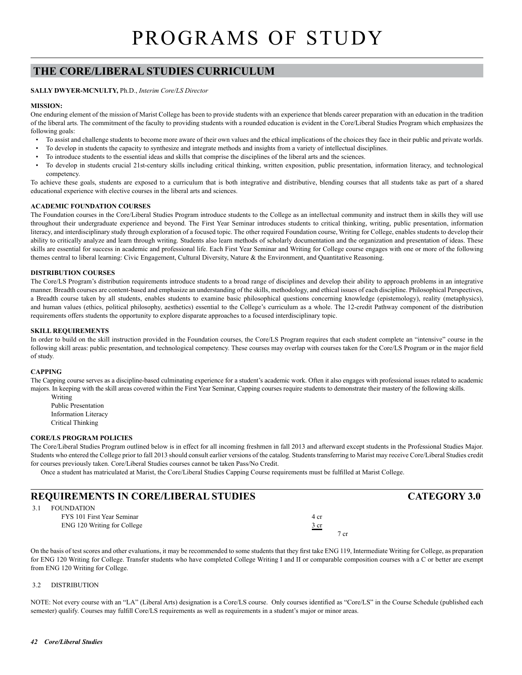# **THE CORE/LIBERAL STUDIES CURRICULUM**

## **SALLY DWYER-MCNULTY,** Ph.D., *Interim Core/LS Director*

## **MISSION:**

One enduring element of the mission of Marist College has been to provide students with an experience that blends career preparation with an education in the tradition of the liberal arts. The commitment of the faculty to providing students with a rounded education is evident in the Core/Liberal Studies Program which emphasizes the following goals:

- To assist and challenge students to become more aware of their own values and the ethical implications of the choices they face in their public and private worlds.
- To develop in students the capacity to synthesize and integrate methods and insights from a variety of intellectual disciplines.
- To introduce students to the essential ideas and skills that comprise the disciplines of the liberal arts and the sciences.
- To develop in students crucial 21st-century skills including critical thinking, written exposition, public presentation, information literacy, and technological competency.

To achieve these goals, students are exposed to a curriculum that is both integrative and distributive, blending courses that all students take as part of a shared educational experience with elective courses in the liberal arts and sciences.

### **ACADEMIC FOUNDATION COURSES**

The Foundation courses in the Core/Liberal Studies Program introduce students to the College as an intellectual community and instruct them in skills they will use throughout their undergraduate experience and beyond. The First Year Seminar introduces students to critical thinking, writing, public presentation, information literacy, and interdisciplinary study through exploration of a focused topic. The other required Foundation course, Writing for College, enables students to develop their ability to critically analyze and learn through writing. Students also learn methods of scholarly documentation and the organization and presentation of ideas. These skills are essential for success in academic and professional life. Each First Year Seminar and Writing for College course engages with one or more of the following themes central to liberal learning: Civic Engagement, Cultural Diversity, Nature & the Environment, and Quantitative Reasoning.

## **DISTRIBUTION COURSES**

The Core/LS Program's distribution requirements introduce students to a broad range of disciplines and develop their ability to approach problems in an integrative manner. Breadth courses are content-based and emphasize an understanding of the skills, methodology, and ethical issues of each discipline. Philosophical Perspectives, a Breadth course taken by all students, enables students to examine basic philosophical questions concerning knowledge (epistemology), reality (metaphysics), and human values (ethics, political philosophy, aesthetics) essential to the College's curriculum as a whole. The 12-credit Pathway component of the distribution requirements offers students the opportunity to explore disparate approaches to a focused interdisciplinary topic.

### **SKILL REQUIREMENTS**

In order to build on the skill instruction provided in the Foundation courses, the Core/LS Program requires that each student complete an "intensive" course in the following skill areas: public presentation, and technological competency. These courses may overlap with courses taken for the Core/LS Program or in the major field of study.

#### **CAPPING**

The Capping course serves as a discipline-based culminating experience for a student's academic work. Often it also engages with professional issues related to academic majors. In keeping with the skill areas covered within the First Year Seminar, Capping courses require students to demonstrate their mastery of the following skills.

 Writing Public Presentation Information Literacy Critical Thinking

#### **CORE/LS PROGRAM POLICIES**

The Core/Liberal Studies Program outlined below is in effect for all incoming freshmen in fall 2013 and afterward except students in the Professional Studies Major. Students who entered the College prior to fall 2013 should consult earlier versions of the catalog. Students transferring to Marist may receive Core/Liberal Studies credit for courses previously taken. Core/Liberal Studies courses cannot be taken Pass/No Credit.

Once a student has matriculated at Marist, the Core/Liberal Studies Capping Course requirements must be fulfilled at Marist College.

# **REQUIREMENTS IN CORE/LIBERAL STUDIES CATEGORY 3.0**

| 3.1 | FOUNDATION                  |                |
|-----|-----------------------------|----------------|
|     | FYS 101 First Year Seminar  | 4 cr           |
|     | ENG 120 Writing for College | $rac{3}{2}$ cr |
|     |                             | 7 cr           |

On the basis of test scores and other evaluations, it may be recommended to some students that they first take ENG 119, Intermediate Writing for College, as preparation for ENG 120 Writing for College. Transfer students who have completed College Writing I and II or comparable composition courses with a C or better are exempt from ENG 120 Writing for College.

## 3.2 DISTRIBUTION

NOTE: Not every course with an "LA" (Liberal Arts) designation is a Core/LS course. Only courses identified as "Core/LS" in the Course Schedule (published each semester) qualify. Courses may fulfill Core/LS requirements as well as requirements in a student's major or minor areas.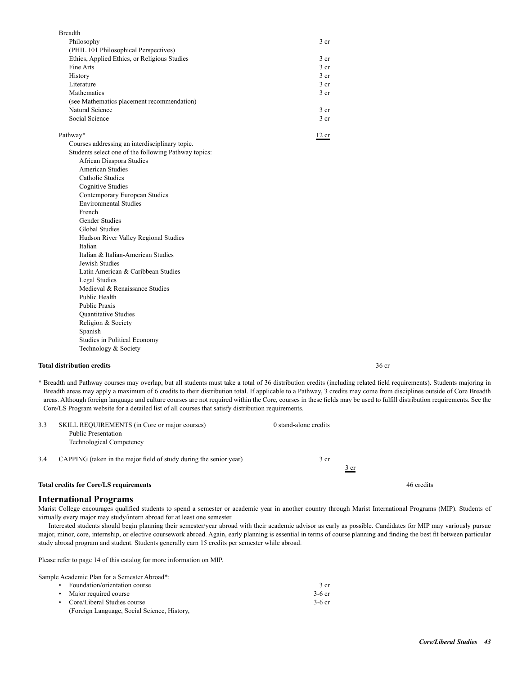| <b>Breadth</b>                                 |                 |
|------------------------------------------------|-----------------|
| Philosophy                                     | 3 <sub>cr</sub> |
| (PHIL 101 Philosophical Perspectives)          |                 |
| Ethics, Applied Ethics, or Religious Studies   | 3 <sub>cr</sub> |
| Fine Arts                                      | 3 <sub>cr</sub> |
| History                                        | 3 <sub>cr</sub> |
| Literature                                     | 3 <sub>cr</sub> |
| <b>Mathematics</b>                             | 3 <sub>cr</sub> |
| (see Mathematics placement recommendation)     |                 |
| Natural Science                                | 3 <sub>cr</sub> |
| Social Science                                 | 3 <sub>cr</sub> |
| Pathway*                                       | 12 cr           |
| Courses addressing an interdisciplinary topic. |                 |

 Students select one of the following Pathway topics: African Diaspora Studies American Studies Catholic Studies Cognitive Studies Contemporary European Studies Environmental Studies French Gender Studies Global Studies Hudson River Valley Regional Studies Italian Italian & Italian-American Studies Jewish Studies Latin American & Caribbean Studies Legal Studies Medieval & Renaissance Studies Public Health Public Praxis Quantitative Studies Religion & Society Spanish

 Studies in Political Economy Technology & Society

## **Total distribution credits** 36 cr

\* Breadth and Pathway courses may overlap, but all students must take a total of 36 distribution credits (including related field requirements). Students majoring in Breadth areas may apply a maximum of 6 credits to their distribution total. If applicable to a Pathway, 3 credits may come from disciplines outside of Core Breadth areas. Although foreign language and culture courses are not required within the Core, courses in these fields may be used to fulfill distribution requirements. See the Core/LS Program website for a detailed list of all courses that satisfy distribution requirements.

| 3.3 | SKILL REQUIREMENTS (in Core or major courses)<br><b>Public Presentation</b><br><b>Technological Competency</b> | 0 stand-alone credits |      |            |  |
|-----|----------------------------------------------------------------------------------------------------------------|-----------------------|------|------------|--|
| 3.4 | CAPPING (taken in the major field of study during the senior year)                                             | 3 cr                  | 3 cr |            |  |
|     | <b>Total credits for Core/LS requirements</b>                                                                  |                       |      | 46 credits |  |

## **International Programs**

Marist College encourages qualified students to spend a semester or academic year in another country through Marist International Programs (MIP). Students of virtually every major may study/intern abroad for at least one semester.

Interested students should begin planning their semester/year abroad with their academic advisor as early as possible. Candidates for MIP may variously pursue major, minor, core, internship, or elective coursework abroad. Again, early planning is essential in terms of course planning and finding the best fit between particular study abroad program and student. Students generally earn 15 credits per semester while abroad.

Please refer to page 14 of this catalog for more information on MIP.

Sample Academic Plan for a Semester Abroad\*:

| • Foundation/orientation course             | 3 cr     |
|---------------------------------------------|----------|
| • Major required course                     | $3-6$ cr |
| • Core/Liberal Studies course               | $3-6$ cr |
| (Foreign Language, Social Science, History, |          |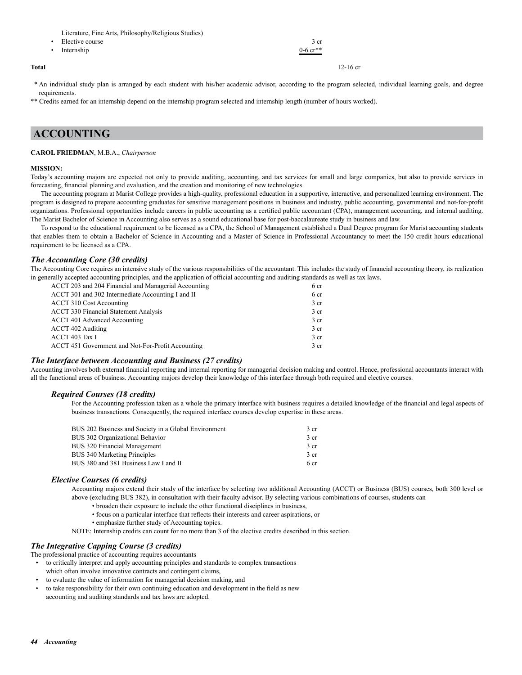Literature, Fine Arts, Philosophy/Religious Studies)

| • Elective course | 3 cr                   |
|-------------------|------------------------|
| • Internship      | $0-6$ cr <sup>**</sup> |
|                   |                        |

**Total** 12-16 cr

 \* An individual study plan is arranged by each student with his/her academic advisor, according to the program selected, individual learning goals, and degree requirements.

\*\* Credits earned for an internship depend on the internship program selected and internship length (number of hours worked).

# **ACCOUNTING**

#### **CAROL FRIEDMAN**, M.B.A., *Chairperson*

#### **MISSION:**

Today's accounting majors are expected not only to provide auditing, accounting, and tax services for small and large companies, but also to provide services in forecasting, financial planning and evaluation, and the creation and monitoring of new technologies.

The accounting program at Marist College provides a high-quality, professional education in a supportive, interactive, and personalized learning environment. The program is designed to prepare accounting graduates for sensitive management positions in business and industry, public accounting, governmental and not-for-profit organizations. Professional opportunities include careers in public accounting as a certified public accountant (CPA), management accounting, and internal auditing. The Marist Bachelor of Science in Accounting also serves as a sound educational base for post-baccalaureate study in business and law.

To respond to the educational requirement to be licensed as a CPA, the School of Management established a Dual Degree program for Marist accounting students that enables them to obtain a Bachelor of Science in Accounting and a Master of Science in Professional Accountancy to meet the 150 credit hours educational requirement to be licensed as a CPA.

## *The Accounting Core (30 credits)*

The Accounting Core requires an intensive study of the various responsibilities of the accountant. This includes the study of financial accounting theory, its realization in generally accepted accounting principles, and the application of official accounting and auditing standards as well as tax laws.

| ACCT 203 and 204 Financial and Managerial Accounting | 6 cr            |
|------------------------------------------------------|-----------------|
| ACCT 301 and 302 Intermediate Accounting I and II    | 6 cr            |
| <b>ACCT 310 Cost Accounting</b>                      | 3 <sub>cr</sub> |
| <b>ACCT 330 Financial Statement Analysis</b>         | 3 <sub>cr</sub> |
| ACCT 401 Advanced Accounting                         | 3 <sub>cr</sub> |
| ACCT 402 Auditing                                    | 3 <sub>cr</sub> |
| ACCT 403 Tax I                                       | 3 <sub>cr</sub> |
| ACCT 451 Government and Not-For-Profit Accounting    | 3 <sub>cr</sub> |
|                                                      |                 |

## *The Interface between Accounting and Business (27 credits)*

Accounting involves both external financial reporting and internal reporting for managerial decision making and control. Hence, professional accountants interact with all the functional areas of business. Accounting majors develop their knowledge of this interface through both required and elective courses.

## *Required Courses (18 credits)*

For the Accounting profession taken as a whole the primary interface with business requires a detailed knowledge of the financial and legal aspects of business transactions. Consequently, the required interface courses develop expertise in these areas.

| BUS 202 Business and Society in a Global Environment | 3 <sub>cr</sub> |
|------------------------------------------------------|-----------------|
| BUS 302 Organizational Behavior                      | 3 <sub>cr</sub> |
| BUS 320 Financial Management                         | 3 <sub>cr</sub> |
| BUS 340 Marketing Principles                         | 3 <sub>cr</sub> |
| BUS 380 and 381 Business Law I and II                | 6 cr            |

## *Elective Courses (6 credits)*

Accounting majors extend their study of the interface by selecting two additional Accounting (ACCT) or Business (BUS) courses, both 300 level or above (excluding BUS 382), in consultation with their faculty advisor. By selecting various combinations of courses, students can

- broaden their exposure to include the other functional disciplines in business,
- focus on a particular interface that reflects their interests and career aspirations, or
- emphasize further study of Accounting topics.
- NOTE: Internship credits can count for no more than 3 of the elective credits described in this section.

## *The Integrative Capping Course (3 credits)*

The professional practice of accounting requires accountants

- to critically interpret and apply accounting principles and standards to complex transactions which often involve innovative contracts and contingent claims,
- to evaluate the value of information for managerial decision making, and
- to take responsibility for their own continuing education and development in the field as new accounting and auditing standards and tax laws are adopted.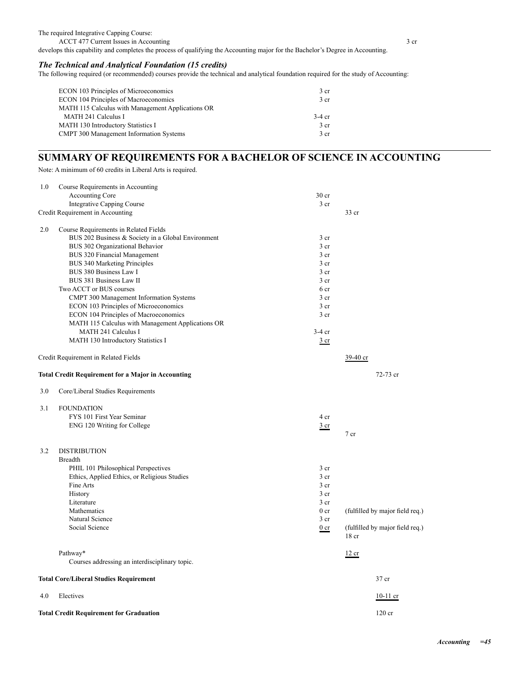The required Integrative Capping Course:

ACCT 477 Current Issues in Accounting 3 cr develops this capability and completes the process of qualifying the Accounting major for the Bachelor's Degree in Accounting.

## *The Technical and Analytical Foundation (15 credits)*

The following required (or recommended) courses provide the technical and analytical foundation required for the study of Accounting:

| ECON 103 Principles of Microeconomics             | 3 <sub>cr</sub> |
|---------------------------------------------------|-----------------|
| ECON 104 Principles of Macroeconomics             | 3 <sub>cr</sub> |
| MATH 115 Calculus with Management Applications OR |                 |
| <b>MATH 241 Calculus I</b>                        | $-3-4$ cr       |
| <b>MATH 130 Introductory Statistics I</b>         | 3 <sub>cr</sub> |
| <b>CMPT 300 Management Information Systems</b>    | 3 <sub>cr</sub> |

# **SUMMARY OF REQUIREMENTS FOR A BACHELOR OF SCIENCE IN ACCOUNTING**

Note: A minimum of 60 credits in Liberal Arts is required.

| 1.0 | Course Requirements in Accounting                  |                  |                                          |
|-----|----------------------------------------------------|------------------|------------------------------------------|
|     | Accounting Core                                    | 30 <sub>cr</sub> |                                          |
|     | Integrative Capping Course                         | $3$ cr           |                                          |
|     | Credit Requirement in Accounting                   |                  | 33 cr                                    |
| 2.0 | Course Requirements in Related Fields              |                  |                                          |
|     | BUS 202 Business & Society in a Global Environment | 3 <sub>cr</sub>  |                                          |
|     | BUS 302 Organizational Behavior                    | $3$ cr           |                                          |
|     | BUS 320 Financial Management                       | 3 <sub>cr</sub>  |                                          |
|     | BUS 340 Marketing Principles                       | 3 <sub>cr</sub>  |                                          |
|     | BUS 380 Business Law I                             | 3 <sub>cr</sub>  |                                          |
|     | BUS 381 Business Law II                            | 3 <sub>cr</sub>  |                                          |
|     | Two ACCT or BUS courses                            | 6 cr             |                                          |
|     | <b>CMPT 300 Management Information Systems</b>     | 3 cr             |                                          |
|     | ECON 103 Principles of Microeconomics              | 3 cr             |                                          |
|     | ECON 104 Principles of Macroeconomics              | 3 <sub>cr</sub>  |                                          |
|     | MATH 115 Calculus with Management Applications OR  |                  |                                          |
|     | <b>MATH 241 Calculus I</b>                         | $3-4$ cr         |                                          |
|     | MATH 130 Introductory Statistics I                 | $rac{3}{2}$ cr   |                                          |
|     | Credit Requirement in Related Fields               |                  | $39-40$ cr                               |
|     | Total Credit Requirement for a Major in Accounting |                  | 72-73 cr                                 |
| 3.0 | Core/Liberal Studies Requirements                  |                  |                                          |
| 3.1 | <b>FOUNDATION</b>                                  |                  |                                          |
|     | FYS 101 First Year Seminar                         | 4 cr             |                                          |
|     | ENG 120 Writing for College                        |                  |                                          |
|     |                                                    | $rac{3}{2}$ cr   | 7 <sub>cr</sub>                          |
| 3.2 | <b>DISTRIBUTION</b>                                |                  |                                          |
|     | <b>Breadth</b>                                     |                  |                                          |
|     | PHIL 101 Philosophical Perspectives                | 3 <sub>cr</sub>  |                                          |
|     | Ethics, Applied Ethics, or Religious Studies       | 3 cr             |                                          |
|     | Fine Arts                                          | 3 cr             |                                          |
|     | History                                            | 3 <sub>cr</sub>  |                                          |
|     | Literature                                         | 3 <sub>cr</sub>  |                                          |
|     | Mathematics                                        | 0 <sub>cr</sub>  | (fulfilled by major field req.)          |
|     | Natural Science                                    | 3 cr             |                                          |
|     | Social Science                                     | $0$ cr           | (fulfilled by major field req.)<br>18 cr |
|     | Pathway*                                           |                  | 12 cr                                    |
|     | Courses addressing an interdisciplinary topic.     |                  |                                          |
|     | <b>Total Core/Liberal Studies Requirement</b>      |                  | 37 cr                                    |
| 4.0 | Electives                                          |                  | $10-11$ cr                               |
|     | <b>Total Credit Requirement for Graduation</b>     |                  | $120$ cr                                 |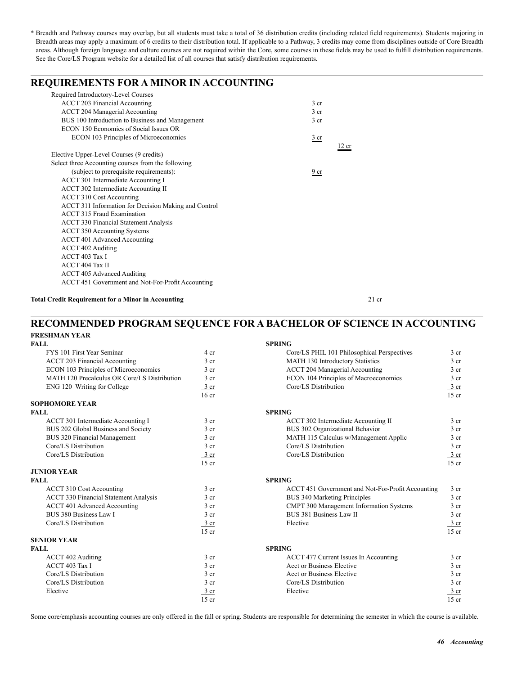## **REQUIREMENTS FOR A MINOR IN ACCOUNTING** Required Introductory-Level Courses ACCT 203 Financial Accounting 3 cr ACCT 204 Managerial Accounting 3 cr BUS 100 Introduction to Business and Management 3 cr ECON 150 Economics of Social Issues OR ECON 103 Principles of Microeconomics 3 cr  $\frac{12 \text{ cm}}{12 \text{ cm}}$ Elective Upper-Level Courses (9 credits) Select three Accounting courses from the following (subject to prerequisite requirements):  $\frac{9 \text{ cr}}{2}$  ACCT 301 Intermediate Accounting I ACCT 302 Intermediate Accounting II ACCT 310 Cost Accounting ACCT 311 Information for Decision Making and Control ACCT 315 Fraud Examination ACCT 330 Financial Statement Analysis ACCT 350 Accounting Systems ACCT 401 Advanced Accounting ACCT 402 Auditing ACCT 403 Tax I ACCT 404 Tax II ACCT 405 Advanced Auditing ACCT 451 Government and Not-For-Profit Accounting

**Total Credit Requirement for a Minor in Accounting 21 credit Requirement for a Minor in Accounting** 

## **RECOMMENDED PROGRAM SEQUENCE FOR A BACHELOR OF SCIENCE IN ACCOUNTING FRESHMAN YEAR**

| <b>FALL</b>                                  |                  | <b>SPRING</b>                                     |                 |
|----------------------------------------------|------------------|---------------------------------------------------|-----------------|
| FYS 101 First Year Seminar                   | 4 cr             | Core/LS PHIL 101 Philosophical Perspectives       | 3 <sub>cr</sub> |
| <b>ACCT 203 Financial Accounting</b>         | 3 <sub>cr</sub>  | MATH 130 Introductory Statistics                  | 3 <sub>cr</sub> |
| ECON 103 Principles of Microeconomics        | 3 <sub>cr</sub>  | <b>ACCT 204 Managerial Accounting</b>             | 3 <sub>cr</sub> |
| MATH 120 Precalculus OR Core/LS Distribution | 3 <sub>cr</sub>  | ECON 104 Principles of Macroeconomics             | 3 <sub>cr</sub> |
| ENG 120 Writing for College                  | $3$ cr           | Core/LS Distribution                              | $3$ cr          |
|                                              | 16 <sub>cr</sub> |                                                   | $15$ cr         |
| <b>SOPHOMORE YEAR</b>                        |                  |                                                   |                 |
| <b>FALL</b>                                  |                  | <b>SPRING</b>                                     |                 |
| ACCT 301 Intermediate Accounting I           | 3 <sub>cr</sub>  | ACCT 302 Intermediate Accounting II               | 3 <sub>cr</sub> |
| BUS 202 Global Business and Society          | 3 <sub>cr</sub>  | BUS 302 Organizational Behavior                   | 3 <sub>cr</sub> |
| BUS 320 Financial Management                 | 3 <sub>cr</sub>  | MATH 115 Calculus w/Management Applic             | 3 cr            |
| Core/LS Distribution                         | 3 <sub>cr</sub>  | Core/LS Distribution                              | 3 <sub>cr</sub> |
| Core/LS Distribution                         | $\frac{3}{ }$ cr | Core/LS Distribution                              | 3 cr            |
|                                              | $15$ cr          |                                                   | $15$ cr         |
| <b>JUNIOR YEAR</b>                           |                  |                                                   |                 |
| <b>FALL</b>                                  |                  | <b>SPRING</b>                                     |                 |
| ACCT 310 Cost Accounting                     | 3 <sub>cr</sub>  | ACCT 451 Government and Not-For-Profit Accounting | 3 <sub>cr</sub> |
| <b>ACCT 330 Financial Statement Analysis</b> | 3 <sub>cr</sub>  | <b>BUS 340 Marketing Principles</b>               | 3 <sub>cr</sub> |
| ACCT 401 Advanced Accounting                 | 3 <sub>cr</sub>  | CMPT 300 Management Information Systems           | 3 <sub>cr</sub> |
| BUS 380 Business Law I                       | 3 <sub>cr</sub>  | BUS 381 Business Law II                           | 3 <sub>cr</sub> |
| Core/LS Distribution                         | $\frac{3}{ }$ cr | Elective                                          | 3 cr            |
|                                              | $15$ cr          |                                                   | $15$ cr         |
| <b>SENIOR YEAR</b>                           |                  |                                                   |                 |
| <b>FALL</b>                                  |                  | <b>SPRING</b>                                     |                 |
| <b>ACCT 402 Auditing</b>                     | 3 <sub>cr</sub>  | ACCT 477 Current Issues In Accounting             | 3 <sub>cr</sub> |
| ACCT 403 Tax I                               | 3 <sub>cr</sub>  | Acct or Business Elective                         | 3 <sub>cr</sub> |
| Core/LS Distribution                         | 3 <sub>cr</sub>  | Acct or Business Elective                         | 3 <sub>cr</sub> |
| Core/LS Distribution                         | 3 <sub>cr</sub>  | Core/LS Distribution                              | 3 <sub>cr</sub> |
| Elective                                     | $3$ cr           | Elective                                          | 3 cr            |
|                                              | $15$ cr          |                                                   | $15$ cr         |

Some core/emphasis accounting courses are only offered in the fall or spring. Students are responsible for determining the semester in which the course is available.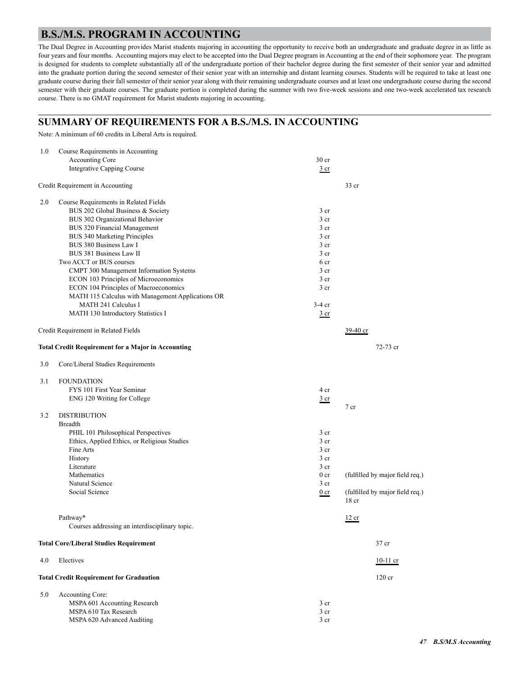# **B.S./M.S. PROGRAM IN ACCOUNTING**

The Dual Degree in Accounting provides Marist students majoring in accounting the opportunity to receive both an undergraduate and graduate degree in as little as four years and four months. Accounting majors may elect to be accepted into the Dual Degree program in Accounting at the end of their sophomore year. The program is designed for students to complete substantially all of the undergraduate portion of their bachelor degree during the first semester of their senior year and admitted into the graduate portion during the second semester of their senior year with an internship and distant learning courses. Students will be required to take at least one graduate course during their fall semester of their senior year along with their remaining undergraduate courses and at least one undergraduate course during the second semester with their graduate courses. The graduate portion is completed during the summer with two five-week sessions and one two-week accelerated tax research course. There is no GMAT requirement for Marist students majoring in accounting.

# **SUMMARY OF REQUIREMENTS FOR A B.S./M.S. IN ACCOUNTING**

Note: A minimum of 60 credits in Liberal Arts is required.

| 1.0 | Course Requirements in Accounting                         |                  |                                                     |
|-----|-----------------------------------------------------------|------------------|-----------------------------------------------------|
|     | Accounting Core                                           | 30 <sub>cr</sub> |                                                     |
|     | Integrative Capping Course                                | 3 cr             |                                                     |
|     | Credit Requirement in Accounting                          |                  | $33$ cr                                             |
| 2.0 | Course Requirements in Related Fields                     |                  |                                                     |
|     | BUS 202 Global Business & Society                         | 3 <sub>cr</sub>  |                                                     |
|     | BUS 302 Organizational Behavior                           | 3 <sub>cr</sub>  |                                                     |
|     | BUS 320 Financial Management                              | 3 <sub>cr</sub>  |                                                     |
|     | BUS 340 Marketing Principles                              | 3 <sub>cr</sub>  |                                                     |
|     | BUS 380 Business Law I                                    | 3 <sub>cr</sub>  |                                                     |
|     | BUS 381 Business Law II                                   | 3 <sub>cr</sub>  |                                                     |
|     | Two ACCT or BUS courses                                   | 6 cr             |                                                     |
|     | CMPT 300 Management Information Systems                   | 3 <sub>cr</sub>  |                                                     |
|     | ECON 103 Principles of Microeconomics                     | 3 <sub>cr</sub>  |                                                     |
|     | ECON 104 Principles of Macroeconomics                     | 3 <sub>cr</sub>  |                                                     |
|     | MATH 115 Calculus with Management Applications OR         |                  |                                                     |
|     | MATH 241 Calculus I                                       | $3-4$ cr         |                                                     |
|     | MATH 130 Introductory Statistics I                        | $rac{3}{2}$ cr   |                                                     |
|     | Credit Requirement in Related Fields                      |                  | 39-40 cr                                            |
|     | <b>Total Credit Requirement for a Major in Accounting</b> |                  | 72-73 cr                                            |
| 3.0 | Core/Liberal Studies Requirements                         |                  |                                                     |
| 3.1 | <b>FOUNDATION</b>                                         |                  |                                                     |
|     | FYS 101 First Year Seminar                                | 4 cr             |                                                     |
|     | ENG 120 Writing for College                               | $rac{3}{2}$ cr   | 7 cr                                                |
| 3.2 | <b>DISTRIBUTION</b>                                       |                  |                                                     |
|     | <b>Breadth</b>                                            |                  |                                                     |
|     | PHIL 101 Philosophical Perspectives                       | 3 <sub>cr</sub>  |                                                     |
|     | Ethics, Applied Ethics, or Religious Studies              | 3 cr             |                                                     |
|     | Fine Arts                                                 | 3 <sub>cr</sub>  |                                                     |
|     | History                                                   | 3 <sub>cr</sub>  |                                                     |
|     | Literature                                                | 3 <sub>cr</sub>  |                                                     |
|     | Mathematics                                               | 0 <sub>cr</sub>  | (fulfilled by major field req.)                     |
|     | Natural Science<br>Social Science                         | $3$ cr           |                                                     |
|     |                                                           | $0$ cr           | (fulfilled by major field req.)<br>18 <sub>cr</sub> |
|     | Pathway*                                                  |                  | 12 cr                                               |
|     | Courses addressing an interdisciplinary topic.            |                  |                                                     |
|     | <b>Total Core/Liberal Studies Requirement</b>             |                  | 37 cr                                               |
| 4.0 | Electives                                                 |                  | $10-11$ cr                                          |
|     | <b>Total Credit Requirement for Graduation</b>            |                  | $120$ cr                                            |
| 5.0 | Accounting Core:                                          |                  |                                                     |
|     | MSPA 601 Accounting Research                              | 3 <sub>cr</sub>  |                                                     |
|     | MSPA 610 Tax Research                                     | $3$ cr           |                                                     |
|     | MSPA 620 Advanced Auditing                                | 3 <sub>cr</sub>  |                                                     |
|     |                                                           |                  |                                                     |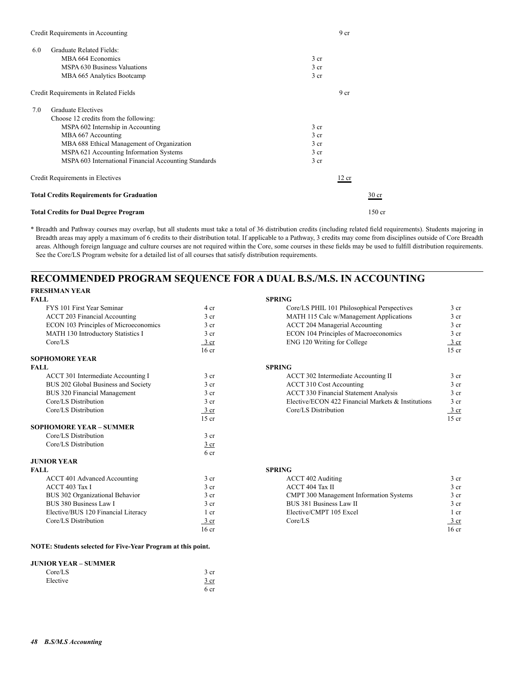| Credit Requirements in Accounting                     | 9 <sub>cr</sub> |                  |
|-------------------------------------------------------|-----------------|------------------|
| Graduate Related Fields:<br>6.0                       |                 |                  |
| MBA 664 Economics                                     | 3 <sub>cr</sub> |                  |
| <b>MSPA 630 Business Valuations</b>                   | 3 <sub>cr</sub> |                  |
| MBA 665 Analytics Bootcamp                            | 3 <sub>cr</sub> |                  |
| Credit Requirements in Related Fields                 | 9 <sub>cr</sub> |                  |
| <b>Graduate Electives</b><br>7.0                      |                 |                  |
| Choose 12 credits from the following:                 |                 |                  |
| MSPA 602 Internship in Accounting                     | 3 <sub>cr</sub> |                  |
| MBA 667 Accounting                                    | 3 <sub>cr</sub> |                  |
| MBA 688 Ethical Management of Organization            | 3 <sub>cr</sub> |                  |
| MSPA 621 Accounting Information Systems               | 3 <sub>cr</sub> |                  |
| MSPA 603 International Financial Accounting Standards | 3 <sub>cr</sub> |                  |
| Credit Requirements in Electives                      | 12 cr           |                  |
| <b>Total Credits Requirements for Graduation</b>      |                 | 30 <sub>cr</sub> |
| <b>Total Credits for Dual Degree Program</b>          |                 | $150$ cr         |

## **RECOMMENDED PROGRAM SEQUENCE FOR A DUAL B.S./M.S. IN ACCOUNTING FRESHMAN YEAR**

| FRESHBIAN LEAR                        |                  |                                                    |                  |
|---------------------------------------|------------------|----------------------------------------------------|------------------|
| <b>FALL</b>                           |                  | <b>SPRING</b>                                      |                  |
| FYS 101 First Year Seminar            | 4 cr             | Core/LS PHIL 101 Philosophical Perspectives        | 3 <sub>cr</sub>  |
| <b>ACCT 203 Financial Accounting</b>  | 3 <sub>cr</sub>  | MATH 115 Calc w/Management Applications            | 3 <sub>cr</sub>  |
| ECON 103 Principles of Microeconomics | 3 cr             | <b>ACCT 204 Managerial Accounting</b>              | 3 <sub>cr</sub>  |
| MATH 130 Introductory Statistics I    | 3 <sub>cr</sub>  | ECON 104 Principles of Macroeconomics              | 3 <sub>cr</sub>  |
| Core/LS                               | 3 cr             | ENG 120 Writing for College                        | 3 cr             |
|                                       | 16 <sub>cr</sub> |                                                    | $15$ cr          |
| <b>SOPHOMORE YEAR</b>                 |                  |                                                    |                  |
| <b>FALL</b>                           |                  | <b>SPRING</b>                                      |                  |
| ACCT 301 Intermediate Accounting I    | 3 <sub>cr</sub>  | ACCT 302 Intermediate Accounting II                | 3 <sub>cr</sub>  |
| BUS 202 Global Business and Society   | 3 <sub>cr</sub>  | ACCT 310 Cost Accounting                           | 3 <sub>cr</sub>  |
| BUS 320 Financial Management          | 3 <sub>cr</sub>  | <b>ACCT 330 Financial Statement Analysis</b>       | 3 <sub>cr</sub>  |
| Core/LS Distribution                  | 3 <sub>cr</sub>  | Elective/ECON 422 Financial Markets & Institutions | 3 <sub>cr</sub>  |
| Core/LS Distribution                  | $\frac{3}{ }$ cr | Core/LS Distribution                               | $\frac{3}{ }$ cr |
|                                       | $15$ cr          |                                                    | $15$ cr          |
| <b>SOPHOMORE YEAR - SUMMER</b>        |                  |                                                    |                  |
| Core/LS Distribution                  | 3 <sub>cr</sub>  |                                                    |                  |
| Core/LS Distribution                  | 3 cr             |                                                    |                  |
|                                       | 6 <sub>cr</sub>  |                                                    |                  |
| <b>JUNIOR YEAR</b>                    |                  |                                                    |                  |
| <b>FALL</b>                           |                  | <b>SPRING</b>                                      |                  |
| ACCT 401 Advanced Accounting          | 3 <sub>cr</sub>  | ACCT 402 Auditing                                  | 3 <sub>cr</sub>  |
| ACCT 403 Tax I                        | 3 <sub>cr</sub>  | ACCT 404 Tax II                                    | 3 <sub>cr</sub>  |
| BUS 302 Organizational Behavior       | 3 <sub>cr</sub>  | CMPT 300 Management Information Systems            | 3 <sub>cr</sub>  |
| BUS 380 Business Law I                | 3 <sub>cr</sub>  | BUS 381 Business Law II                            | 3 <sub>cr</sub>  |
| Elective/BUS 120 Financial Literacy   | 1 <sub>cr</sub>  | Elective/CMPT 105 Excel                            | 1 <sub>cr</sub>  |
| Core/LS Distribution                  | $3$ cr           | Core/LS                                            | $\frac{3}{ }$ cr |
|                                       | 16 <sub>cr</sub> |                                                    | 16 <sub>cr</sub> |
|                                       |                  |                                                    |                  |

## **NOTE: Students selected for Five-Year Program at this point.**

## **JUNIOR YEAR – SUMMER**

| Core/LS  | 3 cr |
|----------|------|
| Elective | 3 cr |
|          | 6 cr |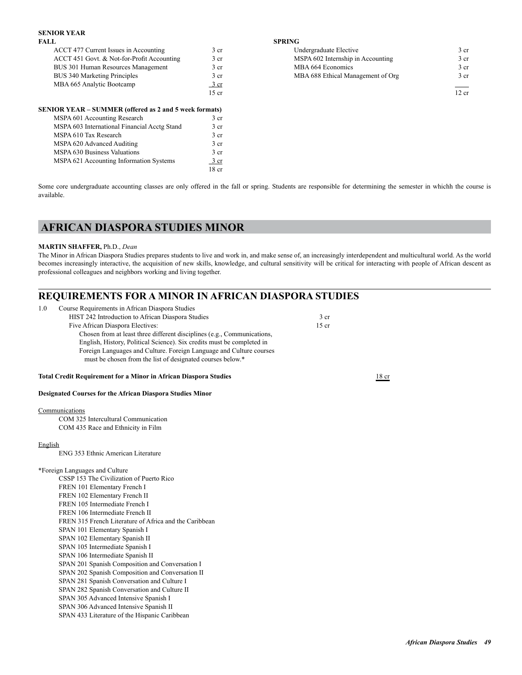## **SENIOR YEAR**

| <b>FALL</b> | <b>SPRING</b><br>the contract of the contract of the contract of the contract of the contract of |
|-------------|--------------------------------------------------------------------------------------------------|
|             |                                                                                                  |

| ACCT 477 Current Issues in Accounting      | 3 cr    | Undergraduate Elective            | 3 cr  |
|--------------------------------------------|---------|-----------------------------------|-------|
| ACCT 451 Govt. & Not-for-Profit Accounting | 3 cr    | MSPA 602 Internship in Accounting | 3 cr  |
| BUS 301 Human Resources Management         | 3 cr    | MBA 664 Economics                 | 3 cr  |
| <b>BUS 340 Marketing Principles</b>        | 3 cr    | MBA 688 Ethical Management of Org | 3 cr  |
| MBA 665 Analytic Bootcamp                  | 3 cr    |                                   | ___   |
|                                            | $15$ cr |                                   | 12 cr |

| <b>SENIOR YEAR - SUMMER (offered as 2 and 5 week formats)</b> |                  |
|---------------------------------------------------------------|------------------|
| MSPA 601 Accounting Research                                  | 3 <sub>cr</sub>  |
| MSPA 603 International Financial Acctg Stand                  | 3 <sub>cr</sub>  |
| MSPA 610 Tax Research                                         | 3 <sub>cr</sub>  |
| MSPA 620 Advanced Auditing                                    | 3 <sub>cr</sub>  |
| MSPA 630 Business Valuations                                  | 3 <sub>cr</sub>  |
| MSPA 621 Accounting Information Systems                       | 3 cr             |
|                                                               | 18 <sub>cr</sub> |

Accounting in Accounting Undergraduate Elective 3 cr 3 cr ACCT 451 Government Accounting 3 cr MSPA 602 Internship in Accounting Bush 3 cr MBA 664 Economics 3 cr Bushelm MBA 688 Ethical Management of Org 3 cr

Some core undergraduate accounting classes are only offered in the fall or spring. Students are responsible for determining the semester in whichh the course is available.

# **AFRICAN DIASPORA STUDIES MINOR**

### **MARTIN SHAFFER,** Ph.D., *Dean*

The Minor in African Diaspora Studies prepares students to live and work in, and make sense of, an increasingly interdependent and multicultural world. As the world becomes increasingly interactive, the acquisition of new skills, knowledge, and cultural sensitivity will be critical for interacting with people of African descent as professional colleagues and neighbors working and living together.

# **REQUIREMENTS FOR A MINOR IN AFRICAN DIASPORA STUDIES**

| 1.0     | Course Requirements in African Diaspora Studies                                                                                   |                 |                  |
|---------|-----------------------------------------------------------------------------------------------------------------------------------|-----------------|------------------|
|         | HIST 242 Introduction to African Diaspora Studies                                                                                 | 3 <sub>cr</sub> |                  |
|         | Five African Diaspora Electives:                                                                                                  | $15$ cr         |                  |
|         | Chosen from at least three different disciplines (e.g., Communications,                                                           |                 |                  |
|         | English, History, Political Science). Six credits must be completed in                                                            |                 |                  |
|         | Foreign Languages and Culture. Foreign Language and Culture courses<br>must be chosen from the list of designated courses below.* |                 |                  |
|         |                                                                                                                                   |                 |                  |
|         | <b>Total Credit Requirement for a Minor in African Diaspora Studies</b>                                                           |                 | 18 <sub>cr</sub> |
|         | <b>Designated Courses for the African Diaspora Studies Minor</b>                                                                  |                 |                  |
|         | Communications                                                                                                                    |                 |                  |
|         | COM 325 Intercultural Communication                                                                                               |                 |                  |
|         | COM 435 Race and Ethnicity in Film                                                                                                |                 |                  |
| English |                                                                                                                                   |                 |                  |
|         | ENG 353 Ethnic American Literature                                                                                                |                 |                  |
|         | *Foreign Languages and Culture                                                                                                    |                 |                  |
|         | CSSP 153 The Civilization of Puerto Rico                                                                                          |                 |                  |
|         | FREN 101 Elementary French I                                                                                                      |                 |                  |
|         | FREN 102 Elementary French II                                                                                                     |                 |                  |
|         | FREN 105 Intermediate French I                                                                                                    |                 |                  |
|         | FREN 106 Intermediate French II                                                                                                   |                 |                  |
|         | FREN 315 French Literature of Africa and the Caribbean                                                                            |                 |                  |
|         | SPAN 101 Elementary Spanish I                                                                                                     |                 |                  |
|         | SPAN 102 Elementary Spanish II                                                                                                    |                 |                  |
|         | SPAN 105 Intermediate Spanish I                                                                                                   |                 |                  |
|         | SPAN 106 Intermediate Spanish II                                                                                                  |                 |                  |
|         | $\alpha$                                                                                                                          |                 |                  |

 SPAN 201 Spanish Composition and Conversation I SPAN 202 Spanish Composition and Conversation II SPAN 281 Spanish Conversation and Culture I SPAN 282 Spanish Conversation and Culture II SPAN 305 Advanced Intensive Spanish I SPAN 306 Advanced Intensive Spanish II SPAN 433 Literature of the Hispanic Caribbean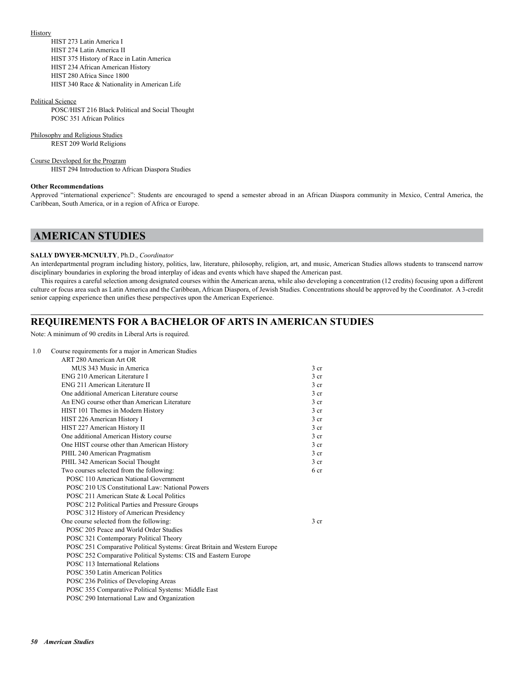#### **History**

 HIST 273 Latin America I HIST 274 Latin America II HIST 375 History of Race in Latin America HIST 234 African American History HIST 280 Africa Since 1800 HIST 340 Race & Nationality in American Life

#### Political Science

 POSC/HIST 216 Black Political and Social Thought POSC 351 African Politics

#### Philosophy and Religious Studies

REST 209 World Religions

#### Course Developed for the Program

HIST 294 Introduction to African Diaspora Studies

#### **Other Recommendations**

Approved "international experience": Students are encouraged to spend a semester abroad in an African Diaspora community in Mexico, Central America, the Caribbean, South America, or in a region of Africa or Europe.

# **AMERICAN STUDIES**

#### **SALLY DWYER-MCNULTY**, Ph.D., *Coordinator*

An interdepartmental program including history, politics, law, literature, philosophy, religion, art, and music, American Studies allows students to transcend narrow disciplinary boundaries in exploring the broad interplay of ideas and events which have shaped the American past.

This requires a careful selection among designated courses within the American arena, while also developing a concentration (12 credits) focusing upon a different culture or focus area such as Latin America and the Caribbean, African Diaspora, of Jewish Studies. Concentrations should be approved by the Coordinator. A 3-credit senior capping experience then unifies these perspectives upon the American Experience.

## **REQUIREMENTS FOR A BACHELOR OF ARTS IN AMERICAN STUDIES**

Note: A minimum of 90 credits in Liberal Arts is required.

| 1.0 | Course requirements for a major in American Studies                      |                 |
|-----|--------------------------------------------------------------------------|-----------------|
|     | ART 280 American Art OR                                                  |                 |
|     | MUS 343 Music in America                                                 | 3 <sub>cr</sub> |
|     | ENG 210 American Literature I                                            | 3 <sub>cr</sub> |
|     | ENG 211 American Literature II                                           | 3 <sub>cr</sub> |
|     | One additional American Literature course                                | 3 <sub>cr</sub> |
|     | An ENG course other than American Literature                             | 3 <sub>cr</sub> |
|     | HIST 101 Themes in Modern History                                        | $3$ cr          |
|     | HIST 226 American History I                                              | 3 <sub>cr</sub> |
|     | HIST 227 American History II                                             | 3 <sub>cr</sub> |
|     | One additional American History course                                   | 3 <sub>cr</sub> |
|     | One HIST course other than American History                              | 3 <sub>cr</sub> |
|     | PHIL 240 American Pragmatism                                             | $3$ cr          |
|     | PHIL 342 American Social Thought                                         | 3 <sub>cr</sub> |
|     | Two courses selected from the following:                                 | 6 <sub>cr</sub> |
|     | POSC 110 American National Government                                    |                 |
|     | POSC 210 US Constitutional Law: National Powers                          |                 |
|     | POSC 211 American State & Local Politics                                 |                 |
|     | POSC 212 Political Parties and Pressure Groups                           |                 |
|     | POSC 312 History of American Presidency                                  |                 |
|     | One course selected from the following:                                  | 3 <sub>cr</sub> |
|     | POSC 205 Peace and World Order Studies                                   |                 |
|     | POSC 321 Contemporary Political Theory                                   |                 |
|     | POSC 251 Comparative Political Systems: Great Britain and Western Europe |                 |
|     | POSC 252 Comparative Political Systems: CIS and Eastern Europe           |                 |
|     | POSC 113 International Relations                                         |                 |
|     | POSC 350 Latin American Politics                                         |                 |
|     | POSC 236 Politics of Developing Areas                                    |                 |
|     | POSC 355 Comparative Political Systems: Middle East                      |                 |
|     | POSC 290 International Law and Organization                              |                 |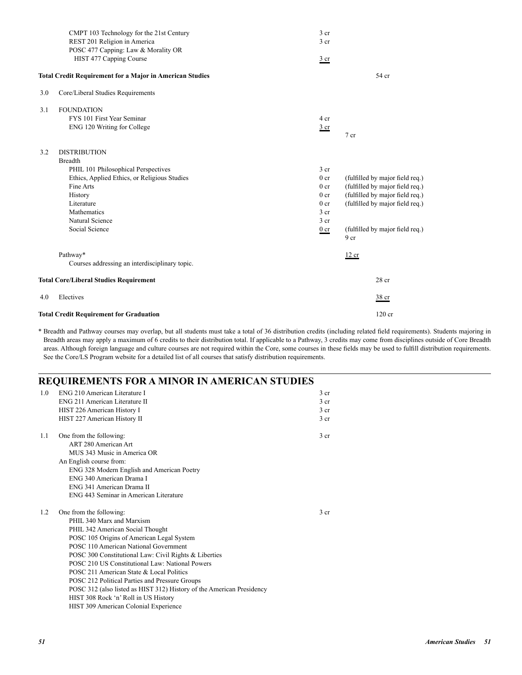|     | CMPT 103 Technology for the 21st Century                        | 3 cr            |                                                    |
|-----|-----------------------------------------------------------------|-----------------|----------------------------------------------------|
|     | REST 201 Religion in America                                    | 3 <sub>cr</sub> |                                                    |
|     | POSC 477 Capping: Law & Morality OR                             |                 |                                                    |
|     | HIST 477 Capping Course                                         | $rac{3}{2}$ cr  |                                                    |
|     | <b>Total Credit Requirement for a Major in American Studies</b> |                 | 54 cr                                              |
| 3.0 | Core/Liberal Studies Requirements                               |                 |                                                    |
| 3.1 | <b>FOUNDATION</b>                                               |                 |                                                    |
|     | FYS 101 First Year Seminar                                      | 4 cr            |                                                    |
|     | ENG 120 Writing for College                                     | $rac{3}{2}$ cr  |                                                    |
|     |                                                                 |                 | 7 cr                                               |
| 3.2 | <b>DISTRIBUTION</b>                                             |                 |                                                    |
|     | <b>Breadth</b>                                                  |                 |                                                    |
|     | PHIL 101 Philosophical Perspectives                             | 3 <sub>cr</sub> |                                                    |
|     | Ethics, Applied Ethics, or Religious Studies                    | 0 <sub>cr</sub> | (fulfilled by major field req.)                    |
|     | Fine Arts                                                       | 0 <sub>cr</sub> | (fulfilled by major field req.)                    |
|     | History                                                         | 0 <sub>cr</sub> | (fulfilled by major field req.)                    |
|     | Literature                                                      | 0 <sub>cr</sub> | (fulfilled by major field req.)                    |
|     | Mathematics                                                     | 3 <sub>cr</sub> |                                                    |
|     | Natural Science                                                 | 3 cr            |                                                    |
|     | Social Science                                                  | $0 \nvert c$    | (fulfilled by major field req.)<br>9 <sub>cr</sub> |
|     | Pathway*                                                        |                 | 12 cr                                              |
|     | Courses addressing an interdisciplinary topic.                  |                 |                                                    |
|     | <b>Total Core/Liberal Studies Requirement</b>                   |                 | $28$ cr                                            |
| 4.0 | Electives                                                       |                 | 38 cr                                              |
|     | <b>Total Credit Requirement for Graduation</b>                  |                 | $120$ cr                                           |

# **REQUIREMENTS FOR A MINOR IN AMERICAN STUDIES**

| 1.0 | ENG 210 American Literature I                                         | 3 <sub>cr</sub> |
|-----|-----------------------------------------------------------------------|-----------------|
|     | ENG 211 American Literature II                                        | 3 <sub>cr</sub> |
|     | HIST 226 American History I                                           | 3 <sub>cr</sub> |
|     | HIST 227 American History II                                          | 3 <sub>cr</sub> |
| 1.1 | One from the following:                                               | 3 <sub>cr</sub> |
|     | ART 280 American Art                                                  |                 |
|     | MUS 343 Music in America OR                                           |                 |
|     | An English course from:                                               |                 |
|     | ENG 328 Modern English and American Poetry                            |                 |
|     | ENG 340 American Drama I                                              |                 |
|     | ENG 341 American Drama II                                             |                 |
|     | ENG 443 Seminar in American Literature                                |                 |
| 1.2 | One from the following:                                               | 3 <sub>cr</sub> |
|     | PHIL 340 Marx and Marxism                                             |                 |
|     | PHIL 342 American Social Thought                                      |                 |
|     | POSC 105 Origins of American Legal System                             |                 |
|     | POSC 110 American National Government                                 |                 |
|     | POSC 300 Constitutional Law: Civil Rights & Liberties                 |                 |
|     | POSC 210 US Constitutional Law: National Powers                       |                 |
|     | POSC 211 American State & Local Politics                              |                 |
|     | POSC 212 Political Parties and Pressure Groups                        |                 |
|     | POSC 312 (also listed as HIST 312) History of the American Presidency |                 |
|     | HIST 308 Rock 'n' Roll in US History                                  |                 |
|     | HIST 309 American Colonial Experience                                 |                 |
|     |                                                                       |                 |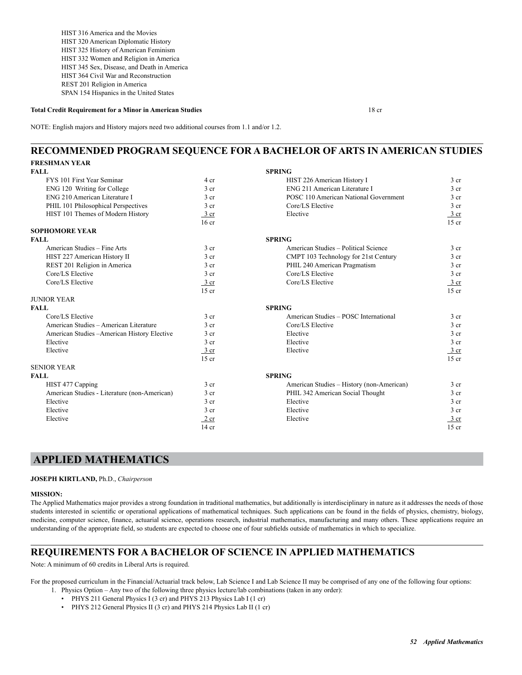HIST 316 America and the Movies HIST 320 American Diplomatic History HIST 325 History of American Feminism HIST 332 Women and Religion in America HIST 345 Sex, Disease, and Death in America HIST 364 Civil War and Reconstruction REST 201 Religion in America SPAN 154 Hispanics in the United States

#### **Total Credit Requirement for a Minor in American Studies** 18 cr

NOTE: English majors and History majors need two additional courses from 1.1 and/or 1.2.

# **RECOMMENDED PROGRAM SEQUENCE FOR A BACHELOR OF ARTS IN AMERICAN STUDIES**

| <b>FRESHMAN YEAR</b>                         |                  |                                           |                 |
|----------------------------------------------|------------------|-------------------------------------------|-----------------|
| <b>FALL</b>                                  |                  | <b>SPRING</b>                             |                 |
| FYS 101 First Year Seminar                   | 4 cr             | HIST 226 American History I               | 3 <sub>cr</sub> |
| ENG 120 Writing for College                  | 3 cr             | ENG 211 American Literature I             | 3 <sub>cr</sub> |
| ENG 210 American Literature I                | 3 <sub>cr</sub>  | POSC 110 American National Government     | 3 <sub>cr</sub> |
| PHIL 101 Philosophical Perspectives          | 3 cr             | Core/LS Elective                          | 3 <sub>cr</sub> |
| HIST 101 Themes of Modern History            | $3$ cr           | Elective                                  | $3$ cr          |
|                                              | 16 <sub>cr</sub> |                                           | $15$ cr         |
| <b>SOPHOMORE YEAR</b>                        |                  |                                           |                 |
| <b>FALL</b>                                  |                  | <b>SPRING</b>                             |                 |
| American Studies - Fine Arts                 | 3 <sub>cr</sub>  | American Studies - Political Science      | 3 <sub>cr</sub> |
| HIST 227 American History II                 | 3 <sub>cr</sub>  | CMPT 103 Technology for 21st Century      | 3 <sub>cr</sub> |
| REST 201 Religion in America                 | 3 <sub>cr</sub>  | PHIL 240 American Pragmatism              | 3 <sub>cr</sub> |
| Core/LS Elective                             | 3 <sub>cr</sub>  | Core/LS Elective                          | 3 <sub>cr</sub> |
| Core/LS Elective                             | $\frac{3}{ }$ cr | Core/LS Elective                          | 3 cr            |
|                                              | $15$ cr          |                                           | $15$ cr         |
| <b>JUNIOR YEAR</b>                           |                  |                                           |                 |
| <b>FALL</b>                                  |                  | <b>SPRING</b>                             |                 |
| Core/LS Elective                             | 3 <sub>cr</sub>  | American Studies - POSC International     | 3 <sub>cr</sub> |
| American Studies - American Literature       | $3$ cr           | Core/LS Elective                          | 3 <sub>cr</sub> |
| American Studies - American History Elective | 3 <sub>cr</sub>  | Elective                                  | 3 <sub>cr</sub> |
| Elective                                     | 3 <sub>cr</sub>  | Elective                                  | 3 <sub>cr</sub> |
| Elective                                     | 3 cr             | Elective                                  | $3$ cr          |
|                                              | $15$ cr          |                                           | $15$ cr         |
| <b>SENIOR YEAR</b>                           |                  |                                           |                 |
| <b>FALL</b>                                  |                  | <b>SPRING</b>                             |                 |
| HIST 477 Capping                             | 3 <sub>cr</sub>  | American Studies - History (non-American) | 3 <sub>cr</sub> |
| American Studies - Literature (non-American) | 3 <sub>cr</sub>  | PHIL 342 American Social Thought          | 3 <sub>cr</sub> |
| Elective                                     | 3 <sub>cr</sub>  | Elective                                  | 3 <sub>cr</sub> |
| Elective                                     | 3 cr             | Elective                                  | 3 <sub>cr</sub> |
| Elective                                     | $2$ cr           | Elective                                  | $3$ cr          |
|                                              | $14$ cr          |                                           | $15$ cr         |

## **APPLIED MATHEMATICS**

**JOSEPH KIRTLAND,** Ph.D., *Chairperson*

#### **MISSION:**

The Applied Mathematics major provides a strong foundation in traditional mathematics, but additionally is interdisciplinary in nature as it addresses the needs of those students interested in scientific or operational applications of mathematical techniques. Such applications can be found in the fields of physics, chemistry, biology, medicine, computer science, finance, actuarial science, operations research, industrial mathematics, manufacturing and many others. These applications require an understanding of the appropriate field, so students are expected to choose one of four subfields outside of mathematics in which to specialize.

## **REQUIREMENTS FOR A BACHELOR OF SCIENCE IN APPLIED MATHEMATICS**

Note: A minimum of 60 credits in Liberal Arts is required.

For the proposed curriculum in the Financial/Actuarial track below, Lab Science I and Lab Science II may be comprised of any one of the following four options:

- 1. Physics Option Any two of the following three physics lecture/lab combinations (taken in any order):
	- PHYS 211 General Physics I (3 cr) and PHYS 213 Physics Lab I (1 cr)
	- PHYS 212 General Physics II (3 cr) and PHYS 214 Physics Lab II (1 cr)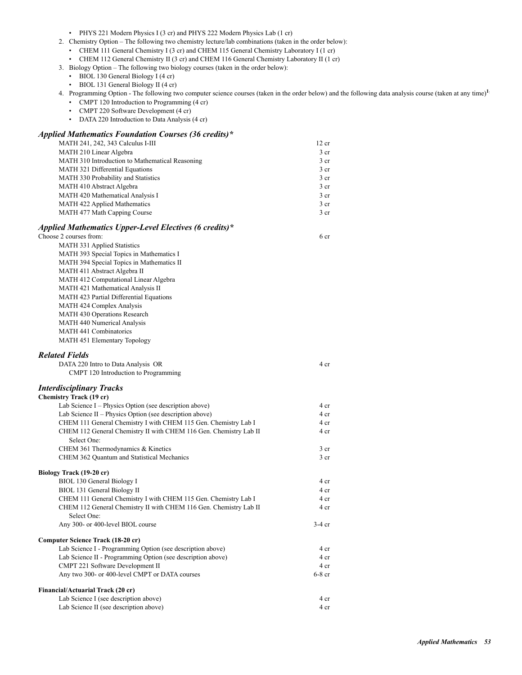|  |  | PHYS 221 Modern Physics I (3 cr) and PHYS 222 Modern Physics Lab (1 cr) |  |  |  |  |  |
|--|--|-------------------------------------------------------------------------|--|--|--|--|--|
|--|--|-------------------------------------------------------------------------|--|--|--|--|--|

- 2. Chemistry Option The following two chemistry lecture/lab combinations (taken in the order below):
	- CHEM 111 General Chemistry I (3 cr) and CHEM 115 General Chemistry Laboratory I (1 cr)
	- CHEM 112 General Chemistry II (3 cr) and CHEM 116 General Chemistry Laboratory II (1 cr)
- 3. Biology Option The following two biology courses (taken in the order below):
	- BIOL 130 General Biology I (4 cr)
	- BIOL 131 General Biology II (4 cr)
- 4. Programming Option The following two computer science courses (taken in the order below) and the following data analysis course (taken at any time)**1**:
	- CMPT 120 Introduction to Programming (4 cr)
	- CMPT 220 Software Development (4 cr)
	- DATA 220 Introduction to Data Analysis (4 cr)

## *Applied Mathematics Foundation Courses (36 credits)\**

| MATH 241, 242, 343 Calculus I-III               | 12 cr           |
|-------------------------------------------------|-----------------|
| MATH 210 Linear Algebra                         | 3 cr            |
| MATH 310 Introduction to Mathematical Reasoning | 3 <sub>cr</sub> |
| <b>MATH 321 Differential Equations</b>          | 3 <sub>cr</sub> |
| MATH 330 Probability and Statistics             | 3 <sub>cr</sub> |
| MATH 410 Abstract Algebra                       | 3 <sub>cr</sub> |
| MATH 420 Mathematical Analysis I                | 3 <sub>cr</sub> |
| MATH 422 Applied Mathematics                    | 3 <sub>cr</sub> |
| MATH 477 Math Capping Course                    | 3 <sub>cr</sub> |
|                                                 |                 |

| Applied Mathematics Upper-Level Electives (6 credits)*                           |                 |
|----------------------------------------------------------------------------------|-----------------|
| Choose 2 courses from:                                                           | 6 cr            |
| MATH 331 Applied Statistics                                                      |                 |
| MATH 393 Special Topics in Mathematics I                                         |                 |
| MATH 394 Special Topics in Mathematics II                                        |                 |
| MATH 411 Abstract Algebra II                                                     |                 |
| MATH 412 Computational Linear Algebra                                            |                 |
| MATH 421 Mathematical Analysis II                                                |                 |
| MATH 423 Partial Differential Equations                                          |                 |
| MATH 424 Complex Analysis                                                        |                 |
| MATH 430 Operations Research                                                     |                 |
| MATH 440 Numerical Analysis                                                      |                 |
| MATH 441 Combinatorics                                                           |                 |
| MATH 451 Elementary Topology                                                     |                 |
| <b>Related Fields</b>                                                            |                 |
| DATA 220 Intro to Data Analysis OR                                               | 4 cr            |
| CMPT 120 Introduction to Programming                                             |                 |
| <b>Interdisciplinary Tracks</b>                                                  |                 |
| <b>Chemistry Track (19 cr)</b>                                                   |                 |
| Lab Science I - Physics Option (see description above)                           | 4 cr            |
| Lab Science $II$ – Physics Option (see description above)                        | 4 cr            |
| CHEM 111 General Chemistry I with CHEM 115 Gen. Chemistry Lab I                  | 4 cr            |
| CHEM 112 General Chemistry II with CHEM 116 Gen. Chemistry Lab II<br>Select One: | 4 cr            |
| CHEM 361 Thermodynamics & Kinetics                                               | 3 cr            |
| CHEM 362 Quantum and Statistical Mechanics                                       | 3 <sub>cr</sub> |
| Biology Track (19-20 cr)                                                         |                 |
| BIOL 130 General Biology I                                                       | 4 cr            |
| BIOL 131 General Biology II                                                      | 4 cr            |
| CHEM 111 General Chemistry I with CHEM 115 Gen. Chemistry Lab I                  | 4 cr            |
| CHEM 112 General Chemistry II with CHEM 116 Gen. Chemistry Lab II<br>Select One: | 4 cr            |
| Any 300- or 400-level BIOL course                                                | $3-4$ cr        |
| Computer Science Track (18-20 cr)                                                |                 |
| Lab Science I - Programming Option (see description above)                       | 4 cr            |
| Lab Science II - Programming Option (see description above)                      | 4 cr            |
| CMPT 221 Software Development II                                                 | 4 cr            |
| Any two 300- or 400-level CMPT or DATA courses                                   | $6-8$ cr        |
| Financial/Actuarial Track (20 cr)                                                |                 |
| Lab Science I (see description above)                                            | 4 cr            |

Lab Science II (see description above) 4 cr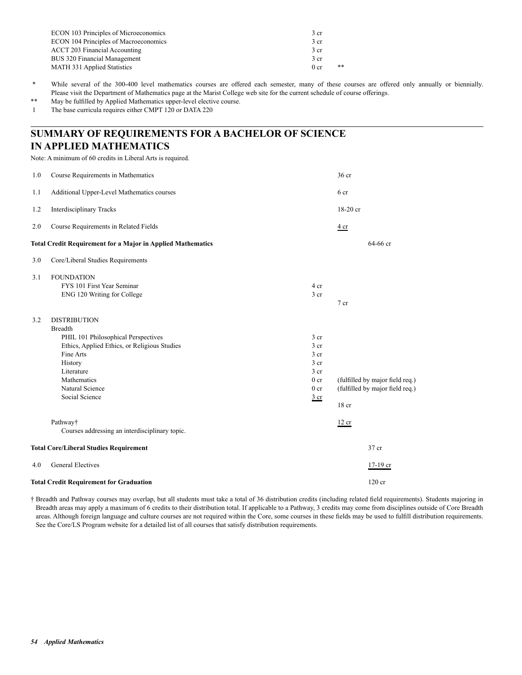| 3 cr                    |
|-------------------------|
| 3 <sub>cr</sub>         |
| 3 cr                    |
| 3 <sub>cr</sub>         |
| $**$<br>0 <sub>cr</sub> |
|                         |

\* While several of the 300-400 level mathematics courses are offered each semester, many of these courses are offered only annually or biennially. Please visit the Department of Mathematics page at the Marist College web site for the current schedule of course offerings.

\*\* May be fulfilled by Applied Mathematics upper-level elective course.

1 The base curricula requires either CMPT 120 or DATA 220

# **SUMMARY OF REQUIREMENTS FOR A BACHELOR OF SCIENCE IN APPLIED MATHEMATICS**

Note: A minimum of 60 credits in Liberal Arts is required.

| 1.0 | Course Requirements in Mathematics                                                                                                                                                                                     |                                                                                                                    | 36 cr                                                                       |
|-----|------------------------------------------------------------------------------------------------------------------------------------------------------------------------------------------------------------------------|--------------------------------------------------------------------------------------------------------------------|-----------------------------------------------------------------------------|
| 1.1 | Additional Upper-Level Mathematics courses                                                                                                                                                                             |                                                                                                                    | 6 cr                                                                        |
| 1.2 | <b>Interdisciplinary Tracks</b>                                                                                                                                                                                        |                                                                                                                    | 18-20 cr                                                                    |
| 2.0 | Course Requirements in Related Fields                                                                                                                                                                                  |                                                                                                                    | $rac{4}{ }$ cr                                                              |
|     | <b>Total Credit Requirement for a Major in Applied Mathematics</b>                                                                                                                                                     |                                                                                                                    | 64-66 cr                                                                    |
| 3.0 | Core/Liberal Studies Requirements                                                                                                                                                                                      |                                                                                                                    |                                                                             |
| 3.1 | <b>FOUNDATION</b><br>FYS 101 First Year Seminar<br>ENG 120 Writing for College                                                                                                                                         | 4 cr<br>3 cr                                                                                                       | 7 cr                                                                        |
| 3.2 | <b>DISTRIBUTION</b><br><b>Breadth</b><br>PHIL 101 Philosophical Perspectives<br>Ethics, Applied Ethics, or Religious Studies<br>Fine Arts<br>History<br>Literature<br>Mathematics<br>Natural Science<br>Social Science | 3 <sub>cr</sub><br>3 cr<br>3 <sub>cr</sub><br>3 cr<br>3 cr<br>0 <sub>cr</sub><br>0 <sub>cr</sub><br>$rac{3}{2}$ cr | (fulfilled by major field req.)<br>(fulfilled by major field req.)<br>18 cr |
|     | Pathway†<br>Courses addressing an interdisciplinary topic.                                                                                                                                                             |                                                                                                                    | 12 cr                                                                       |
|     | <b>Total Core/Liberal Studies Requirement</b>                                                                                                                                                                          |                                                                                                                    | 37 cr                                                                       |
| 4.0 | <b>General Electives</b>                                                                                                                                                                                               |                                                                                                                    | 17-19 cr                                                                    |
|     | <b>Total Credit Requirement for Graduation</b>                                                                                                                                                                         |                                                                                                                    | $120$ cr                                                                    |

† Breadth and Pathway courses may overlap, but all students must take a total of 36 distribution credits (including related field requirements). Students majoring in Breadth areas may apply a maximum of 6 credits to their distribution total. If applicable to a Pathway, 3 credits may come from disciplines outside of Core Breadth areas. Although foreign language and culture courses are not required within the Core, some courses in these fields may be used to fulfill distribution requirements. See the Core/LS Program website for a detailed list of all courses that satisfy distribution requirements.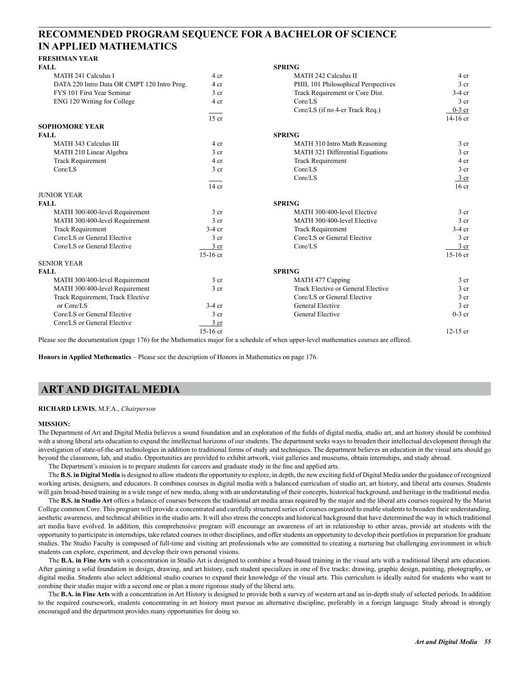# **RECOMMENDED PROGRAM SEQUENCE FOR A BACHELOR OF SCIENCE IN APPLIED MATHEMATICS**

# **FRESHMAN YEAR**

| <b>FALL</b>                                 |                 | <b>SPRING</b>                       |                  |
|---------------------------------------------|-----------------|-------------------------------------|------------------|
| MATH 241 Calculus I                         | 4 cr            | <b>MATH 242 Calculus II</b>         | 4 cr             |
| DATA 220 Intro Data OR CMPT 120 Intro Prog. | 4 cr            | PHIL 101 Philosophical Perspectives | 3 <sub>cr</sub>  |
| FYS 101 First Year Seminar                  | 3 <sub>cr</sub> | Track Requirement or Core Dist.     | $3-4$ cr         |
| ENG 120 Writing for College                 | 4 cr            | Core/LS                             | 3 <sub>cr</sub>  |
|                                             |                 | Core/LS (if no 4-cr Track Req.)     | $0-3$ cr         |
|                                             | $15$ cr         |                                     | $14-16$ cr       |
| <b>SOPHOMORE YEAR</b>                       |                 |                                     |                  |
| <b>FALL</b>                                 |                 | <b>SPRING</b>                       |                  |
| MATH 343 Calculus III                       | 4 cr            | MATH 310 Intro Math Reasoning       | 3 <sub>cr</sub>  |
| MATH 210 Linear Algebra                     | 3 <sub>cr</sub> | MATH 321 Differential Equations     | 3 <sub>cr</sub>  |
| <b>Track Requirement</b>                    | 4 cr            | <b>Track Requirement</b>            | 4 cr             |
| Core/LS                                     | 3 <sub>cr</sub> | Core/LS                             | 3 cr             |
|                                             |                 | Core/LS                             | 3 cr             |
|                                             | $14$ cr         |                                     | 16 <sub>cr</sub> |
| <b>JUNIOR YEAR</b>                          |                 |                                     |                  |
| <b>FALL</b>                                 |                 | <b>SPRING</b>                       |                  |
| MATH 300/400-level Requirement              | 3 <sub>cr</sub> | MATH 300/400-level Elective         | 3 <sub>cr</sub>  |
| MATH 300/400-level Requirement              | 3 <sub>cr</sub> | MATH 300/400-level Elective         | 3 <sub>cr</sub>  |
| <b>Track Requirement</b>                    | $3-4$ cr        | <b>Track Requirement</b>            | $3-4$ cr         |
| Core/LS or General Elective                 | 3 cr            | Core/LS or General Elective         | 3 <sub>cr</sub>  |
| Core/LS or General Elective                 | $3$ cr          | Core/LS                             | 3 cr             |
|                                             | $15-16$ cr      |                                     | $15-16$ cr       |
| <b>SENIOR YEAR</b>                          |                 |                                     |                  |
| <b>FALL</b>                                 |                 | <b>SPRING</b>                       |                  |
| MATH 300/400-level Requirement              | 3 <sub>cr</sub> | MATH 477 Capping                    | 3 <sub>cr</sub>  |
| MATH 300/400-level Requirement              | 3 <sub>cr</sub> | Track Elective or General Elective  | 3 cr             |
| Track Requirement, Track Elective           |                 | Core/LS or General Elective         | 3 cr             |
| or Core/LS                                  | $3-4$ cr        | General Elective                    | 3 <sub>cr</sub>  |
| Core/LS or General Elective                 | 3 <sub>cr</sub> | General Elective                    | $0-3$ cr         |
| Core/LS or General Elective                 | 3 <sub>cr</sub> |                                     |                  |
|                                             | $15-16$ cr      |                                     | $12-15$ cr       |

Please see the documentation (page 176) for the Mathematics major for a schedule of when upper-level mathematics courses are offered.

**Honors in Applied Mathematics** – Please see the description of Honors in Mathematics on page 176.

# **ART AND DIGITAL MEDIA**

#### **RICHARD LEWIS**, M.F.A., *Chairperson*

#### **MISSION:**

The Department of Art and Digital Media believes a sound foundation and an exploration of the fields of digital media, studio art, and art history should be combined with a strong liberal arts education to expand the intellectual horizons of our students. The department seeks ways to broaden their intellectual development through the investigation of state-of-the-art technologies in addition to traditional forms of study and techniques. The department believes an education in the visual arts should go beyond the classroom, lab, and studio. Opportunities are provided to exhibit artwork, visit galleries and museums, obtain internships, and study abroad.

The Department's mission is to prepare students for careers and graduate study in the fine and applied arts.

The **B.S. in Digital Media** is designed to allow students the opportunity to explore, in depth, the new exciting field of Digital Media under the guidance of recognized working artists, designers, and educators. It combines courses in digital media with a balanced curriculum of studio art, art history, and liberal arts courses. Students will gain broad-based training in a wide range of new media, along with an understanding of their concepts, historical background, and heritage in the traditional media.

The **B.S. in Studio Art** offers a balance of courses between the traditional art media areas required by the major and the liberal arts courses required by the Marist College common Core. This program will provide a concentrated and carefully structured series of courses organized to enable students to broaden their understanding, aesthetic awareness, and technical abilities in the studio arts. It will also stress the concepts and historical background that have determined the way in which traditional art media have evolved. In addition, this comprehensive program will encourage an awareness of art in relationship to other areas, provide art students with the opportunity to participate in internships, take related courses in other disciplines, and offer students an opportunity to develop their portfolios in preparation for graduate studies. The Studio Faculty is composed of full-time and visiting art professionals who are committed to creating a nurturing but challenging environment in which students can explore, experiment, and develop their own personal visions.

The **B.A. in Fine Arts** with a concentration in Studio Art is designed to combine a broad-based training in the visual arts with a traditional liberal arts education. After gaining a solid foundation in design, drawing, and art history, each student specializes in one of five tracks: drawing, graphic design, painting, photography, or digital media. Students also select additional studio courses to expand their knowledge of the visual arts. This curriculum is ideally suited for students who want to combine their studio major with a second one or plan a more rigorous study of the liberal arts.

The B.A. in Fine Arts with a concentration in Art History is designed to provide both a survey of western art and an in-depth study of selected periods. In addition to the required coursework, students concentrating in art history must pursue an alternative discipline, preferably in a foreign language. Study abroad is strongly encouraged and the department provides many opportunities for doing so.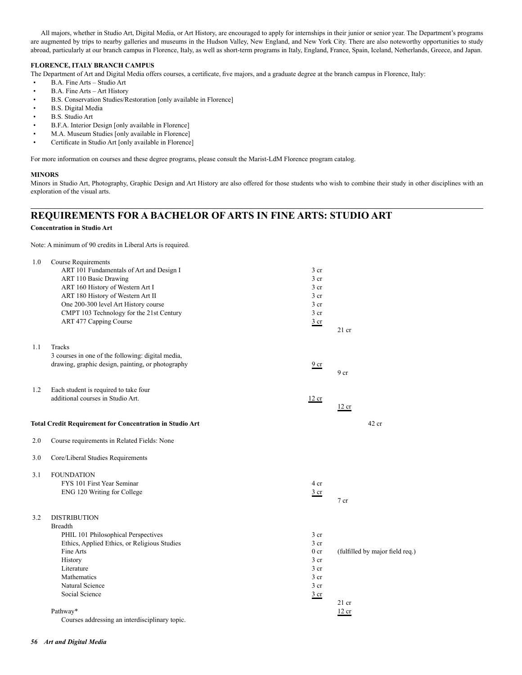All majors, whether in Studio Art, Digital Media, or Art History, are encouraged to apply for internships in their junior or senior year. The Department's programs are augmented by trips to nearby galleries and museums in the Hudson Valley, New England, and New York City. There are also noteworthy opportunities to study abroad, particularly at our branch campus in Florence, Italy, as well as short-term programs in Italy, England, France, Spain, Iceland, Netherlands, Greece, and Japan.

## **FLORENCE, ITALY BRANCH CAMPUS**

The Department of Art and Digital Media offers courses, a certificate, five majors, and a graduate degree at the branch campus in Florence, Italy:

- B.A. Fine Arts Studio Art
- B.A. Fine Arts Art History
- B.S. Conservation Studies/Restoration [only available in Florence]
- B.S. Digital Media
- B.S. Studio Art
- B.F.A. Interior Design [only available in Florence]
- M.A. Museum Studies [only available in Florence]
- Certificate in Studio Art [only available in Florence]

For more information on courses and these degree programs, please consult the Marist-LdM Florence program catalog.

### **MINORS**

Minors in Studio Art, Photography, Graphic Design and Art History are also offered for those students who wish to combine their study in other disciplines with an exploration of the visual arts.

# **REQUIREMENTS FOR A BACHELOR OF ARTS IN FINE ARTS: STUDIO ART**

#### **Concentration in Studio Art**

Note: A minimum of 90 credits in Liberal Arts is required.

| Tracks<br>3 courses in one of the following: digital media,<br>drawing, graphic design, painting, or photography                                                                                                                   |                                                                                                                                                                                                 |                                                     |
|------------------------------------------------------------------------------------------------------------------------------------------------------------------------------------------------------------------------------------|-------------------------------------------------------------------------------------------------------------------------------------------------------------------------------------------------|-----------------------------------------------------|
|                                                                                                                                                                                                                                    | 9 <sub>cr</sub>                                                                                                                                                                                 | 9 <sub>cr</sub>                                     |
| additional courses in Studio Art.                                                                                                                                                                                                  | 12 cr                                                                                                                                                                                           | 12 cr                                               |
|                                                                                                                                                                                                                                    |                                                                                                                                                                                                 | $42$ cr                                             |
| Course requirements in Related Fields: None                                                                                                                                                                                        |                                                                                                                                                                                                 |                                                     |
|                                                                                                                                                                                                                                    |                                                                                                                                                                                                 |                                                     |
| <b>FOUNDATION</b><br>FYS 101 First Year Seminar<br>ENG 120 Writing for College                                                                                                                                                     | 4 cr<br>$rac{3}{2}$ cr                                                                                                                                                                          | $7 \; \mathrm{cr}$                                  |
| <b>DISTRIBUTION</b><br><b>Breadth</b><br>PHIL 101 Philosophical Perspectives<br>Ethics, Applied Ethics, or Religious Studies<br>Fine Arts<br>History<br>Literature<br>Mathematics<br>Natural Science<br>Social Science<br>Pathway* | $3$ cr<br>$3$ cr<br>0 <sub>cr</sub><br>3 <sub>cr</sub><br>3 <sub>cr</sub><br>3 <sub>cr</sub><br>3 <sub>cr</sub><br>$rac{3}{2}$ cr                                                               | (fulfilled by major field req.)<br>$21$ cr<br>12 cr |
|                                                                                                                                                                                                                                    | Each student is required to take four<br><b>Total Credit Requirement for Concentration in Studio Art</b><br>Core/Liberal Studies Requirements<br>Courses addressing an interdisciplinary topic. |                                                     |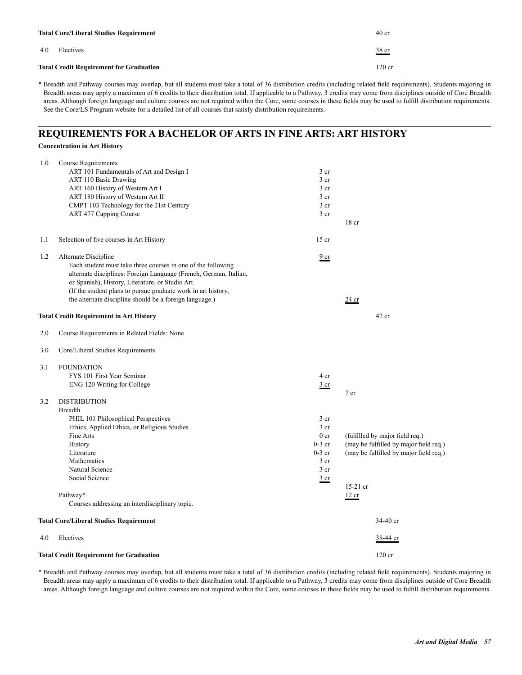| <b>Total Core/Liberal Studies Requirement</b>  | 40 <sub>cr</sub> |
|------------------------------------------------|------------------|
| 4.0<br>Electives                               | <u>38 cr</u>     |
| <b>Total Credit Requirement for Graduation</b> | $120 \text{ cr}$ |

# **REQUIREMENTS FOR A BACHELOR OF ARTS IN FINE ARTS: ART HISTORY**

|     | <b>Concentration in Art History</b>                               |                 |                                        |
|-----|-------------------------------------------------------------------|-----------------|----------------------------------------|
| 1.0 | <b>Course Requirements</b>                                        |                 |                                        |
|     | ART 101 Fundamentals of Art and Design I                          | 3 <sub>cr</sub> |                                        |
|     | ART 110 Basic Drawing                                             | 3 <sub>cr</sub> |                                        |
|     | ART 160 History of Western Art I                                  | 3 <sub>cr</sub> |                                        |
|     | ART 180 History of Western Art II                                 | 3 <sub>cr</sub> |                                        |
|     | CMPT 103 Technology for the 21st Century                          | 3 cr            |                                        |
|     | ART 477 Capping Course                                            | 3 <sub>cr</sub> |                                        |
|     |                                                                   |                 | 18 <sub>cr</sub>                       |
| 1.1 | Selection of five courses in Art History                          | $15$ cr         |                                        |
| 1.2 | Alternate Discipline                                              | 9 <sub>cr</sub> |                                        |
|     | Each student must take three courses in one of the following      |                 |                                        |
|     | alternate disciplines: Foreign Language (French, German, Italian, |                 |                                        |
|     | or Spanish), History, Literature, or Studio Art.                  |                 |                                        |
|     | (If the student plans to pursue graduate work in art history,     |                 |                                        |
|     | the alternate discipline should be a foreign language.)           |                 | 24 cr                                  |
|     | Total Credit Requirement in Art History                           |                 | $42$ cr                                |
| 2.0 | Course Requirements in Related Fields: None                       |                 |                                        |
| 3.0 | Core/Liberal Studies Requirements                                 |                 |                                        |
| 3.1 | <b>FOUNDATION</b>                                                 |                 |                                        |
|     | FYS 101 First Year Seminar                                        | 4 cr            |                                        |
|     | ENG 120 Writing for College                                       | $rac{3}{2}$ cr  |                                        |
|     |                                                                   |                 | $7$ cr                                 |
| 3.2 | <b>DISTRIBUTION</b>                                               |                 |                                        |
|     | <b>Breadth</b>                                                    |                 |                                        |
|     | PHIL 101 Philosophical Perspectives                               | 3 <sub>cr</sub> |                                        |
|     | Ethics, Applied Ethics, or Religious Studies                      | 3 <sub>cr</sub> |                                        |
|     | Fine Arts                                                         | 0 <sub>cr</sub> | (fulfilled by major field req.)        |
|     | History                                                           | $0-3$ cr        | (may be fulfilled by major field req.) |
|     | Literature                                                        | $0-3$ cr        | (may be fulfilled by major field req.) |
|     | Mathematics                                                       | 3 <sub>cr</sub> |                                        |
|     | Natural Science                                                   | 3 <sub>cr</sub> |                                        |
|     | Social Science                                                    | $rac{3}{2}$ cr  |                                        |
|     |                                                                   |                 | 15-21 cr                               |
|     | Pathway*                                                          |                 | 12 cr                                  |
|     | Courses addressing an interdisciplinary topic.                    |                 |                                        |
|     | Total Core/Liberal Studies Requirement                            |                 | 34-40 cr                               |
| 4.0 | Electives                                                         |                 | 38-44 cr                               |
|     | <b>Total Credit Requirement for Graduation</b>                    |                 | $120$ cr                               |

\* Breadth and Pathway courses may overlap, but all students must take a total of 36 distribution credits (including related field requirements). Students majoring in Breadth areas may apply a maximum of 6 credits to their distribution total. If applicable to a Pathway, 3 credits may come from disciplines outside of Core Breadth areas. Although foreign language and culture courses are not required within the Core, some courses in these fields may be used to fulfill distribution requirements.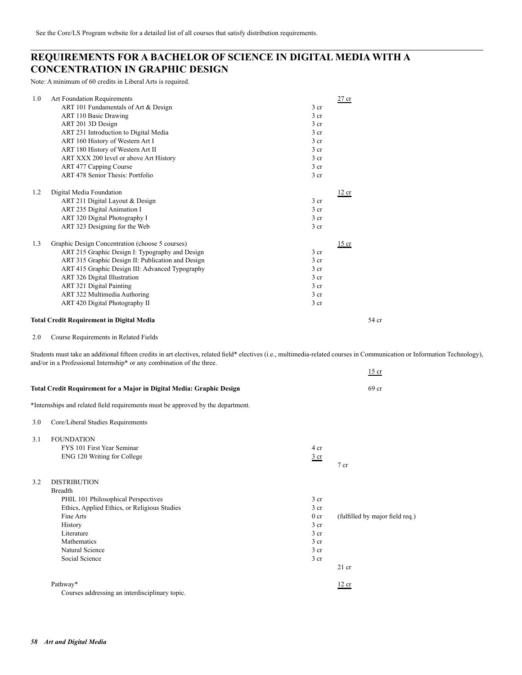# **REQUIREMENTS FOR A BACHELOR OF SCIENCE IN DIGITAL MEDIA WITH A CONCENTRATION IN GRAPHIC DESIGN**

Note: A minimum of 60 credits in Liberal Arts is required.

| 1.0 | Art Foundation Requirements                       | $27$ cr         |
|-----|---------------------------------------------------|-----------------|
|     | ART 101 Fundamentals of Art & Design              | 3 <sub>cr</sub> |
|     | ART 110 Basic Drawing                             | 3 <sub>cr</sub> |
|     | ART 201 3D Design                                 | 3 <sub>cr</sub> |
|     | ART 231 Introduction to Digital Media             | 3 <sub>cr</sub> |
|     | ART 160 History of Western Art I                  | 3 <sub>cr</sub> |
|     | ART 180 History of Western Art II                 | 3 cr            |
|     | ART XXX 200 level or above Art History            | 3 <sub>cr</sub> |
|     | ART 477 Capping Course                            | 3 <sub>cr</sub> |
|     | ART 478 Senior Thesis: Portfolio                  | 3 <sub>cr</sub> |
| 1.2 | Digital Media Foundation                          | 12 cr           |
|     | ART 211 Digital Layout & Design                   | 3 <sub>cr</sub> |
|     | ART 235 Digital Animation I                       | 3 <sub>cr</sub> |
|     | ART 320 Digital Photography I                     | 3 <sub>cr</sub> |
|     | ART 323 Designing for the Web                     | $3$ cr          |
| 1.3 | Graphic Design Concentration (choose 5 courses)   | $15$ cr         |
|     | ART 215 Graphic Design I: Typography and Design   | 3 <sub>cr</sub> |
|     | ART 315 Graphic Design II: Publication and Design | $3$ cr          |
|     | ART 415 Graphic Design III: Advanced Typography   | 3 <sub>cr</sub> |
|     | <b>ART 326 Digital Illustration</b>               | 3 <sub>cr</sub> |
|     | ART 321 Digital Painting                          | 3 <sub>cr</sub> |
|     | ART 322 Multimedia Authoring                      | 3 <sub>cr</sub> |
|     | ART 420 Digital Photography II                    | 3 <sub>cr</sub> |
|     | <b>Total Credit Requirement in Digital Media</b>  | 54 cr           |

 $\frac{15}{15}$  cr

2.0 Course Requirements in Related Fields

Students must take an additional fifteen credits in art electives, related field\* electives (i.e., multimedia-related courses in Communication or Information Technology), and/or in a Professional Internship\* or any combination of the three.

|     | Total Credit Requirement for a Major in Digital Media: Graphic Design                                                                                                                                                         |                                                                                                                                  | 69 <sub>cr</sub>                           |
|-----|-------------------------------------------------------------------------------------------------------------------------------------------------------------------------------------------------------------------------------|----------------------------------------------------------------------------------------------------------------------------------|--------------------------------------------|
|     | *Internships and related field requirements must be approved by the department.                                                                                                                                               |                                                                                                                                  |                                            |
| 3.0 | Core/Liberal Studies Requirements                                                                                                                                                                                             |                                                                                                                                  |                                            |
| 3.1 | <b>FOUNDATION</b><br>FYS 101 First Year Seminar<br>ENG 120 Writing for College                                                                                                                                                | 4 cr<br>$rac{3}{2}$ cr                                                                                                           | 7 cr                                       |
| 3.2 | <b>DISTRIBUTION</b><br><b>Breadth</b><br>PHIL 101 Philosophical Perspectives<br>Ethics, Applied Ethics, or Religious Studies<br>Fine Arts<br>History<br>Literature<br><b>Mathematics</b><br>Natural Science<br>Social Science | 3 <sub>cr</sub><br>$3$ cr<br>0 <sub>cr</sub><br>3 <sub>cr</sub><br>3 <sub>cr</sub><br>3 <sub>cr</sub><br>3 cr<br>3 <sub>cr</sub> | (fulfilled by major field req.)<br>$21$ cr |
|     | Pathway*<br>Courses addressing an interdisciplinary topic.                                                                                                                                                                    |                                                                                                                                  | 12 cr                                      |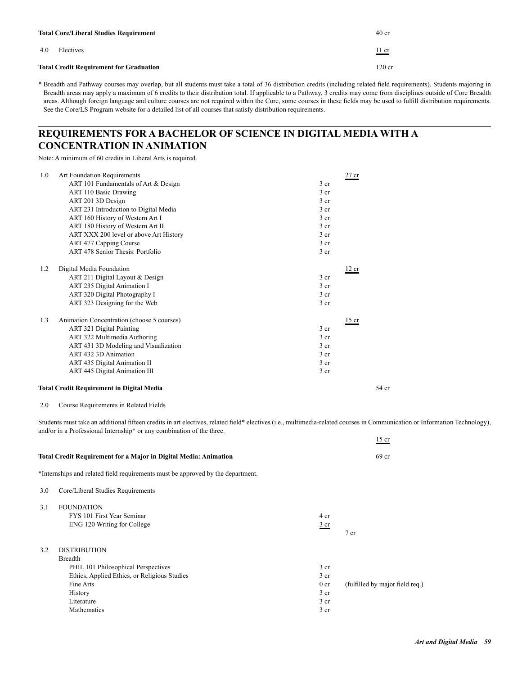|     | <b>Total Core/Liberal Studies Requirement</b>  | 40 <sub>cr</sub> |
|-----|------------------------------------------------|------------------|
| 4.0 | Electives                                      | <u>11 cr</u>     |
|     | <b>Total Credit Requirement for Graduation</b> | $120 \text{ cr}$ |

# **REQUIREMENTS FOR A BACHELOR OF SCIENCE IN DIGITAL MEDIA WITH A CONCENTRATION IN ANIMATION**

Note: A minimum of 60 credits in Liberal Arts is required.

| 1.0 | Art Foundation Requirements                      | $27$ cr         |
|-----|--------------------------------------------------|-----------------|
|     | ART 101 Fundamentals of Art & Design             | 3 <sub>cr</sub> |
|     | ART 110 Basic Drawing                            | 3 <sub>cr</sub> |
|     | ART 201 3D Design                                | 3 <sub>cr</sub> |
|     | ART 231 Introduction to Digital Media            | 3 <sub>cr</sub> |
|     | ART 160 History of Western Art I                 | 3 cr            |
|     | ART 180 History of Western Art II                | 3 <sub>cr</sub> |
|     | ART XXX 200 level or above Art History           | 3 <sub>cr</sub> |
|     | ART 477 Capping Course                           | 3 <sub>cr</sub> |
|     | ART 478 Senior Thesis: Portfolio                 | 3 <sub>cr</sub> |
| 1.2 | Digital Media Foundation                         | 12 cr           |
|     | ART 211 Digital Layout & Design                  | 3 <sub>cr</sub> |
|     | ART 235 Digital Animation I                      | 3 <sub>cr</sub> |
|     | ART 320 Digital Photography I                    | 3 <sub>cr</sub> |
|     | ART 323 Designing for the Web                    | 3 <sub>cr</sub> |
| 1.3 | Animation Concentration (choose 5 courses)       | $15$ cr         |
|     | ART 321 Digital Painting                         | 3 <sub>cr</sub> |
|     | ART 322 Multimedia Authoring                     | 3 <sub>cr</sub> |
|     | ART 431 3D Modeling and Visualization            | 3 <sub>cr</sub> |
|     | ART 432 3D Animation                             | 3 cr            |
|     | ART 435 Digital Animation II                     | 3 <sub>cr</sub> |
|     | <b>ART 445 Digital Animation III</b>             | 3 <sub>cr</sub> |
|     | <b>Total Credit Requirement in Digital Media</b> | 54 cr           |

2.0 Course Requirements in Related Fields

Students must take an additional fifteen credits in art electives, related field\* electives (i.e., multimedia-related courses in Communication or Information Technology), and/or in a Professional Internship\* or any combination of the three.

|     |                                                                                 |                 | $15$ cr                         |
|-----|---------------------------------------------------------------------------------|-----------------|---------------------------------|
|     | Total Credit Requirement for a Major in Digital Media: Animation                |                 | 69 <sub>cr</sub>                |
|     | *Internships and related field requirements must be approved by the department. |                 |                                 |
| 3.0 | Core/Liberal Studies Requirements                                               |                 |                                 |
| 3.1 | <b>FOUNDATION</b>                                                               |                 |                                 |
|     | FYS 101 First Year Seminar                                                      | 4 cr            |                                 |
|     | ENG 120 Writing for College                                                     | $rac{3}{2}$ cr  |                                 |
|     |                                                                                 |                 | $7$ cr                          |
| 3.2 | <b>DISTRIBUTION</b>                                                             |                 |                                 |
|     | Breadth                                                                         |                 |                                 |
|     | PHIL 101 Philosophical Perspectives                                             | 3 <sub>cr</sub> |                                 |
|     | Ethics, Applied Ethics, or Religious Studies                                    | 3 <sub>cr</sub> |                                 |
|     | Fine Arts                                                                       | 0 <sub>cr</sub> | (fulfilled by major field req.) |
|     | History                                                                         | 3 <sub>cr</sub> |                                 |
|     | Literature                                                                      | 3 <sub>cr</sub> |                                 |
|     | Mathematics                                                                     | 3 <sub>cr</sub> |                                 |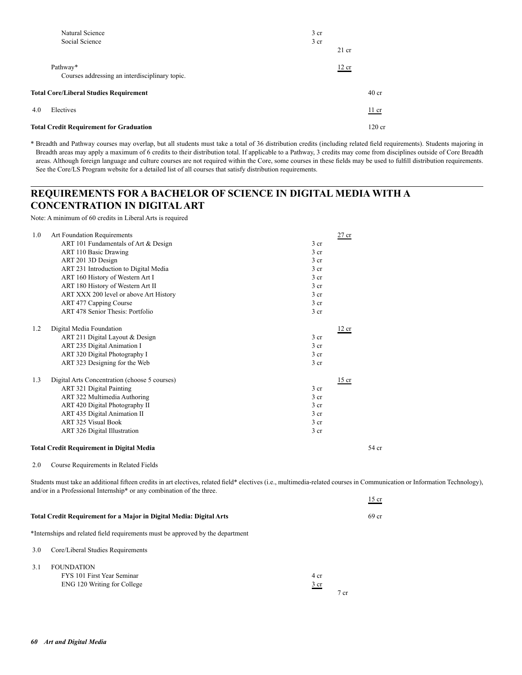| Natural Science                                            | $3$ cr |         |                 |
|------------------------------------------------------------|--------|---------|-----------------|
| Social Science                                             | $3$ cr | $21$ cr |                 |
| Pathway*<br>Courses addressing an interdisciplinary topic. |        | 12 cr   |                 |
| <b>Total Core/Liberal Studies Requirement</b>              |        |         | $40 \text{ cr}$ |
| 4.0<br>Electives                                           |        |         | $11$ cr         |
| <b>Total Credit Requirement for Graduation</b>             |        |         | $120$ cr        |

# **REQUIREMENTS FOR A BACHELOR OF SCIENCE IN DIGITAL MEDIA WITH A CONCENTRATION IN DIGITAL ART**

Note: A minimum of 60 credits in Liberal Arts is required

| 1.0 | Art Foundation Requirements                      | $27$ cr         |
|-----|--------------------------------------------------|-----------------|
|     | ART 101 Fundamentals of Art & Design             | 3 <sub>cr</sub> |
|     | ART 110 Basic Drawing                            | 3 <sub>cr</sub> |
|     | ART 201 3D Design                                | 3 <sub>cr</sub> |
|     | ART 231 Introduction to Digital Media            | 3 cr            |
|     | ART 160 History of Western Art I                 | 3 <sub>cr</sub> |
|     | ART 180 History of Western Art II                | 3 cr            |
|     | ART XXX 200 level or above Art History           | 3 <sub>cr</sub> |
|     | ART 477 Capping Course                           | 3 <sub>cr</sub> |
|     | <b>ART 478 Senior Thesis: Portfolio</b>          | 3 <sub>cr</sub> |
| 1.2 | Digital Media Foundation                         | 12 cr           |
|     | ART 211 Digital Layout & Design                  | 3 cr            |
|     | ART 235 Digital Animation I                      | 3 <sub>cr</sub> |
|     | ART 320 Digital Photography I                    | 3 <sub>cr</sub> |
|     | ART 323 Designing for the Web                    | 3 <sub>cr</sub> |
| 1.3 | Digital Arts Concentration (choose 5 courses)    | $15$ cr         |
|     | ART 321 Digital Painting                         | 3 cr            |
|     | ART 322 Multimedia Authoring                     | 3 <sub>cr</sub> |
|     | ART 420 Digital Photography II                   | 3 <sub>cr</sub> |
|     | ART 435 Digital Animation II                     | $3$ cr          |
|     | <b>ART 325 Visual Book</b>                       | 3 <sub>cr</sub> |
|     | <b>ART 326 Digital Illustration</b>              | 3 <sub>cr</sub> |
|     | <b>Total Credit Requirement in Digital Media</b> | 54 cr           |
| 2.0 | Course Requirements in Related Fields            |                 |

Students must take an additional fifteen credits in art electives, related field\* electives (i.e., multimedia-related courses in Communication or Information Technology), and/or in a Professional Internship\* or any combination of the three.

|     | Total Credit Requirement for a Major in Digital Media: Digital Arts            |                         |        | 69 cr |
|-----|--------------------------------------------------------------------------------|-------------------------|--------|-------|
|     | *Internships and related field requirements must be approved by the department |                         |        |       |
| 3.0 | Core/Liberal Studies Requirements                                              |                         |        |       |
| 3.1 | <b>FOUNDATION</b><br>FYS 101 First Year Seminar<br>ENG 120 Writing for College | 4 cr<br>3 <sub>cr</sub> | $7$ cr |       |

 $\frac{15}{15}$  cr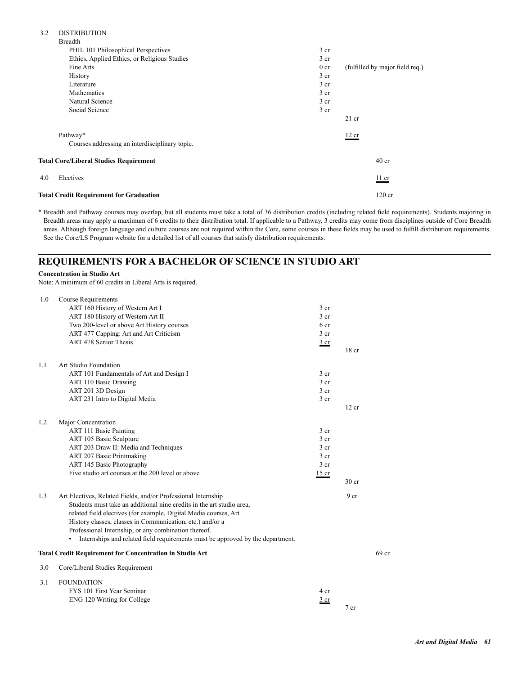## 3.2 DISTRIBUTION

| Breadth                                        |                 |                                 |
|------------------------------------------------|-----------------|---------------------------------|
| PHIL 101 Philosophical Perspectives            | 3 cr            |                                 |
| Ethics, Applied Ethics, or Religious Studies   | 3 <sub>cr</sub> |                                 |
| Fine Arts                                      | 0 <sub>cr</sub> | (fulfilled by major field req.) |
| <b>History</b>                                 | 3 cr            |                                 |
| Literature                                     | 3 cr            |                                 |
| Mathematics                                    | 3 <sub>cr</sub> |                                 |
| Natural Science                                | 3 cr            |                                 |
| Social Science                                 | 3 cr            |                                 |
|                                                |                 | $21$ cr                         |
| Pathway*                                       |                 | 12 cr                           |
| Courses addressing an interdisciplinary topic. |                 |                                 |
| <b>Total Core/Liberal Studies Requirement</b>  |                 | 40 <sub>cr</sub>                |
| Electives<br>4.0                               |                 | $11$ cr                         |
| <b>Total Credit Requirement for Graduation</b> |                 | $120$ cr                        |

\* Breadth and Pathway courses may overlap, but all students must take a total of 36 distribution credits (including related field requirements). Students majoring in Breadth areas may apply a maximum of 6 credits to their distribution total. If applicable to a Pathway, 3 credits may come from disciplines outside of Core Breadth areas. Although foreign language and culture courses are not required within the Core, some courses in these fields may be used to fulfill distribution requirements. See the Core/LS Program website for a detailed list of all courses that satisfy distribution requirements.

## **REQUIREMENTS FOR A BACHELOR OF SCIENCE IN STUDIO ART**

#### **Concentration in Studio Art**

Note: A minimum of 60 credits in Liberal Arts is required.

| 1.0 | Course Requirements                                                                 |                 |                  |       |
|-----|-------------------------------------------------------------------------------------|-----------------|------------------|-------|
|     | ART 160 History of Western Art I                                                    | 3 cr            |                  |       |
|     | ART 180 History of Western Art II                                                   | 3 <sub>cr</sub> |                  |       |
|     | Two 200-level or above Art History courses                                          | 6 cr            |                  |       |
|     | ART 477 Capping: Art and Art Criticism                                              | 3 <sub>cr</sub> |                  |       |
|     | ART 478 Senior Thesis                                                               | 3 cr            |                  |       |
|     |                                                                                     |                 | 18 <sub>cr</sub> |       |
| 1.1 | Art Studio Foundation                                                               |                 |                  |       |
|     | ART 101 Fundamentals of Art and Design I                                            | 3 <sub>cr</sub> |                  |       |
|     | ART 110 Basic Drawing                                                               | 3 <sub>cr</sub> |                  |       |
|     | ART 201 3D Design                                                                   | 3 <sub>cr</sub> |                  |       |
|     | ART 231 Intro to Digital Media                                                      | 3 <sub>cr</sub> |                  |       |
|     |                                                                                     |                 | 12 cr            |       |
|     |                                                                                     |                 |                  |       |
| 1.2 | Major Concentration                                                                 |                 |                  |       |
|     | <b>ART 111 Basic Painting</b>                                                       | 3 cr            |                  |       |
|     | ART 105 Basic Sculpture                                                             | 3 <sub>cr</sub> |                  |       |
|     | ART 203 Draw II: Media and Techniques                                               | 3 <sub>cr</sub> |                  |       |
|     | ART 207 Basic Printmaking                                                           | 3 <sub>cr</sub> |                  |       |
|     | ART 145 Basic Photography                                                           | 3 <sub>cr</sub> |                  |       |
|     | Five studio art courses at the 200 level or above                                   | $15$ cr         |                  |       |
|     |                                                                                     |                 | 30 <sub>cr</sub> |       |
| 1.3 | Art Electives, Related Fields, and/or Professional Internship                       |                 | 9 <sub>cr</sub>  |       |
|     | Students must take an additional nine credits in the art studio area.               |                 |                  |       |
|     | related field electives (for example, Digital Media courses, Art                    |                 |                  |       |
|     | History classes, classes in Communication, etc.) and/or a                           |                 |                  |       |
|     | Professional Internship, or any combination thereof.                                |                 |                  |       |
|     | Internships and related field requirements must be approved by the department.<br>٠ |                 |                  |       |
|     | <b>Total Credit Requirement for Concentration in Studio Art</b>                     |                 |                  | 69 cr |
|     |                                                                                     |                 |                  |       |
| 3.0 | Core/Liberal Studies Requirement                                                    |                 |                  |       |
| 3.1 | <b>FOUNDATION</b>                                                                   |                 |                  |       |
|     | FYS 101 First Year Seminar                                                          | 4 cr            |                  |       |
|     | ENG 120 Writing for College                                                         | 3 <sub>cr</sub> |                  |       |
|     |                                                                                     |                 | 7 <sub>cr</sub>  |       |
|     |                                                                                     |                 |                  |       |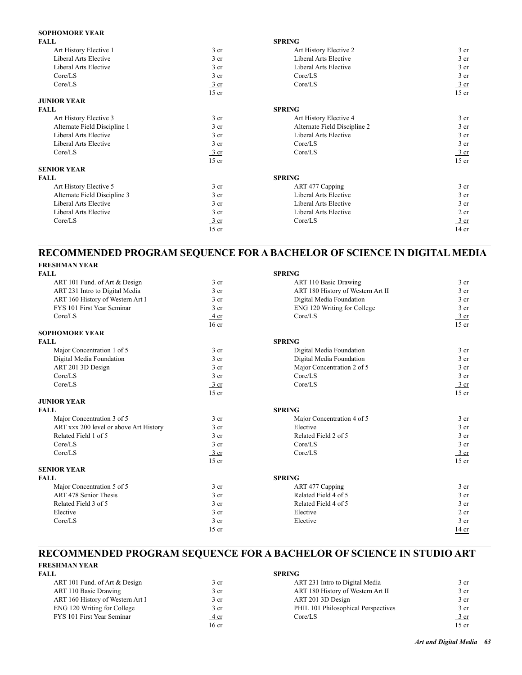## **SOPHOMORE YEAR**

| <b>FALL</b>                  |                          | <b>SPRING</b>                |                  |
|------------------------------|--------------------------|------------------------------|------------------|
| Art History Elective 1       | 3 cr                     | Art History Elective 2       | 3 <sub>cr</sub>  |
| Liberal Arts Elective        | 3 cr                     | Liberal Arts Elective        | 3 <sub>cr</sub>  |
| Liberal Arts Elective        | 3 cr                     | Liberal Arts Elective        | 3 cr             |
| Core/LS                      | 3 cr                     | Core/LS                      | 3 cr             |
| Core/LS                      | $\frac{3}{ }$ cr         | Core/LS                      | $\frac{3}{ }$ cr |
|                              | $15$ cr                  |                              | $15$ cr          |
| <b>JUNIOR YEAR</b>           |                          |                              |                  |
| <b>FALL</b>                  |                          | <b>SPRING</b>                |                  |
| Art History Elective 3       | 3 cr                     | Art History Elective 4       | 3 <sub>cr</sub>  |
| Alternate Field Discipline 1 | 3 cr                     | Alternate Field Discipline 2 | 3 <sub>cr</sub>  |
| Liberal Arts Elective        | 3 cr                     | Liberal Arts Elective        | 3 cr             |
| <b>Liberal Arts Elective</b> | 3 cr                     | Core/LS                      | 3 cr             |
| Core/LS                      | $\frac{3 \text{ cr}}{2}$ | Core/LS                      | $\frac{3}{ }$ cr |
|                              | $15$ cr                  |                              | $15$ cr          |
| <b>SENIOR YEAR</b>           |                          |                              |                  |
| <b>FALL</b>                  |                          | <b>SPRING</b>                |                  |
| Art History Elective 5       | 3 <sub>cr</sub>          | ART 477 Capping              | 3 <sub>cr</sub>  |
| Alternate Field Discipline 3 | 3 <sub>cr</sub>          | Liberal Arts Elective        | 3 <sub>cr</sub>  |
| Liberal Arts Elective        | 3 cr                     | Liberal Arts Elective        | 3 cr             |
| Liberal Arts Elective        | 3 <sub>cr</sub>          | <b>Liberal Arts Elective</b> | 2 cr             |
| Core/LS                      | 3 cr                     | Core/LS                      | 3 cr             |
|                              | $15$ cr                  |                              | $14$ cr          |

## **RECOMMENDED PROGRAM SEQUENCE FOR A BACHELOR OF SCIENCE IN DIGITAL MEDIA FRESHMAN YEAR**

| FRESHMAN TEAR                          |                  |                                   |                  |
|----------------------------------------|------------------|-----------------------------------|------------------|
| <b>FALL</b>                            |                  | <b>SPRING</b>                     |                  |
| ART 101 Fund. of Art & Design          | 3 <sub>cr</sub>  | <b>ART 110 Basic Drawing</b>      | 3 <sub>cr</sub>  |
| ART 231 Intro to Digital Media         | 3 <sub>cr</sub>  | ART 180 History of Western Art II | 3 <sub>cr</sub>  |
| ART 160 History of Western Art I       | 3 <sub>cr</sub>  | Digital Media Foundation          | 3 <sub>cr</sub>  |
| FYS 101 First Year Seminar             | 3 <sub>cr</sub>  | ENG 120 Writing for College       | 3 <sub>cr</sub>  |
| Core/LS                                | $4 \text{ cr}$   | Core/LS                           | $\frac{3}{ }$ cr |
|                                        | 16cr             |                                   | $15$ cr          |
| <b>SOPHOMORE YEAR</b>                  |                  |                                   |                  |
| <b>FALL</b>                            |                  | <b>SPRING</b>                     |                  |
| Major Concentration 1 of 5             | 3 <sub>cr</sub>  | Digital Media Foundation          | 3 <sub>cr</sub>  |
| Digital Media Foundation               | 3 <sub>cr</sub>  | Digital Media Foundation          | 3 <sub>cr</sub>  |
| ART 201 3D Design                      | 3 <sub>cr</sub>  | Major Concentration 2 of 5        | 3 <sub>cr</sub>  |
| Core/LS                                | 3 cr             | Core/LS                           | 3 <sub>cr</sub>  |
| Core/LS                                | 3 cr             | Core/LS                           | 3 cr             |
|                                        | $15$ cr          |                                   | $15$ cr          |
| <b>JUNIOR YEAR</b>                     |                  |                                   |                  |
| <b>FALL</b>                            |                  | <b>SPRING</b>                     |                  |
| Major Concentration 3 of 5             | 3 cr             | Major Concentration 4 of 5        | 3 <sub>cr</sub>  |
| ART xxx 200 level or above Art History | 3 <sub>cr</sub>  | Elective                          | 3 cr             |
| Related Field 1 of 5                   | 3 cr             | Related Field 2 of 5              | 3 <sub>cr</sub>  |
| Core/LS                                | 3 <sub>cr</sub>  | Core/LS                           | 3 <sub>cr</sub>  |
| Core/LS                                | 3 cr             | Core/LS                           | $\frac{3}{ }$ cr |
|                                        | $15$ cr          |                                   | $15$ cr          |
| <b>SENIOR YEAR</b>                     |                  |                                   |                  |
| <b>FALL</b>                            |                  | <b>SPRING</b>                     |                  |
| Major Concentration 5 of 5             | 3 <sub>cr</sub>  | ART 477 Capping                   | 3 <sub>cr</sub>  |
| <b>ART 478 Senior Thesis</b>           | 3 <sub>cr</sub>  | Related Field 4 of 5              | 3 <sub>cr</sub>  |
| Related Field 3 of 5                   | 3 <sub>cr</sub>  | Related Field 4 of 5              | 3 cr             |
| Elective                               | 3 <sub>cr</sub>  | Elective                          | 2 cr             |
| Core/LS                                | $\frac{3}{ }$ cr | Elective                          | 3 <sub>cr</sub>  |
|                                        | $15$ cr          |                                   | 14 cr            |

# **RECOMMENDED PROGRAM SEQUENCE FOR A BACHELOR OF SCIENCE IN STUDIO ART FRESHMAN YEAR**

| FALL                             | <b>SPRING</b>   |                                     |                  |  |
|----------------------------------|-----------------|-------------------------------------|------------------|--|
| ART 101 Fund. of Art & Design    | 3 <sub>cr</sub> | ART 231 Intro to Digital Media      | 3 cr             |  |
| <b>ART 110 Basic Drawing</b>     | 3 <sub>cr</sub> | ART 180 History of Western Art II   | 3 <sub>cr</sub>  |  |
| ART 160 History of Western Art I | 3 <sub>cr</sub> | ART 201 3D Design                   | $\frac{3}{5}$ cr |  |
| ENG 120 Writing for College      | 3 cr            | PHIL 101 Philosophical Perspectives | 3 cr             |  |
| FYS 101 First Year Seminar       | <u>4 cr</u>     | Core/LS                             | <u>3 cr</u>      |  |
|                                  | $16$ cr         |                                     | 15 cr            |  |

| 3 cr           | ART 231 Intro to Digital Media      | 3 cr    |
|----------------|-------------------------------------|---------|
| 3 cr           | ART 180 History of Western Art II   | 3 cr    |
| 3 cr           | ART 201 3D Design                   | 3 cr    |
| 3 cr           | PHIL 101 Philosophical Perspectives | 3 cr    |
| $4 \text{ cr}$ | Core/LS                             | 3 cr    |
| 16 cr          |                                     | $15$ cr |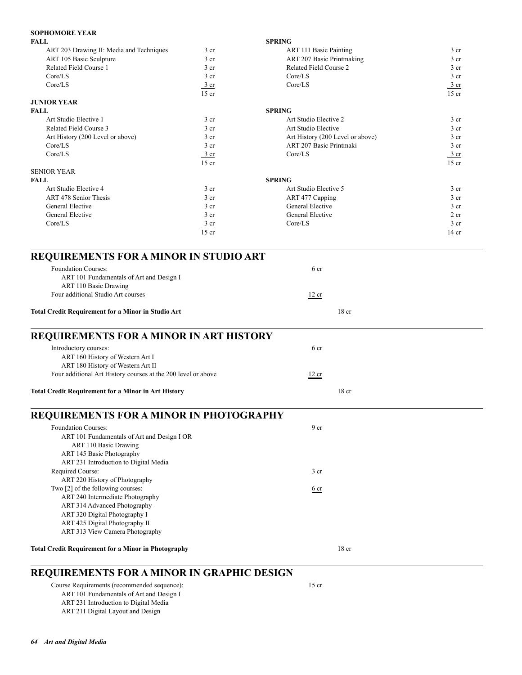## **SOPHOMORE YEAR**

| <b>JOI HUMUNE LEAN</b>                                                                                                                                                                                                                                                                                                                                                                                           |                  |                                                    |                 |
|------------------------------------------------------------------------------------------------------------------------------------------------------------------------------------------------------------------------------------------------------------------------------------------------------------------------------------------------------------------------------------------------------------------|------------------|----------------------------------------------------|-----------------|
| <b>FALL</b>                                                                                                                                                                                                                                                                                                                                                                                                      |                  | <b>SPRING</b>                                      |                 |
| ART 203 Drawing II: Media and Techniques                                                                                                                                                                                                                                                                                                                                                                         | 3 <sub>cr</sub>  | ART 111 Basic Painting                             | 3 cr            |
| ART 105 Basic Sculpture                                                                                                                                                                                                                                                                                                                                                                                          | 3 <sub>cr</sub>  | ART 207 Basic Printmaking                          | 3 cr            |
| Related Field Course 1                                                                                                                                                                                                                                                                                                                                                                                           | 3 <sub>cr</sub>  | Related Field Course 2                             | 3 <sub>cr</sub> |
| Core/LS                                                                                                                                                                                                                                                                                                                                                                                                          | 3 <sub>cr</sub>  | Core/LS                                            | 3 <sub>cr</sub> |
| Core/LS                                                                                                                                                                                                                                                                                                                                                                                                          | 3 cr             | Core/LS                                            | 3 cr            |
|                                                                                                                                                                                                                                                                                                                                                                                                                  | $15$ cr          |                                                    | $15$ cr         |
| <b>JUNIOR YEAR</b>                                                                                                                                                                                                                                                                                                                                                                                               |                  |                                                    |                 |
| <b>FALL</b>                                                                                                                                                                                                                                                                                                                                                                                                      |                  | <b>SPRING</b>                                      |                 |
| Art Studio Elective 1                                                                                                                                                                                                                                                                                                                                                                                            | 3 <sub>cr</sub>  | Art Studio Elective 2                              | 3 <sub>cr</sub> |
| Related Field Course 3                                                                                                                                                                                                                                                                                                                                                                                           | 3 <sub>cr</sub>  | Art Studio Elective                                | 3 <sub>cr</sub> |
| Art History (200 Level or above)                                                                                                                                                                                                                                                                                                                                                                                 | 3 <sub>cr</sub>  | Art History (200 Level or above)                   | 3 <sub>cr</sub> |
| Core/LS                                                                                                                                                                                                                                                                                                                                                                                                          | 3 <sub>cr</sub>  | ART 207 Basic Printmaki                            | 3 <sub>cr</sub> |
| Core/LS                                                                                                                                                                                                                                                                                                                                                                                                          | $\frac{3}{2}$ cr | Core/LS                                            | 3 cr            |
|                                                                                                                                                                                                                                                                                                                                                                                                                  | $15$ cr          |                                                    | $15$ cr         |
| <b>SENIOR YEAR</b>                                                                                                                                                                                                                                                                                                                                                                                               |                  |                                                    |                 |
| <b>FALL</b>                                                                                                                                                                                                                                                                                                                                                                                                      |                  | <b>SPRING</b>                                      |                 |
| Art Studio Elective 4                                                                                                                                                                                                                                                                                                                                                                                            | 3 <sub>cr</sub>  | Art Studio Elective 5                              | 3 <sub>cr</sub> |
| ART 478 Senior Thesis                                                                                                                                                                                                                                                                                                                                                                                            | $3$ cr           | ART 477 Capping                                    | 3 <sub>cr</sub> |
| General Elective                                                                                                                                                                                                                                                                                                                                                                                                 | 3 cr             | General Elective                                   | 3 <sub>cr</sub> |
|                                                                                                                                                                                                                                                                                                                                                                                                                  |                  | General Elective                                   |                 |
| General Elective                                                                                                                                                                                                                                                                                                                                                                                                 | 3 <sub>cr</sub>  |                                                    | 2 cr            |
| Core/LS                                                                                                                                                                                                                                                                                                                                                                                                          | $\frac{3}{ }$ cr | Core/LS                                            | 3 cr            |
|                                                                                                                                                                                                                                                                                                                                                                                                                  | $15$ cr          |                                                    | $14$ cr         |
| <b>Foundation Courses:</b><br>ART 101 Fundamentals of Art and Design I<br>ART 110 Basic Drawing<br>Four additional Studio Art courses<br><b>Total Credit Requirement for a Minor in Studio Art</b><br>REQUIREMENTS FOR A MINOR IN ART HISTORY<br>Introductory courses:<br>ART 160 History of Western Art I<br>ART 180 History of Western Art II<br>Four additional Art History courses at the 200 level or above |                  | 6 cr<br>12 cr<br>18 <sub>cr</sub><br>6 cr<br>12 cr |                 |
| <b>Total Credit Requirement for a Minor in Art History</b>                                                                                                                                                                                                                                                                                                                                                       |                  | 18 <sub>cr</sub>                                   |                 |
| <b>REQUIREMENTS FOR A MINOR IN PHOTOGRAPHY</b>                                                                                                                                                                                                                                                                                                                                                                   |                  |                                                    |                 |
| <b>Foundation Courses:</b>                                                                                                                                                                                                                                                                                                                                                                                       |                  | 9 <sub>cr</sub>                                    |                 |
| ART 101 Fundamentals of Art and Design I OR<br>ART 110 Basic Drawing<br>ART 145 Basic Photography                                                                                                                                                                                                                                                                                                                |                  |                                                    |                 |
| ART 231 Introduction to Digital Media                                                                                                                                                                                                                                                                                                                                                                            |                  |                                                    |                 |
| Required Course:                                                                                                                                                                                                                                                                                                                                                                                                 |                  | 3 <sub>cr</sub>                                    |                 |
| ART 220 History of Photography                                                                                                                                                                                                                                                                                                                                                                                   |                  |                                                    |                 |
| Two [2] of the following courses:                                                                                                                                                                                                                                                                                                                                                                                |                  | 6cr                                                |                 |
| ART 240 Intermediate Photography                                                                                                                                                                                                                                                                                                                                                                                 |                  |                                                    |                 |
| ART 314 Advanced Photography                                                                                                                                                                                                                                                                                                                                                                                     |                  |                                                    |                 |
| ART 320 Digital Photography I                                                                                                                                                                                                                                                                                                                                                                                    |                  |                                                    |                 |
| ART 425 Digital Photography II                                                                                                                                                                                                                                                                                                                                                                                   |                  |                                                    |                 |
| ART 313 View Camera Photography                                                                                                                                                                                                                                                                                                                                                                                  |                  |                                                    |                 |
|                                                                                                                                                                                                                                                                                                                                                                                                                  |                  |                                                    |                 |
| <b>Total Credit Requirement for a Minor in Photography</b>                                                                                                                                                                                                                                                                                                                                                       |                  | $18$ cr                                            |                 |

# **REQUIREMENTS FOR A MINOR IN GRAPHIC DESIGN**

 Course Requirements (recommended sequence): 15 cr ART 101 Fundamentals of Art and Design I ART 231 Introduction to Digital Media ART 211 Digital Layout and Design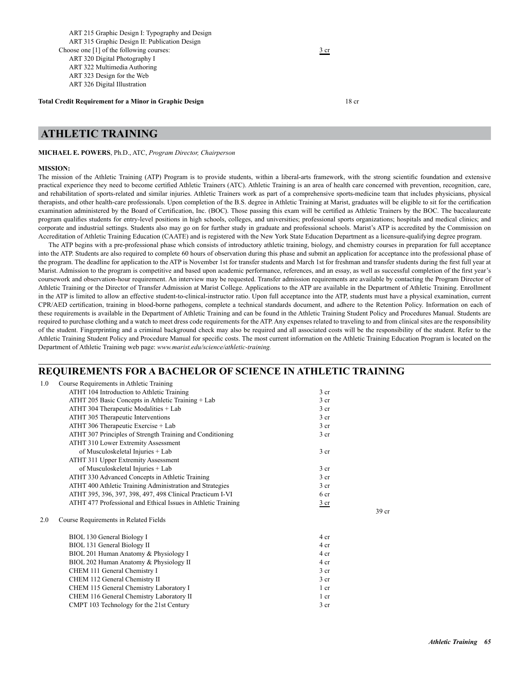ART 215 Graphic Design I: Typography and Design ART 315 Graphic Design II: Publication Design Choose one [1] of the following courses:  $\frac{3 \text{ cr}}{2}$  ART 320 Digital Photography I ART 322 Multimedia Authoring ART 323 Design for the Web ART 326 Digital Illustration

**Total Credit Requirement for a Minor in Graphic Design 18 cm 18 cm 18 cm 18 cm 18 cm 18 cm 18 cm 18 cm 18 cm 18 cm 18 cm 18 cm 18 cm 18 cm 18 cm 18 cm 18 cm 18 cm 18 cm 18 cm 18 cm 18 cm 18 cm 18 cm 18 cm 18 cm 18 cm 18 c** 

# **ATHLETIC TRAINING**

**MICHAEL E. POWERS**, Ph.D., ATC, *Program Director, Chairperson*

#### **MISSION:**

The mission of the Athletic Training (ATP) Program is to provide students, within a liberal-arts framework, with the strong scientific foundation and extensive practical experience they need to become certified Athletic Trainers (ATC). Athletic Training is an area of health care concerned with prevention, recognition, care, and rehabilitation of sports-related and similar injuries. Athletic Trainers work as part of a comprehensive sports-medicine team that includes physicians, physical therapists, and other health-care professionals. Upon completion of the B.S. degree in Athletic Training at Marist, graduates will be eligible to sit for the certification examination administered by the Board of Certification, Inc. (BOC). Those passing this exam will be certified as Athletic Trainers by the BOC. The baccalaureate program qualifies students for entry-level positions in high schools, colleges, and universities; professional sports organizations; hospitals and medical clinics; and corporate and industrial settings. Students also may go on for further study in graduate and professional schools. Marist's ATP is accredited by the Commission on Accreditation of Athletic Training Education (CAATE) and is registered with the New York State Education Department as a licensure-qualifying degree program.

The ATP begins with a pre-professional phase which consists of introductory athletic training, biology, and chemistry courses in preparation for full acceptance into the ATP. Students are also required to complete 60 hours of observation during this phase and submit an application for acceptance into the professional phase of the program. The deadline for application to the ATP is November 1st for transfer students and March 1st for freshman and transfer students during the first full year at Marist. Admission to the program is competitive and based upon academic performance, references, and an essay, as well as successful completion of the first year's coursework and observation-hour requirement. An interview may be requested. Transfer admission requirements are available by contacting the Program Director of Athletic Training or the Director of Transfer Admission at Marist College. Applications to the ATP are available in the Department of Athletic Training. Enrollment in the ATP is limited to allow an effective student-to-clinical-instructor ratio. Upon full acceptance into the ATP, students must have a physical examination, current CPR/AED certification, training in blood-borne pathogens, complete a technical standards document, and adhere to the Retention Policy. Information on each of these requirements is available in the Department of Athletic Training and can be found in the Athletic Training Student Policy and Procedures Manual. Students are required to purchase clothing and a watch to meet dress code requirements for the ATP. Any expenses related to traveling to and from clinical sites are the responsibility of the student. Fingerprinting and a criminal background check may also be required and all associated costs will be the responsibility of the student. Refer to the Athletic Training Student Policy and Procedure Manual for specific costs. The most current information on the Athletic Training Education Program is located on the Department of Athletic Training web page: *www.marist.edu/science/athletic-training.*

## **REQUIREMENTS FOR A BACHELOR OF SCIENCE IN ATHLETIC TRAINING**

| 1.0 | Course Requirements in Athletic Training                      |                 |                  |
|-----|---------------------------------------------------------------|-----------------|------------------|
|     | ATHT 104 Introduction to Athletic Training                    | 3 <sub>cr</sub> |                  |
|     | ATHT 205 Basic Concepts in Athletic Training + Lab            | 3 <sub>cr</sub> |                  |
|     | ATHT 304 Therapeutic Modalities + Lab                         | 3 <sub>cr</sub> |                  |
|     | ATHT 305 Therapeutic Interventions                            | 3 <sub>cr</sub> |                  |
|     | ATHT 306 Therapeutic Exercise + Lab                           | $3$ cr          |                  |
|     | ATHT 307 Principles of Strength Training and Conditioning     | 3 <sub>cr</sub> |                  |
|     | ATHT 310 Lower Extremity Assessment                           |                 |                  |
|     | of Musculoskeletal Injuries + Lab                             | $3$ cr          |                  |
|     | ATHT 311 Upper Extremity Assessment                           |                 |                  |
|     | of Musculoskeletal Injuries + Lab                             | 3 <sub>cr</sub> |                  |
|     | ATHT 330 Advanced Concepts in Athletic Training               | 3 <sub>cr</sub> |                  |
|     | ATHT 400 Athletic Training Administration and Strategies      | 3 <sub>cr</sub> |                  |
|     | ATHT 395, 396, 397, 398, 497, 498 Clinical Practicum I-VI     | 6 cr            |                  |
|     | ATHT 477 Professional and Ethical Issues in Athletic Training | $rac{3}{ }$ cr  |                  |
|     |                                                               |                 | 39 <sub>cr</sub> |
| 2.0 | Course Requirements in Related Fields                         |                 |                  |
|     | BIOL 130 General Biology I                                    | 4 cr            |                  |
|     | BIOL 131 General Biology II                                   | 4 cr            |                  |
|     | BIOL 201 Human Anatomy & Physiology I                         | 4 cr            |                  |
|     | BIOL 202 Human Anatomy & Physiology II                        | 4 cr            |                  |
|     | CHEM 111 General Chemistry I                                  | 3 <sub>cr</sub> |                  |
|     | CHEM 112 General Chemistry II                                 | 3 <sub>cr</sub> |                  |
|     | CHEM 115 General Chemistry Laboratory I                       | $1$ cr          |                  |
|     | CHEM 116 General Chemistry Laboratory II                      | 1 cr            |                  |
|     | CMPT 103 Technology for the 21st Century                      | 3 <sub>cr</sub> |                  |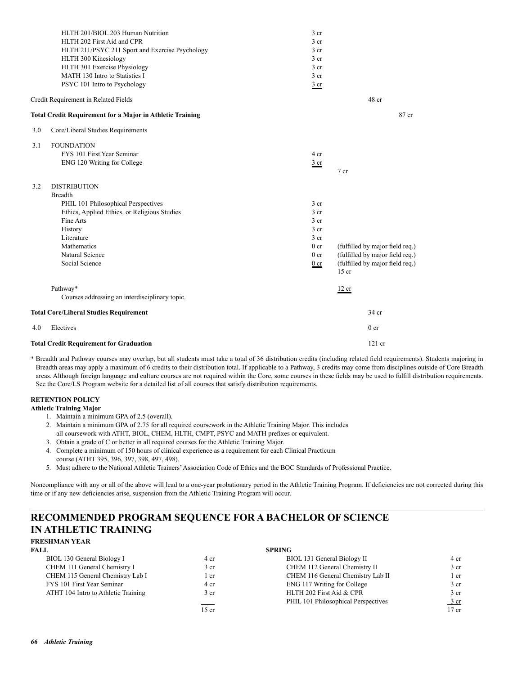|     | HLTH 201/BIOL 203 Human Nutrition                                | $3$ cr          |                                            |
|-----|------------------------------------------------------------------|-----------------|--------------------------------------------|
|     | HLTH 202 First Aid and CPR                                       | 3 <sub>cr</sub> |                                            |
|     | HLTH 211/PSYC 211 Sport and Exercise Psychology                  | 3 <sub>cr</sub> |                                            |
|     | HLTH 300 Kinesiology                                             | $3$ cr          |                                            |
|     | HLTH 301 Exercise Physiology                                     | 3 <sub>cr</sub> |                                            |
|     | MATH 130 Intro to Statistics I                                   | $3$ cr          |                                            |
|     | PSYC 101 Intro to Psychology                                     | $rac{3}{2}$ cr  |                                            |
|     | Credit Requirement in Related Fields                             |                 | 48 cr                                      |
|     | <b>Total Credit Requirement for a Major in Athletic Training</b> |                 | 87 cr                                      |
| 3.0 | Core/Liberal Studies Requirements                                |                 |                                            |
| 3.1 | <b>FOUNDATION</b>                                                |                 |                                            |
|     | FYS 101 First Year Seminar                                       | 4 cr            |                                            |
|     | ENG 120 Writing for College                                      | $rac{3}{2}$ cr  |                                            |
|     |                                                                  |                 | 7 <sub>cr</sub>                            |
| 3.2 | <b>DISTRIBUTION</b>                                              |                 |                                            |
|     | <b>Breadth</b>                                                   |                 |                                            |
|     | PHIL 101 Philosophical Perspectives                              | 3 <sub>cr</sub> |                                            |
|     | Ethics, Applied Ethics, or Religious Studies                     | 3 <sub>cr</sub> |                                            |
|     | Fine Arts                                                        | 3 <sub>cr</sub> |                                            |
|     | History                                                          | 3 <sub>cr</sub> |                                            |
|     | Literature                                                       | 3 <sub>cr</sub> |                                            |
|     | Mathematics                                                      | 0 <sub>cr</sub> | (fulfilled by major field req.)            |
|     | Natural Science                                                  | 0 <sub>cr</sub> | (fulfilled by major field req.)            |
|     | Social Science                                                   | $0$ cr          | (fulfilled by major field req.)<br>$15$ cr |
|     | Pathway*                                                         |                 | 12 cr                                      |
|     | Courses addressing an interdisciplinary topic.                   |                 |                                            |
|     | <b>Total Core/Liberal Studies Requirement</b>                    |                 | 34 cr                                      |
| 4.0 | Electives                                                        |                 | 0 <sub>cr</sub>                            |
|     | <b>Total Credit Requirement for Graduation</b>                   |                 | $121$ cr                                   |

## **RETENTION POLICY**

- **Athletic Training Major**
	- 1. Maintain a minimum GPA of 2.5 (overall).
	- 2. Maintain a minimum GPA of 2.75 for all required coursework in the Athletic Training Major. This includes
	- all coursework with ATHT, BIOL, CHEM, HLTH, CMPT, PSYC and MATH prefixes or equivalent.
	- 3. Obtain a grade of C or better in all required courses for the Athletic Training Major.
	- 4. Complete a minimum of 150 hours of clinical experience as a requirement for each Clinical Practicum course (ATHT 395, 396, 397, 398, 497, 498).
	- 5. Must adhere to the National Athletic Trainers' Association Code of Ethics and the BOC Standards of Professional Practice.

Noncompliance with any or all of the above will lead to a one-year probationary period in the Athletic Training Program. If deficiencies are not corrected during this time or if any new deficiencies arise, suspension from the Athletic Training Program will occur.

## **RECOMMENDED PROGRAM SEQUENCE FOR A BACHELOR OF SCIENCE IN ATHLETIC TRAINING FRESHMAN YEAR**

| FALL.                               |                 | <b>SPRING</b>                       |                  |
|-------------------------------------|-----------------|-------------------------------------|------------------|
| BIOL 130 General Biology I          | 4 cr            | BIOL 131 General Biology II         | 4 cr             |
| CHEM 111 General Chemistry I        | 3 <sub>cr</sub> | CHEM 112 General Chemistry II       | 3 <sub>cr</sub>  |
| CHEM 115 General Chemistry Lab I    | l cr            | CHEM 116 General Chemistry Lab II   | l cr             |
| FYS 101 First Year Seminar          | 4 cr            | ENG 117 Writing for College         | 3 <sub>cr</sub>  |
| ATHT 104 Intro to Athletic Training | 3 <sub>cr</sub> | HLTH 202 First Aid & CPR            | 3 <sub>cr</sub>  |
|                                     |                 | PHIL 101 Philosophical Perspectives | $\frac{3}{ }$ cr |
|                                     | $15$ cr         |                                     | $17$ cr          |
|                                     |                 |                                     |                  |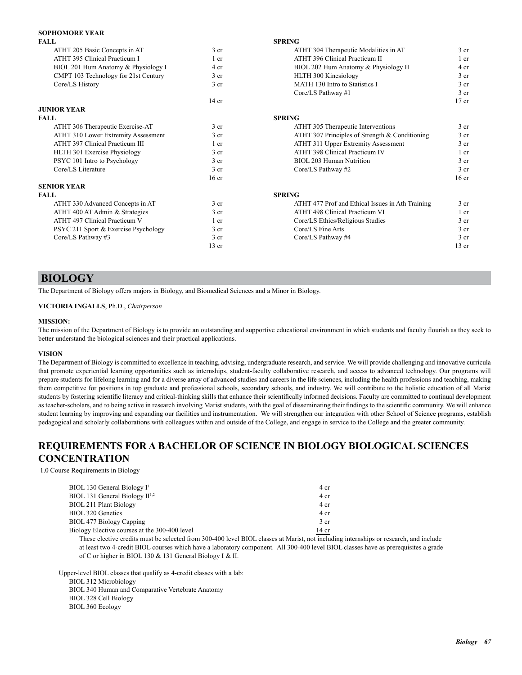## **SOPHOMORE YEAR**

| <b>FALL</b>                          |                  | <b>SPRING</b>                                    |                  |
|--------------------------------------|------------------|--------------------------------------------------|------------------|
| ATHT 205 Basic Concepts in AT        | 3 <sub>cr</sub>  | ATHT 304 Therapeutic Modalities in AT            | 3 <sub>cr</sub>  |
| ATHT 395 Clinical Practicum I        | $1$ cr           | ATHT 396 Clinical Practicum II                   | 1 cr             |
| BIOL 201 Hum Anatomy & Physiology I  | 4 cr             | BIOL 202 Hum Anatomy & Physiology II             | 4 cr             |
| CMPT 103 Technology for 21st Century | 3 <sub>cr</sub>  | HLTH 300 Kinesiology                             | 3 <sub>cr</sub>  |
| Core/LS History                      | 3 <sub>cr</sub>  | MATH 130 Intro to Statistics I                   | 3 <sub>cr</sub>  |
|                                      |                  | Core/LS Pathway #1                               | 3 <sub>cr</sub>  |
|                                      | $14$ cr          |                                                  | $17$ cr          |
| <b>JUNIOR YEAR</b>                   |                  |                                                  |                  |
| <b>FALL</b>                          |                  | <b>SPRING</b>                                    |                  |
| ATHT 306 Therapeutic Exercise-AT     | 3 <sub>cr</sub>  | ATHT 305 Therapeutic Interventions               | 3 <sub>cr</sub>  |
| ATHT 310 Lower Extremity Assessment  | 3 <sub>cr</sub>  | ATHT 307 Principles of Strength $&$ Conditioning | 3 <sub>cr</sub>  |
| ATHT 397 Clinical Practicum III      | 1 cr             | ATHT 311 Upper Extremity Assessment              | 3 <sub>cr</sub>  |
| HLTH 301 Exercise Physiology         | 3 <sub>cr</sub>  | ATHT 398 Clinical Practicum IV                   | 1 cr             |
| PSYC 101 Intro to Psychology         | 3 <sub>cr</sub>  | <b>BIOL 203 Human Nutrition</b>                  | 3 <sub>cr</sub>  |
| Core/LS Literature                   | 3 <sub>cr</sub>  | Core/LS Pathway #2                               | 3 <sub>cr</sub>  |
|                                      | 16 <sub>cr</sub> |                                                  | 16 <sub>cr</sub> |
| <b>SENIOR YEAR</b>                   |                  |                                                  |                  |
| <b>FALL</b>                          |                  | <b>SPRING</b>                                    |                  |
| ATHT 330 Advanced Concepts in AT     | 3 <sub>cr</sub>  | ATHT 477 Prof and Ethical Issues in Ath Training | 3 <sub>cr</sub>  |
| ATHT 400 AT Admin & Strategies       | 3 <sub>cr</sub>  | ATHT 498 Clinical Practicum VI                   | 1 cr             |
| ATHT 497 Clinical Practicum V        | 1 cr             | Core/LS Ethics/Religious Studies                 | 3 <sub>cr</sub>  |
| PSYC 211 Sport & Exercise Psychology | 3 <sub>cr</sub>  | Core/LS Fine Arts                                | 3 <sub>cr</sub>  |
| Core/LS Pathway #3                   | 3 <sub>cr</sub>  | Core/LS Pathway #4                               | 3 <sub>cr</sub>  |
|                                      | $13$ cr          |                                                  | $13$ cr          |

# **BIOLOGY**

The Department of Biology offers majors in Biology, and Biomedical Sciences and a Minor in Biology.

**VICTORIA INGALLS**, Ph.D., *Chairperson*

### **MISSION:**

The mission of the Department of Biology is to provide an outstanding and supportive educational environment in which students and faculty flourish as they seek to better understand the biological sciences and their practical applications.

## **VISION**

The Department of Biology is committed to excellence in teaching, advising, undergraduate research, and service. We will provide challenging and innovative curricula that promote experiential learning opportunities such as internships, student-faculty collaborative research, and access to advanced technology. Our programs will prepare students for lifelong learning and for a diverse array of advanced studies and careers in the life sciences, including the health professions and teaching, making them competitive for positions in top graduate and professional schools, secondary schools, and industry. We will contribute to the holistic education of all Marist students by fostering scientific literacy and critical-thinking skills that enhance their scientifically informed decisions. Faculty are committed to continual development as teacher-scholars, and to being active in research involving Marist students, with the goal of disseminating their findings to the scientific community. We will enhance student learning by improving and expanding our facilities and instrumentation. We will strengthen our integration with other School of Science programs, establish pedagogical and scholarly collaborations with colleagues within and outside of the College, and engage in service to the College and the greater community.

# **REQUIREMENTS FOR A BACHELOR OF SCIENCE IN BIOLOGY BIOLOGICAL SCIENCES CONCENTRATION**

1.0 Course Requirements in Biology

| 4 cr            |
|-----------------|
| 4 cr            |
| 4 cr            |
| 4 cr            |
| 3 <sub>cr</sub> |
| $14$ cr         |
|                 |

 These elective credits must be selected from 300-400 level BIOL classes at Marist, not including internships or research, and include at least two 4-credit BIOL courses which have a laboratory component. All 300-400 level BIOL classes have as prerequisites a grade of C or higher in BIOL 130 & 131 General Biology I & II.

Upper-level BIOL classes that qualify as 4-credit classes with a lab:

 BIOL 312 Microbiology BIOL 340 Human and Comparative Vertebrate Anatomy BIOL 328 Cell Biology BIOL 360 Ecology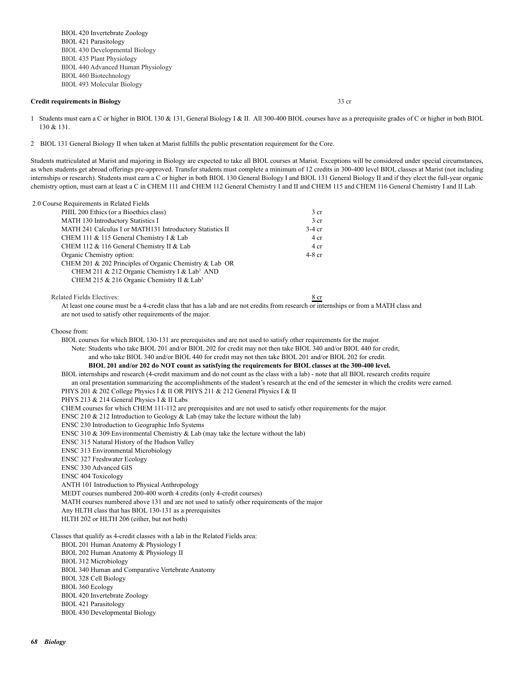BIOL 420 Invertebrate Zoology BIOL 421 Parasitology BIOL 430 Developmental Biology BIOL 435 Plant Physiology BIOL 440 Advanced Human Physiology BIOL 460 Biotechnology BIOL 493 Molecular Biology

## **Credit requirements in Biology** 33 cr

1 Students must earn a C or higher in BIOL 130 & 131, General Biology I & II. All 300-400 BIOL courses have as a prerequisite grades of C or higher in both BIOL 130 & 131.

2 BIOL 131 General Biology II when taken at Marist fulfills the public presentation requirement for the Core.

Students matriculated at Marist and majoring in Biology are expected to take all BIOL courses at Marist. Exceptions will be considered under special circumstances, as when students get abroad offerings pre-approved. Transfer students must complete a minimum of 12 credits in 300-400 level BIOL classes at Marist (not including internships or research). Students must earn a C or higher in both BIOL 130 General Biology I and BIOL 131 General Biology II and if they elect the full-year organic chemistry option, must earn at least a C in CHEM 111 and CHEM 112 General Chemistry I and II and CHEM 115 and CHEM 116 General Chemistry I and II Lab.

| 2.0 Course Requirements in Related Fields                 |                 |  |
|-----------------------------------------------------------|-----------------|--|
| PHIL 200 Ethics (or a Bioethics class)                    | 3 cr            |  |
| MATH 130 Introductory Statistics I                        | 3 <sub>cr</sub> |  |
| MATH 241 Calculus I or MATH131 Introductory Statistics II | $3-4$ cr        |  |
| CHEM 111 & 115 General Chemistry I & Lab                  | 4 cr            |  |
| CHEM 112 & 116 General Chemistry II & Lab                 | 4 cr            |  |
| Organic Chemistry option:                                 | $4-8$ cr        |  |
| CHEM 201 & 202 Principles of Organic Chemistry & Lab OR   |                 |  |
| CHEM 211 & 212 Organic Chemistry I & Lab <sup>3</sup> AND |                 |  |
| CHEM 215 & 216 Organic Chemistry II & Lab <sup>3</sup>    |                 |  |
| Related Fields Electives:                                 | 8 cr            |  |

 At least one course must be a 4-credit class that has a lab and are not credits from research or internships or from a MATH class and are not used to satisfy other requirements of the major.

Choose from:

 BIOL courses for which BIOL 130-131 are prerequisites and are not used to satisfy other requirements for the major. Note: Students who take BIOL 201 and/or BIOL 202 for credit may not then take BIOL 340 and/or BIOL 440 for credit, and who take BIOL 340 and/or BIOL 440 for credit may not then take BIOL 201 and/or BIOL 202 for credit.

## **BIOL 201 and/or 202 do NOT count as satisfying the requirements for BIOL classes at the 300-400 level.**

BIOL internships and research (4-credit maximum and do not count as the class with a lab) - note that all BIOL research credits require

an oral presentation summarizing the accomplishments of the student's research at the end of the semester in which the credits were earned.

PHYS 201 & 202 College Physics I & II OR PHYS 211 & 212 General Physics I & II

PHYS 213 & 214 General Physics I & II Labs

CHEM courses for which CHEM 111-112 are prerequisites and are not used to satisfy other requirements for the major.

ENSC 210  $\&$  212 Introduction to Geology  $\&$  Lab (may take the lecture without the lab)

ENSC 230 Introduction to Geographic Info Systems

ENSC 310  $\&$  309 Environmental Chemistry  $\&$  Lab (may take the lecture without the lab)

ENSC 315 Natural History of the Hudson Valley

ENSC 313 Environmental Microbiology

ENSC 327 Freshwater Ecology

ENSC 330 Advanced GIS

ENSC 404 Toxicology

ANTH 101 Introduction to Physical Anthropology

MEDT courses numbered 200-400 worth 4 credits (only 4-credit courses)

MATH courses numbered above 131 and are not used to satisfy other requirements of the major

Any HLTH class that has BIOL 130-131 as a prerequisites

HLTH 202 or HLTH 206 (either, but not both)

Classes that qualify as 4-credit classes with a lab in the Related Fields area:

BIOL 201 Human Anatomy & Physiology I

BIOL 202 Human Anatomy & Physiology II

BIOL 312 Microbiology

BIOL 340 Human and Comparative Vertebrate Anatomy

BIOL 328 Cell Biology

BIOL 360 Ecology

BIOL 420 Invertebrate Zoology

BIOL 421 Parasitology

BIOL 430 Developmental Biology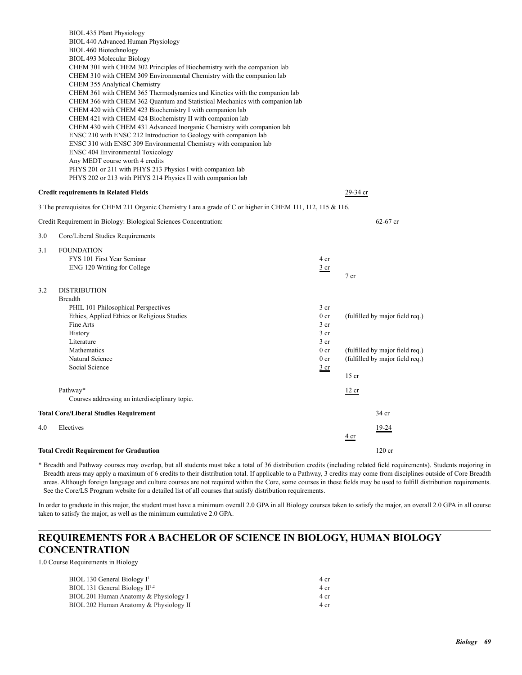|     | BIOL 435 Plant Physiology<br>BIOL 440 Advanced Human Physiology<br>BIOL 460 Biotechnology<br>BIOL 493 Molecular Biology<br>CHEM 301 with CHEM 302 Principles of Biochemistry with the companion lab<br>CHEM 310 with CHEM 309 Environmental Chemistry with the companion lab<br><b>CHEM 355 Analytical Chemistry</b><br>CHEM 361 with CHEM 365 Thermodynamics and Kinetics with the companion lab<br>CHEM 366 with CHEM 362 Quantum and Statistical Mechanics with companion lab<br>CHEM 420 with CHEM 423 Biochemistry I with companion lab<br>CHEM 421 with CHEM 424 Biochemistry II with companion lab<br>CHEM 430 with CHEM 431 Advanced Inorganic Chemistry with companion lab<br>ENSC 210 with ENSC 212 Introduction to Geology with companion lab<br>ENSC 310 with ENSC 309 Environmental Chemistry with companion lab<br><b>ENSC 404 Environmental Toxicology</b><br>Any MEDT course worth 4 credits<br>PHYS 201 or 211 with PHYS 213 Physics I with companion lab<br>PHYS 202 or 213 with PHYS 214 Physics II with companion lab |                                                                                                                                          |                 |                                                                                                       |
|-----|-------------------------------------------------------------------------------------------------------------------------------------------------------------------------------------------------------------------------------------------------------------------------------------------------------------------------------------------------------------------------------------------------------------------------------------------------------------------------------------------------------------------------------------------------------------------------------------------------------------------------------------------------------------------------------------------------------------------------------------------------------------------------------------------------------------------------------------------------------------------------------------------------------------------------------------------------------------------------------------------------------------------------------------------|------------------------------------------------------------------------------------------------------------------------------------------|-----------------|-------------------------------------------------------------------------------------------------------|
|     | <b>Credit requirements in Related Fields</b>                                                                                                                                                                                                                                                                                                                                                                                                                                                                                                                                                                                                                                                                                                                                                                                                                                                                                                                                                                                              |                                                                                                                                          | 29-34 cr        |                                                                                                       |
|     | 3 The prerequisites for CHEM 211 Organic Chemistry I are a grade of C or higher in CHEM 111, 112, 115 & 116.                                                                                                                                                                                                                                                                                                                                                                                                                                                                                                                                                                                                                                                                                                                                                                                                                                                                                                                              |                                                                                                                                          |                 |                                                                                                       |
|     | Credit Requirement in Biology: Biological Sciences Concentration:                                                                                                                                                                                                                                                                                                                                                                                                                                                                                                                                                                                                                                                                                                                                                                                                                                                                                                                                                                         |                                                                                                                                          |                 | $62 - 67$ cr                                                                                          |
| 3.0 | Core/Liberal Studies Requirements                                                                                                                                                                                                                                                                                                                                                                                                                                                                                                                                                                                                                                                                                                                                                                                                                                                                                                                                                                                                         |                                                                                                                                          |                 |                                                                                                       |
| 3.1 | <b>FOUNDATION</b><br>FYS 101 First Year Seminar<br>ENG 120 Writing for College                                                                                                                                                                                                                                                                                                                                                                                                                                                                                                                                                                                                                                                                                                                                                                                                                                                                                                                                                            | 4 cr<br>$rac{3}{2}$ cr                                                                                                                   | 7 <sub>cr</sub> |                                                                                                       |
| 3.2 | <b>DISTRIBUTION</b><br><b>Breadth</b><br>PHIL 101 Philosophical Perspectives<br>Ethics, Applied Ethics or Religious Studies<br>Fine Arts<br>History<br>Literature<br>Mathematics<br>Natural Science<br>Social Science                                                                                                                                                                                                                                                                                                                                                                                                                                                                                                                                                                                                                                                                                                                                                                                                                     | 3 <sub>cr</sub><br>0 <sub>cr</sub><br>3 <sub>cr</sub><br>3 <sub>cr</sub><br>3 cr<br>0 <sub>cr</sub><br>0 <sub>cr</sub><br>$rac{3}{2}$ cr |                 | (fulfilled by major field req.)<br>(fulfilled by major field req.)<br>(fulfilled by major field req.) |
|     |                                                                                                                                                                                                                                                                                                                                                                                                                                                                                                                                                                                                                                                                                                                                                                                                                                                                                                                                                                                                                                           |                                                                                                                                          | $15$ cr         |                                                                                                       |
|     | Pathway*<br>Courses addressing an interdisciplinary topic.                                                                                                                                                                                                                                                                                                                                                                                                                                                                                                                                                                                                                                                                                                                                                                                                                                                                                                                                                                                |                                                                                                                                          | 12 cr           |                                                                                                       |
|     | <b>Total Core/Liberal Studies Requirement</b>                                                                                                                                                                                                                                                                                                                                                                                                                                                                                                                                                                                                                                                                                                                                                                                                                                                                                                                                                                                             |                                                                                                                                          |                 | 34 cr                                                                                                 |
| 4.0 | Electives                                                                                                                                                                                                                                                                                                                                                                                                                                                                                                                                                                                                                                                                                                                                                                                                                                                                                                                                                                                                                                 |                                                                                                                                          | <u>4 cr</u>     | 19-24                                                                                                 |
|     | <b>Total Credit Requirement for Graduation</b>                                                                                                                                                                                                                                                                                                                                                                                                                                                                                                                                                                                                                                                                                                                                                                                                                                                                                                                                                                                            |                                                                                                                                          |                 | 120 cr                                                                                                |
|     |                                                                                                                                                                                                                                                                                                                                                                                                                                                                                                                                                                                                                                                                                                                                                                                                                                                                                                                                                                                                                                           |                                                                                                                                          |                 |                                                                                                       |

In order to graduate in this major, the student must have a minimum overall 2.0 GPA in all Biology courses taken to satisfy the major, an overall 2.0 GPA in all course taken to satisfy the major, as well as the minimum cumulative 2.0 GPA.

# **REQUIREMENTS FOR A BACHELOR OF SCIENCE IN BIOLOGY, HUMAN BIOLOGY CONCENTRATION**

1.0 Course Requirements in Biology

| $BIOL$ 130 General Biology $I1$        | 4 cr |
|----------------------------------------|------|
| $BIOL 131$ General Biology $II1,2$     | 4 cr |
| BIOL 201 Human Anatomy & Physiology I  | 4 cr |
| BIOL 202 Human Anatomy & Physiology II | 4 cr |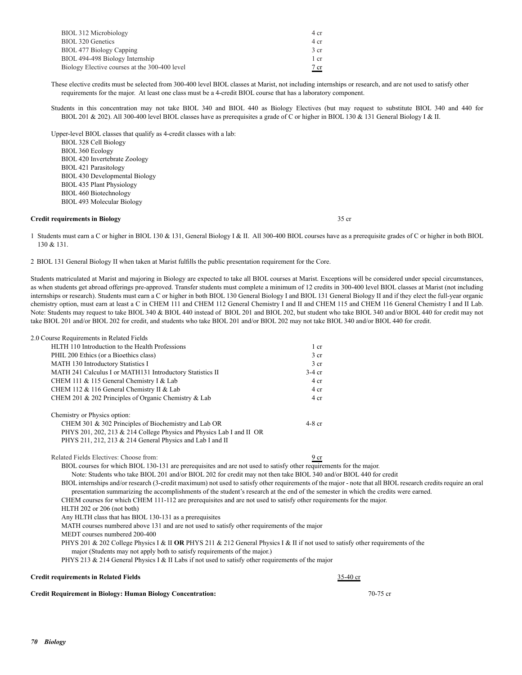| BIOL 312 Microbiology                         | 4 cr |
|-----------------------------------------------|------|
| BIOL 320 Genetics                             | 4 cr |
| BIOL 477 Biology Capping                      | 3 cr |
| BIOL 494-498 Biology Internship               | 1 cr |
| Biology Elective courses at the 300-400 level | 7 cr |

 These elective credits must be selected from 300-400 level BIOL classes at Marist, not including internships or research, and are not used to satisfy other requirements for the major. At least one class must be a 4-credit BIOL course that has a laboratory component.

 Students in this concentration may not take BIOL 340 and BIOL 440 as Biology Electives (but may request to substitute BIOL 340 and 440 for BIOL 201 & 202). All 300-400 level BIOL classes have as prerequisites a grade of C or higher in BIOL 130 & 131 General Biology I & II.

 Upper-level BIOL classes that qualify as 4-credit classes with a lab: BIOL 328 Cell Biology BIOL 360 Ecology BIOL 420 Invertebrate Zoology BIOL 421 Parasitology BIOL 430 Developmental Biology BIOL 435 Plant Physiology BIOL 460 Biotechnology BIOL 493 Molecular Biology

#### **Credit requirements in Biology** 35 cr

1 Students must earn a C or higher in BIOL 130 & 131, General Biology I & II. All 300-400 BIOL courses have as a prerequisite grades of C or higher in both BIOL 130 & 131.

2 BIOL 131 General Biology II when taken at Marist fulfills the public presentation requirement for the Core.

Students matriculated at Marist and majoring in Biology are expected to take all BIOL courses at Marist. Exceptions will be considered under special circumstances, as when students get abroad offerings pre-approved. Transfer students must complete a minimum of 12 credits in 300-400 level BIOL classes at Marist (not including internships or research). Students must earn a C or higher in both BIOL 130 General Biology I and BIOL 131 General Biology II and if they elect the full-year organic chemistry option, must earn at least a C in CHEM 111 and CHEM 112 General Chemistry I and II and CHEM 115 and CHEM 116 General Chemistry I and II Lab. Note: Students may request to take BIOL 340 & BIOL 440 instead of BIOL 201 and BIOL 202, but student who take BIOL 340 and/or BIOL 440 for credit may not take BIOL 201 and/or BIOL 202 for credit, and students who take BIOL 201 and/or BIOL 202 may not take BIOL 340 and/or BIOL 440 for credit.

| 2.0 Course Requirements in Related Fields                                                                                                                                                                                                                                                            |                 |  |
|------------------------------------------------------------------------------------------------------------------------------------------------------------------------------------------------------------------------------------------------------------------------------------------------------|-----------------|--|
| HLTH 110 Introduction to the Health Professions                                                                                                                                                                                                                                                      | $1$ cr          |  |
| PHIL 200 Ethics (or a Bioethics class)                                                                                                                                                                                                                                                               | 3 <sub>cr</sub> |  |
| MATH 130 Introductory Statistics I                                                                                                                                                                                                                                                                   | 3 <sub>cr</sub> |  |
| MATH 241 Calculus I or MATH131 Introductory Statistics II                                                                                                                                                                                                                                            | $3-4$ cr        |  |
| CHEM 111 & 115 General Chemistry I & Lab                                                                                                                                                                                                                                                             | 4 cr            |  |
| CHEM 112 & 116 General Chemistry II & Lab                                                                                                                                                                                                                                                            | 4 cr            |  |
| CHEM 201 & 202 Principles of Organic Chemistry & Lab                                                                                                                                                                                                                                                 | 4 cr            |  |
| Chemistry or Physics option:                                                                                                                                                                                                                                                                         |                 |  |
| CHEM 301 & 302 Principles of Biochemistry and Lab OR                                                                                                                                                                                                                                                 | $4-8$ cr        |  |
| PHYS 201, 202, 213 & 214 College Physics and Physics Lab I and II OR                                                                                                                                                                                                                                 |                 |  |
| PHYS 211, 212, 213 & 214 General Physics and Lab I and II                                                                                                                                                                                                                                            |                 |  |
| Related Fields Electives: Choose from:                                                                                                                                                                                                                                                               | 9 <sub>cr</sub> |  |
| BIOL courses for which BIOL 130-131 are prerequisites and are not used to satisfy other requirements for the major.                                                                                                                                                                                  |                 |  |
| Note: Students who take BIOL 201 and/or BIOL 202 for credit may not then take BIOL 340 and/or BIOL 440 for credit                                                                                                                                                                                    |                 |  |
| BIOL internships and/or research (3-credit maximum) not used to satisfy other requirements of the major - note that all BIOL research credits require an oral<br>presentation summarizing the accomplishments of the student's research at the end of the semester in which the credits were earned. |                 |  |
| CHEM courses for which CHEM 111-112 are prerequisites and are not used to satisfy other requirements for the major.                                                                                                                                                                                  |                 |  |
| HLTH 202 or 206 (not both)                                                                                                                                                                                                                                                                           |                 |  |
| Any HLTH class that has BIOL 130-131 as a prerequisites                                                                                                                                                                                                                                              |                 |  |
| MATH courses numbered above 131 and are not used to satisfy other requirements of the major                                                                                                                                                                                                          |                 |  |
| MEDT courses numbered 200-400                                                                                                                                                                                                                                                                        |                 |  |
| PHYS 201 & 202 College Physics I & II OR PHYS 211 & 212 General Physics I & II if not used to satisfy other requirements of the                                                                                                                                                                      |                 |  |
| major (Students may not apply both to satisfy requirements of the major.)                                                                                                                                                                                                                            |                 |  |
| PHYS 213 & 214 General Physics I & II Labs if not used to satisfy other requirements of the major                                                                                                                                                                                                    |                 |  |
| <b>Credit requirements in Related Fields</b>                                                                                                                                                                                                                                                         | 35-40 cr        |  |

**Credit Requirement in Biology: Human Biology Concentration:** 70-75 cr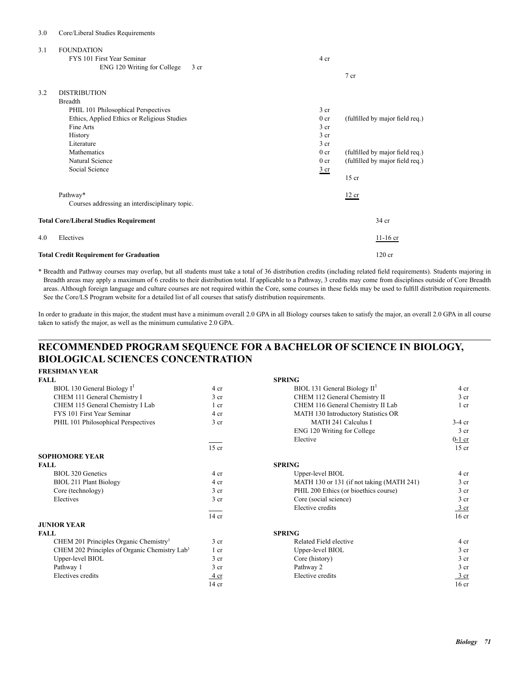## 3.0 Core/Liberal Studies Requirements

| 3.1 | <b>FOUNDATION</b><br>FYS 101 First Year Seminar<br>ENG 120 Writing for College<br>3 cr | 4 cr            | 7 cr                            |
|-----|----------------------------------------------------------------------------------------|-----------------|---------------------------------|
| 3.2 | <b>DISTRIBUTION</b>                                                                    |                 |                                 |
|     | <b>Breadth</b>                                                                         |                 |                                 |
|     | PHIL 101 Philosophical Perspectives                                                    | 3 <sub>cr</sub> |                                 |
|     | Ethics, Applied Ethics or Religious Studies                                            | 0 <sub>cr</sub> | (fulfilled by major field req.) |
|     | Fine Arts                                                                              | 3 <sub>cr</sub> |                                 |
|     | History                                                                                | 3 cr            |                                 |
|     | Literature                                                                             | $3$ cr          |                                 |
|     | Mathematics                                                                            | 0 <sub>cr</sub> | (fulfilled by major field req.) |
|     | Natural Science                                                                        | 0 <sub>cr</sub> | (fulfilled by major field req.) |
|     | Social Science                                                                         | $rac{3}{2}$ cr  |                                 |
|     |                                                                                        |                 | $15$ cr                         |
|     | Pathway*                                                                               |                 | 12 cr                           |
|     | Courses addressing an interdisciplinary topic.                                         |                 |                                 |
|     | <b>Total Core/Liberal Studies Requirement</b>                                          |                 | 34 cr                           |
| 4.0 | Electives                                                                              |                 | $11-16$ cr                      |
|     | <b>Total Credit Requirement for Graduation</b>                                         |                 | $120$ cr                        |

\* Breadth and Pathway courses may overlap, but all students must take a total of 36 distribution credits (including related field requirements). Students majoring in Breadth areas may apply a maximum of 6 credits to their distribution total. If applicable to a Pathway, 3 credits may come from disciplines outside of Core Breadth areas. Although foreign language and culture courses are not required within the Core, some courses in these fields may be used to fulfill distribution requirements. See the Core/LS Program website for a detailed list of all courses that satisfy distribution requirements.

In order to graduate in this major, the student must have a minimum overall 2.0 GPA in all Biology courses taken to satisfy the major, an overall 2.0 GPA in all course taken to satisfy the major, as well as the minimum cumulative 2.0 GPA.

# **RECOMMENDED PROGRAM SEQUENCE FOR A BACHELOR OF SCIENCE IN BIOLOGY, BIOLOGICAL SCIENCES CONCENTRATION**

## **FRESHMAN YEAR**

| <b>FALL</b>                                               |                 | <b>SPRING</b>                             |                  |
|-----------------------------------------------------------|-----------------|-------------------------------------------|------------------|
| BIOL 130 General Biology $I^1$                            | 4 cr            | BIOL 131 General Biology $II1$            | 4 cr             |
| CHEM 111 General Chemistry I                              | 3 <sub>cr</sub> | CHEM 112 General Chemistry II             | 3 <sub>cr</sub>  |
| CHEM 115 General Chemistry I Lab                          | 1 <sub>cr</sub> | CHEM 116 General Chemistry II Lab         | 1 <sub>cr</sub>  |
| FYS 101 First Year Seminar                                | 4 cr            | MATH 130 Introductory Statistics OR       |                  |
| PHIL 101 Philosophical Perspectives                       | 3 <sub>cr</sub> | <b>MATH 241 Calculus I</b>                | $3-4$ cr         |
|                                                           |                 | ENG 120 Writing for College               | 3 <sub>cr</sub>  |
|                                                           |                 | Elective                                  | $0-1$ cr         |
|                                                           | $15$ cr         |                                           | $15$ cr          |
| <b>SOPHOMORE YEAR</b>                                     |                 |                                           |                  |
| <b>FALL</b>                                               |                 | <b>SPRING</b>                             |                  |
| BIOL 320 Genetics                                         | 4 cr            | Upper-level BIOL                          | 4 <sub>cr</sub>  |
| BIOL 211 Plant Biology                                    | 4 cr            | MATH 130 or 131 (if not taking (MATH 241) | 3 <sub>cr</sub>  |
| Core (technology)                                         | 3 <sub>cr</sub> | PHIL 200 Ethics (or bioethics course)     | 3 <sub>cr</sub>  |
| Electives                                                 | 3 <sub>cr</sub> | Core (social science)                     | 3 <sub>cr</sub>  |
|                                                           |                 | Elective credits                          | $\frac{3}{ }$ cr |
|                                                           | $14$ cr         |                                           | 16 <sub>cr</sub> |
| <b>JUNIOR YEAR</b>                                        |                 |                                           |                  |
| <b>FALL</b>                                               |                 | <b>SPRING</b>                             |                  |
| CHEM 201 Principles Organic Chemistry <sup>3</sup>        | 3 <sub>cr</sub> | Related Field elective                    | 4 cr             |
| CHEM 202 Principles of Organic Chemistry Lab <sup>3</sup> | 1 cr            | Upper-level BIOL                          | 3 <sub>cr</sub>  |
| Upper-level BIOL                                          | 3 <sub>cr</sub> | Core (history)                            | 3 <sub>cr</sub>  |
| Pathway 1                                                 | 3 <sub>cr</sub> | Pathway 2                                 | 3 <sub>cr</sub>  |
| Electives credits                                         | 4 cr            | Elective credits                          | 3 <sub>cr</sub>  |
|                                                           | $14$ cr         |                                           | 16 <sub>cr</sub> |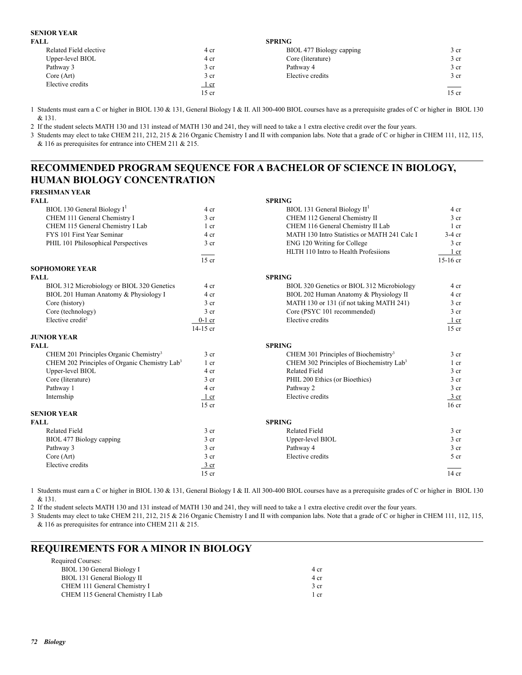## **SENIOR YEAR**

|                 | <b>SPRING</b>            |                                |
|-----------------|--------------------------|--------------------------------|
| 4 cr            | BIOL 477 Biology capping | 3 <sub>cr</sub>                |
| 4 cr            | Core (literature)        | 3 <sub>cr</sub>                |
| 3 <sub>cr</sub> | Pathway 4                | 3 <sub>cr</sub>                |
| 3 cr            | Elective credits         | 3 <sub>cr</sub>                |
| $1$ cr          |                          | $\overbrace{\hspace{25mm}}^{}$ |
| $15$ cr         |                          | $15$ cr                        |
|                 |                          |                                |

1 Students must earn a C or higher in BIOL 130 & 131, General Biology I & II. All 300-400 BIOL courses have as a prerequisite grades of C or higher in BIOL 130 & 131.

2 If the student selects MATH 130 and 131 instead of MATH 130 and 241, they will need to take a 1 extra elective credit over the four years.

3 Students may elect to take CHEM 211, 212, 215 & 216 Organic Chemistry I and II with companion labs. Note that a grade of C or higher in CHEM 111, 112, 115, & 116 as prerequisites for entrance into CHEM 211 & 215.

# **RECOMMENDED PROGRAM SEQUENCE FOR A BACHELOR OF SCIENCE IN BIOLOGY, HUMAN BIOLOGY CONCENTRATION**

| FRESHMAN YEAR                                             |                 |                                                      |                  |
|-----------------------------------------------------------|-----------------|------------------------------------------------------|------------------|
| FALL.                                                     |                 | <b>SPRING</b>                                        |                  |
| BIOL 130 General Biology I <sup>1</sup>                   | 4 cr            | BIOL 131 General Biology $II1$                       | 4 cr             |
| CHEM 111 General Chemistry I                              | 3 <sub>cr</sub> | CHEM 112 General Chemistry II                        | 3 <sub>cr</sub>  |
| CHEM 115 General Chemistry I Lab                          | $1$ cr          | CHEM 116 General Chemistry II Lab                    | $1$ cr           |
| FYS 101 First Year Seminar                                | 4 cr            | MATH 130 Intro Statistics or MATH 241 Calc I         | $3-4$ cr         |
| PHIL 101 Philosophical Perspectives                       | 3 <sub>cr</sub> | ENG 120 Writing for College                          | 3 <sub>cr</sub>  |
|                                                           |                 | HLTH 110 Intro to Health Profesiions                 | 1 cr             |
|                                                           | $15$ cr         |                                                      | $15-16$ cr       |
| <b>SOPHOMORE YEAR</b>                                     |                 |                                                      |                  |
| FALL                                                      |                 | <b>SPRING</b>                                        |                  |
| BIOL 312 Microbiology or BIOL 320 Genetics                | 4 cr            | BIOL 320 Genetics or BIOL 312 Microbiology           | 4 cr             |
| BIOL 201 Human Anatomy & Physiology I                     | 4 cr            | BIOL 202 Human Anatomy & Physiology II               | 4 cr             |
| Core (history)                                            | 3 <sub>cr</sub> | MATH 130 or 131 (if not taking MATH 241)             | 3 <sub>cr</sub>  |
| Core (technology)                                         | 3 <sub>cr</sub> | Core (PSYC 101 recommended)                          | 3 <sub>cr</sub>  |
| Elective credit <sup>2</sup>                              | $0-1$ cr        | Elective credits                                     | $1$ cr           |
|                                                           | $14-15$ cr      |                                                      | $15$ cr          |
| <b>JUNIOR YEAR</b>                                        |                 |                                                      |                  |
| FALL                                                      |                 | <b>SPRING</b>                                        |                  |
| CHEM 201 Principles Organic Chemistry <sup>3</sup>        | 3 <sub>cr</sub> | CHEM 301 Principles of Biochemistry <sup>3</sup>     | 3 <sub>cr</sub>  |
| CHEM 202 Principles of Organic Chemistry Lab <sup>3</sup> | $1$ cr          | CHEM 302 Principles of Biochemistry Lab <sup>3</sup> | $1$ cr           |
| Upper-level BIOL                                          | 4 cr            | <b>Related Field</b>                                 | 3 <sub>cr</sub>  |
| Core (literature)                                         | 3 <sub>cr</sub> | PHIL 200 Ethics (or Bioethics)                       | 3 <sub>cr</sub>  |
| Pathway 1                                                 | 4 cr            | Pathway 2                                            | 3 <sub>cr</sub>  |
| Internship                                                | $1$ cr          | Elective credits                                     | 3 cr             |
|                                                           | $15$ cr         |                                                      | 16 <sub>cr</sub> |
| <b>SENIOR YEAR</b>                                        |                 |                                                      |                  |
| <b>FALL</b>                                               |                 | <b>SPRING</b>                                        |                  |
| <b>Related Field</b>                                      | 3 <sub>cr</sub> | <b>Related Field</b>                                 | 3 <sub>cr</sub>  |
| BIOL 477 Biology capping                                  | 3 <sub>cr</sub> | Upper-level BIOL                                     | 3 <sub>cr</sub>  |
| Pathway 3                                                 | 3 <sub>cr</sub> | Pathway 4                                            | 3 <sub>cr</sub>  |
| Core (Art)                                                | 3 <sub>cr</sub> | Elective credits                                     | 5 cr             |
| Elective credits                                          | $3$ cr          |                                                      |                  |
|                                                           | $15$ cr         |                                                      | $14$ cr          |

1 Students must earn a C or higher in BIOL 130 & 131, General Biology I & II. All 300-400 BIOL courses have as a prerequisite grades of C or higher in BIOL 130 & 131.

2 If the student selects MATH 130 and 131 instead of MATH 130 and 241, they will need to take a 1 extra elective credit over the four years.

3 Students may elect to take CHEM 211, 212, 215 & 216 Organic Chemistry I and II with companion labs. Note that a grade of C or higher in CHEM 111, 112, 115, & 116 as prerequisites for entrance into CHEM 211 & 215.

# **REQUIREMENTS FOR A MINOR IN BIOLOGY**

| 4 cr |
|------|
| 4 cr |
| 3 cr |
| 1 cr |
|      |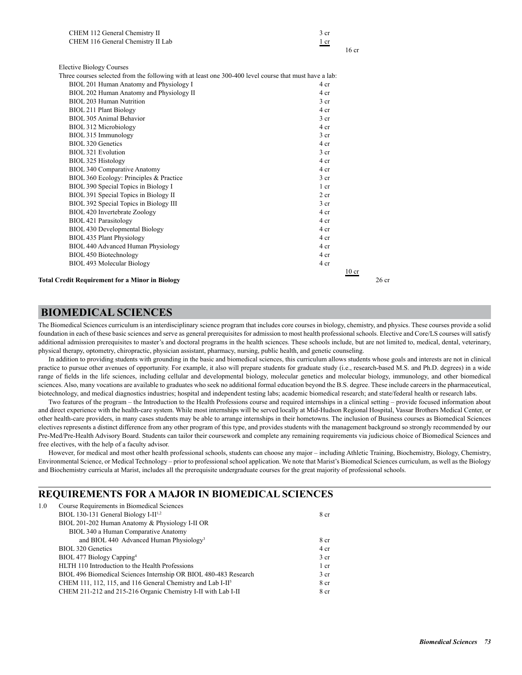| CHEM 112 General Chemistry II                                                                          | 3 cr             |
|--------------------------------------------------------------------------------------------------------|------------------|
| CHEM 116 General Chemistry II Lab                                                                      | 1 cr             |
|                                                                                                        | 16 <sub>cr</sub> |
| <b>Elective Biology Courses</b>                                                                        |                  |
| Three courses selected from the following with at least one 300-400 level course that must have a lab: |                  |
| BIOL 201 Human Anatomy and Physiology I                                                                | 4 cr             |
| BIOL 202 Human Anatomy and Physiology II                                                               | 4 cr             |
| BIOL 203 Human Nutrition                                                                               | 3 <sub>cr</sub>  |
| <b>BIOL 211 Plant Biology</b>                                                                          | 4 cr             |
| <b>BIOL 305 Animal Behavior</b>                                                                        | 3 <sub>cr</sub>  |
| BIOL 312 Microbiology                                                                                  | 4 cr             |
| BIOL 315 Immunology                                                                                    | 3 <sub>cr</sub>  |
| <b>BIOL 320 Genetics</b>                                                                               | 4 cr             |
| <b>BIOL 321 Evolution</b>                                                                              | 3 cr             |
| BIOL 325 Histology                                                                                     | 4 cr             |
| <b>BIOL 340 Comparative Anatomy</b>                                                                    | 4 cr             |
| BIOL 360 Ecology: Principles & Practice                                                                | 3 <sub>cr</sub>  |
| BIOL 390 Special Topics in Biology I                                                                   | $1$ cr           |
| BIOL 391 Special Topics in Biology II                                                                  | 2 <sub>cr</sub>  |
| BIOL 392 Special Topics in Biology III                                                                 | 3 <sub>cr</sub>  |
| BIOL 420 Invertebrate Zoology                                                                          | 4 cr             |
| BIOL 421 Parasitology                                                                                  | 4 cr             |
| BIOL 430 Developmental Biology                                                                         | 4 cr             |
| BIOL 435 Plant Physiology                                                                              | 4 cr             |
| BIOL 440 Advanced Human Physiology                                                                     | 4 cr             |
| <b>BIOL 450 Biotechnology</b>                                                                          | 4 cr             |
| BIOL 493 Molecular Biology                                                                             | 4 cr             |

 $\frac{10}{2}$  cr

**Total Credit Requirement for a Minor in Biology <b>26 credit Requirement for a Minor in Biology** 26 cr

## **BIOMEDICAL SCIENCES**

The Biomedical Sciences curriculum is an interdisciplinary science program that includes core courses in biology, chemistry, and physics. These courses provide a solid foundation in each of these basic sciences and serve as general prerequisites for admission to most health professional schools. Elective and Core/LS courses will satisfy additional admission prerequisites to master's and doctoral programs in the health sciences. These schools include, but are not limited to, medical, dental, veterinary, physical therapy, optometry, chiropractic, physician assistant, pharmacy, nursing, public health, and genetic counseling.

In addition to providing students with grounding in the basic and biomedical sciences, this curriculum allows students whose goals and interests are not in clinical practice to pursue other avenues of opportunity. For example, it also will prepare students for graduate study (i.e., research-based M.S. and Ph.D. degrees) in a wide range of fields in the life sciences, including cellular and developmental biology, molecular genetics and molecular biology, immunology, and other biomedical sciences. Also, many vocations are available to graduates who seek no additional formal education beyond the B.S. degree. These include careers in the pharmaceutical, biotechnology, and medical diagnostics industries; hospital and independent testing labs; academic biomedical research; and state/federal health or research labs.

Two features of the program – the Introduction to the Health Professions course and required internships in a clinical setting – provide focused information about and direct experience with the health-care system. While most internships will be served locally at Mid-Hudson Regional Hospital, Vassar Brothers Medical Center, or other health-care providers, in many cases students may be able to arrange internships in their hometowns. The inclusion of Business courses as Biomedical Sciences electives represents a distinct difference from any other program of this type, and provides students with the management background so strongly recommended by our Pre-Med/Pre-Health Advisory Board. Students can tailor their coursework and complete any remaining requirements via judicious choice of Biomedical Sciences and free electives, with the help of a faculty advisor.

However, for medical and most other health professional schools, students can choose any major – including Athletic Training, Biochemistry, Biology, Chemistry, Environmental Science, or Medical Technology – prior to professional school application. We note that Marist's Biomedical Sciences curriculum, as well as the Biology and Biochemistry curricula at Marist, includes all the prerequisite undergraduate courses for the great majority of professional schools.

## **REQUIREMENTS FOR A MAJOR IN BIOMEDICAL SCIENCES**

| 1.0 | Course Requirements in Biomedical Sciences                              |                 |
|-----|-------------------------------------------------------------------------|-----------------|
|     | BIOL 130-131 General Biology I-II <sup>1,2</sup>                        | 8 cr            |
|     | BIOL 201-202 Human Anatomy & Physiology I-II OR                         |                 |
|     | BIOL 340 a Human Comparative Anatomy                                    |                 |
|     | and BIOL 440 Advanced Human Physiology <sup>3</sup>                     | 8 cr            |
|     | BIOL 320 Genetics                                                       | 4 cr            |
|     | BIOL 477 Biology Capping <sup>4</sup>                                   | 3 <sub>cr</sub> |
|     | HLTH 110 Introduction to the Health Professions                         | 1 cr            |
|     | BIOL 496 Biomedical Sciences Internship OR BIOL 480-483 Research        | 3 <sub>cr</sub> |
|     | CHEM 111, 112, 115, and 116 General Chemistry and Lab I-II <sup>5</sup> | 8 cr            |
|     | CHEM 211-212 and 215-216 Organic Chemistry I-II with Lab I-II           | 8 cr            |
|     |                                                                         |                 |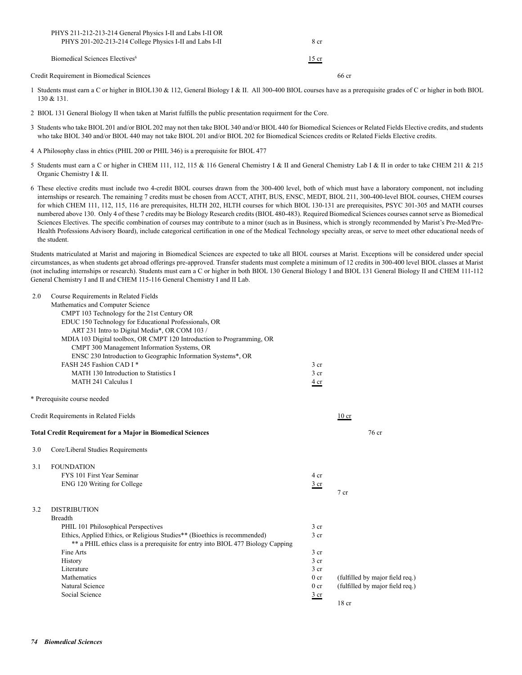| PHYS 211-212-213-214 General Physics I-II and Labs I-II OR<br>PHYS 201-202-213-214 College Physics I-II and Labs I-II | 8 cr              |
|-----------------------------------------------------------------------------------------------------------------------|-------------------|
| Biomedical Sciences Electives <sup>6</sup>                                                                            | $\frac{15}{ }$ cr |
| Credit Requirement in Biomedical Sciences                                                                             | 66 cr             |

- 1 Students must earn a C or higher in BIOL130 & 112, General Biology I & II. All 300-400 BIOL courses have as a prerequisite grades of C or higher in both BIOL 130 & 131.
- 2 BIOL 131 General Biology II when taken at Marist fulfills the public presentation requirment for the Core.
- 3 Students who take BIOL 201 and/or BIOL 202 may not then take BIOL 340 and/or BIOL 440 for Biomedical Sciences or Related Fields Elective credits, and students who take BIOL 340 and/or BIOL 440 may not take BIOL 201 and/or BIOL 202 for Biomedical Sciences credits or Related Fields Elective credits.
- 4 A Philosophy class in ehtics (PHIL 200 or PHIL 346) is a prerequisite for BIOL 477
- 5 Students must earn a C or higher in CHEM 111, 112, 115 & 116 General Chemistry I & II and General Chemistry Lab I & II in order to take CHEM 211 & 215 Organic Chemistry I & II.
- 6 These elective credits must include two 4-credit BIOL courses drawn from the 300-400 level, both of which must have a laboratory component, not including internships or research. The remaining 7 credits must be chosen from ACCT, ATHT, BUS, ENSC, MEDT, BIOL 211, 300-400-level BIOL courses, CHEM courses for which CHEM 111, 112, 115, 116 are prerequisites, HLTH 202, HLTH courses for which BIOL 130-131 are prerequisites, PSYC 301-305 and MATH courses numbered above 130. Only 4 of these 7 credits may be Biology Research credits (BIOL 480-483). Required Biomedical Sciences courses cannot serve as Biomedical Sciences Electives. The specific combination of courses may contribute to a minor (such as in Business, which is strongly recommended by Marist's Pre-Med/Pre-Health Professions Advisory Board), include categorical certification in one of the Medical Technology specialty areas, or serve to meet other educational needs of the student.

Students matriculated at Marist and majoring in Biomedical Sciences are expected to take all BIOL courses at Marist. Exceptions will be considered under special circumstances, as when students get abroad offerings pre-approved. Transfer students must complete a minimum of 12 credits in 300-400 level BIOL classes at Marist (not including internships or research). Students must earn a C or higher in both BIOL 130 General Biology I and BIOL 131 General Biology II and CHEM 111-112 General Chemistry I and II and CHEM 115-116 General Chemistry I and II Lab.

| 2.0 | Course Requirements in Related Fields                                            |                 |                                 |
|-----|----------------------------------------------------------------------------------|-----------------|---------------------------------|
|     | Mathematics and Computer Science                                                 |                 |                                 |
|     | CMPT 103 Technology for the 21st Century OR                                      |                 |                                 |
|     | EDUC 150 Technology for Educational Professionals, OR                            |                 |                                 |
|     | ART 231 Intro to Digital Media*, OR COM 103 /                                    |                 |                                 |
|     | MDIA 103 Digital toolbox, OR CMPT 120 Introduction to Programming, OR            |                 |                                 |
|     | CMPT 300 Management Information Systems, OR                                      |                 |                                 |
|     | ENSC 230 Introduction to Geographic Information Systems*, OR                     |                 |                                 |
|     | FASH 245 Fashion CAD I*                                                          | 3 <sub>cr</sub> |                                 |
|     | MATH 130 Introduction to Statistics I                                            | 3 <sub>cr</sub> |                                 |
|     | MATH 241 Calculus I                                                              | 4 <sub>cr</sub> |                                 |
|     | * Prerequisite course needed                                                     |                 |                                 |
|     | Credit Requirements in Related Fields                                            |                 | $10$ cr                         |
|     |                                                                                  |                 |                                 |
|     | <b>Total Credit Requirement for a Major in Biomedical Sciences</b>               |                 | 76 cr                           |
| 3.0 | Core/Liberal Studies Requirements                                                |                 |                                 |
| 3.1 | <b>FOUNDATION</b>                                                                |                 |                                 |
|     | FYS 101 First Year Seminar                                                       | 4 cr            |                                 |
|     | ENG 120 Writing for College                                                      | 3 <sub>cr</sub> |                                 |
|     |                                                                                  |                 | 7 <sub>cr</sub>                 |
|     |                                                                                  |                 |                                 |
| 3.2 | <b>DISTRIBUTION</b>                                                              |                 |                                 |
|     | <b>Breadth</b>                                                                   |                 |                                 |
|     | PHIL 101 Philosophical Perspectives                                              | 3 <sub>cr</sub> |                                 |
|     | Ethics, Applied Ethics, or Religious Studies** (Bioethics is recommended)        | 3 <sub>cr</sub> |                                 |
|     | ** a PHIL ethics class is a prerequisite for entry into BIOL 477 Biology Capping |                 |                                 |
|     | Fine Arts                                                                        | 3 <sub>cr</sub> |                                 |
|     | History                                                                          | 3 <sub>cr</sub> |                                 |
|     | Literature                                                                       | 3 <sub>cr</sub> |                                 |
|     | Mathematics                                                                      | 0 <sub>cr</sub> | (fulfilled by major field req.) |
|     | Natural Science                                                                  | 0 <sub>cr</sub> | (fulfilled by major field req.) |
|     | Social Science                                                                   | $rac{3}{2}$ cr  |                                 |
|     |                                                                                  |                 | 18 <sub>cr</sub>                |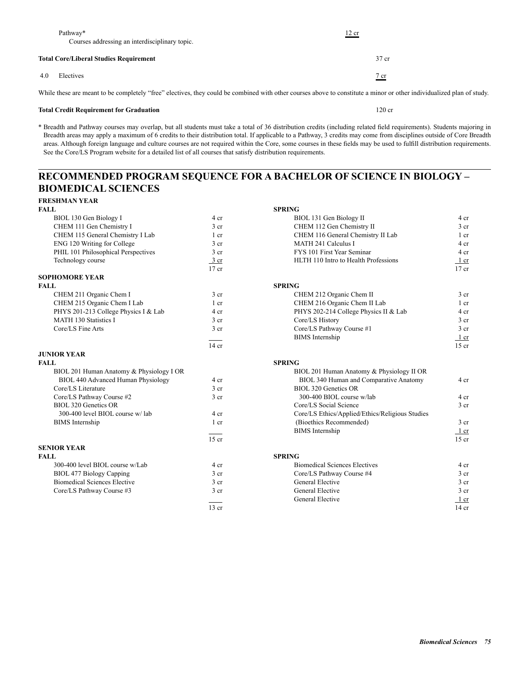|     | Pathway*<br>Courses addressing an interdisciplinary topic.                                                          | 12 cr |                    |
|-----|---------------------------------------------------------------------------------------------------------------------|-------|--------------------|
|     | <b>Total Core/Liberal Studies Requirement</b>                                                                       |       | $37$ cr            |
| 4.0 | Electives                                                                                                           |       | $\frac{7}{ }$ cr   |
|     | <br>the contract of the contract of the contract of the contract of the contract of the contract of the contract of |       | .<br>$\sim$ $\sim$ |

While these are meant to be completely "free" electives, they could be combined with other courses above to constitute a minor or other individualized plan of study.

## **Total Credit Requirement for Graduation** 120 cr

\* Breadth and Pathway courses may overlap, but all students must take a total of 36 distribution credits (including related field requirements). Students majoring in Breadth areas may apply a maximum of 6 credits to their distribution total. If applicable to a Pathway, 3 credits may come from disciplines outside of Core Breadth areas. Although foreign language and culture courses are not required within the Core, some courses in these fields may be used to fulfill distribution requirements. See the Core/LS Program website for a detailed list of all courses that satisfy distribution requirements.

# **RECOMMENDED PROGRAM SEQUENCE FOR A BACHELOR OF SCIENCE IN BIOLOGY – BIOMEDICAL SCIENCES**

| FRESHMAN YEAR                            |                 |                                                 |                 |
|------------------------------------------|-----------------|-------------------------------------------------|-----------------|
| <b>FALL</b>                              |                 | <b>SPRING</b>                                   |                 |
| BIOL 130 Gen Biology I                   | 4 cr            | BIOL 131 Gen Biology II                         | 4 cr            |
| CHEM 111 Gen Chemistry I                 | 3 <sub>cr</sub> | CHEM 112 Gen Chemistry II                       | 3 <sub>cr</sub> |
| CHEM 115 General Chemistry I Lab         | $1$ cr          | CHEM 116 General Chemistry II Lab               | $1$ cr          |
| ENG 120 Writing for College              | 3 <sub>cr</sub> | MATH 241 Calculus I                             | 4 cr            |
| PHIL 101 Philosophical Perspectives      | 3 <sub>cr</sub> | FYS 101 First Year Seminar                      | 4 cr            |
| Technology course                        | $3$ cr          | HLTH 110 Intro to Health Professions            | $1$ cr          |
|                                          | $17$ cr         |                                                 | $17$ cr         |
| <b>SOPHOMORE YEAR</b>                    |                 |                                                 |                 |
| FALL                                     |                 | <b>SPRING</b>                                   |                 |
| CHEM 211 Organic Chem I                  | 3 <sub>cr</sub> | CHEM 212 Organic Chem II                        | 3 <sub>cr</sub> |
| CHEM 215 Organic Chem I Lab              | 1 cr            | CHEM 216 Organic Chem II Lab                    | $1$ cr          |
| PHYS 201-213 College Physics I & Lab     | 4 cr            | PHYS 202-214 College Physics II & Lab           | 4 cr            |
| <b>MATH 130 Statistics I</b>             | 3 <sub>cr</sub> | Core/LS History                                 | 3 <sub>cr</sub> |
| Core/LS Fine Arts                        | 3 <sub>cr</sub> | Core/LS Pathway Course #1                       | 3 <sub>cr</sub> |
|                                          |                 | <b>BIMS</b> Internship                          | 1 cr            |
|                                          | $14$ cr         |                                                 | $15$ cr         |
| <b>JUNIOR YEAR</b>                       |                 |                                                 |                 |
| FALL                                     |                 | <b>SPRING</b>                                   |                 |
| BIOL 201 Human Anatomy & Physiology I OR |                 | BIOL 201 Human Anatomy & Physiology II OR       |                 |
| BIOL 440 Advanced Human Physiology       | 4 cr            | BIOL 340 Human and Comparative Anatomy          | 4 cr            |
| Core/LS Literature                       | 3 <sub>cr</sub> | <b>BIOL 320 Genetics OR</b>                     |                 |
| Core/LS Pathway Course #2                | 3 <sub>cr</sub> | 300-400 BIOL course w/lab                       | 4 cr            |
| BIOL 320 Genetics OR                     |                 | Core/LS Social Science                          | 3 <sub>cr</sub> |
| 300-400 level BIOL course w/lab          | 4 cr            | Core/LS Ethics/Applied/Ethics/Religious Studies |                 |
| <b>BIMS</b> Internship                   | $1$ cr          | (Bioethics Recommended)                         | 3 <sub>cr</sub> |
|                                          |                 | <b>BIMS</b> Internship                          | $1$ cr          |
|                                          | $15$ cr         |                                                 | $15$ cr         |
| <b>SENIOR YEAR</b>                       |                 |                                                 |                 |
| <b>FALL</b>                              |                 | <b>SPRING</b>                                   |                 |
| 300-400 level BIOL course w/Lab          | 4 cr            | <b>Biomedical Sciences Electives</b>            | 4 cr            |
| BIOL 477 Biology Capping                 | 3 <sub>cr</sub> | Core/LS Pathway Course #4                       | 3 <sub>cr</sub> |
| <b>Biomedical Sciences Elective</b>      | 3 <sub>cr</sub> | General Elective                                | 3 <sub>cr</sub> |
| Core/LS Pathway Course #3                | $3$ cr          | <b>General Elective</b>                         | 3 <sub>cr</sub> |
|                                          |                 | General Elective                                | $1$ cr          |
|                                          | $13$ cr         |                                                 | $14$ cr         |
|                                          |                 |                                                 |                 |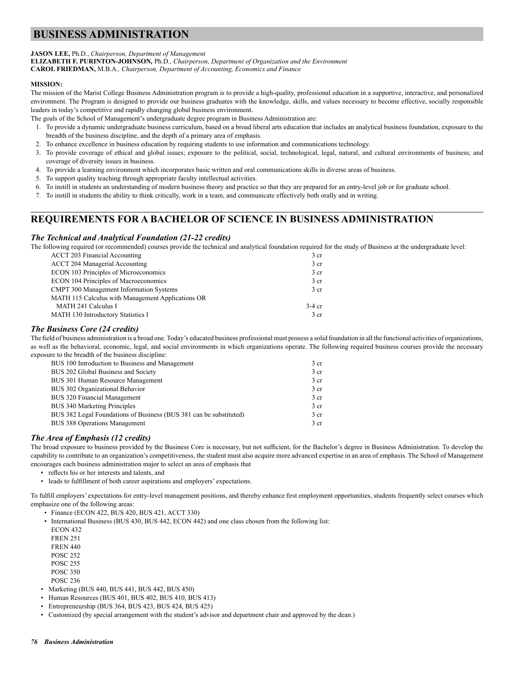# **BUSINESS ADMINISTRATION**

## **JASON LEE,** Ph.D., *Chairperson, Department of Management*

**ELIZABETH F. PURINTON-JOHNSON***,* Ph.D*., Chairperson, Department of Organization and the Environment* **CAROL FRIEDMAN,** M.B.A*., Chairperson, Department of Accounting, Economics and Finance*

## **MISSION:**

The mission of the Marist College Business Administration program is to provide a high-quality, professional education in a supportive, interactive, and personalized environment. The Program is designed to provide our business graduates with the knowledge, skills, and values necessary to become effective, socially responsible leaders in today's competitive and rapidly changing global business environment.

The goals of the School of Management's undergraduate degree program in Business Administration are:

- 1. To provide a dynamic undergraduate business curriculum, based on a broad liberal arts education that includes an analytical business foundation, exposure to the breadth of the business discipline, and the depth of a primary area of emphasis.
- 2. To enhance excellence in business education by requiring students to use information and communications technology.
- 3. To provide coverage of ethical and global issues; exposure to the political, social, technological, legal, natural, and cultural environments of business; and coverage of diversity issues in business.
- 4. To provide a learning environment which incorporates basic written and oral communications skills in diverse areas of business.
- 5. To support quality teaching through appropriate faculty intellectual activities.
- 6. To instill in students an understanding of modern business theory and practice so that they are prepared for an entry-level job or for graduate school.
- 7. To instill in students the ability to think critically, work in a team, and communicate effectively both orally and in writing.

## **REQUIREMENTS FOR A BACHELOR OF SCIENCE IN BUSINESS ADMINISTRATION**

## *The Technical and Analytical Foundation (21-22 credits)*

The following required (or recommended) courses provide the technical and analytical foundation required for the study of Business at the undergraduate level:

| 3 <sub>cr</sub> |
|-----------------|
| 3 <sub>cr</sub> |
| $3$ cr          |
| 3 <sub>cr</sub> |
| 3 <sub>cr</sub> |
|                 |
| $3-4$ cr        |
| 3 <sub>cr</sub> |
|                 |

## *The Business Core (24 credits)*

The field of business administration is a broad one. Today's educated business professional must possess a solid foundation in all the functional activities of organizations, as well as the behavioral, economic, legal, and social environments in which organizations operate. The following required business courses provide the necessary exposure to the breadth of the business discipline:

| BUS 100 Introduction to Business and Management                    | 3 <sub>cr</sub> |
|--------------------------------------------------------------------|-----------------|
| BUS 202 Global Business and Society                                | 3 cr            |
| BUS 301 Human Resource Management                                  | 3 <sub>cr</sub> |
| BUS 302 Organizational Behavior                                    | 3 <sub>cr</sub> |
| BUS 320 Financial Management                                       | 3 cr            |
| <b>BUS 340 Marketing Principles</b>                                | 3 <sub>cr</sub> |
| BUS 382 Legal Foundations of Business (BUS 381 can be substituted) | 3 <sub>cr</sub> |
| <b>BUS 388 Operations Management</b>                               | 3 <sub>cr</sub> |
|                                                                    |                 |

## *The Area of Emphasis (12 credits)*

The broad exposure to business provided by the Business Core is necessary, but not sufficient, for the Bachelor's degree in Business Administration. To develop the capability to contribute to an organization's competitiveness, the student must also acquire more advanced expertise in an area of emphasis. The School of Management encourages each business administration major to select an area of emphasis that

- reflects his or her interests and talents, and
- leads to fulfillment of both career aspirations and employers' expectations.

To fulfill employers' expectations for entry-level management positions, and thereby enhance first employment opportunities, students frequently select courses which emphasize one of the following areas:

- Finance (ECON 422, BUS 420, BUS 421, ACCT 330)
- International Business (BUS 430, BUS 442, ECON 442) and one class chosen from the following list: ECON 432
	- FREN 251
	- FREN 440
	- POSC 252
	- POSC 255
	- POSC 350
- POSC 236
- Marketing (BUS 440, BUS 441, BUS 442, BUS 450)
- Human Resources (BUS 401, BUS 402, BUS 410, BUS 413)
- Entrepreneurship (BUS 364, BUS 423, BUS 424, BUS 425)
- Customized (by special arrangement with the student's advisor and department chair and approved by the dean.)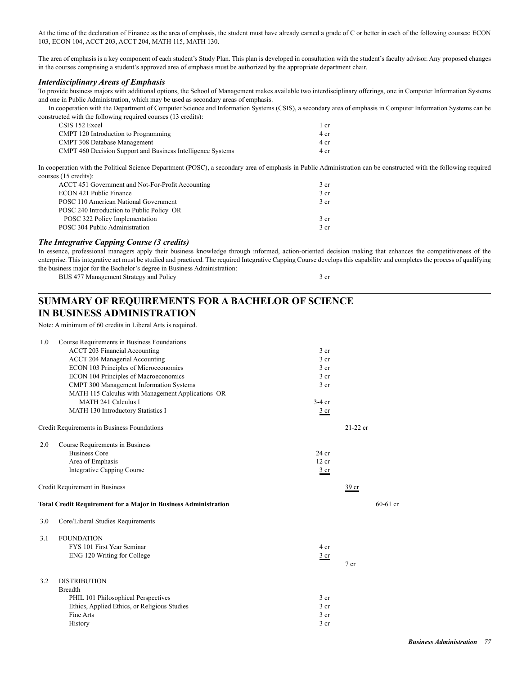At the time of the declaration of Finance as the area of emphasis, the student must have already earned a grade of C or better in each of the following courses: ECON 103, ECON 104, ACCT 203, ACCT 204, MATH 115, MATH 130.

The area of emphasis is a key component of each student's Study Plan. This plan is developed in consultation with the student's faculty advisor. Any proposed changes in the courses comprising a student's approved area of emphasis must be authorized by the appropriate department chair.

## *Interdisciplinary Areas of Emphasis*

To provide business majors with additional options, the School of Management makes available two interdisciplinary offerings, one in Computer Information Systems and one in Public Administration, which may be used as secondary areas of emphasis.

In cooperation with the Department of Computer Science and Information Systems (CSIS), a secondary area of emphasis in Computer Information Systems can be constructed with the following required courses (13 credits):

| CSIS 152 Excel                                                     | l cr |
|--------------------------------------------------------------------|------|
| CMPT 120 Introduction to Programming                               | 4 cr |
| <b>CMPT 308 Database Management</b>                                | 4 cr |
| <b>CMPT</b> 460 Decision Support and Business Intelligence Systems | 4 cr |

In cooperation with the Political Science Department (POSC), a secondary area of emphasis in Public Administration can be constructed with the following required courses (15 credits):

| ACCT 451 Government and Not-For-Profit Accounting | 3 <sub>cr</sub> |
|---------------------------------------------------|-----------------|
| ECON 421 Public Finance                           | 3 <sub>cr</sub> |
| POSC 110 American National Government             | 3 <sub>cr</sub> |
| POSC 240 Introduction to Public Policy OR         |                 |
| POSC 322 Policy Implementation                    | 3 <sub>cr</sub> |
| POSC 304 Public Administration                    | 3 <sub>cr</sub> |
|                                                   |                 |

## *The Integrative Capping Course (3 credits)*

In essence, professional managers apply their business knowledge through informed, action-oriented decision making that enhances the competitiveness of the enterprise. This integrative act must be studied and practiced. The required Integrative Capping Course develops this capability and completes the process of qualifying the business major for the Bachelor's degree in Business Administration:

BUS 477 Management Strategy and Policy 3 cr

# **SUMMARY OF REQUIREMENTS FOR A BACHELOR OF SCIENCE IN BUSINESS ADMINISTRATION**

Note: A minimum of 60 credits in Liberal Arts is required.

| 1.0 | Course Requirements in Business Foundations                            |                 |                  |            |
|-----|------------------------------------------------------------------------|-----------------|------------------|------------|
|     | <b>ACCT 203 Financial Accounting</b>                                   | 3 <sub>cr</sub> |                  |            |
|     | <b>ACCT 204 Managerial Accounting</b>                                  | 3 <sub>cr</sub> |                  |            |
|     | ECON 103 Principles of Microeconomics                                  | 3 cr            |                  |            |
|     | ECON 104 Principles of Macroeconomics                                  | 3 <sub>cr</sub> |                  |            |
|     | <b>CMPT 300 Management Information Systems</b>                         | 3 <sub>cr</sub> |                  |            |
|     | MATH 115 Calculus with Management Applications OR                      |                 |                  |            |
|     | MATH 241 Calculus I                                                    | $3-4$ cr        |                  |            |
|     | MATH 130 Introductory Statistics I                                     | 3 <sub>cr</sub> |                  |            |
|     | Credit Requirements in Business Foundations                            |                 | $21-22$ cr       |            |
| 2.0 | Course Requirements in Business                                        |                 |                  |            |
|     | <b>Business Core</b>                                                   | $24$ cr         |                  |            |
|     | Area of Emphasis                                                       | 12 cr           |                  |            |
|     | <b>Integrative Capping Course</b>                                      | $rac{3}{ }$ cr  |                  |            |
|     | Credit Requirement in Business                                         |                 | 39 <sub>cr</sub> |            |
|     | <b>Total Credit Requirement for a Major in Business Administration</b> |                 |                  | $60-61$ cr |
| 3.0 | Core/Liberal Studies Requirements                                      |                 |                  |            |
| 3.1 | <b>FOUNDATION</b>                                                      |                 |                  |            |
|     | FYS 101 First Year Seminar                                             | 4 cr            |                  |            |
|     | ENG 120 Writing for College                                            | $rac{3}{2}$ cr  |                  |            |
|     |                                                                        |                 | 7 cr             |            |
| 3.2 | <b>DISTRIBUTION</b>                                                    |                 |                  |            |
|     | <b>Breadth</b>                                                         |                 |                  |            |
|     | PHIL 101 Philosophical Perspectives                                    | 3 <sub>cr</sub> |                  |            |
|     | Ethics, Applied Ethics, or Religious Studies                           | 3 <sub>cr</sub> |                  |            |
|     | Fine Arts                                                              | 3 cr            |                  |            |
|     | History                                                                | 3 cr            |                  |            |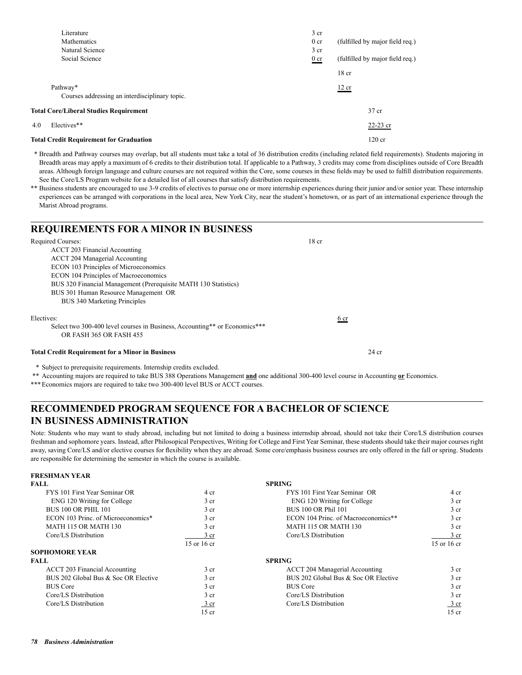|     | Literature                                     | 3 <sub>cr</sub> |                                 |
|-----|------------------------------------------------|-----------------|---------------------------------|
|     | Mathematics                                    | 0 <sub>cr</sub> | (fulfilled by major field req.) |
|     | Natural Science                                | 3 <sub>cr</sub> |                                 |
|     | Social Science                                 | 0 <sub>cr</sub> | (fulfilled by major field req.) |
|     |                                                |                 | 18 <sub>cr</sub>                |
|     | Pathway*                                       |                 | 12 cr                           |
|     | Courses addressing an interdisciplinary topic. |                 |                                 |
|     | <b>Total Core/Liberal Studies Requirement</b>  |                 | 37 cr                           |
| 4.0 | Electives**                                    |                 | $22-23$ cr                      |
|     | <b>Total Credit Requirement for Graduation</b> |                 | $120$ cr                        |

 \* Breadth and Pathway courses may overlap, but all students must take a total of 36 distribution credits (including related field requirements). Students majoring in Breadth areas may apply a maximum of 6 credits to their distribution total. If applicable to a Pathway, 3 credits may come from disciplines outside of Core Breadth areas. Although foreign language and culture courses are not required within the Core, some courses in these fields may be used to fulfill distribution requirements. See the Core/LS Program website for a detailed list of all courses that satisfy distribution requirements.

\*\* Business students are encouraged to use 3-9 credits of electives to pursue one or more internship experiences during their junior and/or senior year. These internship experiences can be arranged with corporations in the local area, New York City, near the student's hometown, or as part of an international experience through the Marist Abroad programs.

| <b>REQUIREMENTS FOR A MINOR IN BUSINESS</b>                                |                  |  |
|----------------------------------------------------------------------------|------------------|--|
| Required Courses:                                                          | 18 <sub>cr</sub> |  |
| <b>ACCT 203 Financial Accounting</b>                                       |                  |  |
| ACCT 204 Managerial Accounting                                             |                  |  |
| <b>ECON 103 Principles of Microeconomics</b>                               |                  |  |
| <b>ECON 104 Principles of Macroeconomics</b>                               |                  |  |
| BUS 320 Financial Management (Prerequisite MATH 130 Statistics)            |                  |  |
| BUS 301 Human Resource Management OR                                       |                  |  |
| BUS 340 Marketing Principles                                               |                  |  |
| Electives:                                                                 | 6 cr             |  |
| Select two 300-400 level courses in Business, Accounting** or Economics*** |                  |  |
| OR FASH 365 OR FASH 455                                                    |                  |  |
| <b>Total Credit Requirement for a Minor in Business</b>                    | $24$ cr          |  |

\* Subject to prerequisite requirements. Internship credits excluded.

\*\* Accounting majors are required to take BUS 388 Operations Management **and** one additional 300-400 level course in Accounting **or** Economics.

\*\*\*Economics majors are required to take two 300-400 level BUS or ACCT courses.

## **RECOMMENDED PROGRAM SEQUENCE FOR A BACHELOR OF SCIENCE IN BUSINESS ADMINISTRATION**

Note: Students who may want to study abroad, including but not limited to doing a business internship abroad, should not take their Core/LS distribution courses freshman and sophomore years. Instead, after Philosopical Perspectives, Writing for College and First Year Seminar, these students should take their major courses right away, saving Core/LS and/or elective courses for flexibility when they are abroad. Some core/emphasis business courses are only offered in the fall or spring. Students are responsible for determining the semester in which the course is available.

| FRESHBIAN I EAR                      |                 |                                      |                 |
|--------------------------------------|-----------------|--------------------------------------|-----------------|
| FALL                                 |                 | <b>SPRING</b>                        |                 |
| FYS 101 First Year Seminar OR        | 4 cr            | FYS 101 First Year Seminar OR        | 4 cr            |
| ENG 120 Writing for College          | 3 <sub>cr</sub> | ENG 120 Writing for College          | 3 cr            |
| <b>BUS 100 OR PHIL 101</b>           | 3 <sub>cr</sub> | BUS 100 OR Phil 101                  | 3 cr            |
| ECON 103 Princ. of Microeconomics*   | 3 <sub>cr</sub> | ECON 104 Princ. of Macroeconomics**  | 3 cr            |
| MATH 115 OR MATH 130                 | 3 <sub>cr</sub> | <b>MATH 115 OR MATH 130</b>          | 3 cr            |
| Core/LS Distribution                 | 3 <sub>cr</sub> | Core/LS Distribution                 | 3 cr            |
|                                      | 15 or 16 cr     |                                      | 15 or 16 cr     |
| <b>SOPHOMORE YEAR</b>                |                 |                                      |                 |
| FALL                                 |                 | <b>SPRING</b>                        |                 |
| ACCT 203 Financial Accounting        | 3 <sub>cr</sub> | ACCT 204 Managerial Accounting       | 3 cr            |
| BUS 202 Global Bus & Soc OR Elective | 3 <sub>cr</sub> | BUS 202 Global Bus & Soc OR Elective | 3 cr            |
| <b>BUS Core</b>                      | 3 <sub>cr</sub> | <b>BUS Core</b>                      | 3 cr            |
| Core/LS Distribution                 | 3 <sub>cr</sub> | Core/LS Distribution                 | 3 <sub>cr</sub> |
| Core/LS Distribution                 | $3$ cr          | Core/LS Distribution                 | 3 cr            |
|                                      | 15 cr           |                                      | $15$ cr         |

**FRESHMAN YEAR**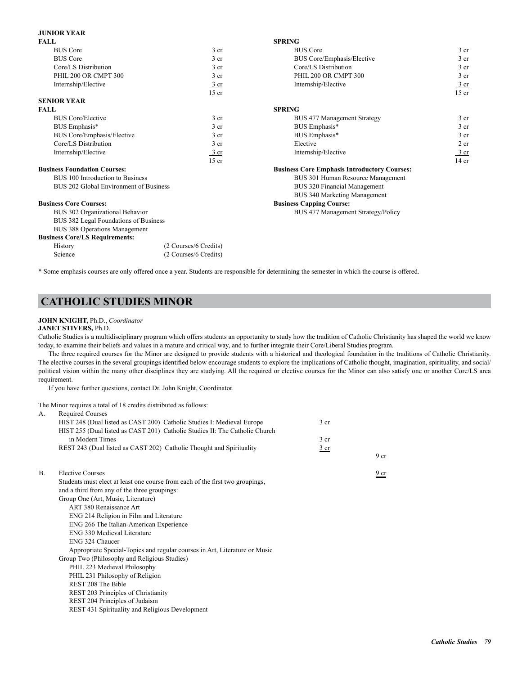### **JUNIOR YEAR**

|                                        | <b>SPRING</b>                                       |                  |
|----------------------------------------|-----------------------------------------------------|------------------|
| 3 <sub>cr</sub>                        | <b>BUS</b> Core                                     | 3 <sub>cr</sub>  |
| 3 <sub>cr</sub>                        | BUS Core/Emphasis/Elective                          | 3 <sub>cr</sub>  |
| 3 <sub>cr</sub>                        | Core/LS Distribution                                | 3 <sub>cr</sub>  |
| 3 <sub>cr</sub>                        | PHIL 200 OR CMPT 300                                | 3 <sub>cr</sub>  |
| $3$ cr                                 | Internship/Elective                                 | 3 cr             |
| $15$ cr                                |                                                     | $15$ cr          |
|                                        |                                                     |                  |
|                                        | <b>SPRING</b>                                       |                  |
| 3 <sub>cr</sub>                        | <b>BUS 477 Management Strategy</b>                  | 3 <sub>cr</sub>  |
| 3 cr                                   | BUS Emphasis*                                       | 3 <sub>cr</sub>  |
| 3 <sub>cr</sub>                        | BUS Emphasis*                                       | 3 <sub>cr</sub>  |
| 3 <sub>cr</sub>                        | Elective                                            | 2 cr             |
| 3 cr                                   | Internship/Elective                                 | 3 cr             |
| $15$ cr                                |                                                     | 14 <sub>cr</sub> |
|                                        | <b>Business Core Emphasis Introductory Courses:</b> |                  |
|                                        | BUS 301 Human Resource Management                   |                  |
| BUS 202 Global Environment of Business | BUS 320 Financial Management                        |                  |
|                                        | <b>BUS 340 Marketing Management</b>                 |                  |
|                                        | <b>Business Capping Course:</b>                     |                  |
|                                        | BUS 477 Management Strategy/Policy                  |                  |
| BUS 382 Legal Foundations of Business  |                                                     |                  |
|                                        |                                                     |                  |
|                                        |                                                     |                  |
| (2 Courses/6 Credits)                  |                                                     |                  |
| (2 Courses/6 Credits)                  |                                                     |                  |
|                                        |                                                     |                  |

\* Some emphasis courses are only offered once a year. Students are responsible for determining the semester in which the course is offered.

## **CATHOLIC STUDIES MINOR**

### **JOHN KNIGHT,** Ph.D., *Coordinator*

### **JANET STIVERS,** Ph.D.

Catholic Studies is a multidisciplinary program which offers students an opportunity to study how the tradition of Catholic Christianity has shaped the world we know today, to examine their beliefs and values in a mature and critical way, and to further integrate their Core/Liberal Studies program.

The three required courses for the Minor are designed to provide students with a historical and theological foundation in the traditions of Catholic Christianity. The elective courses in the several groupings identified below encourage students to explore the implications of Catholic thought, imagination, spirituality, and social/ political vision within the many other disciplines they are studying. All the required or elective courses for the Minor can also satisfy one or another Core/LS area requirement.

If you have further questions, contact Dr. John Knight, Coordinator.

The Minor requires a total of 18 credits distributed as follows:

| HIST 248 (Dual listed as CAST 200) Catholic Studies I: Medieval Europe<br>HIST 255 (Dual listed as CAST 201) Catholic Studies II: The Catholic Church<br>in Modern Times<br>REST 243 (Dual listed as CAST 202) Catholic Thought and Spirituality<br><b>Elective Courses</b><br>$\mathbf{B}$ .<br>Students must elect at least one course from each of the first two groupings,<br>and a third from any of the three groupings:<br>Group One (Art, Music, Literature)<br>ART 380 Renaissance Art<br>ENG 214 Religion in Film and Literature<br>ENG 266 The Italian-American Experience<br>ENG 330 Medieval Literature<br>ENG 324 Chaucer<br>Appropriate Special-Topics and regular courses in Art, Literature or Music<br>Group Two (Philosophy and Religious Studies)<br>PHIL 223 Medieval Philosophy<br>PHIL 231 Philosophy of Religion<br>REST 208 The Bible<br>REST 203 Principles of Christianity<br>REST 204 Principles of Judaism<br>REST 431 Spirituality and Religious Development | А. | <b>Required Courses</b> |                 |                 |
|--------------------------------------------------------------------------------------------------------------------------------------------------------------------------------------------------------------------------------------------------------------------------------------------------------------------------------------------------------------------------------------------------------------------------------------------------------------------------------------------------------------------------------------------------------------------------------------------------------------------------------------------------------------------------------------------------------------------------------------------------------------------------------------------------------------------------------------------------------------------------------------------------------------------------------------------------------------------------------------------|----|-------------------------|-----------------|-----------------|
|                                                                                                                                                                                                                                                                                                                                                                                                                                                                                                                                                                                                                                                                                                                                                                                                                                                                                                                                                                                            |    |                         | 3 <sub>cr</sub> |                 |
|                                                                                                                                                                                                                                                                                                                                                                                                                                                                                                                                                                                                                                                                                                                                                                                                                                                                                                                                                                                            |    |                         |                 |                 |
|                                                                                                                                                                                                                                                                                                                                                                                                                                                                                                                                                                                                                                                                                                                                                                                                                                                                                                                                                                                            |    |                         | 3 <sub>cr</sub> |                 |
|                                                                                                                                                                                                                                                                                                                                                                                                                                                                                                                                                                                                                                                                                                                                                                                                                                                                                                                                                                                            |    |                         | 3 <sub>cr</sub> |                 |
|                                                                                                                                                                                                                                                                                                                                                                                                                                                                                                                                                                                                                                                                                                                                                                                                                                                                                                                                                                                            |    |                         |                 | 9 <sub>cr</sub> |
|                                                                                                                                                                                                                                                                                                                                                                                                                                                                                                                                                                                                                                                                                                                                                                                                                                                                                                                                                                                            |    |                         |                 |                 |
|                                                                                                                                                                                                                                                                                                                                                                                                                                                                                                                                                                                                                                                                                                                                                                                                                                                                                                                                                                                            |    |                         |                 | 9 <sub>cr</sub> |
|                                                                                                                                                                                                                                                                                                                                                                                                                                                                                                                                                                                                                                                                                                                                                                                                                                                                                                                                                                                            |    |                         |                 |                 |
|                                                                                                                                                                                                                                                                                                                                                                                                                                                                                                                                                                                                                                                                                                                                                                                                                                                                                                                                                                                            |    |                         |                 |                 |
|                                                                                                                                                                                                                                                                                                                                                                                                                                                                                                                                                                                                                                                                                                                                                                                                                                                                                                                                                                                            |    |                         |                 |                 |
|                                                                                                                                                                                                                                                                                                                                                                                                                                                                                                                                                                                                                                                                                                                                                                                                                                                                                                                                                                                            |    |                         |                 |                 |
|                                                                                                                                                                                                                                                                                                                                                                                                                                                                                                                                                                                                                                                                                                                                                                                                                                                                                                                                                                                            |    |                         |                 |                 |
|                                                                                                                                                                                                                                                                                                                                                                                                                                                                                                                                                                                                                                                                                                                                                                                                                                                                                                                                                                                            |    |                         |                 |                 |
|                                                                                                                                                                                                                                                                                                                                                                                                                                                                                                                                                                                                                                                                                                                                                                                                                                                                                                                                                                                            |    |                         |                 |                 |
|                                                                                                                                                                                                                                                                                                                                                                                                                                                                                                                                                                                                                                                                                                                                                                                                                                                                                                                                                                                            |    |                         |                 |                 |
|                                                                                                                                                                                                                                                                                                                                                                                                                                                                                                                                                                                                                                                                                                                                                                                                                                                                                                                                                                                            |    |                         |                 |                 |
|                                                                                                                                                                                                                                                                                                                                                                                                                                                                                                                                                                                                                                                                                                                                                                                                                                                                                                                                                                                            |    |                         |                 |                 |
|                                                                                                                                                                                                                                                                                                                                                                                                                                                                                                                                                                                                                                                                                                                                                                                                                                                                                                                                                                                            |    |                         |                 |                 |
|                                                                                                                                                                                                                                                                                                                                                                                                                                                                                                                                                                                                                                                                                                                                                                                                                                                                                                                                                                                            |    |                         |                 |                 |
|                                                                                                                                                                                                                                                                                                                                                                                                                                                                                                                                                                                                                                                                                                                                                                                                                                                                                                                                                                                            |    |                         |                 |                 |
|                                                                                                                                                                                                                                                                                                                                                                                                                                                                                                                                                                                                                                                                                                                                                                                                                                                                                                                                                                                            |    |                         |                 |                 |
|                                                                                                                                                                                                                                                                                                                                                                                                                                                                                                                                                                                                                                                                                                                                                                                                                                                                                                                                                                                            |    |                         |                 |                 |
|                                                                                                                                                                                                                                                                                                                                                                                                                                                                                                                                                                                                                                                                                                                                                                                                                                                                                                                                                                                            |    |                         |                 |                 |
|                                                                                                                                                                                                                                                                                                                                                                                                                                                                                                                                                                                                                                                                                                                                                                                                                                                                                                                                                                                            |    |                         |                 |                 |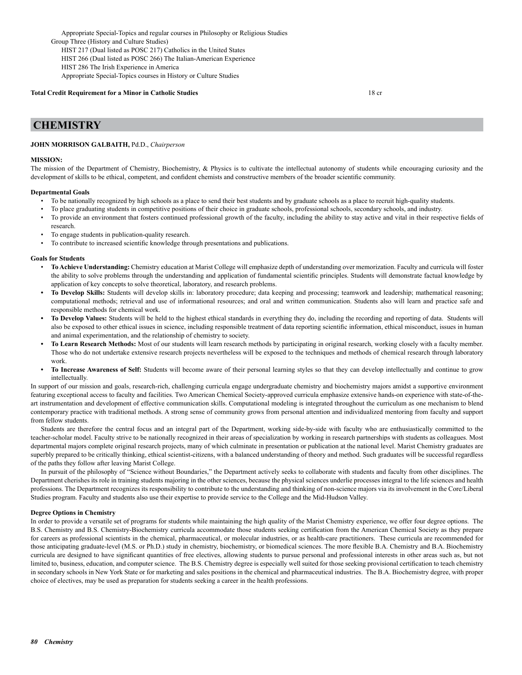Appropriate Special-Topics and regular courses in Philosophy or Religious Studies Group Three (History and Culture Studies) HIST 217 (Dual listed as POSC 217) Catholics in the United States HIST 266 (Dual listed as POSC 266) The Italian-American Experience HIST 286 The Irish Experience in America Appropriate Special-Topics courses in History or Culture Studies

### **Total Credit Requirement for a Minor in Catholic Studies** 18 cr

### **CHEMISTRY**

### **JOHN MORRISON GALBAITH,** Pd.D., *Chairperson*

#### **MISSION:**

The mission of the Department of Chemistry, Biochemistry, & Physics is to cultivate the intellectual autonomy of students while encouraging curiosity and the development of skills to be ethical, competent, and confident chemists and constructive members of the broader scientific community.

#### **Departmental Goals**

- To be nationally recognized by high schools as a place to send their best students and by graduate schools as a place to recruit high-quality students.
- To place graduating students in competitive positions of their choice in graduate schools, professional schools, secondary schools, and industry.
- To provide an environment that fosters continued professional growth of the faculty, including the ability to stay active and vital in their respective fields of research.
- To engage students in publication-quality research.
- To contribute to increased scientific knowledge through presentations and publications.

#### **Goals for Students**

- **To Achieve Understanding:** Chemistry education at Marist College will emphasize depth of understanding over memorization. Faculty and curricula will foster the ability to solve problems through the understanding and application of fundamental scientific principles. Students will demonstrate factual knowledge by application of key concepts to solve theoretical, laboratory, and research problems.
- **• To Develop Skills:** Students will develop skills in: laboratory procedure; data keeping and processing; teamwork and leadership; mathematical reasoning; computational methods; retrieval and use of informational resources; and oral and written communication. Students also will learn and practice safe and responsible methods for chemical work.
- **• To Develop Values:** Students will be held to the highest ethical standards in everything they do, including the recording and reporting of data. Students will also be exposed to other ethical issues in science, including responsible treatment of data reporting scientific information, ethical misconduct, issues in human and animal experimentation, and the relationship of chemistry to society.
- **• To Learn Research Methods:** Most of our students will learn research methods by participating in original research, working closely with a faculty member. Those who do not undertake extensive research projects nevertheless will be exposed to the techniques and methods of chemical research through laboratory work.
- **• To Increase Awareness of Self:** Students will become aware of their personal learning styles so that they can develop intellectually and continue to grow intellectually.

In support of our mission and goals, research-rich, challenging curricula engage undergraduate chemistry and biochemistry majors amidst a supportive environment featuring exceptional access to faculty and facilities. Two American Chemical Society-approved curricula emphasize extensive hands-on experience with state-of-theart instrumentation and development of effective communication skills. Computational modeling is integrated throughout the curriculum as one mechanism to blend contemporary practice with traditional methods. A strong sense of community grows from personal attention and individualized mentoring from faculty and support from fellow students.

Students are therefore the central focus and an integral part of the Department, working side-by-side with faculty who are enthusiastically committed to the teacher-scholar model. Faculty strive to be nationally recognized in their areas of specialization by working in research partnerships with students as colleagues. Most departmental majors complete original research projects, many of which culminate in presentation or publication at the national level. Marist Chemistry graduates are superbly prepared to be critically thinking, ethical scientist-citizens, with a balanced understanding of theory and method. Such graduates will be successful regardless of the paths they follow after leaving Marist College.

In pursuit of the philosophy of "Science without Boundaries," the Department actively seeks to collaborate with students and faculty from other disciplines. The Department cherishes its role in training students majoring in the other sciences, because the physical sciences underlie processes integral to the life sciences and health professions. The Department recognizes its responsibility to contribute to the understanding and thinking of non-science majors via its involvement in the Core/Liberal Studies program. Faculty and students also use their expertise to provide service to the College and the Mid-Hudson Valley.

#### **Degree Options in Chemistry**

In order to provide a versatile set of programs for students while maintaining the high quality of the Marist Chemistry experience, we offer four degree options. The B.S. Chemistry and B.S. Chemistry-Biochemistry curricula accommodate those students seeking certification from the American Chemical Society as they prepare for careers as professional scientists in the chemical, pharmaceutical, or molecular industries, or as health-care practitioners. These curricula are recommended for those anticipating graduate-level (M.S. or Ph.D.) study in chemistry, biochemistry, or biomedical sciences. The more flexible B.A. Chemistry and B.A. Biochemistry curricula are designed to have significant quantities of free electives, allowing students to pursue personal and professional interests in other areas such as, but not limited to, business, education, and computer science. The B.S. Chemistry degree is especially well suited for those seeking provisional certification to teach chemistry in secondary schools in New York State or for marketing and sales positions in the chemical and pharmaceutical industries. The B.A. Biochemistry degree, with proper choice of electives, may be used as preparation for students seeking a career in the health professions.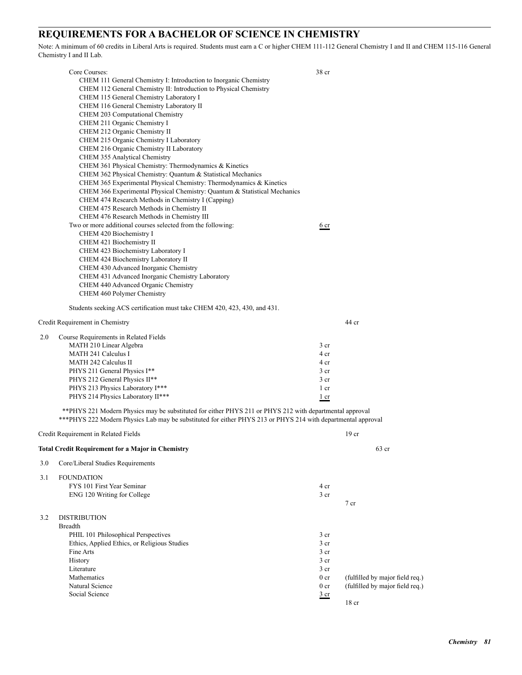## **REQUIREMENTS FOR A BACHELOR OF SCIENCE IN CHEMISTRY**

Note: A minimum of 60 credits in Liberal Arts is required. Students must earn a C or higher CHEM 111-112 General Chemistry I and II and CHEM 115-116 General Chemistry I and II Lab.

|     | Core Courses:                                                                                                                                                                                                            | 38 cr           |                  |                                 |
|-----|--------------------------------------------------------------------------------------------------------------------------------------------------------------------------------------------------------------------------|-----------------|------------------|---------------------------------|
|     | CHEM 111 General Chemistry I: Introduction to Inorganic Chemistry                                                                                                                                                        |                 |                  |                                 |
|     | CHEM 112 General Chemistry II: Introduction to Physical Chemistry                                                                                                                                                        |                 |                  |                                 |
|     | CHEM 115 General Chemistry Laboratory I                                                                                                                                                                                  |                 |                  |                                 |
|     | CHEM 116 General Chemistry Laboratory II                                                                                                                                                                                 |                 |                  |                                 |
|     | CHEM 203 Computational Chemistry                                                                                                                                                                                         |                 |                  |                                 |
|     | CHEM 211 Organic Chemistry I                                                                                                                                                                                             |                 |                  |                                 |
|     | CHEM 212 Organic Chemistry II                                                                                                                                                                                            |                 |                  |                                 |
|     | CHEM 215 Organic Chemistry I Laboratory                                                                                                                                                                                  |                 |                  |                                 |
|     | CHEM 216 Organic Chemistry II Laboratory                                                                                                                                                                                 |                 |                  |                                 |
|     | CHEM 355 Analytical Chemistry                                                                                                                                                                                            |                 |                  |                                 |
|     | CHEM 361 Physical Chemistry: Thermodynamics & Kinetics                                                                                                                                                                   |                 |                  |                                 |
|     | CHEM 362 Physical Chemistry: Quantum & Statistical Mechanics                                                                                                                                                             |                 |                  |                                 |
|     | CHEM 365 Experimental Physical Chemistry: Thermodynamics & Kinetics<br>CHEM 366 Experimental Physical Chemistry: Quantum & Statistical Mechanics                                                                         |                 |                  |                                 |
|     | CHEM 474 Research Methods in Chemistry I (Capping)                                                                                                                                                                       |                 |                  |                                 |
|     | CHEM 475 Research Methods in Chemistry II                                                                                                                                                                                |                 |                  |                                 |
|     | CHEM 476 Research Methods in Chemistry III                                                                                                                                                                               |                 |                  |                                 |
|     | Two or more additional courses selected from the following:                                                                                                                                                              | 6 <sub>cr</sub> |                  |                                 |
|     | CHEM 420 Biochemistry I                                                                                                                                                                                                  |                 |                  |                                 |
|     | CHEM 421 Biochemistry II                                                                                                                                                                                                 |                 |                  |                                 |
|     | CHEM 423 Biochemistry Laboratory I                                                                                                                                                                                       |                 |                  |                                 |
|     | CHEM 424 Biochemistry Laboratory II                                                                                                                                                                                      |                 |                  |                                 |
|     | CHEM 430 Advanced Inorganic Chemistry                                                                                                                                                                                    |                 |                  |                                 |
|     | CHEM 431 Advanced Inorganic Chemistry Laboratory                                                                                                                                                                         |                 |                  |                                 |
|     | CHEM 440 Advanced Organic Chemistry                                                                                                                                                                                      |                 |                  |                                 |
|     | CHEM 460 Polymer Chemistry                                                                                                                                                                                               |                 |                  |                                 |
|     | Students seeking ACS certification must take CHEM 420, 423, 430, and 431.                                                                                                                                                |                 |                  |                                 |
|     | Credit Requirement in Chemistry                                                                                                                                                                                          |                 | 44 cr            |                                 |
| 2.0 | Course Requirements in Related Fields                                                                                                                                                                                    |                 |                  |                                 |
|     | MATH 210 Linear Algebra                                                                                                                                                                                                  | 3 <sub>cr</sub> |                  |                                 |
|     | <b>MATH 241 Calculus I</b>                                                                                                                                                                                               | 4 cr            |                  |                                 |
|     | MATH 242 Calculus II                                                                                                                                                                                                     | 4 cr            |                  |                                 |
|     | PHYS 211 General Physics I**                                                                                                                                                                                             | 3 <sub>cr</sub> |                  |                                 |
|     | PHYS 212 General Physics II**                                                                                                                                                                                            | 3 <sub>cr</sub> |                  |                                 |
|     | PHYS 213 Physics Laboratory I***                                                                                                                                                                                         | 1 cr            |                  |                                 |
|     | PHYS 214 Physics Laboratory II***                                                                                                                                                                                        | 1 cr            |                  |                                 |
|     | **PHYS 221 Modern Physics may be substituted for either PHYS 211 or PHYS 212 with departmental approval<br>*** PHYS 222 Modern Physics Lab may be substituted for either PHYS 213 or PHYS 214 with departmental approval |                 |                  |                                 |
|     | Credit Requirement in Related Fields                                                                                                                                                                                     |                 | 19 <sub>cr</sub> |                                 |
|     | Total Credit Requirement for a Major in Chemistry                                                                                                                                                                        |                 |                  | 63 cr                           |
| 3.0 | Core/Liberal Studies Requirements                                                                                                                                                                                        |                 |                  |                                 |
| 3.1 | <b>FOUNDATION</b>                                                                                                                                                                                                        |                 |                  |                                 |
|     | FYS 101 First Year Seminar                                                                                                                                                                                               | 4 cr            |                  |                                 |
|     | ENG 120 Writing for College                                                                                                                                                                                              | 3 cr            |                  |                                 |
|     |                                                                                                                                                                                                                          |                 | $7$ cr           |                                 |
| 3.2 | <b>DISTRIBUTION</b>                                                                                                                                                                                                      |                 |                  |                                 |
|     | <b>Breadth</b>                                                                                                                                                                                                           |                 |                  |                                 |
|     | PHIL 101 Philosophical Perspectives                                                                                                                                                                                      | 3 <sub>cr</sub> |                  |                                 |
|     | Ethics, Applied Ethics, or Religious Studies                                                                                                                                                                             | $3$ cr          |                  |                                 |
|     | Fine Arts                                                                                                                                                                                                                | 3 <sub>cr</sub> |                  |                                 |
|     | History                                                                                                                                                                                                                  | 3 cr            |                  |                                 |
|     | Literature                                                                                                                                                                                                               | 3 <sub>cr</sub> |                  |                                 |
|     | Mathematics                                                                                                                                                                                                              | 0 <sub>cr</sub> |                  | (fulfilled by major field req.) |
|     | Natural Science                                                                                                                                                                                                          | 0 <sub>cr</sub> |                  | (fulfilled by major field req.) |
|     | Social Science                                                                                                                                                                                                           | $rac{3}{2}$ cr  |                  |                                 |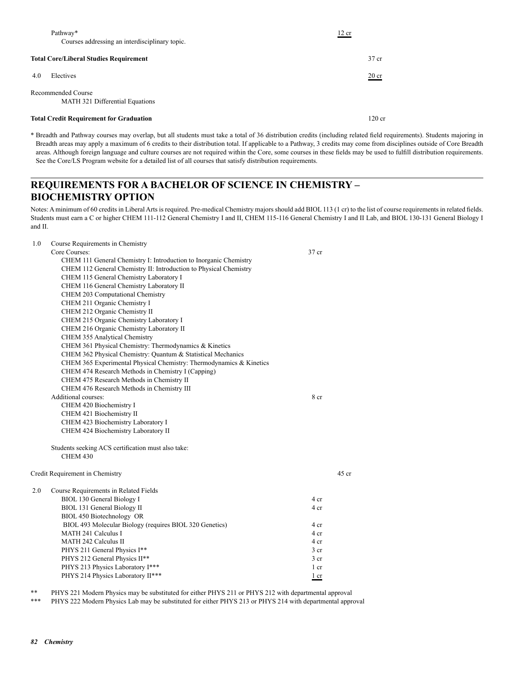| Pathway*<br>Courses addressing an interdisciplinary topic. | 12 cr           |
|------------------------------------------------------------|-----------------|
| <b>Total Core/Liberal Studies Requirement</b>              | 37 cr           |
| Electives<br>4.0                                           | $20 \text{ cr}$ |
| Recommended Course<br>MATH 321 Differential Equations      |                 |
| <b>Total Credit Requirement for Graduation</b>             | $120$ cr        |

\* Breadth and Pathway courses may overlap, but all students must take a total of 36 distribution credits (including related field requirements). Students majoring in Breadth areas may apply a maximum of 6 credits to their distribution total. If applicable to a Pathway, 3 credits may come from disciplines outside of Core Breadth areas. Although foreign language and culture courses are not required within the Core, some courses in these fields may be used to fulfill distribution requirements. See the Core/LS Program website for a detailed list of all courses that satisfy distribution requirements.

## **REQUIREMENTS FOR A BACHELOR OF SCIENCE IN CHEMISTRY – BIOCHEMISTRY OPTION**

1.0 Course Requirements in Chemistry

Notes: A minimum of 60 credits in Liberal Arts is required. Pre-medical Chemistry majors should add BIOL 113 (1 cr) to the list of course requirements in related fields. Students must earn a C or higher CHEM 111-112 General Chemistry I and II, CHEM 115-116 General Chemistry I and II Lab, and BIOL 130-131 General Biology I and II.

|     | Course inequirements in Chemistry                                     |                 |         |
|-----|-----------------------------------------------------------------------|-----------------|---------|
|     | Core Courses:                                                         | 37 cr           |         |
|     | CHEM 111 General Chemistry I: Introduction to Inorganic Chemistry     |                 |         |
|     | CHEM 112 General Chemistry II: Introduction to Physical Chemistry     |                 |         |
|     | CHEM 115 General Chemistry Laboratory I                               |                 |         |
|     | CHEM 116 General Chemistry Laboratory II                              |                 |         |
|     | CHEM 203 Computational Chemistry                                      |                 |         |
|     | CHEM 211 Organic Chemistry I                                          |                 |         |
|     | CHEM 212 Organic Chemistry II                                         |                 |         |
|     | CHEM 215 Organic Chemistry Laboratory I                               |                 |         |
|     | CHEM 216 Organic Chemistry Laboratory II                              |                 |         |
|     | CHEM 355 Analytical Chemistry                                         |                 |         |
|     | CHEM 361 Physical Chemistry: Thermodynamics & Kinetics                |                 |         |
|     | CHEM 362 Physical Chemistry: Quantum & Statistical Mechanics          |                 |         |
|     | CHEM 365 Experimental Physical Chemistry: Thermodynamics & Kinetics   |                 |         |
|     | CHEM 474 Research Methods in Chemistry I (Capping)                    |                 |         |
|     | CHEM 475 Research Methods in Chemistry II                             |                 |         |
|     | CHEM 476 Research Methods in Chemistry III                            |                 |         |
|     | Additional courses:                                                   | 8 cr            |         |
|     | CHEM 420 Biochemistry I                                               |                 |         |
|     | CHEM 421 Biochemistry II                                              |                 |         |
|     | CHEM 423 Biochemistry Laboratory I                                    |                 |         |
|     | CHEM 424 Biochemistry Laboratory II                                   |                 |         |
|     | Students seeking ACS certification must also take:<br><b>CHEM 430</b> |                 |         |
|     | Credit Requirement in Chemistry                                       |                 | $45$ cr |
|     |                                                                       |                 |         |
| 2.0 | Course Requirements in Related Fields                                 |                 |         |
|     | <b>BIOL 130 General Biology I</b>                                     | 4 cr            |         |
|     | BIOL 131 General Biology II                                           | 4 cr            |         |
|     | BIOL 450 Biotechnology OR                                             |                 |         |
|     | BIOL 493 Molecular Biology (requires BIOL 320 Genetics)               | 4 cr            |         |
|     | MATH 241 Calculus I                                                   | 4 cr            |         |
|     | <b>MATH 242 Calculus II</b>                                           | 4 cr            |         |
|     | PHYS 211 General Physics I**                                          | 3 cr            |         |
|     | PHYS 212 General Physics II**                                         | 3 <sub>cr</sub> |         |
|     | PHYS 213 Physics Laboratory I***                                      | 1 cr            |         |
|     | PHYS 214 Physics Laboratory II***                                     | 1 cr            |         |

\*\* PHYS 221 Modern Physics may be substituted for either PHYS 211 or PHYS 212 with departmental approval<br>\*\*\* PHYS 222 Modern Physics Leb may be substituted for either PHYS 212 or PHYS 214 with departmental approval

PHYS 222 Modern Physics Lab may be substituted for either PHYS 213 or PHYS 214 with departmental approval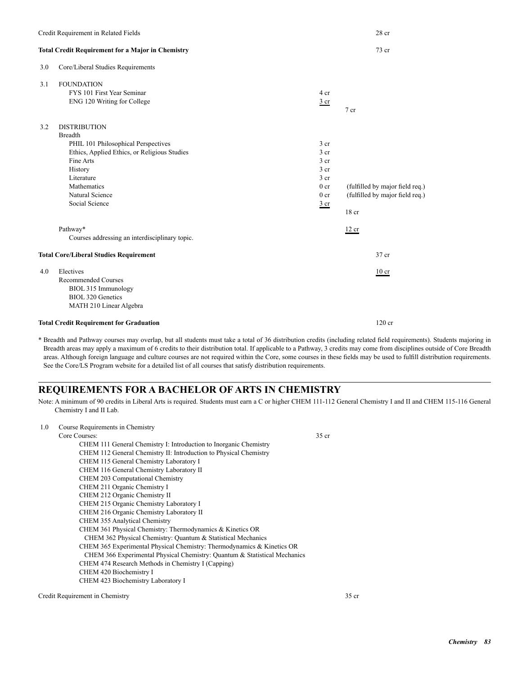### **Total Credit Requirement for a Major in Chemistry** 73 cr

3.0 Core/Liberal Studies Requirements

| 3.1 | <b>FOUNDATION</b>                              |                 |                                 |
|-----|------------------------------------------------|-----------------|---------------------------------|
|     | FYS 101 First Year Seminar                     | 4 cr            |                                 |
|     | ENG 120 Writing for College                    | $rac{3}{2}$ cr  |                                 |
|     |                                                |                 | $7$ cr                          |
| 3.2 | <b>DISTRIBUTION</b>                            |                 |                                 |
|     | <b>Breadth</b>                                 |                 |                                 |
|     | PHIL 101 Philosophical Perspectives            | 3 <sub>cr</sub> |                                 |
|     | Ethics, Applied Ethics, or Religious Studies   | 3 <sub>cr</sub> |                                 |
|     | Fine Arts                                      | 3 <sub>cr</sub> |                                 |
|     | History                                        | 3 <sub>cr</sub> |                                 |
|     | Literature                                     | 3 <sub>cr</sub> |                                 |
|     | Mathematics                                    | 0 <sub>cr</sub> | (fulfilled by major field req.) |
|     | Natural Science                                | 0 <sub>cr</sub> | (fulfilled by major field req.) |
|     | Social Science                                 | $rac{3}{2}$ cr  |                                 |
|     |                                                |                 | 18 cr                           |
|     | Pathway*                                       |                 | 12 cr                           |
|     | Courses addressing an interdisciplinary topic. |                 |                                 |
|     | <b>Total Core/Liberal Studies Requirement</b>  |                 | 37 cr                           |
| 4.0 | Electives                                      |                 | $10$ cr                         |
|     | <b>Recommended Courses</b>                     |                 |                                 |
|     | BIOL 315 Immunology                            |                 |                                 |
|     | <b>BIOL 320 Genetics</b>                       |                 |                                 |
|     | MATH 210 Linear Algebra                        |                 |                                 |
|     | <b>Total Credit Requirement for Graduation</b> |                 | $120$ cr                        |

\* Breadth and Pathway courses may overlap, but all students must take a total of 36 distribution credits (including related field requirements). Students majoring in Breadth areas may apply a maximum of 6 credits to their distribution total. If applicable to a Pathway, 3 credits may come from disciplines outside of Core Breadth areas. Although foreign language and culture courses are not required within the Core, some courses in these fields may be used to fulfill distribution requirements. See the Core/LS Program website for a detailed list of all courses that satisfy distribution requirements.

### **REQUIREMENTS FOR A BACHELOR OF ARTS IN CHEMISTRY**

Note: A minimum of 90 credits in Liberal Arts is required. Students must earn a C or higher CHEM 111-112 General Chemistry I and II and CHEM 115-116 General Chemistry I and II Lab.

| 1.0 | Course Requirements in Chemistry                                          |                  |
|-----|---------------------------------------------------------------------------|------------------|
|     | Core Courses:                                                             | 35 <sub>cr</sub> |
|     | CHEM 111 General Chemistry I: Introduction to Inorganic Chemistry         |                  |
|     | CHEM 112 General Chemistry II: Introduction to Physical Chemistry         |                  |
|     | CHEM 115 General Chemistry Laboratory I                                   |                  |
|     | CHEM 116 General Chemistry Laboratory II                                  |                  |
|     | CHEM 203 Computational Chemistry                                          |                  |
|     | CHEM 211 Organic Chemistry I                                              |                  |
|     | CHEM 212 Organic Chemistry II                                             |                  |
|     | CHEM 215 Organic Chemistry Laboratory I                                   |                  |
|     | CHEM 216 Organic Chemistry Laboratory II                                  |                  |
|     | CHEM 355 Analytical Chemistry                                             |                  |
|     | CHEM 361 Physical Chemistry: Thermodynamics & Kinetics OR                 |                  |
|     | CHEM 362 Physical Chemistry: Quantum & Statistical Mechanics              |                  |
|     | CHEM 365 Experimental Physical Chemistry: Thermodynamics & Kinetics OR    |                  |
|     | CHEM 366 Experimental Physical Chemistry: Quantum & Statistical Mechanics |                  |
|     | CHEM 474 Research Methods in Chemistry I (Capping)                        |                  |
|     | CHEM 420 Biochemistry I                                                   |                  |
|     | CHEM 423 Biochemistry Laboratory I                                        |                  |
|     |                                                                           |                  |

Credit Requirement in Chemistry 35 cr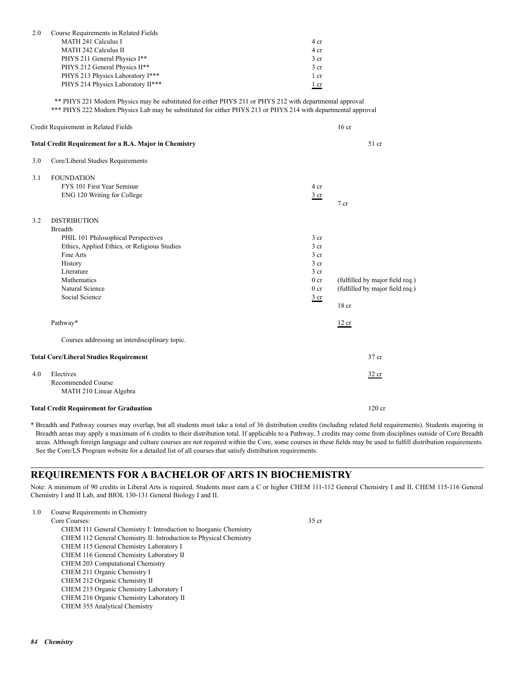| 2.0 | Course Requirements in Related Fields<br><b>MATH 241 Calculus I</b>                                                                                                                                                       | 4 cr            |                                 |
|-----|---------------------------------------------------------------------------------------------------------------------------------------------------------------------------------------------------------------------------|-----------------|---------------------------------|
|     | <b>MATH 242 Calculus II</b>                                                                                                                                                                                               | 4 cr            |                                 |
|     | PHYS 211 General Physics I**                                                                                                                                                                                              | 3 <sub>cr</sub> |                                 |
|     | PHYS 212 General Physics II**                                                                                                                                                                                             | 3 <sub>cr</sub> |                                 |
|     | PHYS 213 Physics Laboratory I***                                                                                                                                                                                          | $1$ cr          |                                 |
|     | PHYS 214 Physics Laboratory II***                                                                                                                                                                                         | $1$ cr          |                                 |
|     | ** PHYS 221 Modern Physics may be substituted for either PHYS 211 or PHYS 212 with departmental approval<br>*** PHYS 222 Modern Physics Lab may be substituted for either PHYS 213 or PHYS 214 with departmental approval |                 |                                 |
|     | Credit Requirement in Related Fields                                                                                                                                                                                      |                 | 16 <sub>cr</sub>                |
|     | <b>Total Credit Requirement for a B.A. Major in Chemistry</b>                                                                                                                                                             |                 | 51 cr                           |
| 3.0 | Core/Liberal Studies Requirements                                                                                                                                                                                         |                 |                                 |
| 3.1 | <b>FOUNDATION</b>                                                                                                                                                                                                         |                 |                                 |
|     | FYS 101 First Year Seminar                                                                                                                                                                                                | 4 cr            |                                 |
|     | ENG 120 Writing for College                                                                                                                                                                                               | 3 <sub>cr</sub> | $7$ cr                          |
| 3.2 | <b>DISTRIBUTION</b>                                                                                                                                                                                                       |                 |                                 |
|     | <b>Breadth</b>                                                                                                                                                                                                            |                 |                                 |
|     | PHIL 101 Philosophical Perspectives                                                                                                                                                                                       | 3 <sub>cr</sub> |                                 |
|     | Ethics, Applied Ethics, or Religious Studies                                                                                                                                                                              | $3$ cr          |                                 |
|     | Fine Arts                                                                                                                                                                                                                 | 3 <sub>cr</sub> |                                 |
|     | History                                                                                                                                                                                                                   | 3 <sub>cr</sub> |                                 |
|     | Literature                                                                                                                                                                                                                | 3 <sub>cr</sub> |                                 |
|     | Mathematics                                                                                                                                                                                                               | 0 <sub>cr</sub> | (fulfilled by major field req.) |
|     | Natural Science<br>Social Science                                                                                                                                                                                         | $0$ cr          | (fulfilled by major field req.) |
|     |                                                                                                                                                                                                                           | 3 <sub>cr</sub> | 18 <sub>cr</sub>                |
|     | Pathway*                                                                                                                                                                                                                  |                 | 12 cr                           |
|     | Courses addressing an interdisciplinary topic.                                                                                                                                                                            |                 |                                 |
|     | <b>Total Core/Liberal Studies Requirement</b>                                                                                                                                                                             |                 | 37 cr                           |
| 4.0 | Electives                                                                                                                                                                                                                 |                 | 32 cr                           |
|     | Recommended Course<br>MATH 210 Linear Algebra                                                                                                                                                                             |                 |                                 |
|     | <b>Total Credit Requirement for Graduation</b>                                                                                                                                                                            |                 | 120 <sub>cr</sub>               |

\* Breadth and Pathway courses may overlap, but all students must take a total of 36 distribution credits (including related field requirements). Students majoring in Breadth areas may apply a maximum of 6 credits to their distribution total. If applicable to a Pathway, 3 credits may come from disciplines outside of Core Breadth areas. Although foreign language and culture courses are not required within the Core, some courses in these fields may be used to fulfill distribution requirements. See the Core/LS Program website for a detailed list of all courses that satisfy distribution requirements.

## **REQUIREMENTS FOR A BACHELOR OF ARTS IN BIOCHEMISTRY**

Note: A minimum of 90 credits in Liberal Arts is required. Students must earn a C or higher CHEM 111-112 General Chemistry I and II, CHEM 115-116 General Chemistry I and II Lab, and BIOL 130-131 General Biology I and II.

| 1.0 | Course Requirements in Chemistry |       |
|-----|----------------------------------|-------|
|     | Core Courses:                    | 35 cr |

 CHEM 111 General Chemistry I: Introduction to Inorganic Chemistry CHEM 112 General Chemistry II: Introduction to Physical Chemistry CHEM 115 General Chemistry Laboratory I CHEM 116 General Chemistry Laboratory II CHEM 203 Computational Chemistry CHEM 211 Organic Chemistry I CHEM 212 Organic Chemistry II CHEM 215 Organic Chemistry Laboratory I CHEM 216 Organic Chemistry Laboratory II CHEM 355 Analytical Chemistry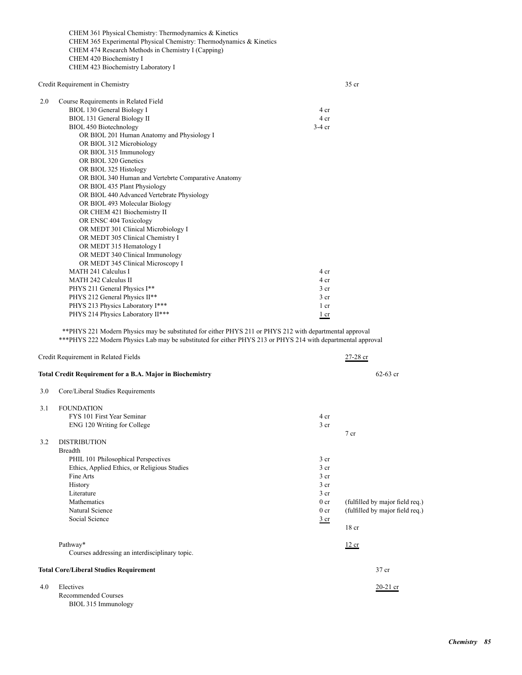CHEM 361 Physical Chemistry: Thermodynamics & Kinetics CHEM 365 Experimental Physical Chemistry: Thermodynamics & Kinetics CHEM 474 Research Methods in Chemistry I (Capping) CHEM 420 Biochemistry I CHEM 423 Biochemistry Laboratory I

| Credit Requirement in Chemistry                                                                                                                       |                 | $35$ cr                         |
|-------------------------------------------------------------------------------------------------------------------------------------------------------|-----------------|---------------------------------|
| 2.0<br>Course Requirements in Related Field                                                                                                           |                 |                                 |
| BIOL 130 General Biology I                                                                                                                            | 4 cr            |                                 |
| BIOL 131 General Biology II                                                                                                                           | 4 cr            |                                 |
| BIOL 450 Biotechnology                                                                                                                                | $3-4$ cr        |                                 |
| OR BIOL 201 Human Anatomy and Physiology I                                                                                                            |                 |                                 |
| OR BIOL 312 Microbiology                                                                                                                              |                 |                                 |
| OR BIOL 315 Immunology                                                                                                                                |                 |                                 |
| OR BIOL 320 Genetics                                                                                                                                  |                 |                                 |
| OR BIOL 325 Histology                                                                                                                                 |                 |                                 |
| OR BIOL 340 Human and Vertebrte Comparative Anatomy                                                                                                   |                 |                                 |
| OR BIOL 435 Plant Physiology                                                                                                                          |                 |                                 |
| OR BIOL 440 Advanced Vertebrate Physiology                                                                                                            |                 |                                 |
| OR BIOL 493 Molecular Biology                                                                                                                         |                 |                                 |
| OR CHEM 421 Biochemistry II                                                                                                                           |                 |                                 |
| OR ENSC 404 Toxicology                                                                                                                                |                 |                                 |
| OR MEDT 301 Clinical Microbiology I                                                                                                                   |                 |                                 |
| OR MEDT 305 Clinical Chemistry I                                                                                                                      |                 |                                 |
| OR MEDT 315 Hematology I                                                                                                                              |                 |                                 |
| OR MEDT 340 Clinical Immunology                                                                                                                       |                 |                                 |
| OR MEDT 345 Clinical Microscopy I                                                                                                                     |                 |                                 |
| <b>MATH 241 Calculus I</b>                                                                                                                            | 4 cr            |                                 |
| <b>MATH 242 Calculus II</b>                                                                                                                           | 4 cr            |                                 |
| PHYS 211 General Physics I**                                                                                                                          | 3 cr            |                                 |
| PHYS 212 General Physics II**                                                                                                                         | 3 cr            |                                 |
| PHYS 213 Physics Laboratory I***                                                                                                                      | 1 cr            |                                 |
| PHYS 214 Physics Laboratory II***                                                                                                                     | $1$ cr          |                                 |
| *** PHYS 222 Modern Physics Lab may be substituted for either PHYS 213 or PHYS 214 with departmental approval<br>Credit Requirement in Related Fields |                 | $27 - 28$ cr                    |
| <b>Total Credit Requirement for a B.A. Major in Biochemistry</b>                                                                                      |                 | $62 - 63$ cr                    |
| 3.0<br>Core/Liberal Studies Requirements                                                                                                              |                 |                                 |
|                                                                                                                                                       |                 |                                 |
| 3.1<br><b>FOUNDATION</b>                                                                                                                              |                 |                                 |
| FYS 101 First Year Seminar                                                                                                                            | 4 cr            |                                 |
| ENG 120 Writing for College                                                                                                                           | 3 cr            |                                 |
|                                                                                                                                                       |                 | 7 cr                            |
| <b>DISTRIBUTION</b><br>3.2                                                                                                                            |                 |                                 |
| <b>Breadth</b>                                                                                                                                        |                 |                                 |
| PHIL 101 Philosophical Perspectives                                                                                                                   | 3 cr            |                                 |
| Ethics, Applied Ethics, or Religious Studies                                                                                                          | 3 cr            |                                 |
| Fine Arts                                                                                                                                             | 3 cr            |                                 |
| History                                                                                                                                               | 3 cr            |                                 |
| Literature                                                                                                                                            | 3 <sub>cr</sub> |                                 |
| Mathematics                                                                                                                                           | 0 <sub>cr</sub> | (fulfilled by major field req.) |
| Natural Science                                                                                                                                       | 0 <sub>cr</sub> | (fulfilled by major field req.) |
| Social Science                                                                                                                                        | $rac{3}{2}$ cr  |                                 |
|                                                                                                                                                       |                 | 18 cr                           |
| Pathway*                                                                                                                                              |                 | 12 cr                           |
| Courses addressing an interdisciplinary topic.                                                                                                        |                 |                                 |
|                                                                                                                                                       |                 |                                 |
| <b>Total Core/Liberal Studies Requirement</b>                                                                                                         |                 | 37 cr                           |
| Electives<br>4.0                                                                                                                                      |                 | $20-21$ cr                      |

BIOL 315 Immunology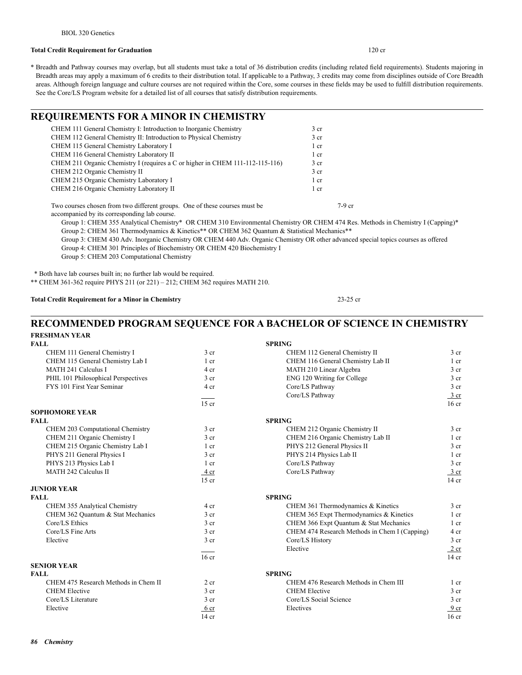### **Total Credit Requirement for Graduation** 120 cr

\* Breadth and Pathway courses may overlap, but all students must take a total of 36 distribution credits (including related field requirements). Students majoring in Breadth areas may apply a maximum of 6 credits to their distribution total. If applicable to a Pathway, 3 credits may come from disciplines outside of Core Breadth areas. Although foreign language and culture courses are not required within the Core, some courses in these fields may be used to fulfill distribution requirements. See the Core/LS Program website for a detailed list of all courses that satisfy distribution requirements.

### **REQUIREMENTS FOR A MINOR IN CHEMISTRY**

| CHEM 111 General Chemistry I: Introduction to Inorganic Chemistry             | 3 <sub>cr</sub> |
|-------------------------------------------------------------------------------|-----------------|
| CHEM 112 General Chemistry II: Introduction to Physical Chemistry             | 3 <sub>cr</sub> |
| CHEM 115 General Chemistry Laboratory I                                       | 1 cr            |
| CHEM 116 General Chemistry Laboratory II                                      | 1 cr            |
| CHEM 211 Organic Chemistry I (requires a C or higher in CHEM 111-112-115-116) | 3 <sub>cr</sub> |
| CHEM 212 Organic Chemistry II                                                 | 3 <sub>cr</sub> |
| CHEM 215 Organic Chemistry Laboratory I                                       | 1 cr            |
| CHEM 216 Organic Chemistry Laboratory II                                      | 1 cr            |

Two courses chosen from two different groups. One of these courses must be 7-9 cr

accompanied by its corresponding lab course.

 Group 1: CHEM 355 Analytical Chemistry\* OR CHEM 310 Environmental Chemistry OR CHEM 474 Res. Methods in Chemistry I (Capping)\* Group 2: CHEM 361 Thermodynamics & Kinetics\*\* OR CHEM 362 Quantum & Statistical Mechanics\*\*

 Group 3: CHEM 430 Adv. Inorganic Chemistry OR CHEM 440 Adv. Organic Chemistry OR other advanced special topics courses as offered Group 4: CHEM 301 Principles of Biochemistry OR CHEM 420 Biochemistry I

Group 5: CHEM 203 Computational Chemistry

\* Both have lab courses built in; no further lab would be required.

\*\* CHEM 361-362 require PHYS 211 (or 221) – 212; CHEM 362 requires MATH 210.

### **Total Credit Requirement for a Minor in Chemistry** 23-25 cr

### **RECOMMENDED PROGRAM SEQUENCE FOR A BACHELOR OF SCIENCE IN CHEMISTRY FRESHMAN YEAR**

| <b>FALL</b>                          |                  | <b>SPRING</b>                                 |                  |
|--------------------------------------|------------------|-----------------------------------------------|------------------|
| CHEM 111 General Chemistry I         | 3 <sub>cr</sub>  | CHEM 112 General Chemistry II                 | 3 <sub>cr</sub>  |
| CHEM 115 General Chemistry Lab I     | 1 cr             | CHEM 116 General Chemistry Lab II             | $1$ cr           |
| <b>MATH 241 Calculus I</b>           | 4 cr             | MATH 210 Linear Algebra                       | 3 <sub>cr</sub>  |
| PHIL 101 Philosophical Perspectives  | 3 <sub>cr</sub>  | ENG 120 Writing for College                   | 3 <sub>cr</sub>  |
| FYS 101 First Year Seminar           | 4 cr             | Core/LS Pathway                               | 3 <sub>cr</sub>  |
|                                      |                  | Core/LS Pathway                               | $\frac{3}{ }$ cr |
|                                      | $15$ cr          |                                               | 16 <sub>cr</sub> |
| <b>SOPHOMORE YEAR</b>                |                  |                                               |                  |
| <b>FALL</b>                          |                  | <b>SPRING</b>                                 |                  |
| CHEM 203 Computational Chemistry     | 3 <sub>cr</sub>  | CHEM 212 Organic Chemistry II                 | 3 <sub>cr</sub>  |
| CHEM 211 Organic Chemistry I         | 3 <sub>cr</sub>  | CHEM 216 Organic Chemistry Lab II             | $1$ cr           |
| CHEM 215 Organic Chemistry Lab I     | 1 cr             | PHYS 212 General Physics II                   | 3 <sub>cr</sub>  |
| PHYS 211 General Physics I           | 3 <sub>cr</sub>  | PHYS 214 Physics Lab II                       | $1$ cr           |
| PHYS 213 Physics Lab I               | $1$ cr           | Core/LS Pathway                               | 3 <sub>cr</sub>  |
| <b>MATH 242 Calculus II</b>          | $4$ cr           | Core/LS Pathway                               | $rac{3}{2}$ cr   |
|                                      | $15$ cr          |                                               | $14$ cr          |
| <b>JUNIOR YEAR</b>                   |                  |                                               |                  |
| <b>FALL</b>                          |                  | <b>SPRING</b>                                 |                  |
| CHEM 355 Analytical Chemistry        | 4 cr             | CHEM 361 Thermodynamics & Kinetics            | 3 <sub>cr</sub>  |
| CHEM 362 Quantum & Stat Mechanics    | 3 <sub>cr</sub>  | CHEM 365 Expt Thermodynamics & Kinetics       | $1$ cr           |
| Core/LS Ethics                       | 3 <sub>cr</sub>  | CHEM 366 Expt Quantum & Stat Mechanics        | $1$ cr           |
| Core/LS Fine Arts                    | 3 <sub>cr</sub>  | CHEM 474 Research Methods in Chem I (Capping) | 4 cr             |
| Elective                             | $3$ cr           | Core/LS History                               | $3$ cr           |
|                                      |                  | Elective                                      | 2 cr             |
|                                      | 16 <sub>cr</sub> |                                               | $14$ cr          |
| <b>SENIOR YEAR</b>                   |                  |                                               |                  |
| <b>FALL</b>                          |                  | <b>SPRING</b>                                 |                  |
| CHEM 475 Research Methods in Chem II | 2 <sub>cr</sub>  | CHEM 476 Research Methods in Chem III         | $1$ cr           |
| <b>CHEM Elective</b>                 | 3 <sub>cr</sub>  | <b>CHEM Elective</b>                          | 3 <sub>cr</sub>  |
| Core/LS Literature                   | 3 <sub>cr</sub>  | Core/LS Social Science                        | 3 <sub>cr</sub>  |
| Elective                             | 6 cr             | Electives                                     | 9 <sub>cr</sub>  |
|                                      | $14$ cr          |                                               | 16 <sub>cr</sub> |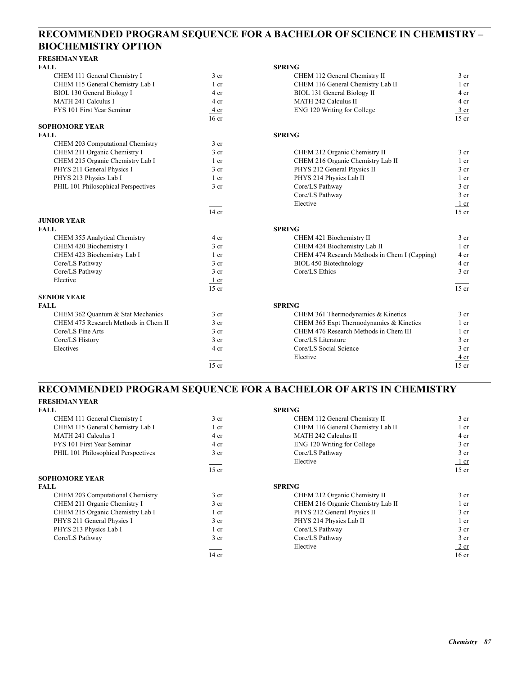## **RECOMMENDED PROGRAM SEQUENCE FOR A BACHELOR OF SCIENCE IN CHEMISTRY – BIOCHEMISTRY OPTION**

| <b>FRESHMAN YEAR</b>                 |                  |                                               |                 |
|--------------------------------------|------------------|-----------------------------------------------|-----------------|
| <b>FALL</b>                          |                  | <b>SPRING</b>                                 |                 |
| CHEM 111 General Chemistry I         | 3 <sub>cr</sub>  | CHEM 112 General Chemistry II                 | 3 <sub>cr</sub> |
| CHEM 115 General Chemistry Lab I     | 1 cr             | CHEM 116 General Chemistry Lab II             | $1$ cr          |
| BIOL 130 General Biology I           | 4 cr             | BIOL 131 General Biology II                   | 4 cr            |
| MATH 241 Calculus I                  | 4 cr             | <b>MATH 242 Calculus II</b>                   | 4 cr            |
| FYS 101 First Year Seminar           | 4 cr             | ENG 120 Writing for College                   | 3 cr            |
|                                      | 16 <sub>cr</sub> |                                               | $15$ cr         |
| <b>SOPHOMORE YEAR</b>                |                  |                                               |                 |
| <b>FALL</b>                          |                  | <b>SPRING</b>                                 |                 |
| CHEM 203 Computational Chemistry     | 3 <sub>cr</sub>  |                                               |                 |
| CHEM 211 Organic Chemistry I         | 3 <sub>cr</sub>  | CHEM 212 Organic Chemistry II                 | 3 <sub>cr</sub> |
| CHEM 215 Organic Chemistry Lab I     | 1 cr             | CHEM 216 Organic Chemistry Lab II             | 1 <sub>cr</sub> |
| PHYS 211 General Physics I           | 3 <sub>cr</sub>  | PHYS 212 General Physics II                   | 3 <sub>cr</sub> |
| PHYS 213 Physics Lab I               | 1 <sub>cr</sub>  | PHYS 214 Physics Lab II                       | $1$ cr          |
| PHIL 101 Philosophical Perspectives  | 3 <sub>cr</sub>  | Core/LS Pathway                               | 3 <sub>cr</sub> |
|                                      |                  | Core/LS Pathway                               | 3 cr            |
|                                      |                  | Elective                                      | $1$ cr          |
|                                      | $14$ cr          |                                               | $15$ cr         |
| <b>JUNIOR YEAR</b>                   |                  |                                               |                 |
| <b>FALL</b>                          |                  | <b>SPRING</b>                                 |                 |
| CHEM 355 Analytical Chemistry        | 4 cr             | CHEM 421 Biochemistry II                      | 3 <sub>cr</sub> |
| CHEM 420 Biochemistry I              | 3 <sub>cr</sub>  | CHEM 424 Biochemistry Lab II                  | 1 <sub>cr</sub> |
| CHEM 423 Biochemistry Lab I          | 1 cr             | CHEM 474 Research Methods in Chem I (Capping) | 4 cr            |
| Core/LS Pathway                      | 3 <sub>cr</sub>  | <b>BIOL 450 Biotechnology</b>                 | 4 cr            |
| Core/LS Pathway                      | 3 <sub>cr</sub>  | Core/LS Ethics                                | 3 <sub>cr</sub> |
| Elective                             | 1 cr             |                                               |                 |
|                                      | $15$ cr          |                                               | $15$ cr         |
| <b>SENIOR YEAR</b>                   |                  |                                               |                 |
| <b>FALL</b>                          |                  | <b>SPRING</b>                                 |                 |
| CHEM 362 Quantum & Stat Mechanics    | 3 <sub>cr</sub>  | CHEM 361 Thermodynamics & Kinetics            | 3 <sub>cr</sub> |
| CHEM 475 Research Methods in Chem II | 3 <sub>cr</sub>  | CHEM 365 Expt Thermodynamics & Kinetics       | 1 cr            |
| Core/LS Fine Arts                    | 3 <sub>cr</sub>  | CHEM 476 Research Methods in Chem III         | 1 cr            |
| Core/LS History                      | 3 <sub>cr</sub>  | Core/LS Literature                            | 3 <sub>cr</sub> |
| Electives                            | 4 cr             | Core/LS Social Science                        | 3 <sub>cr</sub> |
|                                      |                  | Elective                                      | 4 cr            |
|                                      | $15$ cr          |                                               | $15$ cr         |

### **RECOMMENDED PROGRAM SEQUENCE FOR A BACHELOR OF ARTS IN CHEMISTRY FRESHMAN YEAR**

| FINESHIVIAN TEAN                    |                 |                                   |                  |
|-------------------------------------|-----------------|-----------------------------------|------------------|
| FALL                                |                 | <b>SPRING</b>                     |                  |
| CHEM 111 General Chemistry I        | 3 <sub>cr</sub> | CHEM 112 General Chemistry II     | 3 <sub>cr</sub>  |
| CHEM 115 General Chemistry Lab I    | 1 cr            | CHEM 116 General Chemistry Lab II | $1$ cr           |
| <b>MATH 241 Calculus I</b>          | 4 cr            | MATH 242 Calculus II              | 4 cr             |
| FYS 101 First Year Seminar          | 4 cr            | ENG 120 Writing for College       | 3 <sub>cr</sub>  |
| PHIL 101 Philosophical Perspectives | 3 <sub>cr</sub> | Core/LS Pathway                   | 3 <sub>cr</sub>  |
|                                     |                 | Elective                          | $1$ cr           |
|                                     | $15$ cr         |                                   | $15$ cr          |
| <b>SOPHOMORE YEAR</b>               |                 |                                   |                  |
| FALL                                |                 | <b>SPRING</b>                     |                  |
| CHEM 203 Computational Chemistry    | 3 <sub>cr</sub> | CHEM 212 Organic Chemistry II     | 3 <sub>cr</sub>  |
| CHEM 211 Organic Chemistry I        | 3 <sub>cr</sub> | CHEM 216 Organic Chemistry Lab II | $1$ cr           |
| CHEM 215 Organic Chemistry Lab I    | $1$ cr          | PHYS 212 General Physics II       | 3 <sub>cr</sub>  |
| PHYS 211 General Physics I          | 3 <sub>cr</sub> | PHYS 214 Physics Lab II           | $1$ cr           |
| PHYS 213 Physics Lab I              | 1 cr            | Core/LS Pathway                   | 3 <sub>cr</sub>  |
| Core/LS Pathway                     | 3 <sub>cr</sub> | Core/LS Pathway                   | 3 <sub>cr</sub>  |
|                                     |                 | Elective                          | $2$ cr           |
|                                     | $14$ cr         |                                   | 16 <sub>cr</sub> |
|                                     |                 |                                   |                  |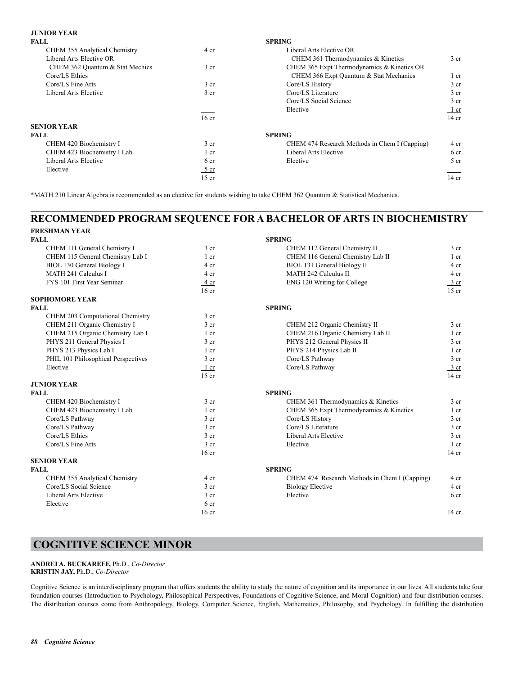### **JUNIOR YEAR**

| <b>SPRING</b><br><b>FALL</b>                  |                 |
|-----------------------------------------------|-----------------|
| Liberal Arts Elective OR                      |                 |
| CHEM 361 Thermodynamics & Kinetics            | 3 <sub>cr</sub> |
| CHEM 365 Expt Thermodynamics & Kinetics OR    |                 |
| CHEM 366 Expt Quantum & Stat Mechanics        | 1 cr            |
| Core/LS History                               | 3 <sub>cr</sub> |
| Core/LS Literature                            | 3 <sub>cr</sub> |
| Core/LS Social Science                        | 3 <sub>cr</sub> |
| Elective                                      | $1$ cr          |
|                                               | 14 cr           |
|                                               |                 |
| <b>SPRING</b>                                 |                 |
| CHEM 474 Research Methods in Chem I (Capping) | 4 cr            |
| Liberal Arts Elective                         | 6 cr            |
| Elective                                      | 5 <sub>cr</sub> |
|                                               |                 |
|                                               | $14$ cr         |
|                                               |                 |

\*MATH 210 Linear Algebra is recommended as an elective for students wishing to take CHEM 362 Quantum & Statistical Mechanics.

### **RECOMMENDED PROGRAM SEQUENCE FOR A BACHELOR OF ARTS IN BIOCHEMISTRY FRESHMAN YEAR**

| г імершиган. І Егін                 |                  |                                               |                 |
|-------------------------------------|------------------|-----------------------------------------------|-----------------|
| FALL                                |                  | <b>SPRING</b>                                 |                 |
| CHEM 111 General Chemistry I        | $3$ cr           | CHEM 112 General Chemistry II                 | 3 <sub>cr</sub> |
| CHEM 115 General Chemistry Lab I    | $1$ cr           | CHEM 116 General Chemistry Lab II             | $1$ cr          |
| BIOL 130 General Biology I          | 4 cr             | BIOL 131 General Biology II                   | 4 cr            |
| MATH 241 Calculus I                 | 4 cr             | <b>MATH 242 Calculus II</b>                   | 4 cr            |
| FYS 101 First Year Seminar          | 4 cr             | ENG 120 Writing for College                   | $3$ cr          |
|                                     | 16 <sub>cr</sub> |                                               | $15$ cr         |
| SOPHOMORE YEAR                      |                  |                                               |                 |
| FALL                                |                  | <b>SPRING</b>                                 |                 |
| CHEM 203 Computational Chemistry    | 3 <sub>cr</sub>  |                                               |                 |
| CHEM 211 Organic Chemistry I        | 3 cr             | CHEM 212 Organic Chemistry II                 | 3 <sub>cr</sub> |
| CHEM 215 Organic Chemistry Lab I    | 1 <sub>cr</sub>  | CHEM 216 Organic Chemistry Lab II             | $1$ cr          |
| PHYS 211 General Physics I          | 3 <sub>cr</sub>  | PHYS 212 General Physics II                   | 3 <sub>cr</sub> |
| PHYS 213 Physics Lab I              | 1 <sub>cr</sub>  | PHYS 214 Physics Lab II                       | $1$ cr          |
| PHIL 101 Philosophical Perspectives | 3 <sub>cr</sub>  | Core/LS Pathway                               | 3 <sub>cr</sub> |
| Elective                            | $1$ cr           | Core/LS Pathway                               | 3 cr            |
|                                     | $15$ cr          |                                               | $14$ cr         |
| <b>JUNIOR YEAR</b>                  |                  |                                               |                 |
| FALL.                               |                  | <b>SPRING</b>                                 |                 |
| CHEM 420 Biochemistry I             | 3 <sub>cr</sub>  | CHEM 361 Thermodynamics & Kinetics            | 3 <sub>cr</sub> |
| CHEM 423 Biochemistry I Lab         | 1 cr             | CHEM 365 Expt Thermodynamics & Kinetics       | $1$ cr          |
| Core/LS Pathway                     | 3 <sub>cr</sub>  | Core/LS History                               | 3 <sub>cr</sub> |
| Core/LS Pathway                     | 3 <sub>cr</sub>  | Core/LS Literature                            | 3 <sub>cr</sub> |
| Core/LS Ethics                      | 3 <sub>cr</sub>  | Liberal Arts Elective                         | 3 <sub>cr</sub> |
| Core/LS Fine Arts                   | $3$ cr           | Elective                                      | $1$ cr          |
|                                     | 16 <sub>cr</sub> |                                               | $14$ cr         |
| <b>SENIOR YEAR</b>                  |                  |                                               |                 |
| FALL                                |                  | <b>SPRING</b>                                 |                 |
| CHEM 355 Analytical Chemistry       | 4 cr             | CHEM 474 Research Methods in Chem I (Capping) | 4 cr            |
| Core/LS Social Science              | 3 <sub>cr</sub>  | <b>Biology Elective</b>                       | 4 cr            |
| Liberal Arts Elective               | 3 <sub>cr</sub>  | Elective                                      | 6 <sub>cr</sub> |
| Elective                            | 6 cr             |                                               |                 |
|                                     | 16 <sub>cr</sub> |                                               | $14$ cr         |
|                                     |                  |                                               |                 |

## **COGNITIVE SCIENCE MINOR**

**ANDREI A. BUCKAREFF,** Ph.D., *Co-Director* **KRISTIN JAY,** Ph.D., *Co-Director*

Cognitive Science is an interdisciplinary program that offers students the ability to study the nature of cognition and its importance in our lives. All students take four foundation courses (Introduction to Psychology, Philosophical Perspectives, Foundations of Cognitive Science, and Moral Cognition) and four distribution courses. The distribution courses come from Anthropology, Biology, Computer Science, English, Mathematics, Philosophy, and Psychology. In fulfilling the distribution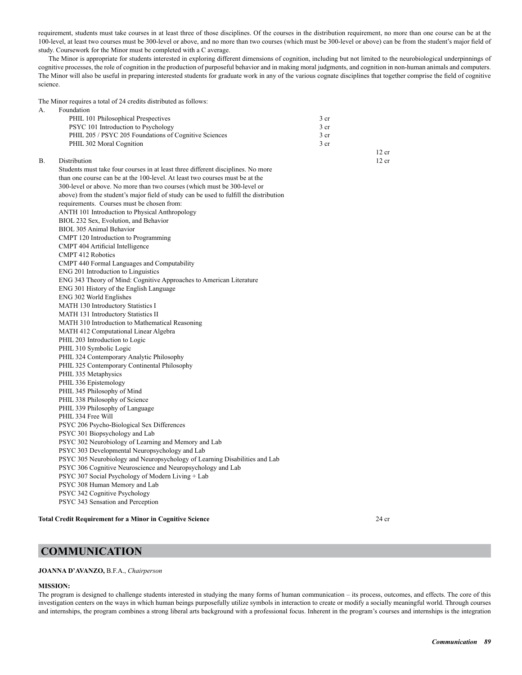requirement, students must take courses in at least three of those disciplines. Of the courses in the distribution requirement, no more than one course can be at the 100-level, at least two courses must be 300-level or above, and no more than two courses (which must be 300-level or above) can be from the student's major field of study. Coursework for the Minor must be completed with a C average.

The Minor is appropriate for students interested in exploring different dimensions of cognition, including but not limited to the neurobiological underpinnings of cognitive processes, the role of cognition in the production of purposeful behavior and in making moral judgments, and cognition in non-human animals and computers. The Minor will also be useful in preparing interested students for graduate work in any of the various cognate disciplines that together comprise the field of cognitive science.

The Minor requires a total of 24 credits distributed as follows:

|    | THE INTHITION TEQUITES a total of $24$ electrics distributed as follows.               |                 |         |
|----|----------------------------------------------------------------------------------------|-----------------|---------|
| А. | Foundation                                                                             |                 |         |
|    | PHIL 101 Philosophical Prespectives                                                    | 3 <sub>cr</sub> |         |
|    | PSYC 101 Introduction to Psychology                                                    | 3 cr            |         |
|    | PHIL 205 / PSYC 205 Foundations of Cognitive Sciences                                  | 3 <sub>cr</sub> |         |
|    | PHIL 302 Moral Cognition                                                               | 3 <sub>cr</sub> |         |
|    |                                                                                        |                 | 12 cr   |
| В. | Distribution                                                                           |                 | $12$ cr |
|    | Students must take four courses in at least three different disciplines. No more       |                 |         |
|    | than one course can be at the 100-level. At least two courses must be at the           |                 |         |
|    | 300-level or above. No more than two courses (which must be 300-level or               |                 |         |
|    | above) from the student's major field of study can be used to fulfill the distribution |                 |         |
|    | requirements. Courses must be chosen from:                                             |                 |         |
|    | <b>ANTH 101 Introduction to Physical Anthropology</b>                                  |                 |         |
|    | BIOL 232 Sex, Evolution, and Behavior                                                  |                 |         |
|    | BIOL 305 Animal Behavior                                                               |                 |         |
|    | CMPT 120 Introduction to Programming                                                   |                 |         |
|    | CMPT 404 Artificial Intelligence                                                       |                 |         |
|    | <b>CMPT 412 Robotics</b>                                                               |                 |         |
|    | CMPT 440 Formal Languages and Computability                                            |                 |         |
|    | ENG 201 Introduction to Linguistics                                                    |                 |         |
|    | ENG 343 Theory of Mind: Cognitive Approaches to American Literature                    |                 |         |
|    | ENG 301 History of the English Language                                                |                 |         |
|    | ENG 302 World Englishes                                                                |                 |         |
|    | MATH 130 Introductory Statistics I                                                     |                 |         |
|    | MATH 131 Introductory Statistics II                                                    |                 |         |
|    | MATH 310 Introduction to Mathematical Reasoning                                        |                 |         |
|    | MATH 412 Computational Linear Algebra                                                  |                 |         |
|    | PHIL 203 Introduction to Logic                                                         |                 |         |
|    | PHIL 310 Symbolic Logic                                                                |                 |         |
|    | PHIL 324 Contemporary Analytic Philosophy                                              |                 |         |
|    | PHIL 325 Contemporary Continental Philosophy                                           |                 |         |
|    | PHIL 335 Metaphysics                                                                   |                 |         |
|    | PHIL 336 Epistemology                                                                  |                 |         |
|    | PHIL 345 Philosophy of Mind                                                            |                 |         |
|    | PHIL 338 Philosophy of Science                                                         |                 |         |
|    | PHIL 339 Philosophy of Language                                                        |                 |         |
|    | PHIL 334 Free Will                                                                     |                 |         |
|    | PSYC 206 Psycho-Biological Sex Differences                                             |                 |         |
|    | PSYC 301 Biopsychology and Lab                                                         |                 |         |
|    | PSYC 302 Neurobiology of Learning and Memory and Lab                                   |                 |         |
|    | PSYC 303 Developmental Neuropsychology and Lab                                         |                 |         |
|    | PSYC 305 Neurobiology and Neuropsychology of Learning Disabilities and Lab             |                 |         |
|    | PSYC 306 Cognitive Neuroscience and Neuropsychology and Lab                            |                 |         |
|    | PSYC 307 Social Psychology of Modern Living + Lab                                      |                 |         |
|    | PSYC 308 Human Memory and Lab                                                          |                 |         |
|    | PSYC 342 Cognitive Psychology                                                          |                 |         |
|    | PSYC 343 Sensation and Perception                                                      |                 |         |
|    |                                                                                        |                 |         |

**Total Credit Requirement for a Minor in Cognitive Science** 24 cr

## **COMMUNICATION**

#### **JOANNA D'AVANZO,** B.F.A., *Chairperson*

### **MISSION:**

The program is designed to challenge students interested in studying the many forms of human communication – its process, outcomes, and effects. The core of this investigation centers on the ways in which human beings purposefully utilize symbols in interaction to create or modify a socially meaningful world. Through courses and internships, the program combines a strong liberal arts background with a professional focus. Inherent in the program's courses and internships is the integration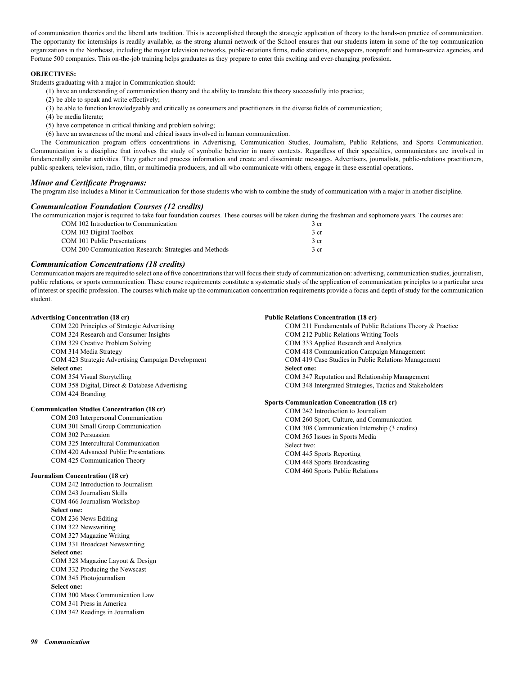of communication theories and the liberal arts tradition. This is accomplished through the strategic application of theory to the hands-on practice of communication. The opportunity for internships is readily available, as the strong alumni network of the School ensures that our students intern in some of the top communication organizations in the Northeast, including the major television networks, public-relations firms, radio stations, newspapers, nonprofit and human-service agencies, and Fortune 500 companies. This on-the-job training helps graduates as they prepare to enter this exciting and ever-changing profession.

### **OBJECTIVES:**

Students graduating with a major in Communication should:

(1) have an understanding of communication theory and the ability to translate this theory successfully into practice;

- (2) be able to speak and write effectively;
- (3) be able to function knowledgeably and critically as consumers and practitioners in the diverse fields of communication;
- (4) be media literate;
- (5) have competence in critical thinking and problem solving;
- (6) have an awareness of the moral and ethical issues involved in human communication.

The Communication program offers concentrations in Advertising, Communication Studies, Journalism, Public Relations, and Sports Communication. Communication is a discipline that involves the study of symbolic behavior in many contexts. Regardless of their specialties, communicators are involved in fundamentally similar activities. They gather and process information and create and disseminate messages. Advertisers, journalists, public-relations practitioners, public speakers, television, radio, film, or multimedia producers, and all who communicate with others, engage in these essential operations.

### *Minor and Certificate Programs:*

The program also includes a Minor in Communication for those students who wish to combine the study of communication with a major in another discipline.

### *Communication Foundation Courses (12 credits)*

The communication major is required to take four foundation courses. These courses will be taken during the freshman and sophomore years. The courses are:

| COM 102 Introduction to Communication                  | 3 <sub>cr</sub> |
|--------------------------------------------------------|-----------------|
| COM 103 Digital Toolbox                                | 3 <sub>cr</sub> |
| COM 101 Public Presentations                           | 3 <sub>cr</sub> |
| COM 200 Communication Research: Strategies and Methods | 3 <sub>cr</sub> |

### *Communication Concentrations (18 credits)*

Communication majors are required to select one of five concentrations that will focus their study of communication on: advertising, communication studies, journalism, public relations, or sports communication. These course requirements constitute a systematic study of the application of communication principles to a particular area of interest or specific profession. The courses which make up the communication concentration requirements provide a focus and depth of study for the communication student.

### **Advertising Concentration (18 cr)**

 COM 220 Principles of Strategic Advertising COM 324 Research and Consumer Insights COM 329 Creative Problem Solving COM 314 Media Strategy COM 423 Strategic Advertising Campaign Development  **Select one:** COM 354 Visual Storytelling COM 358 Digital, Direct & Database Advertising COM 424 Branding

#### **Communication Studies Concentration (18 cr)**

 COM 203 Interpersonal Communication COM 301 Small Group Communication COM 302 Persuasion COM 325 Intercultural Communication COM 420 Advanced Public Presentations COM 425 Communication Theory

#### **Journalism Concentration (18 cr)**

 COM 242 Introduction to Journalism COM 243 Journalism Skills COM 466 Journalism Workshop  **Select one:** COM 236 News Editing COM 322 Newswriting COM 327 Magazine Writing COM 331 Broadcast Newswriting  **Select one:** COM 328 Magazine Layout & Design COM 332 Producing the Newscast COM 345 Photojournalism  **Select one:** COM 300 Mass Communication Law COM 341 Press in America COM 342 Readings in Journalism

#### **Public Relations Concentration (18 cr)** COM 211 Fundamentals of Public Relations Theory & Practice

 COM 212 Public Relations Writing Tools COM 333 Applied Research and Analytics COM 418 Communication Campaign Management COM 419 Case Studies in Public Relations Management  **Select one:** COM 347 Reputation and Relationship Management COM 348 Intergrated Strategies, Tactics and Stakeholders

### **Sports Communication Concentration (18 cr)**

 COM 242 Introduction to Journalism COM 260 Sport, Culture, and Communication COM 308 Communication Internship (3 credits) COM 365 Issues in Sports Media Select two: COM 445 Sports Reporting COM 448 Sports Broadcasting COM 460 Sports Public Relations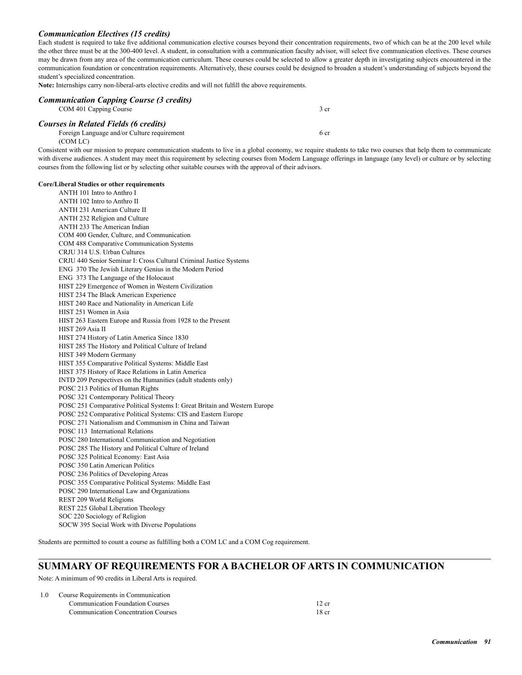### *Communication Electives (15 credits)*

Each student is required to take five additional communication elective courses beyond their concentration requirements, two of which can be at the 200 level while the other three must be at the 300-400 level. A student, in consultation with a communication faculty advisor, will select five communication electives. These courses may be drawn from any area of the communication curriculum. These courses could be selected to allow a greater depth in investigating subjects encountered in the communication foundation or concentration requirements. Alternatively, these courses could be designed to broaden a student's understanding of subjects beyond the student's specialized concentration.

**Note:** Internships carry non-liberal-arts elective credits and will not fulfill the above requirements.

| <b>Communication Capping Course (3 credits)</b><br>COM 401 Capping Course            | 3 cr |
|--------------------------------------------------------------------------------------|------|
| Courses in Related Fields (6 credits)<br>Foreign Language and/or Culture requirement | 6 cr |

(COM LC)

Consistent with our mission to prepare communication students to live in a global economy, we require students to take two courses that help them to communicate with diverse audiences. A student may meet this requirement by selecting courses from Modern Language offerings in language (any level) or culture or by selecting courses from the following list or by selecting other suitable courses with the approval of their advisors.

### **Core/Liberal Studies or other requirements**

 ANTH 101 Intro to Anthro I ANTH 102 Intro to Anthro II ANTH 231 American Culture II ANTH 232 Religion and Culture ANTH 233 The American Indian COM 400 Gender, Culture, and Communication COM 488 Comparative Communication Systems CRJU 314 U.S. Urban Cultures CRJU 440 Senior Seminar I: Cross Cultural Criminal Justice Systems ENG 370 The Jewish Literary Genius in the Modern Period ENG 373 The Language of the Holocaust HIST 229 Emergence of Women in Western Civilization HIST 234 The Black American Experience HIST 240 Race and Nationality in American Life HIST 251 Women in Asia HIST 263 Eastern Europe and Russia from 1928 to the Present HIST 269 Asia II HIST 274 History of Latin America Since 1830 HIST 285 The History and Political Culture of Ireland HIST 349 Modern Germany HIST 355 Comparative Political Systems: Middle East HIST 375 History of Race Relations in Latin America INTD 209 Perspectives on the Humanities (adult students only) POSC 213 Politics of Human Rights POSC 321 Contemporary Political Theory POSC 251 Comparative Political Systems I: Great Britain and Western Europe POSC 252 Comparative Political Systems: CIS and Eastern Europe POSC 271 Nationalism and Communism in China and Taiwan POSC 113 International Relations POSC 280 International Communication and Negotiation POSC 285 The History and Political Culture of Ireland POSC 325 Political Economy: East Asia POSC 350 Latin American Politics POSC 236 Politics of Developing Areas POSC 355 Comparative Political Systems: Middle East POSC 290 International Law and Organizations REST 209 World Religions REST 225 Global Liberation Theology SOC 220 Sociology of Religion SOCW 395 Social Work with Diverse Populations

Students are permitted to count a course as fulfilling both a COM LC and a COM Cog requirement.

### **SUMMARY OF REQUIREMENTS FOR A BACHELOR OF ARTS IN COMMUNICATION**

Note: A minimum of 90 credits in Liberal Arts is required.

| 1.0 | Course Requirements in Communication       |       |
|-----|--------------------------------------------|-------|
|     | <b>Communication Foundation Courses</b>    | 12 cr |
|     | <b>Communication Concentration Courses</b> | 18 cr |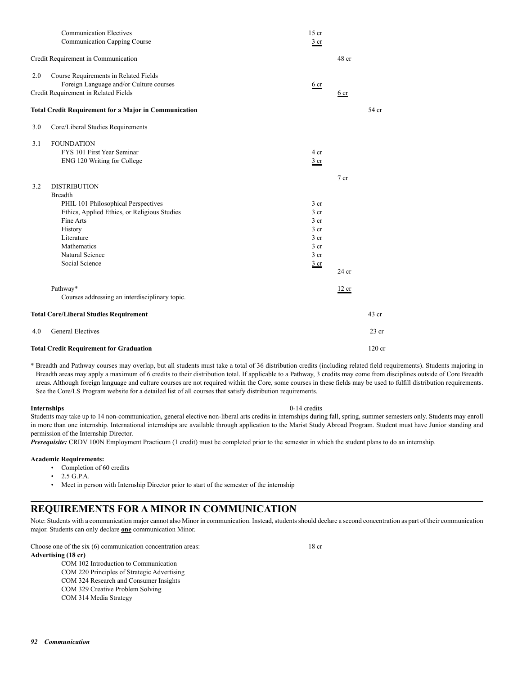|     | <b>Total Credit Requirement for Graduation</b>                                   |                                    |                 | $120$ cr |
|-----|----------------------------------------------------------------------------------|------------------------------------|-----------------|----------|
| 4.0 | <b>General Electives</b>                                                         |                                    |                 | $23$ cr  |
|     | <b>Total Core/Liberal Studies Requirement</b>                                    |                                    |                 | 43 cr    |
|     | Pathway*<br>Courses addressing an interdisciplinary topic.                       |                                    | 12 cr           |          |
|     |                                                                                  |                                    | $24$ cr         |          |
|     | Social Science                                                                   | $rac{3}{2}$ cr                     |                 |          |
|     | Natural Science                                                                  | 3 <sub>cr</sub>                    |                 |          |
|     | Mathematics                                                                      | 3 <sub>cr</sub>                    |                 |          |
|     | History<br>Literature                                                            | 3 <sub>cr</sub><br>3 <sub>cr</sub> |                 |          |
|     | Fine Arts                                                                        | 3 <sub>cr</sub>                    |                 |          |
|     | Ethics, Applied Ethics, or Religious Studies                                     | 3 <sub>cr</sub>                    |                 |          |
|     | PHIL 101 Philosophical Perspectives                                              | 3 <sub>cr</sub>                    |                 |          |
|     | <b>Breadth</b>                                                                   |                                    |                 |          |
| 3.2 | <b>DISTRIBUTION</b>                                                              |                                    | 7 <sub>cr</sub> |          |
|     |                                                                                  |                                    |                 |          |
|     | ENG 120 Writing for College                                                      | $rac{3}{2}$ cr                     |                 |          |
| 3.1 | <b>FOUNDATION</b><br>FYS 101 First Year Seminar                                  | 4 cr                               |                 |          |
|     |                                                                                  |                                    |                 |          |
| 3.0 | Core/Liberal Studies Requirements                                                |                                    |                 |          |
|     | <b>Total Credit Requirement for a Major in Communication</b>                     |                                    |                 | 54 cr    |
|     | Credit Requirement in Related Fields                                             | 6 <sub>cr</sub>                    | 6 <sub>cr</sub> |          |
| 2.0 | Course Requirements in Related Fields<br>Foreign Language and/or Culture courses |                                    |                 |          |
|     | Credit Requirement in Communication                                              |                                    | 48 cr           |          |
|     | <b>Communication Electives</b><br><b>Communication Capping Course</b>            | $15$ cr<br>$rac{3}{2}$ cr          |                 |          |
|     |                                                                                  |                                    |                 |          |

\* Breadth and Pathway courses may overlap, but all students must take a total of 36 distribution credits (including related field requirements). Students majoring in Breadth areas may apply a maximum of 6 credits to their distribution total. If applicable to a Pathway, 3 credits may come from disciplines outside of Core Breadth areas. Although foreign language and culture courses are not required within the Core, some courses in these fields may be used to fulfill distribution requirements. See the Core/LS Program website for a detailed list of all courses that satisfy distribution requirements.

#### **Internships** 0-14 credits

Students may take up to 14 non-communication, general elective non-liberal arts credits in internships during fall, spring, summer semesters only. Students may enroll in more than one internship. International internships are available through application to the Marist Study Abroad Program. Student must have Junior standing and permission of the Internship Director.

**Prerequisite:** CRDV 100N Employment Practicum (1 credit) must be completed prior to the semester in which the student plans to do an internship.

### **Academic Requirements:**

- Completion of 60 credits
- 2.5 G.P.A.
- Meet in person with Internship Director prior to start of the semester of the internship

## **REQUIREMENTS FOR A MINOR IN COMMUNICATION**

Note: Students with a communication major cannot also Minor in communication. Instead, students should declare a second concentration as part of their communication major. Students can only declare **one** communication Minor.

Choose one of the six (6) communication concentration areas: 18 cr **Advertising (18 cr)**

COM 102 Introduction to Communication

 COM 220 Principles of Strategic Advertising COM 324 Research and Consumer Insights

COM 329 Creative Problem Solving COM 314 Media Strategy

*92 Communication*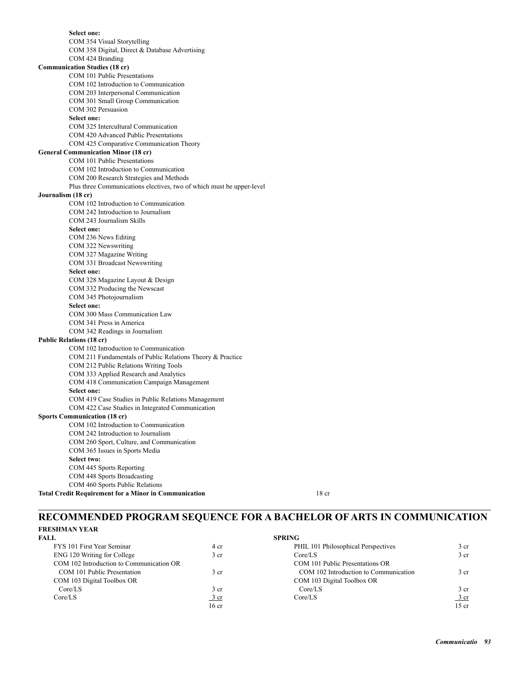**Select one:** COM 354 Visual Storytelling COM 358 Digital, Direct & Database Advertising COM 424 Branding **Communication Studies (18 cr)** COM 101 Public Presentations COM 102 Introduction to Communication COM 203 Interpersonal Communication COM 301 Small Group Communication COM 302 Persuasion  **Select one:** COM 325 Intercultural Communication COM 420 Advanced Public Presentations COM 425 Comparative Communication Theory **General Communication Minor (18 cr)** COM 101 Public Presentations COM 102 Introduction to Communication COM 200 Research Strategies and Methods Plus three Communications electives, two of which must be upper-level **Journalism (18 cr)** COM 102 Introduction to Communication COM 242 Introduction to Journalism COM 243 Journalism Skills  **Select one:** COM 236 News Editing COM 322 Newswriting COM 327 Magazine Writing COM 331 Broadcast Newswriting  **Select one:** COM 328 Magazine Layout & Design COM 332 Producing the Newscast COM 345 Photojournalism  **Select one:** COM 300 Mass Communication Law COM 341 Press in America COM 342 Readings in Journalism **Public Relations (18 cr)** COM 102 Introduction to Communication COM 211 Fundamentals of Public Relations Theory & Practice COM 212 Public Relations Writing Tools COM 333 Applied Research and Analytics COM 418 Communication Campaign Management  **Select one:** COM 419 Case Studies in Public Relations Management COM 422 Case Studies in Integrated Communication **Sports Communication (18 cr)** COM 102 Introduction to Communication COM 242 Introduction to Journalism COM 260 Sport, Culture, and Communication COM 365 Issues in Sports Media  **Select two:** COM 445 Sports Reporting COM 448 Sports Broadcasting COM 460 Sports Public Relations **Total Credit Requirement for a Minor in Communication** 18 cr

## **RECOMMENDED PROGRAM SEQUENCE FOR A BACHELOR OF ARTS IN COMMUNICATION**

## **FRESHMAN YEAR**

| FALL.                                    |                  | <b>SPRING</b>                         |                 |
|------------------------------------------|------------------|---------------------------------------|-----------------|
| FYS 101 First Year Seminar               | 4 cr             | PHIL 101 Philosophical Perspectives   | 3 <sub>cr</sub> |
| ENG 120 Writing for College              | 3 <sub>cr</sub>  | Core/LS                               | 3 <sub>cr</sub> |
| COM 102 Introduction to Communication OR |                  | COM 101 Public Presentations OR       |                 |
| COM 101 Public Presentation              | 3 <sub>cr</sub>  | COM 102 Introduction to Communication | 3 <sub>cr</sub> |
| COM 103 Digital Toolbox OR               |                  | COM 103 Digital Toolbox OR            |                 |
| Core/LS                                  | 3 cr             | Core/LS                               | 3 <sub>cr</sub> |
| Core/LS                                  | 3 cr             | Core/LS                               | 3 cr            |
|                                          | 16 <sub>cr</sub> |                                       | 15 cr           |

|                                          |                 | .                                     |                 |
|------------------------------------------|-----------------|---------------------------------------|-----------------|
| FYS 101 First Year Seminar               | 4 cr            | PHIL 101 Philosophical Perspectives   | 3 <sub>cr</sub> |
| ENG 120 Writing for College              | 3 cr            | Core/LS                               | 3 <sub>cr</sub> |
| COM 102 Introduction to Communication OR |                 | COM 101 Public Presentations OR       |                 |
| COM 101 Public Presentation              | 3 cr            | COM 102 Introduction to Communication | 3 cr            |
| COM 103 Digital Toolbox OR               |                 | COM 103 Digital Toolbox OR            |                 |
| Core/LS                                  | 3 cr            | Core/LS                               | 3 <sub>cr</sub> |
| Core/LS                                  | 3 <sub>cr</sub> | Core/LS                               | 3 cr            |
|                                          | 16cr            |                                       | 15cr            |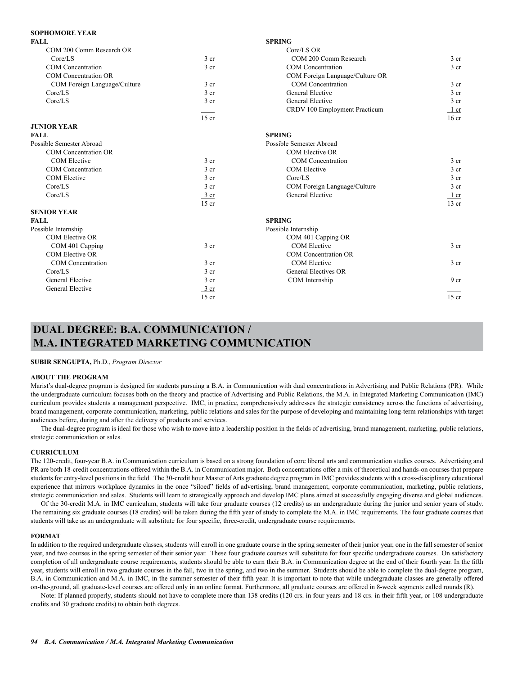### **SOPHOMORE YEAR**

| <b>FALL</b>                  |                  | <b>SPRING</b>                   |                  |
|------------------------------|------------------|---------------------------------|------------------|
| COM 200 Comm Research OR     |                  | $Core/LS$ OR                    |                  |
| Core/LS                      | 3 <sub>cr</sub>  | COM 200 Comm Research           | 3 <sub>cr</sub>  |
| <b>COM</b> Concentration     | 3 <sub>cr</sub>  | <b>COM</b> Concentration        | 3 <sub>cr</sub>  |
| <b>COM</b> Concentration OR  |                  | COM Foreign Language/Culture OR |                  |
| COM Foreign Language/Culture | 3 <sub>cr</sub>  | <b>COM</b> Concentration        | 3 <sub>cr</sub>  |
| Core/LS                      | 3 cr             | General Elective                | 3 <sub>cr</sub>  |
| Core/LS                      | 3 cr             | General Elective                | 3 <sub>cr</sub>  |
|                              |                  | CRDV 100 Employment Practicum   | $1$ cr           |
|                              | $15$ cr          |                                 | 16 <sub>cr</sub> |
| <b>JUNIOR YEAR</b>           |                  |                                 |                  |
| <b>FALL</b>                  |                  | <b>SPRING</b>                   |                  |
| Possible Semester Abroad     |                  | Possible Semester Abroad        |                  |
| <b>COM Concentration OR</b>  |                  | <b>COM Elective OR</b>          |                  |
| COM Elective                 | 3 <sub>cr</sub>  | COM Concentration               | 3 <sub>cr</sub>  |
| <b>COM</b> Concentration     | 3 <sub>cr</sub>  | <b>COM Elective</b>             | 3 <sub>cr</sub>  |
| <b>COM Elective</b>          | 3 <sub>cr</sub>  | Core/LS                         | 3 <sub>cr</sub>  |
| Core/LS                      | 3 <sub>cr</sub>  | COM Foreign Language/Culture    | 3 <sub>cr</sub>  |
| Core/LS                      | $\frac{3}{ }$ cr | General Elective                | 1 cr             |
|                              | $15$ cr          |                                 | $13$ cr          |
| <b>SENIOR YEAR</b>           |                  |                                 |                  |
| <b>FALL</b>                  |                  | <b>SPRING</b>                   |                  |
| Possible Internship          |                  | Possible Internship             |                  |
| <b>COM Elective OR</b>       |                  | COM 401 Capping OR              |                  |
| COM 401 Capping              | 3 <sub>cr</sub>  | <b>COM Elective</b>             | 3 <sub>cr</sub>  |
| COM Elective OR              |                  | <b>COM</b> Concentration OR     |                  |
| <b>COM</b> Concentration     | 3 <sub>cr</sub>  | <b>COM Elective</b>             | 3 <sub>cr</sub>  |
| Core/LS                      | 3 <sub>cr</sub>  | General Electives OR            |                  |
| <b>General Elective</b>      | 3 <sub>cr</sub>  | COM Internship                  | 9 <sub>cr</sub>  |
| General Elective             | $\frac{3}{ }$ cr |                                 |                  |
|                              | $15$ cr          |                                 | $15$ cr          |

## **DUAL DEGREE: B.A. COMMUNICATION / M.A. INTEGRATED MARKETING COMMUNICATION**

#### **SUBIR SENGUPTA,** Ph.D., *Program Director*

#### **ABOUT THE PROGRAM**

Marist's dual-degree program is designed for students pursuing a B.A. in Communication with dual concentrations in Advertising and Public Relations (PR). While the undergraduate curriculum focuses both on the theory and practice of Advertising and Public Relations, the M.A. in Integrated Marketing Communication (IMC) curriculum provides students a management perspective. IMC, in practice, comprehensively addresses the strategic consistency across the functions of advertising, brand management, corporate communication, marketing, public relations and sales for the purpose of developing and maintaining long-term relationships with target audiences before, during and after the delivery of products and services.

The dual-degree program is ideal for those who wish to move into a leadership position in the fields of advertising, brand management, marketing, public relations, strategic communication or sales.

#### **CURRICULUM**

The 120-credit, four-year B.A. in Communication curriculum is based on a strong foundation of core liberal arts and communication studies courses. Advertising and PR are both 18-credit concentrations offered within the B.A. in Communication major. Both concentrations offer a mix of theoretical and hands-on courses that prepare students for entry-level positions in the field. The 30-credit hour Master of Arts graduate degree program in IMC provides students with a cross-disciplinary educational experience that mirrors workplace dynamics in the once "siloed" fields of advertising, brand management, corporate communication, marketing, public relations, strategic communication and sales. Students will learn to strategically approach and develop IMC plans aimed at successfully engaging diverse and global audiences.

Of the 30-credit M.A. in IMC curriculum, students will take four graduate courses (12 credits) as an undergraduate during the junior and senior years of study. The remaining six graduate courses (18 credits) will be taken during the fifth year of study to complete the M.A. in IMC requirements. The four graduate courses that students will take as an undergraduate will substitute for four specific, three-credit, undergraduate course requirements.

#### **FORMAT**

In addition to the required undergraduate classes, students will enroll in one graduate course in the spring semester of their junior year, one in the fall semester of senior year, and two courses in the spring semester of their senior year. These four graduate courses will substitute for four specific undergraduate courses. On satisfactory completion of all undergraduate course requirements, students should be able to earn their B.A. in Communication degree at the end of their fourth year. In the fifth year, students will enroll in two graduate courses in the fall, two in the spring, and two in the summer. Students should be able to complete the dual-degree program, B.A. in Communication and M.A. in IMC, in the summer semester of their fifth year. It is important to note that while undergraduate classes are generally offered on-the-ground, all graduate-level courses are offered only in an online format. Furthermore, all graduate courses are offered in 8-week segments called rounds (R).

Note: If planned properly, students should not have to complete more than 138 credits (120 crs. in four years and 18 crs. in their fifth year, or 108 undergraduate credits and 30 graduate credits) to obtain both degrees.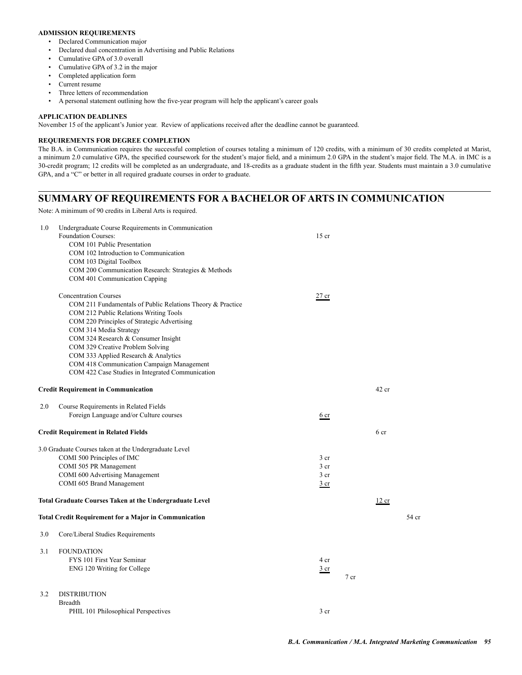### **ADMISSION REQUIREMENTS**

- Declared Communication major
- Declared dual concentration in Advertising and Public Relations
- Cumulative GPA of 3.0 overall
- Cumulative GPA of 3.2 in the major
- Completed application form
- Current resume
- Three letters of recommendation
- A personal statement outlining how the five-year program will help the applicant's career goals

### **APPLICATION DEADLINES**

November 15 of the applicant's Junior year. Review of applications received after the deadline cannot be guaranteed.

### **REQUIREMENTS FOR DEGREE COMPLETION**

The B.A. in Communication requires the successful completion of courses totaling a minimum of 120 credits, with a minimum of 30 credits completed at Marist, a minimum 2.0 cumulative GPA, the specified coursework for the student's major field, and a minimum 2.0 GPA in the student's major field. The M.A. in IMC is a 30-credit program; 12 credits will be completed as an undergraduate, and 18-credits as a graduate student in the fifth year. Students must maintain a 3.0 cumulative GPA, and a "C" or better in all required graduate courses in order to graduate.

### **SUMMARY OF REQUIREMENTS FOR A BACHELOR OF ARTS IN COMMUNICATION**

Note: A minimum of 90 credits in Liberal Arts is required.

| 1.0 | Undergraduate Course Requirements in Communication<br>Foundation Courses:<br>COM 101 Public Presentation<br>COM 102 Introduction to Communication<br>COM 103 Digital Toolbox<br>COM 200 Communication Research: Strategies & Methods<br>COM 401 Communication Capping                                                                                                                                                             | $15$ cr                                                       |        |         |       |
|-----|-----------------------------------------------------------------------------------------------------------------------------------------------------------------------------------------------------------------------------------------------------------------------------------------------------------------------------------------------------------------------------------------------------------------------------------|---------------------------------------------------------------|--------|---------|-------|
|     | <b>Concentration Courses</b><br>COM 211 Fundamentals of Public Relations Theory & Practice<br>COM 212 Public Relations Writing Tools<br>COM 220 Principles of Strategic Advertising<br>COM 314 Media Strategy<br>COM 324 Research & Consumer Insight<br>COM 329 Creative Problem Solving<br>COM 333 Applied Research & Analytics<br>COM 418 Communication Campaign Management<br>COM 422 Case Studies in Integrated Communication | $27$ cr                                                       |        |         |       |
|     | <b>Credit Requirement in Communication</b>                                                                                                                                                                                                                                                                                                                                                                                        |                                                               |        | $42$ cr |       |
| 2.0 | Course Requirements in Related Fields<br>Foreign Language and/or Culture courses                                                                                                                                                                                                                                                                                                                                                  | 6 cr                                                          |        |         |       |
|     | <b>Credit Requirement in Related Fields</b>                                                                                                                                                                                                                                                                                                                                                                                       |                                                               |        | 6 cr    |       |
|     | 3.0 Graduate Courses taken at the Undergraduate Level<br>COMI 500 Principles of IMC<br>COMI 505 PR Management<br><b>COMI 600 Advertising Management</b><br>COMI 605 Brand Management                                                                                                                                                                                                                                              | 3 <sub>cr</sub><br>3 <sub>cr</sub><br>3 cr<br>3 <sub>cr</sub> |        |         |       |
|     | <b>Total Graduate Courses Taken at the Undergraduate Level</b>                                                                                                                                                                                                                                                                                                                                                                    |                                                               |        | 12 cr   |       |
|     | <b>Total Credit Requirement for a Major in Communication</b>                                                                                                                                                                                                                                                                                                                                                                      |                                                               |        |         | 54 cr |
| 3.0 | Core/Liberal Studies Requirements                                                                                                                                                                                                                                                                                                                                                                                                 |                                                               |        |         |       |
| 3.1 | <b>FOUNDATION</b><br>FYS 101 First Year Seminar<br>ENG 120 Writing for College                                                                                                                                                                                                                                                                                                                                                    | 4 cr<br>$rac{3}{2}$ cr                                        | $7$ cr |         |       |
| 3.2 | <b>DISTRIBUTION</b><br>Breadth<br>PHIL 101 Philosophical Perspectives                                                                                                                                                                                                                                                                                                                                                             | 3 <sub>cr</sub>                                               |        |         |       |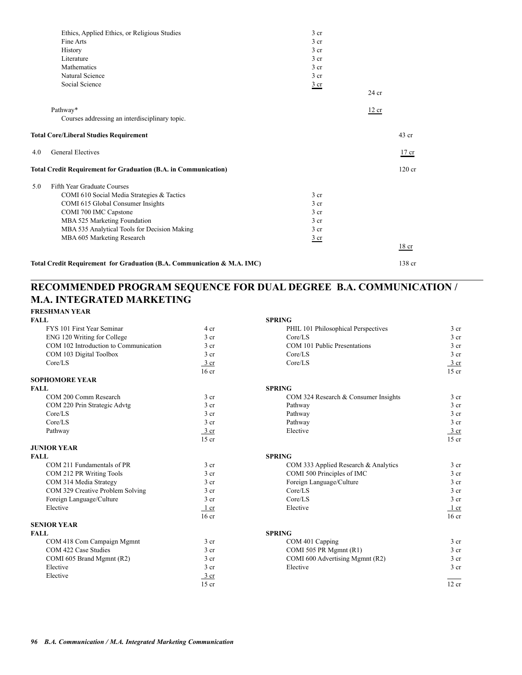|     | Ethics, Applied Ethics, or Religious Studies                            | $3$ cr          |         |                  |
|-----|-------------------------------------------------------------------------|-----------------|---------|------------------|
|     | Fine Arts                                                               | 3 <sub>cr</sub> |         |                  |
|     | History                                                                 | 3 <sub>cr</sub> |         |                  |
|     | Literature                                                              | 3 <sub>cr</sub> |         |                  |
|     | Mathematics                                                             | 3 <sub>cr</sub> |         |                  |
|     | Natural Science                                                         | 3 <sub>cr</sub> |         |                  |
|     | Social Science                                                          | $rac{3}{2}$ cr  |         |                  |
|     |                                                                         |                 | $24$ cr |                  |
|     | Pathway*                                                                |                 | 12 cr   |                  |
|     | Courses addressing an interdisciplinary topic.                          |                 |         |                  |
|     | <b>Total Core/Liberal Studies Requirement</b>                           |                 |         | $43$ cr          |
| 4.0 | <b>General Electives</b>                                                |                 |         | $17$ cr          |
|     | <b>Total Credit Requirement for Graduation (B.A. in Communication)</b>  |                 |         | $120$ cr         |
| 5.0 | Fifth Year Graduate Courses                                             |                 |         |                  |
|     | COMI 610 Social Media Strategies & Tactics                              | 3 <sub>cr</sub> |         |                  |
|     | COMI 615 Global Consumer Insights                                       | 3 <sub>cr</sub> |         |                  |
|     | COMI 700 IMC Capstone                                                   | 3 <sub>cr</sub> |         |                  |
|     | MBA 525 Marketing Foundation                                            | 3 <sub>cr</sub> |         |                  |
|     | MBA 535 Analytical Tools for Decision Making                            | 3 <sub>cr</sub> |         |                  |
|     | MBA 605 Marketing Research                                              | $rac{3}{2}$ cr  |         |                  |
|     |                                                                         |                 |         | 18 <sub>cr</sub> |
|     | Total Credit Requirement for Graduation (B.A. Communication & M.A. IMC) |                 |         | 138 cr           |

## **RECOMMENDED PROGRAM SEQUENCE FOR DUAL DEGREE B.A. COMMUNICATION / M.A. INTEGRATED MARKETING**

| <b>FRESHMAN YEAR</b>                  |                  |                                      |                  |
|---------------------------------------|------------------|--------------------------------------|------------------|
| <b>FALL</b>                           |                  | <b>SPRING</b>                        |                  |
| FYS 101 First Year Seminar            | 4 cr             | PHIL 101 Philosophical Perspectives  | 3 <sub>cr</sub>  |
| ENG 120 Writing for College           | 3 <sub>cr</sub>  | Core/LS                              | 3 <sub>cr</sub>  |
| COM 102 Introduction to Communication | 3 <sub>cr</sub>  | COM 101 Public Presentations         | 3 <sub>cr</sub>  |
| COM 103 Digital Toolbox               | 3 <sub>cr</sub>  | Core/LS                              | 3 <sub>cr</sub>  |
| Core/LS                               | 3 cr             | Core/LS                              | 3 cr             |
|                                       | 16 <sub>cr</sub> |                                      | $15$ cr          |
| <b>SOPHOMORE YEAR</b>                 |                  |                                      |                  |
| <b>FALL</b>                           |                  | <b>SPRING</b>                        |                  |
| COM 200 Comm Research                 | 3 <sub>cr</sub>  | COM 324 Research & Consumer Insights | 3 <sub>cr</sub>  |
| COM 220 Prin Strategic Advtg          | 3 <sub>cr</sub>  | Pathway                              | 3 <sub>cr</sub>  |
| Core/LS                               | 3 <sub>cr</sub>  | Pathway                              | 3 <sub>cr</sub>  |
| Core/LS                               | 3 <sub>cr</sub>  | Pathway                              | 3 <sub>cr</sub>  |
| Pathway                               | $\frac{3}{ }$ cr | Elective                             | $\frac{3}{ }$ cr |
|                                       | $15$ cr          |                                      | $15$ cr          |
| <b>JUNIOR YEAR</b>                    |                  |                                      |                  |
| <b>FALL</b>                           |                  | <b>SPRING</b>                        |                  |
| COM 211 Fundamentals of PR            | 3 <sub>cr</sub>  | COM 333 Applied Research & Analytics | 3 <sub>cr</sub>  |
| COM 212 PR Writing Tools              | 3 <sub>cr</sub>  | COMI 500 Principles of IMC           | 3 <sub>cr</sub>  |
| COM 314 Media Strategy                | 3 <sub>cr</sub>  | Foreign Language/Culture             | 3 <sub>cr</sub>  |
| COM 329 Creative Problem Solving      | 3 <sub>cr</sub>  | Core/LS                              | 3 <sub>cr</sub>  |
| Foreign Language/Culture              | 3 <sub>cr</sub>  | Core/LS                              | 3 <sub>cr</sub>  |
| Elective                              | $1$ cr           | Elective                             | $1$ cr           |
|                                       | 16 <sub>cr</sub> |                                      | $16$ cr          |
| <b>SENIOR YEAR</b>                    |                  |                                      |                  |
| <b>FALL</b>                           |                  | <b>SPRING</b>                        |                  |
| COM 418 Com Campaign Mgmnt            | 3 cr             | COM 401 Capping                      | 3 <sub>cr</sub>  |
| COM 422 Case Studies                  | $3$ cr           | COMI 505 PR Mgmnt (R1)               | 3 <sub>cr</sub>  |
| COMI 605 Brand Mgmnt (R2)             | 3 <sub>cr</sub>  | COMI 600 Advertising Mgmnt (R2)      | 3 <sub>cr</sub>  |
| Elective                              | 3 cr             | Elective                             | 3 <sub>cr</sub>  |
| Elective                              | 3 cr             |                                      |                  |
|                                       | $15$ cr          |                                      | 12 cr            |
|                                       |                  |                                      |                  |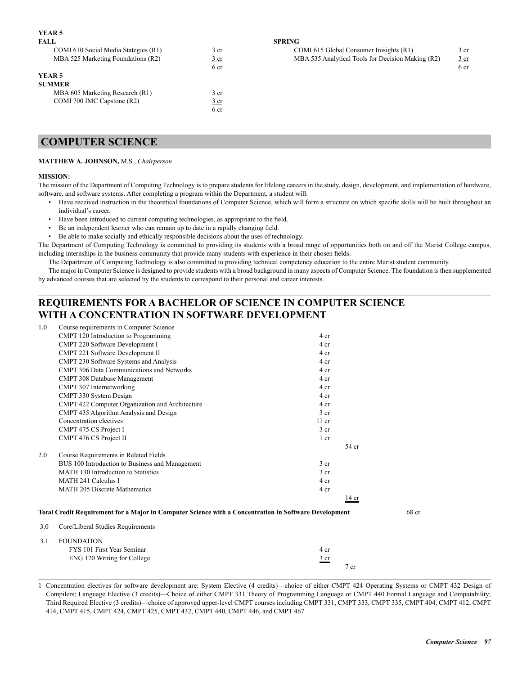### **YEAR 5**

| FALL.                                |                 | <b>SPRING</b>                                     |                 |
|--------------------------------------|-----------------|---------------------------------------------------|-----------------|
| COMI 610 Social Media Stategies (R1) | 3 <sub>cr</sub> | COMI 615 Global Consumer Inisights (R1)           | 3 <sub>cr</sub> |
| MBA 525 Marketing Foundations (R2)   | $rac{3}{2}$ cr  | MBA 535 Analytical Tools for Decision Making (R2) | <u>3 cr</u>     |
|                                      | 6 cr            |                                                   | 6 cr            |
| YEAR 5                               |                 |                                                   |                 |
| <b>SUMMER</b>                        |                 |                                                   |                 |
| MBA 605 Marketing Research (R1)      | 3 cr            |                                                   |                 |
| COMI 700 IMC Capstone (R2)           | $rac{3}{2}$ cr  |                                                   |                 |
|                                      | 6 cr            |                                                   |                 |

| COMI 610 Social Media Stategies (R1) | , cr | COMI 615 Global Consumer Inisights (R1)           | 3 cr |
|--------------------------------------|------|---------------------------------------------------|------|
| MBA 525 Marketing Foundations (R2)   | 3 cr | MBA 535 Analytical Tools for Decision Making (R2) | 3 cr |
|                                      |      |                                                   |      |

| COMI 700 IMC Capstone (R2) | 3 <sub>cr</sub> |
|----------------------------|-----------------|
|                            | 6 cr            |
|                            |                 |
|                            |                 |

## **COMPUTER SCIENCE**

### **MATTHEW A. JOHNSON,** M.S., *Chairperson*

### **MISSION:**

The mission of the Department of Computing Technology is to prepare students for lifelong careers in the study, design, development, and implementation of hardware, software, and software systems. After completing a program within the Department, a student will:

- Have received instruction in the theoretical foundations of Computer Science, which will form a structure on which specific skills will be built throughout an individual's career.
- Have been introduced to current computing technologies, as appropriate to the field.
- Be an independent learner who can remain up to date in a rapidly changing field.
- Be able to make socially and ethically responsible decisions about the uses of technology.

The Department of Computing Technology is committed to providing its students with a broad range of opportunities both on and off the Marist College campus, including internships in the business community that provide many students with experience in their chosen fields.

The Department of Computing Technology is also committed to providing technical competency education to the entire Marist student community.

The major in Computer Science is designed to provide students with a broad background in many aspects of Computer Science. The foundation is then supplemented by advanced courses that are selected by the students to correspond to their personal and career interests.

## **REQUIREMENTS FOR A BACHELOR OF SCIENCE IN COMPUTER SCIENCE WITH A CONCENTRATION IN SOFTWARE DEVELOPMENT**

| 1.0 | Course requirements in Computer Science                                                               |                 |        |       |
|-----|-------------------------------------------------------------------------------------------------------|-----------------|--------|-------|
|     | CMPT 120 Introduction to Programming                                                                  | 4 cr            |        |       |
|     | CMPT 220 Software Development I                                                                       | 4 cr            |        |       |
|     | CMPT 221 Software Development II                                                                      | 4 cr            |        |       |
|     | CMPT 230 Software Systems and Analysis                                                                | 4 cr            |        |       |
|     | <b>CMPT 306 Data Communications and Networks</b>                                                      | 4 cr            |        |       |
|     | CMPT 308 Database Management                                                                          | 4 cr            |        |       |
|     | CMPT 307 Internetworking                                                                              | 4 cr            |        |       |
|     | CMPT 330 System Design                                                                                | 4 cr            |        |       |
|     | CMPT 422 Computer Organization and Architecture                                                       | 4 cr            |        |       |
|     | CMPT 435 Algorithm Analysis and Design                                                                | 3 <sub>cr</sub> |        |       |
|     | Concentration electives <sup>1</sup>                                                                  | $11$ cr         |        |       |
|     | CMPT 475 CS Project I                                                                                 | 3 <sub>cr</sub> |        |       |
|     | CMPT 476 CS Project II                                                                                | 1 cr            |        |       |
|     |                                                                                                       |                 | 54 cr  |       |
| 2.0 | Course Requirements in Related Fields                                                                 |                 |        |       |
|     | BUS 100 Introduction to Business and Management                                                       | 3 <sub>cr</sub> |        |       |
|     | MATH 130 Introduction to Statistics                                                                   | 3 <sub>cr</sub> |        |       |
|     | <b>MATH 241 Calculus I</b>                                                                            | 4 cr            |        |       |
|     | <b>MATH 205 Discrete Mathematics</b>                                                                  | 4 cr            |        |       |
|     |                                                                                                       |                 | 14 cr  |       |
|     | Total Credit Requirement for a Major in Computer Science with a Concentration in Software Development |                 |        | 68 cr |
|     |                                                                                                       |                 |        |       |
| 3.0 | Core/Liberal Studies Requirements                                                                     |                 |        |       |
| 3.1 | <b>FOUNDATION</b>                                                                                     |                 |        |       |
|     | FYS 101 First Year Seminar                                                                            | 4 cr            |        |       |
|     | ENG 120 Writing for College                                                                           | $rac{3}{2}$ cr  |        |       |
|     |                                                                                                       |                 | $7$ cr |       |

1 Concentration electives for software development are: System Elective (4 credits)—choice of either CMPT 424 Operating Systems or CMPT 432 Design of Compilers; Language Elective (3 credits)—Choice of either CMPT 331 Theory of Programming Language or CMPT 440 Formal Language and Computability; Third Required Elective (3 credits)—choice of approved upper-level CMPT courses including CMPT 331, CMPT 333, CMPT 335, CMPT 404, CMPT 412, CMPT 414, CMPT 415, CMPT 424, CMPT 425, CMPT 432, CMPT 440, CMPT 446, and CMPT 467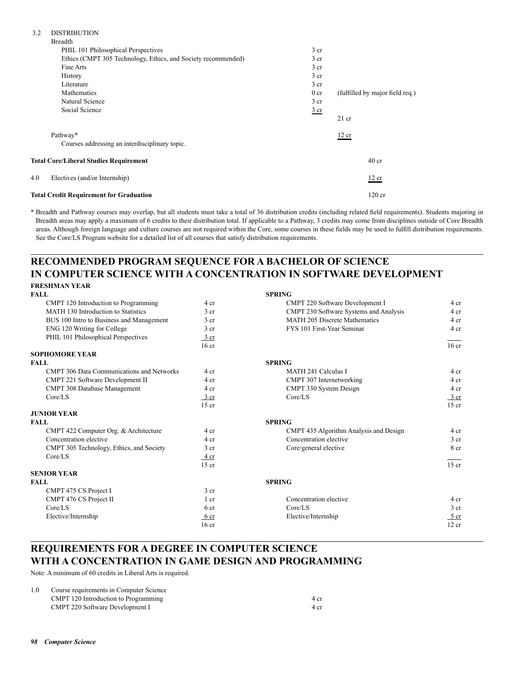## 3.2 DISTRIBUTION

|     | <b>Total Credit Requirement for Graduation</b>                |                 | $120$ cr                        |
|-----|---------------------------------------------------------------|-----------------|---------------------------------|
| 4.0 | Electives (and/or Internship)                                 |                 | 12 cr                           |
|     | <b>Total Core/Liberal Studies Requirement</b>                 |                 | 40 <sub>cr</sub>                |
|     | Courses addressing an interdisciplinary topic.                |                 |                                 |
|     | Pathway*                                                      |                 | 12 cr                           |
|     |                                                               |                 | $21$ cr                         |
|     | Social Science                                                | $rac{3}{2}$ cr  |                                 |
|     | Natural Science                                               | 3 <sub>cr</sub> |                                 |
|     | Mathematics                                                   | 0 <sub>cr</sub> | (fulfilled by major field req.) |
|     | Literature                                                    | $3$ cr          |                                 |
|     | History                                                       | 3 <sub>cr</sub> |                                 |
|     | Fine Arts                                                     | 3 <sub>cr</sub> |                                 |
|     | Ethics (CMPT 305 Technology, Ethics, and Society recommended) | 3 cr            |                                 |
|     | PHIL 101 Philosophical Perspectives                           | 3 <sub>cr</sub> |                                 |
|     | Breadth                                                       |                 |                                 |

\* Breadth and Pathway courses may overlap, but all students must take a total of 36 distribution credits (including related field requirements). Students majoring in Breadth areas may apply a maximum of 6 credits to their distribution total. If applicable to a Pathway, 3 credits may come from disciplines outside of Core Breadth areas. Although foreign language and culture courses are not required within the Core, some courses in these fields may be used to fulfill distribution requirements. See the Core/LS Program website for a detailed list of all courses that satisfy distribution requirements.

# **RECOMMENDED PROGRAM SEQUENCE FOR A BACHELOR OF SCIENCE IN COMPUTER SCIENCE WITH A CONCENTRATION IN SOFTWARE DEVELOPMENT**

# **FRESHMAN YEAR**

| <b>FALL</b>                                      |                  | <b>SPRING</b>                          |                  |
|--------------------------------------------------|------------------|----------------------------------------|------------------|
| CMPT 120 Introduction to Programming             | 4 cr             | CMPT 220 Software Development I        | 4 cr             |
| MATH 130 Introduction to Statistics              | 3 <sub>cr</sub>  | CMPT 230 Software Systems and Analysis | 4 cr             |
| BUS 100 Intro to Business and Management         | 3 <sub>cr</sub>  | <b>MATH 205 Discrete Mathematics</b>   | 4 cr             |
| ENG 120 Writing for College                      | 3 <sub>cr</sub>  | FYS 101 First-Year Seminar             | 4 cr             |
| PHIL 101 Philosophical Perspectives              | 3 cr             |                                        |                  |
|                                                  | 16 <sub>cr</sub> |                                        | 16 <sub>cr</sub> |
| <b>SOPHOMORE YEAR</b>                            |                  |                                        |                  |
| <b>FALL</b>                                      |                  | <b>SPRING</b>                          |                  |
| <b>CMPT 306 Data Communications and Networks</b> | 4 cr             | <b>MATH 241 Calculus I</b>             | 4 cr             |
| CMPT 221 Software Development II                 | 4 cr             | CMPT 307 Internetworking               | 4 cr             |
| CMPT 308 Database Management                     | 4 cr             | CMPT 330 System Design                 | 4 cr             |
| Core/LS                                          | $\frac{3}{ }$ cr | Core/LS                                | $\frac{3}{ }$ cr |
|                                                  | $15$ cr          |                                        | $15$ cr          |
| <b>JUNIOR YEAR</b>                               |                  |                                        |                  |
| <b>FALL</b>                                      |                  | <b>SPRING</b>                          |                  |
| CMPT 422 Computer Org. & Architecture            | 4 cr             | CMPT 435 Algorithm Analysis and Design | 4 cr             |
| Concentration elective                           | 4 cr             | Concentration elective                 | 3 <sub>cr</sub>  |
| CMPT 305 Technology, Ethics, and Society         | 3 <sub>cr</sub>  | Core/general elective                  | 8 cr             |
| Core/LS                                          | 4 cr             |                                        |                  |
|                                                  | $15$ cr          |                                        | $15$ cr          |
| <b>SENIOR YEAR</b>                               |                  |                                        |                  |
| <b>FALL</b>                                      |                  | <b>SPRING</b>                          |                  |
| CMPT 475 CS Project I                            | 3 <sub>cr</sub>  |                                        |                  |
| CMPT 476 CS Project II                           | 1 cr             | Concentration elective                 | 4 cr             |
| Core/LS                                          | 6 <sub>cr</sub>  | Core/LS                                | 3 <sub>cr</sub>  |
| Elective/Internship                              | 6 cr             | Elective/Internship                    | 5 cr             |
|                                                  | 16 <sub>cr</sub> |                                        | 12 cr            |

## **REQUIREMENTS FOR A DEGREE IN COMPUTER SCIENCE WITH A CONCENTRATION IN GAME DESIGN AND PROGRAMMING**

Note: A minimum of 60 credits in Liberal Arts is required.

| 1.0 | Course requirements in Computer Science |      |
|-----|-----------------------------------------|------|
|     | CMPT 120 Introduction to Programming    | 4 cr |
|     | CMPT 220 Software Development I         | 4 cr |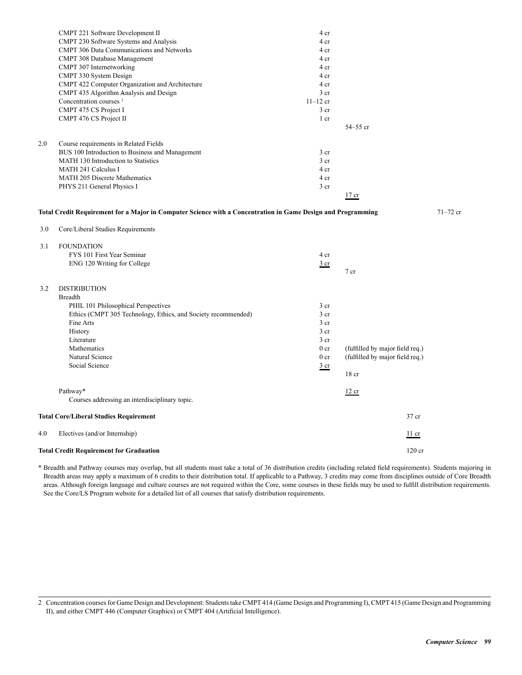| <b>Total Credit Requirement for Graduation</b>                                                                                                                        |                                                                                                                                                                                                                                                                                   | $120$ cr                                                                                              |                                                                                                                                     |
|-----------------------------------------------------------------------------------------------------------------------------------------------------------------------|-----------------------------------------------------------------------------------------------------------------------------------------------------------------------------------------------------------------------------------------------------------------------------------|-------------------------------------------------------------------------------------------------------|-------------------------------------------------------------------------------------------------------------------------------------|
| Electives (and/or Internship)                                                                                                                                         |                                                                                                                                                                                                                                                                                   | $\frac{11}{1}$ cr                                                                                     |                                                                                                                                     |
| <b>Total Core/Liberal Studies Requirement</b>                                                                                                                         |                                                                                                                                                                                                                                                                                   | 37 cr                                                                                                 |                                                                                                                                     |
| Pathway*<br>Courses addressing an interdisciplinary topic.                                                                                                            |                                                                                                                                                                                                                                                                                   | 12 cr                                                                                                 |                                                                                                                                     |
| Mathematics<br>Natural Science<br>Social Science                                                                                                                      | 0 <sub>cr</sub><br>0 <sub>cr</sub><br>$rac{3}{2}$ cr                                                                                                                                                                                                                              | (fulfilled by major field req.)<br>(fulfilled by major field req.)<br>18 <sub>cr</sub>                |                                                                                                                                     |
| <b>DISTRIBUTION</b><br><b>Breadth</b><br>PHIL 101 Philosophical Perspectives<br>Ethics (CMPT 305 Technology, Ethics, and Society recommended)<br>Fine Arts<br>History | 3 <sub>cr</sub><br>3 <sub>cr</sub><br>3 cr<br>3 <sub>cr</sub>                                                                                                                                                                                                                     |                                                                                                       |                                                                                                                                     |
| <b>FOUNDATION</b><br>FYS 101 First Year Seminar<br>ENG 120 Writing for College                                                                                        | 4 cr<br>$rac{3}{2}$ cr                                                                                                                                                                                                                                                            | $7$ cr                                                                                                |                                                                                                                                     |
| Core/Liberal Studies Requirements                                                                                                                                     |                                                                                                                                                                                                                                                                                   |                                                                                                       | $71 - 72$ cr                                                                                                                        |
|                                                                                                                                                                       |                                                                                                                                                                                                                                                                                   |                                                                                                       |                                                                                                                                     |
| PHYS 211 General Physics I                                                                                                                                            | 3 <sub>cr</sub>                                                                                                                                                                                                                                                                   |                                                                                                       |                                                                                                                                     |
| <b>MATH 205 Discrete Mathematics</b>                                                                                                                                  | 4 cr                                                                                                                                                                                                                                                                              |                                                                                                       |                                                                                                                                     |
| MATH 130 Introduction to Statistics                                                                                                                                   | 3 <sub>cr</sub>                                                                                                                                                                                                                                                                   |                                                                                                       |                                                                                                                                     |
| Course requirements in Related Fields                                                                                                                                 |                                                                                                                                                                                                                                                                                   |                                                                                                       |                                                                                                                                     |
| CMPT 476 CS Project II                                                                                                                                                | 1 cr                                                                                                                                                                                                                                                                              |                                                                                                       |                                                                                                                                     |
|                                                                                                                                                                       |                                                                                                                                                                                                                                                                                   |                                                                                                       |                                                                                                                                     |
| CMPT 435 Algorithm Analysis and Design                                                                                                                                | 3 cr                                                                                                                                                                                                                                                                              |                                                                                                       |                                                                                                                                     |
|                                                                                                                                                                       |                                                                                                                                                                                                                                                                                   |                                                                                                       |                                                                                                                                     |
| CMPT 307 Internetworking                                                                                                                                              | 4 cr                                                                                                                                                                                                                                                                              |                                                                                                       |                                                                                                                                     |
| <b>CMPT 308 Database Management</b>                                                                                                                                   | 4 cr                                                                                                                                                                                                                                                                              |                                                                                                       |                                                                                                                                     |
| <b>CMPT 306 Data Communications and Networks</b>                                                                                                                      | 4 cr                                                                                                                                                                                                                                                                              |                                                                                                       |                                                                                                                                     |
| CMPT 221 Software Development II                                                                                                                                      | 4 cr                                                                                                                                                                                                                                                                              |                                                                                                       |                                                                                                                                     |
|                                                                                                                                                                       | CMPT 230 Software Systems and Analysis<br>CMPT 330 System Design<br>CMPT 422 Computer Organization and Architecture<br>Concentration courses <sup>2</sup><br>CMPT 475 CS Project I<br>BUS 100 Introduction to Business and Management<br><b>MATH 241 Calculus I</b><br>Literature | 4 cr<br>4 cr<br>4 cr<br>$11 - 12$ cr<br>3 <sub>cr</sub><br>3 <sub>cr</sub><br>4 cr<br>3 <sub>cr</sub> | 54-55 cr<br>$17$ cr<br>Total Credit Requirement for a Major in Computer Science with a Concentration in Game Design and Programming |

\* Breadth and Pathway courses may overlap, but all students must take a total of 36 distribution credits (including related field requirements). Students majoring in Breadth areas may apply a maximum of 6 credits to their distribution total. If applicable to a Pathway, 3 credits may come from disciplines outside of Core Breadth areas. Although foreign language and culture courses are not required within the Core, some courses in these fields may be used to fulfill distribution requirements. See the Core/LS Program website for a detailed list of all courses that satisfy distribution requirements.

<sup>2</sup> Concentration courses for Game Design and Development: Students take CMPT 414 (Game Design and Programming I), CMPT 415 (Game Design and Programming II), and either CMPT 446 (Computer Graphics) or CMPT 404 (Artificial Intelligence).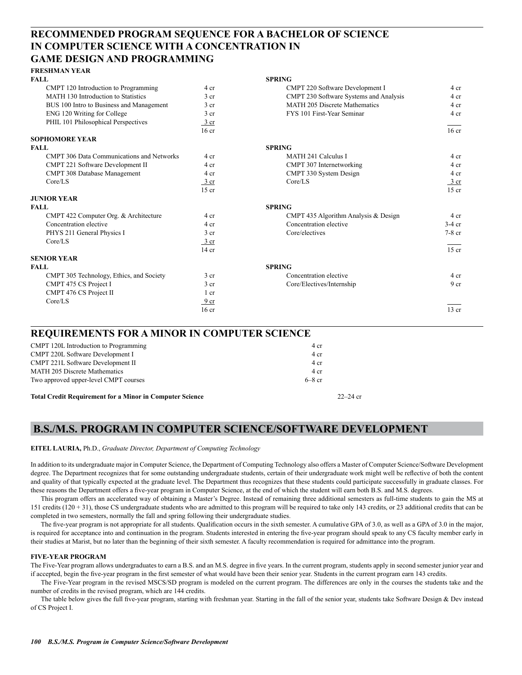## **RECOMMENDED PROGRAM SEQUENCE FOR A BACHELOR OF SCIENCE IN COMPUTER SCIENCE WITH A CONCENTRATION IN GAME DESIGN AND PROGRAMMING**

| <b>FRESHMAN YEAR</b>                             |                  |                                        |                  |
|--------------------------------------------------|------------------|----------------------------------------|------------------|
| <b>FALL</b>                                      |                  | <b>SPRING</b>                          |                  |
| CMPT 120 Introduction to Programming             | 4 cr             | CMPT 220 Software Development I        | 4 cr             |
| MATH 130 Introduction to Statistics              | 3 <sub>cr</sub>  | CMPT 230 Software Systems and Analysis | 4 cr             |
| BUS 100 Intro to Business and Management         | 3 <sub>cr</sub>  | <b>MATH 205 Discrete Mathematics</b>   | 4 cr             |
| ENG 120 Writing for College                      | 3 <sub>cr</sub>  | FYS 101 First-Year Seminar             | 4 cr             |
| PHIL 101 Philosophical Perspectives              | 3 cr             |                                        |                  |
|                                                  | 16 <sub>cr</sub> |                                        | 16 <sub>cr</sub> |
| <b>SOPHOMORE YEAR</b>                            |                  |                                        |                  |
| <b>FALL</b>                                      |                  | <b>SPRING</b>                          |                  |
| <b>CMPT 306 Data Communications and Networks</b> | 4 cr             | MATH 241 Calculus I                    | 4 cr             |
| CMPT 221 Software Development II                 | 4 cr             | CMPT 307 Internetworking               | 4 cr             |
| CMPT 308 Database Management                     | 4 cr             | CMPT 330 System Design                 | 4 cr             |
| Core/LS                                          | $\frac{3}{ }$ cr | Core/LS                                | 3 cr             |
|                                                  | $15$ cr          |                                        | $15$ cr          |
| <b>JUNIOR YEAR</b>                               |                  |                                        |                  |
| <b>FALL</b>                                      |                  | <b>SPRING</b>                          |                  |
| CMPT 422 Computer Org. & Architecture            | 4 cr             | CMPT 435 Algorithm Analysis & Design   | 4 cr             |
| Concentration elective                           | 4 cr             | Concentration elective                 | $3-4$ cr         |
| PHYS 211 General Physics I                       | 3 <sub>cr</sub>  | Core/electives                         | $7-8$ cr         |
| Core/LS                                          | 3 cr             |                                        |                  |
|                                                  | $14$ cr          |                                        | $15$ cr          |
| <b>SENIOR YEAR</b>                               |                  |                                        |                  |
| <b>FALL</b>                                      |                  | <b>SPRING</b>                          |                  |
| CMPT 305 Technology, Ethics, and Society         | 3 <sub>cr</sub>  | Concentration elective                 | 4 cr             |
| CMPT 475 CS Project I                            | 3 <sub>cr</sub>  | Core/Electives/Internship              | 9 <sub>cr</sub>  |
| CMPT 476 CS Project II                           | 1 cr             |                                        |                  |
| Core/LS                                          | 9 <sub>cr</sub>  |                                        |                  |
|                                                  | 16 <sub>cr</sub> |                                        | $13$ cr          |
|                                                  |                  |                                        |                  |

### **REQUIREMENTS FOR A MINOR IN COMPUTER SCIENCE**

| <b>Total Credit Requirement for a Minor in Computer Science</b> |          | $22 - 24$ cr |
|-----------------------------------------------------------------|----------|--------------|
| Two approved upper-level CMPT courses                           | $6-8$ cr |              |
| <b>MATH 205 Discrete Mathematics</b>                            | 4 cr     |              |
| CMPT 221L Software Development II                               | 4 cr     |              |
| CMPT 220L Software Development I                                | 4 cr     |              |
| CMPT 120L Introduction to Programming                           | 4 cr     |              |
|                                                                 |          |              |

## **B.S./M.S. PROGRAM IN COMPUTER SCIENCE/SOFTWARE DEVELOPMENT**

### **EITEL LAURIA,** Ph.D., *Graduate Director, Department of Computing Technology*

In addition to its undergraduate major in Computer Science, the Department of Computing Technology also offers a Master of Computer Science/Software Development degree. The Department recognizes that for some outstanding undergraduate students, certain of their undergraduate work might well be reflective of both the content and quality of that typically expected at the graduate level. The Department thus recognizes that these students could participate successfully in graduate classes. For these reasons the Department offers a five-year program in Computer Science, at the end of which the student will earn both B.S. and M.S. degrees.

This program offers an accelerated way of obtaining a Master's Degree. Instead of remaining three additional semesters as full-time students to gain the MS at 151 credits (120 + 31), those CS undergraduate students who are admitted to this program will be required to take only 143 credits, or 23 additional credits that can be completed in two semesters, normally the fall and spring following their undergraduate studies.

The five-year program is not appropriate for all students. Qualification occurs in the sixth semester. A cumulative GPA of 3.0, as well as a GPA of 3.0 in the major, is required for acceptance into and continuation in the program. Students interested in entering the five-year program should speak to any CS faculty member early in their studies at Marist, but no later than the beginning of their sixth semester. A faculty recommendation is required for admittance into the program.

### **FIVE-YEAR PROGRAM**

The Five-Year program allows undergraduates to earn a B.S. and an M.S. degree in five years. In the current program, students apply in second semester junior year and if accepted, begin the five-year program in the first semester of what would have been their senior year. Students in the current program earn 143 credits.

The Five-Year program in the revised MSCS/SD program is modeled on the current program. The differences are only in the courses the students take and the number of credits in the revised program, which are 144 credits.

The table below gives the full five-year program, starting with freshman year. Starting in the fall of the senior year, students take Software Design & Dev instead of CS Project I.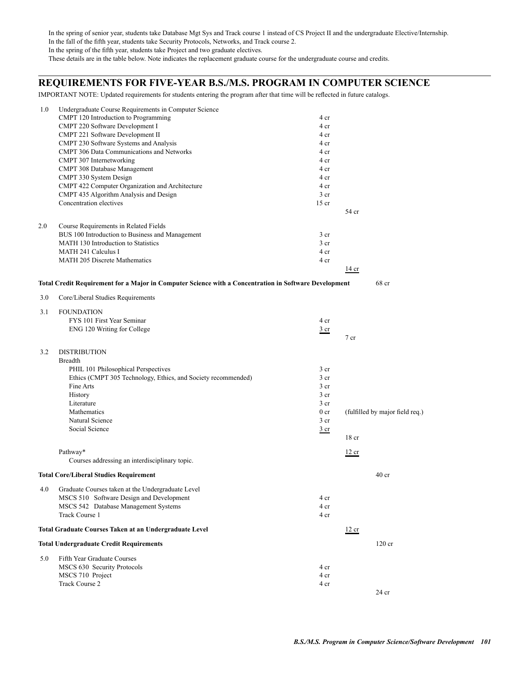In the spring of senior year, students take Database Mgt Sys and Track course 1 instead of CS Project II and the undergraduate Elective/Internship. In the fall of the fifth year, students take Security Protocols, Networks, and Track course 2. In the spring of the fifth year, students take Project and two graduate electives. These details are in the table below. Note indicates the replacement graduate course for the undergraduate course and credits.

## **REQUIREMENTS FOR FIVE-YEAR B.S./M.S. PROGRAM IN COMPUTER SCIENCE**

IMPORTANT NOTE: Updated requirements for students entering the program after that time will be reflected in future catalogs.

| 1.0 | Undergraduate Course Requirements in Computer Science                                                 |                 |                                 |
|-----|-------------------------------------------------------------------------------------------------------|-----------------|---------------------------------|
|     | CMPT 120 Introduction to Programming                                                                  | 4 cr            |                                 |
|     | CMPT 220 Software Development I                                                                       | 4 cr            |                                 |
|     | CMPT 221 Software Development II                                                                      | 4 cr            |                                 |
|     | CMPT 230 Software Systems and Analysis                                                                | 4 cr            |                                 |
|     | CMPT 306 Data Communications and Networks                                                             | 4 cr            |                                 |
|     | CMPT 307 Internetworking                                                                              | 4 cr            |                                 |
|     | CMPT 308 Database Management                                                                          | 4 cr            |                                 |
|     | CMPT 330 System Design                                                                                | 4 cr            |                                 |
|     | CMPT 422 Computer Organization and Architecture                                                       | 4 cr            |                                 |
|     | CMPT 435 Algorithm Analysis and Design                                                                | $3$ cr          |                                 |
|     | Concentration electives                                                                               | $15$ cr         | 54 cr                           |
|     |                                                                                                       |                 |                                 |
| 2.0 | Course Requirements in Related Fields                                                                 |                 |                                 |
|     | BUS 100 Introduction to Business and Management                                                       | 3 <sub>cr</sub> |                                 |
|     | MATH 130 Introduction to Statistics                                                                   | 3 <sub>cr</sub> |                                 |
|     | <b>MATH 241 Calculus I</b>                                                                            | 4 cr            |                                 |
|     | <b>MATH 205 Discrete Mathematics</b>                                                                  | 4 cr            |                                 |
|     |                                                                                                       |                 | 14 cr                           |
|     | Total Credit Requirement for a Major in Computer Science with a Concentration in Software Development |                 | 68 cr                           |
| 3.0 | Core/Liberal Studies Requirements                                                                     |                 |                                 |
|     |                                                                                                       |                 |                                 |
| 3.1 | <b>FOUNDATION</b>                                                                                     |                 |                                 |
|     | FYS 101 First Year Seminar                                                                            | 4 cr            |                                 |
|     | ENG 120 Writing for College                                                                           | $rac{3}{2}$ cr  |                                 |
|     |                                                                                                       |                 | $7$ cr                          |
| 3.2 | <b>DISTRIBUTION</b>                                                                                   |                 |                                 |
|     | <b>Breadth</b>                                                                                        |                 |                                 |
|     | PHIL 101 Philosophical Perspectives                                                                   | 3 <sub>cr</sub> |                                 |
|     | Ethics (CMPT 305 Technology, Ethics, and Society recommended)                                         | 3 <sub>cr</sub> |                                 |
|     | Fine Arts                                                                                             | 3 <sub>cr</sub> |                                 |
|     | History                                                                                               | 3 <sub>cr</sub> |                                 |
|     | Literature                                                                                            | 3 <sub>cr</sub> |                                 |
|     | Mathematics                                                                                           | 0 <sub>cr</sub> | (fulfilled by major field req.) |
|     | Natural Science                                                                                       | $3$ cr          |                                 |
|     | Social Science                                                                                        | $rac{3}{2}$ cr  |                                 |
|     |                                                                                                       |                 | 18 <sub>cr</sub>                |
|     |                                                                                                       |                 |                                 |
|     | Pathway*                                                                                              |                 | 12 cr                           |
|     | Courses addressing an interdisciplinary topic.                                                        |                 |                                 |
|     | <b>Total Core/Liberal Studies Requirement</b>                                                         |                 | 40 <sub>cr</sub>                |
| 4.0 | Graduate Courses taken at the Undergraduate Level                                                     |                 |                                 |
|     | MSCS 510 Software Design and Development                                                              | 4 cr            |                                 |
|     | MSCS 542 Database Management Systems                                                                  | 4 cr            |                                 |
|     | Track Course 1                                                                                        | 4 cr            |                                 |
|     |                                                                                                       |                 |                                 |
|     | Total Graduate Courses Taken at an Undergraduate Level                                                |                 | 12 cr                           |
|     | <b>Total Undergraduate Credit Requirements</b>                                                        |                 | $120$ cr                        |
| 5.0 | Fifth Year Graduate Courses                                                                           |                 |                                 |
|     | MSCS 630 Security Protocols                                                                           | 4 cr            |                                 |
|     | MSCS 710 Project                                                                                      | 4 cr            |                                 |
|     | Track Course 2                                                                                        | 4 cr            |                                 |
|     |                                                                                                       |                 | 24 cr                           |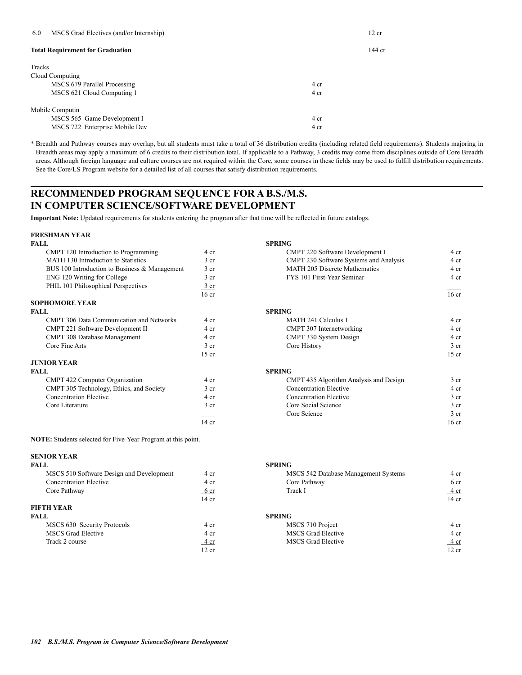| 6.0             | MSCS Grad Electives (and/or Internship) |      | 12 cr    |
|-----------------|-----------------------------------------|------|----------|
|                 | <b>Total Requirement for Graduation</b> |      | $144$ cr |
| Tracks          |                                         |      |          |
| Cloud Computing |                                         |      |          |
|                 | MSCS 679 Parallel Processing            | 4 cr |          |
|                 | MSCS 621 Cloud Computing 1              | 4 cr |          |
| Mobile Computin |                                         |      |          |
|                 | MSCS 565 Game Development I             | 4 cr |          |
|                 | MSCS 722 Enterprise Mobile Dev          | 4 cr |          |

\* Breadth and Pathway courses may overlap, but all students must take a total of 36 distribution credits (including related field requirements). Students majoring in Breadth areas may apply a maximum of 6 credits to their distribution total. If applicable to a Pathway, 3 credits may come from disciplines outside of Core Breadth areas. Although foreign language and culture courses are not required within the Core, some courses in these fields may be used to fulfill distribution requirements. See the Core/LS Program website for a detailed list of all courses that satisfy distribution requirements.

## **RECOMMENDED PROGRAM SEQUENCE FOR A B.S./M.S. IN COMPUTER SCIENCE/SOFTWARE DEVELOPMENT**

**Important Note:** Updated requirements for students entering the program after that time will be reflected in future catalogs.

# **FRESHMAN YEAR**

| <b>FALL</b>                                     |                  | <b>SPRING</b> |
|-------------------------------------------------|------------------|---------------|
| CMPT 120 Introduction to Programming            | 4 cr             | C.            |
| MATH 130 Introduction to Statistics             | 3 <sub>cr</sub>  | C.            |
| BUS 100 Introduction to Business & Management   | 3 <sub>cr</sub>  | M             |
| ENG 120 Writing for College                     | 3 <sub>cr</sub>  | F             |
| PHIL 101 Philosophical Perspectives             | $3$ cr           |               |
|                                                 | 16 <sub>cr</sub> |               |
| <b>SOPHOMORE YEAR</b>                           |                  |               |
| <b>FALL</b>                                     |                  | <b>SPRING</b> |
| <b>CMPT 306 Data Communication and Networks</b> | 4 cr             | M             |
| CMPT 221 Software Development II                | 4 cr             | C.            |
| CMPT 308 Database Management                    | 4 cr             | $\mathcal{C}$ |
| Core Fine Arts                                  | $3$ cr           | $\mathcal{C}$ |
|                                                 | $15$ cr          |               |
| <b>JUNIOR YEAR</b>                              |                  |               |
| <b>FALL</b>                                     |                  | <b>SPRING</b> |
| CMPT 422 Computer Organization                  | 4 cr             | C.            |
| CMPT 305 Technology, Ethics, and Society        | $3$ cr           | $\mathbf C$   |
| <b>Concentration Elective</b>                   | 4 cr             | C)            |
| Core Literature                                 | 3 cr             | C)            |
|                                                 |                  | G             |
|                                                 | $\sim$ $\sim$    |               |

**NOTE:** Students selected for Five-Year Program at this point.

# **SENIOR YEAR**

| FALL                                     |                  | <b>SPRING</b> |
|------------------------------------------|------------------|---------------|
| MSCS 510 Software Design and Development | 4 cr             | M             |
| <b>Concentration Elective</b>            | 4 cr             | С             |
| Core Pathway                             | 6 cr             | Tı            |
|                                          | 14 <sub>cr</sub> |               |
| <b>FIFTH YEAR</b>                        |                  |               |
| <b>FALL</b>                              |                  | <b>SPRING</b> |
| MSCS 630 Security Protocols              | 4 cr             | M             |
| <b>MSCS</b> Grad Elective                | 4 cr             | M             |
| Track 2 course                           | 4 cr             | M             |
|                                          | 12er             |               |

| CMPT 120 Introduction to Programming                                                                     | 4 cr             | CMPT 220 Software Development I        | 4 cr             |
|----------------------------------------------------------------------------------------------------------|------------------|----------------------------------------|------------------|
| MATH 130 Introduction to Statistics                                                                      | 3 cr             | CMPT 230 Software Systems and Analysis | 4 cr             |
| BUS 100 Introduction to Business & Management                                                            | 3 <sub>cr</sub>  | <b>MATH 205 Discrete Mathematics</b>   | 4 cr             |
| ENG 120 Writing for College                                                                              | 3 <sub>cr</sub>  | FYS 101 First-Year Seminar             | 4 cr             |
| PHIL 101 Philosophical Perspectives                                                                      | <u>3 cr</u>      |                                        |                  |
|                                                                                                          | 16 <sub>cr</sub> |                                        | 16 <sub>cr</sub> |
| <b>SOPHOMORE YEAR</b>                                                                                    |                  |                                        |                  |
| FALL                                                                                                     |                  | <b>SPRING</b>                          |                  |
| <b>CMPT 306 Data Communication and Networks</b>                                                          | 4 cr             | MATH 241 Calculus 1                    | 4 cr             |
| CMPT 221 Software Development II                                                                         | 4 cr             | CMPT 307 Internetworking               | 4 cr             |
| <b>CMPT 308 Database Management</b>                                                                      | 4 cr             | CMPT 330 System Design                 | 4 cr             |
| Core Fine Arts                                                                                           | $\frac{3}{ }$ cr | Core History                           | 3 cr             |
|                                                                                                          | $15$ cr          |                                        | $15$ cr          |
| <b>JUNIOR YEAR</b>                                                                                       |                  |                                        |                  |
| FALL.                                                                                                    |                  | <b>SPRING</b>                          |                  |
| CMPT 422 Computer Organization                                                                           | 4 cr             | CMPT 435 Algorithm Analysis and Design | 3 <sub>cr</sub>  |
| CMPT 305 Technology, Ethics, and Society                                                                 | 3 <sub>cr</sub>  | <b>Concentration Elective</b>          | 4 cr             |
| $\mathbf{r}$ , and $\mathbf{r}$ are the set of $\mathbf{r}$ and $\mathbf{r}$ are the set of $\mathbf{r}$ | $\overline{ }$   | $\alpha$ . $\alpha$ $\mathbf{m}$ .     |                  |

| CMPT 305 Technology, Ethics, and Society | 3 cr  | Concentration Elective        | 4 cr            |
|------------------------------------------|-------|-------------------------------|-----------------|
| <b>Concentration Elective</b>            | 4 cr  | <b>Concentration Elective</b> | 3 cr            |
| Core Literature                          | 3 cr  | Core Social Science           | 3 cr            |
|                                          |       | Core Science                  | 3 cr            |
|                                          | 14 cr |                               | $16 \text{ cr}$ |

| MSCS 510 Software Design and Development | 4 cr          | MSCS 542 Database Management Systems | 4 cr        |
|------------------------------------------|---------------|--------------------------------------|-------------|
| <b>Concentration Elective</b>            | 4 cr          | Core Pathway                         | 6 cr        |
| Core Pathway                             | <u>t</u> o cr | Track 1                              | <u>4 cr</u> |
|                                          | 14 cr         |                                      | 14 cr       |
| FIFTH YEAR                               |               |                                      |             |

| FALL                        |       | <b>SPRING</b>             |             |
|-----------------------------|-------|---------------------------|-------------|
| MSCS 630 Security Protocols | 4 cr  | MSCS 710 Project          | 4 cr        |
| MSCS Grad Elective          | 4 cr  | <b>MSCS</b> Grad Elective | 4 cr        |
| Track 2 course              | 4cr   | <b>MSCS</b> Grad Elective | <u>4 cr</u> |
|                             | 12 cr |                           | 12 cr       |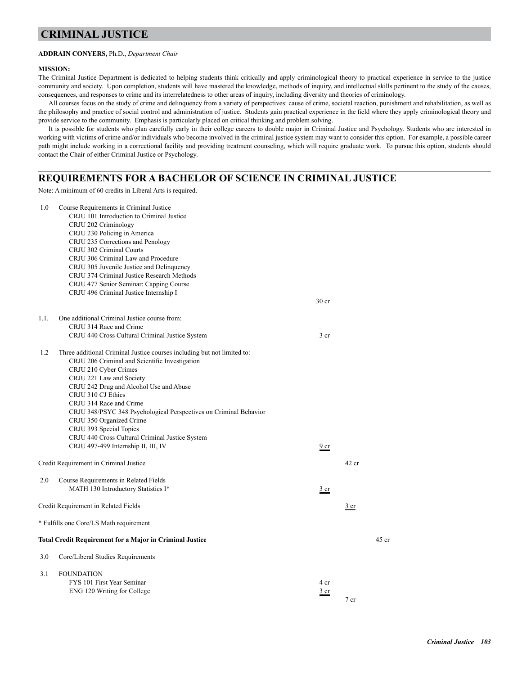## **CRIMINAL JUSTICE**

### **ADDRAIN CONYERS,** Ph.D., *Department Chair*

#### **MISSION:**

The Criminal Justice Department is dedicated to helping students think critically and apply criminological theory to practical experience in service to the justice community and society. Upon completion, students will have mastered the knowledge, methods of inquiry, and intellectual skills pertinent to the study of the causes, consequences, and responses to crime and its interrelatedness to other areas of inquiry, including diversity and theories of criminology.

All courses focus on the study of crime and delinquency from a variety of perspectives: cause of crime, societal reaction, punishment and rehabilitation, as well as the philosophy and practice of social control and administration of justice. Students gain practical experience in the field where they apply criminological theory and provide service to the community. Emphasis is particularly placed on critical thinking and problem solving.

It is possible for students who plan carefully early in their college careers to double major in Criminal Justice and Psychology. Students who are interested in working with victims of crime and/or individuals who become involved in the criminal justice system may want to consider this option. For example, a possible career path might include working in a correctional facility and providing treatment counseling, which will require graduate work. To pursue this option, students should contact the Chair of either Criminal Justice or Psychology.

### **REQUIREMENTS FOR A BACHELOR OF SCIENCE IN CRIMINAL JUSTICE**

Note: A minimum of 60 credits in Liberal Arts is required.

| 1.0  | Course Requirements in Criminal Justice<br>CRJU 101 Introduction to Criminal Justice<br>CRJU 202 Criminology<br>CRJU 230 Policing in America<br>CRJU 235 Corrections and Penology<br>CRJU 302 Criminal Courts<br>CRJU 306 Criminal Law and Procedure<br>CRJU 305 Juvenile Justice and Delinquency<br>CRJU 374 Criminal Justice Research Methods<br>CRJU 477 Senior Seminar: Capping Course                                                                                                       |                  |                 |         |
|------|--------------------------------------------------------------------------------------------------------------------------------------------------------------------------------------------------------------------------------------------------------------------------------------------------------------------------------------------------------------------------------------------------------------------------------------------------------------------------------------------------|------------------|-----------------|---------|
|      | CRJU 496 Criminal Justice Internship I                                                                                                                                                                                                                                                                                                                                                                                                                                                           | 30 <sub>cr</sub> |                 |         |
| 1.1. | One additional Criminal Justice course from:<br>CRJU 314 Race and Crime<br>CRJU 440 Cross Cultural Criminal Justice System                                                                                                                                                                                                                                                                                                                                                                       | 3 <sub>cr</sub>  |                 |         |
| 1.2  | Three additional Criminal Justice courses including but not limited to:<br>CRJU 206 Criminal and Scientific Investigation<br>CRJU 210 Cyber Crimes<br>CRJU 221 Law and Society<br>CRJU 242 Drug and Alcohol Use and Abuse<br>CRJU 310 CJ Ethics<br>CRJU 314 Race and Crime<br>CRJU 348/PSYC 348 Psychological Perspectives on Criminal Behavior<br>CRJU 350 Organized Crime<br>CRJU 393 Special Topics<br>CRJU 440 Cross Cultural Criminal Justice System<br>CRJU 497-499 Internship II, III, IV | 9 <sub>cr</sub>  |                 |         |
|      | Credit Requirement in Criminal Justice                                                                                                                                                                                                                                                                                                                                                                                                                                                           |                  | $42$ cr         |         |
| 2.0  | Course Requirements in Related Fields<br>MATH 130 Introductory Statistics I*                                                                                                                                                                                                                                                                                                                                                                                                                     | 3 <sub>cr</sub>  |                 |         |
|      | Credit Requirement in Related Fields                                                                                                                                                                                                                                                                                                                                                                                                                                                             |                  | $rac{3}{2}$ cr  |         |
|      | * Fulfills one Core/LS Math requirement                                                                                                                                                                                                                                                                                                                                                                                                                                                          |                  |                 |         |
|      | <b>Total Credit Requirement for a Major in Criminal Justice</b>                                                                                                                                                                                                                                                                                                                                                                                                                                  |                  |                 | $45$ cr |
| 3.0  | Core/Liberal Studies Requirements                                                                                                                                                                                                                                                                                                                                                                                                                                                                |                  |                 |         |
| 3.1  | <b>FOUNDATION</b><br>FYS 101 First Year Seminar<br>ENG 120 Writing for College                                                                                                                                                                                                                                                                                                                                                                                                                   | 4 cr<br>3 cr     | 7 <sub>cr</sub> |         |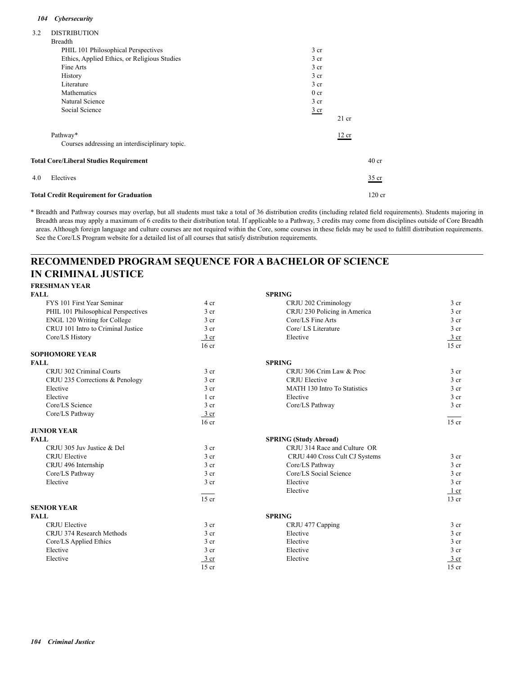### *104 Cybersecurity*

| 3.2 | <b>DISTRIBUTION</b>                            |                 |         |                  |
|-----|------------------------------------------------|-----------------|---------|------------------|
|     | <b>Breadth</b>                                 |                 |         |                  |
|     | PHIL 101 Philosophical Perspectives            | 3 <sub>cr</sub> |         |                  |
|     | Ethics, Applied Ethics, or Religious Studies   | 3 <sub>cr</sub> |         |                  |
|     | Fine Arts                                      | 3 <sub>cr</sub> |         |                  |
|     | History                                        | 3 <sub>cr</sub> |         |                  |
|     | Literature                                     | 3 <sub>cr</sub> |         |                  |
|     | Mathematics                                    | 0 <sub>cr</sub> |         |                  |
|     | Natural Science                                | 3 <sub>cr</sub> |         |                  |
|     | Social Science                                 | $rac{3}{2}$ cr  |         |                  |
|     |                                                |                 | $21$ cr |                  |
|     | Pathway*                                       |                 | 12 cr   |                  |
|     | Courses addressing an interdisciplinary topic. |                 |         |                  |
|     | <b>Total Core/Liberal Studies Requirement</b>  |                 |         | 40 <sub>cr</sub> |
| 4.0 | Electives                                      |                 |         | $35$ cr          |
|     | <b>Total Credit Requirement for Graduation</b> |                 |         | $120$ cr         |

\* Breadth and Pathway courses may overlap, but all students must take a total of 36 distribution credits (including related field requirements). Students majoring in Breadth areas may apply a maximum of 6 credits to their distribution total. If applicable to a Pathway, 3 credits may come from disciplines outside of Core Breadth areas. Although foreign language and culture courses are not required within the Core, some courses in these fields may be used to fulfill distribution requirements. See the Core/LS Program website for a detailed list of all courses that satisfy distribution requirements.

## **RECOMMENDED PROGRAM SEQUENCE FOR A BACHELOR OF SCIENCE IN CRIMINAL JUSTICE**

### **FRESHMAN YEAR**

| <b>FALL</b>                         |                  | <b>SPRING</b>                  |                  |
|-------------------------------------|------------------|--------------------------------|------------------|
| FYS 101 First Year Seminar          | 4 cr             | CRJU 202 Criminology           | 3 cr             |
| PHIL 101 Philosophical Perspectives | 3 <sub>cr</sub>  | CRJU 230 Policing in America   | 3 <sub>cr</sub>  |
| <b>ENGL 120 Writing for College</b> | 3 <sub>cr</sub>  | Core/LS Fine Arts              | 3 <sub>cr</sub>  |
| CRUJ 101 Intro to Criminal Justice  | 3 cr             | Core/ LS Literature            | 3 <sub>cr</sub>  |
| Core/LS History                     | 3 cr             | Elective                       | 3 cr             |
|                                     | 16 <sub>cr</sub> |                                | $15$ cr          |
| <b>SOPHOMORE YEAR</b>               |                  |                                |                  |
| <b>FALL</b>                         |                  | <b>SPRING</b>                  |                  |
| CRJU 302 Criminal Courts            | 3 <sub>cr</sub>  | CRJU 306 Crim Law & Proc       | 3 <sub>cr</sub>  |
| CRJU 235 Corrections & Penology     | 3 <sub>cr</sub>  | <b>CRJU</b> Elective           | 3 <sub>cr</sub>  |
| Elective                            | 3 <sub>cr</sub>  | MATH 130 Intro To Statistics   | 3 <sub>cr</sub>  |
| Elective                            | 1 cr             | Elective                       | 3 <sub>cr</sub>  |
| Core/LS Science                     | 3 <sub>cr</sub>  | Core/LS Pathway                | 3 <sub>cr</sub>  |
| Core/LS Pathway                     | $\frac{3}{ }$ cr |                                |                  |
|                                     | 16 <sub>cr</sub> |                                | $15$ cr          |
| <b>JUNIOR YEAR</b>                  |                  |                                |                  |
| <b>FALL</b>                         |                  | <b>SPRING (Study Abroad)</b>   |                  |
| CRJU 305 Juv Justice & Del          | 3 <sub>cr</sub>  | CRJU 314 Race and Culture OR   |                  |
| <b>CRJU Elective</b>                | 3 <sub>cr</sub>  | CRJU 440 Cross Cult CJ Systems | 3 <sub>cr</sub>  |
| CRJU 496 Internship                 | 3 <sub>cr</sub>  | Core/LS Pathway                | 3 <sub>cr</sub>  |
| Core/LS Pathway                     | 3 <sub>cr</sub>  | Core/LS Social Science         | 3 <sub>cr</sub>  |
| Elective                            | 3 cr             | Elective                       | 3 <sub>cr</sub>  |
|                                     |                  | Elective                       | $1$ cr           |
|                                     | $15$ cr          |                                | $13$ cr          |
| <b>SENIOR YEAR</b>                  |                  |                                |                  |
| <b>FALL</b>                         |                  | <b>SPRING</b>                  |                  |
| <b>CRJU</b> Elective                | 3 <sub>cr</sub>  | CRJU 477 Capping               | 3 <sub>cr</sub>  |
| CRJU 374 Research Methods           | 3 <sub>cr</sub>  | Elective                       | 3 <sub>cr</sub>  |
| Core/LS Applied Ethics              | 3 <sub>cr</sub>  | Elective                       | 3 <sub>cr</sub>  |
| Elective                            | 3 <sub>cr</sub>  | Elective                       | $3$ cr           |
| Elective                            | $3$ cr           | Elective                       | $\frac{3}{ }$ cr |
|                                     | $15$ cr          |                                | $15$ cr          |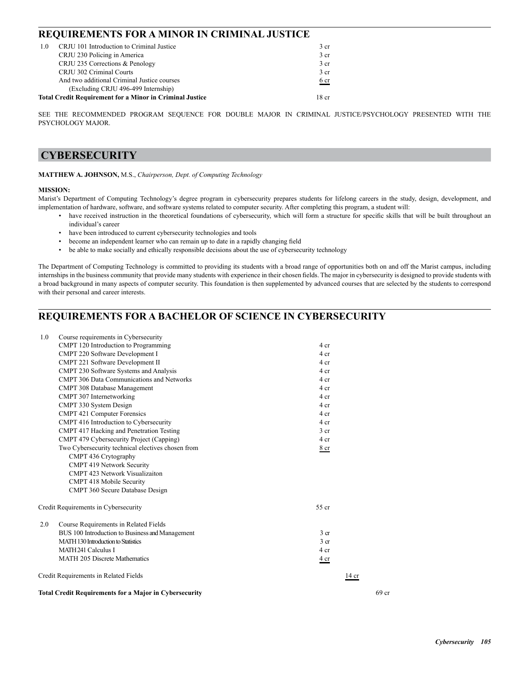### **REQUIREMENTS FOR A MINOR IN CRIMINAL JUSTICE**

| 1.0 | CRJU 101 Introduction to Criminal Justice                       | 3 <sub>cr</sub> |
|-----|-----------------------------------------------------------------|-----------------|
|     | CRJU 230 Policing in America                                    | 3 <sub>cr</sub> |
|     | CRJU 235 Corrections & Penology                                 | 3 <sub>cr</sub> |
|     | CRJU 302 Criminal Courts                                        | 3 <sub>cr</sub> |
|     | And two additional Criminal Justice courses                     | 6 <sub>cr</sub> |
|     | (Excluding CRJU 496-499 Internship)                             |                 |
|     | <b>Total Credit Requirement for a Minor in Criminal Justice</b> | 18 cr           |

SEE THE RECOMMENDED PROGRAM SEQUENCE FOR DOUBLE MAJOR IN CRIMINAL JUSTICE/PSYCHOLOGY PRESENTED WITH THE PSYCHOLOGY MAJOR.

## **CYBERSECURITY**

### **MATTHEW A. JOHNSON,** M.S., *Chairperson, Dept. of Computing Technology*

### **MISSION:**

Marist's Department of Computing Technology's degree program in cybersecurity prepares students for lifelong careers in the study, design, development, and implementation of hardware, software, and software systems related to computer security. After completing this program, a student will:

- have received instruction in the theoretical foundations of cybersecurity, which will form a structure for specific skills that will be built throughout an individual's career
- have been introduced to current cybersecurity technologies and tools
- become an independent learner who can remain up to date in a rapidly changing field
- be able to make socially and ethically responsible decisions about the use of cybersecurity technology

The Department of Computing Technology is committed to providing its students with a broad range of opportunities both on and off the Marist campus, including internships in the business community that provide many students with experience in their chosen fields. The major in cybersecurity is designed to provide students with a broad background in many aspects of computer security. This foundation is then supplemented by advanced courses that are selected by the students to correspond with their personal and career interests.

## **REQUIREMENTS FOR A BACHELOR OF SCIENCE IN CYBERSECURITY**

| Course requirements in Cybersecurity<br>1.0                   |                 |       |
|---------------------------------------------------------------|-----------------|-------|
| CMPT 120 Introduction to Programming                          | 4 cr            |       |
| CMPT 220 Software Development I                               | 4 cr            |       |
| CMPT 221 Software Development II                              | 4 cr            |       |
| CMPT 230 Software Systems and Analysis                        | 4 cr            |       |
| <b>CMPT 306 Data Communications and Networks</b>              | 4 cr            |       |
| CMPT 308 Database Management                                  | 4 cr            |       |
| CMPT 307 Internetworking                                      | 4 cr            |       |
| CMPT 330 System Design                                        | 4 cr            |       |
| CMPT 421 Computer Forensics                                   | 4 cr            |       |
| CMPT 416 Introduction to Cybersecurity                        | 4 cr            |       |
| CMPT 417 Hacking and Penetration Testing                      | 3 <sub>cr</sub> |       |
| CMPT 479 Cybersecurity Project (Capping)                      | 4 cr            |       |
| Two Cybersecurity technical electives chosen from             | 8 cr            |       |
| CMPT 436 Crytography                                          |                 |       |
| <b>CMPT 419 Network Security</b>                              |                 |       |
| CMPT 423 Network Visualizaiton                                |                 |       |
| <b>CMPT 418 Mobile Security</b>                               |                 |       |
| CMPT 360 Secure Database Design                               |                 |       |
| Credit Requirements in Cybersecurity                          | 55 cr           |       |
| 2.0<br>Course Requirements in Related Fields                  |                 |       |
| BUS 100 Introduction to Business and Management               | 3 <sub>cr</sub> |       |
| <b>MATH 130 Introduction to Statistics</b>                    | 3 <sub>cr</sub> |       |
| MATH 241 Calculus I                                           | 4 cr            |       |
| <b>MATH 205 Discrete Mathematics</b>                          | 4 cr            |       |
| Credit Requirements in Related Fields                         | 14 cr           |       |
| <b>Total Credit Requirements for a Major in Cybersecurity</b> |                 | 69 cr |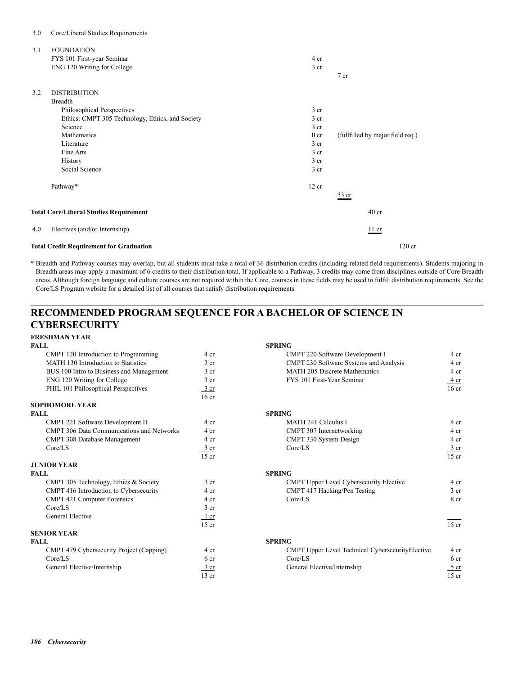### 3.0 Core/Liberal Studies Requirements

| 3.1 | <b>FOUNDATION</b>                                |                 |                                  |
|-----|--------------------------------------------------|-----------------|----------------------------------|
|     | FYS 101 First-year Seminar                       | 4 cr            |                                  |
|     | ENG 120 Writing for College                      | 3 cr            |                                  |
|     |                                                  |                 | $7$ cr                           |
| 3.2 | <b>DISTRIBUTION</b>                              |                 |                                  |
|     | <b>Breadth</b>                                   |                 |                                  |
|     | Philosophical Perspectives                       | 3 <sub>cr</sub> |                                  |
|     | Ethics: CMPT 305 Technology, Ethics, and Society | 3 cr            |                                  |
|     | Science                                          | 3 cr            |                                  |
|     | Mathematics                                      | 0 <sub>cr</sub> | (fullfilled by major field req.) |
|     | Literature                                       | $3$ cr          |                                  |
|     | Fine Arts                                        | 3 <sub>cr</sub> |                                  |
|     | <b>History</b>                                   | 3 <sub>cr</sub> |                                  |
|     | Social Science                                   | 3 cr            |                                  |
|     | Pathway*                                         | 12 cr           |                                  |
|     |                                                  |                 | $\frac{33}{2}$ cr                |
|     | <b>Total Core/Liberal Studies Requirement</b>    |                 | $40$ cr                          |
| 4.0 | Electives (and/or Internship)                    |                 | 11 cr                            |
|     | <b>Total Credit Requirement for Graduation</b>   |                 | $120$ cr                         |

\* Breadth and Pathway courses may overlap, but all students must take a total of 36 distribution credits (including related field requirements). Students majoring in Breadth areas may apply a maximum of 6 credits to their distribution total. If applicable to a Pathway, 3 credits may come from disciplines outside of Core Breadth areas. Although foreign language and culture courses are not required within the Core, courses in these fields may be used to fulfill distribution requirements. See the Core/LS Program website for a detailed list of all courses that satisfy distribution requirements.

## **RECOMMENDED PROGRAM SEQUENCE FOR A BACHELOR OF SCIENCE IN CYBERSECURITY**

| <b>SPRING</b>                                    |                  |
|--------------------------------------------------|------------------|
|                                                  |                  |
| CMPT 220 Software Development I                  | 4 cr             |
| CMPT 230 Software Systems and Analysis           | 4 cr             |
| <b>MATH 205 Discrete Mathematics</b>             | 4 cr             |
| FYS 101 First-Year Seminar                       | 4 cr             |
|                                                  | 16 <sub>cr</sub> |
|                                                  |                  |
|                                                  |                  |
| <b>SPRING</b>                                    |                  |
| <b>MATH 241 Calculus I</b>                       | 4 cr             |
| CMPT 307 Internetworking                         | 4 cr             |
| CMPT 330 System Design                           | 4 cr             |
| Core/LS                                          | $\frac{3}{ }$ cr |
|                                                  | $15$ cr          |
|                                                  |                  |
| <b>SPRING</b>                                    |                  |
| <b>CMPT Upper Level Cybersecurity Elective</b>   | 4 cr             |
| CMPT 417 Hacking/Pen Testing                     | 3 <sub>cr</sub>  |
| Core/LS                                          | 8 cr             |
|                                                  |                  |
|                                                  |                  |
|                                                  | $15$ cr          |
|                                                  |                  |
| <b>SPRING</b>                                    |                  |
| CMPT Upper Level Technical CybersecurityElective | 4 cr             |
| Core/LS                                          | 6 cr             |
| General Elective/Internship                      | $5$ cr           |
|                                                  | 15 <sub>cr</sub> |
|                                                  |                  |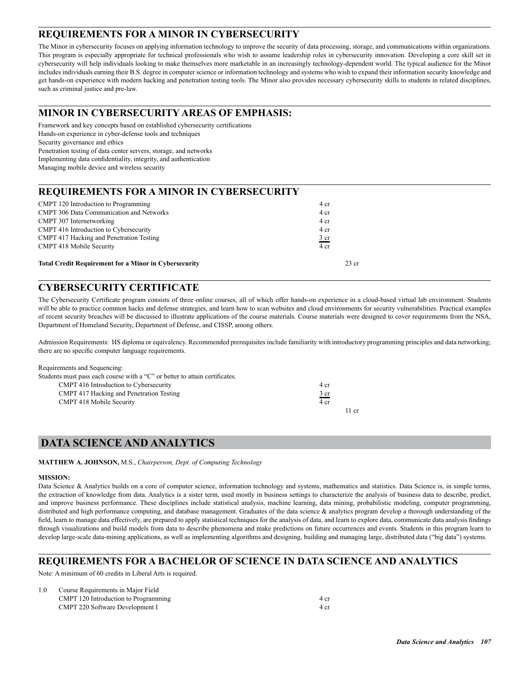## **REQUIREMENTS FOR A MINOR IN CYBERSECURITY**

The Minor in cybersecurity focuses on applying information technology to improve the security of data processing, storage, and communications within organizations. This program is especially appropriate for technical professionals who wish to assume leadership roles in cybersecurity innovation. Developing a core skill set in cybersecurity will help individuals looking to make themselves more marketable in an increasingly technology-dependent world. The typical audience for the Minor includes individuals earning their B.S. degree in computer science or information technology and systems who wish to expand their information security knowledge and get hands-on experience with modern hacking and penetration testing tools. The Minor also provides necessary cybersecurity skills to students in related disciplines, such as criminal justice and pre-law.

## **MINOR IN CYBERSECURITY AREAS OF EMPHASIS:**

Framework and key concepts based on established cybersecurity certifications Hands-on experience in cyber-defense tools and techniques Security governance and ethics Penetration testing of data center servers, storage, and networks Implementing data confidentiality, integrity, and authentication Managing mobile device and wireless security

### **REQUIREMENTS FOR A MINOR IN CYBERSECURITY**

| <b>Total Credit Requirement for a Minor in Cybersecurity</b> | $23$ cr        |
|--------------------------------------------------------------|----------------|
| <b>CMPT 418 Mobile Security</b>                              | 4 cr           |
| CMPT 417 Hacking and Penetration Testing                     | $rac{3}{2}$ cr |
| CMPT 416 Introduction to Cybersecurity                       | 4 cr           |
| CMPT 307 Internetworking                                     | 4 cr           |
| <b>CMPT 306 Data Communication and Networks</b>              | 4 cr           |
| CMPT 120 Introduction to Programming                         | 4 cr           |
|                                                              |                |

## **CYBERSECURITY CERTIFICATE**

The Cybersecurity Certificate program consists of three online courses, all of which offer hands-on experience in a cloud-based virtual lab environment. Students will be able to practice common hacks and defense strategies, and learn how to scan websites and cloud environments for security vulnerabilities. Practical examples of recent security breaches will be discussed to illustrate applications of the course materials. Course materials were designed to cover requirements from the NSA, Department of Homeland Security, Department of Defense, and CISSP, among others.

Admission Requirements: HS diploma or equivalency. Recommended prerequisites include familiarity with introductory programming principles and data networking; there are no specific computer language requirements.

Requirements and Sequencing:

| Students must pass each course with a "C" or better to attain certificates. |                |
|-----------------------------------------------------------------------------|----------------|
| CMPT 416 Introduction to Cybersecurity                                      | 4 cr           |
| CMPT 417 Hacking and Penetration Testing                                    | $rac{3}{2}$ cr |
| <b>CMPT 418 Mobile Security</b>                                             | 4 cr           |
|                                                                             | 11 cr          |

## **DATA SCIENCE AND ANALYTICS**

**MATTHEW A. JOHNSON,** M.S., *Chairperson, Dept. of Computing Technology*

### **MISSION:**

Data Science & Analytics builds on a core of computer science, information technology and systems, mathematics and statistics. Data Science is, in simple terms, the extraction of knowledge from data. Analytics is a sister term, used mostly in business settings to characterize the analysis of business data to describe, predict, and improve business performance. These disciplines include statistical analysis, machine learning, data mining, probabilistic modeling, computer programming, distributed and high performance computing, and database management. Graduates of the data science & analytics program develop a thorough understanding of the field, learn to manage data effectively, are prepared to apply statistical techniques for the analysis of data, and learn to explore data, communicate data analysis findings through visualizations and build models from data to describe phenomena and make predictions on future occurrences and events. Students in this program learn to develop large-scale data-mining applications, as well as implementing algorithms and designing, building and managing large, distributed data ("big data") systems.

### **REQUIREMENTS FOR A BACHELOR OF SCIENCE IN DATA SCIENCE AND ANALYTICS**

Note: A minimum of 60 credits in Liberal Arts is required.

| 1.0 | Course Requirements in Major Field   |      |
|-----|--------------------------------------|------|
|     | CMPT 120 Introduction to Programming | 4 cr |
|     | CMPT 220 Software Development I      | 4 cr |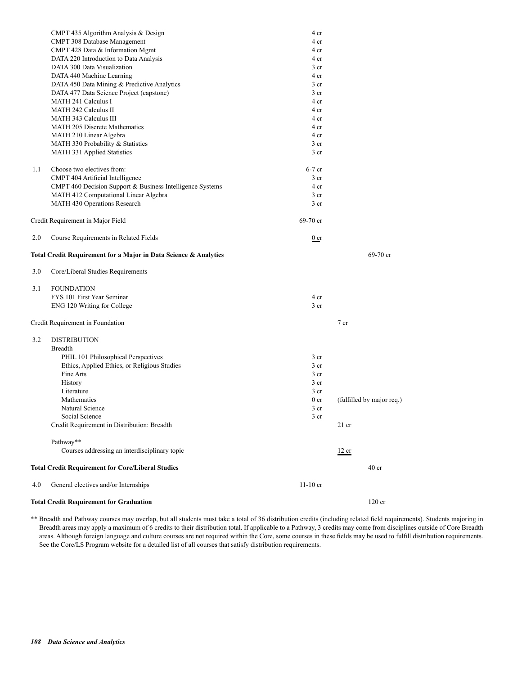|     | <b>Total Credit Requirement for Graduation</b>                        |                         | 120 cr                    |
|-----|-----------------------------------------------------------------------|-------------------------|---------------------------|
| 4.0 | General electives and/or Internships                                  | $11-10$ cr              |                           |
|     | <b>Total Credit Requirement for Core/Liberal Studies</b>              |                         | 40 <sub>cr</sub>          |
|     | Pathway**<br>Courses addressing an interdisciplinary topic            |                         | 12 cr                     |
|     | Credit Requirement in Distribution: Breadth                           |                         | $21$ cr                   |
|     | Social Science                                                        | 3 <sub>cr</sub>         |                           |
|     | Natural Science                                                       | 3 <sub>cr</sub>         |                           |
|     | Mathematics                                                           | 0 <sub>cr</sub>         | (fulfilled by major req.) |
|     | Literature                                                            | 3 <sub>cr</sub>         |                           |
|     | History                                                               | 3 <sub>cr</sub>         |                           |
|     | Fine Arts                                                             | 3 <sub>cr</sub>         |                           |
|     | Ethics, Applied Ethics, or Religious Studies                          | 3 <sub>cr</sub>         |                           |
|     | PHIL 101 Philosophical Perspectives                                   | 3 <sub>cr</sub>         |                           |
|     | <b>Breadth</b>                                                        |                         |                           |
| 3.2 | <b>DISTRIBUTION</b>                                                   |                         |                           |
|     | Credit Requirement in Foundation                                      |                         | 7 <sub>cr</sub>           |
|     | ENG 120 Writing for College                                           | 3 <sub>cr</sub>         |                           |
|     | FYS 101 First Year Seminar                                            | 4 cr                    |                           |
| 3.1 | <b>FOUNDATION</b>                                                     |                         |                           |
| 3.0 | Core/Liberal Studies Requirements                                     |                         |                           |
|     | Total Credit Requirement for a Major in Data Science & Analytics      |                         | 69-70 cr                  |
| 2.0 | Course Requirements in Related Fields                                 | $0$ cr                  |                           |
|     | Credit Requirement in Major Field                                     | 69-70 cr                |                           |
|     |                                                                       |                         |                           |
|     | MATH 412 Computational Linear Algebra<br>MATH 430 Operations Research | $3$ cr                  |                           |
|     | CMPT 460 Decision Support & Business Intelligence Systems             | 4 cr<br>3 <sub>cr</sub> |                           |
|     | CMPT 404 Artificial Intelligence                                      | 3 <sub>cr</sub>         |                           |
| 1.1 | Choose two electives from:                                            | $6-7$ cr                |                           |
|     |                                                                       |                         |                           |
|     | MATH 331 Applied Statistics                                           | 3 <sub>cr</sub>         |                           |
|     | MATH 330 Probability & Statistics                                     | 3 <sub>cr</sub>         |                           |
|     | <b>MATH 205 Discrete Mathematics</b><br>MATH 210 Linear Algebra       | 4 cr                    |                           |
|     | <b>MATH 343 Calculus III</b>                                          | 4 cr<br>4 cr            |                           |
|     | <b>MATH 242 Calculus II</b>                                           | 4 cr                    |                           |
|     | <b>MATH 241 Calculus I</b>                                            | 4 cr                    |                           |
|     | DATA 477 Data Science Project (capstone)                              | 3 <sub>cr</sub>         |                           |
|     | DATA 450 Data Mining & Predictive Analytics                           | 3 cr                    |                           |
|     | DATA 440 Machine Learning                                             | 4 cr                    |                           |
|     | DATA 300 Data Visualization                                           | 3 <sub>cr</sub>         |                           |
|     | DATA 220 Introduction to Data Analysis                                | 4 cr                    |                           |
|     | CMPT 428 Data & Information Mgmt                                      | 4 cr                    |                           |
|     | CMPT 308 Database Management                                          | 4 cr                    |                           |
|     | CMPT 435 Algorithm Analysis & Design                                  | 4 cr                    |                           |

\*\* Breadth and Pathway courses may overlap, but all students must take a total of 36 distribution credits (including related field requirements). Students majoring in Breadth areas may apply a maximum of 6 credits to their distribution total. If applicable to a Pathway, 3 credits may come from disciplines outside of Core Breadth areas. Although foreign language and culture courses are not required within the Core, some courses in these fields may be used to fulfill distribution requirements. See the Core/LS Program website for a detailed list of all courses that satisfy distribution requirements.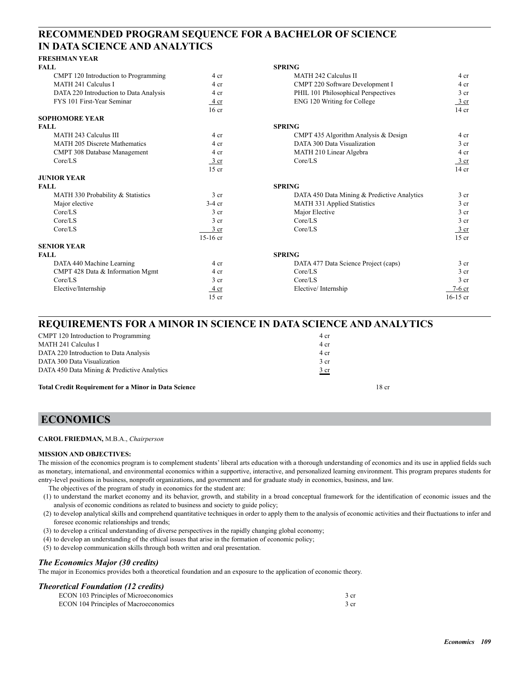## **RECOMMENDED PROGRAM SEQUENCE FOR A BACHELOR OF SCIENCE IN DATA SCIENCE AND ANALYTICS**

### **FRESHMAN YEAR**

| <b>FALL</b>                            |                  | <b>SPRING</b>                               |                  |
|----------------------------------------|------------------|---------------------------------------------|------------------|
| CMPT 120 Introduction to Programming   | 4 cr             | <b>MATH 242 Calculus II</b>                 | 4 cr             |
| <b>MATH 241 Calculus I</b>             | 4 cr             | CMPT 220 Software Development I             | 4 cr             |
| DATA 220 Introduction to Data Analysis | 4 cr             | PHIL 101 Philosophical Perspectives         | 3 <sub>cr</sub>  |
| FYS 101 First-Year Seminar             | 4 cr             | ENG 120 Writing for College                 | $\frac{3}{ }$ cr |
|                                        | 16 <sub>cr</sub> |                                             | $14$ cr          |
| <b>SOPHOMORE YEAR</b>                  |                  |                                             |                  |
| <b>FALL</b>                            |                  | <b>SPRING</b>                               |                  |
| MATH 243 Calculus III                  | 4 cr             | CMPT 435 Algorithm Analysis & Design        | 4 cr             |
| <b>MATH 205 Discrete Mathematics</b>   | 4 cr             | DATA 300 Data Visualization                 | 3 <sub>cr</sub>  |
| CMPT 308 Database Management           | 4 cr             | MATH 210 Linear Algebra                     | 4 cr             |
| Core/LS                                | $\frac{3}{ }$ cr | Core/LS                                     | $\frac{3}{ }$ cr |
|                                        | $15$ cr          |                                             | $14$ cr          |
| <b>JUNIOR YEAR</b>                     |                  |                                             |                  |
| <b>FALL</b>                            |                  | <b>SPRING</b>                               |                  |
| MATH 330 Probability & Statistics      | 3 <sub>cr</sub>  | DATA 450 Data Mining & Predictive Analytics | 3 <sub>cr</sub>  |
| Major elective                         | $3-4$ cr         | <b>MATH 331 Applied Statistics</b>          | 3 <sub>cr</sub>  |
| Core/LS                                | 3 <sub>cr</sub>  | Major Elective                              | 3 <sub>cr</sub>  |
| Core/LS                                | 3 <sub>cr</sub>  | Core/LS                                     | 3 <sub>cr</sub>  |
| Core/LS                                | $3$ cr           | Core/LS                                     | $\frac{3}{ }$ cr |
|                                        | $15-16$ cr       |                                             | $15$ cr          |
| <b>SENIOR YEAR</b>                     |                  |                                             |                  |
| <b>FALL</b>                            |                  | <b>SPRING</b>                               |                  |
| DATA 440 Machine Learning              | 4 cr             | DATA 477 Data Science Project (caps)        | $3$ cr           |
| CMPT 428 Data & Information Mgmt       | 4 cr             | Core/LS                                     | 3 <sub>cr</sub>  |
| Core/LS                                | 3 <sub>cr</sub>  | Core/LS                                     | 3 <sub>cr</sub>  |
| Elective/Internship                    | 4 cr             | Elective/Internship                         | $7-6$ cr         |
|                                        | $15$ cr          |                                             | $16-15$ cr       |

# **REQUIREMENTS FOR A MINOR IN SCIENCE IN DATA SCIENCE AND ANALYTICS**

| <b>Total Credit Requirement for a Minor in Data Science</b> | 18 cr          |
|-------------------------------------------------------------|----------------|
| DATA 450 Data Mining & Predictive Analytics                 | $rac{3}{2}$ cr |
| DATA 300 Data Visualization                                 | 3 cr           |
| DATA 220 Introduction to Data Analysis                      | 4 cr           |
| MATH 241 Calculus I                                         | 4 cr           |
| CMPT 120 Introduction to Programming                        | 4 cr           |

## **ECONOMICS**

#### **CAROL FRIEDMAN,** M.B.A., *Chairperson*

### **MISSION AND OBJECTIVES:**

The mission of the economics program is to complement students' liberal arts education with a thorough understanding of economics and its use in applied fields such as monetary, international, and environmental economics within a supportive, interactive, and personalized learning environment. This program prepares students for entry-level positions in business, nonprofit organizations, and government and for graduate study in economics, business, and law.

The objectives of the program of study in economics for the student are:

- (1) to understand the market economy and its behavior, growth, and stability in a broad conceptual framework for the identification of economic issues and the analysis of economic conditions as related to business and society to guide policy;
- (2) to develop analytical skills and comprehend quantitative techniques in order to apply them to the analysis of economic activities and their fluctuations to infer and foresee economic relationships and trends;
- (3) to develop a critical understanding of diverse perspectives in the rapidly changing global economy;
- (4) to develop an understanding of the ethical issues that arise in the formation of economic policy;
- (5) to develop communication skills through both written and oral presentation.

### *The Economics Major (30 credits)*

The major in Economics provides both a theoretical foundation and an exposure to the application of economic theory.

### *Theoretical Foundation (12 credits)*

| ECON 103 Principles of Microeconomics | 3 cr |
|---------------------------------------|------|
| ECON 104 Principles of Macroeconomics | 3 cr |
|                                       |      |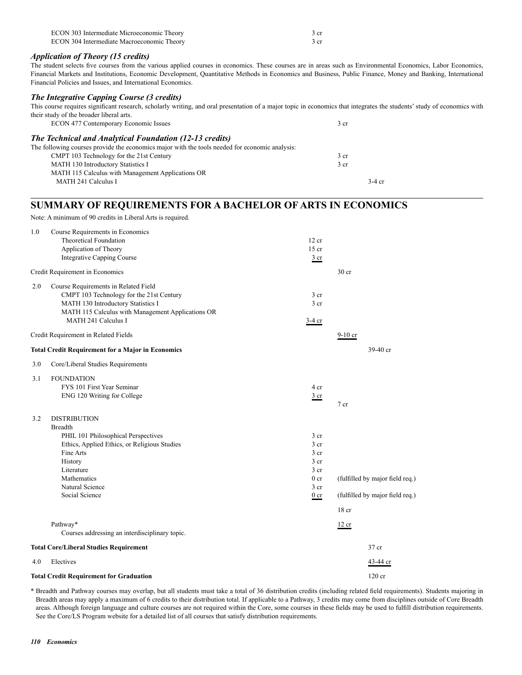| ECON 303 Intermediate Microeconomic Theory | 3 cr |
|--------------------------------------------|------|
| ECON 304 Intermediate Macroeconomic Theory | 3 cr |

### *Application of Theory (15 credits)*

The student selects five courses from the various applied courses in economics. These courses are in areas such as Environmental Economics, Labor Economics, Financial Markets and Institutions, Economic Development, Quantitative Methods in Economics and Business, Public Finance, Money and Banking, International Financial Policies and Issues, and International Economics.

## *The Integrative Capping Course (3 credits)*

This course requires significant research, scholarly writing, and oral presentation of a major topic in economics that integrates the students' study of economics with their study of the broader liberal arts. ECON 477 Contemporary Economic Issues 3 cr

| <b>The Technical and Analytical Foundation (12-13 credits)</b>                                 |                 |
|------------------------------------------------------------------------------------------------|-----------------|
| The following courses provide the economics major with the tools needed for economic analysis: |                 |
| CMPT 103 Technology for the 21st Century                                                       | 3 <sub>cr</sub> |
| <b>MATH 130 Introductory Statistics I</b>                                                      | 3 <sub>cr</sub> |
| MATH 115 Calculus with Management Applications OR                                              |                 |
| MATH 241 Calculus I                                                                            | $3-4$ cr        |

### **SUMMARY OF REQUIREMENTS FOR A BACHELOR OF ARTS IN ECONOMICS**

Note: A minimum of 90 credits in Liberal Arts is required.

| 1.0 | Course Requirements in Economics<br>Theoretical Foundation               | 12 cr                              |                                 |
|-----|--------------------------------------------------------------------------|------------------------------------|---------------------------------|
|     | Application of Theory                                                    | $15$ cr                            |                                 |
|     | <b>Integrative Capping Course</b>                                        | 3 cr                               |                                 |
|     | Credit Requirement in Economics                                          |                                    | 30 <sub>cr</sub>                |
| 2.0 | Course Requirements in Related Field                                     |                                    |                                 |
|     | CMPT 103 Technology for the 21st Century                                 | 3 <sub>cr</sub>                    |                                 |
|     | MATH 130 Introductory Statistics I                                       | 3 <sub>cr</sub>                    |                                 |
|     | MATH 115 Calculus with Management Applications OR<br>MATH 241 Calculus I |                                    |                                 |
|     |                                                                          | $3-4$ cr                           |                                 |
|     | Credit Requirement in Related Fields                                     |                                    | $9-10$ cr                       |
|     | <b>Total Credit Requirement for a Major in Economics</b>                 |                                    | 39-40 cr                        |
| 3.0 | Core/Liberal Studies Requirements                                        |                                    |                                 |
| 3.1 | <b>FOUNDATION</b>                                                        |                                    |                                 |
|     | FYS 101 First Year Seminar                                               | 4 cr                               |                                 |
|     | ENG 120 Writing for College                                              | $rac{3}{2}$ cr                     | 7 cr                            |
|     |                                                                          |                                    |                                 |
| 3.2 | <b>DISTRIBUTION</b>                                                      |                                    |                                 |
|     | <b>Breadth</b>                                                           |                                    |                                 |
|     | PHIL 101 Philosophical Perspectives                                      | 3 cr                               |                                 |
|     | Ethics, Applied Ethics, or Religious Studies                             | 3 cr                               |                                 |
|     | Fine Arts                                                                | 3 <sub>cr</sub>                    |                                 |
|     | History                                                                  | 3 <sub>cr</sub>                    |                                 |
|     | Literature<br>Mathematics                                                | 3 <sub>cr</sub><br>0 <sub>cr</sub> |                                 |
|     | Natural Science                                                          | 3 cr                               | (fulfilled by major field req.) |
|     | Social Science                                                           | $0$ cr                             | (fulfilled by major field req.) |
|     |                                                                          |                                    | 18 <sub>cr</sub>                |
|     | Pathway*                                                                 |                                    |                                 |
|     | Courses addressing an interdisciplinary topic.                           |                                    | 12 cr                           |
|     | <b>Total Core/Liberal Studies Requirement</b>                            |                                    | 37 cr                           |
| 4.0 | Electives                                                                |                                    |                                 |
|     |                                                                          |                                    | 43-44 cr                        |
|     | <b>Total Credit Requirement for Graduation</b>                           |                                    | $120$ cr                        |

\* Breadth and Pathway courses may overlap, but all students must take a total of 36 distribution credits (including related field requirements). Students majoring in Breadth areas may apply a maximum of 6 credits to their distribution total. If applicable to a Pathway, 3 credits may come from disciplines outside of Core Breadth areas. Although foreign language and culture courses are not required within the Core, some courses in these fields may be used to fulfill distribution requirements. See the Core/LS Program website for a detailed list of all courses that satisfy distribution requirements.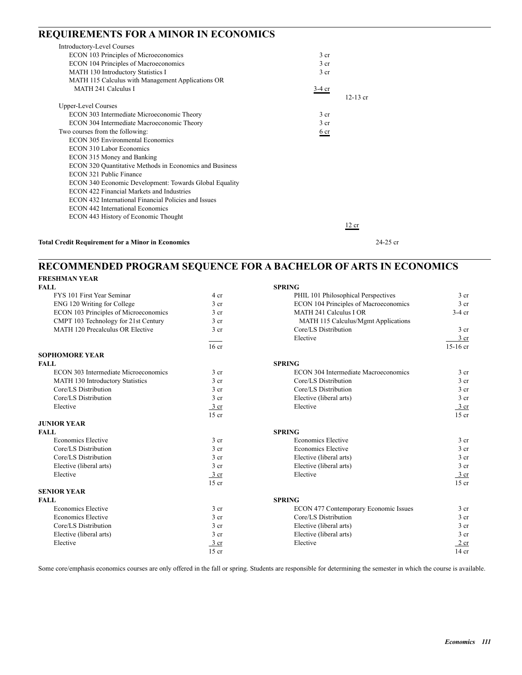## **REQUIREMENTS FOR A MINOR IN ECONOMICS**

| <b>Introductory-Level Courses</b>                        |                 |            |            |
|----------------------------------------------------------|-----------------|------------|------------|
| ECON 103 Principles of Microeconomics                    | 3 <sub>cr</sub> |            |            |
| ECON 104 Principles of Macroeconomics                    | 3 <sub>cr</sub> |            |            |
| MATH 130 Introductory Statistics I                       | 3 <sub>cr</sub> |            |            |
| MATH 115 Calculus with Management Applications OR        |                 |            |            |
| MATH 241 Calculus I                                      | $3-4$ cr        |            |            |
|                                                          |                 | $12-13$ cr |            |
| <b>Upper-Level Courses</b>                               |                 |            |            |
| ECON 303 Intermediate Microeconomic Theory               | 3 <sub>cr</sub> |            |            |
| ECON 304 Intermediate Macroeconomic Theory               | 3 <sub>cr</sub> |            |            |
| Two courses from the following:                          | 6 cr            |            |            |
| <b>ECON 305 Environmental Economics</b>                  |                 |            |            |
| <b>ECON 310 Labor Economics</b>                          |                 |            |            |
| ECON 315 Money and Banking                               |                 |            |            |
| ECON 320 Quantitative Methods in Economics and Business  |                 |            |            |
| ECON 321 Public Finance                                  |                 |            |            |
| ECON 340 Economic Development: Towards Global Equality   |                 |            |            |
| ECON 422 Financial Markets and Industries                |                 |            |            |
| ECON 432 International Financial Policies and Issues     |                 |            |            |
| <b>ECON 442 International Economics</b>                  |                 |            |            |
| ECON 443 History of Economic Thought                     |                 |            |            |
|                                                          |                 | 12 cr      |            |
| <b>Total Credit Requirement for a Minor in Economics</b> |                 |            | $24-25$ cr |

## **RECOMMENDED PROGRAM SEQUENCE FOR A BACHELOR OF ARTS IN ECONOMICS FRESHMAN YEAR**

| <b>FALL</b>                           |                  | <b>SPRING</b>                         |                  |
|---------------------------------------|------------------|---------------------------------------|------------------|
| FYS 101 First Year Seminar            | 4 cr             | PHIL 101 Philosophical Perspectives   | 3 <sub>cr</sub>  |
| ENG 120 Writing for College           | 3 <sub>cr</sub>  | ECON 104 Principles of Macroeconomics | 3 <sub>cr</sub>  |
| ECON 103 Principles of Microeconomics | 3 <sub>cr</sub>  | <b>MATH 241 Calculus I OR</b>         | $3-4$ cr         |
| CMPT 103 Technology for 21st Century  | 3 <sub>cr</sub>  | MATH 115 Calculus/Mgmt Applications   |                  |
| MATH 120 Precalculus OR Elective      | 3 <sub>cr</sub>  | Core/LS Distribution                  | 3 <sub>cr</sub>  |
|                                       |                  | Elective                              | $3$ cr           |
|                                       | 16 <sub>cr</sub> |                                       | 15-16 cr         |
| <b>SOPHOMORE YEAR</b>                 |                  |                                       |                  |
| <b>FALL</b>                           |                  | <b>SPRING</b>                         |                  |
| ECON 303 Intermediate Microeconomics  | 3 <sub>cr</sub>  | ECON 304 Intermediate Macroeconomics  | $3$ cr           |
| MATH 130 Introductory Statistics      | 3 <sub>cr</sub>  | Core/LS Distribution                  | 3 <sub>cr</sub>  |
| Core/LS Distribution                  | 3 <sub>cr</sub>  | Core/LS Distribution                  | 3 <sub>cr</sub>  |
| Core/LS Distribution                  | 3 <sub>cr</sub>  | Elective (liberal arts)               | 3 <sub>cr</sub>  |
| Elective                              | $\frac{3}{ }$ cr | Elective                              | $\frac{3}{ }$ cr |
|                                       | $15$ cr          |                                       | $15$ cr          |
| <b>JUNIOR YEAR</b>                    |                  |                                       |                  |
| <b>FALL</b>                           |                  | <b>SPRING</b>                         |                  |
| <b>Economics Elective</b>             | 3 <sub>cr</sub>  | <b>Economics Elective</b>             | 3 <sub>cr</sub>  |
| Core/LS Distribution                  | 3 <sub>cr</sub>  | <b>Economics Elective</b>             | 3 <sub>cr</sub>  |
| Core/LS Distribution                  | 3 cr             | Elective (liberal arts)               | 3 <sub>cr</sub>  |
| Elective (liberal arts)               | 3 <sub>cr</sub>  | Elective (liberal arts)               | 3 <sub>cr</sub>  |
| Elective                              | $\frac{3}{ }$ cr | Elective                              | $rac{3}{2}$ cr   |
|                                       | $15$ cr          |                                       | $15$ cr          |
| <b>SENIOR YEAR</b>                    |                  |                                       |                  |
| <b>FALL</b>                           |                  | <b>SPRING</b>                         |                  |
| <b>Economics Elective</b>             | 3 <sub>cr</sub>  | ECON 477 Contemporary Economic Issues | 3 <sub>cr</sub>  |
| Economics Elective                    | 3 <sub>cr</sub>  | Core/LS Distribution                  | 3 <sub>cr</sub>  |
| Core/LS Distribution                  | 3 <sub>cr</sub>  | Elective (liberal arts)               | 3 <sub>cr</sub>  |
| Elective (liberal arts)               | 3 <sub>cr</sub>  | Elective (liberal arts)               | 3 <sub>cr</sub>  |
| Elective                              | 3 cr             | Elective                              | $2$ cr           |
|                                       | $15$ cr          |                                       | $14$ cr          |

Some core/emphasis economics courses are only offered in the fall or spring. Students are responsible for determining the semester in which the course is available.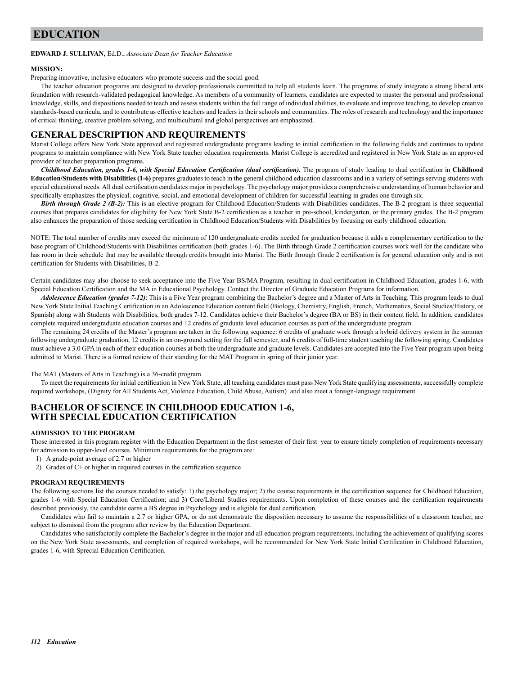### **EDUCATION**

#### **EDWARD J. SULLIVAN,** Ed.D., *Associate Dean for Teacher Education*

#### **MISSION:**

Preparing innovative, inclusive educators who promote success and the social good.

The teacher education programs are designed to develop professionals committed to help all students learn. The programs of study integrate a strong liberal arts foundation with research-validated pedagogical knowledge. As members of a community of learners, candidates are expected to master the personal and professional knowledge, skills, and dispositions needed to teach and assess students within the full range of individual abilities, to evaluate and improve teaching, to develop creative standards-based curricula, and to contribute as effective teachers and leaders in their schools and communities. The roles of research and technology and the importance of critical thinking, creative problem solving, and multicultural and global perspectives are emphasized.

### **GENERAL DESCRIPTION AND REQUIREMENTS**

Marist College offers New York State approved and registered undergraduate programs leading to initial certification in the following fields and continues to update programs to maintain compliance with New York State teacher education requirements. Marist College is accredited and registered in New York State as an approved provider of teacher preparation programs.

*Childhood Education, grades 1-6, with Special Education Certification (dual certification).* The program of study leading to dual certification in **Childhood Education/Students with Disabilities (1-6)** prepares graduates to teach in the general childhood education classrooms and in a variety of settings serving students with special educational needs. All dual certification candidates major in psychology. The psychology major provides a comprehensive understanding of human behavior and specifically emphasizes the physical, cognitive, social, and emotional development of children for successful learning in grades one through six.

*Birth through Grade 2 (B-2):* This is an elective program for Childhood Education/Students with Disabilities candidates. The B-2 program is three sequential courses that prepares candidates for eligibility for New York State B-2 certification as a teacher in pre-school, kindergarten, or the primary grades. The B-2 program also enhances the preparation of those seeking certification in Childhood Education/Students with Disabilities by focusing on early childhood education.

NOTE: The total number of credits may exceed the minimum of 120 undergraduate credits needed for graduation because it adds a complementary certification to the base program of Childhood/Students with Disabilities certification (both grades 1-6). The Birth through Grade 2 certification courses work well for the candidate who has room in their schedule that may be available through credits brought into Marist. The Birth through Grade 2 certification is for general education only and is not certification for Students with Disabilities, B-2.

Certain candidates may also choose to seek acceptance into the Five Year BS/MA Program, resulting in dual certification in Childhood Education, grades 1-6, with Special Education Certification and the MA in Educational Psychology. Contact the Director of Graduate Education Programs for information.

*Adolescence Education (grades 7-12)*: This is a Five Year program combining the Bachelor's degree and a Master of Arts in Teaching. This program leads to dual New York State Initial Teaching Certification in an Adolescence Education content field (Biology, Chemistry, English, French, Mathematics, Social Studies/History, or Spanish) along with Students with Disabilities, both grades 7-12. Candidates achieve their Bachelor's degree (BA or BS) in their content field. In addition, candidates complete required undergraduate education courses and 12 credits of graduate level education courses as part of the undergraduate program.

The remaining 24 credits of the Master's program are taken in the following sequence: 6 credits of graduate work through a hybrid delivery system in the summer following undergraduate graduation, 12 credits in an on-ground setting for the fall semester, and 6 credits of full-time student teaching the following spring. Candidates must achieve a 3.0 GPA in each of their education courses at both the undergraduate and graduate levels. Candidates are accepted into the Five Year program upon being admitted to Marist. There is a formal review of their standing for the MAT Program in spring of their junior year.

The MAT (Masters of Arts in Teaching) is a 36-credit program.

To meet the requirements for initial certification in New York State, all teaching candidates must pass New York State qualifying assessments, successfully complete required workshops, (Dignity for All Students Act, Violence Education, Child Abuse, Autism) and also meet a foreign-language requirement.

### **BACHELOR OF SCIENCE IN CHILDHOOD EDUCATION 1-6, WITH SPECIAL EDUCATION CERTIFICATION**

### **ADMISSION TO THE PROGRAM**

Those interested in this program register with the Education Department in the first semester of their first year to ensure timely completion of requirements necessary for admission to upper-level courses. Minimum requirements for the program are:

- 1) A grade-point average of 2.7 or higher
- 2) Grades of C+ or higher in required courses in the certification sequence

#### **PROGRAM REQUIREMENTS**

The following sections list the courses needed to satisfy: 1) the psychology major; 2) the course requirements in the certification sequence for Childhood Education, grades 1-6 with Special Education Certification; and 3) Core/Liberal Studies requirements. Upon completion of these courses and the certification requirements described previously, the candidate earns a BS degree in Psychology and is eligible for dual certification.

Candidates who fail to maintain a 2.7 or higher GPA, or do not demonstrate the disposition necessary to assume the responsibilities of a classroom teacher, are subject to dismissal from the program after review by the Education Department.

Candidates who satisfactorily complete the Bachelor's degree in the major and all education program requirements, including the achievement of qualifying scores on the New York State assessments, and completion of required workshops, will be recommended for New York State Initial Certification in Childhood Education, grades 1-6, with Sprecial Education Certification.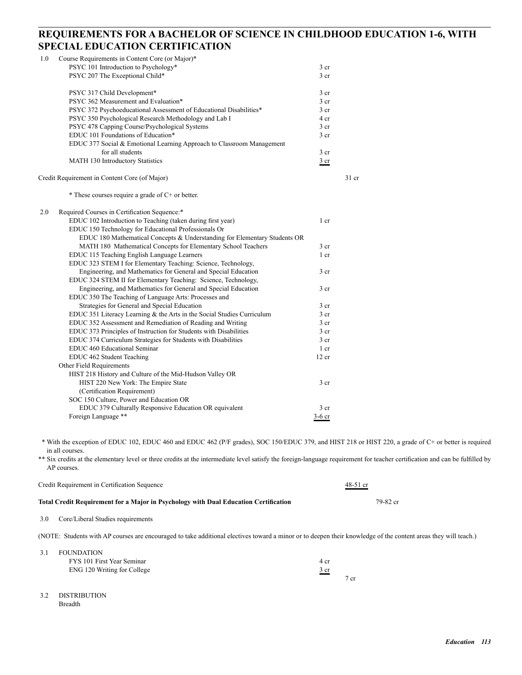## **REQUIREMENTS FOR A BACHELOR OF SCIENCE IN CHILDHOOD EDUCATION 1-6, WITH SPECIAL EDUCATION CERTIFICATION**

| 1.0 | Course Requirements in Content Core (or Major)*                           |                 |         |
|-----|---------------------------------------------------------------------------|-----------------|---------|
|     | PSYC 101 Introduction to Psychology*                                      | 3 <sub>cr</sub> |         |
|     | PSYC 207 The Exceptional Child*                                           | 3 <sub>cr</sub> |         |
|     | PSYC 317 Child Development*                                               | 3 <sub>cr</sub> |         |
|     | PSYC 362 Measurement and Evaluation*                                      | 3 <sub>cr</sub> |         |
|     | PSYC 372 Psychoeducational Assessment of Educational Disabilities*        | 3 <sub>cr</sub> |         |
|     | PSYC 350 Psychological Research Methodology and Lab I                     | 4 cr            |         |
|     | PSYC 478 Capping Course/Psychological Systems                             | 3 <sub>cr</sub> |         |
|     | EDUC 101 Foundations of Education*                                        | 3 <sub>cr</sub> |         |
|     | EDUC 377 Social & Emotional Learning Approach to Classroom Management     |                 |         |
|     | for all students                                                          | 3 <sub>cr</sub> |         |
|     | MATH 130 Introductory Statistics                                          | $rac{3}{2}$ cr  |         |
|     | Credit Requirement in Content Core (of Major)                             |                 | $31$ cr |
|     | * These courses require a grade of $C+$ or better.                        |                 |         |
| 2.0 | Required Courses in Certification Sequence:*                              |                 |         |
|     | EDUC 102 Introduction to Teaching (taken during first year)               | 1 cr            |         |
|     | EDUC 150 Technology for Educational Professionals Or                      |                 |         |
|     | EDUC 180 Mathematical Concepts & Understanding for Elementary Students OR |                 |         |
|     | MATH 180 Mathematical Concepts for Elementary School Teachers             | 3 cr            |         |
|     | EDUC 115 Teaching English Language Learners                               | 1 cr            |         |
|     | EDUC 323 STEM I for Elementary Teaching: Science, Technology,             |                 |         |
|     | Engineering, and Mathematics for General and Special Education            | 3 <sub>cr</sub> |         |
|     | EDUC 324 STEM II for Elementary Teaching: Science, Technology,            |                 |         |
|     | Engineering, and Mathematics for General and Special Education            | 3 <sub>cr</sub> |         |
|     | EDUC 350 The Teaching of Language Arts: Processes and                     |                 |         |
|     | Strategies for General and Special Education                              | 3 <sub>cr</sub> |         |
|     | EDUC 351 Literacy Learning & the Arts in the Social Studies Curriculum    | 3 <sub>cr</sub> |         |
|     | EDUC 352 Assessment and Remediation of Reading and Writing                | 3 <sub>cr</sub> |         |
|     | EDUC 373 Principles of Instruction for Students with Disabilities         | 3 <sub>cr</sub> |         |
|     | EDUC 374 Curriculum Strategies for Students with Disabilities             | 3 <sub>cr</sub> |         |
|     | EDUC 460 Educational Seminar                                              | $1$ cr          |         |
|     | EDUC 462 Student Teaching                                                 | 12 cr           |         |
|     | Other Field Requirements                                                  |                 |         |
|     | HIST 218 History and Culture of the Mid-Hudson Valley OR                  |                 |         |
|     | HIST 220 New York: The Empire State                                       | 3 <sub>cr</sub> |         |
|     | (Certification Requirement)                                               |                 |         |
|     | SOC 150 Culture, Power and Education OR                                   |                 |         |
|     | EDUC 379 Culturally Responsive Education OR equivalent                    | 3 <sub>cr</sub> |         |
|     | Foreign Language **                                                       | $3-6$ cr        |         |

 \* With the exception of EDUC 102, EDUC 460 and EDUC 462 (P/F grades), SOC 150/EDUC 379, and HIST 218 or HIST 220, a grade of C+ or better is required in all courses.

\*\* Six credits at the elementary level or three credits at the intermediate level satisfy the foreign-language requirement for teacher certification and can be fulfilled by AP courses.

| Credit Requirement in Certification Sequence |                                                                                                                                                                | $48-51$ cr |
|----------------------------------------------|----------------------------------------------------------------------------------------------------------------------------------------------------------------|------------|
|                                              | Total Credit Requirement for a Major in Psychology with Dual Education Certification                                                                           | 79-82 cr   |
| 3.0                                          | Core/Liberal Studies requirements                                                                                                                              |            |
|                                              | (NOTE: Students with AP courses are encouraged to take additional electives toward a minor or to deepen their knowledge of the content areas they will teach.) |            |
| 3.1                                          | <b>FOUNDATION</b><br>FYS 101 First Year Seminar                                                                                                                | 4 cr       |
|                                              | ENG 120 Writing for College                                                                                                                                    | 3 cr       |

7 cr

3.2 DISTRIBUTION Breadth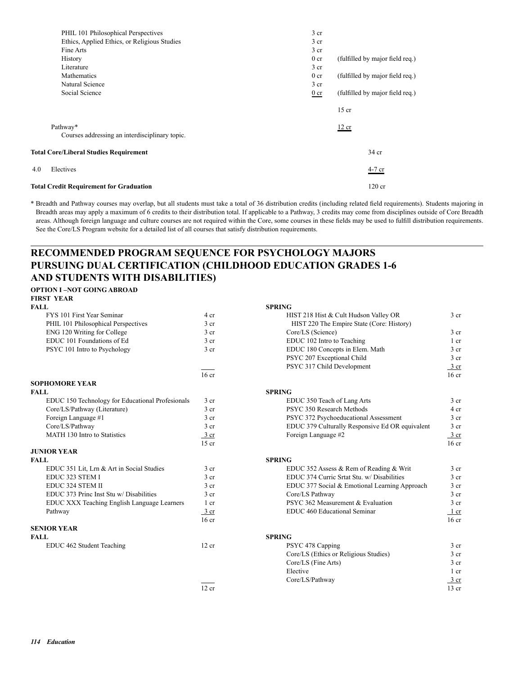| PHIL 101 Philosophical Perspectives            | 3 <sub>cr</sub> |                                 |
|------------------------------------------------|-----------------|---------------------------------|
| Ethics, Applied Ethics, or Religious Studies   | 3 <sub>cr</sub> |                                 |
| Fine Arts                                      | $3$ cr          |                                 |
| History                                        | 0 <sub>cr</sub> | (fulfilled by major field req.) |
| Literature                                     | 3 <sub>cr</sub> |                                 |
| Mathematics                                    | 0 <sub>cr</sub> | (fulfilled by major field req.) |
| Natural Science                                | 3 <sub>cr</sub> |                                 |
| Social Science                                 | $0$ cr          | (fulfilled by major field req.) |
|                                                |                 | $15$ cr                         |
| Pathway*                                       |                 | 12 cr                           |
| Courses addressing an interdisciplinary topic. |                 |                                 |
| <b>Total Core/Liberal Studies Requirement</b>  |                 | 34 cr                           |
| 4.0<br>Electives                               |                 | 4-7 cr                          |
| <b>Total Credit Requirement for Graduation</b> |                 | $120$ cr                        |

\* Breadth and Pathway courses may overlap, but all students must take a total of 36 distribution credits (including related field requirements). Students majoring in Breadth areas may apply a maximum of 6 credits to their distribution total. If applicable to a Pathway, 3 credits may come from disciplines outside of Core Breadth areas. Although foreign language and culture courses are not required within the Core, some courses in these fields may be used to fulfill distribution requirements. See the Core/LS Program website for a detailed list of all courses that satisfy distribution requirements.

## **RECOMMENDED PROGRAM SEQUENCE FOR PSYCHOLOGY MAJORS PURSUING DUAL CERTIFICATION (CHILDHOOD EDUCATION GRADES 1-6 AND STUDENTS WITH DISABILITIES)**

#### **OPTION I –NOT GOING ABROAD FIRST YEAR**

| <b>FALL</b>                                      |                  | <b>SPRING</b>                                   |                  |
|--------------------------------------------------|------------------|-------------------------------------------------|------------------|
| FYS 101 First Year Seminar                       | 4 cr             | HIST 218 Hist & Cult Hudson Valley OR           | 3 <sub>cr</sub>  |
| PHIL 101 Philosophical Perspectives              | 3 <sub>cr</sub>  | HIST 220 The Empire State (Core: History)       |                  |
| ENG 120 Writing for College                      | 3 cr             | Core/LS (Science)                               | 3 <sub>cr</sub>  |
| EDUC 101 Foundations of Ed                       | 3 <sub>cr</sub>  | EDUC 102 Intro to Teaching                      | $1$ cr           |
| PSYC 101 Intro to Psychology                     | 3 <sub>cr</sub>  | EDUC 180 Concepts in Elem. Math                 | 3 <sub>cr</sub>  |
|                                                  |                  | PSYC 207 Exceptional Child                      | 3 <sub>cr</sub>  |
|                                                  |                  | PSYC 317 Child Development                      | $\frac{3}{ }$ cr |
|                                                  | 16 <sub>cr</sub> |                                                 | 16 <sub>cr</sub> |
| <b>SOPHOMORE YEAR</b>                            |                  |                                                 |                  |
| <b>FALL</b>                                      |                  | <b>SPRING</b>                                   |                  |
| EDUC 150 Technology for Educational Profesionals | 3 <sub>cr</sub>  | EDUC 350 Teach of Lang Arts                     | 3 <sub>cr</sub>  |
| Core/LS/Pathway (Literature)                     | 3 <sub>cr</sub>  | PSYC 350 Research Methods                       | 4 cr             |
| Foreign Language #1                              | 3 <sub>cr</sub>  | PSYC 372 Psychoeducational Assessment           | 3 <sub>cr</sub>  |
| Core/LS/Pathway                                  | 3 <sub>cr</sub>  | EDUC 379 Culturally Responsive Ed OR equivalent | 3 <sub>cr</sub>  |
| MATH 130 Intro to Statistics                     | $\frac{3}{ }$ cr | Foreign Language #2                             | $rac{3}{2}$ cr   |
|                                                  | $15$ cr          |                                                 | 16 <sub>cr</sub> |
| <b>JUNIOR YEAR</b>                               |                  |                                                 |                  |
| <b>FALL</b>                                      |                  | <b>SPRING</b>                                   |                  |
| EDUC 351 Lit, Lrn & Art in Social Studies        | 3 <sub>cr</sub>  | EDUC 352 Assess & Rem of Reading & Writ         | 3 <sub>cr</sub>  |
| EDUC 323 STEM I                                  | 3 <sub>cr</sub>  | EDUC 374 Curric Srtat Stu. w/ Disabilities      | 3 <sub>cr</sub>  |
| EDUC 324 STEM II                                 | 3 <sub>cr</sub>  | EDUC 377 Social & Emotional Learning Approach   | 3 <sub>cr</sub>  |
| EDUC 373 Princ Inst Stu w/ Disabilities          | 3 <sub>cr</sub>  | Core/LS Pathway                                 | 3 <sub>cr</sub>  |
| EDUC XXX Teaching English Language Learners      | 1 cr             | PSYC 362 Measurement & Evaluation               | 3 cr             |
| Pathway                                          | $3$ cr           | EDUC 460 Educational Seminar                    | 1 cr             |
|                                                  | 16 <sub>cr</sub> |                                                 | 16 <sub>cr</sub> |
| <b>SENIOR YEAR</b>                               |                  |                                                 |                  |
| <b>FALL</b>                                      |                  | <b>SPRING</b>                                   |                  |
| EDUC 462 Student Teaching                        | 12 cr            | PSYC 478 Capping                                | 3 <sub>cr</sub>  |
|                                                  |                  | Core/LS (Ethics or Religious Studies)           | $3$ cr           |
|                                                  |                  | Core/LS (Fine Arts)                             | 3 <sub>cr</sub>  |
|                                                  |                  |                                                 |                  |

| FYS 101 First Year Seminar                       | 4 cr            | HIST 218 Hist & Cult Hudson Valley OR           | 3 cr             |
|--------------------------------------------------|-----------------|-------------------------------------------------|------------------|
| PHIL 101 Philosophical Perspectives              | 3 <sub>cr</sub> | HIST 220 The Empire State (Core: History)       |                  |
| ENG 120 Writing for College                      | 3 <sub>cr</sub> | Core/LS (Science)                               | 3 <sub>cr</sub>  |
| EDUC 101 Foundations of Ed                       | 3 <sub>cr</sub> | EDUC 102 Intro to Teaching                      | $1$ cr           |
| PSYC 101 Intro to Psychology                     | 3 <sub>cr</sub> | EDUC 180 Concepts in Elem. Math                 | 3 <sub>cr</sub>  |
|                                                  |                 | PSYC 207 Exceptional Child                      | 3 <sub>cr</sub>  |
|                                                  |                 | PSYC 317 Child Development                      | $\frac{3}{ }$ cr |
|                                                  | $16$ cr         |                                                 | 16 <sub>cr</sub> |
| <b>SOPHOMORE YEAR</b>                            |                 |                                                 |                  |
| FALL                                             |                 | <b>SPRING</b>                                   |                  |
| EDUC 150 Technology for Educational Profesionals | 3 <sub>cr</sub> | EDUC 350 Teach of Lang Arts                     | 3 <sub>cr</sub>  |
| Core/LS/Pathway (Literature)                     | 3 <sub>cr</sub> | PSYC 350 Research Methods                       | 4 cr             |
| Foreign Language #1                              | 3 <sub>cr</sub> | PSYC 372 Psychoeducational Assessment           | 3 <sub>cr</sub>  |
| Core/LS/Pathway                                  | 3 <sub>cr</sub> | EDUC 379 Culturally Responsive Ed OR equivalent | 3 <sub>cr</sub>  |
| MATH 130 Intro to Statistics                     | 3 cr            | Foreign Language #2                             | 3 <sub>cr</sub>  |
|                                                  | $15$ cr         |                                                 | 16 <sub>cr</sub> |
| <b>JUNIOR YEAR</b>                               |                 |                                                 |                  |
| FALL                                             |                 | <b>SPRING</b>                                   |                  |
| EDUC 351 Lit, Lrn & Art in Social Studies        | 3 <sub>cr</sub> | EDUC 352 Assess & Rem of Reading & Writ         | 3 <sub>cr</sub>  |
| EDUC 323 STEM I                                  | 3 <sub>cr</sub> | EDUC 374 Curric Srtat Stu. w/ Disabilities      | 3 <sub>cr</sub>  |
| EDUC 324 STEM II                                 | 3 <sub>cr</sub> | EDUC 377 Social & Emotional Learning Approach   | 3 <sub>cr</sub>  |
| EDUC 373 Princ Inst Stu w/ Disabilities          | 3 <sub>cr</sub> | Core/LS Pathway                                 | 3 <sub>cr</sub>  |
| EDUC XXX Teaching English Language Learners      | 1 cr            | PSYC 362 Measurement & Evaluation               | 3 <sub>cr</sub>  |
| Pathway                                          | 3 cr            | EDUC 460 Educational Seminar                    | 1 cr             |
|                                                  | $16$ cr         |                                                 | 16 <sub>cr</sub> |
| <b>SENIOR YEAR</b>                               |                 |                                                 |                  |
| FALL                                             |                 | <b>SPRING</b>                                   |                  |
| EDUC 462 Student Teaching                        | 12 cr           | PSYC 478 Capping                                | 3 <sub>cr</sub>  |
|                                                  |                 | Core/LS (Ethics or Religious Studies)           | 3 <sub>cr</sub>  |
|                                                  |                 | Core/LS (Fine Arts)                             | 3 <sub>cr</sub>  |
|                                                  |                 | Elective                                        | $1$ cr           |
|                                                  |                 | Core/LS/Pathway                                 | $3 \text{ cr}$   |
|                                                  | 12 cr           |                                                 | $13$ cr          |
|                                                  |                 |                                                 |                  |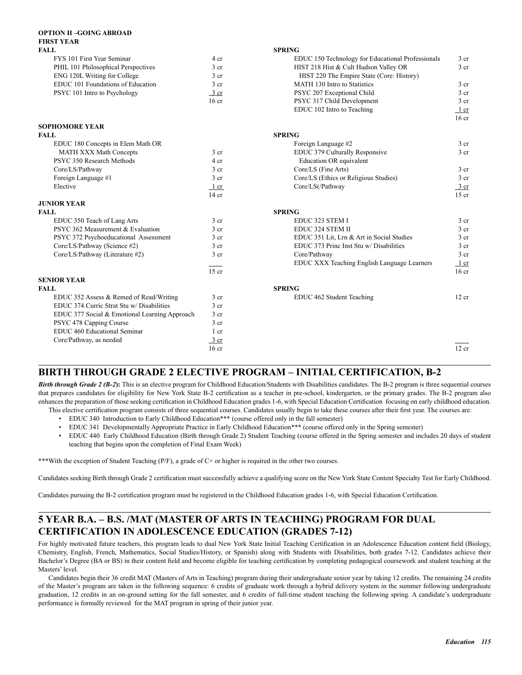| OP HON II –GOING ABROAD<br><b>FIRST YEAR</b>  |                  |                                                   |                  |
|-----------------------------------------------|------------------|---------------------------------------------------|------------------|
| FALL                                          |                  | <b>SPRING</b>                                     |                  |
| FYS 101 First Year Seminar                    | 4 cr             | EDUC 150 Technology for Educational Professionals | 3 <sub>cr</sub>  |
| PHIL 101 Philosophical Perspectives           | 3 <sub>cr</sub>  | HIST 218 Hist & Cult Hudson Valley OR             | 3 cr             |
| ENG 120L Writing for College                  | 3 <sub>cr</sub>  | HIST 220 The Empire State (Core: History)         |                  |
| EDUC 101 Foundations of Education             | 3 <sub>cr</sub>  | MATH 130 Intro to Statistics                      | 3 <sub>cr</sub>  |
| PSYC 101 Intro to Psychology                  | $3$ cr           | PSYC 207 Exceptional Child                        | 3 <sub>cr</sub>  |
|                                               | 16 <sub>cr</sub> | PSYC 317 Child Development                        | 3 <sub>cr</sub>  |
|                                               |                  | EDUC 102 Intro to Teaching                        | $1$ cr           |
| <b>SOPHOMORE YEAR</b>                         |                  |                                                   | 16 <sub>cr</sub> |
| FALL                                          |                  | <b>SPRING</b>                                     |                  |
| EDUC 180 Concepts in Elem Math OR             |                  | Foreign Language #2                               | 3 cr             |
| <b>MATH XXX Math Concepts</b>                 | 3 <sub>cr</sub>  | EDUC 379 Culturally Responsive                    | 3 <sub>cr</sub>  |
| PSYC 350 Research Methods                     | 4 cr             | Education OR equivalent                           |                  |
| Core/LS/Pathway                               | 3 <sub>cr</sub>  | Core/LS (Fine Arts)                               | 3 cr             |
| Foreign Language #1                           | 3 <sub>cr</sub>  | Core/LS (Ethics or Religious Studies)             | 3 <sub>cr</sub>  |
| Elective                                      | 1 cr             | Core/LS(/Pathway                                  | $rac{3}{2}$ cr   |
|                                               | $14$ cr          |                                                   | $15$ cr          |
| <b>JUNIOR YEAR</b>                            |                  |                                                   |                  |
| FALL                                          |                  | <b>SPRING</b>                                     |                  |
| EDUC 350 Teach of Lang Arts                   | 3 <sub>cr</sub>  | EDUC 323 STEM I                                   | 3 <sub>cr</sub>  |
| PSYC 362 Measurement & Evaluation             | 3 <sub>cr</sub>  | EDUC 324 STEM II                                  | 3 cr             |
| PSYC 372 Psychoeducational Assessment         | 3 <sub>cr</sub>  | EDUC 351 Lit, Lrn & Art in Social Studies         | $3$ cr           |
| Core/LS/Pathway (Science #2)                  | 3 <sub>cr</sub>  | EDUC 373 Princ Inst Stu w/ Disabilities           | 3 <sub>cr</sub>  |
| Core/LS/Pathway (Literature #2)               | 3 <sub>cr</sub>  | Core/Pathway                                      | 3 cr             |
|                                               |                  | EDUC XXX Teaching English Language Learners       | $1$ cr           |
|                                               | $15$ cr          |                                                   | 16 <sub>cr</sub> |
| <b>SENIOR YEAR</b>                            |                  |                                                   |                  |
| FALL                                          |                  | <b>SPRING</b>                                     |                  |
| EDUC 352 Assess & Remed of Read/Writing       | 3 cr             | EDUC 462 Student Teaching                         | 12 cr            |
| EDUC 374 Curric Strat Stu w/ Disabilities     | 3 cr             |                                                   |                  |
| EDUC 377 Social & Emotional Learning Approach | 3 <sub>cr</sub>  |                                                   |                  |
| PSYC 478 Capping Course                       | 3 <sub>cr</sub>  |                                                   |                  |
| EDUC 460 Educational Seminar                  | 1 cr             |                                                   |                  |
| Core/Pathway, as needed                       | $\frac{3}{ }$ cr |                                                   |                  |
|                                               | $16$ cr          |                                                   | 12 cr            |
|                                               |                  |                                                   |                  |

## **BIRTH THROUGH GRADE 2 ELECTIVE PROGRAM – INITIAL CERTIFICATION, B-2**

**Birth through Grade 2 (B-2):** This is an elective program for Childhood Education/Students with Disabilities candidates. The B-2 program is three sequential courses that prepares candidates for eligibility for New York State B-2 certification as a teacher in pre-school, kindergarten, or the primary grades. The B-2 program also enhances the preparation of those seeking certification in Childhood Education grades 1-6, with Special Education Certification focusing on early childhood education. This elective certification program consists of three sequential courses. Candidates usually begin to take these courses after their first year. The courses are:

- EDUC 340 Introduction to Early Childhood Education\*\*\* (course offered only in the fall semester)
- EDUC 341 Developmentally Appropriate Practice in Early Childhood Education\*\*\* (course offered only in the Spring semester)
- EDUC 440 Early Childhood Education (Birth through Grade 2) Student Teaching (course offered in the Spring semester and includes 20 days of student teaching that begins upon the completion of Final Exam Week)

\*\*\*With the exception of Student Teaching (P/F), a grade of C+ or higher is required in the other two courses.

**OPTION II –GOING ABROAD** 

Candidates seeking Birth through Grade 2 certification must successfully achieve a qualifying score on the New York State Content Specialty Test for Early Childhood.

Candidates pursuing the B-2 certification program must be registered in the Childhood Education grades 1-6, with Special Education Certification.

## **5 YEAR B.A. – B.S. /MAT (MASTER OF ARTS IN TEACHING) PROGRAM FOR DUAL CERTIFICATION IN ADOLESCENCE EDUCATION (GRADES 7-12)**

For highly motivated future teachers, this program leads to dual New York State Initial Teaching Certification in an Adolescence Education content field (Biology, Chemistry, English, French, Mathematics, Social Studies/History, or Spanish) along with Students with Disabilities, both grades 7-12. Candidates achieve their Bachelor's Degree (BA or BS) in their content field and become eligible for teaching certification by completing pedagogical coursework and student teaching at the Masters' level.

Candidates begin their 36 credit MAT (Masters of Arts in Teaching) program during their undergraduate senior year by taking 12 credits. The remaining 24 credits of the Master's program are taken in the following sequence: 6 credits of graduate work through a hybrid delivery system in the summer following undergraduate graduation, 12 credits in an on-ground setting for the fall semester, and 6 credits of full-time student teaching the following spring. A candidate's undergraduate performance is formally reviewed for the MAT program in spring of their junior year.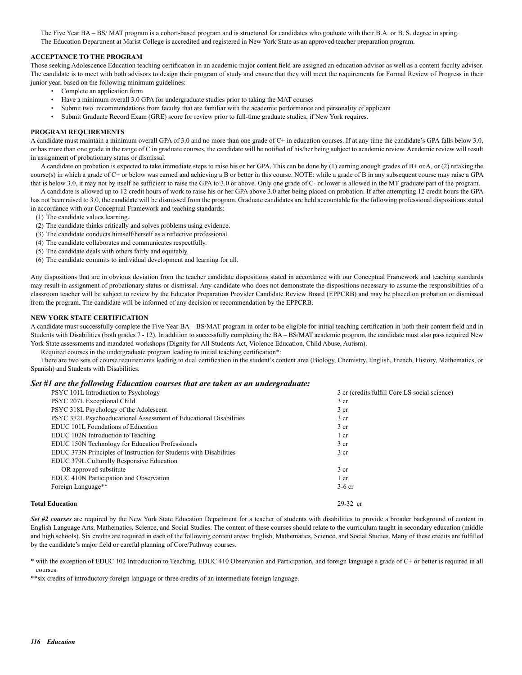The Five Year BA – BS/ MAT program is a cohort-based program and is structured for candidates who graduate with their B.A. or B. S. degree in spring. The Education Department at Marist College is accredited and registered in New York State as an approved teacher preparation program.

#### **ACCEPTANCE TO THE PROGRAM**

Those seeking Adolescence Education teaching certification in an academic major content field are assigned an education advisor as well as a content faculty advisor. The candidate is to meet with both advisors to design their program of study and ensure that they will meet the requirements for Formal Review of Progress in their junior year, based on the following minimum guidelines:

- Complete an application form
- Have a minimum overall 3.0 GPA for undergraduate studies prior to taking the MAT courses
- Submit two recommendations from faculty that are familiar with the academic performance and personality of applicant
- Submit Graduate Record Exam (GRE) score for review prior to full-time graduate studies, if New York requires.

#### **PROGRAM REQUIREMENTS**

A candidate must maintain a minimum overall GPA of 3.0 and no more than one grade of C+ in education courses. If at any time the candidate's GPA falls below 3.0, or has more than one grade in the range of C in graduate courses, the candidate will be notified of his/her being subject to academic review. Academic review will result in assignment of probationary status or dismissal.

A candidate on probation is expected to take immediate steps to raise his or her GPA. This can be done by (1) earning enough grades of B+ or A, or (2) retaking the course(s) in which a grade of C+ or below was earned and achieving a B or better in this course. NOTE: while a grade of B in any subsequent course may raise a GPA that is below 3.0, it may not by itself be sufficient to raise the GPA to 3.0 or above. Only one grade of C- or lower is allowed in the MT graduate part of the program.

A candidate is allowed up to 12 credit hours of work to raise his or her GPA above 3.0 after being placed on probation. If after attempting 12 credit hours the GPA has not been raised to 3.0, the candidate will be dismissed from the program. Graduate candidates are held accountable for the following professional dispositions stated in accordance with our Conceptual Framework and teaching standards:

- (1) The candidate values learning.
- (2) The candidate thinks critically and solves problems using evidence.
- (3) The candidate conducts himself/herself as a reflective professional.
- (4) The candidate collaborates and communicates respectfully.
- (5) The candidate deals with others fairly and equitably.
- (6) The candidate commits to individual development and learning for all.

Any dispositions that are in obvious deviation from the teacher candidate dispositions stated in accordance with our Conceptual Framework and teaching standards may result in assignment of probationary status or dismissal. Any candidate who does not demonstrate the dispositions necessary to assume the responsibilities of a classroom teacher will be subject to review by the Educator Preparation Provider Candidate Review Board (EPPCRB) and may be placed on probation or dismissed from the program. The candidate will be informed of any decision or recommendation by the EPPCRB.

#### **NEW YORK STATE CERTIFICATION**

A candidate must successfully complete the Five Year BA – BS/MAT program in order to be eligible for initial teaching certification in both their content field and in Students with Disabilities (both grades 7 - 12). In addition to successfully completing the BA – BS/MAT academic program, the candidate must also pass required New York State assessments and mandated workshops (Dignity for All Students Act, Violence Education, Child Abuse, Autism).

Required courses in the undergraduate program leading to initial teaching certification\*:

There are two sets of course requirements leading to dual certification in the student's content area (Biology, Chemistry, English, French, History, Mathematics, or Spanish) and Students with Disabilities.

#### *Set #1 are the following Education courses that are taken as an undergraduate:*

| PSYC 101L Introduction to Psychology                               | 3 cr (credits fulfill Core LS social science) |
|--------------------------------------------------------------------|-----------------------------------------------|
| PSYC 207L Exceptional Child                                        | 3 cr                                          |
| PSYC 318L Psychology of the Adolescent                             | 3 <sub>cr</sub>                               |
| PSYC 372L Psychoeducational Assessment of Educational Disabilities | 3 cr                                          |
| EDUC 101L Foundations of Education                                 | 3 <sub>cr</sub>                               |
| EDUC 102N Introduction to Teaching                                 | 1 cr                                          |
| EDUC 150N Technology for Education Professionals                   | 3 <sub>cr</sub>                               |
| EDUC 373N Principles of Instruction for Students with Disabilities | 3 <sub>cr</sub>                               |
| EDUC 379L Culturally Responsive Education                          |                                               |
| OR approved substitute                                             | 3 <sub>cr</sub>                               |
| EDUC 410N Participation and Observation                            | $1$ cr                                        |
| Foreign Language**                                                 | $3-6$ cr                                      |
| <b>Total Education</b>                                             | 29-32 cr                                      |

*Set #2 courses* are required by the New York State Education Department for a teacher of students with disabilities to provide a broader background of content in English Language Arts, Mathematics, Science, and Social Studies. The content of these courses should relate to the curriculum taught in secondary education (middle and high schools). Six credits are required in each of the following content areas: English, Mathematics, Science, and Social Studies. Many of these credits are fulfilled by the candidate's major field or careful planning of Core/Pathway courses.

\* with the exception of EDUC 102 Introduction to Teaching, EDUC 410 Observation and Participation, and foreign language a grade of C+ or better is required in all courses.

\*\*six credits of introductory foreign language or three credits of an intermediate foreign language.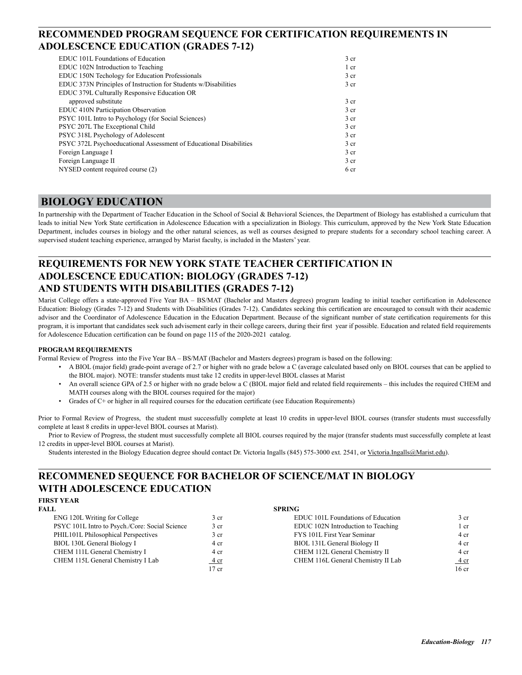## **RECOMMENDED PROGRAM SEQUENCE FOR CERTIFICATION REQUIREMENTS IN ADOLESCENCE EDUCATION (GRADES 7-12)**

| EDUC 101L Foundations of Education                                 | 3 <sub>cr</sub> |
|--------------------------------------------------------------------|-----------------|
| EDUC 102N Introduction to Teaching                                 | 1 cr            |
| EDUC 150N Techology for Education Professionals                    | 3 <sub>cr</sub> |
| EDUC 373N Principles of Instruction for Students w/Disabilities    | 3 <sub>cr</sub> |
| EDUC 379L Culturally Responsive Education OR                       |                 |
| approved substitute                                                | 3 <sub>cr</sub> |
| EDUC 410N Participation Observation                                | 3 cr            |
| PSYC 101L Intro to Psychology (for Social Sciences)                | 3 cr            |
| PSYC 207L The Exceptional Child                                    | 3 <sub>cr</sub> |
| PSYC 318L Psychology of Adolescent                                 | 3 <sub>cr</sub> |
| PSYC 372L Psychoeducational Assessment of Educational Disabilities | 3 <sub>cr</sub> |
| Foreign Language I                                                 | 3 <sub>cr</sub> |
| Foreign Language II                                                | 3 <sub>cr</sub> |
| NYSED content required course (2)                                  | 6 cr            |
|                                                                    |                 |

## **BIOLOGY EDUCATION**

In partnership with the Department of Teacher Education in the School of Social & Behavioral Sciences, the Department of Biology has established a curriculum that leads to initial New York State certification in Adolescence Education with a specialization in Biology. This curriculum, approved by the New York State Education Department, includes courses in biology and the other natural sciences, as well as courses designed to prepare students for a secondary school teaching career. A supervised student teaching experience, arranged by Marist faculty, is included in the Masters' year.

## **REQUIREMENTS FOR NEW YORK STATE TEACHER CERTIFICATION IN ADOLESCENCE EDUCATION: BIOLOGY (GRADES 7-12) AND STUDENTS WITH DISABILITIES (GRADES 7-12)**

Marist College offers a state-approved Five Year BA – BS/MAT (Bachelor and Masters degrees) program leading to initial teacher certification in Adolescence Education: Biology (Grades 7-12) and Students with Disabilities (Grades 7-12). Candidates seeking this certification are encouraged to consult with their academic advisor and the Coordinator of Adolescence Education in the Education Department. Because of the significant number of state certification requirements for this program, it is important that candidates seek such advisement early in their college careers, during their first year if possible. Education and related field requirements for Adolescence Education certification can be found on page 115 of the 2020-2021 catalog.

#### **PROGRAM REQUIREMENTS**

Formal Review of Progress into the Five Year BA – BS/MAT (Bachelor and Masters degrees) program is based on the following:

- A BIOL (major field) grade-point average of 2.7 or higher with no grade below a C (average calculated based only on BIOL courses that can be applied to the BIOL major). NOTE: transfer students must take 12 credits in upper-level BIOL classes at Marist
- An overall science GPA of 2.5 or higher with no grade below a C (BIOL major field and related field requirements this includes the required CHEM and MATH courses along with the BIOL courses required for the major)
- Grades of C+ or higher in all required courses for the education certificate (see Education Requirements)

Prior to Formal Review of Progress, the student must successfully complete at least 10 credits in upper-level BIOL courses (transfer students must successfully complete at least 8 credits in upper-level BIOL courses at Marist).

Prior to Review of Progress, the student must successfully complete all BIOL courses required by the major (transfer students must successfully complete at least 12 credits in upper-level BIOL courses at Marist).

Students interested in the Biology Education degree should contact Dr. Victoria Ingalls (845) 575-3000 ext. 2541, or Victoria.Ingalls@Marist.edu).

## **RECOMMENED SEQUENCE FOR BACHELOR OF SCIENCE/MAT IN BIOLOGY WITH ADOLESCENCE EDUCATION**

#### **FIRST YEAR**

| ENG 120L Writing for College                   | 3 <sub>cr</sub> |
|------------------------------------------------|-----------------|
| PSYC 101L Intro to Psych./Core: Social Science | 3 <sub>cr</sub> |
| PHIL101L Philosophical Perspectives            | 3 <sub>cr</sub> |
| BIOL 130L General Biology I                    | 4 cr            |
| CHEM 111L General Chemistry I                  | 4 cr            |
| CHEM 115L General Chemistry I Lab              | 4 cr            |
|                                                | 17.5            |

#### **FALL SPRING**

| ENG 120L Writing for College                   | 3 cr            | EDUC 101L Foundations of Education | 3 <sub>cr</sub>  |
|------------------------------------------------|-----------------|------------------------------------|------------------|
| PSYC 101L Intro to Psych./Core: Social Science | 3 <sub>cr</sub> | EDUC 102N Introduction to Teaching | 1 cr             |
| PHIL101L Philosophical Perspectives            | 3 cr            | FYS 101L First Year Seminar        | 4 cr             |
| BIOL 130L General Biology I                    | 4 cr            | BIOL 131L General Biology II       | 4 cr             |
| CHEM 111L General Chemistry I                  | 4 cr            | CHEM 112L General Chemistry II     | 4 cr             |
| CHEM 115L General Chemistry I Lab              | $4 \text{ cr}$  | CHEM 116L General Chemistry II Lab | <u>4 cr</u>      |
|                                                | $17$ cr         |                                    | 16 <sub>cr</sub> |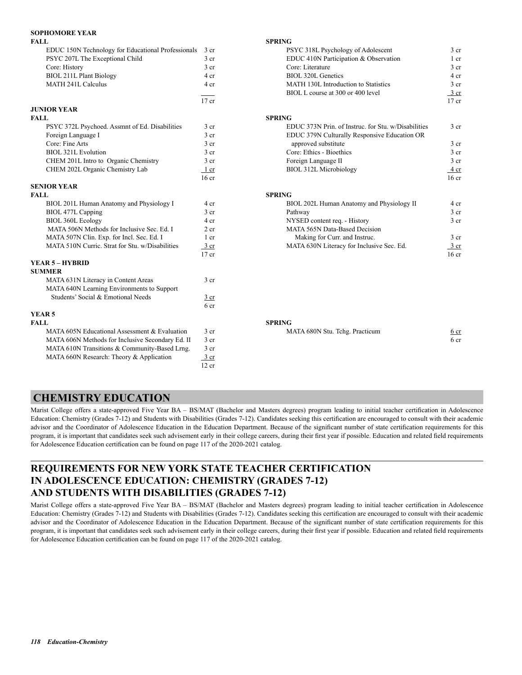| <b>SOPHOMORE YEAR</b>                              |                  |                                                     |                  |
|----------------------------------------------------|------------------|-----------------------------------------------------|------------------|
| <b>FALL</b>                                        |                  | <b>SPRING</b>                                       |                  |
| EDUC 150N Technology for Educational Professionals | 3 <sub>cr</sub>  | PSYC 318L Psychology of Adolescent                  | 3 <sub>cr</sub>  |
| PSYC 207L The Exceptional Child                    | 3 <sub>cr</sub>  | EDUC 410N Participation & Observation               | 1 cr             |
| Core: History                                      | 3 <sub>cr</sub>  | Core: Literature                                    | 3 <sub>cr</sub>  |
| <b>BIOL 211L Plant Biology</b>                     | 4 cr             | BIOL 320L Genetics                                  | 4 cr             |
| <b>MATH 241L Calculus</b>                          | 4 cr             | MATH 130L Introduction to Statistics                | 3 <sub>cr</sub>  |
|                                                    |                  | BIOL L course at 300 or 400 level                   | $3 \text{ cr}$   |
|                                                    | $17$ cr          |                                                     | $17$ cr          |
| <b>JUNIOR YEAR</b>                                 |                  |                                                     |                  |
| <b>FALL</b>                                        |                  | <b>SPRING</b>                                       |                  |
| PSYC 372L Psychoed. Assmnt of Ed. Disabilities     | 3 <sub>cr</sub>  | EDUC 373N Prin. of Instruc. for Stu. w/Disabilities | 3 <sub>cr</sub>  |
| Foreign Language I                                 | 3 <sub>cr</sub>  | EDUC 379N Culturally Responsive Education OR        |                  |
| Core: Fine Arts                                    | 3 <sub>cr</sub>  | approved substitute                                 | 3 <sub>cr</sub>  |
| <b>BIOL 321L Evolution</b>                         | 3 <sub>cr</sub>  | Core: Ethics - Bioethics                            | 3 <sub>cr</sub>  |
| CHEM 201L Intro to Organic Chemistry               | 3 <sub>cr</sub>  | Foreign Language II                                 | 3 <sub>cr</sub>  |
| CHEM 202L Organic Chemistry Lab                    | 1 cr             | <b>BIOL 312L Microbiology</b>                       | 4 cr             |
|                                                    | 16 <sub>cr</sub> |                                                     | 16 <sub>cr</sub> |
| <b>SENIOR YEAR</b>                                 |                  |                                                     |                  |
| <b>FALL</b>                                        |                  | <b>SPRING</b>                                       |                  |
| BIOL 201L Human Anatomy and Physiology I           | 4 cr             | BIOL 202L Human Anatomy and Physiology II           | 4 cr             |
| BIOL 477L Capping                                  | 3 <sub>cr</sub>  | Pathway                                             | 3 <sub>cr</sub>  |
| <b>BIOL 360L Ecology</b>                           | 4 cr             | NYSED content req. - History                        | 3 <sub>cr</sub>  |
| MATA 506N Methods for Inclusive Sec. Ed. I         | 2 <sub>cr</sub>  | MATA 565N Data-Based Decision                       |                  |
| MATA 507N Clin. Exp. for Incl. Sec. Ed. I          | 1 cr             | Making for Curr. and Instruc.                       | $3 \text{ cr}$   |
| MATA 510N Curric. Strat for Stu. w/Disabilities    | $3$ cr           | MATA 630N Literacy for Inclusive Sec. Ed.           | 3 <sub>cr</sub>  |
|                                                    | $17$ cr          |                                                     | 16 <sub>cr</sub> |
| <b>YEAR 5 - HYBRID</b>                             |                  |                                                     |                  |
| <b>SUMMER</b>                                      |                  |                                                     |                  |
| MATA 631N Literacy in Content Areas                | 3 <sub>cr</sub>  |                                                     |                  |
| MATA 640N Learning Environments to Support         |                  |                                                     |                  |
| Students' Social & Emotional Needs                 | $3$ cr           |                                                     |                  |

 $6<sub>cr</sub>$ 

MATA 610N Transitions  $&$  Community-Based Lrng. 3 cr MATA 660N Research: Theory & Application  $\frac{3 \text{ cr}}{12 \text{ cr}}$ 12 cr

## PSYC 318L Psychology of Adolescent 3 cr EDUC 410N Participation & Observation 1 cr Core: History 3 cr Core: Literature 3 cr Core: Literature 3 cr BIOL 320L Genetics 4 cr MATH 130L Introduction to Statistics 3 cr BIOL L course at 300 or 400 level 3 cr EDUC 373N Prin. of Instruc. for Stu. w/Disabilities 3 cr EDUC 379N Culturally Responsive Education OR approved substitute 3 cr Solution 3 cr Core: Ethics - Bioethics 3 cr 3 cr Foreign Language II 3 cr BIOL 312L Microbiology 4 cr **SPRING** BIOL 202L Human Anatomy and Physiology II 4 cr BIOL 477L Capping 3 cr Pathway 3 cr BIOL 3 cr  $3 \text{ cr}$ MATA 565N Data-Based Decision Making for Curr. and Instruc. 3 cr MATA 630N Literacy for Inclusive Sec. Ed.  $\frac{3 \text{ cr}}{2}$

#### **FALL SPRING**

| MATA 605N Educational Assessment & Evaluation                | MATA 680N Stu. Tchg. Practicum<br>6 cr |  |
|--------------------------------------------------------------|----------------------------------------|--|
| MATA 606N Methods for Inclusive Secondary Ed. II $\sim$ 3 cr | 6 cr                                   |  |

## **CHEMISTRY EDUCATION**

**YEAR 5**

Marist College offers a state-approved Five Year BA – BS/MAT (Bachelor and Masters degrees) program leading to initial teacher certification in Adolescence Education: Chemistry (Grades 7-12) and Students with Disabilities (Grades 7-12). Candidates seeking this certification are encouraged to consult with their academic advisor and the Coordinator of Adolescence Education in the Education Department. Because of the significant number of state certification requirements for this program, it is important that candidates seek such advisement early in their college careers, during their first year if possible. Education and related field requirements for Adolescence Education certification can be found on page 117 of the 2020-2021 catalog.

## **REQUIREMENTS FOR NEW YORK STATE TEACHER CERTIFICATION IN ADOLESCENCE EDUCATION: CHEMISTRY (GRADES 7-12) AND STUDENTS WITH DISABILITIES (GRADES 7-12)**

Marist College offers a state-approved Five Year BA – BS/MAT (Bachelor and Masters degrees) program leading to initial teacher certification in Adolescence Education: Chemistry (Grades 7-12) and Students with Disabilities (Grades 7-12). Candidates seeking this certification are encouraged to consult with their academic advisor and the Coordinator of Adolescence Education in the Education Department. Because of the significant number of state certification requirements for this program, it is important that candidates seek such advisement early in their college careers, during their first year if possible. Education and related field requirements for Adolescence Education certification can be found on page 117 of the 2020-2021 catalog.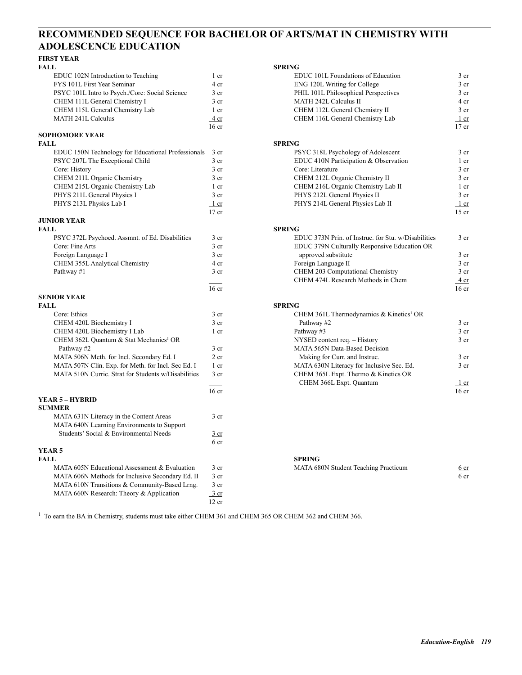## **RECOMMENDED SEQUENCE FOR BACHELOR OF ARTS/MAT IN CHEMISTRY WITH ADOLESCENCE EDUCATION**

# **FIRST YEAR**

| FALL                                           |                 | <b>SPRING</b> |
|------------------------------------------------|-----------------|---------------|
| EDUC 102N Introduction to Teaching             | 1 cr            | El            |
| FYS 101L First Year Seminar                    | 4 cr            | E             |
| PSYC 101L Intro to Psych./Core: Social Science | 3 <sub>cr</sub> | Pl            |
| CHEM 111L General Chemistry I                  | 3 <sub>cr</sub> | M             |
| CHEM 115L General Chemistry Lab                | 1 <sub>cr</sub> | C             |
| <b>MATH 241L Calculus</b>                      | 4 cr            | C             |
|                                                |                 |               |

# **SOPHOMORE YEAR**

|                 | <b>SPRING</b>                                      |
|-----------------|----------------------------------------------------|
| $3 \text{ cr}$  | P                                                  |
| 3 <sub>cr</sub> | El                                                 |
| 3 <sub>cr</sub> | C.                                                 |
| 3 <sub>cr</sub> | C                                                  |
| 1 cr            | C                                                  |
| 3 <sub>cr</sub> | Pl                                                 |
| 1 cr            | Pl                                                 |
|                 | EDUC 150N Technology for Educational Professionals |

# **JUNIOR YEAR**

| FALL.                                           |      | <b>SPRING</b>                                      |
|-------------------------------------------------|------|----------------------------------------------------|
| PSYC 372L Psychoed. Assmnt. of Ed. Disabilities | 3 cr | EDUC 373N Prin. of Instruc. for Stu. w/Disabilitie |
| Core: Fine Arts                                 | 3 cr | EDUC 379N Culturally Responsive Education OR       |
| Foreign Language I                              | 3 cr | approved substitute                                |
| <b>CHEM 355L Analytical Chemistry</b>           | 4 cr | Foreign Language II                                |
| Pathway #1                                      | 3 cr | CHEM 203 Computational Chemistry                   |
|                                                 |      |                                                    |

#### **SENIOR YEAR**

| SENIOR YEAR                                         |                  |                                                     |                  |
|-----------------------------------------------------|------------------|-----------------------------------------------------|------------------|
| FALL                                                |                  | <b>SPRING</b>                                       |                  |
| Core: Ethics                                        | 3 <sub>cr</sub>  | CHEM 361L Thermodynamics & Kinetics <sup>1</sup> OR |                  |
| CHEM 420L Biochemistry I                            | 3 <sub>cr</sub>  | Pathway #2                                          | 3 <sub>cr</sub>  |
| CHEM 420L Biochemistry I Lab                        | 1 <sub>cr</sub>  | Pathway #3                                          | 3 <sub>cr</sub>  |
| CHEM 362L Quantum & Stat Mechanics <sup>1</sup> OR  |                  | NYSED content req. - History                        | 3 <sub>cr</sub>  |
| Pathway #2                                          | 3 cr             | MATA 565N Data-Based Decision                       |                  |
| MATA 506N Meth. for Incl. Secondary Ed. I           | $2$ cr           | Making for Curr. and Instruc.                       | 3 <sub>cr</sub>  |
| MATA 507N Clin. Exp. for Meth. for Incl. Sec Ed. I  | 1 <sub>cr</sub>  | MATA 630N Literacy for Inclusive Sec. Ed.           | 3 <sub>cr</sub>  |
| MATA 510N Curric. Strat for Students w/Disabilities | 3 <sub>cr</sub>  | CHEM 365L Expt. Thermo & Kinetics OR                |                  |
|                                                     |                  | CHEM 366L Expt. Quantum                             | 1 cr             |
|                                                     | 16 <sub>cr</sub> |                                                     | 16 <sub>cr</sub> |
| <b>YEAR 5 – HYBRID</b>                              |                  |                                                     |                  |
| <b>SUMMER</b>                                       |                  |                                                     |                  |
| MATA 631N Literacy in the Content Areas             | 3 <sub>cr</sub>  |                                                     |                  |
| MATA 640N Learning Environments to Support          |                  |                                                     |                  |
| Students' Social & Environmental Needs              | $rac{3}{2}$ cr   |                                                     |                  |
|                                                     | 6 cr             |                                                     |                  |
| YEAR <sub>5</sub>                                   |                  |                                                     |                  |
| FALL                                                |                  | <b>SPRING</b>                                       |                  |
| MATA 605N Educational Assessment & Evaluation       | 3 <sub>cr</sub>  | MATA 680N Student Teaching Practicum                | 6 <sub>cr</sub>  |
| MATA 606N Methods for Inclusive Secondary Ed. II    | 3 <sub>cr</sub>  |                                                     | 6 cr             |
| MATA 610N Transitions & Community-Based Lrng.       | 3 <sub>cr</sub>  |                                                     |                  |
| MATA 660N Research: Theory & Application            | $\frac{3}{ }$ cr |                                                     |                  |
|                                                     | 12 cr            |                                                     |                  |
|                                                     |                  |                                                     |                  |

| FALL                                                |                  | <b>SPRING</b>                                       |                  |
|-----------------------------------------------------|------------------|-----------------------------------------------------|------------------|
| EDUC 102N Introduction to Teaching                  | 1 cr             | EDUC 101L Foundations of Education                  | 3 cr             |
| FYS 101L First Year Seminar                         | 4 cr             | ENG 120L Writing for College                        | 3 cr             |
| PSYC 101L Intro to Psych./Core: Social Science      | 3 <sub>cr</sub>  | PHIL 101L Philosophical Perspectives                | 3 cr             |
| CHEM 111L General Chemistry I                       | 3 <sub>cr</sub>  | <b>MATH 242L Calculus II</b>                        | 4 cr             |
| CHEM 115L General Chemistry Lab                     | 1 cr             | CHEM 112L General Chemistry II                      | 3 <sub>cr</sub>  |
| <b>MATH 241L Calculus</b>                           | 4 cr             | CHEM 116L General Chemistry Lab                     | 1 cr             |
|                                                     | 16 <sub>cr</sub> |                                                     | $17$ cr          |
| SOPHOMORE YEAR                                      |                  |                                                     |                  |
| FALL                                                |                  | <b>SPRING</b>                                       |                  |
| EDUC 150N Technology for Educational Professionals  | 3 <sub>cr</sub>  | PSYC 318L Psychology of Adolescent                  | 3 <sub>cr</sub>  |
| PSYC 207L The Exceptional Child                     | 3 <sub>cr</sub>  | EDUC 410N Participation & Observation               | 1 cr             |
| Core: History                                       | 3 <sub>cr</sub>  | Core: Literature                                    | 3 <sub>cr</sub>  |
| CHEM 211L Organic Chemistry                         | 3 <sub>cr</sub>  | CHEM 212L Organic Chemistry II                      | 3 <sub>cr</sub>  |
| CHEM 215L Organic Chemistry Lab                     | 1 cr             | CHEM 216L Organic Chemistry Lab II                  | 1 cr             |
| PHYS 211L General Physics I                         | 3 <sub>cr</sub>  | PHYS 212L General Physics II                        | 3 <sub>cr</sub>  |
| PHYS 213L Physics Lab I                             | 1 cr             | PHYS 214L General Physics Lab II                    | 1 cr             |
|                                                     | $17$ cr          |                                                     | $15$ cr          |
| JUNIOR YEAR                                         |                  |                                                     |                  |
| FALL                                                |                  | <b>SPRING</b>                                       |                  |
| PSYC 372L Psychoed. Assmnt. of Ed. Disabilities     | 3 <sub>cr</sub>  | EDUC 373N Prin. of Instruc. for Stu. w/Disabilities | 3 <sub>cr</sub>  |
| Core: Fine Arts                                     | 3 <sub>cr</sub>  | EDUC 379N Culturally Responsive Education OR        |                  |
| Foreign Language I                                  | 3 <sub>cr</sub>  | approved substitute                                 | 3 <sub>cr</sub>  |
| CHEM 355L Analytical Chemistry                      | 4 cr             | Foreign Language II                                 | 3 <sub>cr</sub>  |
| Pathway #1                                          | 3 <sub>cr</sub>  | CHEM 203 Computational Chemistry                    | 3 cr             |
|                                                     |                  | CHEM 474L Research Methods in Chem                  | $4$ cr           |
|                                                     | $16$ cr          |                                                     | 16 <sub>cr</sub> |
| <b>SENIOR YEAR</b>                                  |                  |                                                     |                  |
| FALL.                                               |                  | <b>SPRING</b>                                       |                  |
| Core: Ethics                                        | 3 <sub>cr</sub>  | CHEM 361L Thermodynamics & Kinetics <sup>1</sup> OR |                  |
| CHEM 420L Biochemistry I                            | $3$ cr           | Pathway #2                                          | 3 cr             |
| CHEM 420L Biochemistry I Lab                        | 1 cr             | Pathway #3                                          | 3 <sub>cr</sub>  |
| CHEM 362L Quantum & Stat Mechanics <sup>1</sup> OR  |                  | NYSED content req. - History                        | 3 <sub>cr</sub>  |
| Pathway #2                                          | 3 cr             | MATA 565N Data-Based Decision                       |                  |
| MATA 506N Meth. for Incl. Secondary Ed. I           | $2$ cr           | Making for Curr. and Instruc.                       | 3 <sub>cr</sub>  |
| MATA 507N Clin. Exp. for Meth. for Incl. Sec Ed. I  | 1 cr             | MATA 630N Literacy for Inclusive Sec. Ed.           | 3 <sub>cr</sub>  |
| MATA 510N Curric. Strat for Students w/Disabilities | 3 <sub>cr</sub>  | CHEM 365L Expt. Thermo & Kinetics OR                |                  |
|                                                     |                  | CHEM 366L Expt. Quantum                             | 1 cr             |
|                                                     | 16 <sub>cr</sub> |                                                     | 16 <sub>cr</sub> |
| YEAR 5 – HYBRID                                     |                  |                                                     |                  |
| <b>SUMMER</b>                                       |                  |                                                     |                  |
| MATA 631N Literacy in the Content Areas             | $3$ cr           |                                                     |                  |

| MATA 605N Educational Assessment & Evaluation | MATA 680N Student Teaching Practicum | 6 cr |
|-----------------------------------------------|--------------------------------------|------|
|                                               |                                      |      |

<sup>1</sup> To earn the BA in Chemistry, students must take either CHEM 361 and CHEM 365 OR CHEM 362 and CHEM 366.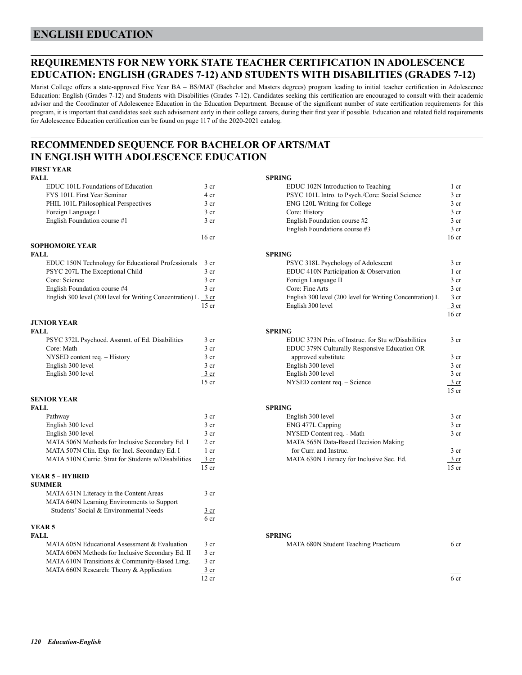## **ENGLISH EDUCATION**

## **REQUIREMENTS FOR NEW YORK STATE TEACHER CERTIFICATION IN ADOLESCENCE EDUCATION: ENGLISH (GRADES 7-12) AND STUDENTS WITH DISABILITIES (GRADES 7-12)**

Marist College offers a state-approved Five Year BA – BS/MAT (Bachelor and Masters degrees) program leading to initial teacher certification in Adolescence Education: English (Grades 7-12) and Students with Disabilities (Grades 7-12). Candidates seeking this certification are encouraged to consult with their academic advisor and the Coordinator of Adolescence Education in the Education Department. Because of the significant number of state certification requirements for this program, it is important that candidates seek such advisement early in their college careers, during their first year if possible. Education and related field requirements for Adolescence Education certification can be found on page 117 of the 2020-2021 catalog.

## **RECOMMENDED SEQUENCE FOR BACHELOR OF ARTS/MAT IN ENGLISH WITH ADOLESCENCE EDUCATION**

#### **FIRST YEAR**

| <b>FALL</b>                          |                  | <b>SPRING</b> |
|--------------------------------------|------------------|---------------|
| EDUC 101L Foundations of Education   | 3 <sub>cr</sub>  | El            |
| FYS 101L First Year Seminar          | 4 cr             | P             |
| PHIL 101L Philosophical Perspectives | 3 <sub>cr</sub>  | EI            |
| Foreign Language I                   | 3 <sub>cr</sub>  | G             |
| English Foundation course #1         | 3 <sub>cr</sub>  | Eı            |
|                                      |                  | Eı            |
|                                      | 16 <sub>cr</sub> |               |
| <b>SOPHOMORE YEAR</b>                |                  |               |

| FALL.                                                              |                 | <b>SPRING</b> |
|--------------------------------------------------------------------|-----------------|---------------|
| EDUC 150N Technology for Educational Professionals 3 cr            |                 | P             |
| PSYC 207L The Exceptional Child                                    | 3 cr            | El            |
| Core: Science                                                      | 3 <sub>cr</sub> | F             |
| English Foundation course #4                                       | 3 <sub>cr</sub> | G             |
| English 300 level (200 level for Writing Concentration) $L = 3$ cr |                 | Eı            |
|                                                                    | $15$ or         | г.            |

#### **JUNIOR YEAR**

| FALL.                                           |                 | <b>SPRING</b> |
|-------------------------------------------------|-----------------|---------------|
| PSYC 372L Psychoed. Assmnt. of Ed. Disabilities | 3 cr            | El            |
| Core: Math                                      | 3 <sub>cr</sub> | El            |
| NYSED content req. - History                    | 3 <sub>cr</sub> |               |
| English 300 level                               | 3 <sub>cr</sub> | E1            |
| English 300 level                               | 3 cr            | E1            |
|                                                 |                 |               |

#### **SENIOR YEAR**

| FALL                                                |                  | <b>SPRING</b>                             |                 |
|-----------------------------------------------------|------------------|-------------------------------------------|-----------------|
| Pathway                                             | 3 <sub>cr</sub>  | English 300 level                         | 3 <sub>cr</sub> |
| English 300 level                                   | 3 <sub>cr</sub>  | ENG 477L Capping                          | 3 <sub>cr</sub> |
| English 300 level                                   | 3 <sub>cr</sub>  | NYSED Content req. - Math                 | 3 <sub>cr</sub> |
| MATA 506N Methods for Inclusive Secondary Ed. I     | 2 <sub>cr</sub>  | MATA 565N Data-Based Decision Making      |                 |
| MATA 507N Clin. Exp. for Incl. Secondary Ed. I      | 1 cr             | for Curr. and Instruc.                    | 3 <sub>cr</sub> |
| MATA 510N Curric. Strat for Students w/Disabilities | 3 cr             | MATA 630N Literacy for Inclusive Sec. Ed. | <u>3 cr</u>     |
|                                                     | $15$ cr          |                                           | 15 cr           |
| <b>YEAR 5 – HYBRID</b>                              |                  |                                           |                 |
| <b>SUMMER</b>                                       |                  |                                           |                 |
| MATA 631N Literacy in the Content Areas             | 3 <sub>cr</sub>  |                                           |                 |
| MATA 640N Learning Environments to Support          |                  |                                           |                 |
| Students' Social & Environmental Needs              | $rac{3}{2}$ cr   |                                           |                 |
|                                                     | 6 cr             |                                           |                 |
| YEAR 5                                              |                  |                                           |                 |
| <b>FALL</b>                                         |                  | <b>SPRING</b>                             |                 |
| MATA 605N Educational Assessment & Evaluation       | 3 <sub>cr</sub>  | MATA 680N Student Teaching Practicum      | 6 cr            |
| MATA 606N Methods for Inclusive Secondary Ed. II    | 3 cr             |                                           |                 |
| MATA 610N Transitions & Community-Based Lrng.       | 3 <sub>cr</sub>  |                                           |                 |
| MATA 660N Research: Theory & Application            | $\frac{3}{ }$ cr |                                           |                 |
|                                                     | 12 cr            |                                           | 6 cr            |

## EDUC 102N Introduction to Teaching 1 cr PSYC 101L Intro. to Psych./Core: Social Science 3 cr Philosophical Philosophical Philosophical Perspectives 3 cr entries 3 cr entries 3 cr entries 3 cr entries 3 cr Foreign Language I 3 cr Core: History 3 cr English Foundation course #2 3 cr English Foundations course  $#3$  3 cr 16 cr 16 cr 16 cr 16 cr 16 cr 16 cr 16 cr 16 cr 16 cr 16 cr 16 cr 16 cr 16 cr 16 cr 16 cr 16 cr 16 cr 16 cr 16 cr 16 cr 16 cr 16 cr 16 cr 16 cr 16 cr 16 cr 16 cr 16 cr 16 cr 16 cr 16 cr 16 cr 16 cr 16 cr 16 cr 16 cr 16 cr PSYC 318L Psychology of Adolescent 3 cr EDUC 410N Participation & Observation 1 cr Foreign Language II 3 cr English Foundation course #4 3 cr Core: Fine Arts Core: Fine Arts 3 cr English 300 level (200 level for Writing Concentration) L  $\overline{3}$  cr  $15 \text{ cr}$  English 300 level  $\frac{3 \text{ cr}}{2}$  $16 \text{ cm}$ PSYC 373N Prin. of Instruc. for Stu w/Disabilities 3 cr EDUC 373N Prin. of Instruc. for Stu w/Disabilities 3 cr EDUC 379N Culturally Responsive Education OR Note that the substitute 3 cr approved substitute 3 cr approved substitute 3 cr 3 cr English 300 level 3 cr English 300 level 3 cr  $\frac{3 \text{ cr}}{2}$  English 300 level 3 cr 15 cr NYSED content req. – Science 3 cr  $15 \text{ cm}$ Pathway and the state of the state of the Second 3 cr and the English 300 level and the Second 3 cr and 3 cr and 3 cr ENG 477L Capping 3 cr NYSED Content req. - Math 3 cr MATA 565N Data-Based Decision Making for Curr. and Instruc. 3 cr **3** MATA 630N Literacy for Inclusive Sec. Ed. 3 cr 15 cr 15 cr 15 cr 15 cr 15 cr 15 cr 15 cr 15 cr 15 cr 15 cr 15 cr 15 cr 15 cr 15 cr 15 cr 15 cr 15 cr 15 cr 15 cr 15 cr 15 cr 15 cr 15 cr 15 cr 15 cr 15 cr 15 cr 15 cr 15 cr 15 cr 15 cr 15 cr 15 cr 15 cr 15 cr 15 cr 15 cr

| MATA 605N Educational Assessment & Evaluation | MATA 680N Student Teaching Practicum | 6 cr |
|-----------------------------------------------|--------------------------------------|------|
|                                               |                                      |      |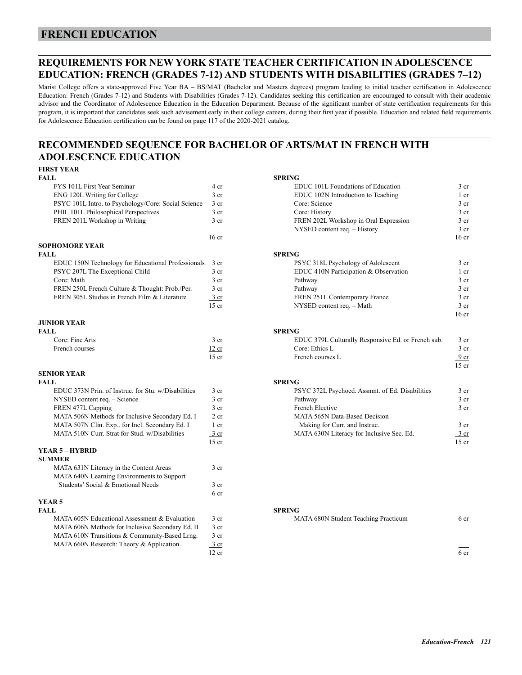## **FRENCH EDUCATION**

## **REQUIREMENTS FOR NEW YORK STATE TEACHER CERTIFICATION IN ADOLESCENCE EDUCATION: FRENCH (GRADES 7-12) AND STUDENTS WITH DISABILITIES (GRADES 7–12)**

Marist College offers a state-approved Five Year BA – BS/MAT (Bachelor and Masters degrees) program leading to initial teacher certification in Adolescence Education: French (Grades 7-12) and Students with Disabilities (Grades 7-12). Candidates seeking this certification are encouraged to consult with their academic advisor and the Coordinator of Adolescence Education in the Education Department. Because of the significant number of state certification requirements for this program, it is important that candidates seek such advisement early in their college careers, during their first year if possible. Education and related field requirements for Adolescence Education certification can be found on page 117 of the 2020-2021 catalog.

## **RECOMMENDED SEQUENCE FOR BACHELOR OF ARTS/MAT IN FRENCH WITH ADOLESCENCE EDUCATION**

### **FIRST YEAR**

| FALL.                                               |                 | <b>SPRING</b> |
|-----------------------------------------------------|-----------------|---------------|
| FYS 101L First Year Seminar                         | 4 cr            | El            |
| ENG 120L Writing for College                        | 3 <sub>cr</sub> | El            |
| PSYC 101L Intro. to Psychology/Core: Social Science | 3 <sub>cr</sub> | G             |
| PHIL 101L Philosophical Perspectives                | 3 <sub>cr</sub> | G             |
| FREN 201L Workshop in Writing                       | 3 <sub>cr</sub> | FI            |
|                                                     |                 | N             |
|                                                     | 16 cr           |               |

#### **SOPHOMORE YEAR**

| FALL.                                                   |                 | <b>SPRING</b>  |
|---------------------------------------------------------|-----------------|----------------|
| EDUC 150N Technology for Educational Professionals 3 cr |                 | P              |
| PSYC 207L The Exceptional Child                         | 3 <sub>cr</sub> | El             |
| Core: Math                                              | 3 <sub>cr</sub> | P <sub>2</sub> |
| FREN 250L French Culture & Thought: Prob./Per.          | 3 <sub>cr</sub> | P <sub>2</sub> |
| FREN 305L Studies in French Film & Literature           | 3 cr            | FI             |
|                                                         | 15 cr           | N              |

#### **JUNIOR YEAR**

| <b>FALL</b>     |                 | <b>SPRING</b> |
|-----------------|-----------------|---------------|
| Core: Fine Arts | 3 <sub>cr</sub> | El            |
| French courses  | 12 cr           |               |
|                 | 15 er           | Er            |

#### **SENIOR YEAR**

| EDUC 373N Prin. of Instruc. for Stu. w/Disabilities | 3 <sub>cr</sub>  | PSYC 372L Psychoed. Assmnt. of Ed. Disabilities | 3 <sub>cr</sub>  |
|-----------------------------------------------------|------------------|-------------------------------------------------|------------------|
| NYSED content req. - Science                        | 3 <sub>cr</sub>  | Pathway                                         | 3 <sub>cr</sub>  |
| FREN 477L Capping                                   | 3 <sub>cr</sub>  | French Elective                                 | 3 <sub>cr</sub>  |
| MATA 506N Methods for Inclusive Secondary Ed. I     | 2 <sub>cr</sub>  | <b>MATA 565N Data-Based Decision</b>            |                  |
| MATA 507N Clin. Exp., for Incl. Secondary Ed. I     | 1 cr             | Making for Curr. and Instruc.                   | 3 <sub>cr</sub>  |
| MATA 510N Curr. Strat for Stud. w/Disabilities      | $\frac{3}{ }$ cr | MATA 630N Literacy for Inclusive Sec. Ed.       | $\frac{3}{ }$ cr |
|                                                     | $15$ cr          |                                                 | $15$ cr          |
| YEAR 5 – HYBRID                                     |                  |                                                 |                  |
| <b>SUMMER</b>                                       |                  |                                                 |                  |
| MATA 631N Literacy in the Content Areas             | 3 <sub>cr</sub>  |                                                 |                  |
| MATA 640N Learning Environments to Support          |                  |                                                 |                  |
| Students' Social & Emotional Needs                  | $rac{3}{2}$ cr   |                                                 |                  |
|                                                     | 6 cr             |                                                 |                  |
| YEAR <sub>5</sub>                                   |                  |                                                 |                  |
| <b>FALL</b>                                         |                  | <b>SPRING</b>                                   |                  |
| MATA 605N Educational Assessment & Evaluation       | 3 <sub>cr</sub>  | MATA 680N Student Teaching Practicum            | 6 cr             |
| MATA 606N Methods for Inclusive Secondary Ed. II    | 3 <sub>cr</sub>  |                                                 |                  |
| MATA 610N Transitions & Community-Based Lrng.       | 3 <sub>cr</sub>  |                                                 |                  |
| MATA 660N Research: Theory & Application            | $\frac{3}{ }$ cr |                                                 |                  |
|                                                     | 12 cr            |                                                 | 6 <sub>cr</sub>  |

| FALL                                                |                  | SPRING                                             |                  |
|-----------------------------------------------------|------------------|----------------------------------------------------|------------------|
| FYS 101L First Year Seminar                         | 4 cr             | EDUC 101L Foundations of Education                 | 3 <sub>cr</sub>  |
| ENG 120L Writing for College                        | 3 <sub>cr</sub>  | EDUC 102N Introduction to Teaching                 | 1 cr             |
| PSYC 101L Intro. to Psychology/Core: Social Science | 3 <sub>cr</sub>  | Core: Science                                      | 3 <sub>cr</sub>  |
| PHIL 101L Philosophical Perspectives                | 3 <sub>cr</sub>  | Core: History                                      | 3 <sub>cr</sub>  |
| FREN 201L Workshop in Writing                       | 3 <sub>cr</sub>  | FREN 202L Workshop in Oral Expression              | 3 <sub>cr</sub>  |
|                                                     |                  | NYSED content req. - History                       | $\frac{3}{ }$ cr |
|                                                     | 16 <sub>cr</sub> |                                                    | 16 <sub>cr</sub> |
| <b>SOPHOMORE YEAR</b>                               |                  |                                                    |                  |
| FALL                                                |                  | <b>SPRING</b>                                      |                  |
| EDUC 150N Technology for Educational Professionals  | 3 cr             | PSYC 318L Psychology of Adolescent                 | 3 <sub>cr</sub>  |
| PSYC 207L The Exceptional Child                     | 3 <sub>cr</sub>  | EDUC 410N Participation & Observation              | 1 cr             |
| Core: Math                                          | 3 cr             | Pathway                                            | 3 <sub>cr</sub>  |
| FREN 250L French Culture & Thought: Prob./Per.      | 3 cr             | Pathway                                            | 3 <sub>cr</sub>  |
| FREN 305L Studies in French Film & Literature       | $3 \text{ cr}$   | FREN 251L Contemporary France                      | 3 <sub>cr</sub>  |
|                                                     | $15$ cr          | NYSED content req. - Math                          | $\frac{3}{ }$ cr |
| <b>JUNIOR YEAR</b>                                  |                  |                                                    | 16 <sub>cr</sub> |
| FALL.                                               |                  | <b>SPRING</b>                                      |                  |
| Core: Fine Arts                                     | $3$ cr           | EDUC 379L Culturally Responsive Ed. or French sub. | 3 <sub>cr</sub>  |
| French courses                                      | 12 cr            | Core: Ethics L                                     | 3 <sub>cr</sub>  |
|                                                     | $15$ cr          | French courses L                                   | 9 <sub>cr</sub>  |
|                                                     |                  |                                                    | $15$ cr          |
| <b>SENIOR YEAR</b>                                  |                  |                                                    |                  |
| FALL                                                |                  | <b>SPRING</b>                                      |                  |
| EDUC 373N Prin. of Instruc. for Stu. w/Disabilities | 3 <sub>cr</sub>  | PSYC 372L Psychoed. Assmnt. of Ed. Disabilities    | 3 <sub>cr</sub>  |
| NYSED content req. - Science                        | 3 <sub>cr</sub>  | Pathway                                            | 3 <sub>cr</sub>  |
| FREN 477L Capping                                   | 3 <sub>cr</sub>  | French Elective                                    | 3 cr             |
| MATA 506N Methods for Inclusive Secondary Ed. I     | $2$ cr           | <b>MATA 565N Data-Based Decision</b>               |                  |
| MATA 507N Clin. Exp., for Incl. Secondary Ed. I     | 1 cr             | Making for Curr. and Instruc.                      | 3 cr             |
| MATA 510N Curr. Strat for Stud. w/Disabilities      | $\frac{3}{ }$ cr | MATA 630N Literacy for Inclusive Sec. Ed.          | 3 cr             |
|                                                     | $15$ cr          |                                                    | $15$ cr          |
| VEADE HVDDID                                        |                  |                                                    |                  |

| MATA 605N Educational Assessment & Evaluation | MATA 680N Student Teaching Practicum | 6 cr |
|-----------------------------------------------|--------------------------------------|------|
|                                               |                                      |      |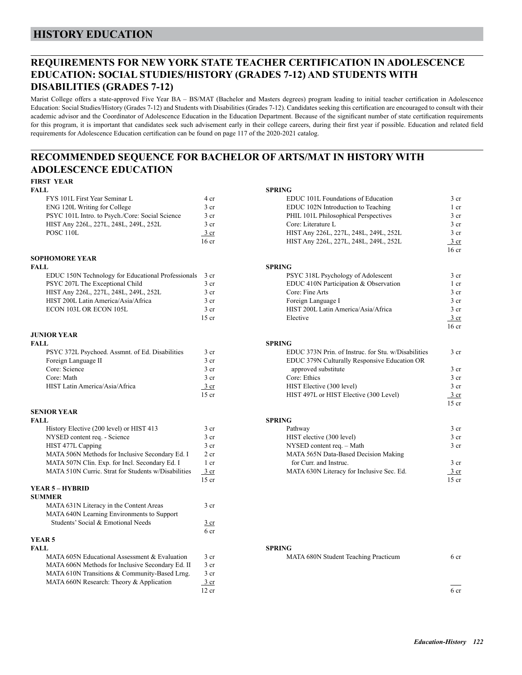## **HISTORY EDUCATION**

## **REQUIREMENTS FOR NEW YORK STATE TEACHER CERTIFICATION IN ADOLESCENCE EDUCATION: SOCIAL STUDIES/HISTORY (GRADES 7-12) AND STUDENTS WITH DISABILITIES (GRADES 7-12)**

Marist College offers a state-approved Five Year BA – BS/MAT (Bachelor and Masters degrees) program leading to initial teacher certification in Adolescence Education: Social Studies/History (Grades 7-12) and Students with Disabilities (Grades 7-12). Candidates seeking this certification are encouraged to consult with their academic advisor and the Coordinator of Adolescence Education in the Education Department. Because of the significant number of state certification requirements for this program, it is important that candidates seek such advisement early in their college careers, during their first year if possible. Education and related field requirements for Adolescence Education certification can be found on page 117 of the 2020-2021 catalog.

## **RECOMMENDED SEQUENCE FOR BACHELOR OF ARTS/MAT IN HISTORY WITH ADOLESCENCE EDUCATION**

# **FIRST YEAR**

|                  | <b>SPRING</b> |
|------------------|---------------|
| 4 cr             | El            |
| 3 <sub>cr</sub>  | El            |
| 3 cr             | Pl            |
| 3 <sub>cr</sub>  | G             |
| 3 cr             | H             |
| 16 <sub>cr</sub> | H             |
|                  |               |

# **SOPHOMORE YEAR**

| FALL.                                                   |                 | <b>SPRING</b> |
|---------------------------------------------------------|-----------------|---------------|
| EDUC 150N Technology for Educational Professionals 3 cr |                 | P             |
| PSYC 207L The Exceptional Child                         | 3 <sub>cr</sub> | E             |
| HIST Any 226L, 227L, 248L, 249L, 252L                   | 3 <sub>cr</sub> | G             |
| HIST 200L Latin America/Asia/Africa                     | 3 <sub>cr</sub> | F0            |
| ECON 103L OR ECON 105L                                  | 3 <sub>cr</sub> | H             |
|                                                         | 15 cr           | E             |

#### **JUNIOR YEAR**

| FALL.                                           |        | <b>SPRING</b>                                      |
|-------------------------------------------------|--------|----------------------------------------------------|
| PSYC 372L Psychoed. Assmnt. of Ed. Disabilities | 3 cr   | EDUC 373N Prin. of Instruc. for Stu. w/Disabilitie |
| Foreign Language II                             | 3 cr   | EDUC 379N Culturally Responsive Education OR       |
| Core: Science                                   | 3 cr   | approved substitute                                |
| Core: Math                                      | 3 cr   | Core: Ethics                                       |
| HIST Latin America/Asia/Africa                  | 3 cr   | HIST Elective (300 level)                          |
|                                                 | $\sim$ | IIIOTUTI J<br>$(200T - 1)$<br>IIIOT JOTI           |

#### **SENIOR YEAR**

| <b>FALL</b>                                         |                 | <b>SPRING</b>                            |
|-----------------------------------------------------|-----------------|------------------------------------------|
| History Elective (200 level) or HIST 413            | 3 cr            | Pathway                                  |
| NYSED content req. - Science                        | 3 cr            | HIST elective (300 level)                |
| HIST 477L Capping                                   | 3 cr            | NYSED content req. - Math                |
| MATA 506N Methods for Inclusive Secondary Ed. I     | 2 <sub>cr</sub> | MATA 565N Data-Based Decision Making     |
| MATA 507N Clin. Exp. for Incl. Secondary Ed. I      | 1 cr            | for Curr, and Instruc.                   |
| MATA 510N Curric. Strat for Students w/Disabilities | 3 cr            | MATA 630N Literacy for Inclusive Sec. Ed |
|                                                     | $15$ cr         |                                          |
| YEAR 5 - HYBRID                                     |                 |                                          |
| <b>SUMMER</b>                                       |                 |                                          |
| MATA 631N Literacy in the Content Areas             | 3 <sub>cr</sub> |                                          |
| MATA 640N Learning Environments to Support          |                 |                                          |
| Students' Social & Emotional Needs                  | 3 <sub>cr</sub> |                                          |
|                                                     | 6 cr            |                                          |
|                                                     |                 |                                          |

## **YEAR 5**

| FALL                                             |       | <b>SPRING</b>                        |      |
|--------------------------------------------------|-------|--------------------------------------|------|
| MATA 605N Educational Assessment & Evaluation    | 3 cr  | MATA 680N Student Teaching Practicum | 6 cr |
| MATA 606N Methods for Inclusive Secondary Ed. II | 3 cr  |                                      |      |
| MATA 610N Transitions & Community-Based Lrng.    | 3 cr  |                                      |      |
| MATA 660N Research: Theory & Application         | 3 cr  |                                      |      |
|                                                  | 12 cr |                                      | 6 cr |

| FIRST YEAR                                          |                  |                                                     |                  |
|-----------------------------------------------------|------------------|-----------------------------------------------------|------------------|
| <b>FALL</b>                                         |                  | <b>SPRING</b>                                       |                  |
| FYS 101L First Year Seminar L                       | 4 cr             | EDUC 101L Foundations of Education                  | 3 <sub>cr</sub>  |
| ENG 120L Writing for College                        | $3$ cr           | EDUC 102N Introduction to Teaching                  | 1 cr             |
| PSYC 101L Intro. to Psych./Core: Social Science     | 3 cr             | PHIL 101L Philosophical Perspectives                | 3 <sub>cr</sub>  |
| HIST Any 226L, 227L, 248L, 249L, 252L               | $3$ cr           | Core: Literature L                                  | 3 cr             |
| POSC <sub>110</sub> L                               | 3 cr             | HIST Any 226L, 227L, 248L, 249L, 252L               | $3$ cr           |
|                                                     | 16 <sub>cr</sub> | HIST Any 226L, 227L, 248L, 249L, 252L               | 3 cr             |
|                                                     |                  |                                                     | 16 <sub>cr</sub> |
| SOPHOMORE YEAR                                      |                  |                                                     |                  |
| FALL                                                |                  | <b>SPRING</b>                                       |                  |
| EDUC 150N Technology for Educational Professionals  | 3 cr             | PSYC 318L Psychology of Adolescent                  | $3$ cr           |
| PSYC 207L The Exceptional Child                     | 3 cr             | EDUC 410N Participation & Observation               | 1 cr             |
| HIST Any 226L, 227L, 248L, 249L, 252L               | 3 <sub>cr</sub>  | Core: Fine Arts                                     | $3$ cr           |
| HIST 200L Latin America/Asia/Africa                 | 3 cr             | Foreign Language I                                  | $3$ cr           |
| ECON 103L OR ECON 105L                              | 3 <sub>cr</sub>  | HIST 200L Latin America/Asia/Africa                 | 3 <sub>cr</sub>  |
|                                                     | $15$ cr          | Elective                                            | $\frac{3}{ }$ cr |
|                                                     |                  |                                                     | 16 <sub>cr</sub> |
| <b>JUNIOR YEAR</b>                                  |                  |                                                     |                  |
| FALL                                                |                  | <b>SPRING</b>                                       |                  |
| PSYC 372L Psychoed. Assmnt. of Ed. Disabilities     | 3 <sub>cr</sub>  | EDUC 373N Prin. of Instruc. for Stu. w/Disabilities | 3 <sub>cr</sub>  |
| Foreign Language II                                 | 3 cr             | EDUC 379N Culturally Responsive Education OR        |                  |
| Core: Science                                       | 3 cr             | approved substitute                                 | 3 <sub>cr</sub>  |
| Core: Math                                          | 3 <sub>cr</sub>  | Core: Ethics                                        | 3 <sub>cr</sub>  |
| HIST Latin America/Asia/Africa                      | $3$ cr           | HIST Elective (300 level)                           | 3 cr             |
|                                                     | $15$ cr          | HIST 497L or HIST Elective (300 Level)              | 3 cr             |
|                                                     |                  |                                                     | $15$ cr          |
| <b>SENIOR YEAR</b>                                  |                  |                                                     |                  |
| FALL                                                |                  | <b>SPRING</b>                                       |                  |
| History Elective (200 level) or HIST 413            | 3 <sub>cr</sub>  | Pathway                                             | $3$ cr           |
| NYSED content req. - Science                        | 3 <sub>cr</sub>  | HIST elective (300 level)                           | $3$ cr           |
| HIST 477L Capping                                   | 3 cr             | NYSED content req. - Math                           | 3 <sub>cr</sub>  |
| MATA 506N Methods for Inclusive Secondary Ed. I     | $2$ cr           | MATA 565N Data-Based Decision Making                |                  |
| MATA 507N Clin. Exp. for Incl. Secondary Ed. I      | 1 cr             | for Curr. and Instruc.                              | $3$ cr           |
| MATA 510N Curric. Strat for Students w/Disabilities | $3$ cr           | MATA 630N Literacy for Inclusive Sec. Ed.           | $3$ cr           |
|                                                     | $15$ cr          |                                                     | $15$ cr          |
| YEAR 5 – HYBRID                                     |                  |                                                     |                  |

| MATA 605N Educational Assessment & Evaluation | MATA 680N Student Teaching Practicum | 6 cr |
|-----------------------------------------------|--------------------------------------|------|
|                                               |                                      |      |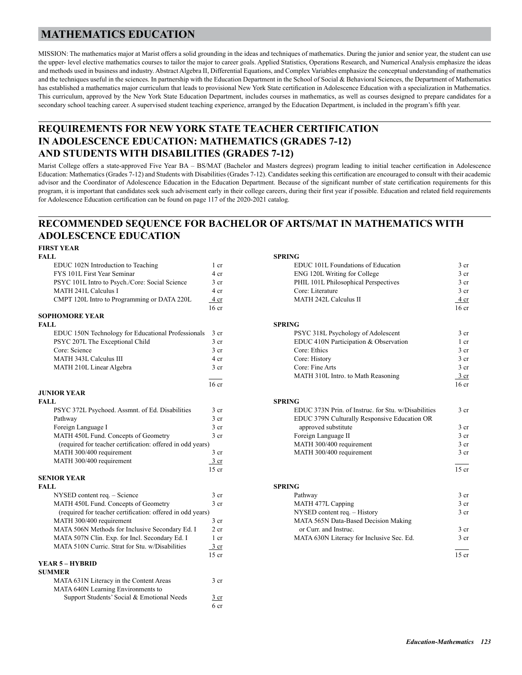## **MATHEMATICS EDUCATION**

MISSION: The mathematics major at Marist offers a solid grounding in the ideas and techniques of mathematics. During the junior and senior year, the student can use the upper- level elective mathematics courses to tailor the major to career goals. Applied Statistics, Operations Research, and Numerical Analysis emphasize the ideas and methods used in business and industry. Abstract Algebra II, Differential Equations, and Complex Variables emphasize the conceptual understanding of mathematics and the techniques useful in the sciences. In partnership with the Education Department in the School of Social & Behavioral Sciences, the Department of Mathematics has established a mathematics major curriculum that leads to provisional New York State certification in Adolescence Education with a specialization in Mathematics. This curriculum, approved by the New York State Education Department, includes courses in mathematics, as well as courses designed to prepare candidates for a secondary school teaching career. A supervised student teaching experience, arranged by the Education Department, is included in the program's fifth year.

## **REQUIREMENTS FOR NEW YORK STATE TEACHER CERTIFICATION IN ADOLESCENCE EDUCATION: MATHEMATICS (GRADES 7-12) AND STUDENTS WITH DISABILITIES (GRADES 7-12)**

Marist College offers a state-approved Five Year BA – BS/MAT (Bachelor and Masters degrees) program leading to initial teacher certification in Adolescence Education: Mathematics (Grades 7-12) and Students with Disabilities (Grades 7-12). Candidates seeking this certification are encouraged to consult with their academic advisor and the Coordinator of Adolescence Education in the Education Department. Because of the significant number of state certification requirements for this program, it is important that candidates seek such advisement early in their college careers, during their first year if possible. Education and related field requirements for Adolescence Education certification can be found on page 117 of the 2020-2021 catalog.

## **RECOMMENDED SEQUENCE FOR BACHELOR OF ARTS/MAT IN MATHEMATICS WITH ADOLESCENCE EDUCATION**

#### **FIRST YEAR**

| <b>FALL</b>                                                |                  | <b>SPRING</b>                                      |
|------------------------------------------------------------|------------------|----------------------------------------------------|
| EDUC 102N Introduction to Teaching                         | 1 cr             | EDUC 101L Foundations of Education                 |
| FYS 101L First Year Seminar                                | 4 cr             | ENG 120L Writing for College                       |
| PSYC 101L Intro to Psych./Core: Social Science             | 3 cr             | PHIL 101L Philosophical Perspectives               |
| MATH 241L Calculus I                                       | 4 cr             | Core: Literature                                   |
| CMPT 120L Intro to Programming or DATA 220L                | 4 cr             | <b>MATH 242L Calculus II</b>                       |
|                                                            | 16 <sub>cr</sub> |                                                    |
| <b>SOPHOMORE YEAR</b>                                      |                  |                                                    |
| <b>FALL</b>                                                |                  | <b>SPRING</b>                                      |
| EDUC 150N Technology for Educational Professionals         | 3 cr             | PSYC 318L Psychology of Adolescent                 |
| PSYC 207L The Exceptional Child                            | 3 cr             | EDUC 410N Participation & Observation              |
| Core: Science                                              | 3 cr             | Core: Ethics                                       |
| <b>MATH 343L Calculus III</b>                              | 4 cr             | Core: History                                      |
| MATH 210L Linear Algebra                                   | 3 cr             | Core: Fine Arts                                    |
|                                                            |                  | MATH 310L Intro. to Math Reasoning                 |
|                                                            | 16 <sub>cr</sub> |                                                    |
| <b>JUNIOR YEAR</b>                                         |                  |                                                    |
| FALL                                                       |                  | <b>SPRING</b>                                      |
| PSYC 372L Psychoed. Assmnt. of Ed. Disabilities            | 3 cr             | EDUC 373N Prin. of Instruc. for Stu. w/Disabilitie |
| Pathway                                                    | 3 cr             | EDUC 379N Culturally Responsive Education OR       |
| Foreign Language I                                         | 3 cr             | approved substitute                                |
| MATH 450L Fund. Concepts of Geometry                       | 3 cr             | Foreign Language II                                |
| (required for teacher certification: offered in odd years) |                  | MATH 300/400 requirement                           |
| MATH 300/400 requirement                                   | 3 cr             | MATH 300/400 requirement                           |
| MATH 300/400 requirement                                   | $\frac{3}{ }$ cr |                                                    |
|                                                            | $15$ cr          |                                                    |
| <b>SENIOR YEAR</b>                                         |                  |                                                    |
| <b>FALL</b>                                                |                  | <b>SPRING</b>                                      |
| NYSED content req. - Science                               | 3 cr             | Pathway                                            |
| MATH 450L Fund. Concepts of Geometry                       | 3 cr             | MATH 477L Capping                                  |
| (required for teacher certification: offered in odd years) |                  | NYSED content req. - History                       |
| MATH 300/400 requirement                                   | 3 cr             | MATA 565N Data-Based Decision Making               |
| MATA 506N Methods for Inclusive Secondary Ed. I            | $2$ cr           | or Curr, and Instruc.                              |
| MATA 507N Clin. Exp. for Incl. Secondary Ed. I             | 1 cr             | MATA 630N Literacy for Inclusive Sec. Ed.          |
| MATA 510N Curric. Strat for Stu. w/Disabilities            | $\frac{3}{ }$ cr |                                                    |
|                                                            | $15$ cr          |                                                    |
| YEAR 5 – HYBRID                                            |                  |                                                    |
| <b>SUMMER</b>                                              |                  |                                                    |
| MATA 631N Literacy in the Content Areas                    | 3 <sub>cr</sub>  |                                                    |
| MATA 640N Learning Environments to                         |                  |                                                    |
| Support Students' Social & Emotional Needs                 | 3 cr             |                                                    |

 $6<sub>cr</sub>$ 

| FIRST YEAR                                                 |                  |                                                     |                  |
|------------------------------------------------------------|------------------|-----------------------------------------------------|------------------|
| FALL                                                       |                  | <b>SPRING</b>                                       |                  |
| EDUC 102N Introduction to Teaching                         | $1$ cr           | EDUC 101L Foundations of Education                  | $3$ cr           |
| FYS 101L First Year Seminar                                | 4 cr             | ENG 120L Writing for College                        | 3 <sub>cr</sub>  |
| PSYC 101L Intro to Psych./Core: Social Science             | 3 <sub>cr</sub>  | PHIL 101L Philosophical Perspectives                | 3 <sub>cr</sub>  |
| MATH 241L Calculus I                                       | 4 cr             | Core: Literature                                    | 3 cr             |
| CMPT 120L Intro to Programming or DATA 220L                | 4 cr             | MATH 242L Calculus II                               | 4 cr             |
|                                                            | 16 <sub>cr</sub> |                                                     | 16 <sub>cr</sub> |
| <b>SOPHOMORE YEAR</b>                                      |                  |                                                     |                  |
| FALL                                                       |                  | <b>SPRING</b>                                       |                  |
| EDUC 150N Technology for Educational Professionals         | 3 cr             | PSYC 318L Psychology of Adolescent                  | 3 <sub>cr</sub>  |
| PSYC 207L The Exceptional Child                            | 3 <sub>cr</sub>  | EDUC 410N Participation & Observation               | 1 cr             |
| Core: Science                                              | 3 <sub>cr</sub>  | Core: Ethics                                        | 3 <sub>cr</sub>  |
| MATH 343L Calculus III                                     | 4 cr             | Core: History                                       | 3 <sub>cr</sub>  |
| MATH 210L Linear Algebra                                   | 3 <sub>cr</sub>  | Core: Fine Arts                                     | 3 cr             |
|                                                            |                  | MATH 310L Intro. to Math Reasoning                  | 3 cr             |
|                                                            | 16 <sub>cr</sub> |                                                     | $16$ cr          |
| <b>JUNIOR YEAR</b>                                         |                  |                                                     |                  |
| FALL                                                       |                  | <b>SPRING</b>                                       |                  |
| PSYC 372L Psychoed. Assmnt. of Ed. Disabilities            | 3 <sub>cr</sub>  | EDUC 373N Prin. of Instruc. for Stu. w/Disabilities | 3 cr             |
| Pathway                                                    | 3 <sub>cr</sub>  | EDUC 379N Culturally Responsive Education OR        |                  |
| Foreign Language I                                         | 3 <sub>cr</sub>  | approved substitute                                 | $3$ cr           |
| MATH 450L Fund. Concepts of Geometry                       | 3 cr             | Foreign Language II                                 | 3 <sub>cr</sub>  |
| (required for teacher certification: offered in odd years) |                  | MATH 300/400 requirement                            | 3 <sub>cr</sub>  |
| MATH 300/400 requirement                                   | $3$ cr           | MATH 300/400 requirement                            | 3 <sub>cr</sub>  |
| MATH 300/400 requirement                                   | $\frac{3}{ }$ cr |                                                     |                  |
|                                                            | $15$ cr          |                                                     | $15$ cr          |
| <b>SENIOR YEAR</b>                                         |                  |                                                     |                  |
| FALL                                                       |                  | <b>SPRING</b>                                       |                  |
| NYSED content req. - Science                               | 3 <sub>cr</sub>  | Pathway                                             | 3 <sub>cr</sub>  |
| MATH 450L Fund. Concepts of Geometry                       | 3 <sub>cr</sub>  | MATH 477L Capping                                   | 3 cr             |
| (required for teacher certification: offered in odd years) |                  | NYSED content req. - History                        | 3 <sub>cr</sub>  |
| MATH 300/400 requirement                                   | 3 <sub>cr</sub>  | MATA 565N Data-Based Decision Making                |                  |
| MATA 506N Methods for Inclusive Secondary Ed. I            | $2$ cr           | or Curr, and Instruc.                               | 3 <sub>cr</sub>  |
| MATA 507N Clin. Exp. for Incl. Secondary Ed. I             | 1 <sub>cr</sub>  | MATA 630N Literacy for Inclusive Sec. Ed.           | 3 <sub>cr</sub>  |
| MATA 510N Curric. Strat for Stu. w/Disabilities            | $\frac{3}{ }$ cr |                                                     |                  |
|                                                            | $15$ cr          |                                                     | $15$ cr          |
| VEAR 5 – HVRRID                                            |                  |                                                     |                  |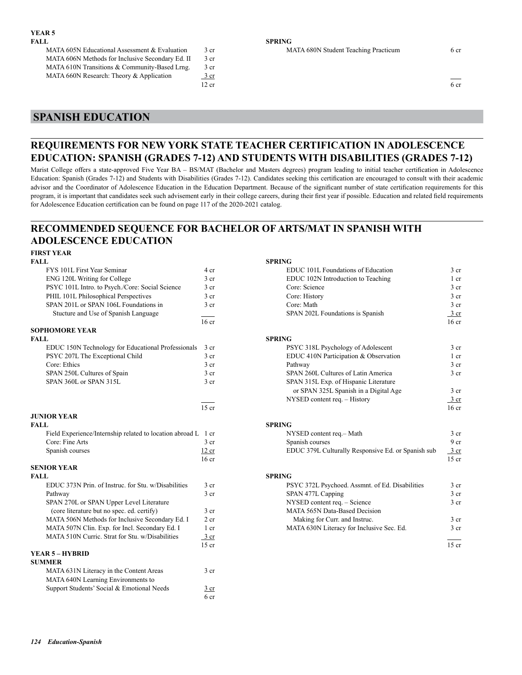| FALL                                             |       | <b>SPRING</b>                        |      |
|--------------------------------------------------|-------|--------------------------------------|------|
| MATA 605N Educational Assessment & Evaluation    | 3 cr  | MATA 680N Student Teaching Practicum | 6 cr |
| MATA 606N Methods for Inclusive Secondary Ed. II | 3 cr  |                                      |      |
| MATA 610N Transitions & Community-Based Lrng.    | 3 cr  |                                      |      |
| MATA 660N Research: Theory & Application         | 3 cr  |                                      |      |
|                                                  | 12 cr |                                      | 6 cr |

# **SPANISH EDUCATION**

## **REQUIREMENTS FOR NEW YORK STATE TEACHER CERTIFICATION IN ADOLESCENCE EDUCATION: SPANISH (GRADES 7-12) AND STUDENTS WITH DISABILITIES (GRADES 7-12)**

Marist College offers a state-approved Five Year BA – BS/MAT (Bachelor and Masters degrees) program leading to initial teacher certification in Adolescence Education: Spanish (Grades 7-12) and Students with Disabilities (Grades 7-12). Candidates seeking this certification are encouraged to consult with their academic advisor and the Coordinator of Adolescence Education in the Education Department. Because of the significant number of state certification requirements for this program, it is important that candidates seek such advisement early in their college careers, during their first year if possible. Education and related field requirements for Adolescence Education certification can be found on page 117 of the 2020-2021 catalog.

## **RECOMMENDED SEQUENCE FOR BACHELOR OF ARTS/MAT IN SPANISH WITH ADOLESCENCE EDUCATION**

# **FIRST YEAR**

| FALL                                                          |                  | <b>SPRING</b>                                      |                  |
|---------------------------------------------------------------|------------------|----------------------------------------------------|------------------|
| FYS 101L First Year Seminar                                   | 4 cr             | EDUC 101L Foundations of Education                 | 3 <sub>cr</sub>  |
| ENG 120L Writing for College                                  | $3$ cr           | EDUC 102N Introduction to Teaching                 | $1$ cr           |
| PSYC 101L Intro. to Psych./Core: Social Science               | 3 cr             | Core: Science                                      | 3 <sub>cr</sub>  |
| PHIL 101L Philosophical Perspectives                          | 3 cr             | Core: History                                      | 3 <sub>cr</sub>  |
| SPAN 201L or SPAN 106L Foundations in                         | 3 cr             | Core: Math                                         | 3 <sub>cr</sub>  |
| Stucture and Use of Spanish Language                          |                  | SPAN 202L Foundations is Spanish                   | 3 cr             |
|                                                               | 16 <sub>cr</sub> |                                                    | 16 <sub>cr</sub> |
| <b>SOPHOMORE YEAR</b>                                         |                  |                                                    |                  |
| <b>FALL</b>                                                   |                  | <b>SPRING</b>                                      |                  |
| EDUC 150N Technology for Educational Professionals            | 3 <sub>cr</sub>  | PSYC 318L Psychology of Adolescent                 | 3 <sub>cr</sub>  |
| PSYC 207L The Exceptional Child                               | 3 <sub>cr</sub>  | EDUC 410N Participation & Observation              | $1$ cr           |
| Core: Ethics                                                  | 3 cr             | Pathway                                            | 3 <sub>cr</sub>  |
| SPAN 250L Cultures of Spain                                   | 3 cr             | SPAN 260L Cultures of Latin America                | 3 <sub>cr</sub>  |
| SPAN 360L or SPAN 315L                                        | 3 cr             | SPAN 315L Exp. of Hispanic Literature              |                  |
|                                                               |                  | or SPAN 325L Spanish in a Digital Age              | 3 cr             |
|                                                               |                  | NYSED content req. - History                       | $\frac{3}{ }$ cr |
|                                                               | $15$ cr          |                                                    | 16 <sub>cr</sub> |
| <b>JUNIOR YEAR</b>                                            |                  |                                                    |                  |
| <b>FALL</b>                                                   |                  | <b>SPRING</b>                                      |                  |
| Field Experience/Internship related to location abroad L 1 cr |                  | NYSED content req.- Math                           | 3 <sub>cr</sub>  |
| Core: Fine Arts                                               | 3 <sub>cr</sub>  | Spanish courses                                    | 9 <sub>cr</sub>  |
| Spanish courses                                               | 12 cr            | EDUC 379L Culturally Responsive Ed. or Spanish sub | $\frac{3}{ }$ cr |
|                                                               | 16 <sub>cr</sub> |                                                    | $15$ cr          |
| <b>SENIOR YEAR</b>                                            |                  |                                                    |                  |
| <b>FALL</b>                                                   |                  | <b>SPRING</b>                                      |                  |
| EDUC 373N Prin. of Instruc. for Stu. w/Disabilities           | 3 <sub>cr</sub>  | PSYC 372L Psychoed. Assmnt. of Ed. Disabilities    | 3 <sub>cr</sub>  |
| Pathway                                                       | 3 cr             | SPAN 477L Capping                                  | 3 <sub>cr</sub>  |
| SPAN 270L or SPAN Upper Level Literature                      |                  | NYSED content req. - Science                       | 3 <sub>cr</sub>  |
| (core literature but no spec. ed. certify)                    | 3 <sub>cr</sub>  | MATA 565N Data-Based Decision                      |                  |
| MATA 506N Methods for Inclusive Secondary Ed. I               | 2 cr             | Making for Curr. and Instruc.                      | 3 <sub>cr</sub>  |
| MATA 507N Clin. Exp. for Incl. Secondary Ed. I                | 1 cr             | MATA 630N Literacy for Inclusive Sec. Ed.          | 3 cr             |
| MATA 510N Curric. Strat for Stu. w/Disabilities               | $3$ cr           |                                                    |                  |
|                                                               | $15$ cr          |                                                    | $15$ cr          |
| <b>YEAR 5 - HYBRID</b>                                        |                  |                                                    |                  |
| <b>SUMMER</b>                                                 |                  |                                                    |                  |
| MATA 631N Literacy in the Content Areas                       | 3 cr             |                                                    |                  |
| MATA 640N Learning Environments to                            |                  |                                                    |                  |
| Support Students' Social & Emotional Needs                    | 3 cr             |                                                    |                  |

 $6<sub>cr</sub>$ 

| FIKƏL YEAK                                                    |                  |                                                     |                  |
|---------------------------------------------------------------|------------------|-----------------------------------------------------|------------------|
| FALL.                                                         |                  | <b>SPRING</b>                                       |                  |
| FYS 101L First Year Seminar                                   | 4 cr             | EDUC 101L Foundations of Education                  | 3 <sub>cr</sub>  |
| ENG 120L Writing for College                                  | 3 <sub>cr</sub>  | EDUC 102N Introduction to Teaching                  | $1$ cr           |
| PSYC 101L Intro. to Psych./Core: Social Science               | 3 cr             | Core: Science                                       | 3 <sub>cr</sub>  |
| PHIL 101L Philosophical Perspectives                          | 3 <sub>cr</sub>  | Core: History                                       | 3 <sub>cr</sub>  |
| SPAN 201L or SPAN 106L Foundations in                         | 3 <sub>cr</sub>  | Core: Math                                          | 3 <sub>cr</sub>  |
| Stucture and Use of Spanish Language                          |                  | SPAN 202L Foundations is Spanish                    | $\frac{3}{2}$ cr |
|                                                               | 16 <sub>cr</sub> |                                                     | 16 <sub>cr</sub> |
| <b>SOPHOMORE YEAR</b>                                         |                  |                                                     |                  |
| FALL                                                          |                  | <b>SPRING</b>                                       |                  |
| EDUC 150N Technology for Educational Professionals            | 3 <sub>cr</sub>  | PSYC 318L Psychology of Adolescent                  | 3 <sub>cr</sub>  |
| PSYC 207L The Exceptional Child                               | 3 <sub>cr</sub>  | EDUC 410N Participation & Observation               | 1 cr             |
| Core: Ethics                                                  | 3 <sub>cr</sub>  | Pathway                                             | 3 <sub>cr</sub>  |
| SPAN 250L Cultures of Spain                                   | 3 cr             | SPAN 260L Cultures of Latin America                 | 3 <sub>cr</sub>  |
| SPAN 360L or SPAN 315L                                        | 3 <sub>cr</sub>  | SPAN 315L Exp. of Hispanic Literature               |                  |
|                                                               |                  | or SPAN 325L Spanish in a Digital Age               | 3 <sub>cr</sub>  |
|                                                               |                  | NYSED content req. - History                        | $\frac{3}{ }$ cr |
|                                                               | $15$ cr          |                                                     | 16 <sub>cr</sub> |
| <b>JUNIOR YEAR</b>                                            |                  |                                                     |                  |
| FALL                                                          |                  | <b>SPRING</b>                                       |                  |
| Field Experience/Internship related to location abroad L 1 cr |                  | NYSED content req.- Math                            | 3 <sub>cr</sub>  |
| Core: Fine Arts                                               | 3 cr             | Spanish courses                                     | 9 cr             |
| Spanish courses                                               | 12 cr            | EDUC 379L Culturally Responsive Ed. or Spanish sub- | 3 cr             |
|                                                               | $16$ cr          |                                                     | $15$ cr          |
| <b>SENIOR YEAR</b>                                            |                  |                                                     |                  |
| FALL                                                          |                  | <b>SPRING</b>                                       |                  |
| EDUC 373N Prin. of Instruc. for Stu. w/Disabilities           | 3 <sub>cr</sub>  | PSYC 372L Psychoed. Assmnt. of Ed. Disabilities     | 3 <sub>cr</sub>  |
| Pathway                                                       | 3 <sub>cr</sub>  | SPAN 477L Capping                                   | 3 <sub>cr</sub>  |
| SPAN 270L or SPAN Upper Level Literature                      |                  | NYSED content req. - Science                        | $3$ cr           |
| (core literature but no spec. ed. certify)                    | 3 <sub>cr</sub>  | MATA 565N Data-Based Decision                       |                  |
| MATA 506N Methods for Inclusive Secondary Ed. I               | 2 <sub>cr</sub>  | Making for Curr. and Instruc.                       | 3 cr             |
| MATA 507N Clin. Exp. for Incl. Secondary Ed. I                | 1 cr             | MATA 630N Literacy for Inclusive Sec. Ed.           | 3 <sub>cr</sub>  |
| MATA 510N Curric. Strat for Stu. w/Disabilities               | 3 cr             |                                                     |                  |
|                                                               | $15$ cr          |                                                     | $15$ cr          |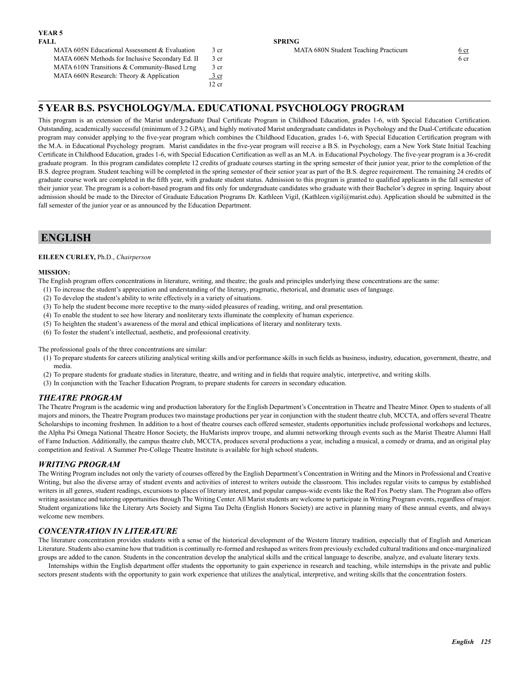| MATA 605N Educational Assessment & Evaluation    | 3 cr  | MATA 680N Student Teaching Practicum | 6 cr |
|--------------------------------------------------|-------|--------------------------------------|------|
| MATA 606N Methods for Inclusive Secondary Ed. II | 3 cr  |                                      | 6 cr |
| MATA 610N Transitions & Community-Based Lrng     | 3 cr  |                                      |      |
| MATA 660N Research: Theory $\&$ Application      | 3 cr  |                                      |      |
|                                                  | 12 cr |                                      |      |

### **5 YEAR B.S. PSYCHOLOGY/M.A. EDUCATIONAL PSYCHOLOGY PROGRAM**

This program is an extension of the Marist undergraduate Dual Certificate Program in Childhood Education, grades 1-6, with Special Education Certification. Outstanding, academically successful (minimum of 3.2 GPA), and highly motivated Marist undergraduate candidates in Psychology and the Dual-Certificate education program may consider applying to the five-year program which combines the Childhood Education, grades 1-6, with Special Education Certification program with the M.A. in Educational Psychology program. Marist candidates in the five-year program will receive a B.S. in Psychology, earn a New York State Initial Teaching Certificate in Childhood Education, grades 1-6, with Special Education Certification as well as an M.A. in Educational Psychology. The five-year program is a 36-credit graduate program. In this program candidates complete 12 credits of graduate courses starting in the spring semester of their junior year, prior to the completion of the B.S. degree program. Student teaching will be completed in the spring semester of their senior year as part of the B.S. degree requirement. The remaining 24 credits of graduate course work are completed in the fifth year, with graduate student status. Admission to this program is granted to qualified applicants in the fall semester of their junior year. The program is a cohort-based program and fits only for undergraduate candidates who graduate with their Bachelor's degree in spring. Inquiry about admission should be made to the Director of Graduate Education Programs Dr. Kathleen Vigil, (Kathleen.vigil@marist.edu). Application should be submitted in the fall semester of the junior year or as announced by the Education Department.

## **ENGLISH**

#### **EILEEN CURLEY,** Ph.D., *Chairperson*

#### **MISSION:**

The English program offers concentrations in literature, writing, and theatre; the goals and principles underlying these concentrations are the same:

- (1) To increase the student's appreciation and understanding of the literary, pragmatic, rhetorical, and dramatic uses of language.
- (2) To develop the student's ability to write effectively in a variety of situations.
- (3) To help the student become more receptive to the many-sided pleasures of reading, writing, and oral presentation.
- (4) To enable the student to see how literary and nonliterary texts illuminate the complexity of human experience.
- (5) To heighten the student's awareness of the moral and ethical implications of literary and nonliterary texts.
- (6) To foster the student's intellectual, aesthetic, and professional creativity.

The professional goals of the three concentrations are similar:

- (1) To prepare students for careers utilizing analytical writing skills and/or performance skills in such fields as business, industry, education, government, theatre, and media.
- (2) To prepare students for graduate studies in literature, theatre, and writing and in fields that require analytic, interpretive, and writing skills.
- (3) In conjunction with the Teacher Education Program, to prepare students for careers in secondary education.

#### *THEATRE PROGRAM*

The Theatre Program is the academic wing and production laboratory for the English Department's Concentration in Theatre and Theatre Minor. Open to students of all majors and minors, the Theatre Program produces two mainstage productions per year in conjunction with the student theatre club, MCCTA, and offers several Theatre Scholarships to incoming freshmen. In addition to a host of theatre courses each offered semester, students opportunities include professional workshops and lectures, the Alpha Psi Omega National Theatre Honor Society, the HuMarists improv troupe, and alumni networking through events such as the Marist Theatre Alumni Hall of Fame Induction. Additionally, the campus theatre club, MCCTA, produces several productions a year, including a musical, a comedy or drama, and an original play competition and festival. A Summer Pre-College Theatre Institute is available for high school students.

#### *WRITING PROGRAM*

The Writing Program includes not only the variety of courses offered by the English Department's Concentration in Writing and the Minors in Professional and Creative Writing, but also the diverse array of student events and activities of interest to writers outside the classroom. This includes regular visits to campus by established writers in all genres, student readings, excursions to places of literary interest, and popular campus-wide events like the Red Fox Poetry slam. The Program also offers writing assistance and tutoring opportunities through The Writing Center. All Marist students are welcome to participate in Writing Program events, regardless of major. Student organizations like the Literary Arts Society and Sigma Tau Delta (English Honors Society) are active in planning many of these annual events, and always welcome new members.

#### *CONCENTRATION IN LITERATURE*

The literature concentration provides students with a sense of the historical development of the Western literary tradition, especially that of English and American Literature. Students also examine how that tradition is continually re-formed and reshaped as writers from previously excluded cultural traditions and once-marginalized groups are added to the canon. Students in the concentration develop the analytical skills and the critical language to describe, analyze, and evaluate literary texts.

Internships within the English department offer students the opportunity to gain experience in research and teaching, while internships in the private and public sectors present students with the opportunity to gain work experience that utilizes the analytical, interpretive, and writing skills that the concentration fosters.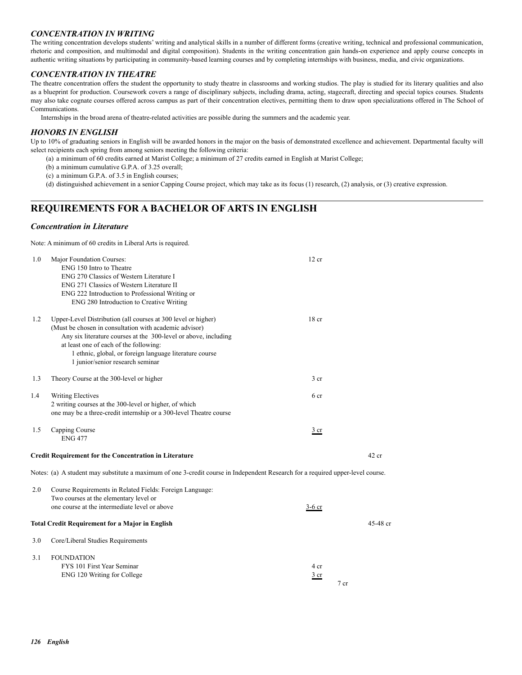#### *CONCENTRATION IN WRITING*

The writing concentration develops students' writing and analytical skills in a number of different forms (creative writing, technical and professional communication, rhetoric and composition, and multimodal and digital composition). Students in the writing concentration gain hands-on experience and apply course concepts in authentic writing situations by participating in community-based learning courses and by completing internships with business, media, and civic organizations.

#### *CONCENTRATION IN THEATRE*

The theatre concentration offers the student the opportunity to study theatre in classrooms and working studios. The play is studied for its literary qualities and also as a blueprint for production. Coursework covers a range of disciplinary subjects, including drama, acting, stagecraft, directing and special topics courses. Students may also take cognate courses offered across campus as part of their concentration electives, permitting them to draw upon specializations offered in The School of Communications.

Internships in the broad arena of theatre-related activities are possible during the summers and the academic year.

#### *HONORS IN ENGLISH*

Up to 10% of graduating seniors in English will be awarded honors in the major on the basis of demonstrated excellence and achievement. Departmental faculty will select recipients each spring from among seniors meeting the following criteria:

- (a) a minimum of 60 credits earned at Marist College; a minimum of 27 credits earned in English at Marist College;
- (b) a minimum cumulative G.P.A. of 3.25 overall;
- (c) a minimum G.P.A. of 3.5 in English courses;
- (d) distinguished achievement in a senior Capping Course project, which may take as its focus (1) research, (2) analysis, or (3) creative expression.

## **REQUIREMENTS FOR A BACHELOR OF ARTS IN ENGLISH**

#### *Concentration in Literature*

Note: A minimum of 60 credits in Liberal Arts is required.

| 1.0 | Major Foundation Courses:<br>ENG 150 Intro to Theatre<br>ENG 270 Classics of Western Literature I<br>ENG 271 Classics of Western Literature II<br>ENG 222 Introduction to Professional Writing or<br>ENG 280 Introduction to Creative Writing                                                                                       | 12 cr                  |                 |          |
|-----|-------------------------------------------------------------------------------------------------------------------------------------------------------------------------------------------------------------------------------------------------------------------------------------------------------------------------------------|------------------------|-----------------|----------|
| 1.2 | Upper-Level Distribution (all courses at 300 level or higher)<br>(Must be chosen in consultation with academic advisor)<br>Any six literature courses at the 300-level or above, including<br>at least one of each of the following:<br>1 ethnic, global, or foreign language literature course<br>1 junior/senior research seminar | 18 <sub>cr</sub>       |                 |          |
| 1.3 | Theory Course at the 300-level or higher                                                                                                                                                                                                                                                                                            | 3 <sub>cr</sub>        |                 |          |
| 1.4 | <b>Writing Electives</b><br>2 writing courses at the 300-level or higher, of which<br>one may be a three-credit internship or a 300-level Theatre course                                                                                                                                                                            | 6 cr                   |                 |          |
| 1.5 | Capping Course<br><b>ENG 477</b>                                                                                                                                                                                                                                                                                                    | 3 cr                   |                 |          |
|     | <b>Credit Requirement for the Concentration in Literature</b>                                                                                                                                                                                                                                                                       |                        | $42$ cr         |          |
|     | Notes: (a) A student may substitute a maximum of one 3-credit course in Independent Research for a required upper-level course.                                                                                                                                                                                                     |                        |                 |          |
| 2.0 | Course Requirements in Related Fields: Foreign Language:<br>Two courses at the elementary level or<br>one course at the intermediate level or above                                                                                                                                                                                 | $3-6$ cr               |                 |          |
|     | <b>Total Credit Requirement for a Major in English</b>                                                                                                                                                                                                                                                                              |                        |                 | 45-48 cr |
| 3.0 | Core/Liberal Studies Requirements                                                                                                                                                                                                                                                                                                   |                        |                 |          |
| 3.1 | <b>FOUNDATION</b><br>FYS 101 First Year Seminar<br>ENG 120 Writing for College                                                                                                                                                                                                                                                      | 4 cr<br>$rac{3}{2}$ cr | 7 <sub>cr</sub> |          |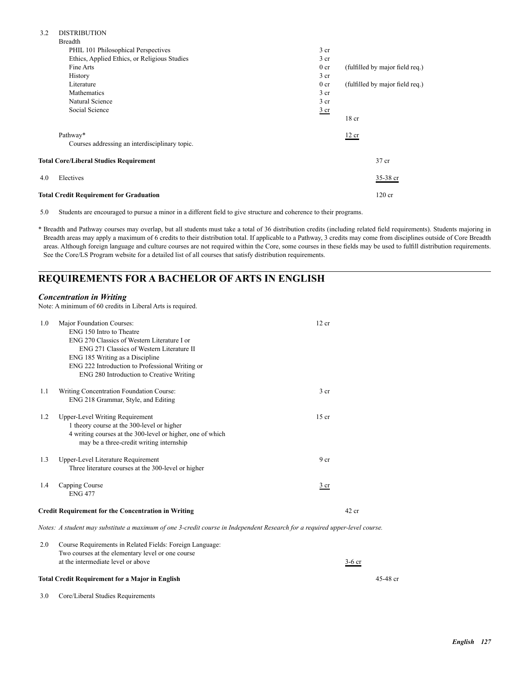| 3.2 | <b>DISTRIBUTION</b> |
|-----|---------------------|

| <b>Total Credit Requirement for Graduation</b> |                 | $120$ cr                        |
|------------------------------------------------|-----------------|---------------------------------|
| 4.0<br>Electives                               |                 | 35-38 cr                        |
| <b>Total Core/Liberal Studies Requirement</b>  |                 | 37 cr                           |
| Courses addressing an interdisciplinary topic. |                 |                                 |
| Pathway*                                       |                 | 12 cr                           |
|                                                |                 | 18 <sub>cr</sub>                |
| Social Science                                 | $rac{3}{2}$ cr  |                                 |
| Natural Science                                | 3 <sub>cr</sub> |                                 |
| Mathematics                                    | 3 <sub>cr</sub> |                                 |
| Literature                                     | 0 <sub>cr</sub> | (fulfilled by major field req.) |
| History                                        | 3 <sub>cr</sub> |                                 |
| Fine Arts                                      | 0 <sub>cr</sub> | (fulfilled by major field req.) |
| Ethics, Applied Ethics, or Religious Studies   | 3 <sub>cr</sub> |                                 |
| PHIL 101 Philosophical Perspectives            | 3 <sub>cr</sub> |                                 |
| <b>Breadth</b>                                 |                 |                                 |

5.0 Students are encouraged to pursue a minor in a different field to give structure and coherence to their programs.

\* Breadth and Pathway courses may overlap, but all students must take a total of 36 distribution credits (including related field requirements). Students majoring in Breadth areas may apply a maximum of 6 credits to their distribution total. If applicable to a Pathway, 3 credits may come from disciplines outside of Core Breadth areas. Although foreign language and culture courses are not required within the Core, some courses in these fields may be used to fulfill distribution requirements. See the Core/LS Program website for a detailed list of all courses that satisfy distribution requirements.

## **REQUIREMENTS FOR A BACHELOR OF ARTS IN ENGLISH**

#### *Concentration in Writing*

Note: A minimum of 60 credits in Liberal Arts is required.

| 1.0 | Major Foundation Courses:<br>ENG 150 Intro to Theatre<br>ENG 270 Classics of Western Literature I or<br>ENG 271 Classics of Western Literature II<br>ENG 185 Writing as a Discipline<br>ENG 222 Introduction to Professional Writing or<br>ENG 280 Introduction to Creative Writing | 12 cr           |         |
|-----|-------------------------------------------------------------------------------------------------------------------------------------------------------------------------------------------------------------------------------------------------------------------------------------|-----------------|---------|
| 1.1 | Writing Concentration Foundation Course:<br>ENG 218 Grammar, Style, and Editing                                                                                                                                                                                                     | 3 cr            |         |
| 1.2 | Upper-Level Writing Requirement<br>1 theory course at the 300-level or higher<br>4 writing courses at the 300-level or higher, one of which<br>may be a three-credit writing internship                                                                                             | $15$ cr         |         |
| 1.3 | Upper-Level Literature Requirement<br>Three literature courses at the 300-level or higher                                                                                                                                                                                           | 9 <sub>cr</sub> |         |
| 1.4 | Capping Course<br><b>ENG 477</b>                                                                                                                                                                                                                                                    | $rac{3}{2}$ cr  |         |
|     | <b>Credit Requirement for the Concentration in Writing</b>                                                                                                                                                                                                                          |                 | $42$ cr |

*Notes: A student may substitute a maximum of one 3-credit course in Independent Research for a required upper-level course.*

| 2.0 Course Requirements in Related Fields: Foreign Language: |                |
|--------------------------------------------------------------|----------------|
| Two courses at the elementary level or one course            |                |
| at the intermediate level or above                           | $3-6$ cr<br>__ |
| Total Credit Requirement for a Major in English              | 45-48 cr       |

3.0 Core/Liberal Studies Requirements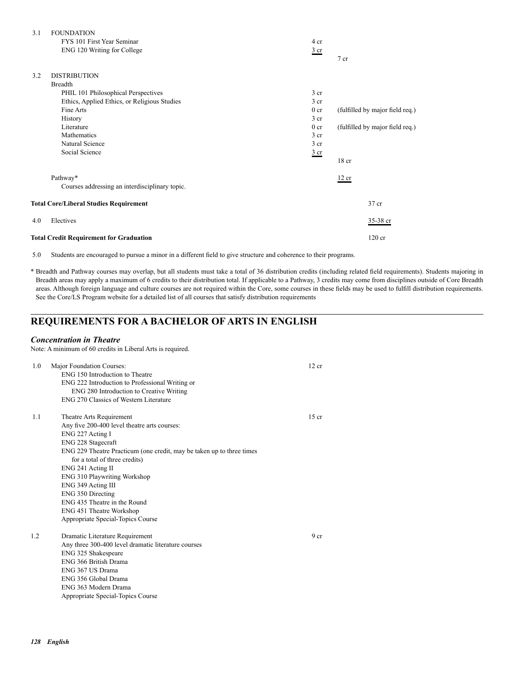| 3.1 | <b>FOUNDATION</b>                              |                 |                                 |
|-----|------------------------------------------------|-----------------|---------------------------------|
|     | FYS 101 First Year Seminar                     | 4 cr            |                                 |
|     | ENG 120 Writing for College                    | $rac{3}{2}$ cr  | 7 cr                            |
| 3.2 | <b>DISTRIBUTION</b>                            |                 |                                 |
|     | <b>Breadth</b>                                 |                 |                                 |
|     | PHIL 101 Philosophical Perspectives            | 3 <sub>cr</sub> |                                 |
|     | Ethics, Applied Ethics, or Religious Studies   | 3 <sub>cr</sub> |                                 |
|     | Fine Arts                                      | 0 <sub>cr</sub> | (fulfilled by major field req.) |
|     | History                                        | 3 <sub>cr</sub> |                                 |
|     | Literature                                     | 0 <sub>cr</sub> | (fulfilled by major field req.) |
|     | Mathematics                                    | 3 <sub>cr</sub> |                                 |
|     | Natural Science                                | 3 <sub>cr</sub> |                                 |
|     | Social Science                                 | $rac{3}{2}$ cr  |                                 |
|     |                                                |                 | $18$ cr                         |
|     | Pathway*                                       |                 | 12 cr                           |
|     | Courses addressing an interdisciplinary topic. |                 |                                 |
|     | <b>Total Core/Liberal Studies Requirement</b>  |                 | 37 cr                           |
| 4.0 | Electives                                      |                 | 35-38 cr                        |
|     | <b>Total Credit Requirement for Graduation</b> |                 | 120 cr                          |

5.0 Students are encouraged to pursue a minor in a different field to give structure and coherence to their programs.

\* Breadth and Pathway courses may overlap, but all students must take a total of 36 distribution credits (including related field requirements). Students majoring in Breadth areas may apply a maximum of 6 credits to their distribution total. If applicable to a Pathway, 3 credits may come from disciplines outside of Core Breadth areas. Although foreign language and culture courses are not required within the Core, some courses in these fields may be used to fulfill distribution requirements. See the Core/LS Program website for a detailed list of all courses that satisfy distribution requirements

## **REQUIREMENTS FOR A BACHELOR OF ARTS IN ENGLISH**

#### *Concentration in Theatre*

Note: A minimum of 60 credits in Liberal Arts is required.

| 1.0 | Major Foundation Courses:<br>ENG 150 Introduction to Theatre<br>ENG 222 Introduction to Professional Writing or<br>ENG 280 Introduction to Creative Writing<br>ENG 270 Classics of Western Literature                                                                                                   | 12 cr           |
|-----|---------------------------------------------------------------------------------------------------------------------------------------------------------------------------------------------------------------------------------------------------------------------------------------------------------|-----------------|
| 1.1 | Theatre Arts Requirement<br>Any five 200-400 level theatre arts courses:<br>ENG 227 Acting I<br>ENG 228 Stagecraft<br>ENG 229 Theatre Practicum (one credit, may be taken up to three times<br>for a total of three credits)<br>ENG 241 Acting II<br>ENG 310 Playwriting Workshop<br>ENG 349 Acting III | $15$ cr         |
|     | ENG 350 Directing<br>ENG 435 Theatre in the Round<br><b>ENG 451 Theatre Workshop</b><br>Appropriate Special-Topics Course                                                                                                                                                                               |                 |
| 1.2 | Dramatic Literature Requirement<br>Any three 300-400 level dramatic literature courses<br>ENG 325 Shakespeare<br>ENG 366 British Drama<br>ENG 367 US Drama<br>ENG 356 Global Drama<br>ENG 363 Modern Drama<br>Appropriate Special-Topics Course                                                         | 9 <sub>cr</sub> |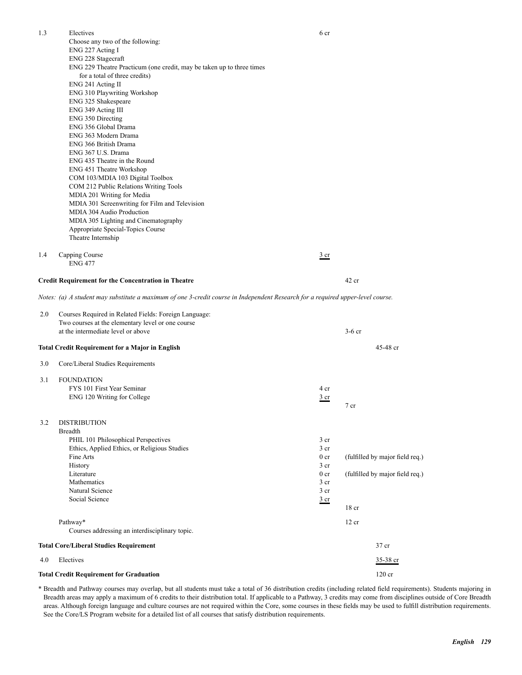| 1.3 | Electives                                                                                                                       | 6 cr                    |                                 |
|-----|---------------------------------------------------------------------------------------------------------------------------------|-------------------------|---------------------------------|
|     | Choose any two of the following:                                                                                                |                         |                                 |
|     | ENG 227 Acting I                                                                                                                |                         |                                 |
|     | ENG 228 Stagecraft                                                                                                              |                         |                                 |
|     | ENG 229 Theatre Practicum (one credit, may be taken up to three times                                                           |                         |                                 |
|     | for a total of three credits)                                                                                                   |                         |                                 |
|     | ENG 241 Acting II                                                                                                               |                         |                                 |
|     | ENG 310 Playwriting Workshop<br>ENG 325 Shakespeare                                                                             |                         |                                 |
|     | ENG 349 Acting III                                                                                                              |                         |                                 |
|     | ENG 350 Directing                                                                                                               |                         |                                 |
|     | ENG 356 Global Drama                                                                                                            |                         |                                 |
|     | ENG 363 Modern Drama                                                                                                            |                         |                                 |
|     | ENG 366 British Drama                                                                                                           |                         |                                 |
|     | ENG 367 U.S. Drama                                                                                                              |                         |                                 |
|     | ENG 435 Theatre in the Round                                                                                                    |                         |                                 |
|     | ENG 451 Theatre Workshop                                                                                                        |                         |                                 |
|     | COM 103/MDIA 103 Digital Toolbox                                                                                                |                         |                                 |
|     | COM 212 Public Relations Writing Tools                                                                                          |                         |                                 |
|     | MDIA 201 Writing for Media<br>MDIA 301 Screenwriting for Film and Television                                                    |                         |                                 |
|     | MDIA 304 Audio Production                                                                                                       |                         |                                 |
|     | MDIA 305 Lighting and Cinematography                                                                                            |                         |                                 |
|     | Appropriate Special-Topics Course                                                                                               |                         |                                 |
|     | Theatre Internship                                                                                                              |                         |                                 |
|     |                                                                                                                                 |                         |                                 |
| 1.4 | Capping Course                                                                                                                  | $\frac{3}{ }$ cr        |                                 |
|     | <b>ENG 477</b>                                                                                                                  |                         |                                 |
|     | <b>Credit Requirement for the Concentration in Theatre</b>                                                                      |                         | $42$ cr                         |
|     |                                                                                                                                 |                         |                                 |
|     | Notes: (a) A student may substitute a maximum of one 3-credit course in Independent Research for a required upper-level course. |                         |                                 |
| 2.0 | Courses Required in Related Fields: Foreign Language:                                                                           |                         |                                 |
|     | Two courses at the elementary level or one course                                                                               |                         |                                 |
|     | at the intermediate level or above                                                                                              |                         | $3-6$ cr                        |
|     |                                                                                                                                 |                         |                                 |
|     | <b>Total Credit Requirement for a Major in English</b>                                                                          |                         | 45-48 cr                        |
| 3.0 | Core/Liberal Studies Requirements                                                                                               |                         |                                 |
|     |                                                                                                                                 |                         |                                 |
| 3.1 | <b>FOUNDATION</b>                                                                                                               |                         |                                 |
|     | FYS 101 First Year Seminar                                                                                                      | 4 cr                    |                                 |
|     | ENG 120 Writing for College                                                                                                     | $rac{3}{2}$ cr          | 7 cr                            |
|     |                                                                                                                                 |                         |                                 |
| 3.2 | <b>DISTRIBUTION</b>                                                                                                             |                         |                                 |
|     | <b>Breadth</b>                                                                                                                  |                         |                                 |
|     | PHIL 101 Philosophical Perspectives                                                                                             | 3 <sub>cr</sub>         |                                 |
|     | Ethics, Applied Ethics, or Religious Studies                                                                                    | 3 <sub>cr</sub>         |                                 |
|     | Fine Arts                                                                                                                       | 0 <sub>cr</sub>         | (fulfilled by major field req.) |
|     | History                                                                                                                         | 3 cr                    |                                 |
|     | Literature<br>Mathematics                                                                                                       | 0 <sub>cr</sub><br>3 cr | (fulfilled by major field req.) |
|     | Natural Science                                                                                                                 | 3 cr                    |                                 |
|     | Social Science                                                                                                                  | $rac{3}{2}$ cr          |                                 |
|     |                                                                                                                                 |                         | 18 <sub>cr</sub>                |
|     | Pathway*                                                                                                                        |                         | $12$ cr                         |
|     | Courses addressing an interdisciplinary topic.                                                                                  |                         |                                 |
|     |                                                                                                                                 |                         |                                 |
|     | <b>Total Core/Liberal Studies Requirement</b>                                                                                   |                         | 37 cr                           |
| 4.0 | Electives                                                                                                                       |                         | 35-38 cr                        |
|     | <b>Total Credit Requirement for Graduation</b>                                                                                  |                         | 120 cr                          |

\* Breadth and Pathway courses may overlap, but all students must take a total of 36 distribution credits (including related field requirements). Students majoring in Breadth areas may apply a maximum of 6 credits to their distribution total. If applicable to a Pathway, 3 credits may come from disciplines outside of Core Breadth areas. Although foreign language and culture courses are not required within the Core, some courses in these fields may be used to fulfill distribution requirements. See the Core/LS Program website for a detailed list of all courses that satisfy distribution requirements.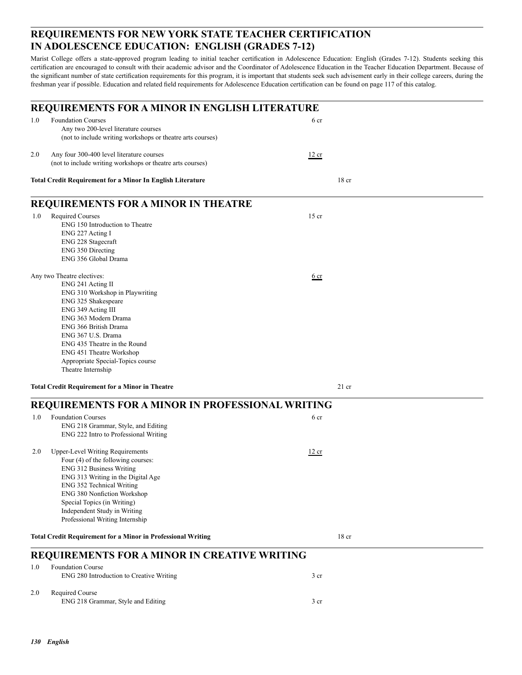## **REQUIREMENTS FOR NEW YORK STATE TEACHER CERTIFICATION IN ADOLESCENCE EDUCATION: ENGLISH (GRADES 7-12)**

Marist College offers a state-approved program leading to initial teacher certification in Adolescence Education: English (Grades 7-12). Students seeking this certification are encouraged to consult with their academic advisor and the Coordinator of Adolescence Education in the Teacher Education Department. Because of the significant number of state certification requirements for this program, it is important that students seek such advisement early in their college careers, during the freshman year if possible. Education and related field requirements for Adolescence Education certification can be found on page 117 of this catalog.

|     | REQUIREMENTS FOR A MINOR IN ENGLISH LITERATURE                                                                                                                                                                                                                                                                                |                  |  |
|-----|-------------------------------------------------------------------------------------------------------------------------------------------------------------------------------------------------------------------------------------------------------------------------------------------------------------------------------|------------------|--|
| 1.0 | <b>Foundation Courses</b><br>Any two 200-level literature courses<br>(not to include writing workshops or theatre arts courses)                                                                                                                                                                                               | 6 cr             |  |
| 2.0 | Any four 300-400 level literature courses<br>(not to include writing workshops or theatre arts courses)                                                                                                                                                                                                                       | 12 cr            |  |
|     | <b>Total Credit Requirement for a Minor In English Literature</b>                                                                                                                                                                                                                                                             | 18 <sub>cr</sub> |  |
|     | <b>REQUIREMENTS FOR A MINOR IN THEATRE</b>                                                                                                                                                                                                                                                                                    |                  |  |
| 1.0 | <b>Required Courses</b><br>ENG 150 Introduction to Theatre<br>ENG 227 Acting I<br>ENG 228 Stagecraft<br>ENG 350 Directing<br>ENG 356 Global Drama                                                                                                                                                                             | $15$ cr          |  |
|     | Any two Theatre electives:<br>ENG 241 Acting II<br>ENG 310 Workshop in Playwriting<br>ENG 325 Shakespeare<br>ENG 349 Acting III<br>ENG 363 Modern Drama<br>ENG 366 British Drama<br>ENG 367 U.S. Drama<br>ENG 435 Theatre in the Round<br>ENG 451 Theatre Workshop<br>Appropriate Special-Topics course<br>Theatre Internship | $6$ cr           |  |
|     | <b>Total Credit Requirement for a Minor in Theatre</b>                                                                                                                                                                                                                                                                        | $21$ cr          |  |
|     | REQUIREMENTS FOR A MINOR IN PROFESSIONAL WRITING                                                                                                                                                                                                                                                                              |                  |  |
| 1.0 | <b>Foundation Courses</b><br>ENG 218 Grammar, Style, and Editing<br>ENG 222 Intro to Professional Writing                                                                                                                                                                                                                     | 6 cr             |  |
| 2.0 | <b>Upper-Level Writing Requirements</b><br>Four (4) of the following courses:<br><b>ENG 312 Business Writing</b><br>ENG 313 Writing in the Digital Age<br>ENG 352 Technical Writing<br><b>ENG 380 Nonfiction Workshop</b><br>Special Topics (in Writing)<br>Independent Study in Writing<br>Professional Writing Internship   | 12 cr            |  |
|     | <b>Total Credit Requirement for a Minor in Professional Writing</b>                                                                                                                                                                                                                                                           | 18 <sub>cr</sub> |  |
|     | REQUIREMENTS FOR A MINOR IN CREATIVE WRITING                                                                                                                                                                                                                                                                                  |                  |  |
| 1.0 | <b>Foundation Course</b><br>ENG 280 Introduction to Creative Writing                                                                                                                                                                                                                                                          | 3 <sub>cr</sub>  |  |
| 2.0 | Required Course<br>ENG 218 Grammar, Style and Editing                                                                                                                                                                                                                                                                         | 3 <sub>cr</sub>  |  |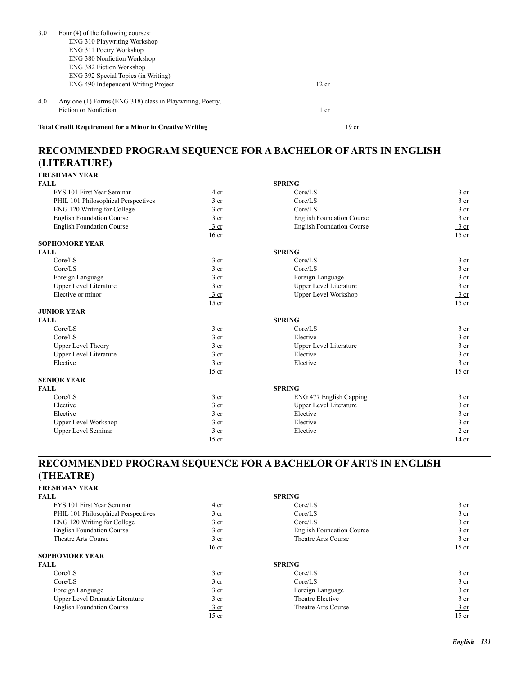| 3.0 | Four (4) of the following courses:                              |                  |  |
|-----|-----------------------------------------------------------------|------------------|--|
|     | <b>ENG 310 Playwriting Workshop</b>                             |                  |  |
|     | ENG 311 Poetry Workshop                                         |                  |  |
|     | <b>ENG 380 Nonfiction Workshop</b>                              |                  |  |
|     | <b>ENG 382 Fiction Workshop</b>                                 |                  |  |
|     | ENG 392 Special Topics (in Writing)                             |                  |  |
|     | ENG 490 Independent Writing Project                             | 12 cr            |  |
| 4.0 | Any one (1) Forms (ENG 318) class in Playwriting, Poetry,       |                  |  |
|     | <b>Fiction or Nonfiction</b>                                    | 1 cr             |  |
|     | <b>Total Credit Requirement for a Minor in Creative Writing</b> | 19 <sub>cr</sub> |  |

## **RECOMMENDED PROGRAM SEQUENCE FOR A BACHELOR OF ARTS IN ENGLISH (LITERATURE) FRESHMAN YEAR**

| <b>FALL</b>                         |                  | <b>SPRING</b>                    |                  |
|-------------------------------------|------------------|----------------------------------|------------------|
| FYS 101 First Year Seminar          | 4 cr             | Core/LS                          | 3 <sub>cr</sub>  |
| PHIL 101 Philosophical Perspectives | 3 <sub>cr</sub>  | Core/LS                          | 3 <sub>cr</sub>  |
| ENG 120 Writing for College         | 3 <sub>cr</sub>  | Core/LS                          | 3 cr             |
| <b>English Foundation Course</b>    | 3 <sub>cr</sub>  | <b>English Foundation Course</b> | 3 cr             |
| <b>English Foundation Course</b>    | 3 cr             | <b>English Foundation Course</b> | $\frac{3}{2}$ cr |
|                                     | 16 <sub>cr</sub> |                                  | $15$ cr          |
| <b>SOPHOMORE YEAR</b>               |                  |                                  |                  |
| <b>FALL</b>                         |                  | <b>SPRING</b>                    |                  |
| Core/LS                             | 3 <sub>cr</sub>  | Core/LS                          | 3 cr             |
| Core/LS                             | 3 <sub>cr</sub>  | Core/LS                          | 3 <sub>cr</sub>  |
| Foreign Language                    | 3 <sub>cr</sub>  | Foreign Language                 | $3$ cr           |
| <b>Upper Level Literature</b>       | 3 <sub>cr</sub>  | Upper Level Literature           | 3 cr             |
| Elective or minor                   | $\frac{3}{ }$ cr | <b>Upper Level Workshop</b>      | $\frac{3}{ }$ cr |
|                                     | $15$ cr          |                                  | $15$ cr          |
| <b>JUNIOR YEAR</b>                  |                  |                                  |                  |
| <b>FALL</b>                         |                  | <b>SPRING</b>                    |                  |
| Core/LS                             | 3 <sub>cr</sub>  | Core/LS                          | 3 <sub>cr</sub>  |
| Core/LS                             | 3 <sub>cr</sub>  | Elective                         | 3 cr             |
| <b>Upper Level Theory</b>           | 3 <sub>cr</sub>  | Upper Level Literature           | 3 cr             |
| <b>Upper Level Literature</b>       | 3 <sub>cr</sub>  | Elective                         | 3 cr             |
| Elective                            | $\frac{3}{ }$ cr | Elective                         | $rac{3}{2}$ cr   |
|                                     | $15$ cr          |                                  | $15$ cr          |
| <b>SENIOR YEAR</b>                  |                  |                                  |                  |
| <b>FALL</b>                         |                  | <b>SPRING</b>                    |                  |
| Core/LS                             | 3 <sub>cr</sub>  | ENG 477 English Capping          | 3 <sub>cr</sub>  |
| Elective                            | 3 <sub>cr</sub>  | <b>Upper Level Literature</b>    | 3 <sub>cr</sub>  |
| Elective                            | 3 <sub>cr</sub>  | Elective                         | 3 cr             |
| <b>Upper Level Workshop</b>         | 3 <sub>cr</sub>  | Elective                         | 3 cr             |
| <b>Upper Level Seminar</b>          | 3 cr             | Elective                         | $2$ cr           |
|                                     | $15$ cr          |                                  | $14$ cr          |

## **RECOMMENDED PROGRAM SEQUENCE FOR A BACHELOR OF ARTS IN ENGLISH (THEATRE)**

#### **FRESHMAN YEAR**

| <b>FALL</b>                         |                  | <b>SPRING</b>                    |                 |
|-------------------------------------|------------------|----------------------------------|-----------------|
| FYS 101 First Year Seminar          | 4 cr             | Core/LS                          | 3 <sub>cr</sub> |
| PHIL 101 Philosophical Perspectives | 3 <sub>cr</sub>  | Core/LS                          | 3 <sub>cr</sub> |
| ENG 120 Writing for College         | 3 <sub>cr</sub>  | Core/LS                          | 3 <sub>cr</sub> |
| <b>English Foundation Course</b>    | 3 <sub>cr</sub>  | <b>English Foundation Course</b> | 3 <sub>cr</sub> |
| Theatre Arts Course                 | $\frac{3}{ }$ cr | Theatre Arts Course              | <u>3 cr</u>     |
|                                     | $16$ cr          |                                  | $15$ cr         |
| <b>SOPHOMORE YEAR</b>               |                  |                                  |                 |
| <b>FALL</b>                         |                  | <b>SPRING</b>                    |                 |
| Core/LS                             | 3 <sub>cr</sub>  | Core/LS                          | 3 <sub>cr</sub> |
| Core/LS                             | 3 <sub>cr</sub>  | Core/LS                          | 3 <sub>cr</sub> |
| Foreign Language                    | 3 <sub>cr</sub>  | Foreign Language                 | 3 <sub>cr</sub> |
| Upper Level Dramatic Literature     | 3 <sub>cr</sub>  | Theatre Elective                 | 3 <sub>cr</sub> |
| <b>English Foundation Course</b>    | 3 cr             | <b>Theatre Arts Course</b>       | <u>3 cr</u>     |
|                                     | $15$ cr          |                                  | $15$ cr         |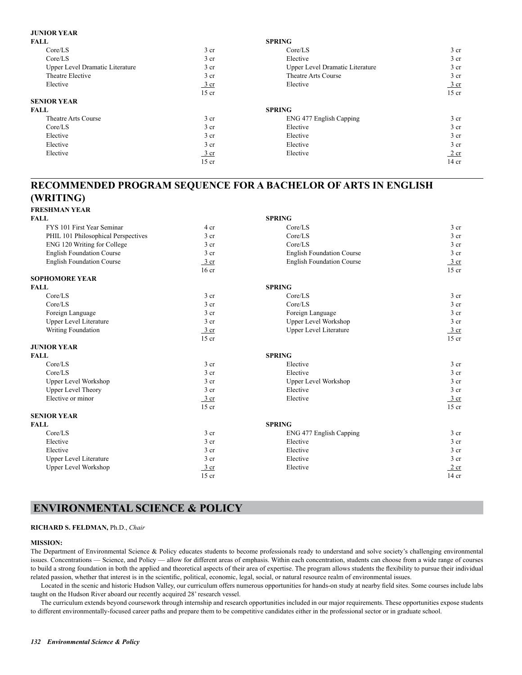#### **JUNIOR YEAR**

| <b>FALL</b>                     |                  | <b>SPRING</b>                   |                 |
|---------------------------------|------------------|---------------------------------|-----------------|
| Core/LS                         | 3 <sub>cr</sub>  | Core/LS                         | 3 <sub>cr</sub> |
| Core/LS                         | 3 <sub>cr</sub>  | Elective                        | 3 <sub>cr</sub> |
| Upper Level Dramatic Literature | 3 <sub>cr</sub>  | Upper Level Dramatic Literature | 3 <sub>cr</sub> |
| Theatre Elective                | 3 <sub>cr</sub>  | Theatre Arts Course             | 3 <sub>cr</sub> |
| Elective                        | $rac{3}{2}$ cr   | Elective                        | $rac{3}{2}$ cr  |
|                                 | $15$ cr          |                                 | $15$ cr         |
| <b>SENIOR YEAR</b>              |                  |                                 |                 |
| <b>FALL</b>                     |                  | <b>SPRING</b>                   |                 |
| Theatre Arts Course             | 3 <sub>cr</sub>  | ENG 477 English Capping         | 3 <sub>cr</sub> |
| Core/LS                         | 3 <sub>cr</sub>  | Elective                        | 3 <sub>cr</sub> |
| Elective                        | 3 <sub>cr</sub>  | Elective                        | 3 <sub>cr</sub> |
| Elective                        | 3 <sub>cr</sub>  | Elective                        | 3 <sub>cr</sub> |
| Elective                        | $\frac{3}{ }$ cr | Elective                        | 2 cr            |
|                                 | $15$ cr          |                                 | 14 cr           |

## **RECOMMENDED PROGRAM SEQUENCE FOR A BACHELOR OF ARTS IN ENGLISH (WRITING)**

**FRESHMAN YEAR**

| <b>FALL</b>                         |                  | <b>SPRING</b>                    |                  |
|-------------------------------------|------------------|----------------------------------|------------------|
| FYS 101 First Year Seminar          | 4 cr             | Core/LS                          | 3 <sub>cr</sub>  |
| PHIL 101 Philosophical Perspectives | 3 <sub>cr</sub>  | Core/LS                          | 3 cr             |
| ENG 120 Writing for College         | 3 <sub>cr</sub>  | Core/LS                          | 3 cr             |
| <b>English Foundation Course</b>    | 3 <sub>cr</sub>  | <b>English Foundation Course</b> | 3 cr             |
| <b>English Foundation Course</b>    | $3$ cr           | <b>English Foundation Course</b> | $\frac{3}{2}$ cr |
|                                     | 16 <sub>cr</sub> |                                  | $15$ cr          |
| <b>SOPHOMORE YEAR</b>               |                  |                                  |                  |
| <b>FALL</b>                         |                  | <b>SPRING</b>                    |                  |
| Core/LS                             | 3 <sub>cr</sub>  | Core/LS                          | 3 cr             |
| Core/LS                             | 3 <sub>cr</sub>  | Core/LS                          | 3 <sub>cr</sub>  |
| Foreign Language                    | 3 <sub>cr</sub>  | Foreign Language                 | 3 <sub>cr</sub>  |
| <b>Upper Level Literature</b>       | 3 <sub>cr</sub>  | <b>Upper Level Workshop</b>      | $3$ cr           |
| Writing Foundation                  | $3$ cr           | <b>Upper Level Literature</b>    | $\frac{3}{2}$ cr |
|                                     | $15$ cr          |                                  | $15$ cr          |
| <b>JUNIOR YEAR</b>                  |                  |                                  |                  |
| <b>FALL</b>                         |                  | <b>SPRING</b>                    |                  |
| Core/LS                             | 3 <sub>cr</sub>  | Elective                         | 3 <sub>cr</sub>  |
| Core/LS                             | 3 <sub>cr</sub>  | Elective                         | 3 cr             |
| <b>Upper Level Workshop</b>         | 3 <sub>cr</sub>  | <b>Upper Level Workshop</b>      | $3$ cr           |
| <b>Upper Level Theory</b>           | 3 <sub>cr</sub>  | Elective                         | 3 <sub>cr</sub>  |
| Elective or minor                   | $3$ cr           | Elective                         | $\frac{3}{2}$ cr |
|                                     | $15$ cr          |                                  | $15$ cr          |
| <b>SENIOR YEAR</b>                  |                  |                                  |                  |
| <b>FALL</b>                         |                  | <b>SPRING</b>                    |                  |
| Core/LS                             | 3 <sub>cr</sub>  | ENG 477 English Capping          | 3 <sub>cr</sub>  |
| Elective                            | 3 <sub>cr</sub>  | Elective                         | 3 <sub>cr</sub>  |
| Elective                            | 3 <sub>cr</sub>  | Elective                         | 3 <sub>cr</sub>  |
| <b>Upper Level Literature</b>       | 3 <sub>cr</sub>  | Elective                         | 3 <sub>cr</sub>  |
| <b>Upper Level Workshop</b>         | $3$ cr           | Elective                         | 2 cr             |
|                                     | $15$ cr          |                                  | $14$ cr          |

## **ENVIRONMENTAL SCIENCE & POLICY**

#### **RICHARD S. FELDMAN,** Ph.D., *Chair*

#### **MISSION:**

The Department of Environmental Science & Policy educates students to become professionals ready to understand and solve society's challenging environmental issues. Concentrations — Science, and Policy — allow for different areas of emphasis. Within each concentration, students can choose from a wide range of courses to build a strong foundation in both the applied and theoretical aspects of their area of expertise. The program allows students the flexibility to pursue their individual related passion, whether that interest is in the scientific, political, economic, legal, social, or natural resource realm of environmental issues.

Located in the scenic and historic Hudson Valley, our curriculum offers numerous opportunities for hands-on study at nearby field sites. Some courses include labs taught on the Hudson River aboard our recently acquired 28' research vessel.

The curriculum extends beyond coursework through internship and research opportunities included in our major requirements. These opportunities expose students to different environmentally-focused career paths and prepare them to be competitive candidates either in the professional sector or in graduate school.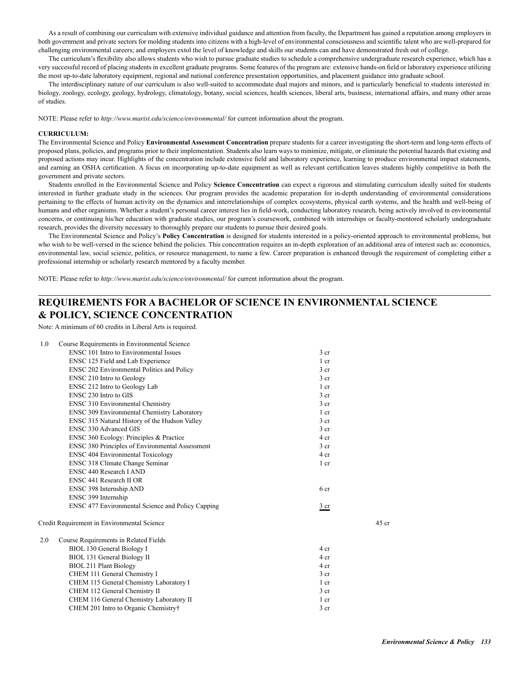As a result of combining our curriculum with extensive individual guidance and attention from faculty, the Department has gained a reputation among employers in both government and private sectors for molding students into citizens with a high-level of environmental consciousness and scientific talent who are well-prepared for challenging environmental careers; and employers extol the level of knowledge and skills our students can and have demonstrated fresh out of college.

The curriculum's flexibility also allows students who wish to pursue graduate studies to schedule a comprehensive undergraduate research experience, which has a very successful record of placing students in excellent graduate programs. Some features of the program are: extensive hands-on field or laboratory experience utilizing the most up-to-date laboratory equipment, regional and national conference presentation opportunities, and placement guidance into graduate school.

The interdisciplinary nature of our curriculum is also well-suited to accommodate dual majors and minors, and is particularly beneficial to students interested in: biology, zoology, ecology, geology, hydrology, climatology, botany, social sciences, health sciences, liberal arts, business, international affairs, and many other areas of studies.

NOTE: Please refer to *http://www.marist.edu/science/environmental/* for current information about the program.

#### **CURRICULUM:**

The Environmental Science and Policy **Environmental Assessment Concentration** prepare students for a career investigating the short-term and long-term effects of proposed plans, policies, and programs prior to their implementation. Students also learn ways to minimize, mitigate, or eliminate the potential hazards that existing and proposed actions may incur. Highlights of the concentration include extensive field and laboratory experience, learning to produce environmental impact statements, and earning an OSHA certification. A focus on incorporating up-to-date equipment as well as relevant certification leaves students highly competitive in both the government and private sectors.

Students enrolled in the Environmental Science and Policy **Science Concentration** can expect a rigorous and stimulating curriculum ideally suited for students interested in further graduate study in the sciences. Our program provides the academic preparation for in-depth understanding of environmental considerations pertaining to the effects of human activity on the dynamics and interrelationships of complex ecosystems, physical earth systems, and the health and well-being of humans and other organisms. Whether a student's personal career interest lies in field-work, conducting laboratory research, being actively involved in environmental concerns, or continuing his/her education with graduate studies, our program's coursework, combined with internships or faculty-mentored scholarly undergraduate research, provides the diversity necessary to thoroughly prepare our students to pursue their desired goals.

The Environmental Science and Policy's **Policy Concentration** is designed for students interested in a policy-oriented approach to environmental problems, but who wish to be well-versed in the science behind the policies. This concentration requires an in-depth exploration of an additional area of interest such as: economics, environmental law, social science, politics, or resource management, to name a few. Career preparation is enhanced through the requirement of completing either a professional internship or scholarly research mentored by a faculty member.

NOTE: Please refer to *http://www.marist.edu/science/environmental/* for current information about the program.

#### **REQUIREMENTS FOR A BACHELOR OF SCIENCE IN ENVIRONMENTAL SCIENCE & POLICY, SCIENCE CONCENTRATION**

Note: A minimum of 60 credits in Liberal Arts is required.

| 1.0 | Course Requirements in Environmental Science      |                 |         |
|-----|---------------------------------------------------|-----------------|---------|
|     | ENSC 101 Intro to Environmental Issues            | 3 <sub>cr</sub> |         |
|     | ENSC 125 Field and Lab Experience                 | $1$ cr          |         |
|     | ENSC 202 Environmental Politics and Policy        | 3 <sub>cr</sub> |         |
|     | <b>ENSC 210 Intro to Geology</b>                  | 3 <sub>cr</sub> |         |
|     | ENSC 212 Intro to Geology Lab                     | 1 cr            |         |
|     | ENSC 230 Intro to GIS                             | 3 <sub>cr</sub> |         |
|     | <b>ENSC 310 Environmental Chemistry</b>           | 3 <sub>cr</sub> |         |
|     | ENSC 309 Environmental Chemistry Laboratory       | 1 cr            |         |
|     | ENSC 315 Natural History of the Hudson Valley     | 3 <sub>cr</sub> |         |
|     | <b>ENSC 330 Advanced GIS</b>                      | 3 <sub>cr</sub> |         |
|     | ENSC 360 Ecology: Principles & Practice           | 4 cr            |         |
|     | ENSC 380 Principles of Environmental Assessment   | 3 <sub>cr</sub> |         |
|     | <b>ENSC 404 Environmental Toxicology</b>          | 4 cr            |         |
|     | ENSC 318 Climate Change Seminar                   | 1 cr            |         |
|     | ENSC 440 Research LAND                            |                 |         |
|     | ENSC 441 Research II OR                           |                 |         |
|     | ENSC 398 Internship AND                           | 6 <sub>cr</sub> |         |
|     | ENSC 399 Internship                               |                 |         |
|     | ENSC 477 Environmental Science and Policy Capping | $rac{3}{2}$ cr  |         |
|     | Credit Requirement in Environmental Science       |                 | $45$ cr |
| 2.0 | Course Requirements in Related Fields             |                 |         |
|     | <b>BIOL 130 General Biology I</b>                 | 4 cr            |         |
|     | BIOL 131 General Biology II                       | 4 cr            |         |
|     | <b>BIOL 211 Plant Biology</b>                     | 4 cr            |         |
|     | CHEM 111 General Chemistry I                      | 3 <sub>cr</sub> |         |
|     | CHEM 115 General Chemistry Laboratory I           | 1 cr            |         |
|     | CHEM 112 General Chemistry II                     | 3 <sub>cr</sub> |         |
|     | CHEM 116 General Chemistry Laboratory II          | 1 cr            |         |
|     | CHEM 201 Intro to Organic Chemistry†              | 3 <sub>cr</sub> |         |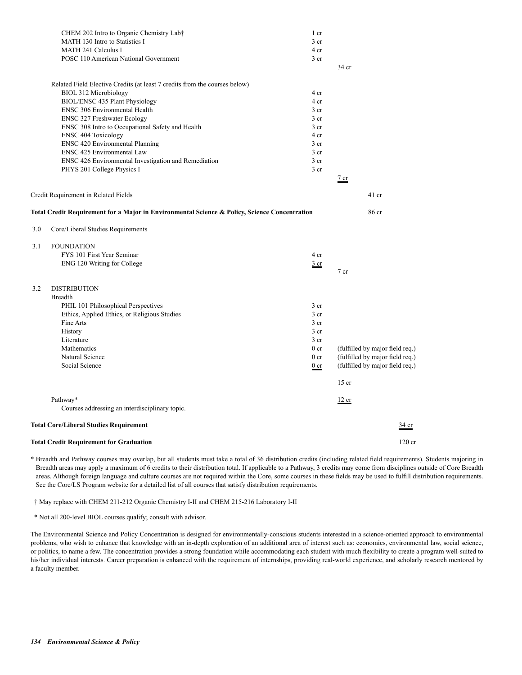|     | <b>Total Credit Requirement for Graduation</b>                                                                                                                                                                                                        |                                                                                                                                                               | $120$ cr                                                                                                        |
|-----|-------------------------------------------------------------------------------------------------------------------------------------------------------------------------------------------------------------------------------------------------------|---------------------------------------------------------------------------------------------------------------------------------------------------------------|-----------------------------------------------------------------------------------------------------------------|
|     | <b>Total Core/Liberal Studies Requirement</b>                                                                                                                                                                                                         |                                                                                                                                                               | $rac{34}{2}$ cr                                                                                                 |
|     | Pathway*<br>Courses addressing an interdisciplinary topic.                                                                                                                                                                                            |                                                                                                                                                               | 12 cr                                                                                                           |
|     |                                                                                                                                                                                                                                                       |                                                                                                                                                               | $15$ cr                                                                                                         |
| 3.2 | ENG 120 Writing for College<br><b>DISTRIBUTION</b><br><b>Breadth</b><br>PHIL 101 Philosophical Perspectives<br>Ethics, Applied Ethics, or Religious Studies<br>Fine Arts<br>History<br>Literature<br>Mathematics<br>Natural Science<br>Social Science | $rac{3}{2}$ cr<br>3 <sub>cr</sub><br>3 <sub>cr</sub><br>3 <sub>cr</sub><br>$3$ cr<br>3 <sub>cr</sub><br>0 <sub>cr</sub><br>0 <sub>cr</sub><br>0 <sub>cr</sub> | $7$ cr<br>(fulfilled by major field req.)<br>(fulfilled by major field req.)<br>(fulfilled by major field req.) |
| 3.1 | <b>FOUNDATION</b><br>FYS 101 First Year Seminar                                                                                                                                                                                                       | 4 cr                                                                                                                                                          |                                                                                                                 |
| 3.0 | Core/Liberal Studies Requirements                                                                                                                                                                                                                     |                                                                                                                                                               |                                                                                                                 |
|     | Total Credit Requirement for a Major in Environmental Science & Policy, Science Concentration                                                                                                                                                         |                                                                                                                                                               | 86 cr                                                                                                           |
|     | Credit Requirement in Related Fields                                                                                                                                                                                                                  |                                                                                                                                                               | $\frac{7}{ }$ cr<br>$41$ cr                                                                                     |
|     | PHYS 201 College Physics I                                                                                                                                                                                                                            | 3 <sub>cr</sub>                                                                                                                                               |                                                                                                                 |
|     | ENSC 425 Environmental Law<br>ENSC 426 Environmental Investigation and Remediation                                                                                                                                                                    | $3$ cr<br>3 <sub>cr</sub>                                                                                                                                     |                                                                                                                 |
|     | <b>ENSC 404 Toxicology</b><br><b>ENSC 420 Environmental Planning</b>                                                                                                                                                                                  | 4 cr<br>3 <sub>cr</sub>                                                                                                                                       |                                                                                                                 |
|     | ENSC 308 Intro to Occupational Safety and Health                                                                                                                                                                                                      | $3$ cr                                                                                                                                                        |                                                                                                                 |
|     | ENSC 306 Environmental Health<br><b>ENSC 327 Freshwater Ecology</b>                                                                                                                                                                                   | 3 <sub>cr</sub><br>3 <sub>cr</sub>                                                                                                                            |                                                                                                                 |
|     | Related Field Elective Credits (at least 7 credits from the courses below)<br>BIOL 312 Microbiology<br>BIOL/ENSC 435 Plant Physiology                                                                                                                 | 4 cr<br>4 cr                                                                                                                                                  |                                                                                                                 |
|     |                                                                                                                                                                                                                                                       |                                                                                                                                                               | 34 cr                                                                                                           |
|     | POSC 110 American National Government                                                                                                                                                                                                                 | 3 <sub>cr</sub>                                                                                                                                               |                                                                                                                 |
|     | MATH 130 Intro to Statistics I<br>MATH 241 Calculus I                                                                                                                                                                                                 | 3 cr<br>4 cr                                                                                                                                                  |                                                                                                                 |
|     | CHEM 202 Intro to Organic Chemistry Lab†                                                                                                                                                                                                              | 1 cr                                                                                                                                                          |                                                                                                                 |

\* Breadth and Pathway courses may overlap, but all students must take a total of 36 distribution credits (including related field requirements). Students majoring in Breadth areas may apply a maximum of 6 credits to their distribution total. If applicable to a Pathway, 3 credits may come from disciplines outside of Core Breadth areas. Although foreign language and culture courses are not required within the Core, some courses in these fields may be used to fulfill distribution requirements. See the Core/LS Program website for a detailed list of all courses that satisfy distribution requirements.

† May replace with CHEM 211-212 Organic Chemistry I-II and CHEM 215-216 Laboratory I-II

\* Not all 200-level BIOL courses qualify; consult with advisor.

The Environmental Science and Policy Concentration is designed for environmentally-conscious students interested in a science-oriented approach to environmental problems, who wish to enhance that knowledge with an in-depth exploration of an additional area of interest such as: economics, environmental law, social science, or politics, to name a few. The concentration provides a strong foundation while accommodating each student with much flexibility to create a program well-suited to his/her individual interests. Career preparation is enhanced with the requirement of internships, providing real-world experience, and scholarly research mentored by a faculty member.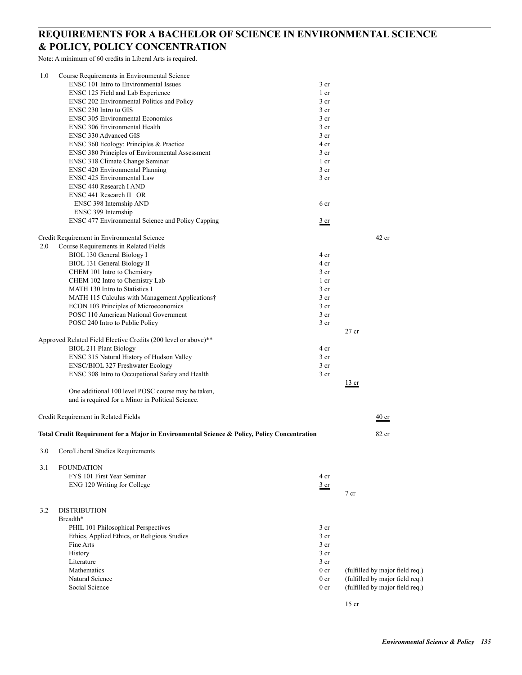## **REQUIREMENTS FOR A BACHELOR OF SCIENCE IN ENVIRONMENTAL SCIENCE & POLICY, POLICY CONCENTRATION**

Note: A minimum of 60 credits in Liberal Arts is required.

| 1.0 | Course Requirements in Environmental Science                                                 |                                    |                                 |
|-----|----------------------------------------------------------------------------------------------|------------------------------------|---------------------------------|
|     | ENSC 101 Intro to Environmental Issues                                                       | 3 <sub>cr</sub>                    |                                 |
|     | ENSC 125 Field and Lab Experience                                                            | 1 cr                               |                                 |
|     | ENSC 202 Environmental Politics and Policy                                                   | 3 <sub>cr</sub>                    |                                 |
|     | ENSC 230 Intro to GIS                                                                        | 3 cr                               |                                 |
|     | <b>ENSC 305 Environmental Economics</b>                                                      | 3 <sub>cr</sub>                    |                                 |
|     | <b>ENSC 306 Environmental Health</b>                                                         | 3 cr                               |                                 |
|     | <b>ENSC 330 Advanced GIS</b>                                                                 | 3 cr                               |                                 |
|     | ENSC 360 Ecology: Principles & Practice                                                      | 4 cr                               |                                 |
|     | ENSC 380 Principles of Environmental Assessment                                              | 3 cr                               |                                 |
|     | ENSC 318 Climate Change Seminar                                                              | 1 cr                               |                                 |
|     | <b>ENSC 420 Environmental Planning</b><br>ENSC 425 Environmental Law                         | 3 <sub>cr</sub><br>3 <sub>cr</sub> |                                 |
|     | <b>ENSC 440 Research I AND</b>                                                               |                                    |                                 |
|     | ENSC 441 Research II OR                                                                      |                                    |                                 |
|     | ENSC 398 Internship AND                                                                      | 6 cr                               |                                 |
|     | ENSC 399 Internship                                                                          |                                    |                                 |
|     | ENSC 477 Environmental Science and Policy Capping                                            | $rac{3}{2}$ cr                     |                                 |
|     | Credit Requirement in Environmental Science                                                  |                                    | $42$ cr                         |
| 2.0 | Course Requirements in Related Fields                                                        |                                    |                                 |
|     | BIOL 130 General Biology I                                                                   | 4 cr                               |                                 |
|     | BIOL 131 General Biology II                                                                  | 4 cr                               |                                 |
|     | CHEM 101 Intro to Chemistry                                                                  | 3 <sub>cr</sub>                    |                                 |
|     | CHEM 102 Intro to Chemistry Lab                                                              | 1 cr                               |                                 |
|     | MATH 130 Intro to Statistics I                                                               | 3 cr                               |                                 |
|     | MATH 115 Calculus with Management Applications†                                              | 3 <sub>cr</sub>                    |                                 |
|     | ECON 103 Principles of Microeconomics                                                        | 3 <sub>cr</sub>                    |                                 |
|     | POSC 110 American National Government                                                        | 3 <sub>cr</sub>                    |                                 |
|     | POSC 240 Intro to Public Policy                                                              | 3 <sub>cr</sub>                    | $27$ cr                         |
|     | Approved Related Field Elective Credits (200 level or above)**                               |                                    |                                 |
|     | <b>BIOL 211 Plant Biology</b>                                                                | 4 cr                               |                                 |
|     | ENSC 315 Natural History of Hudson Valley                                                    | 3 cr                               |                                 |
|     | ENSC/BIOL 327 Freshwater Ecology                                                             | 3 cr                               |                                 |
|     | ENSC 308 Intro to Occupational Safety and Health                                             | 3 <sub>cr</sub>                    |                                 |
|     | One additional 100 level POSC course may be taken,                                           |                                    | $\frac{13}{ }$ cr               |
|     | and is required for a Minor in Political Science.                                            |                                    |                                 |
|     | Credit Requirement in Related Fields                                                         |                                    | $\frac{40}{ }$ cr               |
|     | Total Credit Requirement for a Major in Environmental Science & Policy, Policy Concentration |                                    | 82 cr                           |
|     | 3.0 Core/Liberal Studies Requirements                                                        |                                    |                                 |
|     |                                                                                              |                                    |                                 |
| 3.1 | <b>FOUNDATION</b><br>FYS 101 First Year Seminar                                              | 4 cr                               |                                 |
|     |                                                                                              |                                    |                                 |
|     | ENG 120 Writing for College                                                                  | $rac{3}{2}$ cr                     | 7 cr                            |
| 3.2 | <b>DISTRIBUTION</b>                                                                          |                                    |                                 |
|     | Breadth*                                                                                     |                                    |                                 |
|     | PHIL 101 Philosophical Perspectives                                                          | 3 cr                               |                                 |
|     | Ethics, Applied Ethics, or Religious Studies                                                 | 3 cr                               |                                 |
|     | Fine Arts                                                                                    | 3 cr                               |                                 |
|     | History                                                                                      | 3 cr                               |                                 |
|     | Literature                                                                                   | 3 cr                               |                                 |
|     | Mathematics                                                                                  | 0 <sub>cr</sub>                    | (fulfilled by major field req.) |
|     | Natural Science                                                                              | 0 <sub>cr</sub>                    | (fulfilled by major field req.) |
|     | Social Science                                                                               | 0 <sub>cr</sub>                    | (fulfilled by major field req.) |
|     |                                                                                              |                                    | $15$ cr                         |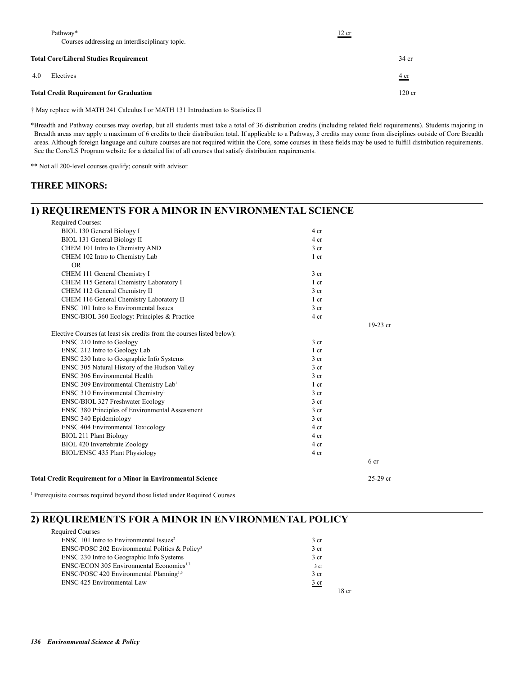|     | Pathway*<br>Courses addressing an interdisciplinary topic. | 12 cr |                        |
|-----|------------------------------------------------------------|-------|------------------------|
|     | <b>Total Core/Liberal Studies Requirement</b>              |       | $34$ cr                |
| 4.0 | Electives                                                  |       | $rac{4 \text{ cr}}{2}$ |
|     | <b>Total Credit Requirement for Graduation</b>             |       | $120$ cr               |

† May replace with MATH 241 Calculus I or MATH 131 Introduction to Statistics II

\*Breadth and Pathway courses may overlap, but all students must take a total of 36 distribution credits (including related field requirements). Students majoring in Breadth areas may apply a maximum of 6 credits to their distribution total. If applicable to a Pathway, 3 credits may come from disciplines outside of Core Breadth areas. Although foreign language and culture courses are not required within the Core, some courses in these fields may be used to fulfill distribution requirements. See the Core/LS Program website for a detailed list of all courses that satisfy distribution requirements.

\*\* Not all 200-level courses qualify; consult with advisor.

#### **THREE MINORS:**

### **1) REQUIREMENTS FOR A MINOR IN ENVIRONMENTAL SCIENCE**

| <b>Total Credit Requirement for a Minor in Environmental Science</b>   |                 | $25-29$ cr |
|------------------------------------------------------------------------|-----------------|------------|
|                                                                        |                 | 6 cr       |
| BIOL/ENSC 435 Plant Physiology                                         | 4 cr            |            |
| BIOL 420 Invertebrate Zoology                                          | 4 cr            |            |
| <b>BIOL 211 Plant Biology</b>                                          | 4 cr            |            |
| <b>ENSC 404 Environmental Toxicology</b>                               | 4 cr            |            |
| <b>ENSC 340 Epidemiology</b>                                           | 3 <sub>cr</sub> |            |
| ENSC 380 Principles of Environmental Assessment                        | 3 <sub>cr</sub> |            |
| ENSC/BIOL 327 Freshwater Ecology                                       | 3 <sub>cr</sub> |            |
| ENSC 310 Environmental Chemistry <sup>1</sup>                          | 3 <sub>cr</sub> |            |
| ENSC 309 Environmental Chemistry Lab1                                  | $1$ cr          |            |
| <b>ENSC 306 Environmental Health</b>                                   | 3 <sub>cr</sub> |            |
| ENSC 305 Natural History of the Hudson Valley                          | 3 <sub>cr</sub> |            |
| ENSC 230 Intro to Geographic Info Systems                              | 3 <sub>cr</sub> |            |
| ENSC 212 Intro to Geology Lab                                          | $1$ cr          |            |
| <b>ENSC 210 Intro to Geology</b>                                       | 3 <sub>cr</sub> |            |
| Elective Courses (at least six credits from the courses listed below): |                 |            |
|                                                                        |                 | $19-23$ cr |
| ENSC/BIOL 360 Ecology: Principles & Practice                           | 4 cr            |            |
| <b>ENSC 101 Intro to Environmental Issues</b>                          | 3 <sub>cr</sub> |            |
| CHEM 116 General Chemistry Laboratory II                               | $1$ cr          |            |
| CHEM 112 General Chemistry II                                          | 3 <sub>cr</sub> |            |
| CHEM 115 General Chemistry Laboratory I                                | $1$ cr          |            |
| CHEM 111 General Chemistry I                                           | 3 <sub>cr</sub> |            |
| OR.                                                                    |                 |            |
| CHEM 102 Intro to Chemistry Lab                                        | 1 cr            |            |
| CHEM 101 Intro to Chemistry AND                                        | 3 cr            |            |
| BIOL 131 General Biology II                                            | 4 cr            |            |
| BIOL 130 General Biology I                                             | 4 cr            |            |
| Required Courses:                                                      |                 |            |

<sup>1</sup> Prerequisite courses required beyond those listed under Required Courses

## **2) REQUIREMENTS FOR A MINOR IN ENVIRONMENTAL POLICY**

| $ENSC 101$ Intro to Environmental Issues <sup>2</sup>      | 3 cr            |
|------------------------------------------------------------|-----------------|
| ENSC/POSC 202 Environmental Politics & Policy <sup>3</sup> | 3 <sub>cr</sub> |
| ENSC 230 Intro to Geographic Info Systems                  | 3 <sub>cr</sub> |
| ENSC/ECON 305 Environmental Economics <sup>1,3</sup>       | 3 cr            |
| ENSC/POSC 420 Environmental Planning <sup>1,3</sup>        | 3 <sub>cr</sub> |
| <b>ENSC 425 Environmental Law</b>                          | $rac{3}{2}$ cr  |
|                                                            |                 |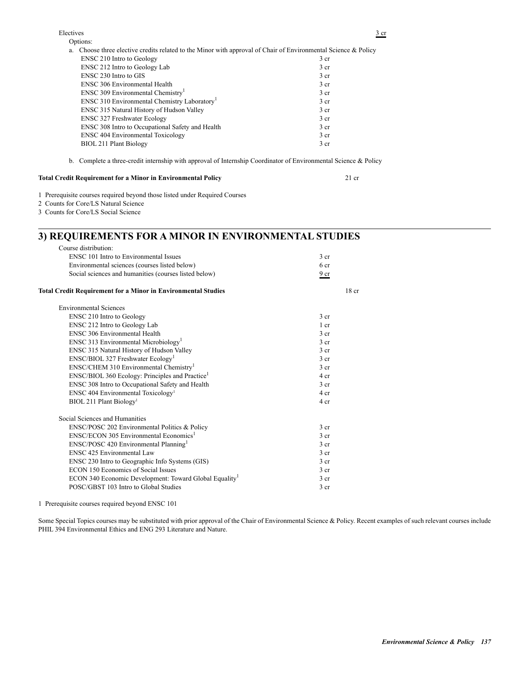Options: a. Choose three elective credits related to the Minor with approval of Chair of Environmental Science & Policy

| . .                                                      |                 |
|----------------------------------------------------------|-----------------|
| ENSC 210 Intro to Geology                                | 3 <sub>cr</sub> |
| <b>ENSC 212 Intro to Geology Lab</b>                     | 3 <sub>cr</sub> |
| ENSC 230 Intro to GIS                                    | 3 <sub>cr</sub> |
| <b>ENSC 306 Environmental Health</b>                     | 3 <sub>cr</sub> |
| ENSC 309 Environmental Chemistry <sup>1</sup>            | 3 <sub>cr</sub> |
| ENSC 310 Environmental Chemistry Laboratory <sup>1</sup> | 3 <sub>cr</sub> |
| ENSC 315 Natural History of Hudson Valley                | 3 <sub>cr</sub> |
| <b>ENSC 327 Freshwater Ecology</b>                       | 3 <sub>cr</sub> |
| ENSC 308 Intro to Occupational Safety and Health         | 3 <sub>cr</sub> |
| <b>ENSC 404 Environmental Toxicology</b>                 | 3 <sub>cr</sub> |
| BIOL 211 Plant Biology                                   | 3 <sub>cr</sub> |
|                                                          |                 |

b. Complete a three-credit internship with approval of Internship Coordinator of Environmental Science & Policy

#### **Total Credit Requirement for a Minor in Environmental Policy** 21 cr

- 1 Prerequisite courses required beyond those listed under Required Courses
- 2 Counts for Core/LS Natural Science
- 3 Counts for Core/LS Social Science

## **3) REQUIREMENTS FOR A MINOR IN ENVIRONMENTAL STUDIES**

| Course distribution:                                                 |                  |
|----------------------------------------------------------------------|------------------|
| ENSC 101 Intro to Environmental Issues                               | 3 <sub>cr</sub>  |
| Environmental sciences (courses listed below)                        | 6 cr             |
| Social sciences and humanities (courses listed below)                | 9 <sub>cr</sub>  |
| <b>Total Credit Requirement for a Minor in Environmental Studies</b> | 18 <sub>cr</sub> |
| <b>Environmental Sciences</b>                                        |                  |
| <b>ENSC 210 Intro to Geology</b>                                     | 3 <sub>cr</sub>  |
| ENSC 212 Intro to Geology Lab                                        | 1 <sub>cr</sub>  |
| ENSC 306 Environmental Health                                        | 3 <sub>cr</sub>  |
| ENSC 313 Environmental Microbiology <sup>1</sup>                     | 3 <sub>cr</sub>  |
| ENSC 315 Natural History of Hudson Valley                            | 3 <sub>cr</sub>  |
| ENSC/BIOL 327 Freshwater Ecology <sup>1</sup>                        | 3 <sub>cr</sub>  |
| $ENSC/CHEM$ 310 Environmental Chemistry <sup>1</sup>                 | 3 <sub>cr</sub>  |
| ENSC/BIOL 360 Ecology: Principles and Practice <sup>1</sup>          | 4 cr             |
| ENSC 308 Intro to Occupational Safety and Health                     | 3 <sub>cr</sub>  |
| ENSC 404 Environmental Toxicology <sup>1</sup>                       | 4 cr             |
| BIOL 211 Plant Biology <sup>1</sup>                                  | 4 cr             |
| Social Sciences and Humanities                                       |                  |
| ENSC/POSC 202 Environmental Politics & Policy                        | 3 <sub>cr</sub>  |
| ENSC/ECON 305 Environmental Economics <sup>1</sup>                   | 3 <sub>cr</sub>  |
| ENSC/POSC 420 Environmental Planning <sup>1</sup>                    | 3 <sub>cr</sub>  |
| ENSC 425 Environmental Law                                           | 3 <sub>cr</sub>  |
| ENSC 230 Intro to Geographic Info Systems (GIS)                      | 3 <sub>cr</sub>  |
| <b>ECON 150 Economics of Social Issues</b>                           | 3 <sub>cr</sub>  |
| ECON 340 Economic Development: Toward Global Equality <sup>1</sup>   | 3 <sub>cr</sub>  |
| POSC/GBST 103 Intro to Global Studies                                | 3 cr             |

1 Prerequisite courses required beyond ENSC 101

Some Special Topics courses may be substituted with prior approval of the Chair of Environmental Science & Policy. Recent examples of such relevant courses include PHIL 394 Environmental Ethics and ENG 293 Literature and Nature.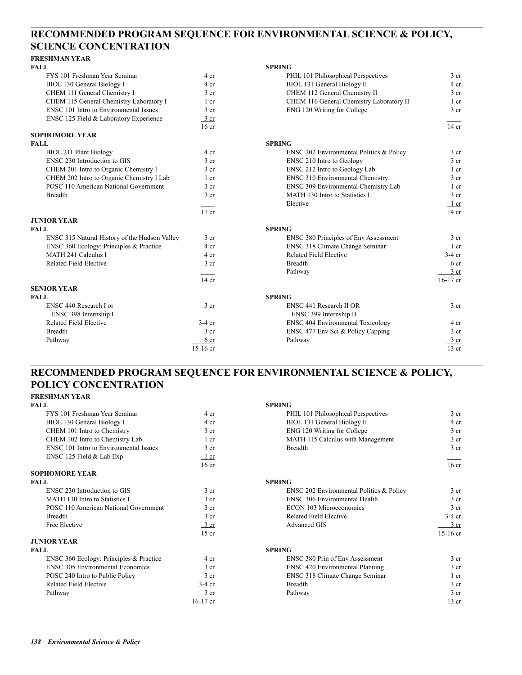## **RECOMMENDED PROGRAM SEQUENCE FOR ENVIRONMENTAL SCIENCE & POLICY, SCIENCE CONCENTRATION**

### **FRESHMAN YEAR**

| <b>FALL</b>                                   |                  | <b>SPRING</b>                                |                 |
|-----------------------------------------------|------------------|----------------------------------------------|-----------------|
| FYS 101 Freshman Year Seminar                 | 4 cr             | PHIL 101 Philosophical Perspectives          | 3 <sub>cr</sub> |
| BIOL 130 General Biology I                    | 4 cr             | BIOL 131 General Biology II                  | 4 cr            |
| CHEM 111 General Chemistry I                  | 3 <sub>cr</sub>  | CHEM 112 General Chemistry II                | 3 <sub>cr</sub> |
| CHEM 115 General Chemistry Laboratory I       | 1 cr             | CHEM 116 General Chemistry Laboratory II     | $1$ cr          |
| <b>ENSC 101 Intro to Environmental Issues</b> | 3 <sub>cr</sub>  | ENG 120 Writing for College                  | 3 <sub>cr</sub> |
| ENSC 125 Field & Laboratory Experience        | $3$ cr           |                                              |                 |
|                                               | 16 <sub>cr</sub> |                                              | $14$ cr         |
| <b>SOPHOMORE YEAR</b>                         |                  |                                              |                 |
| <b>FALL</b>                                   |                  | <b>SPRING</b>                                |                 |
| <b>BIOL 211 Plant Biology</b>                 | 4 cr             | ENSC 202 Environmental Politics & Policy     | 3 <sub>cr</sub> |
| ENSC 230 Introduction to GIS                  | 3 <sub>cr</sub>  | ENSC 210 Intro to Geology                    | 3 <sub>cr</sub> |
| CHEM 201 Intro to Organic Chemistry I         | 3 <sub>cr</sub>  | ENSC 212 Intro to Geology Lab                | $1$ cr          |
| CHEM 202 Intro to Organic Chemistry I Lab     | 1 <sub>cr</sub>  | <b>ENSC 310 Environmental Chemistry</b>      | 3 <sub>cr</sub> |
| POSC 110 American National Government         | 3 <sub>cr</sub>  | ENSC 309 Environmental Chemistry Lab         | $1$ cr          |
| <b>Breadth</b>                                | 3 <sub>cr</sub>  | MATH 130 Intro to Statistics I               | 3 <sub>cr</sub> |
|                                               |                  | Elective                                     | 1 cr            |
|                                               | $17$ cr          |                                              | $14$ cr         |
| <b>JUNIOR YEAR</b>                            |                  |                                              |                 |
| <b>FALL</b>                                   |                  | <b>SPRING</b>                                |                 |
| ENSC 315 Natural History of the Hudson Valley | 3 cr             | <b>ENSC 380 Principles of Env Assessment</b> | 3 <sub>cr</sub> |
| ENSC 360 Ecology: Principles & Practice       | 4 cr             | ENSC 318 Climate Change Seminar              | $1$ cr          |
| MATH 241 Calculus I                           | 4 cr             | Related Field Elective                       | $3-4$ cr        |
| <b>Related Field Elective</b>                 | 3 <sub>cr</sub>  | <b>Breadth</b>                               | 6 <sub>cr</sub> |
|                                               |                  | Pathway                                      | 3 <sub>cr</sub> |
|                                               | $14$ cr          |                                              | $16-17$ cr      |
| <b>SENIOR YEAR</b>                            |                  |                                              |                 |
| FALL                                          |                  | <b>SPRING</b>                                |                 |
| ENSC 440 Research I or                        | 3 <sub>cr</sub>  | ENSC 441 Research II OR                      | 3 cr            |
| ENSC 398 Internship I                         |                  | ENSC 399 Internship II                       |                 |
| <b>Related Field Elective</b>                 | $3-4$ cr         | <b>ENSC 404 Environmental Toxicology</b>     | 4 cr            |
| <b>Breadth</b>                                | 3 <sub>cr</sub>  | ENSC 477 Env Sci & Policy Capping            | 3 <sub>cr</sub> |
| Pathway                                       | 6 cr             | Pathway                                      | 3 <sub>cr</sub> |
|                                               | $15-16$ cr       |                                              | $13$ cr         |

## **RECOMMENDED PROGRAM SEQUENCE FOR ENVIRONMENTAL SCIENCE & POLICY, POLICY CONCENTRATION**

#### **FRESHMAN YEAR**

| <b>FALL</b>                                   |                  | <b>SPRING</b>                            |                  |
|-----------------------------------------------|------------------|------------------------------------------|------------------|
| FYS 101 Freshman Year Seminar                 | 4 cr             | PHIL 101 Philosophical Perspectives      | 3 <sub>cr</sub>  |
| BIOL 130 General Biology I                    | 4 cr             | BIOL 131 General Biology II              | 4 cr             |
| CHEM 101 Intro to Chemistry                   | 3 <sub>cr</sub>  | ENG 120 Writing for College              | 3 <sub>cr</sub>  |
| CHEM 102 Intro to Chemistry Lab               | $1$ cr           | MATH 115 Calculus with Management        | 3 <sub>cr</sub>  |
| <b>ENSC 101 Intro to Environmental Issues</b> | 3 <sub>cr</sub>  | <b>Breadth</b>                           | 3 <sub>cr</sub>  |
| ENSC 125 Field & Lab Exp                      | $1$ cr           |                                          |                  |
|                                               | 16 <sub>cr</sub> |                                          | 16 <sub>cr</sub> |
| <b>SOPHOMORE YEAR</b>                         |                  |                                          |                  |
| <b>FALL</b>                                   |                  | <b>SPRING</b>                            |                  |
| ENSC 230 Introduction to GIS                  | 3 <sub>cr</sub>  | ENSC 202 Environmental Politics & Policy | 3 <sub>cr</sub>  |
| MATH 130 Intro to Statistics I                | 3 <sub>cr</sub>  | <b>ENSC 306 Environmental Health</b>     | 3 <sub>cr</sub>  |
| POSC 110 American National Government         | 3 <sub>cr</sub>  | <b>ECON 103 Microeconomics</b>           | 3 <sub>cr</sub>  |
| <b>Breadth</b>                                | 3 <sub>cr</sub>  | <b>Related Field Elective</b>            | $3-4$ cr         |
| Free Elective                                 | $\frac{3}{ }$ cr | <b>Advanced GIS</b>                      | 3 <sub>cr</sub>  |
|                                               | $15$ cr          |                                          | $15-16$ cr       |
| <b>JUNIOR YEAR</b>                            |                  |                                          |                  |
| <b>FALL</b>                                   |                  | <b>SPRING</b>                            |                  |
| ENSC 360 Ecology: Principles & Practice       | 4 cr             | <b>ENSC 380 Prin of Env Assessment</b>   | 3 <sub>cr</sub>  |
| <b>ENSC 305 Environmental Economics</b>       | 3 <sub>cr</sub>  | ENSC 420 Environmental Planning          | 3 <sub>cr</sub>  |
| POSC 240 Intro to Public Policy               | 3 <sub>cr</sub>  | ENSC 318 Climate Change Seminar          | 1 cr             |
| Related Field Elective                        | $3-4$ cr         | <b>Breadth</b>                           | 3 <sub>cr</sub>  |
| Pathway                                       | 3 cr             | Pathway                                  | 3 cr             |
|                                               | $16-17$ cr       |                                          | $13$ cr          |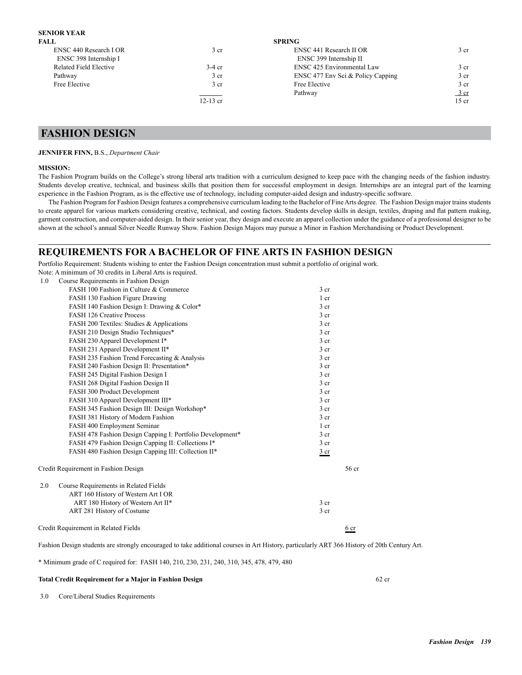#### **SENIOR YEAR**

| 3 <sub>cr</sub> | ENSC 441 Research II OR           | 3 <sub>cr</sub> |
|-----------------|-----------------------------------|-----------------|
|                 | ENSC 399 Internship II            |                 |
| $3-4$ cr        | <b>ENSC 425 Environmental Law</b> | 3 <sub>cr</sub> |
| 3 <sub>cr</sub> | ENSC 477 Env Sci & Policy Capping | 3 <sub>cr</sub> |
| 3 <sub>cr</sub> | Free Elective                     | 3 cr            |
|                 | Pathway                           | 3 cr            |
| $12-13$ cr      |                                   | $15$ cr         |
|                 |                                   | <b>SPRING</b>   |

### **FASHION DESIGN**

#### **JENNIFER FINN,** B.S., *Department Chair*

#### **MISSION:**

The Fashion Program builds on the College's strong liberal arts tradition with a curriculum designed to keep pace with the changing needs of the fashion industry. Students develop creative, technical, and business skills that position them for successful employment in design. Internships are an integral part of the learning experience in the Fashion Program, as is the effective use of technology, including computer-aided design and industry-specific software.

The Fashion Program for Fashion Design features a comprehensive curriculum leading to the Bachelor of Fine Arts degree. The Fashion Design major trains students to create apparel for various markets considering creative, technical, and costing factors. Students develop skills in design, textiles, draping and flat pattern making, garment construction, and computer-aided design. In their senior year, they design and execute an apparel collection under the guidance of a professional designer to be shown at the school's annual Silver Needle Runway Show. Fashion Design Majors may pursue a Minor in Fashion Merchandising or Product Development.

#### **REQUIREMENTS FOR A BACHELOR OF FINE ARTS IN FASHION DESIGN**

Portfolio Requirement: Students wishing to enter the Fashion Design concentration must submit a portfolio of original work. Note: A minimum of 30 credits in Liberal Arts is required.

| 1.0 | Course Requirements in Fashion Design                     |                 |       |
|-----|-----------------------------------------------------------|-----------------|-------|
|     | FASH 100 Fashion in Culture & Commerce                    | 3 <sub>cr</sub> |       |
|     | FASH 130 Fashion Figure Drawing                           | 1 cr            |       |
|     | FASH 140 Fashion Design I: Drawing & Color*               | 3 <sub>cr</sub> |       |
|     | FASH 126 Creative Process                                 | 3 <sub>cr</sub> |       |
|     | FASH 200 Textiles: Studies & Applications                 | 3 <sub>cr</sub> |       |
|     | FASH 210 Design Studio Techniques*                        | 3 <sub>cr</sub> |       |
|     | FASH 230 Apparel Development I*                           | 3 <sub>cr</sub> |       |
|     | FASH 231 Apparel Development II*                          | 3 <sub>cr</sub> |       |
|     | FASH 235 Fashion Trend Forecasting & Analysis             | 3 <sub>cr</sub> |       |
|     | FASH 240 Fashion Design II: Presentation*                 | 3 <sub>cr</sub> |       |
|     | FASH 245 Digital Fashion Design I                         | 3 <sub>cr</sub> |       |
|     | FASH 268 Digital Fashion Design II                        | 3 <sub>cr</sub> |       |
|     | FASH 300 Product Development                              | 3 <sub>cr</sub> |       |
|     | FASH 310 Apparel Development III*                         | 3 cr            |       |
|     | FASH 345 Fashion Design III: Design Workshop*             | 3 <sub>cr</sub> |       |
|     | FASH 381 History of Modern Fashion                        | 3 <sub>cr</sub> |       |
|     | FASH 400 Employment Seminar                               | 1 cr            |       |
|     | FASH 478 Fashion Design Capping I: Portfolio Development* | 3 <sub>cr</sub> |       |
|     | FASH 479 Fashion Design Capping II: Collections I*        | 3 <sub>cr</sub> |       |
|     | FASH 480 Fashion Design Capping III: Collection II*       | 3 cr            |       |
|     | Credit Requirement in Fashion Design                      |                 | 56 cr |
| 2.0 | Course Requirements in Related Fields                     |                 |       |
|     | ART 160 History of Western Art I OR                       |                 |       |
|     | ART 180 History of Western Art II*                        | 3 <sub>cr</sub> |       |
|     | ART 281 History of Costume                                | 3 <sub>cr</sub> |       |
|     | Credit Requirement in Related Fields                      |                 | 6 cr  |

Fashion Design students are strongly encouraged to take additional courses in Art History, particularly ART 366 History of 20th Century Art.

\* Minimum grade of C required for: FASH 140, 210, 230, 231, 240, 310, 345, 478, 479, 480

#### **Total Credit Requirement for a Major in Fashion Design 62 credit and Service 2 credit Requirement for a Major in Fashion Design 62 credit Requirement for a Major in Fashion Design 62 credit Requirement for a Major in Fash**

3.0 Core/Liberal Studies Requirements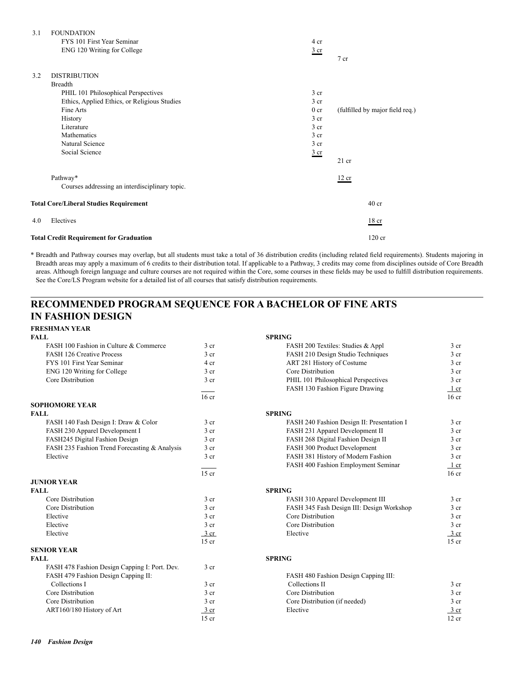| 3.1 | <b>FOUNDATION</b>                              |                 |                                 |
|-----|------------------------------------------------|-----------------|---------------------------------|
|     | FYS 101 First Year Seminar                     | 4 cr            |                                 |
|     | ENG 120 Writing for College                    | $rac{3}{2}$ cr  | 7 cr                            |
| 3.2 | <b>DISTRIBUTION</b>                            |                 |                                 |
|     | <b>Breadth</b>                                 |                 |                                 |
|     | PHIL 101 Philosophical Perspectives            | 3 <sub>cr</sub> |                                 |
|     | Ethics, Applied Ethics, or Religious Studies   | 3 <sub>cr</sub> |                                 |
|     | Fine Arts                                      | 0 <sub>cr</sub> | (fulfilled by major field req.) |
|     | History                                        | 3 <sub>cr</sub> |                                 |
|     | Literature                                     | 3 <sub>cr</sub> |                                 |
|     | Mathematics                                    | 3 <sub>cr</sub> |                                 |
|     | Natural Science                                | 3 <sub>cr</sub> |                                 |
|     | Social Science                                 | $rac{3}{2}$ cr  |                                 |
|     |                                                |                 | $21$ cr                         |
|     | Pathway*                                       |                 | 12 cr                           |
|     | Courses addressing an interdisciplinary topic. |                 |                                 |
|     | <b>Total Core/Liberal Studies Requirement</b>  |                 | 40 <sub>cr</sub>                |
| 4.0 | Electives                                      |                 | 18 <sub>cr</sub>                |
|     | <b>Total Credit Requirement for Graduation</b> |                 | $120$ cr                        |

\* Breadth and Pathway courses may overlap, but all students must take a total of 36 distribution credits (including related field requirements). Students majoring in Breadth areas may apply a maximum of 6 credits to their distribution total. If applicable to a Pathway, 3 credits may come from disciplines outside of Core Breadth areas. Although foreign language and culture courses are not required within the Core, some courses in these fields may be used to fulfill distribution requirements. See the Core/LS Program website for a detailed list of all courses that satisfy distribution requirements.

#### **RECOMMENDED PROGRAM SEQUENCE FOR A BACHELOR OF FINE ARTS IN FASHION DESIGN**

**FRESHMAN YEAR**

| <b>FALL</b>                                   |                  | <b>SPRING</b>                              |                  |
|-----------------------------------------------|------------------|--------------------------------------------|------------------|
| FASH 100 Fashion in Culture & Commerce        | 3 cr             | FASH 200 Textiles: Studies & Appl          | 3 <sub>cr</sub>  |
| <b>FASH 126 Creative Process</b>              | 3 <sub>cr</sub>  | FASH 210 Design Studio Techniques          | 3 <sub>cr</sub>  |
| FYS 101 First Year Seminar                    | 4 cr             | ART 281 History of Costume                 | 3 <sub>cr</sub>  |
| ENG 120 Writing for College                   | 3 <sub>cr</sub>  | Core Distribution                          | 3 <sub>cr</sub>  |
| Core Distribution                             | $3$ cr           | PHIL 101 Philosophical Perspectives        | 3 <sub>cr</sub>  |
|                                               |                  | FASH 130 Fashion Figure Drawing            | 1 cr             |
|                                               | 16 <sub>cr</sub> |                                            | 16 <sub>cr</sub> |
| <b>SOPHOMORE YEAR</b>                         |                  |                                            |                  |
| <b>FALL</b>                                   |                  | <b>SPRING</b>                              |                  |
| FASH 140 Fash Design I: Draw & Color          | 3 <sub>cr</sub>  | FASH 240 Fashion Design II: Presentation I | 3 <sub>cr</sub>  |
| FASH 230 Apparel Development I                | 3 <sub>cr</sub>  | FASH 231 Apparel Development II            | 3 <sub>cr</sub>  |
| FASH245 Digital Fashion Design                | 3 <sub>cr</sub>  | FASH 268 Digital Fashion Design II         | 3 <sub>cr</sub>  |
| FASH 235 Fashion Trend Forecasting & Analysis | 3 <sub>cr</sub>  | FASH 300 Product Development               | 3 <sub>cr</sub>  |
| Elective                                      | $3$ cr           | FASH 381 History of Modern Fashion         | 3 <sub>cr</sub>  |
|                                               |                  | FASH 400 Fashion Employment Seminar        | 1 cr             |
|                                               | $15$ cr          |                                            | 16 <sub>cr</sub> |
| <b>JUNIOR YEAR</b>                            |                  |                                            |                  |
| <b>FALL</b>                                   |                  | <b>SPRING</b>                              |                  |
| Core Distribution                             | 3 <sub>cr</sub>  | FASH 310 Apparel Development III           | 3 <sub>cr</sub>  |
| Core Distribution                             | 3 <sub>cr</sub>  | FASH 345 Fash Design III: Design Workshop  | 3 <sub>cr</sub>  |
| Elective                                      | $3$ cr           | Core Distribution                          | 3 <sub>cr</sub>  |
| Elective                                      | $3$ cr           | Core Distribution                          | 3 <sub>cr</sub>  |
| Elective                                      | $\frac{3}{ }$ cr | Elective                                   | $\frac{3}{ }$ cr |
|                                               | $15$ cr          |                                            | $15$ cr          |
| <b>SENIOR YEAR</b>                            |                  |                                            |                  |
| <b>FALL</b>                                   |                  | <b>SPRING</b>                              |                  |
| FASH 478 Fashion Design Capping I: Port. Dev. | 3 <sub>cr</sub>  |                                            |                  |
| FASH 479 Fashion Design Capping II:           |                  | FASH 480 Fashion Design Capping III:       |                  |
| Collections I                                 | $3$ cr           | Collections II                             | 3 <sub>cr</sub>  |
| Core Distribution                             | 3 <sub>cr</sub>  | Core Distribution                          | 3 <sub>cr</sub>  |
| Core Distribution                             | 3 <sub>cr</sub>  | Core Distribution (if needed)              | 3 <sub>cr</sub>  |
| ART160/180 History of Art                     | 3 cr             | Elective                                   | 3 <sub>cr</sub>  |
|                                               | $15$ cr          |                                            | $12$ cr          |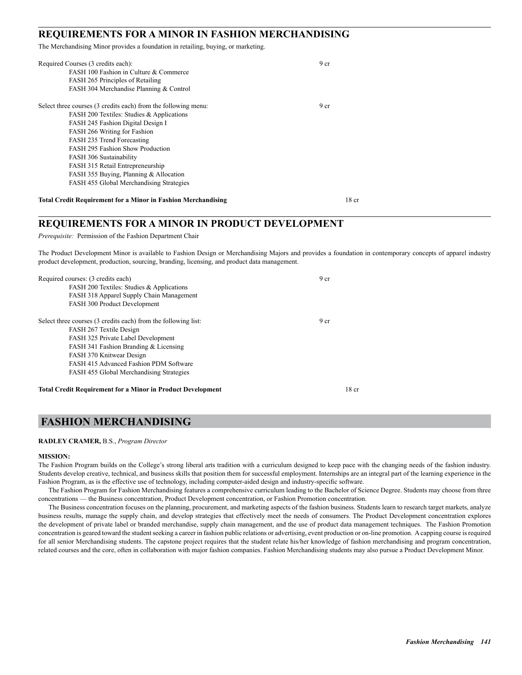#### **REQUIREMENTS FOR A MINOR IN FASHION MERCHANDISING**

The Merchandising Minor provides a foundation in retailing, buying, or marketing.

| Required Courses (3 credits each):                                   | 9 <sub>cr</sub>  |
|----------------------------------------------------------------------|------------------|
| FASH 100 Fashion in Culture & Commerce                               |                  |
| FASH 265 Principles of Retailing                                     |                  |
| FASH 304 Merchandise Planning & Control                              |                  |
| Select three courses (3 credits each) from the following menu:       | 9 cr             |
| FASH 200 Textiles: Studies & Applications                            |                  |
| FASH 245 Fashion Digital Design I                                    |                  |
| FASH 266 Writing for Fashion                                         |                  |
| FASH 235 Trend Forecasting                                           |                  |
| <b>FASH 295 Fashion Show Production</b>                              |                  |
| FASH 306 Sustainability                                              |                  |
| FASH 315 Retail Entrepreneurship                                     |                  |
| FASH 355 Buying, Planning & Allocation                               |                  |
| FASH 455 Global Merchandising Strategies                             |                  |
| <b>Total Credit Requirement for a Minor in Fashion Merchandising</b> | 18 <sub>cr</sub> |

#### **REQUIREMENTS FOR A MINOR IN PRODUCT DEVELOPMENT**

*Prerequisite:* Permission of the Fashion Department Chair

The Product Development Minor is available to Fashion Design or Merchandising Majors and provides a foundation in contemporary concepts of apparel industry product development, production, sourcing, branding, licensing, and product data management.

| Required courses: (3 credits each)                                 | 9 <sub>cr</sub> |       |
|--------------------------------------------------------------------|-----------------|-------|
| FASH 200 Textiles: Studies & Applications                          |                 |       |
| FASH 318 Apparel Supply Chain Management                           |                 |       |
| FASH 300 Product Development                                       |                 |       |
| Select three courses (3 credits each) from the following list:     | 9 <sub>cr</sub> |       |
| FASH 267 Textile Design                                            |                 |       |
| FASH 325 Private Label Development                                 |                 |       |
| FASH 341 Fashion Branding & Licensing                              |                 |       |
| FASH 370 Knitwear Design                                           |                 |       |
| FASH 415 Advanced Fashion PDM Software                             |                 |       |
| <b>FASH 455 Global Merchandising Strategies</b>                    |                 |       |
| <b>Total Credit Requirement for a Minor in Product Development</b> |                 | 18 cr |

## **FASHION MERCHANDISING**

#### **RADLEY CRAMER,** B.S., *Program Director*

#### **MISSION:**

The Fashion Program builds on the College's strong liberal arts tradition with a curriculum designed to keep pace with the changing needs of the fashion industry. Students develop creative, technical, and business skills that position them for successful employment. Internships are an integral part of the learning experience in the Fashion Program, as is the effective use of technology, including computer-aided design and industry-specific software.

The Fashion Program for Fashion Merchandising features a comprehensive curriculum leading to the Bachelor of Science Degree. Students may choose from three concentrations — the Business concentration, Product Development concentration, or Fashion Promotion concentration.

The Business concentration focuses on the planning, procurement, and marketing aspects of the fashion business. Students learn to research target markets, analyze business results, manage the supply chain, and develop strategies that effectively meet the needs of consumers. The Product Development concentration explores the development of private label or branded merchandise, supply chain management, and the use of product data management techniques. The Fashion Promotion concentration is geared toward the student seeking a career in fashion public relations or advertising, event production or on-line promotion. A capping course is required for all senior Merchandising students. The capstone project requires that the student relate his/her knowledge of fashion merchandising and program concentration, related courses and the core, often in collaboration with major fashion companies. Fashion Merchandising students may also pursue a Product Development Minor.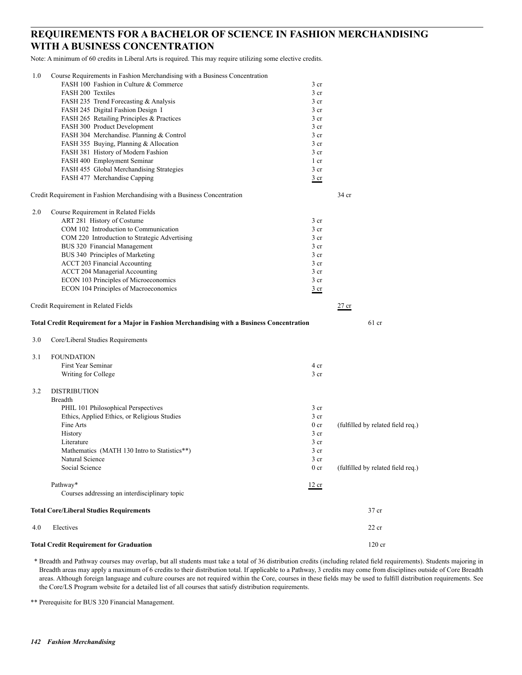## **REQUIREMENTS FOR A BACHELOR OF SCIENCE IN FASHION MERCHANDISING WITH A BUSINESS CONCENTRATION**

Note: A minimum of 60 credits in Liberal Arts is required. This may require utilizing some elective credits.

|     | <b>Total Credit Requirement for Graduation</b>                                              |                                    | 120 cr                            |
|-----|---------------------------------------------------------------------------------------------|------------------------------------|-----------------------------------|
| 4.0 | Electives                                                                                   |                                    | $22$ cr                           |
|     | <b>Total Core/Liberal Studies Requirements</b>                                              |                                    | 37 cr                             |
|     | Pathway*<br>Courses addressing an interdisciplinary topic                                   | 12 cr                              |                                   |
|     |                                                                                             |                                    |                                   |
|     | Social Science                                                                              | 0 <sub>cr</sub>                    | (fulfilled by related field req.) |
|     | Natural Science                                                                             | 3 cr                               |                                   |
|     | Mathematics (MATH 130 Intro to Statistics**)                                                | 3 cr                               |                                   |
|     | Literature                                                                                  | 3 cr                               |                                   |
|     | History                                                                                     | 3 <sub>cr</sub>                    | (fulfilled by related field req.) |
|     | Ethics, Applied Ethics, or Religious Studies<br>Fine Arts                                   | 3 <sub>cr</sub><br>0 <sub>cr</sub> |                                   |
|     | PHIL 101 Philosophical Perspectives                                                         | 3 <sub>cr</sub>                    |                                   |
|     | <b>Breadth</b>                                                                              |                                    |                                   |
| 3.2 | <b>DISTRIBUTION</b>                                                                         |                                    |                                   |
|     |                                                                                             |                                    |                                   |
|     | Writing for College                                                                         | 3 <sub>cr</sub>                    |                                   |
|     | First Year Seminar                                                                          | 4 cr                               |                                   |
| 3.1 | <b>FOUNDATION</b>                                                                           |                                    |                                   |
| 3.0 | Core/Liberal Studies Requirements                                                           |                                    |                                   |
|     | Total Credit Requirement for a Major in Fashion Merchandising with a Business Concentration |                                    | $61$ cr                           |
|     | Credit Requirement in Related Fields                                                        |                                    | $27$ cr                           |
|     | ECON 104 Principles of Macroeconomics                                                       | $rac{3}{2}$ cr                     |                                   |
|     | ECON 103 Principles of Microeconomics                                                       | 3 <sub>cr</sub>                    |                                   |
|     | ACCT 204 Managerial Accounting                                                              | 3 <sub>cr</sub>                    |                                   |
|     | <b>ACCT 203 Financial Accounting</b>                                                        | 3 <sub>cr</sub>                    |                                   |
|     | BUS 340 Principles of Marketing                                                             | 3 cr                               |                                   |
|     | BUS 320 Financial Management                                                                | 3 <sub>cr</sub>                    |                                   |
|     | COM 220 Introduction to Strategic Advertising                                               | 3 <sub>cr</sub>                    |                                   |
|     | COM 102 Introduction to Communication                                                       | 3 <sub>cr</sub>                    |                                   |
|     | ART 281 History of Costume                                                                  | 3 cr                               |                                   |
| 2.0 | Course Requirement in Related Fields                                                        |                                    |                                   |
|     | Credit Requirement in Fashion Merchandising with a Business Concentration                   |                                    | 34 cr                             |
|     | FASH 477 Merchandise Capping                                                                | $rac{3}{2}$ cr                     |                                   |
|     | FASH 455 Global Merchandising Strategies                                                    | 3 <sub>cr</sub>                    |                                   |
|     | FASH 400 Employment Seminar                                                                 | 1 cr                               |                                   |
|     | FASH 381 History of Modern Fashion                                                          | 3 cr                               |                                   |
|     | FASH 355 Buying, Planning & Allocation                                                      | 3 <sub>cr</sub>                    |                                   |
|     | FASH 304 Merchandise. Planning & Control                                                    | 3 <sub>cr</sub>                    |                                   |
|     | FASH 300 Product Development                                                                | 3 cr                               |                                   |
|     | FASH 265 Retailing Principles & Practices                                                   | 3 cr                               |                                   |
|     | FASH 245 Digital Fashion Design I                                                           | 3 cr                               |                                   |
|     | FASH 235 Trend Forecasting & Analysis                                                       | 3 cr                               |                                   |
|     | <b>FASH 200 Textiles</b>                                                                    | 3 <sub>cr</sub>                    |                                   |
|     |                                                                                             |                                    |                                   |
|     | FASH 100 Fashion in Culture & Commerce                                                      | 3 cr                               |                                   |

 \* Breadth and Pathway courses may overlap, but all students must take a total of 36 distribution credits (including related field requirements). Students majoring in Breadth areas may apply a maximum of 6 credits to their distribution total. If applicable to a Pathway, 3 credits may come from disciplines outside of Core Breadth areas. Although foreign language and culture courses are not required within the Core, courses in these fields may be used to fulfill distribution requirements. See the Core/LS Program website for a detailed list of all courses that satisfy distribution requirements.

\*\* Prerequisite for BUS 320 Financial Management.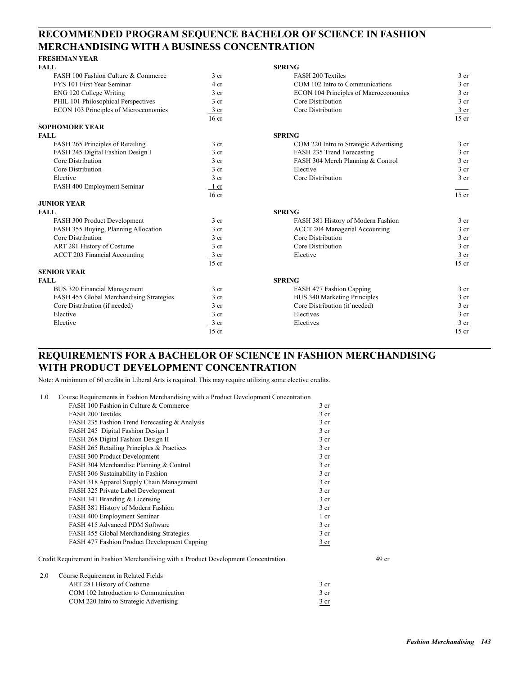## **RECOMMENDED PROGRAM SEQUENCE BACHELOR OF SCIENCE IN FASHION MERCHANDISING WITH A BUSINESS CONCENTRATION**

#### **FRESHMAN YEAR**

| <b>FALL</b>                              |                  | <b>SPRING</b>                          |                  |
|------------------------------------------|------------------|----------------------------------------|------------------|
| FASH 100 Fashion Culture & Commerce      | 3 <sub>cr</sub>  | <b>FASH 200 Textiles</b>               | $3$ cr           |
| FYS 101 First Year Seminar               | 4 cr             | COM 102 Intro to Communications        | 3 <sub>cr</sub>  |
| ENG 120 College Writing                  | 3 <sub>cr</sub>  | ECON 104 Principles of Macroeconomics  | 3 <sub>cr</sub>  |
| PHIL 101 Philosophical Perspectives      | 3 cr             | Core Distribution                      | 3 <sub>cr</sub>  |
| ECON 103 Principles of Microeconomics    | $3 \text{ cr}$   | Core Distribution                      | $\frac{3}{ }$ cr |
|                                          | 16 <sub>cr</sub> |                                        | $15$ cr          |
| <b>SOPHOMORE YEAR</b>                    |                  |                                        |                  |
| <b>FALL</b>                              |                  | <b>SPRING</b>                          |                  |
| FASH 265 Principles of Retailing         | 3 <sub>cr</sub>  | COM 220 Intro to Strategic Advertising | 3 <sub>cr</sub>  |
| FASH 245 Digital Fashion Design I        | 3 cr             | FASH 235 Trend Forecasting             | 3 <sub>cr</sub>  |
| Core Distribution                        | 3 <sub>cr</sub>  | FASH 304 Merch Planning & Control      | 3 <sub>cr</sub>  |
| Core Distribution                        | 3 <sub>cr</sub>  | Elective                               | 3 <sub>cr</sub>  |
| Elective                                 | 3 cr             | Core Distribution                      | 3 <sub>cr</sub>  |
| FASH 400 Employment Seminar              | 1 cr             |                                        |                  |
|                                          | 16 <sub>cr</sub> |                                        | $15$ cr          |
| <b>JUNIOR YEAR</b>                       |                  |                                        |                  |
| <b>FALL</b>                              |                  | <b>SPRING</b>                          |                  |
| FASH 300 Product Development             | 3 <sub>cr</sub>  | FASH 381 History of Modern Fashion     | 3 cr             |
| FASH 355 Buying, Planning Allocation     | 3 <sub>cr</sub>  | <b>ACCT 204 Managerial Accounting</b>  | 3 <sub>cr</sub>  |
| Core Distribution                        | 3 <sub>cr</sub>  | Core Distribution                      | 3 <sub>cr</sub>  |
| ART 281 History of Costume               | 3 <sub>cr</sub>  | Core Distribution                      | 3 <sub>cr</sub>  |
| <b>ACCT 203 Financial Accounting</b>     | $3 \text{ cr}$   | Elective                               | $\frac{3}{2}$ cr |
|                                          | $15$ cr          |                                        | $15$ cr          |
| <b>SENIOR YEAR</b>                       |                  |                                        |                  |
| <b>FALL</b>                              |                  | <b>SPRING</b>                          |                  |
| <b>BUS 320 Financial Management</b>      | 3 cr             | FASH 477 Fashion Capping               | 3 cr             |
| FASH 455 Global Merchandising Strategies | 3 <sub>cr</sub>  | BUS 340 Marketing Principles           | 3 <sub>cr</sub>  |
| Core Distribution (if needed)            | 3 cr             | Core Distribution (if needed)          | 3 <sub>cr</sub>  |
| Elective                                 | 3 <sub>cr</sub>  | Electives                              | 3 <sub>cr</sub>  |
| Elective                                 | $3 \text{ cr}$   | Electives                              | 3 cr             |
|                                          | $15$ cr          |                                        | $15$ cr          |

## **REQUIREMENTS FOR A BACHELOR OF SCIENCE IN FASHION MERCHANDISING WITH PRODUCT DEVELOPMENT CONCENTRATION**

Note: A minimum of 60 credits in Liberal Arts is required. This may require utilizing some elective credits.

| 1.0 | Course Requirements in Fashion Merchandising with a Product Development Concentration |                 |                  |
|-----|---------------------------------------------------------------------------------------|-----------------|------------------|
|     | FASH 100 Fashion in Culture & Commerce                                                | 3 <sub>cr</sub> |                  |
|     | <b>FASH 200 Textiles</b>                                                              | 3 <sub>cr</sub> |                  |
|     | FASH 235 Fashion Trend Forecasting & Analysis                                         | 3 <sub>cr</sub> |                  |
|     | FASH 245 Digital Fashion Design I                                                     | 3 <sub>cr</sub> |                  |
|     | FASH 268 Digital Fashion Design II                                                    | 3 <sub>cr</sub> |                  |
|     | FASH 265 Retailing Principles & Practices                                             | 3 <sub>cr</sub> |                  |
|     | FASH 300 Product Development                                                          | 3 <sub>cr</sub> |                  |
|     | FASH 304 Merchandise Planning & Control                                               | 3 <sub>cr</sub> |                  |
|     | FASH 306 Sustainability in Fashion                                                    | 3 <sub>cr</sub> |                  |
|     | FASH 318 Apparel Supply Chain Management                                              | 3 <sub>cr</sub> |                  |
|     | FASH 325 Private Label Development                                                    | 3 <sub>cr</sub> |                  |
|     | FASH 341 Branding & Licensing                                                         | 3 <sub>cr</sub> |                  |
|     | FASH 381 History of Modern Fashion                                                    | 3 <sub>cr</sub> |                  |
|     | FASH 400 Employment Seminar                                                           | 1 <sub>cr</sub> |                  |
|     | FASH 415 Advanced PDM Software                                                        | 3 <sub>cr</sub> |                  |
|     | FASH 455 Global Merchandising Strategies                                              | 3 <sub>cr</sub> |                  |
|     | FASH 477 Fashion Product Development Capping                                          | $rac{3}{2}$ cr  |                  |
|     | Credit Requirement in Fashion Merchandising with a Product Development Concentration  |                 | 49 <sub>cr</sub> |
|     | ווידונות נייה ממ                                                                      |                 |                  |

2.0 Course Requirement in Related Fields ART 281 History of Costume 3 cr COM 102 Introduction to Communication 3 cr COM 220 Intro to Strategic Advertising 3 cr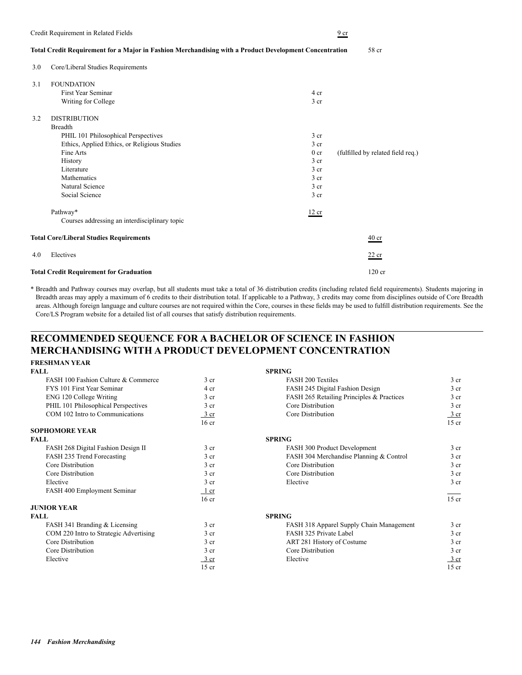#### **Total Credit Requirement for a Major in Fashion Merchandising with a Product Development Concentration** 58 cr

3.0 Core/Liberal Studies Requirements

| 3.1 | <b>FOUNDATION</b>                              |                 |                                   |
|-----|------------------------------------------------|-----------------|-----------------------------------|
|     | First Year Seminar                             | 4 cr            |                                   |
|     | Writing for College                            | 3 cr            |                                   |
| 3.2 | <b>DISTRIBUTION</b>                            |                 |                                   |
|     | <b>Breadth</b>                                 |                 |                                   |
|     | PHIL 101 Philosophical Perspectives            | 3 <sub>cr</sub> |                                   |
|     | Ethics, Applied Ethics, or Religious Studies   | 3 <sub>cr</sub> |                                   |
|     | Fine Arts                                      | 0 <sub>cr</sub> | (fulfilled by related field req.) |
|     | History                                        | $3$ cr          |                                   |
|     | Literature                                     | 3 <sub>cr</sub> |                                   |
|     | Mathematics                                    | 3 <sub>cr</sub> |                                   |
|     | Natural Science                                | 3 <sub>cr</sub> |                                   |
|     | Social Science                                 | $3$ cr          |                                   |
|     | Pathway*                                       | 12 cr           |                                   |
|     | Courses addressing an interdisciplinary topic  |                 |                                   |
|     | <b>Total Core/Liberal Studies Requirements</b> |                 | $40$ cr                           |
| 4.0 | Electives                                      |                 | $22$ cr                           |
|     | <b>Total Credit Requirement for Graduation</b> |                 | $120$ cr                          |

\* Breadth and Pathway courses may overlap, but all students must take a total of 36 distribution credits (including related field requirements). Students majoring in Breadth areas may apply a maximum of 6 credits to their distribution total. If applicable to a Pathway, 3 credits may come from disciplines outside of Core Breadth areas. Although foreign language and culture courses are not required within the Core, courses in these fields may be used to fulfill distribution requirements. See the Core/LS Program website for a detailed list of all courses that satisfy distribution requirements.

### **RECOMMENDED SEQUENCE FOR A BACHELOR OF SCIENCE IN FASHION MERCHANDISING WITH A PRODUCT DEVELOPMENT CONCENTRATION FRESHMAN YEAR**

| <b>FALL</b>                            |                  | <b>SPRING</b>                             |                 |
|----------------------------------------|------------------|-------------------------------------------|-----------------|
|                                        |                  |                                           |                 |
| FASH 100 Fashion Culture & Commerce    | 3 <sub>cr</sub>  | <b>FASH 200 Textiles</b>                  | 3 <sub>cr</sub> |
| FYS 101 First Year Seminar             | 4 cr             | FASH 245 Digital Fashion Design           | 3 <sub>cr</sub> |
| ENG 120 College Writing                | 3 <sub>cr</sub>  | FASH 265 Retailing Principles & Practices | 3 <sub>cr</sub> |
| PHIL 101 Philosophical Perspectives    | 3 <sub>cr</sub>  | Core Distribution                         | 3 <sub>cr</sub> |
| COM 102 Intro to Communications        | $\frac{3}{ }$ cr | Core Distribution                         | 3 cr            |
|                                        | 16 <sub>cr</sub> |                                           | $15$ cr         |
| <b>SOPHOMORE YEAR</b>                  |                  |                                           |                 |
| <b>FALL</b>                            |                  | <b>SPRING</b>                             |                 |
| FASH 268 Digital Fashion Design II     | 3 <sub>cr</sub>  | FASH 300 Product Development              | 3 <sub>cr</sub> |
| FASH 235 Trend Forecasting             | 3 <sub>cr</sub>  | FASH 304 Merchandise Planning & Control   | 3 <sub>cr</sub> |
| Core Distribution                      | 3 <sub>cr</sub>  | Core Distribution                         | 3 <sub>cr</sub> |
| Core Distribution                      | 3 <sub>cr</sub>  | Core Distribution                         | 3 <sub>cr</sub> |
| Elective                               | 3 <sub>cr</sub>  | Elective                                  | 3 <sub>cr</sub> |
| FASH 400 Employment Seminar            | $1$ cr           |                                           |                 |
|                                        | 16 <sub>cr</sub> |                                           | $15$ cr         |
| <b>JUNIOR YEAR</b>                     |                  |                                           |                 |
| <b>FALL</b>                            |                  | <b>SPRING</b>                             |                 |
| FASH 341 Branding & Licensing          | 3 <sub>cr</sub>  | FASH 318 Apparel Supply Chain Management  | 3 <sub>cr</sub> |
| COM 220 Intro to Strategic Advertising | 3 <sub>cr</sub>  | FASH 325 Private Label                    | 3 <sub>cr</sub> |
| Core Distribution                      | 3 <sub>cr</sub>  | ART 281 History of Costume                | 3 <sub>cr</sub> |
| Core Distribution                      | 3 <sub>cr</sub>  | Core Distribution                         | 3 <sub>cr</sub> |
| Elective                               | $\frac{3}{2}$ cr | Elective                                  | $rac{3}{2}$ cr  |
|                                        | $15$ cr          |                                           | $15$ cr         |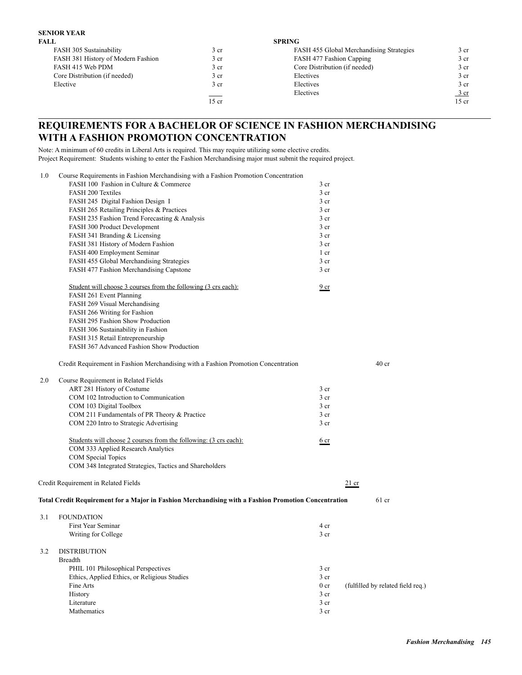# **SENIOR YEAR**

| FALL                               |                 | <b>SPRING</b>                            |                  |
|------------------------------------|-----------------|------------------------------------------|------------------|
| FASH 305 Sustainability            | 3 <sub>cr</sub> | FASH 455 Global Merchandising Strategies | 3 cr             |
| FASH 381 History of Modern Fashion | 3 <sub>cr</sub> | FASH 477 Fashion Capping                 | 3 cr             |
| FASH 415 Web PDM                   | 3 <sub>cr</sub> | Core Distribution (if needed)            | 3 cr             |
| Core Distribution (if needed)      | 3 cr            | Electives                                | 3 cr             |
| Elective                           | 3 <sub>cr</sub> | Electives                                | 3 cr             |
|                                    | $\sim$          | Electives                                | $\frac{3}{ }$ cr |
|                                    | $15$ cr         |                                          | $15$ cr          |

## **REQUIREMENTS FOR A BACHELOR OF SCIENCE IN FASHION MERCHANDISING WITH A FASHION PROMOTION CONCENTRATION**

Note: A minimum of 60 credits in Liberal Arts is required. This may require utilizing some elective credits. Project Requirement: Students wishing to enter the Fashion Merchandising major must submit the required project.

| 1.0 | Course Requirements in Fashion Merchandising with a Fashion Promotion Concentration                  |                 |                                   |
|-----|------------------------------------------------------------------------------------------------------|-----------------|-----------------------------------|
|     | FASH 100 Fashion in Culture & Commerce                                                               | 3 cr            |                                   |
|     | <b>FASH 200 Textiles</b>                                                                             | 3 cr            |                                   |
|     | FASH 245 Digital Fashion Design I                                                                    | $3$ cr          |                                   |
|     | FASH 265 Retailing Principles & Practices                                                            | 3 <sub>cr</sub> |                                   |
|     | FASH 235 Fashion Trend Forecasting & Analysis                                                        | 3 <sub>cr</sub> |                                   |
|     | FASH 300 Product Development                                                                         | $3$ cr          |                                   |
|     | FASH 341 Branding & Licensing                                                                        | 3 <sub>cr</sub> |                                   |
|     | FASH 381 History of Modern Fashion                                                                   | 3 <sub>cr</sub> |                                   |
|     | FASH 400 Employment Seminar                                                                          | 1 cr            |                                   |
|     | FASH 455 Global Merchandising Strategies                                                             | 3 <sub>cr</sub> |                                   |
|     | FASH 477 Fashion Merchandising Capstone                                                              | 3 <sub>cr</sub> |                                   |
|     | Student will choose 3 courses from the following (3 crs each):                                       | 9 cr            |                                   |
|     | FASH 261 Event Planning                                                                              |                 |                                   |
|     | FASH 269 Visual Merchandising                                                                        |                 |                                   |
|     | FASH 266 Writing for Fashion                                                                         |                 |                                   |
|     | FASH 295 Fashion Show Production                                                                     |                 |                                   |
|     | FASH 306 Sustainability in Fashion                                                                   |                 |                                   |
|     | FASH 315 Retail Entrepreneurship                                                                     |                 |                                   |
|     | FASH 367 Advanced Fashion Show Production                                                            |                 |                                   |
|     | Credit Requirement in Fashion Merchandising with a Fashion Promotion Concentration                   |                 | 40 <sub>cr</sub>                  |
| 2.0 | Course Requirement in Related Fields                                                                 |                 |                                   |
|     | ART 281 History of Costume                                                                           | 3 <sub>cr</sub> |                                   |
|     | COM 102 Introduction to Communication                                                                | $3$ cr          |                                   |
|     | COM 103 Digital Toolbox                                                                              | 3 <sub>cr</sub> |                                   |
|     | COM 211 Fundamentals of PR Theory & Practice                                                         | 3 <sub>cr</sub> |                                   |
|     | COM 220 Intro to Strategic Advertising                                                               | 3 <sub>cr</sub> |                                   |
|     | Students will choose 2 courses from the following: (3 crs each):                                     | 6 cr            |                                   |
|     | COM 333 Applied Research Analytics                                                                   |                 |                                   |
|     | COM Special Topics                                                                                   |                 |                                   |
|     | COM 348 Integrated Strategies, Tactics and Shareholders                                              |                 |                                   |
|     | Credit Requirement in Related Fields                                                                 |                 | $21$ cr                           |
|     | Total Credit Requirement for a Major in Fashion Merchandising with a Fashion Promotion Concentration |                 | $61$ cr                           |
| 3.1 | <b>FOUNDATION</b>                                                                                    |                 |                                   |
|     | First Year Seminar                                                                                   | 4 cr            |                                   |
|     | Writing for College                                                                                  | $3$ cr          |                                   |
| 3.2 | <b>DISTRIBUTION</b>                                                                                  |                 |                                   |
|     | <b>Breadth</b>                                                                                       |                 |                                   |
|     | PHIL 101 Philosophical Perspectives                                                                  | $3$ cr          |                                   |
|     | Ethics, Applied Ethics, or Religious Studies                                                         | 3 <sub>cr</sub> |                                   |
|     | Fine Arts                                                                                            | 0 <sub>cr</sub> | (fulfilled by related field req.) |
|     | History                                                                                              | 3 <sub>cr</sub> |                                   |
|     | Literature                                                                                           | 3 cr            |                                   |
|     | Mathematics                                                                                          | 3 cr            |                                   |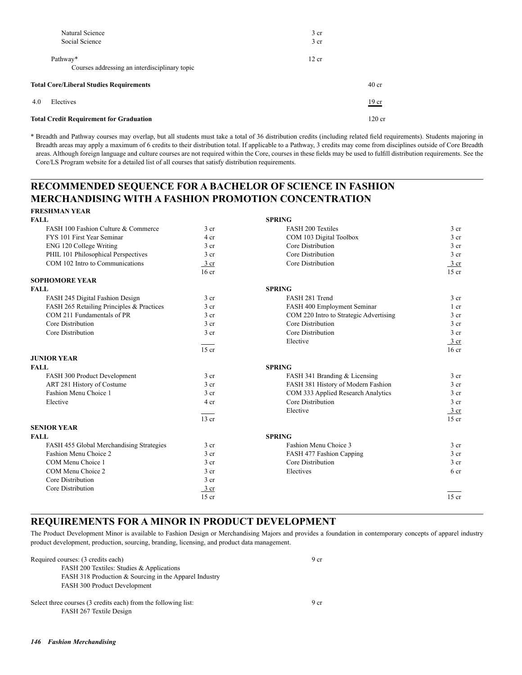| Natural Science                                           | 3 <sub>cr</sub> |                 |
|-----------------------------------------------------------|-----------------|-----------------|
| Social Science                                            | 3 <sub>cr</sub> |                 |
| Pathway*<br>Courses addressing an interdisciplinary topic | 12 cr           |                 |
| <b>Total Core/Liberal Studies Requirements</b>            |                 |                 |
| 4.0<br>Electives                                          |                 | $19 \text{ cr}$ |
| <b>Total Credit Requirement for Graduation</b>            |                 | $120$ cr        |

\* Breadth and Pathway courses may overlap, but all students must take a total of 36 distribution credits (including related field requirements). Students majoring in Breadth areas may apply a maximum of 6 credits to their distribution total. If applicable to a Pathway, 3 credits may come from disciplines outside of Core Breadth areas. Although foreign language and culture courses are not required within the Core, courses in these fields may be used to fulfill distribution requirements. See the Core/LS Program website for a detailed list of all courses that satisfy distribution requirements.

## **RECOMMENDED SEQUENCE FOR A BACHELOR OF SCIENCE IN FASHION MERCHANDISING WITH A FASHION PROMOTION CONCENTRATION**

| FINESHIVIAN TEAN                          |                  |                                        |                  |
|-------------------------------------------|------------------|----------------------------------------|------------------|
| FALL                                      |                  | <b>SPRING</b>                          |                  |
| FASH 100 Fashion Culture & Commerce       | 3 cr             | <b>FASH 200 Textiles</b>               | 3 <sub>cr</sub>  |
| FYS 101 First Year Seminar                | 4 cr             | COM 103 Digital Toolbox                | 3 <sub>cr</sub>  |
| ENG 120 College Writing                   | $3$ cr           | Core Distribution                      | 3 <sub>cr</sub>  |
| PHIL 101 Philosophical Perspectives       | $3$ cr           | Core Distribution                      | 3 <sub>cr</sub>  |
| COM 102 Intro to Communications           | $\frac{3}{2}$ cr | Core Distribution                      | $\frac{3}{ }$ cr |
|                                           | 16 <sub>cr</sub> |                                        | $15$ cr          |
| <b>SOPHOMORE YEAR</b>                     |                  |                                        |                  |
| FALL                                      |                  | <b>SPRING</b>                          |                  |
| FASH 245 Digital Fashion Design           | $3$ cr           | FASH 281 Trend                         | 3 <sub>cr</sub>  |
| FASH 265 Retailing Principles & Practices | 3 <sub>cr</sub>  | FASH 400 Employment Seminar            | $1$ cr           |
| COM 211 Fundamentals of PR                | 3 cr             | COM 220 Intro to Strategic Advertising | 3 <sub>cr</sub>  |
| Core Distribution                         | $3$ cr           | Core Distribution                      | 3 <sub>cr</sub>  |
| Core Distribution                         | 3 <sub>cr</sub>  | Core Distribution                      | 3 <sub>cr</sub>  |
|                                           |                  | Elective                               | $\frac{3}{ }$ cr |
|                                           | $15$ cr          |                                        | 16 <sub>cr</sub> |
| <b>JUNIOR YEAR</b>                        |                  |                                        |                  |
| <b>FALL</b>                               |                  | <b>SPRING</b>                          |                  |
| FASH 300 Product Development              | $3$ cr           | FASH 341 Branding & Licensing          | 3 <sub>cr</sub>  |
| ART 281 History of Costume                | 3 cr             | FASH 381 History of Modern Fashion     | 3 <sub>cr</sub>  |
| Fashion Menu Choice 1                     | 3 cr             | COM 333 Applied Research Analytics     | 3 <sub>cr</sub>  |
| Elective                                  | 4 cr             | Core Distribution                      | 3 <sub>cr</sub>  |
|                                           |                  | Elective                               | $\frac{3}{ }$ cr |
|                                           | $13$ cr          |                                        | $15$ cr          |
| <b>SENIOR YEAR</b>                        |                  |                                        |                  |
| FALL                                      |                  | <b>SPRING</b>                          |                  |
| FASH 455 Global Merchandising Strategies  | 3 <sub>cr</sub>  | Fashion Menu Choice 3                  | 3 <sub>cr</sub>  |
| Fashion Menu Choice 2                     | 3 <sub>cr</sub>  | FASH 477 Fashion Capping               | 3 <sub>cr</sub>  |
| COM Menu Choice 1                         | 3 cr             | Core Distribution                      | 3 <sub>cr</sub>  |
| COM Menu Choice 2                         | $3$ cr           | Electives                              | 6 cr             |
| Core Distribution                         | 3 <sub>cr</sub>  |                                        |                  |
| Core Distribution                         | $\frac{3}{ }$ cr |                                        |                  |
|                                           | $15$ cr          |                                        | $15$ cr          |
|                                           |                  |                                        |                  |

## **REQUIREMENTS FOR A MINOR IN PRODUCT DEVELOPMENT**

The Product Development Minor is available to Fashion Design or Merchandising Majors and provides a foundation in contemporary concepts of apparel industry product development, production, sourcing, branding, licensing, and product data management.

| Required courses: (3 credits each)                             | 9 cr            |
|----------------------------------------------------------------|-----------------|
| FASH 200 Textiles: Studies & Applications                      |                 |
| FASH 318 Production & Sourcing in the Apparel Industry         |                 |
| FASH 300 Product Development                                   |                 |
| Select three courses (3 credits each) from the following list: | 9 <sub>cr</sub> |
| FASH 267 Textile Design                                        |                 |

**FRESHMAN YEAR**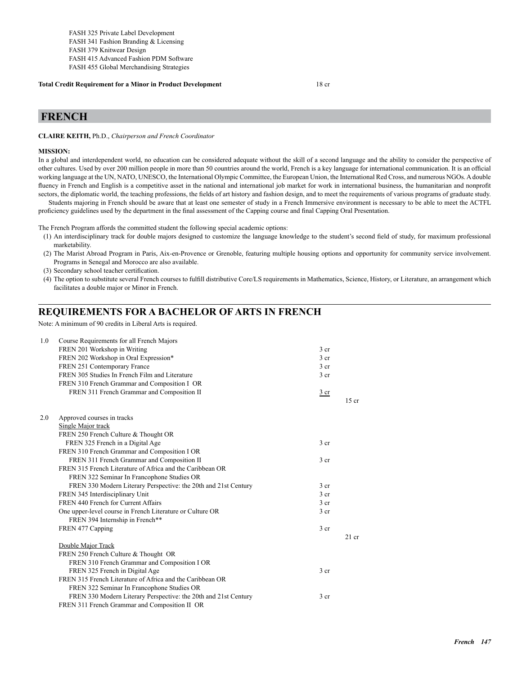#### **Total Credit Requirement for a Minor in Product Development** 18 cr

#### **FRENCH**

**CLAIRE KEITH,** Ph.D., *Chairperson and French Coordinator*

#### **MISSION:**

In a global and interdependent world, no education can be considered adequate without the skill of a second language and the ability to consider the perspective of other cultures. Used by over 200 million people in more than 50 countries around the world, French is a key language for international communication. It is an official working language at the UN, NATO, UNESCO, the International Olympic Committee, the European Union, the International Red Cross, and numerous NGOs. A double fluency in French and English is a competitive asset in the national and international job market for work in international business, the humanitarian and nonprofit sectors, the diplomatic world, the teaching professions, the fields of art history and fashion design, and to meet the requirements of various programs of graduate study.

Students majoring in French should be aware that at least one semester of study in a French Immersive environment is necessary to be able to meet the ACTFL proficiency guidelines used by the department in the final assessment of the Capping course and final Capping Oral Presentation.

The French Program affords the committed student the following special academic options:

- (1) An interdisciplinary track for double majors designed to customize the language knowledge to the student's second field of study, for maximum professional marketability.
- (2) The Marist Abroad Program in Paris, Aix-en-Provence or Grenoble, featuring multiple housing options and opportunity for community service involvement. Programs in Senegal and Morocco are also available.
- (3) Secondary school teacher certification.
- (4) The option to substitute several French courses to fulfill distributive Core/LS requirements in Mathematics, Science, History, or Literature, an arrangement which facilitates a double major or Minor in French.

### **REQUIREMENTS FOR A BACHELOR OF ARTS IN FRENCH**

Note: A minimum of 90 credits in Liberal Arts is required.

| 1.0 | Course Requirements for all French Majors                       |                 |         |
|-----|-----------------------------------------------------------------|-----------------|---------|
|     | FREN 201 Workshop in Writing                                    | 3 <sub>cr</sub> |         |
|     | FREN 202 Workshop in Oral Expression*                           | 3 <sub>cr</sub> |         |
|     | FREN 251 Contemporary France                                    | 3 <sub>cr</sub> |         |
|     | FREN 305 Studies In French Film and Literature                  | 3 <sub>cr</sub> |         |
|     | FREN 310 French Grammar and Composition I OR                    |                 |         |
|     | FREN 311 French Grammar and Composition II                      | 3 cr            |         |
|     |                                                                 |                 | $15$ cr |
| 2.0 | Approved courses in tracks                                      |                 |         |
|     | Single Major track                                              |                 |         |
|     | FREN 250 French Culture & Thought OR                            |                 |         |
|     | FREN 325 French in a Digital Age                                | 3 <sub>cr</sub> |         |
|     | FREN 310 French Grammar and Composition I OR                    |                 |         |
|     | FREN 311 French Grammar and Composition II                      | 3 <sub>cr</sub> |         |
|     | FREN 315 French Literature of Africa and the Caribbean OR       |                 |         |
|     | FREN 322 Seminar In Francophone Studies OR                      |                 |         |
|     | FREN 330 Modern Literary Perspective: the 20th and 21st Century | 3 <sub>cr</sub> |         |
|     | FREN 345 Interdisciplinary Unit                                 | 3 <sub>cr</sub> |         |
|     | FREN 440 French for Current Affairs                             | 3 <sub>cr</sub> |         |
|     | One upper-level course in French Literature or Culture OR       | 3 <sub>cr</sub> |         |
|     | FREN 394 Internship in French**                                 |                 |         |
|     | FREN 477 Capping                                                | 3 <sub>cr</sub> |         |
|     | Double Major Track                                              |                 | $21$ cr |
|     | FREN 250 French Culture & Thought OR                            |                 |         |
|     | FREN 310 French Grammar and Composition I OR                    |                 |         |
|     | FREN 325 French in Digital Age                                  | 3 <sub>cr</sub> |         |
|     | FREN 315 French Literature of Africa and the Caribbean OR       |                 |         |
|     | FREN 322 Seminar In Francophone Studies OR                      |                 |         |
|     | FREN 330 Modern Literary Perspective: the 20th and 21st Century | 3 <sub>cr</sub> |         |
|     | FREN 311 French Grammar and Composition II OR                   |                 |         |
|     |                                                                 |                 |         |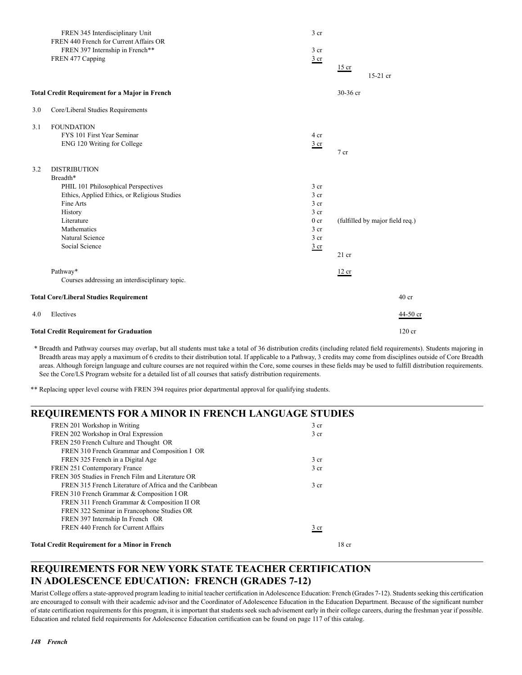|     | FREN 345 Interdisciplinary Unit                       | 3 <sub>cr</sub> |                                 |
|-----|-------------------------------------------------------|-----------------|---------------------------------|
|     | FREN 440 French for Current Affairs OR                |                 |                                 |
|     | FREN 397 Internship in French**                       | 3 cr            |                                 |
|     | FREN 477 Capping                                      | $rac{3}{2}$ cr  |                                 |
|     |                                                       |                 | $15$ cr                         |
|     |                                                       |                 | 15-21 cr                        |
|     | <b>Total Credit Requirement for a Major in French</b> |                 | 30-36 cr                        |
| 3.0 | Core/Liberal Studies Requirements                     |                 |                                 |
| 3.1 | <b>FOUNDATION</b>                                     |                 |                                 |
|     | FYS 101 First Year Seminar                            | 4 cr            |                                 |
|     | ENG 120 Writing for College                           | 3 <sub>cr</sub> |                                 |
|     |                                                       |                 | 7 <sub>cr</sub>                 |
| 3.2 | <b>DISTRIBUTION</b>                                   |                 |                                 |
|     | Breadth*                                              |                 |                                 |
|     | PHIL 101 Philosophical Perspectives                   | $3$ cr          |                                 |
|     | Ethics, Applied Ethics, or Religious Studies          | 3 <sub>cr</sub> |                                 |
|     | Fine Arts                                             | 3 <sub>cr</sub> |                                 |
|     | History                                               | 3 cr            |                                 |
|     | Literature                                            | 0 <sub>cr</sub> | (fulfilled by major field req.) |
|     | Mathematics                                           | 3 cr            |                                 |
|     | Natural Science                                       | 3 cr            |                                 |
|     | Social Science                                        | $rac{3}{2}$ cr  |                                 |
|     |                                                       |                 | $21$ cr                         |
|     | Pathway*                                              |                 | 12 cr                           |
|     | Courses addressing an interdisciplinary topic.        |                 |                                 |
|     | <b>Total Core/Liberal Studies Requirement</b>         |                 | 40 <sub>cr</sub>                |
| 4.0 | Electives                                             |                 | 44-50 cr                        |
|     | <b>Total Credit Requirement for Graduation</b>        |                 | $120$ cr                        |

 \* Breadth and Pathway courses may overlap, but all students must take a total of 36 distribution credits (including related field requirements). Students majoring in Breadth areas may apply a maximum of 6 credits to their distribution total. If applicable to a Pathway, 3 credits may come from disciplines outside of Core Breadth areas. Although foreign language and culture courses are not required within the Core, some courses in these fields may be used to fulfill distribution requirements. See the Core/LS Program website for a detailed list of all courses that satisfy distribution requirements.

\*\* Replacing upper level course with FREN 394 requires prior departmental approval for qualifying students.

| <b>REQUIREMENTS FOR A MINOR IN FRENCH LANGUAGE STUDIES</b> |                  |  |
|------------------------------------------------------------|------------------|--|
| FREN 201 Workshop in Writing                               | 3 <sub>cr</sub>  |  |
| FREN 202 Workshop in Oral Expression                       | 3 <sub>cr</sub>  |  |
| FREN 250 French Culture and Thought OR                     |                  |  |
| FREN 310 French Grammar and Composition I OR               |                  |  |
| FREN 325 French in a Digital Age                           | 3 <sub>cr</sub>  |  |
| FREN 251 Contemporary France                               | 3 <sub>cr</sub>  |  |
| FREN 305 Studies in French Film and Literature OR          |                  |  |
| FREN 315 French Literature of Africa and the Caribbean     | 3 <sub>cr</sub>  |  |
| FREN 310 French Grammar & Composition I OR                 |                  |  |
| FREN 311 French Grammar & Composition II OR                |                  |  |
| FREN 322 Seminar in Francophone Studies OR                 |                  |  |
| FREN 397 Internship In French OR                           |                  |  |
| FREN 440 French for Current Affairs                        | 3 cr             |  |
| <b>Total Credit Requirement for a Minor in French</b>      | 18 <sub>cr</sub> |  |

## **REQUIREMENTS FOR NEW YORK STATE TEACHER CERTIFICATION IN ADOLESCENCE EDUCATION: FRENCH (GRADES 7-12)**

Marist College offers a state-approved program leading to initial teacher certification in Adolescence Education: French (Grades 7-12). Students seeking this certification are encouraged to consult with their academic advisor and the Coordinator of Adolescence Education in the Education Department. Because of the significant number of state certification requirements for this program, it is important that students seek such advisement early in their college careers, during the freshman year if possible. Education and related field requirements for Adolescence Education certification can be found on page 117 of this catalog.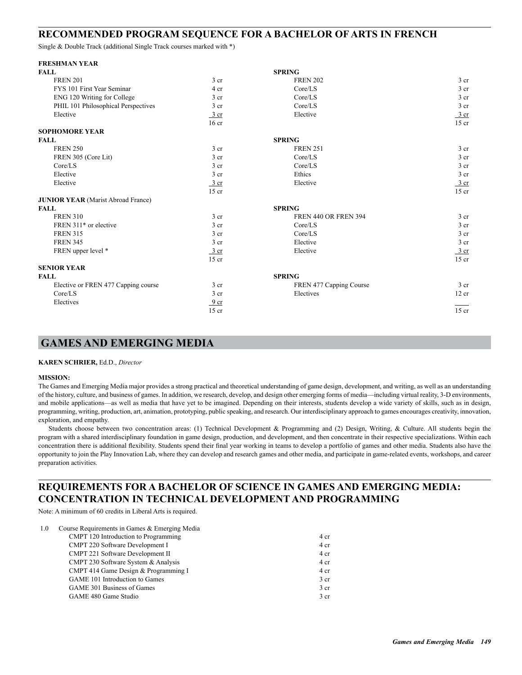#### **RECOMMENDED PROGRAM SEQUENCE FOR A BACHELOR OF ARTS IN FRENCH**

Single & Double Track (additional Single Track courses marked with \*)

| <b>FRESHMAN YEAR</b>                      |                  |                             |                 |
|-------------------------------------------|------------------|-----------------------------|-----------------|
| <b>FALL</b>                               |                  | <b>SPRING</b>               |                 |
| <b>FREN 201</b>                           | 3 <sub>cr</sub>  | <b>FREN 202</b>             | 3 <sub>cr</sub> |
| FYS 101 First Year Seminar                | 4 cr             | Core/LS                     | $3$ cr          |
| ENG 120 Writing for College               | 3 <sub>cr</sub>  | Core/LS                     | 3 cr            |
| PHIL 101 Philosophical Perspectives       | $3$ cr           | Core/LS                     | 3 cr            |
| Elective                                  | 3 cr             | Elective                    | $rac{3}{2}$ cr  |
|                                           | 16 <sub>cr</sub> |                             | $15$ cr         |
| <b>SOPHOMORE YEAR</b>                     |                  |                             |                 |
| <b>FALL</b>                               |                  | <b>SPRING</b>               |                 |
| <b>FREN 250</b>                           | 3 <sub>cr</sub>  | <b>FREN 251</b>             | 3 <sub>cr</sub> |
| FREN 305 (Core Lit)                       | 3 <sub>cr</sub>  | Core/LS                     | 3 <sub>cr</sub> |
| Core/LS                                   | 3 <sub>cr</sub>  | Core/LS                     | 3 <sub>cr</sub> |
| Elective                                  | 3 <sub>cr</sub>  | Ethics                      | 3 cr            |
| Elective                                  | $3$ cr           | Elective                    | $rac{3}{2}$ cr  |
|                                           | $15$ cr          |                             | $15$ cr         |
| <b>JUNIOR YEAR</b> (Marist Abroad France) |                  |                             |                 |
| <b>FALL</b>                               |                  | <b>SPRING</b>               |                 |
| <b>FREN 310</b>                           | 3 <sub>cr</sub>  | <b>FREN 440 OR FREN 394</b> | 3 <sub>cr</sub> |
| FREN 311 <sup>*</sup> or elective         | 3 <sub>cr</sub>  | Core/LS                     | 3 cr            |
| <b>FREN 315</b>                           | 3 <sub>cr</sub>  | Core/LS                     | 3 cr            |
| <b>FREN 345</b>                           | 3 cr             | Elective                    | 3 cr            |
| FREN upper level *                        | $3$ cr           | Elective                    | $rac{3}{2}$ cr  |
|                                           | $15$ cr          |                             | $15$ cr         |
| <b>SENIOR YEAR</b>                        |                  |                             |                 |
| <b>FALL</b>                               |                  | <b>SPRING</b>               |                 |
| Elective or FREN 477 Capping course       | 3 cr             | FREN 477 Capping Course     | $3$ cr          |
| Core/LS                                   | $3$ cr           | Electives                   | 12 cr           |
| Electives                                 | 9 <sub>cr</sub>  |                             |                 |
|                                           | $15$ cr          |                             | $15$ cr         |

## **GAMES AND EMERGING MEDIA**

#### **KAREN SCHRIER,** Ed.D., *Director*

#### **MISSION:**

The Games and Emerging Media major provides a strong practical and theoretical understanding of game design, development, and writing, as well as an understanding of the history, culture, and business of games. In addition, we research, develop, and design other emerging forms of media—including virtual reality, 3-D environments, and mobile applications—as well as media that have yet to be imagined. Depending on their interests, students develop a wide variety of skills, such as in design, programming, writing, production, art, animation, prototyping, public speaking, and research. Our interdisciplinary approach to games encourages creativity, innovation, exploration, and empathy.

Students choose between two concentration areas: (1) Technical Development & Programming and (2) Design, Writing, & Culture. All students begin the program with a shared interdisciplinary foundation in game design, production, and development, and then concentrate in their respective specializations. Within each concentration there is additional flexibility. Students spend their final year working in teams to develop a portfolio of games and other media. Students also have the opportunity to join the Play Innovation Lab, where they can develop and research games and other media, and participate in game-related events, workshops, and career preparation activities.

## **REQUIREMENTS FOR A BACHELOR OF SCIENCE IN GAMES AND EMERGING MEDIA: CONCENTRATION IN TECHNICAL DEVELOPMENT AND PROGRAMMING**

Note: A minimum of 60 credits in Liberal Arts is required.

| 1.0 | Course Requirements in Games & Emerging Media |                 |
|-----|-----------------------------------------------|-----------------|
|     | CMPT 120 Introduction to Programming          | 4 cr            |
|     | CMPT 220 Software Development I               | 4 cr            |
|     | <b>CMPT 221 Software Development II</b>       | 4 cr            |
|     | CMPT 230 Software System & Analysis           | 4 cr            |
|     | CMPT 414 Game Design & Programming I          | 4 cr            |
|     | GAME 101 Introduction to Games                | 3 <sub>cr</sub> |
|     | GAME 301 Business of Games                    | 3 <sub>cr</sub> |
|     | GAME 480 Game Studio                          | 3 <sub>cr</sub> |
|     |                                               |                 |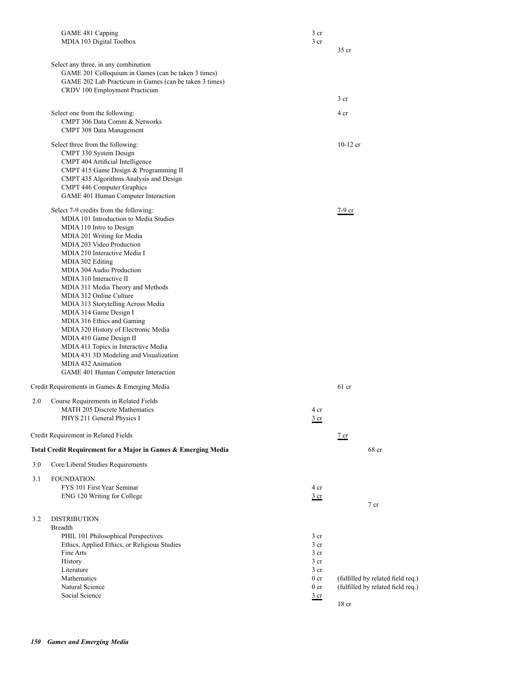|     | GAME 481 Capping                                               | 3 cr                               |                                   |
|-----|----------------------------------------------------------------|------------------------------------|-----------------------------------|
|     | MDIA 103 Digital Toolbox                                       | 3 <sub>cr</sub>                    |                                   |
|     |                                                                |                                    | 35 cr                             |
|     | Select any three, in any combination                           |                                    |                                   |
|     | GAME 201 Colloquium in Games (can be taken 3 times)            |                                    |                                   |
|     | GAME 202 Lab Practicum in Games (can be taken 3 times)         |                                    |                                   |
|     | CRDV 100 Employment Practicum                                  |                                    |                                   |
|     |                                                                |                                    | 3 <sub>cr</sub>                   |
|     |                                                                |                                    |                                   |
|     | Select one from the following:                                 |                                    | 4 cr                              |
|     | CMPT 306 Data Comm & Networks<br>CMPT 308 Data Management      |                                    |                                   |
|     |                                                                |                                    |                                   |
|     | Select three from the following:                               |                                    | $10-12$ cr                        |
|     | CMPT 330 System Design                                         |                                    |                                   |
|     | CMPT 404 Artificial Intelligence                               |                                    |                                   |
|     | CMPT 415 Game Design & Programming II                          |                                    |                                   |
|     | CMPT 435 Algorithms Analysis and Design                        |                                    |                                   |
|     | CMPT 446 Computer Graphics                                     |                                    |                                   |
|     | GAME 401 Human Computer Interaction                            |                                    |                                   |
|     | Select 7-9 credits from the following:                         |                                    | $7-9$ cr                          |
|     | MDIA 101 Introduction to Media Studies                         |                                    |                                   |
|     | MDIA 110 Intro to Design                                       |                                    |                                   |
|     | MDIA 201 Writing for Media                                     |                                    |                                   |
|     | MDIA 203 Video Production                                      |                                    |                                   |
|     | MDIA 210 Interactive Media I                                   |                                    |                                   |
|     | MDIA 302 Editing                                               |                                    |                                   |
|     | MDIA 304 Audio Production                                      |                                    |                                   |
|     | MDIA 310 Interactive II                                        |                                    |                                   |
|     | MDIA 311 Media Theory and Methods                              |                                    |                                   |
|     | MDIA 312 Online Culture                                        |                                    |                                   |
|     | MDIA 313 Storytelling Across Media                             |                                    |                                   |
|     | MDIA 314 Game Design I                                         |                                    |                                   |
|     | MDIA 316 Ethics and Gaming                                     |                                    |                                   |
|     | MDIA 320 History of Electronic Media                           |                                    |                                   |
|     | MDIA 410 Game Design II                                        |                                    |                                   |
|     | MDIA 411 Topics in Interactive Media                           |                                    |                                   |
|     | MDIA 431 3D Modeling and Visualization<br>MDIA 432 Animation   |                                    |                                   |
|     | GAME 401 Human Computer Interaction                            |                                    |                                   |
|     |                                                                |                                    |                                   |
|     | Credit Requirements in Games & Emerging Media                  |                                    | $61$ cr                           |
| 2.0 | Course Requirements in Related Fields                          |                                    |                                   |
|     | MATH 205 Discrete Mathematics                                  | 4 cr                               |                                   |
|     | PHYS 211 General Physics I                                     | $rac{3}{2}$ cr                     |                                   |
|     |                                                                |                                    |                                   |
|     | Credit Requirement in Related Fields                           |                                    | $\frac{7}{ }$ cr                  |
|     |                                                                |                                    |                                   |
|     | Total Credit Requirement for a Major in Games & Emerging Media |                                    | 68 cr                             |
| 3.0 | Core/Liberal Studies Requirements                              |                                    |                                   |
| 3.1 | <b>FOUNDATION</b>                                              |                                    |                                   |
|     | FYS 101 First Year Seminar                                     | 4 cr                               |                                   |
|     | ENG 120 Writing for College                                    | $rac{3}{2}$ cr                     |                                   |
|     |                                                                |                                    | 7 cr                              |
|     |                                                                |                                    |                                   |
| 3.2 | <b>DISTRIBUTION</b>                                            |                                    |                                   |
|     | <b>Breadth</b>                                                 |                                    |                                   |
|     | PHIL 101 Philosophical Perspectives                            | 3 cr                               |                                   |
|     | Ethics, Applied Ethics, or Religious Studies                   | 3 <sub>cr</sub>                    |                                   |
|     | Fine Arts                                                      | 3 <sub>cr</sub>                    |                                   |
|     | History                                                        | 3 <sub>cr</sub>                    |                                   |
|     | Literature<br>Mathematics                                      | 3 <sub>cr</sub><br>0 <sub>cr</sub> | (fulfilled by related field req.) |
|     | Natural Science                                                | 0 <sub>cr</sub>                    | (fulfilled by related field req.) |
|     | Social Science                                                 | $rac{3}{2}$ cr                     |                                   |
|     |                                                                |                                    | $18$ cr                           |
|     |                                                                |                                    |                                   |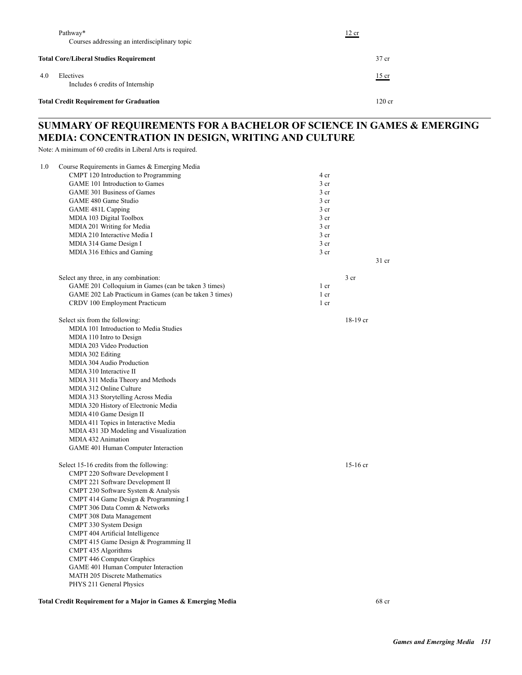|     | Pathway*<br>Courses addressing an interdisciplinary topic | 12 cr    |
|-----|-----------------------------------------------------------|----------|
|     | <b>Total Core/Liberal Studies Requirement</b>             | $37$ cr  |
| 4.0 | Electives<br>Includes 6 credits of Internship             | $15$ cr  |
|     | <b>Total Credit Requirement for Graduation</b>            | $120$ cr |

## **SUMMARY OF REQUIREMENTS FOR A BACHELOR OF SCIENCE IN GAMES & EMERGING MEDIA: CONCENTRATION IN DESIGN, WRITING AND CULTURE**

Note: A minimum of 60 credits in Liberal Arts is required.

| 1.0 | Course Requirements in Games & Emerging Media          |                 |                 |
|-----|--------------------------------------------------------|-----------------|-----------------|
|     | CMPT 120 Introduction to Programming                   | 4 cr            |                 |
|     | GAME 101 Introduction to Games                         | 3 <sub>cr</sub> |                 |
|     | GAME 301 Business of Games                             | 3 <sub>cr</sub> |                 |
|     | GAME 480 Game Studio                                   | 3 <sub>cr</sub> |                 |
|     | GAME 481L Capping                                      | 3 <sub>cr</sub> |                 |
|     | MDIA 103 Digital Toolbox                               | 3 <sub>cr</sub> |                 |
|     | MDIA 201 Writing for Media                             | 3 <sub>cr</sub> |                 |
|     | MDIA 210 Interactive Media I                           | 3 <sub>cr</sub> |                 |
|     | MDIA 314 Game Design I                                 | 3 <sub>cr</sub> |                 |
|     | MDIA 316 Ethics and Gaming                             | 3 <sub>cr</sub> |                 |
|     |                                                        |                 | $31$ cr         |
|     | Select any three, in any combination:                  |                 | 3 <sub>cr</sub> |
|     | GAME 201 Colloquium in Games (can be taken 3 times)    | 1 cr            |                 |
|     | GAME 202 Lab Practicum in Games (can be taken 3 times) | 1 cr            |                 |
|     | CRDV 100 Employment Practicum                          | 1 cr            |                 |
|     | Select six from the following:                         |                 | 18-19 cr        |
|     | MDIA 101 Introduction to Media Studies                 |                 |                 |
|     | MDIA 110 Intro to Design                               |                 |                 |
|     | MDIA 203 Video Production                              |                 |                 |
|     | MDIA 302 Editing                                       |                 |                 |
|     | MDIA 304 Audio Production                              |                 |                 |
|     | MDIA 310 Interactive II                                |                 |                 |
|     | MDIA 311 Media Theory and Methods                      |                 |                 |
|     | MDIA 312 Online Culture                                |                 |                 |
|     | MDIA 313 Storytelling Across Media                     |                 |                 |
|     | MDIA 320 History of Electronic Media                   |                 |                 |
|     | MDIA 410 Game Design II                                |                 |                 |
|     | MDIA 411 Topics in Interactive Media                   |                 |                 |
|     | MDIA 431 3D Modeling and Visualization                 |                 |                 |
|     | MDIA 432 Animation                                     |                 |                 |
|     | GAME 401 Human Computer Interaction                    |                 |                 |
|     | Select 15-16 credits from the following:               |                 | $15-16$ cr      |
|     | CMPT 220 Software Development I                        |                 |                 |
|     | CMPT 221 Software Development II                       |                 |                 |
|     | CMPT 230 Software System & Analysis                    |                 |                 |
|     | CMPT 414 Game Design & Programming I                   |                 |                 |
|     | CMPT 306 Data Comm & Networks                          |                 |                 |
|     | CMPT 308 Data Management                               |                 |                 |
|     | CMPT 330 System Design                                 |                 |                 |
|     | CMPT 404 Artificial Intelligence                       |                 |                 |
|     | CMPT 415 Game Design & Programming II                  |                 |                 |
|     | CMPT 435 Algorithms                                    |                 |                 |
|     | CMPT 446 Computer Graphics                             |                 |                 |
|     | GAME 401 Human Computer Interaction                    |                 |                 |
|     | <b>MATH 205 Discrete Mathematics</b>                   |                 |                 |
|     | PHYS 211 General Physics                               |                 |                 |

**Total Credit Requirement for a Major in Games & Emerging Media** 68 cr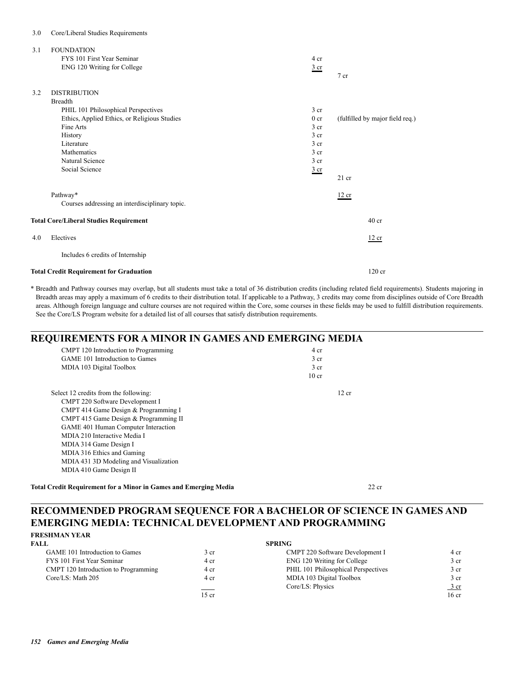### 3.0 Core/Liberal Studies Requirements

| 3.1 | <b>FOUNDATION</b><br>FYS 101 First Year Seminar | 4 cr            |                                 |
|-----|-------------------------------------------------|-----------------|---------------------------------|
|     | ENG 120 Writing for College                     | $rac{3}{2}$ cr  | 7 <sub>cr</sub>                 |
| 3.2 | <b>DISTRIBUTION</b>                             |                 |                                 |
|     | <b>Breadth</b>                                  |                 |                                 |
|     | PHIL 101 Philosophical Perspectives             | 3 <sub>cr</sub> |                                 |
|     | Ethics, Applied Ethics, or Religious Studies    | 0 <sub>cr</sub> | (fulfilled by major field req.) |
|     | Fine Arts                                       | 3 <sub>cr</sub> |                                 |
|     | History                                         | 3 <sub>cr</sub> |                                 |
|     | Literature                                      | 3 cr            |                                 |
|     | Mathematics                                     | 3 <sub>cr</sub> |                                 |
|     | Natural Science                                 | 3 cr            |                                 |
|     | Social Science                                  | $rac{3}{2}$ cr  | $21$ cr                         |
|     | Pathway*                                        |                 | 12 cr                           |
|     | Courses addressing an interdisciplinary topic.  |                 |                                 |
|     | <b>Total Core/Liberal Studies Requirement</b>   |                 | 40 <sub>cr</sub>                |
| 4.0 | Electives                                       |                 | 12 cr                           |
|     | Includes 6 credits of Internship                |                 |                                 |
|     | <b>Total Credit Requirement for Graduation</b>  |                 | $120$ cr                        |

\* Breadth and Pathway courses may overlap, but all students must take a total of 36 distribution credits (including related field requirements). Students majoring in Breadth areas may apply a maximum of 6 credits to their distribution total. If applicable to a Pathway, 3 credits may come from disciplines outside of Core Breadth areas. Although foreign language and culture courses are not required within the Core, some courses in these fields may be used to fulfill distribution requirements. See the Core/LS Program website for a detailed list of all courses that satisfy distribution requirements.

### **REQUIREMENTS FOR A MINOR IN GAMES AND EMERGING MEDIA**

| GAME 101 Introduction to Games | 3 cr             |
|--------------------------------|------------------|
| MDIA 103 Digital Toolbox       | 3 <sub>cr</sub>  |
|                                | 10 <sub>cr</sub> |

| CMPT 220 Software Development I        |
|----------------------------------------|
| CMPT 414 Game Design & Programming I   |
| CMPT 415 Game Design & Programming II  |
| GAME 401 Human Computer Interaction    |
| MDIA 210 Interactive Media I           |
| MDIA 314 Game Design I                 |
| MDIA 316 Ethics and Gaming             |
| MDIA 431 3D Modeling and Visualization |
| MDIA 410 Game Design II                |
|                                        |

**Total Credit Requirement for a Minor in Games and Emerging Media** 22 cr

### **RECOMMENDED PROGRAM SEQUENCE FOR A BACHELOR OF SCIENCE IN GAMES AND EMERGING MEDIA: TECHNICAL DEVELOPMENT AND PROGRAMMING FRESHMAN YEAR**

| FALL                                 |                                                                                                                                                                                                                                                                                                                                                                                                                                               | <b>SPRING</b>                       |                  |
|--------------------------------------|-----------------------------------------------------------------------------------------------------------------------------------------------------------------------------------------------------------------------------------------------------------------------------------------------------------------------------------------------------------------------------------------------------------------------------------------------|-------------------------------------|------------------|
| GAME 101 Introduction to Games       | 3 cr                                                                                                                                                                                                                                                                                                                                                                                                                                          | CMPT 220 Software Development I     | 4 cr             |
| FYS 101 First Year Seminar           | 4 cr                                                                                                                                                                                                                                                                                                                                                                                                                                          | ENG 120 Writing for College         | 3 cr             |
| CMPT 120 Introduction to Programming | 4 cr                                                                                                                                                                                                                                                                                                                                                                                                                                          | PHIL 101 Philosophical Perspectives | 3 cr             |
| Core/LS: Math 205                    | 4 cr                                                                                                                                                                                                                                                                                                                                                                                                                                          | MDIA 103 Digital Toolbox            | 3 cr             |
|                                      | $\frac{1}{1} \left( \frac{1}{1} \right)^{2} \left( \frac{1}{1} \right)^{2} \left( \frac{1}{1} \right)^{2} \left( \frac{1}{1} \right)^{2} \left( \frac{1}{1} \right)^{2} \left( \frac{1}{1} \right)^{2} \left( \frac{1}{1} \right)^{2} \left( \frac{1}{1} \right)^{2} \left( \frac{1}{1} \right)^{2} \left( \frac{1}{1} \right)^{2} \left( \frac{1}{1} \right)^{2} \left( \frac{1}{1} \right)^{2} \left( \frac{1}{1} \right)^{2} \left( \frac$ | Core/LS: Physics                    | $\frac{3}{ }$ cr |
|                                      | 15 cr                                                                                                                                                                                                                                                                                                                                                                                                                                         |                                     | $16 \text{ cr}$  |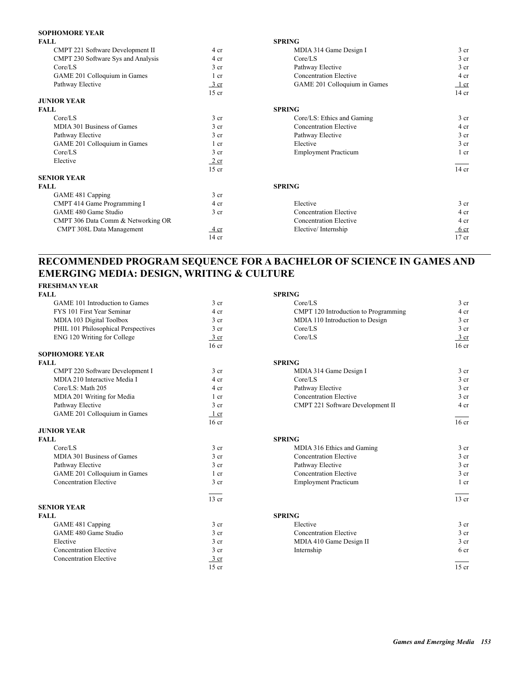### **SOPHOMORE YEAR**

| <b>FALL</b>                        |                 | <b>SPRING</b>                 |                 |
|------------------------------------|-----------------|-------------------------------|-----------------|
| CMPT 221 Software Development II   | 4 cr            | MDIA 314 Game Design I        | 3 <sub>cr</sub> |
| CMPT 230 Software Sys and Analysis | 4 cr            | Core/LS                       | 3 <sub>cr</sub> |
| Core/LS                            | 3 <sub>cr</sub> | Pathway Elective              | 3 cr            |
| GAME 201 Colloquium in Games       | 1 cr            | <b>Concentration Elective</b> | 4 cr            |
| Pathway Elective                   | 3 cr            | GAME 201 Colloquium in Games  | $1$ cr          |
|                                    | $15$ cr         |                               | $14$ cr         |
| <b>JUNIOR YEAR</b>                 |                 |                               |                 |
| <b>FALL</b>                        |                 | <b>SPRING</b>                 |                 |
| Core/LS                            | 3 <sub>cr</sub> | Core/LS: Ethics and Gaming    | 3 <sub>cr</sub> |
| MDIA 301 Business of Games         | 3 <sub>cr</sub> | <b>Concentration Elective</b> | 4 cr            |
| Pathway Elective                   | 3 <sub>cr</sub> | Pathway Elective              | 3 <sub>cr</sub> |
| GAME 201 Colloquium in Games       | 1 cr            | Elective                      | 3 <sub>cr</sub> |
| Core/LS                            | 3 <sub>cr</sub> | <b>Employment Practicum</b>   | 1 cr            |
| Elective                           | 2 cr            |                               |                 |
|                                    | $15$ cr         |                               | $14$ cr         |
| <b>SENIOR YEAR</b>                 |                 |                               |                 |
| <b>FALL</b>                        |                 | <b>SPRING</b>                 |                 |
| GAME 481 Capping                   | 3 <sub>cr</sub> |                               |                 |
| CMPT 414 Game Programming I        | 4 cr            | Elective                      | 3 <sub>cr</sub> |
| GAME 480 Game Studio               | 3 <sub>cr</sub> | <b>Concentration Elective</b> | 4 cr            |
| CMPT 306 Data Comm & Networking OR |                 | <b>Concentration Elective</b> | 4 cr            |
| CMPT 308L Data Management          | $4 \text{ cr}$  | Elective/Internship           | 6 <sub>cr</sub> |
|                                    | $14$ cr         |                               | $17$ cr         |
|                                    |                 |                               |                 |

## **RECOMMENDED PROGRAM SEQUENCE FOR A BACHELOR OF SCIENCE IN GAMES AND EMERGING MEDIA: DESIGN, WRITING & CULTURE**

### **FRESHMAN YEAR**

| <b>FALL</b>                         |                  | <b>SPRING</b>                        |                  |
|-------------------------------------|------------------|--------------------------------------|------------------|
| GAME 101 Introduction to Games      | 3 <sub>cr</sub>  | Core/LS                              | 3 <sub>cr</sub>  |
| FYS 101 First Year Seminar          | 4 cr             | CMPT 120 Introduction to Programming | 4 cr             |
| MDIA 103 Digital Toolbox            | 3 <sub>cr</sub>  | MDIA 110 Introduction to Design      | 3 <sub>cr</sub>  |
| PHIL 101 Philosophical Perspectives | 3 <sub>cr</sub>  | Core/LS                              | 3 <sub>cr</sub>  |
| ENG 120 Writing for College         | $3$ cr           | Core/LS                              | 3 cr             |
|                                     | 16 <sub>cr</sub> |                                      | 16 <sub>cr</sub> |
| <b>SOPHOMORE YEAR</b>               |                  |                                      |                  |
| <b>FALL</b>                         |                  | <b>SPRING</b>                        |                  |
| CMPT 220 Software Development I     | 3 <sub>cr</sub>  | MDIA 314 Game Design I               | 3 <sub>cr</sub>  |
| MDIA 210 Interactive Media I        | 4 cr             | Core/LS                              | 3 <sub>cr</sub>  |
| Core/LS: Math 205                   | 4 cr             | Pathway Elective                     | 3 <sub>cr</sub>  |
| MDIA 201 Writing for Media          | 1 cr             | <b>Concentration Elective</b>        | 3 <sub>cr</sub>  |
| Pathway Elective                    | 3 cr             | CMPT 221 Software Development II     | 4 cr             |
| GAME 201 Colloquium in Games        | 1 cr             |                                      |                  |
|                                     | 16 <sub>cr</sub> |                                      | 16 <sub>cr</sub> |
| <b>JUNIOR YEAR</b>                  |                  |                                      |                  |
| <b>FALL</b>                         |                  | <b>SPRING</b>                        |                  |
| Core/LS                             | 3 <sub>cr</sub>  | MDIA 316 Ethics and Gaming           | $3$ cr           |
| MDIA 301 Business of Games          | 3 <sub>cr</sub>  | <b>Concentration Elective</b>        | 3 <sub>cr</sub>  |
| Pathway Elective                    | 3 <sub>cr</sub>  | Pathway Elective                     | 3 <sub>cr</sub>  |
| GAME 201 Colloquium in Games        | $1 \text{ cr}$   | <b>Concentration Elective</b>        | 3 <sub>cr</sub>  |
| <b>Concentration Elective</b>       | 3 <sub>cr</sub>  | <b>Employment Practicum</b>          | $1$ cr           |
|                                     | $13$ cr          |                                      | $13$ cr          |
| <b>SENIOR YEAR</b>                  |                  |                                      |                  |
| <b>FALL</b>                         |                  | <b>SPRING</b>                        |                  |
| GAME 481 Capping                    | 3 <sub>cr</sub>  | Elective                             | 3 <sub>cr</sub>  |
| GAME 480 Game Studio                | 3 <sub>cr</sub>  | <b>Concentration Elective</b>        | 3 <sub>cr</sub>  |
| Elective                            | 3 <sub>cr</sub>  | MDIA 410 Game Design II              | 3 <sub>cr</sub>  |
| <b>Concentration Elective</b>       | 3 <sub>cr</sub>  | Internship                           | 6 <sub>cr</sub>  |
| <b>Concentration Elective</b>       | 3 cr             |                                      |                  |
|                                     | $15$ cr          |                                      | $15$ cr          |
|                                     |                  |                                      |                  |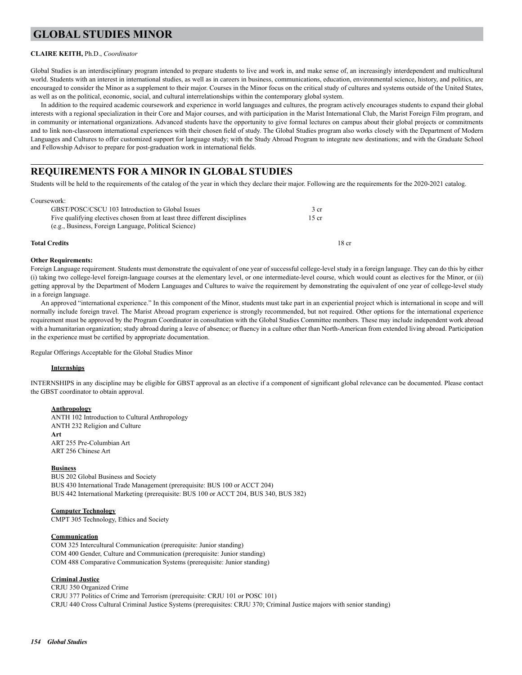## **GLOBAL STUDIES MINOR**

### **CLAIRE KEITH,** Ph.D., *Coordinator*

Global Studies is an interdisciplinary program intended to prepare students to live and work in, and make sense of, an increasingly interdependent and multicultural world. Students with an interest in international studies, as well as in careers in business, communications, education, environmental science, history, and politics, are encouraged to consider the Minor as a supplement to their major. Courses in the Minor focus on the critical study of cultures and systems outside of the United States, as well as on the political, economic, social, and cultural interrelationships within the contemporary global system.

In addition to the required academic coursework and experience in world languages and cultures, the program actively encourages students to expand their global interests with a regional specialization in their Core and Major courses, and with participation in the Marist International Club, the Marist Foreign Film program, and in community or international organizations. Advanced students have the opportunity to give formal lectures on campus about their global projects or commitments and to link non-classroom international experiences with their chosen field of study. The Global Studies program also works closely with the Department of Modern Languages and Cultures to offer customized support for language study; with the Study Abroad Program to integrate new destinations; and with the Graduate School and Fellowship Advisor to prepare for post-graduation work in international fields.

### **REQUIREMENTS FOR A MINOR IN GLOBAL STUDIES**

Students will be held to the requirements of the catalog of the year in which they declare their major. Following are the requirements for the 2020-2021 catalog.

#### Coursework:

| <b>Total Credits</b>                                                       | 18 cr           |
|----------------------------------------------------------------------------|-----------------|
| (e.g., Business, Foreign Language, Political Science)                      |                 |
| Five qualifying electives chosen from at least three different disciplines | $15$ cr         |
| GBST/POSC/CSCU 103 Introduction to Global Issues                           | 3 <sub>cr</sub> |

#### **Other Requirements:**

Foreign Language requirement. Students must demonstrate the equivalent of one year of successful college-level study in a foreign language. They can do this by either (i) taking two college-level foreign-language courses at the elementary level, or one intermediate-level course, which would count as electives for the Minor, or (ii) getting approval by the Department of Modern Languages and Cultures to waive the requirement by demonstrating the equivalent of one year of college-level study in a foreign language.

An approved "international experience." In this component of the Minor, students must take part in an experiential project which is international in scope and will normally include foreign travel. The Marist Abroad program experience is strongly recommended, but not required. Other options for the international experience requirement must be approved by the Program Coordinator in consultation with the Global Studies Committee members. These may include independent work abroad with a humanitarian organization; study abroad during a leave of absence; or fluency in a culture other than North-American from extended living abroad. Participation in the experience must be certified by appropriate documentation.

Regular Offerings Acceptable for the Global Studies Minor

#### **Internships**

INTERNSHIPS in any discipline may be eligible for GBST approval as an elective if a component of significant global relevance can be documented. Please contact the GBST coordinator to obtain approval.

#### **Anthropology**

 ANTH 102 Introduction to Cultural Anthropology ANTH 232 Religion and Culture **Art** ART 255 Pre-Columbian Art ART 256 Chinese Art

#### **Business**

 BUS 202 Global Business and Society BUS 430 International Trade Management (prerequisite: BUS 100 or ACCT 204) BUS 442 International Marketing (prerequisite: BUS 100 or ACCT 204, BUS 340, BUS 382)

### **Computer Technology**

CMPT 305 Technology, Ethics and Society

#### **Communication**

 COM 325 Intercultural Communication (prerequisite: Junior standing) COM 400 Gender, Culture and Communication (prerequisite: Junior standing) COM 488 Comparative Communication Systems (prerequisite: Junior standing)

#### **Criminal Justice**

 CRJU 350 Organized Crime CRJU 377 Politics of Crime and Terrorism (prerequisite: CRJU 101 or POSC 101) CRJU 440 Cross Cultural Criminal Justice Systems (prerequisites: CRJU 370; Criminal Justice majors with senior standing)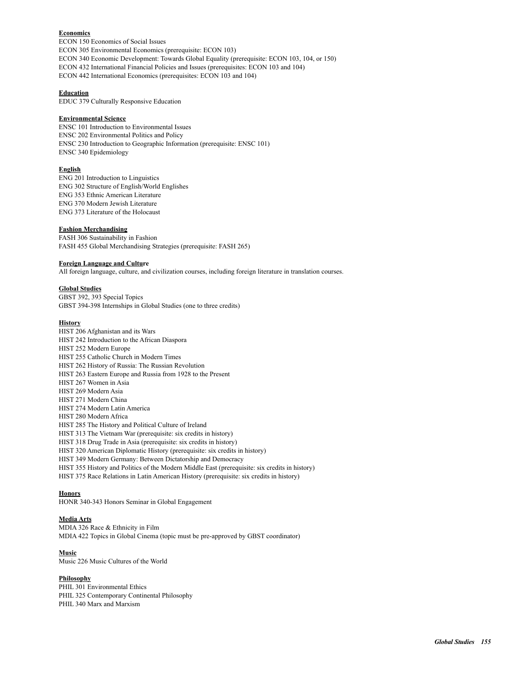### **Economics**

 ECON 150 Economics of Social Issues ECON 305 Environmental Economics (prerequisite: ECON 103) ECON 340 Economic Development: Towards Global Equality (prerequisite: ECON 103, 104, or 150) ECON 432 International Financial Policies and Issues (prerequisites: ECON 103 and 104) ECON 442 International Economics (prerequisites: ECON 103 and 104)

### **Education**

EDUC 379 Culturally Responsive Education

#### **Environmental Science**

 ENSC 101 Introduction to Environmental Issues ENSC 202 Environmental Politics and Policy ENSC 230 Introduction to Geographic Information (prerequisite: ENSC 101) ENSC 340 Epidemiology

### **English**

 ENG 201 Introduction to Linguistics ENG 302 Structure of English/World Englishes ENG 353 Ethnic American Literature ENG 370 Modern Jewish Literature ENG 373 Literature of the Holocaust

### **Fashion Merchandising**

 FASH 306 Sustainability in Fashion FASH 455 Global Merchandising Strategies (prerequisite: FASH 265)

#### **Foreign Language and Culture**

All foreign language, culture, and civilization courses, including foreign literature in translation courses.

#### **Global Studies**

GBST 392, 393 Special Topics GBST 394-398 Internships in Global Studies (one to three credits)

#### **History**

 HIST 206 Afghanistan and its Wars HIST 242 Introduction to the African Diaspora HIST 252 Modern Europe HIST 255 Catholic Church in Modern Times HIST 262 History of Russia: The Russian Revolution HIST 263 Eastern Europe and Russia from 1928 to the Present HIST 267 Women in Asia HIST 269 Modern Asia HIST 271 Modern China HIST 274 Modern Latin America HIST 280 Modern Africa HIST 285 The History and Political Culture of Ireland HIST 313 The Vietnam War (prerequisite: six credits in history) HIST 318 Drug Trade in Asia (prerequisite: six credits in history) HIST 320 American Diplomatic History (prerequisite: six credits in history) HIST 349 Modern Germany: Between Dictatorship and Democracy HIST 355 History and Politics of the Modern Middle East (prerequisite: six credits in history) HIST 375 Race Relations in Latin American History (prerequisite: six credits in history)

#### **Honors**

HONR 340-343 Honors Seminar in Global Engagement

### **Media Arts**

 MDIA 326 Race & Ethnicity in Film MDIA 422 Topics in Global Cinema (topic must be pre-approved by GBST coordinator)

### **Music**

Music 226 Music Cultures of the World

### **Philosophy**

 PHIL 301 Environmental Ethics PHIL 325 Contemporary Continental Philosophy PHIL 340 Marx and Marxism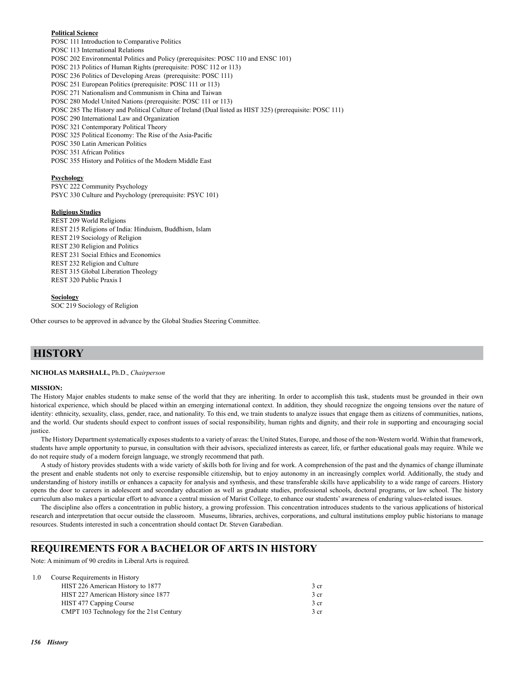#### **Political Science**

 POSC 111 Introduction to Comparative Politics POSC 113 International Relations POSC 202 Environmental Politics and Policy (prerequisites: POSC 110 and ENSC 101) POSC 213 Politics of Human Rights (prerequisite: POSC 112 or 113) POSC 236 Politics of Developing Areas (prerequisite: POSC 111) POSC 251 European Politics (prerequisite: POSC 111 or 113) POSC 271 Nationalism and Communism in China and Taiwan POSC 280 Model United Nations (prerequisite: POSC 111 or 113) POSC 285 The History and Political Culture of Ireland (Dual listed as HIST 325) (prerequisite: POSC 111) POSC 290 International Law and Organization POSC 321 Contemporary Political Theory POSC 325 Political Economy: The Rise of the Asia-Pacific POSC 350 Latin American Politics POSC 351 African Politics POSC 355 History and Politics of the Modern Middle East

#### **Psychology**

 PSYC 222 Community Psychology PSYC 330 Culture and Psychology (prerequisite: PSYC 101)

#### **Religious Studies**

REST 209 World Religions REST 215 Religions of India: Hinduism, Buddhism, Islam REST 219 Sociology of Religion REST 230 Religion and Politics REST 231 Social Ethics and Economics REST 232 Religion and Culture REST 315 Global Liberation Theology REST 320 Public Praxis I

#### **Sociology**

SOC 219 Sociology of Religion

Other courses to be approved in advance by the Global Studies Steering Committee.

### **HISTORY**

**NICHOLAS MARSHALL,** Ph.D., *Chairperson*

#### **MISSION:**

The History Major enables students to make sense of the world that they are inheriting. In order to accomplish this task, students must be grounded in their own historical experience, which should be placed within an emerging international context. In addition, they should recognize the ongoing tensions over the nature of identity: ethnicity, sexuality, class, gender, race, and nationality. To this end, we train students to analyze issues that engage them as citizens of communities, nations, and the world. Our students should expect to confront issues of social responsibility, human rights and dignity, and their role in supporting and encouraging social justice.

The History Department systematically exposes students to a variety of areas: the United States, Europe, and those of the non-Western world. Within that framework, students have ample opportunity to pursue, in consultation with their advisors, specialized interests as career, life, or further educational goals may require. While we do not require study of a modern foreign language, we strongly recommend that path.

A study of history provides students with a wide variety of skills both for living and for work. A comprehension of the past and the dynamics of change illuminate the present and enable students not only to exercise responsible citizenship, but to enjoy autonomy in an increasingly complex world. Additionally, the study and understanding of history instills or enhances a capacity for analysis and synthesis, and these transferable skills have applicability to a wide range of careers. History opens the door to careers in adolescent and secondary education as well as graduate studies, professional schools, doctoral programs, or law school. The history curriculum also makes a particular effort to advance a central mission of Marist College, to enhance our students' awareness of enduring values-related issues.

The discipline also offers a concentration in public history, a growing profession. This concentration introduces students to the various applications of historical research and interpretation that occur outside the classroom. Museums, libraries, archives, corporations, and cultural institutions employ public historians to manage resources. Students interested in such a concentration should contact Dr. Steven Garabedian.

### **REQUIREMENTS FOR A BACHELOR OF ARTS IN HISTORY**

Note: A minimum of 90 credits in Liberal Arts is required.

| 1.0 | Course Requirements in History           |      |
|-----|------------------------------------------|------|
|     | HIST 226 American History to 1877        | 3 cr |
|     | HIST 227 American History since 1877     | 3 cr |
|     | HIST 477 Capping Course                  | 3 cr |
|     | CMPT 103 Technology for the 21st Century | 3 cr |
|     |                                          |      |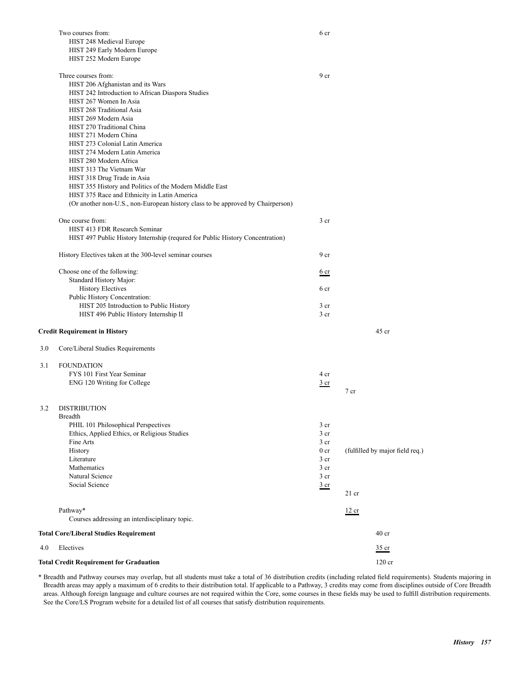|     | Two courses from:<br>HIST 248 Medieval Europe                                   | 6 cr            |                                 |
|-----|---------------------------------------------------------------------------------|-----------------|---------------------------------|
|     |                                                                                 |                 |                                 |
|     | HIST 249 Early Modern Europe<br>HIST 252 Modern Europe                          |                 |                                 |
|     |                                                                                 |                 |                                 |
|     | Three courses from:                                                             | 9 cr            |                                 |
|     | HIST 206 Afghanistan and its Wars                                               |                 |                                 |
|     | HIST 242 Introduction to African Diaspora Studies                               |                 |                                 |
|     | HIST 267 Women In Asia                                                          |                 |                                 |
|     | HIST 268 Traditional Asia                                                       |                 |                                 |
|     | HIST 269 Modern Asia                                                            |                 |                                 |
|     | HIST 270 Traditional China                                                      |                 |                                 |
|     | HIST 271 Modern China                                                           |                 |                                 |
|     | HIST 273 Colonial Latin America                                                 |                 |                                 |
|     | HIST 274 Modern Latin America                                                   |                 |                                 |
|     | HIST 280 Modern Africa                                                          |                 |                                 |
|     | HIST 313 The Vietnam War                                                        |                 |                                 |
|     | HIST 318 Drug Trade in Asia                                                     |                 |                                 |
|     | HIST 355 History and Politics of the Modern Middle East                         |                 |                                 |
|     | HIST 375 Race and Ethnicity in Latin America                                    |                 |                                 |
|     | (Or another non-U.S., non-European history class to be approved by Chairperson) |                 |                                 |
|     |                                                                                 |                 |                                 |
|     | One course from:                                                                | 3 <sub>cr</sub> |                                 |
|     | HIST 413 FDR Research Seminar                                                   |                 |                                 |
|     | HIST 497 Public History Internship (requred for Public History Concentration)   |                 |                                 |
|     |                                                                                 |                 |                                 |
|     | History Electives taken at the 300-level seminar courses                        | 9 cr            |                                 |
|     | Choose one of the following:                                                    | 6 <sub>cr</sub> |                                 |
|     | Standard History Major:                                                         |                 |                                 |
|     | <b>History Electives</b>                                                        | 6 cr            |                                 |
|     | Public History Concentration:                                                   |                 |                                 |
|     | HIST 205 Introduction to Public History                                         | 3 <sub>cr</sub> |                                 |
|     | HIST 496 Public History Internship II                                           | $3$ cr          |                                 |
|     |                                                                                 |                 |                                 |
|     | <b>Credit Requirement in History</b>                                            |                 | $45$ cr                         |
| 3.0 | Core/Liberal Studies Requirements                                               |                 |                                 |
| 3.1 | <b>FOUNDATION</b>                                                               |                 |                                 |
|     | FYS 101 First Year Seminar                                                      | 4 cr            |                                 |
|     | ENG 120 Writing for College                                                     | 3 cr            |                                 |
|     |                                                                                 |                 | 7 cr                            |
|     |                                                                                 |                 |                                 |
|     | 3.2 DISTRIBUTION                                                                |                 |                                 |
|     | <b>Breadth</b>                                                                  |                 |                                 |
|     | PHIL 101 Philosophical Perspectives                                             | 3 cr            |                                 |
|     | Ethics, Applied Ethics, or Religious Studies                                    | 3 <sub>cr</sub> |                                 |
|     | Fine Arts                                                                       | $3$ cr          |                                 |
|     | History                                                                         | 0 <sub>cr</sub> | (fulfilled by major field req.) |
|     | Literature                                                                      | 3 <sub>cr</sub> |                                 |
|     | Mathematics                                                                     | $3$ cr          |                                 |
|     | Natural Science                                                                 | 3 <sub>cr</sub> |                                 |
|     | Social Science                                                                  | $rac{3}{2}$ cr  |                                 |
|     |                                                                                 |                 | $21$ cr                         |
|     |                                                                                 |                 |                                 |
|     | Pathway*<br>Courses addressing an interdisciplinary topic.                      |                 | 12 cr                           |
|     | <b>Total Core/Liberal Studies Requirement</b>                                   |                 | 40 <sub>cr</sub>                |
|     | Electives                                                                       |                 |                                 |
| 4.0 |                                                                                 |                 | $35$ cr                         |
|     | <b>Total Credit Requirement for Graduation</b>                                  |                 | 120 cr                          |

\* Breadth and Pathway courses may overlap, but all students must take a total of 36 distribution credits (including related field requirements). Students majoring in Breadth areas may apply a maximum of 6 credits to their distribution total. If applicable to a Pathway, 3 credits may come from disciplines outside of Core Breadth areas. Although foreign language and culture courses are not required within the Core, some courses in these fields may be used to fulfill distribution requirements. See the Core/LS Program website for a detailed list of all courses that satisfy distribution requirements.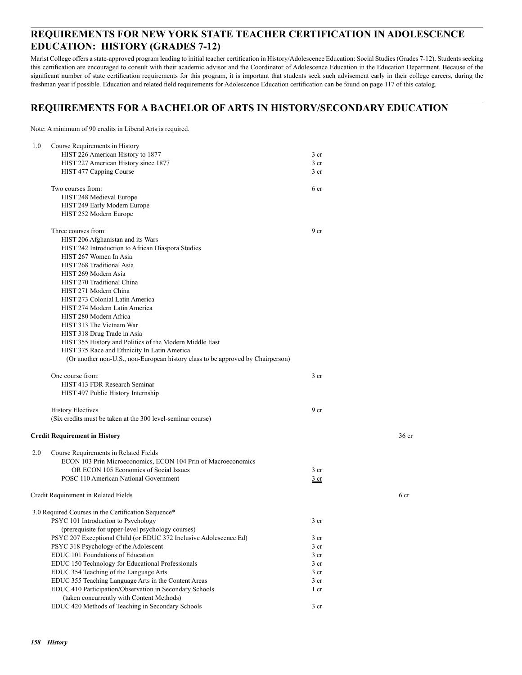### **REQUIREMENTS FOR NEW YORK STATE TEACHER CERTIFICATION IN ADOLESCENCE EDUCATION: HISTORY (GRADES 7-12)**

Marist College offers a state-approved program leading to initial teacher certification in History/Adolescence Education: Social Studies (Grades 7-12). Students seeking this certification are encouraged to consult with their academic advisor and the Coordinator of Adolescence Education in the Education Department. Because of the significant number of state certification requirements for this program, it is important that students seek such advisement early in their college careers, during the freshman year if possible. Education and related field requirements for Adolescence Education certification can be found on page 117 of this catalog.

### **REQUIREMENTS FOR A BACHELOR OF ARTS IN HISTORY/SECONDARY EDUCATION**

Note: A minimum of 90 credits in Liberal Arts is required.

| 1.0 | Course Requirements in History                                                  |                 |                  |
|-----|---------------------------------------------------------------------------------|-----------------|------------------|
|     | HIST 226 American History to 1877                                               | 3 cr            |                  |
|     | HIST 227 American History since 1877                                            | $3$ cr          |                  |
|     | HIST 477 Capping Course                                                         | 3 cr            |                  |
|     |                                                                                 |                 |                  |
|     | Two courses from:                                                               | 6 cr            |                  |
|     | HIST 248 Medieval Europe                                                        |                 |                  |
|     | HIST 249 Early Modern Europe                                                    |                 |                  |
|     | HIST 252 Modern Europe                                                          |                 |                  |
|     |                                                                                 |                 |                  |
|     | Three courses from:                                                             | 9 <sub>cr</sub> |                  |
|     | HIST 206 Afghanistan and its Wars                                               |                 |                  |
|     | HIST 242 Introduction to African Diaspora Studies                               |                 |                  |
|     | HIST 267 Women In Asia                                                          |                 |                  |
|     | HIST 268 Traditional Asia                                                       |                 |                  |
|     | HIST 269 Modern Asia                                                            |                 |                  |
|     | HIST 270 Traditional China                                                      |                 |                  |
|     | HIST 271 Modern China                                                           |                 |                  |
|     | HIST 273 Colonial Latin America                                                 |                 |                  |
|     | HIST 274 Modern Latin America                                                   |                 |                  |
|     | HIST 280 Modern Africa                                                          |                 |                  |
|     | HIST 313 The Vietnam War                                                        |                 |                  |
|     | HIST 318 Drug Trade in Asia                                                     |                 |                  |
|     | HIST 355 History and Politics of the Modern Middle East                         |                 |                  |
|     | HIST 375 Race and Ethnicity In Latin America                                    |                 |                  |
|     | (Or another non-U.S., non-European history class to be approved by Chairperson) |                 |                  |
|     |                                                                                 |                 |                  |
|     | One course from:                                                                | 3 <sub>cr</sub> |                  |
|     | HIST 413 FDR Research Seminar                                                   |                 |                  |
|     | HIST 497 Public History Internship                                              |                 |                  |
|     |                                                                                 |                 |                  |
|     | <b>History Electives</b>                                                        | 9 cr            |                  |
|     | (Six credits must be taken at the 300 level-seminar course)                     |                 |                  |
|     |                                                                                 |                 |                  |
|     | <b>Credit Requirement in History</b>                                            |                 | 36 <sub>cr</sub> |
|     |                                                                                 |                 |                  |
| 2.0 | Course Requirements in Related Fields                                           |                 |                  |
|     | ECON 103 Prin Microeconomics, ECON 104 Prin of Macroeconomics                   |                 |                  |
|     | OR ECON 105 Economics of Social Issues                                          | 3 <sub>cr</sub> |                  |
|     | POSC 110 American National Government                                           | 3 cr            |                  |
|     | Credit Requirement in Related Fields                                            |                 | 6 cr             |
|     |                                                                                 |                 |                  |
|     | 3.0 Required Courses in the Certification Sequence*                             |                 |                  |
|     | PSYC 101 Introduction to Psychology                                             | 3 cr            |                  |
|     | (prerequisite for upper-level psychology courses)                               |                 |                  |
|     | PSYC 207 Exceptional Child (or EDUC 372 Inclusive Adolescence Ed)               | 3 cr            |                  |
|     | PSYC 318 Psychology of the Adolescent                                           | 3 cr            |                  |
|     | EDUC 101 Foundations of Education                                               | 3 cr            |                  |
|     | EDUC 150 Technology for Educational Professionals                               | 3 cr            |                  |
|     | EDUC 354 Teaching of the Language Arts                                          | 3 cr            |                  |
|     | EDUC 355 Teaching Language Arts in the Content Areas                            | 3 cr            |                  |
|     | EDUC 410 Participation/Observation in Secondary Schools                         | 1 cr            |                  |
|     | (taken concurrently with Content Methods)                                       |                 |                  |
|     | EDUC 420 Methods of Teaching in Secondary Schools                               | 3 cr            |                  |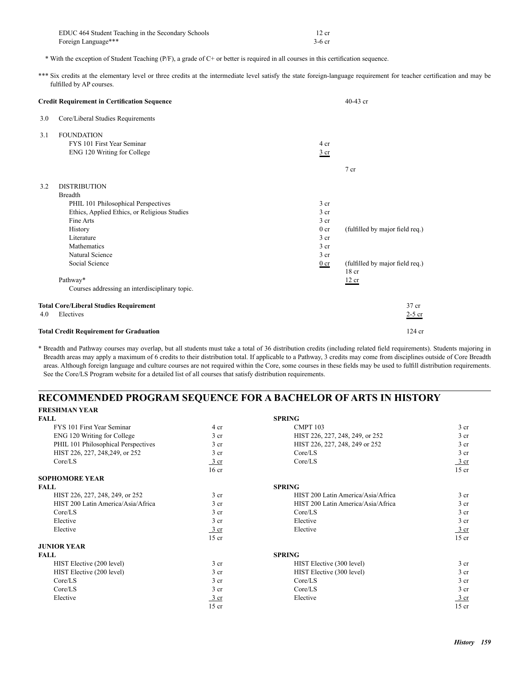| EDUC 464 Student Teaching in the Secondary Schools | 12 cr    |
|----------------------------------------------------|----------|
| Foreign Language***                                | $3-6$ cr |

\* With the exception of Student Teaching (P/F), a grade of C+ or better is required in all courses in this certification sequence.

\*\*\* Six credits at the elementary level or three credits at the intermediate level satisfy the state foreign-language requirement for teacher certification and may be fulfilled by AP courses.

| <b>Credit Requirement in Certification Sequence</b> |                                                                                                                                                                                                                                                                                      |                                                                                                                                             | $40-43$ cr                                                                                      |
|-----------------------------------------------------|--------------------------------------------------------------------------------------------------------------------------------------------------------------------------------------------------------------------------------------------------------------------------------------|---------------------------------------------------------------------------------------------------------------------------------------------|-------------------------------------------------------------------------------------------------|
| 3.0                                                 | Core/Liberal Studies Requirements                                                                                                                                                                                                                                                    |                                                                                                                                             |                                                                                                 |
| 3.1                                                 | <b>FOUNDATION</b><br>FYS 101 First Year Seminar<br>ENG 120 Writing for College                                                                                                                                                                                                       | 4 cr<br>3 cr                                                                                                                                | 7 cr                                                                                            |
| 3.2                                                 | <b>DISTRIBUTION</b><br><b>Breadth</b><br>PHIL 101 Philosophical Perspectives<br>Ethics, Applied Ethics, or Religious Studies<br>Fine Arts<br>History<br>Literature<br>Mathematics<br>Natural Science<br>Social Science<br>Pathway*<br>Courses addressing an interdisciplinary topic. | 3 <sub>cr</sub><br>3 <sub>cr</sub><br>3 <sub>cr</sub><br>0 <sub>cr</sub><br>3 <sub>cr</sub><br>3 <sub>cr</sub><br>3 <sub>cr</sub><br>$0$ cr | (fulfilled by major field req.)<br>(fulfilled by major field req.)<br>18 <sub>cr</sub><br>12 cr |
|                                                     | <b>Total Core/Liberal Studies Requirement</b>                                                                                                                                                                                                                                        |                                                                                                                                             | 37 cr                                                                                           |
| 4.0                                                 | Electives                                                                                                                                                                                                                                                                            |                                                                                                                                             | $2-5$ cr                                                                                        |
|                                                     | <b>Total Credit Requirement for Graduation</b>                                                                                                                                                                                                                                       |                                                                                                                                             | $124$ cr                                                                                        |

\* Breadth and Pathway courses may overlap, but all students must take a total of 36 distribution credits (including related field requirements). Students majoring in Breadth areas may apply a maximum of 6 credits to their distribution total. If applicable to a Pathway, 3 credits may come from disciplines outside of Core Breadth areas. Although foreign language and culture courses are not required within the Core, some courses in these fields may be used to fulfill distribution requirements. See the Core/LS Program website for a detailed list of all courses that satisfy distribution requirements.

### **RECOMMENDED PROGRAM SEQUENCE FOR A BACHELOR OF ARTS IN HISTORY FRESHMAN YEAR**

| <b>FALL</b>                         |                  | <b>SPRING</b>                      |                  |
|-------------------------------------|------------------|------------------------------------|------------------|
| FYS 101 First Year Seminar          | 4 cr             | <b>CMPT 103</b>                    | 3 <sub>cr</sub>  |
| ENG 120 Writing for College         | 3 <sub>cr</sub>  | HIST 226, 227, 248, 249, or 252    | 3 <sub>cr</sub>  |
| PHIL 101 Philosophical Perspectives | 3 <sub>cr</sub>  | HIST 226, 227, 248, 249 or 252     | 3 <sub>cr</sub>  |
| HIST 226, 227, 248, 249, or 252     | 3 <sub>cr</sub>  | Core/LS                            | 3 <sub>cr</sub>  |
| Core/LS                             | $\frac{3}{ }$ cr | Core/LS                            | $\frac{3}{ }$ cr |
|                                     | $16$ cr          |                                    | $15$ cr          |
| <b>SOPHOMORE YEAR</b>               |                  |                                    |                  |
| <b>FALL</b>                         |                  | <b>SPRING</b>                      |                  |
| HIST 226, 227, 248, 249, or 252     | 3 <sub>cr</sub>  | HIST 200 Latin America/Asia/Africa | 3 <sub>cr</sub>  |
| HIST 200 Latin America/Asia/Africa  | 3 <sub>cr</sub>  | HIST 200 Latin America/Asia/Africa | 3 <sub>cr</sub>  |
| Core/LS                             | 3 <sub>cr</sub>  | Core/LS                            | 3 <sub>cr</sub>  |
| Elective                            | 3 <sub>cr</sub>  | Elective                           | 3 <sub>cr</sub>  |
| Elective                            | $\frac{3}{ }$ cr | Elective                           | $\frac{3}{ }$ cr |
|                                     | $15$ cr          |                                    | $15$ cr          |
| <b>JUNIOR YEAR</b>                  |                  |                                    |                  |
| <b>FALL</b>                         |                  | <b>SPRING</b>                      |                  |
| HIST Elective (200 level)           | 3 <sub>cr</sub>  | HIST Elective (300 level)          | 3 <sub>cr</sub>  |
| HIST Elective (200 level)           | 3 <sub>cr</sub>  | HIST Elective (300 level)          | 3 cr             |
| Core/LS                             | 3 <sub>cr</sub>  | Core/LS                            | 3 cr             |
| Core/LS                             | 3 <sub>cr</sub>  | Core/LS                            | 3 cr             |
| Elective                            | $\frac{3}{ }$ cr | Elective                           | 3 cr             |
|                                     | $15$ cr          |                                    | $15$ cr          |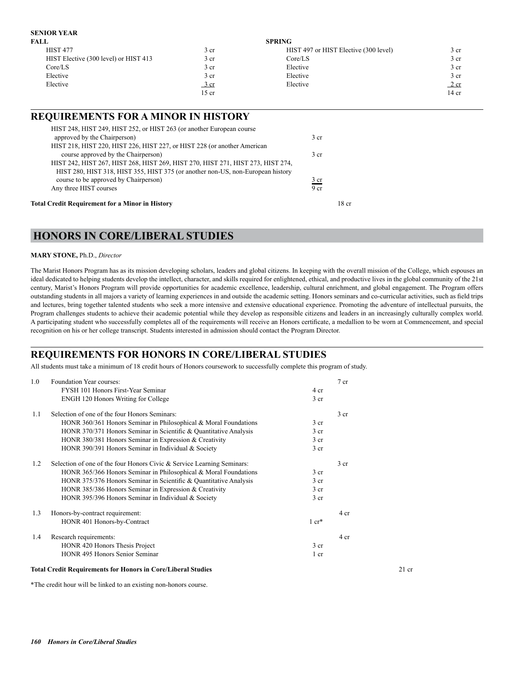### **SENIOR YEAR**

| FALL                                  |                          | <b>SPRING</b>                         |                |
|---------------------------------------|--------------------------|---------------------------------------|----------------|
| <b>HIST 477</b>                       | 3 cr                     | HIST 497 or HIST Elective (300 level) | 3 cr           |
| HIST Elective (300 level) or HIST 413 | 3 cr                     | Core/LS                               | 3 cr           |
| Core/LS                               | 3 cr                     | Elective                              | 3 cr           |
| Elective                              | 3 cr                     | Elective                              | 3 cr           |
| Elective                              | $\frac{3 \text{ cr}}{2}$ | Elective                              | $2 \text{ cr}$ |
|                                       | 15 cr                    |                                       | $14$ cr        |

### **REQUIREMENTS FOR A MINOR IN HISTORY**

| HIST 248, HIST 249, HIST 252, or HIST 263 (or another European course<br>approved by the Chairperson) | 3 <sub>cr</sub> |
|-------------------------------------------------------------------------------------------------------|-----------------|
| HIST 218, HIST 220, HIST 226, HIST 227, or HIST 228 (or another American                              |                 |
| course approved by the Chairperson)                                                                   | 3 <sub>cr</sub> |
| HIST 242, HIST 267, HIST 268, HIST 269, HIST 270, HIST 271, HIST 273, HIST 274,                       |                 |
| HIST 280, HIST 318, HIST 355, HIST 375 (or another non-US, non-European history                       |                 |
| course to be approved by Chairperson)                                                                 | $rac{3}{2}$ cr  |
| Any three HIST courses                                                                                | 9 <sub>cr</sub> |

### **HONORS IN CORE/LIBERAL STUDIES**

### **MARY STONE,** Ph.D., *Director*

The Marist Honors Program has as its mission developing scholars, leaders and global citizens. In keeping with the overall mission of the College, which espouses an ideal dedicated to helping students develop the intellect, character, and skills required for enlightened, ethical, and productive lives in the global community of the 21st century, Marist's Honors Program will provide opportunities for academic excellence, leadership, cultural enrichment, and global engagement. The Program offers outstanding students in all majors a variety of learning experiences in and outside the academic setting. Honors seminars and co-curricular activities, such as field trips and lectures, bring together talented students who seek a more intensive and extensive educational experience. Promoting the adventure of intellectual pursuits, the Program challenges students to achieve their academic potential while they develop as responsible citizens and leaders in an increasingly culturally complex world. A participating student who successfully completes all of the requirements will receive an Honors certificate, a medallion to be worn at Commencement, and special recognition on his or her college transcript. Students interested in admission should contact the Program Director.

### **REQUIREMENTS FOR HONORS IN CORE/LIBERAL STUDIES**

All students must take a minimum of 18 credit hours of Honors coursework to successfully complete this program of study.

| 1.0 | Foundation Year courses:                                               |                  | 7 cr            |
|-----|------------------------------------------------------------------------|------------------|-----------------|
|     | FYSH 101 Honors First-Year Seminar                                     | 4 cr             |                 |
|     | ENGH 120 Honors Writing for College                                    | 3 <sub>cr</sub>  |                 |
| 1.1 | Selection of one of the four Honors Seminars:                          |                  | 3 <sub>cr</sub> |
|     | HONR 360/361 Honors Seminar in Philosophical & Moral Foundations       | 3 <sub>cr</sub>  |                 |
|     | HONR 370/371 Honors Seminar in Scientific & Quantitative Analysis      | 3 <sub>cr</sub>  |                 |
|     | HONR 380/381 Honors Seminar in Expression & Creativity                 | 3 <sub>cr</sub>  |                 |
|     | HONR 390/391 Honors Seminar in Individual & Society                    | 3 <sub>cr</sub>  |                 |
| 1.2 | Selection of one of the four Honors Civic & Service Learning Seminars: |                  | 3 <sub>cr</sub> |
|     | HONR 365/366 Honors Seminar in Philosophical & Moral Foundations       | 3 <sub>cr</sub>  |                 |
|     | HONR 375/376 Honors Seminar in Scientific & Quantitative Analysis      | 3 <sub>cr</sub>  |                 |
|     | HONR 385/386 Honors Seminar in Expression & Creativity                 | 3 <sub>cr</sub>  |                 |
|     | HONR 395/396 Honors Seminar in Individual & Society                    | 3 <sub>cr</sub>  |                 |
| 1.3 | Honors-by-contract requirement:                                        |                  | 4 cr            |
|     | HONR 401 Honors-by-Contract                                            | $1 \text{ cr}^*$ |                 |
| 1.4 | Research requirements:                                                 |                  | 4 cr            |
|     | HONR 420 Honors Thesis Project                                         | 3 <sub>cr</sub>  |                 |
|     | HONR 495 Honors Senior Seminar                                         | $1$ cr           |                 |

#### **Total Credit Requirements for Honors in Core/Liberal Studies** 21 cr

\*The credit hour will be linked to an existing non-honors course.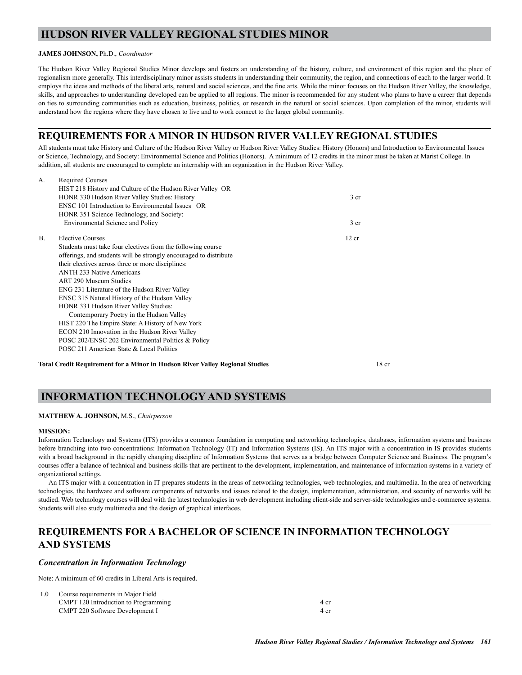### **HUDSON RIVER VALLEY REGIONAL STUDIES MINOR**

### **JAMES JOHNSON,** Ph.D., *Coordinator*

The Hudson River Valley Regional Studies Minor develops and fosters an understanding of the history, culture, and environment of this region and the place of regionalism more generally. This interdisciplinary minor assists students in understanding their community, the region, and connections of each to the larger world. It employs the ideas and methods of the liberal arts, natural and social sciences, and the fine arts. While the minor focuses on the Hudson River Valley, the knowledge, skills, and approaches to understanding developed can be applied to all regions. The minor is recommended for any student who plans to have a career that depends on ties to surrounding communities such as education, business, politics, or research in the natural or social sciences. Upon completion of the minor, students will understand how the regions where they have chosen to live and to work connect to the larger global community.

### **REQUIREMENTS FOR A MINOR IN HUDSON RIVER VALLEY REGIONAL STUDIES**

All students must take History and Culture of the Hudson River Valley or Hudson River Valley Studies: History (Honors) and Introduction to Environmental Issues or Science, Technology, and Society: Environmental Science and Politics (Honors). A minimum of 12 credits in the minor must be taken at Marist College. In addition, all students are encouraged to complete an internship with an organization in the Hudson River Valley.

| A.           | <b>Required Courses</b>                                           |                 |
|--------------|-------------------------------------------------------------------|-----------------|
|              | HIST 218 History and Culture of the Hudson River Valley OR        |                 |
|              | HONR 330 Hudson River Valley Studies: History                     | 3 cr            |
|              | ENSC 101 Introduction to Environmental Issues OR                  |                 |
|              | HONR 351 Science Technology, and Society:                         |                 |
|              | Environmental Science and Policy                                  | 3 <sub>cr</sub> |
| $\mathbf{B}$ | Elective Courses                                                  | 12 cr           |
|              | Students must take four electives from the following course       |                 |
|              | offerings, and students will be strongly encouraged to distribute |                 |
|              | their electives across three or more disciplines:                 |                 |
|              | <b>ANTH 233 Native Americans</b>                                  |                 |
|              | <b>ART 290 Museum Studies</b>                                     |                 |
|              | ENG 231 Literature of the Hudson River Valley                     |                 |
|              | ENSC 315 Natural History of the Hudson Valley                     |                 |
|              | HONR 331 Hudson River Valley Studies:                             |                 |
|              | Contemporary Poetry in the Hudson Valley                          |                 |
|              | HIST 220 The Empire State: A History of New York                  |                 |
|              | ECON 210 Innovation in the Hudson River Valley                    |                 |
|              | POSC 202/ENSC 202 Environmental Politics & Policy                 |                 |
|              | POSC 211 American State & Local Politics                          |                 |
|              |                                                                   |                 |

**Total Credit Requirement for a Minor in Hudson River Valley Regional Studies** 18 cr

### **INFORMATION TECHNOLOGY AND SYSTEMS**

### **MATTHEW A. JOHNSON,** M.S., *Chairperson*

### **MISSION:**

Information Technology and Systems (ITS) provides a common foundation in computing and networking technologies, databases, information systems and business before branching into two concentrations: Information Technology (IT) and Information Systems (IS). An ITS major with a concentration in IS provides students with a broad background in the rapidly changing discipline of Information Systems that serves as a bridge between Computer Science and Business. The program's courses offer a balance of technical and business skills that are pertinent to the development, implementation, and maintenance of information systems in a variety of organizational settings.

An ITS major with a concentration in IT prepares students in the areas of networking technologies, web technologies, and multimedia. In the area of networking technologies, the hardware and software components of networks and issues related to the design, implementation, administration, and security of networks will be studied. Web technology courses will deal with the latest technologies in web development including client-side and server-side technologies and e-commerce systems. Students will also study multimedia and the design of graphical interfaces.

### **REQUIREMENTS FOR A BACHELOR OF SCIENCE IN INFORMATION TECHNOLOGY AND SYSTEMS**

### *Concentration in Information Technology*

Note: A minimum of 60 credits in Liberal Arts is required.

| 1.0 | Course requirements in Major Field   |      |
|-----|--------------------------------------|------|
|     | CMPT 120 Introduction to Programming | 4 cr |
|     | CMPT 220 Software Development I      | 4 cr |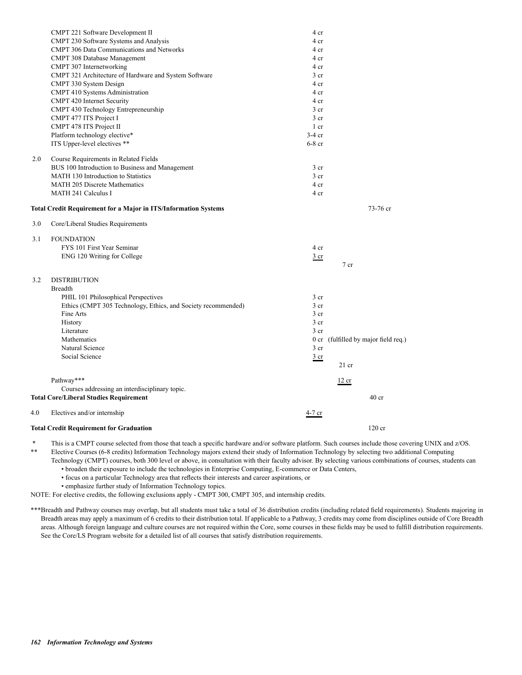|     | CMPT 221 Software Development II                                | 4 cr            |                                      |
|-----|-----------------------------------------------------------------|-----------------|--------------------------------------|
|     | CMPT 230 Software Systems and Analysis                          | 4 cr            |                                      |
|     | <b>CMPT 306 Data Communications and Networks</b>                | 4 cr            |                                      |
|     | CMPT 308 Database Management                                    | 4 cr            |                                      |
|     | CMPT 307 Internetworking                                        | 4 cr            |                                      |
|     | CMPT 321 Architecture of Hardware and System Software           | 3 <sub>cr</sub> |                                      |
|     | CMPT 330 System Design                                          | 4 cr            |                                      |
|     | CMPT 410 Systems Administration                                 | 4 cr            |                                      |
|     | CMPT 420 Internet Security                                      | 4 cr            |                                      |
|     | CMPT 430 Technology Entrepreneurship                            | 3 <sub>cr</sub> |                                      |
|     | CMPT 477 ITS Project I                                          | 3 <sub>cr</sub> |                                      |
|     | CMPT 478 ITS Project II                                         | $1$ cr          |                                      |
|     | Platform technology elective*                                   | $3-4$ cr        |                                      |
|     | ITS Upper-level electives **                                    | $6-8$ cr        |                                      |
| 2.0 | Course Requirements in Related Fields                           |                 |                                      |
|     | BUS 100 Introduction to Business and Management                 | 3 <sub>cr</sub> |                                      |
|     | MATH 130 Introduction to Statistics                             | 3 <sub>cr</sub> |                                      |
|     | <b>MATH 205 Discrete Mathematics</b>                            | 4 cr            |                                      |
|     | <b>MATH 241 Calculus I</b>                                      | 4 cr            |                                      |
|     | Total Credit Requirement for a Major in ITS/Information Systems |                 | 73-76 cr                             |
| 3.0 | Core/Liberal Studies Requirements                               |                 |                                      |
| 3.1 | <b>FOUNDATION</b>                                               |                 |                                      |
|     | FYS 101 First Year Seminar                                      | 4 cr            |                                      |
|     | ENG 120 Writing for College                                     | $rac{3}{2}$ cr  |                                      |
|     |                                                                 |                 | $7$ cr                               |
| 3.2 | <b>DISTRIBUTION</b>                                             |                 |                                      |
|     | <b>Breadth</b>                                                  |                 |                                      |
|     | PHIL 101 Philosophical Perspectives                             | 3 <sub>cr</sub> |                                      |
|     | Ethics (CMPT 305 Technology, Ethics, and Society recommended)   | 3 <sub>cr</sub> |                                      |
|     | Fine Arts                                                       | 3 cr            |                                      |
|     | History                                                         | 3 <sub>cr</sub> |                                      |
|     | Literature                                                      | 3 cr            |                                      |
|     | Mathematics                                                     |                 | 0 cr (fulfilled by major field req.) |
|     | Natural Science                                                 | 3 <sub>cr</sub> |                                      |
|     | Social Science                                                  | 3 cr            |                                      |
|     |                                                                 |                 | $21$ cr                              |
|     | Pathway***                                                      |                 | 12 cr                                |
|     | Courses addressing an interdisciplinary topic.                  |                 |                                      |
|     | <b>Total Core/Liberal Studies Requirement</b>                   |                 | 40 <sub>cr</sub>                     |
| 4.0 | Electives and/or internship                                     | 4-7 cr          |                                      |
|     | <b>Total Credit Requirement for Graduation</b>                  |                 | $120$ cr                             |
|     |                                                                 |                 |                                      |

This is a CMPT course selected from those that teach a specific hardware and/or software platform. Such courses include those covering UNIX and z/OS.

\*\* Elective Courses (6-8 credits) Information Technology majors extend their study of Information Technology by selecting two additional Computing

Technology (CMPT) courses, both 300 level or above, in consultation with their faculty advisor. By selecting various combinations of courses, students can • broaden their exposure to include the technologies in Enterprise Computing, E-commerce or Data Centers,

• focus on a particular Technology area that reflects their interests and career aspirations, or

• emphasize further study of Information Technology topics.

NOTE: For elective credits, the following exclusions apply - CMPT 300, CMPT 305, and internship credits.

\*\*\*Breadth and Pathway courses may overlap, but all students must take a total of 36 distribution credits (including related field requirements). Students majoring in Breadth areas may apply a maximum of 6 credits to their distribution total. If applicable to a Pathway, 3 credits may come from disciplines outside of Core Breadth areas. Although foreign language and culture courses are not required within the Core, some courses in these fields may be used to fulfill distribution requirements. See the Core/LS Program website for a detailed list of all courses that satisfy distribution requirements.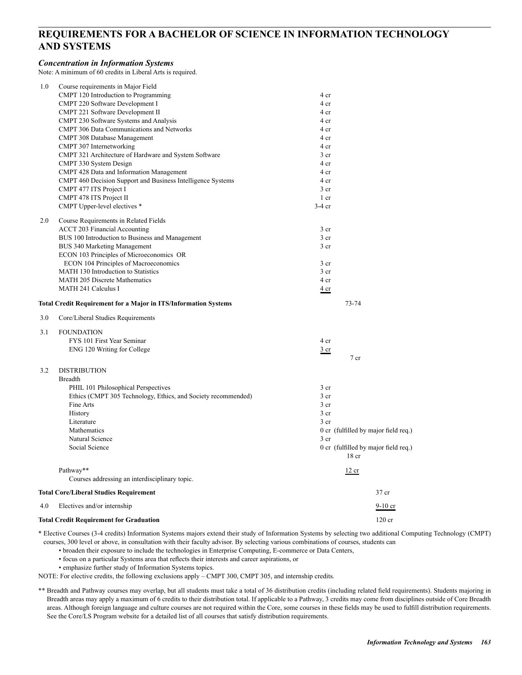### **REQUIREMENTS FOR A BACHELOR OF SCIENCE IN INFORMATION TECHNOLOGY AND SYSTEMS**

### *Concentration in Information Systems*

Note: A minimum of 60 credits in Liberal Arts is required.

| 1.0 | Course requirements in Major Field<br>CMPT 120 Introduction to Programming                              | 4 cr                                                     |  |
|-----|---------------------------------------------------------------------------------------------------------|----------------------------------------------------------|--|
|     | CMPT 220 Software Development I                                                                         | 4 cr                                                     |  |
|     | CMPT 221 Software Development II                                                                        | 4 cr                                                     |  |
|     | CMPT 230 Software Systems and Analysis                                                                  | 4 cr                                                     |  |
|     | CMPT 306 Data Communications and Networks                                                               | 4 cr                                                     |  |
|     | CMPT 308 Database Management                                                                            | 4 cr                                                     |  |
|     | CMPT 307 Internetworking                                                                                | 4 cr                                                     |  |
|     | CMPT 321 Architecture of Hardware and System Software                                                   | 3 <sub>cr</sub>                                          |  |
|     | CMPT 330 System Design                                                                                  | 4 cr                                                     |  |
|     | CMPT 428 Data and Information Management<br>CMPT 460 Decision Support and Business Intelligence Systems | 4 cr<br>4 cr                                             |  |
|     | CMPT 477 ITS Project I                                                                                  | 3 <sub>cr</sub>                                          |  |
|     | CMPT 478 ITS Project II                                                                                 | 1 cr                                                     |  |
|     | CMPT Upper-level electives *                                                                            | $3-4$ cr                                                 |  |
| 2.0 | Course Requirements in Related Fields                                                                   |                                                          |  |
|     | ACCT 203 Financial Accounting                                                                           | 3 <sub>cr</sub>                                          |  |
|     | BUS 100 Introduction to Business and Management                                                         | 3 <sub>cr</sub>                                          |  |
|     | BUS 340 Marketing Management                                                                            | 3 <sub>cr</sub>                                          |  |
|     | ECON 103 Principles of Microeconomics OR                                                                |                                                          |  |
|     | ECON 104 Principles of Macroeconomics                                                                   | 3 <sub>cr</sub>                                          |  |
|     | MATH 130 Introduction to Statistics                                                                     | 3 cr                                                     |  |
|     | <b>MATH 205 Discrete Mathematics</b>                                                                    | 4 cr                                                     |  |
|     | <b>MATH 241 Calculus I</b>                                                                              | $\frac{4}{ }$ cr                                         |  |
|     | <b>Total Credit Requirement for a Major in ITS/Information Systems</b>                                  | 73-74                                                    |  |
| 3.0 | Core/Liberal Studies Requirements                                                                       |                                                          |  |
| 3.1 | <b>FOUNDATION</b>                                                                                       |                                                          |  |
|     | FYS 101 First Year Seminar                                                                              | 4 cr                                                     |  |
|     | ENG 120 Writing for College                                                                             | $rac{3}{2}$ cr                                           |  |
|     |                                                                                                         | 7 cr                                                     |  |
| 3.2 | <b>DISTRIBUTION</b>                                                                                     |                                                          |  |
|     | <b>Breadth</b>                                                                                          |                                                          |  |
|     | PHIL 101 Philosophical Perspectives                                                                     | 3 <sub>cr</sub>                                          |  |
|     | Ethics (CMPT 305 Technology, Ethics, and Society recommended)                                           | 3 cr                                                     |  |
|     | Fine Arts                                                                                               | 3 <sub>cr</sub>                                          |  |
|     | History                                                                                                 | 3 <sub>cr</sub>                                          |  |
|     | Literature                                                                                              | 3 <sub>cr</sub>                                          |  |
|     | Mathematics                                                                                             | 0 cr (fulfilled by major field req.)                     |  |
|     | Natural Science                                                                                         | 3 <sub>cr</sub>                                          |  |
|     | Social Science                                                                                          | 0 cr (fulfilled by major field req.)<br>18 <sub>cr</sub> |  |
|     | Pathway**                                                                                               | 12 cr                                                    |  |
|     | Courses addressing an interdisciplinary topic.                                                          |                                                          |  |
|     | <b>Total Core/Liberal Studies Requirement</b>                                                           | 37 cr                                                    |  |
| 4.0 | Electives and/or internship                                                                             | $9-10$ cr                                                |  |
|     | <b>Total Credit Requirement for Graduation</b>                                                          | $120$ cr                                                 |  |

\* Elective Courses (3-4 credits) Information Systems majors extend their study of Information Systems by selecting two additional Computing Technology (CMPT) courses, 300 level or above, in consultation with their faculty advisor. By selecting various combinations of courses, students can

• broaden their exposure to include the technologies in Enterprise Computing, E-commerce or Data Centers,

• focus on a particular Systems area that reflects their interests and career aspirations, or

• emphasize further study of Information Systems topics.

NOTE: For elective credits, the following exclusions apply – CMPT 300, CMPT 305, and internship credits.

\*\* Breadth and Pathway courses may overlap, but all students must take a total of 36 distribution credits (including related field requirements). Students majoring in Breadth areas may apply a maximum of 6 credits to their distribution total. If applicable to a Pathway, 3 credits may come from disciplines outside of Core Breadth areas. Although foreign language and culture courses are not required within the Core, some courses in these fields may be used to fulfill distribution requirements. See the Core/LS Program website for a detailed list of all courses that satisfy distribution requirements.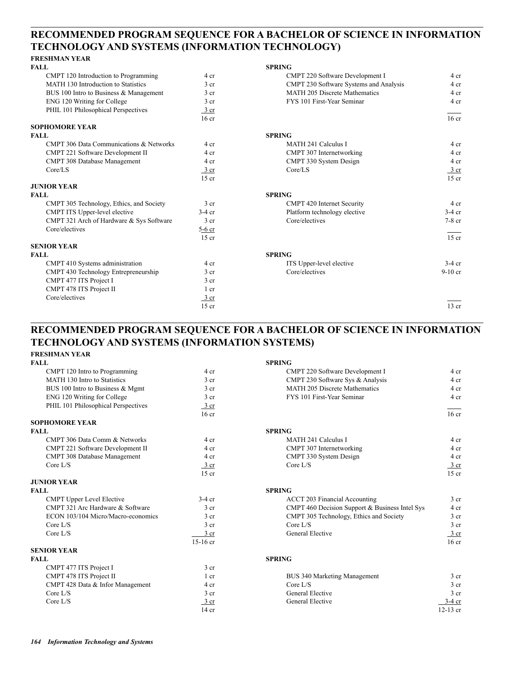### **RECOMMENDED PROGRAM SEQUENCE FOR A BACHELOR OF SCIENCE IN INFORMATION TECHNOLOGY AND SYSTEMS (INFORMATION TECHNOLOGY)**

### **FRESHMAN YEAR**

| <b>FALL</b>                              |                  | <b>SPRING</b>                          |                  |
|------------------------------------------|------------------|----------------------------------------|------------------|
| CMPT 120 Introduction to Programming     | 4 cr             | CMPT 220 Software Development I        | 4 cr             |
| MATH 130 Introduction to Statistics      | 3 <sub>cr</sub>  | CMPT 230 Software Systems and Analysis | 4 cr             |
| BUS 100 Intro to Business & Management   | 3 <sub>cr</sub>  | <b>MATH 205 Discrete Mathematics</b>   | 4 cr             |
| ENG 120 Writing for College              | 3 <sub>cr</sub>  | FYS 101 First-Year Seminar             | 4 cr             |
| PHIL 101 Philosophical Perspectives      | 3 cr             |                                        |                  |
|                                          | 16 <sub>cr</sub> |                                        | 16 <sub>cr</sub> |
| <b>SOPHOMORE YEAR</b>                    |                  |                                        |                  |
| <b>FALL</b>                              |                  | <b>SPRING</b>                          |                  |
| CMPT 306 Data Communications & Networks  | 4 cr             | <b>MATH 241 Calculus I</b>             | 4 cr             |
| CMPT 221 Software Development II         | 4 cr             | CMPT 307 Internetworking               | 4 cr             |
| CMPT 308 Database Management             | 4 cr             | CMPT 330 System Design                 | 4 cr             |
| Core/LS                                  | 3 cr             | Core/LS                                | $\frac{3}{ }$ cr |
|                                          | $15$ cr          |                                        | $15$ cr          |
| <b>JUNIOR YEAR</b>                       |                  |                                        |                  |
| <b>FALL</b>                              |                  | <b>SPRING</b>                          |                  |
| CMPT 305 Technology, Ethics, and Society | 3 <sub>cr</sub>  | <b>CMPT 420 Internet Security</b>      | 4 cr             |
| CMPT ITS Upper-level elective            | $3-4$ cr         | Platform technology elective           | $3-4$ cr         |
| CMPT 321 Arch of Hardware & Sys Software | 3 <sub>cr</sub>  | Core/electives                         | $7-8$ cr         |
| Core/electives                           | $5-6$ cr         |                                        |                  |
|                                          | $15$ cr          |                                        | $15$ cr          |
| <b>SENIOR YEAR</b>                       |                  |                                        |                  |
| <b>FALL</b>                              |                  | <b>SPRING</b>                          |                  |
| CMPT 410 Systems administration          | 4 cr             | ITS Upper-level elective               | $3-4$ cr         |
| CMPT 430 Technology Entrepreneurship     | 3 <sub>cr</sub>  | Core/electives                         | $9-10$ cr        |
| CMPT 477 ITS Project I                   | 3 <sub>cr</sub>  |                                        |                  |
| CMPT 478 ITS Project II                  | $1$ cr           |                                        |                  |
| Core/electives                           | 3 cr             |                                        |                  |
|                                          | $15$ cr          |                                        | $13$ cr          |

## **RECOMMENDED PROGRAM SEQUENCE FOR A BACHELOR OF SCIENCE IN INFORMATION TECHNOLOGY AND SYSTEMS (INFORMATION SYSTEMS)**

### **FRESHMAN YEAR**

| <b>FALL</b>                         |                  | <b>SPRING</b>                                  |                  |
|-------------------------------------|------------------|------------------------------------------------|------------------|
| CMPT 120 Intro to Programming       | 4 cr             | CMPT 220 Software Development I                | 4 cr             |
| MATH 130 Intro to Statistics        | 3 <sub>cr</sub>  | CMPT 230 Software Sys & Analysis               | 4 cr             |
| BUS 100 Intro to Business & Mgmt    | 3 <sub>cr</sub>  | <b>MATH 205 Discrete Mathematics</b>           | 4 cr             |
| ENG 120 Writing for College         | 3 <sub>cr</sub>  | FYS 101 First-Year Seminar                     | 4 cr             |
| PHIL 101 Philosophical Perspectives | $3$ cr           |                                                |                  |
|                                     | 16 <sub>cr</sub> |                                                | $16$ cr          |
| <b>SOPHOMORE YEAR</b>               |                  |                                                |                  |
| <b>FALL</b>                         |                  | <b>SPRING</b>                                  |                  |
| CMPT 306 Data Comm & Networks       | 4 cr             | <b>MATH 241 Calculus I</b>                     | 4 cr             |
| CMPT 221 Software Development II    | 4 cr             | CMPT 307 Internetworking                       | 4 cr             |
| CMPT 308 Database Management        | 4 cr             | CMPT 330 System Design                         | 4 cr             |
| Core $L/S$                          | $\frac{3}{ }$ cr | Core $L/S$                                     | 3 cr             |
|                                     | $15$ cr          |                                                | $15$ cr          |
| <b>JUNIOR YEAR</b>                  |                  |                                                |                  |
| <b>FALL</b>                         |                  | <b>SPRING</b>                                  |                  |
| <b>CMPT Upper Level Elective</b>    | $3-4$ cr         | <b>ACCT 203 Financial Accounting</b>           | 3 <sub>cr</sub>  |
| CMPT 321 Arc Hardware & Software    | 3 <sub>cr</sub>  | CMPT 460 Decision Support & Business Intel Sys | 4 cr             |
| ECON 103/104 Micro/Macro-economics  | 3 <sub>cr</sub>  | CMPT 305 Technology, Ethics and Society        | 3 <sub>cr</sub>  |
| Core $L/S$                          | 3 <sub>cr</sub>  | Core $L/S$                                     | 3 <sub>cr</sub>  |
| Core $L/S$                          | 3 <sub>cr</sub>  | General Elective                               | 3 cr             |
|                                     | $15-16$ cr       |                                                | 16 <sub>cr</sub> |
| <b>SENIOR YEAR</b>                  |                  |                                                |                  |
| <b>FALL</b>                         |                  | <b>SPRING</b>                                  |                  |
| CMPT 477 ITS Project I              | 3 <sub>cr</sub>  |                                                |                  |
| CMPT 478 ITS Project II             | $1 \text{ cr}$   | <b>BUS 340 Marketing Management</b>            | 3 <sub>cr</sub>  |
| CMPT 428 Data & Infor Management    | 4 cr             | Core $L/S$                                     | 3 <sub>cr</sub>  |
| Core $L/S$                          | 3 <sub>cr</sub>  | <b>General Elective</b>                        | 3 <sub>cr</sub>  |
| Core $L/S$                          | 3 cr             | General Elective                               | $3-4$ cr         |
|                                     | $14$ cr          |                                                | 12-13 cr         |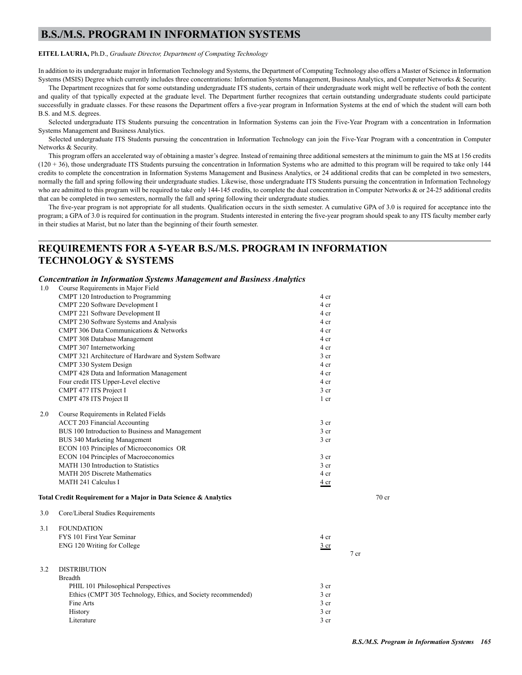### **B.S./M.S. PROGRAM IN INFORMATION SYSTEMS**

#### **EITEL LAURIA,** Ph.D., *Graduate Director, Department of Computing Technology*

In addition to its undergraduate major in Information Technology and Systems, the Department of Computing Technology also offers a Master of Science in Information Systems (MSIS) Degree which currently includes three concentrations: Information Systems Management, Business Analytics, and Computer Networks & Security.

The Department recognizes that for some outstanding undergraduate ITS students, certain of their undergraduate work might well be reflective of both the content and quality of that typically expected at the graduate level. The Department further recognizes that certain outstanding undergraduate students could participate successfully in graduate classes. For these reasons the Department offers a five-year program in Information Systems at the end of which the student will earn both B.S. and M.S. degrees.

Selected undergraduate ITS Students pursuing the concentration in Information Systems can join the Five-Year Program with a concentration in Information Systems Management and Business Analytics.

Selected undergraduate ITS Students pursuing the concentration in Information Technology can join the Five-Year Program with a concentration in Computer Networks & Security.

This program offers an accelerated way of obtaining a master's degree. Instead of remaining three additional semesters at the minimum to gain the MS at 156 credits (120 + 36), those undergraduate ITS Students pursuing the concentration in Information Systems who are admitted to this program will be required to take only 144 credits to complete the concentration in Information Systems Management and Business Analytics, or 24 additional credits that can be completed in two semesters, normally the fall and spring following their undergraduate studies. Likewise, those undergraduate ITS Students pursuing the concentration in Information Technology who are admitted to this program will be required to take only 144-145 credits, to complete the dual concentration in Computer Networks & or 24-25 additional credits that can be completed in two semesters, normally the fall and spring following their undergraduate studies.

The five-year program is not appropriate for all students. Qualification occurs in the sixth semester. A cumulative GPA of 3.0 is required for acceptance into the program; a GPA of 3.0 is required for continuation in the program. Students interested in entering the five-year program should speak to any ITS faculty member early in their studies at Marist, but no later than the beginning of their fourth semester.

### **REQUIREMENTS FOR A 5-YEAR B.S./M.S. PROGRAM IN INFORMATION TECHNOLOGY & SYSTEMS**

### *Concentration in Information Systems Management and Business Analytics*

| 1.0 | Course Requirements in Major Field                               |                 |      |       |
|-----|------------------------------------------------------------------|-----------------|------|-------|
|     | CMPT 120 Introduction to Programming                             | 4 cr            |      |       |
|     | CMPT 220 Software Development I                                  | 4 cr            |      |       |
|     | CMPT 221 Software Development II                                 | 4 cr            |      |       |
|     | CMPT 230 Software Systems and Analysis                           | 4 cr            |      |       |
|     | CMPT 306 Data Communications & Networks                          | 4 cr            |      |       |
|     | CMPT 308 Database Management                                     | 4 cr            |      |       |
|     | CMPT 307 Internetworking                                         | 4 cr            |      |       |
|     | CMPT 321 Architecture of Hardware and System Software            | 3 cr            |      |       |
|     | CMPT 330 System Design                                           | 4 cr            |      |       |
|     | CMPT 428 Data and Information Management                         | 4 cr            |      |       |
|     | Four credit ITS Upper-Level elective                             | 4 cr            |      |       |
|     | CMPT 477 ITS Project I                                           | 3 <sub>cr</sub> |      |       |
|     | CMPT 478 ITS Project II                                          | 1 cr            |      |       |
| 2.0 | Course Requirements in Related Fields                            |                 |      |       |
|     | <b>ACCT 203 Financial Accounting</b>                             | 3 cr            |      |       |
|     | BUS 100 Introduction to Business and Management                  | 3 cr            |      |       |
|     | BUS 340 Marketing Management                                     | 3 <sub>cr</sub> |      |       |
|     | ECON 103 Principles of Microeconomics OR                         |                 |      |       |
|     | ECON 104 Principles of Macroeconomics                            | 3 cr            |      |       |
|     | MATH 130 Introduction to Statistics                              | 3 <sub>cr</sub> |      |       |
|     | <b>MATH 205 Discrete Mathematics</b>                             | 4 cr            |      |       |
|     | MATH 241 Calculus I                                              | 4 cr            |      |       |
|     | Total Credit Requirement for a Major in Data Science & Analytics |                 |      | 70 cr |
| 3.0 | Core/Liberal Studies Requirements                                |                 |      |       |
| 3.1 | <b>FOUNDATION</b>                                                |                 |      |       |
|     | FYS 101 First Year Seminar                                       | 4 cr            |      |       |
|     | ENG 120 Writing for College                                      | $rac{3}{2}$ cr  |      |       |
|     |                                                                  |                 | 7 cr |       |
| 3.2 | <b>DISTRIBUTION</b>                                              |                 |      |       |
|     | <b>Breadth</b>                                                   |                 |      |       |
|     | PHIL 101 Philosophical Perspectives                              | 3 cr            |      |       |
|     | Ethics (CMPT 305 Technology, Ethics, and Society recommended)    | 3 cr            |      |       |
|     | Fine Arts                                                        | 3 <sub>cr</sub> |      |       |
|     | History                                                          | 3 cr            |      |       |
|     | Literature                                                       | 3 cr            |      |       |
|     |                                                                  |                 |      |       |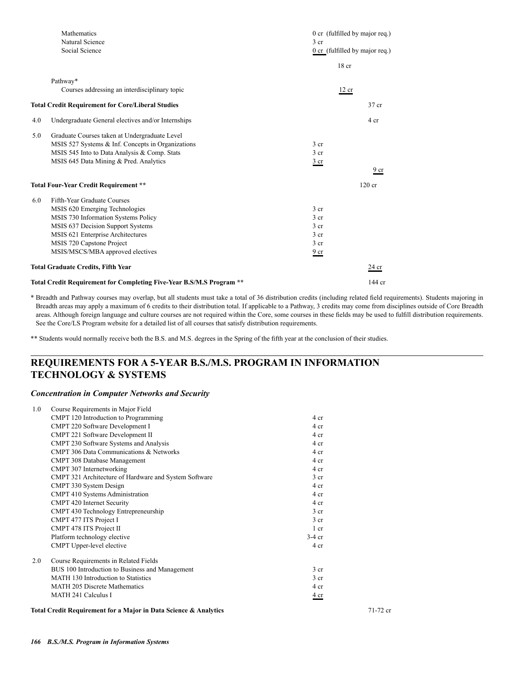|     | Mathematics                                                          |                 | 0 cr (fulfilled by major req.)   |
|-----|----------------------------------------------------------------------|-----------------|----------------------------------|
|     | Natural Science                                                      | 3 <sub>cr</sub> |                                  |
|     | Social Science                                                       |                 | $0$ cr (fulfilled by major req.) |
|     |                                                                      |                 | 18 <sub>cr</sub>                 |
|     | Pathway*                                                             |                 |                                  |
|     | Courses addressing an interdisciplinary topic                        |                 | 12 cr                            |
|     | <b>Total Credit Requirement for Core/Liberal Studies</b>             |                 | 37 cr                            |
| 4.0 | Undergraduate General electives and/or Internships                   |                 | 4 cr                             |
| 5.0 | Graduate Courses taken at Undergraduate Level                        |                 |                                  |
|     | MSIS 527 Systems & Inf. Concepts in Organizations                    | 3 cr            |                                  |
|     | MSIS 545 Into to Data Analysis & Comp. Stats                         | 3 <sub>cr</sub> |                                  |
|     | MSIS 645 Data Mining & Pred. Analytics                               | $rac{3}{2}$ cr  |                                  |
|     |                                                                      |                 | 9 cr                             |
|     | <b>Total Four-Year Credit Requirement **</b>                         |                 | $120$ cr                         |
| 6.0 | Fifth-Year Graduate Courses                                          |                 |                                  |
|     | MSIS 620 Emerging Technologies                                       | 3 <sub>cr</sub> |                                  |
|     | MSIS 730 Information Systems Policy                                  | 3 <sub>cr</sub> |                                  |
|     | MSIS 637 Decision Support Systems                                    | 3 <sub>cr</sub> |                                  |
|     | MSIS 621 Enterprise Architectures                                    | 3 cr            |                                  |
|     | MSIS 720 Capstone Project                                            | 3 <sub>cr</sub> |                                  |
|     | MSIS/MSCS/MBA approved electives                                     | 9 <sub>cr</sub> |                                  |
|     | <b>Total Graduate Credits, Fifth Year</b>                            |                 | 24 cr                            |
|     | Total Credit Requirement for Completing Five-Year B.S/M.S Program ** |                 | 144 cr                           |

\* Breadth and Pathway courses may overlap, but all students must take a total of 36 distribution credits (including related field requirements). Students majoring in Breadth areas may apply a maximum of 6 credits to their distribution total. If applicable to a Pathway, 3 credits may come from disciplines outside of Core Breadth areas. Although foreign language and culture courses are not required within the Core, some courses in these fields may be used to fulfill distribution requirements. See the Core/LS Program website for a detailed list of all courses that satisfy distribution requirements.

\*\* Students would normally receive both the B.S. and M.S. degrees in the Spring of the fifth year at the conclusion of their studies.

### **REQUIREMENTS FOR A 5-YEAR B.S./M.S. PROGRAM IN INFORMATION TECHNOLOGY & SYSTEMS**

### *Concentration in Computer Networks and Security*

| 1.0 | Course Requirements in Major Field                               |                  |          |
|-----|------------------------------------------------------------------|------------------|----------|
|     | CMPT 120 Introduction to Programming                             | 4 cr             |          |
|     | CMPT 220 Software Development I                                  | 4 cr             |          |
|     | CMPT 221 Software Development II                                 | 4 cr             |          |
|     | CMPT 230 Software Systems and Analysis                           | 4 cr             |          |
|     | <b>CMPT 306 Data Communications &amp; Networks</b>               | 4 cr             |          |
|     | CMPT 308 Database Management                                     | 4 cr             |          |
|     | CMPT 307 Internetworking                                         | 4 cr             |          |
|     | CMPT 321 Architecture of Hardware and System Software            | 3 <sub>cr</sub>  |          |
|     | CMPT 330 System Design                                           | 4 cr             |          |
|     | CMPT 410 Systems Administration                                  | 4 cr             |          |
|     | CMPT 420 Internet Security                                       | 4 cr             |          |
|     | CMPT 430 Technology Entrepreneurship                             | 3 <sub>cr</sub>  |          |
|     | CMPT 477 ITS Project I                                           | 3 <sub>cr</sub>  |          |
|     | CMPT 478 ITS Project II                                          | 1 <sub>cr</sub>  |          |
|     | Platform technology elective                                     | $3-4$ cr         |          |
|     | CMPT Upper-level elective                                        | 4 cr             |          |
| 2.0 | Course Requirements in Related Fields                            |                  |          |
|     | BUS 100 Introduction to Business and Management                  | $3$ cr           |          |
|     | MATH 130 Introduction to Statistics                              | 3 <sub>cr</sub>  |          |
|     | <b>MATH 205 Discrete Mathematics</b>                             | 4 cr             |          |
|     | <b>MATH 241 Calculus I</b>                                       | $\frac{4}{ }$ cr |          |
|     | Total Credit Requirement for a Major in Data Science & Analytics |                  | 71-72 cr |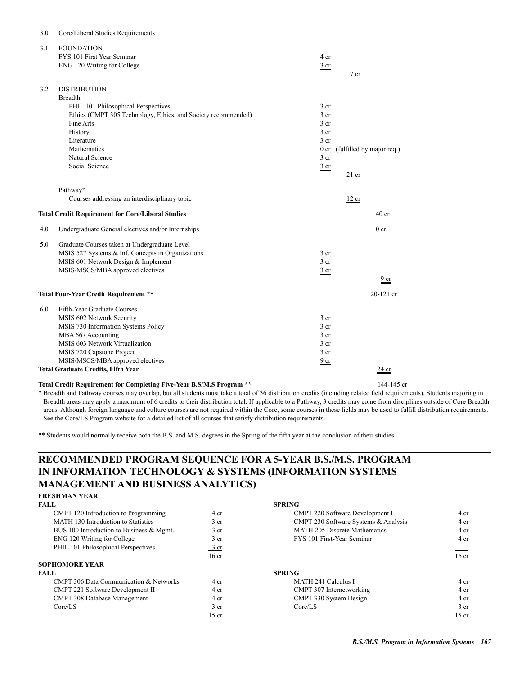| 3.1 | <b>FOUNDATION</b><br>FYS 101 First Year Seminar<br>ENG 120 Writing for College                                                                                                                                                                                         | 4 cr<br>$rac{3}{2}$ cr                                                                                                                   | 7 <sub>cr</sub>                      |
|-----|------------------------------------------------------------------------------------------------------------------------------------------------------------------------------------------------------------------------------------------------------------------------|------------------------------------------------------------------------------------------------------------------------------------------|--------------------------------------|
| 3.2 | <b>DISTRIBUTION</b><br><b>Breadth</b><br>PHIL 101 Philosophical Perspectives<br>Ethics (CMPT 305 Technology, Ethics, and Society recommended)<br>Fine Arts<br>History<br>Literature<br>Mathematics<br>Natural Science<br>Social Science                                | 3 <sub>cr</sub><br>3 <sub>cr</sub><br>3 <sub>cr</sub><br>3 <sub>cr</sub><br>3 <sub>cr</sub><br>0 <sub>cr</sub><br>3 cr<br>$rac{3}{2}$ cr | (fulfilled by major req.)<br>$21$ cr |
|     | Pathway*<br>Courses addressing an interdisciplinary topic<br><b>Total Credit Requirement for Core/Liberal Studies</b>                                                                                                                                                  |                                                                                                                                          | 12 cr<br>40 <sub>cr</sub>            |
| 4.0 | Undergraduate General electives and/or Internships                                                                                                                                                                                                                     |                                                                                                                                          | 0 <sub>cr</sub>                      |
| 5.0 | Graduate Courses taken at Undergraduate Level<br>MSIS 527 Systems & Inf. Concepts in Organizations<br>MSIS 601 Network Design & Implement<br>MSIS/MSCS/MBA approved electives                                                                                          | 3 <sub>cr</sub><br>3 <sub>cr</sub><br>3 cr                                                                                               | 9 cr                                 |
|     | Total Four-Year Credit Requirement **                                                                                                                                                                                                                                  |                                                                                                                                          | $120 - 121$ cr                       |
| 6.0 | Fifth-Year Graduate Courses<br>MSIS 602 Network Security<br>MSIS 730 Information Systems Policy<br>MBA 667 Accounting<br>MSIS 603 Network Virtualization<br>MSIS 720 Capstone Project<br>MSIS/MSCS/MBA approved electives<br><b>Total Graduate Credits, Fifth Year</b> | 3 <sub>cr</sub><br>3 <sub>cr</sub><br>3 <sub>cr</sub><br>3 <sub>cr</sub><br>3 <sub>cr</sub><br>9 cr                                      | $24$ cr                              |
|     |                                                                                                                                                                                                                                                                        |                                                                                                                                          |                                      |

### **Total Credit Requirement for Completing Five-Year B.S/M.S Program \*\*** 144-145 cr

3.0 Core/Liberal Studies Requirements

\* Breadth and Pathway courses may overlap, but all students must take a total of 36 distribution credits (including related field requirements). Students majoring in Breadth areas may apply a maximum of 6 credits to their distribution total. If applicable to a Pathway, 3 credits may come from disciplines outside of Core Breadth areas. Although foreign language and culture courses are not required within the Core, some courses in these fields may be used to fulfill distribution requirements. See the Core/LS Program website for a detailed list of all courses that satisfy distribution requirements.

\*\* Students would normally receive both the B.S. and M.S. degrees in the Spring of the fifth year at the conclusion of their studies.

### **RECOMMENDED PROGRAM SEQUENCE FOR A 5-YEAR B.S./M.S. PROGRAM IN INFORMATION TECHNOLOGY & SYSTEMS (INFORMATION SYSTEMS MANAGEMENT AND BUSINESS ANALYTICS)**

### **FRESHMAN YEAR**

| <b>FALL</b>                              |                  | <b>SPRING</b>                        |                 |
|------------------------------------------|------------------|--------------------------------------|-----------------|
| CMPT 120 Introduction to Programming     | 4 cr             | CMPT 220 Software Development I      | 4 cr            |
| MATH 130 Introduction to Statistics      | 3 <sub>cr</sub>  | CMPT 230 Software Systems & Analysis | 4 cr            |
| BUS 100 Introduction to Business & Mgmt. | 3 <sub>cr</sub>  | <b>MATH 205 Discrete Mathematics</b> | 4 cr            |
| ENG 120 Writing for College              | 3 <sub>cr</sub>  | FYS 101 First-Year Seminar           | 4 cr            |
| PHIL 101 Philosophical Perspectives      | $\frac{3}{ }$ cr |                                      |                 |
|                                          | 16 cr            |                                      | $16 \text{ cr}$ |
| <b>SOPHOMORE YEAR</b>                    |                  |                                      |                 |
| <b>FALL</b>                              |                  | <b>SPRING</b>                        |                 |
| CMPT 306 Data Communication & Networks   | 4 cr             | MATH 241 Calculus I                  | 4 cr            |
| <b>CMPT 221 Software Development II</b>  | 4 cr             | CMPT 307 Internetworking             | 4 cr            |
| CMPT 308 Database Management             | 4 cr             | CMPT 330 System Design               | 4 cr            |
| Core/LS                                  | $rac{3}{2}$ cr   | Core/LS                              | 3 cr            |
|                                          | $15$ cr          |                                      | $15$ cr         |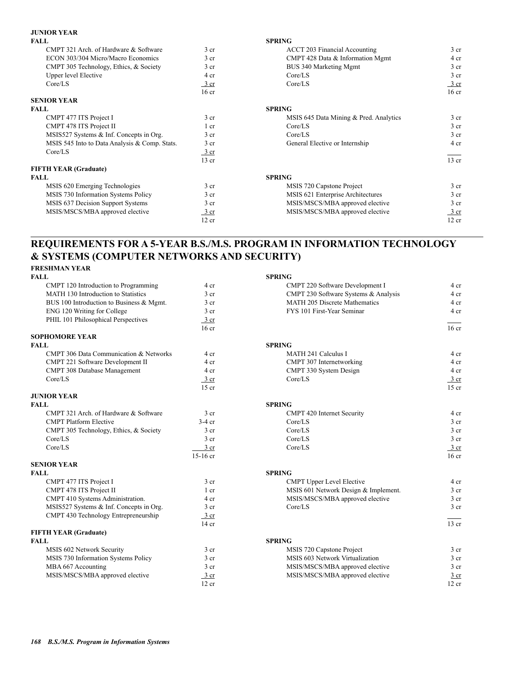### **JUNIOR YEAR**

| <b>FALL</b>                                   |                 | <b>SPRING</b>                          |                  |
|-----------------------------------------------|-----------------|----------------------------------------|------------------|
| CMPT 321 Arch. of Hardware & Software         | 3 <sub>cr</sub> | <b>ACCT 203 Financial Accounting</b>   | $3$ cr           |
| ECON 303/304 Micro/Macro Economics            | 3 <sub>cr</sub> | CMPT 428 Data & Information Mgmt       | 4 cr             |
| CMPT 305 Technology, Ethics, & Society        | 3 <sub>cr</sub> | BUS 340 Marketing Mgmt                 | 3 <sub>cr</sub>  |
| <b>Upper level Elective</b>                   | 4 cr            | Core/LS                                | 3 <sub>cr</sub>  |
| Core/LS                                       | 3 cr            | Core/LS                                | $\frac{3}{ }$ cr |
|                                               | $16$ cr         |                                        | 16 <sub>cr</sub> |
| <b>SENIOR YEAR</b>                            |                 |                                        |                  |
| <b>FALL</b>                                   |                 | <b>SPRING</b>                          |                  |
| CMPT 477 ITS Project I                        | 3 <sub>cr</sub> | MSIS 645 Data Mining & Pred. Analytics | $3$ cr           |
| CMPT 478 ITS Project II                       | 1 cr            | Core/LS                                | $3$ cr           |
| MSIS527 Systems & Inf. Concepts in Org.       | 3 <sub>cr</sub> | Core/LS                                | 3 <sub>cr</sub>  |
| MSIS 545 Into to Data Analysis & Comp. Stats. | 3 <sub>cr</sub> | General Elective or Internship         | 4 cr             |
| Core/LS                                       | 3 cr            |                                        |                  |
|                                               | $13$ cr         |                                        | 13 cr            |
| <b>FIFTH YEAR (Graduate)</b>                  |                 |                                        |                  |
| <b>FALL</b>                                   |                 | <b>SPRING</b>                          |                  |
| MSIS 620 Emerging Technologies                | 3 <sub>cr</sub> | MSIS 720 Capstone Project              | $3$ cr           |
| MSIS 730 Information Systems Policy           | 3 <sub>cr</sub> | MSIS 621 Enterprise Architectures      | 3 <sub>cr</sub>  |
| MSIS 637 Decision Support Systems             | 3 <sub>cr</sub> | MSIS/MSCS/MBA approved elective        | 3 <sub>cr</sub>  |
| MSIS/MSCS/MBA approved elective               | 3 cr            | MSIS/MSCS/MBA approved elective        | 3 cr             |
|                                               | 12 cr           |                                        | 12 cr            |
|                                               |                 |                                        |                  |

### **REQUIREMENTS FOR A 5-YEAR B.S./M.S. PROGRAM IN INFORMATION TECHNOLOGY & SYSTEMS (COMPUTER NETWORKS AND SECURITY)**

# **FRESHMAN YEAR**

| <b>FALL</b>                              |                  | <b>SPRING</b>                        |                  |
|------------------------------------------|------------------|--------------------------------------|------------------|
| CMPT 120 Introduction to Programming     | 4 cr             | CMPT 220 Software Development I      | 4 cr             |
| MATH 130 Introduction to Statistics      | 3 <sub>cr</sub>  | CMPT 230 Software Systems & Analysis | 4 cr             |
| BUS 100 Introduction to Business & Mgmt. | 3 <sub>cr</sub>  | MATH 205 Discrete Mathematics        | 4 cr             |
| ENG 120 Writing for College              | 3 <sub>cr</sub>  | FYS 101 First-Year Seminar           | 4 <sub>cr</sub>  |
| PHIL 101 Philosophical Perspectives      | 3 cr             |                                      |                  |
|                                          | 16 <sub>cr</sub> |                                      | 16 <sub>cr</sub> |
| <b>SOPHOMORE YEAR</b>                    |                  |                                      |                  |
| <b>FALL</b>                              |                  | <b>SPRING</b>                        |                  |
| CMPT 306 Data Communication & Networks   | 4 cr             | MATH 241 Calculus I                  | 4 cr             |
| CMPT 221 Software Development II         | 4 cr             | CMPT 307 Internetworking             | 4 cr             |
| CMPT 308 Database Management             | 4 cr             | CMPT 330 System Design               | 4 cr             |
| Core/LS                                  | $3$ cr           | Core/LS                              | $3 \text{ cr}$   |
|                                          | $15$ cr          |                                      | $15$ cr          |
| <b>JUNIOR YEAR</b>                       |                  |                                      |                  |
| <b>FALL</b>                              |                  | <b>SPRING</b>                        |                  |
| CMPT 321 Arch. of Hardware & Software    | 3 <sub>cr</sub>  | <b>CMPT 420 Internet Security</b>    | 4 cr             |
| <b>CMPT Platform Elective</b>            | $3-4$ cr         | Core/LS                              | 3 <sub>cr</sub>  |
| CMPT 305 Technology, Ethics, & Society   | 3 <sub>cr</sub>  | Core/LS                              | 3 <sub>cr</sub>  |
| Core/LS                                  | 3 <sub>cr</sub>  | Core/LS                              | 3 <sub>cr</sub>  |
| Core/LS                                  | 3 <sub>cr</sub>  | Core/LS                              | $\frac{3}{ }$ cr |
|                                          | $15-16$ cr       |                                      | 16 <sub>cr</sub> |
| <b>SENIOR YEAR</b>                       |                  |                                      |                  |
| <b>FALL</b>                              |                  | <b>SPRING</b>                        |                  |
| CMPT 477 ITS Project I                   | 3 <sub>cr</sub>  | <b>CMPT Upper Level Elective</b>     | 4 cr             |
| CMPT 478 ITS Project II                  | $1$ cr           | MSIS 601 Network Design & Implement. | 3 <sub>cr</sub>  |
| CMPT 410 Systems Administration.         | 4 cr             | MSIS/MSCS/MBA approved elective      | $3$ cr           |
| MSIS527 Systems & Inf. Concepts in Org.  | 3 <sub>cr</sub>  | Core/LS                              | 3 <sub>cr</sub>  |
| CMPT 430 Technology Entrepreneurship     | 3 cr             |                                      |                  |
|                                          | $14$ cr          |                                      | $13$ cr          |
| <b>FIFTH YEAR (Graduate)</b>             |                  |                                      |                  |
| <b>FALL</b>                              |                  | <b>SPRING</b>                        |                  |
| MSIS 602 Network Security                | 3 <sub>cr</sub>  | MSIS 720 Capstone Project            | 3 <sub>cr</sub>  |
| MSIS 730 Information Systems Policy      | 3 <sub>cr</sub>  | MSIS 603 Network Virtualization      | 3 <sub>cr</sub>  |
| MBA 667 Accounting                       | 3 <sub>cr</sub>  | MSIS/MSCS/MBA approved elective      | 3 <sub>cr</sub>  |
| MSIS/MSCS/MBA approved elective          | 3 cr             | MSIS/MSCS/MBA approved elective      | 3 <sub>cr</sub>  |
|                                          | 12 cr            |                                      | $12$ cr          |

| FALL                                              |                  | <b>SPRING</b>                        |                  |
|---------------------------------------------------|------------------|--------------------------------------|------------------|
| CMPT 120 Introduction to Programming              | 4 cr             | CMPT 220 Software Development I      | 4 cr             |
| MATH 130 Introduction to Statistics               | 3 <sub>cr</sub>  | CMPT 230 Software Systems & Analysis | 4 cr             |
| BUS 100 Introduction to Business & Mgmt.          | 3 <sub>cr</sub>  | MATH 205 Discrete Mathematics        | 4 cr             |
| ENG 120 Writing for College                       | 3 <sub>cr</sub>  | FYS 101 First-Year Seminar           | 4 cr             |
| PHIL 101 Philosophical Perspectives               | $3$ cr           |                                      |                  |
|                                                   | 16 <sub>cr</sub> |                                      | 16 <sub>cr</sub> |
| <b>SOPHOMORE YEAR</b>                             |                  |                                      |                  |
| FALL                                              |                  | <b>SPRING</b>                        |                  |
| <b>CMPT 306 Data Communication &amp; Networks</b> | 4 cr             | <b>MATH 241 Calculus I</b>           | 4 cr             |
| CMPT 221 Software Development II                  | 4 cr             | CMPT 307 Internetworking             | 4 cr             |
| CMPT 308 Database Management                      | 4 cr             | CMPT 330 System Design               | 4 cr             |
| Core/LS                                           | $3$ cr           | Core/LS                              | 3 cr             |
|                                                   | $15$ cr          |                                      | $15$ cr          |
| <b>JUNIOR YEAR</b>                                |                  |                                      |                  |
| <b>FALL</b>                                       |                  | <b>SPRING</b>                        |                  |
| CMPT 321 Arch. of Hardware & Software             | 3 <sub>cr</sub>  | <b>CMPT 420 Internet Security</b>    | 4 cr             |
| <b>CMPT Platform Elective</b>                     | $3-4$ cr         | Core/LS                              | 3 <sub>cr</sub>  |
| CMPT 305 Technology, Ethics, & Society            | 3 <sub>cr</sub>  | Core/LS                              | 3 cr             |
| Core/LS                                           | 3 cr             | Core/LS                              | 3 cr             |
| Core/LS                                           | 3 cr             | Core/LS                              | $\frac{3}{2}$ cr |
|                                                   | $15-16$ cr       |                                      | 16 <sub>cr</sub> |
| <b>SENIOR YEAR</b>                                |                  |                                      |                  |
| FALL                                              |                  | <b>SPRING</b>                        |                  |
| CMPT 477 ITS Project I                            | 3 <sub>cr</sub>  | <b>CMPT Upper Level Elective</b>     | 4 cr             |
| CMPT 478 ITS Project II                           | 1 cr             | MSIS 601 Network Design & Implement. | $3$ cr           |
| CMPT 410 Systems Administration.                  | 4 cr             | MSIS/MSCS/MBA approved elective      | $3$ cr           |
| MSIS527 Systems & Inf. Concepts in Org.           | 3 <sub>cr</sub>  | Core/LS                              | 3 cr             |
| CMPT 430 Technology Entrepreneurship              | $3$ cr           |                                      |                  |
|                                                   | $14$ cr          |                                      | $13$ cr          |
| <b>FIFTH YEAR (Graduate)</b>                      |                  |                                      |                  |
| FALL                                              |                  | <b>SPRING</b>                        |                  |
| MSIS 602 Network Security                         | 3 <sub>cr</sub>  | MSIS 720 Capstone Project            | 3 <sub>cr</sub>  |
| MSIS 730 Information Systems Policy               | 3 <sub>cr</sub>  | MSIS 603 Network Virtualization      | 3 <sub>cr</sub>  |
| MBA 667 Accounting                                | 3 <sub>cr</sub>  | MSIS/MSCS/MBA approved elective      | 3 <sub>cr</sub>  |
| MSIS/MSCS/MBA approved elective                   | 3 cr             | MSIS/MSCS/MBA approved elective      | 3 <sub>cr</sub>  |
|                                                   | $12$ cr          |                                      | $12$ cr          |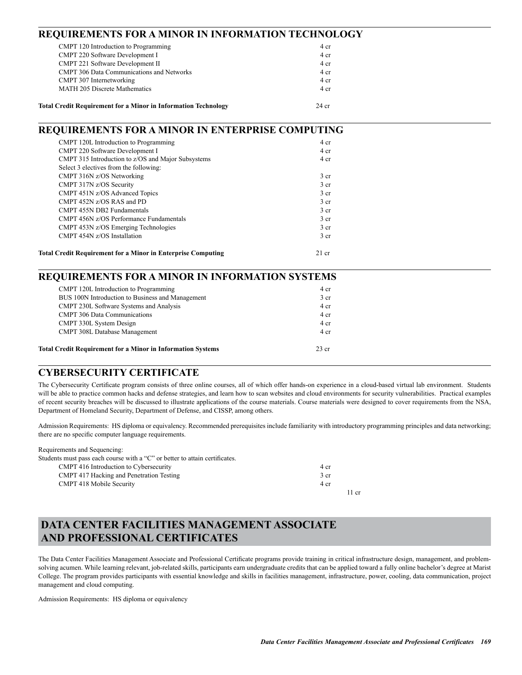| REQUIREMENTS FOR A MINOR IN INFORMATION TECHNOLOGY                    |                 |  |
|-----------------------------------------------------------------------|-----------------|--|
| CMPT 120 Introduction to Programming                                  | 4 cr            |  |
| CMPT 220 Software Development I                                       | 4 cr            |  |
| CMPT 221 Software Development II                                      | 4 cr            |  |
| <b>CMPT 306 Data Communications and Networks</b>                      | 4 cr            |  |
| CMPT 307 Internetworking                                              | 4 cr            |  |
| <b>MATH 205 Discrete Mathematics</b>                                  | 4 cr            |  |
| <b>Total Credit Requirement for a Minor in Information Technology</b> | $24$ cr         |  |
| <b>REQUIREMENTS FOR A MINOR IN ENTERPRISE COMPUTING</b>               |                 |  |
| CMPT 120L Introduction to Programming                                 | 4 cr            |  |
| CMPT 220 Software Development I                                       | 4 cr            |  |
| CMPT 315 Introduction to z/OS and Major Subsystems                    | 4 cr            |  |
| Select 3 electives from the following:                                |                 |  |
| CMPT 316N z/OS Networking                                             | 3 <sub>cr</sub> |  |
| CMPT 317N z/OS Security                                               | 3 <sub>cr</sub> |  |
| CMPT 451N z/OS Advanced Topics                                        | 3 cr            |  |
| CMPT 452N z/OS RAS and PD                                             | 3 cr            |  |
| CMPT 455N DB2 Fundamentals                                            | 3 cr            |  |
| CMPT 456N z/OS Performance Fundamentals                               | 3 cr            |  |
| CMPT 453N z/OS Emerging Technologies                                  | 3 <sub>cr</sub> |  |
| CMPT 454N z/OS Installation                                           | 3 cr            |  |
| <b>Total Credit Requirement for a Minor in Enterprise Computing</b>   | $21$ cr         |  |
| <b>REQUIREMENTS FOR A MINOR IN INFORMATION SYSTEMS</b>                |                 |  |
| CMPT 120L Introduction to Programming                                 | 4 cr            |  |
| BUS 100N Introduction to Business and Management                      | 3 <sub>cr</sub> |  |
| CMPT 230L Software Systems and Analysis                               | 4 cr            |  |
| <b>CMPT 306 Data Communications</b>                                   | 4 cr            |  |
| CMPT 330L System Design                                               | 4 cr            |  |

### **Total Credit Requirement for a Minor in Information Systems** 23 cr

### **CYBERSECURITY CERTIFICATE**

The Cybersecurity Certificate program consists of three online courses, all of which offer hands-on experience in a cloud-based virtual lab environment. Students will be able to practice common hacks and defense strategies, and learn how to scan websites and cloud environments for security vulnerabilities. Practical examples of recent security breaches will be discussed to illustrate applications of the course materials. Course materials were designed to cover requirements from the NSA, Department of Homeland Security, Department of Defense, and CISSP, among others.

Admission Requirements: HS diploma or equivalency. Recommended prerequisites include familiarity with introductory programming principles and data networking; there are no specific computer language requirements.

| Requirements and Sequencing:                                                |       |
|-----------------------------------------------------------------------------|-------|
| Students must pass each course with a "C" or better to attain certificates. |       |
| CMPT 416 Introduction to Cybersecurity                                      | 4 cr  |
| CMPT 417 Hacking and Penetration Testing                                    | 3 cr  |
| <b>CMPT 418 Mobile Security</b>                                             | 4 cr  |
|                                                                             | 11 cr |

CMPT 308L Database Management 4 cr

### **DATA CENTER FACILITIES MANAGEMENT ASSOCIATE AND PROFESSIONAL CERTIFICATES**

The Data Center Facilities Management Associate and Professional Certificate programs provide training in critical infrastructure design, management, and problemsolving acumen. While learning relevant, job-related skills, participants earn undergraduate credits that can be applied toward a fully online bachelor's degree at Marist College. The program provides participants with essential knowledge and skills in facilities management, infrastructure, power, cooling, data communication, project management and cloud computing.

Admission Requirements: HS diploma or equivalency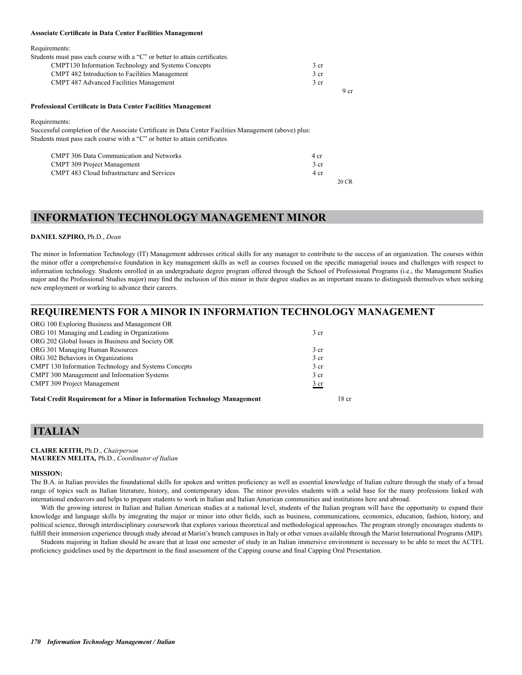#### **Associate Certificate in Data Center Facilities Management**

| Requirements:                                                               |      |
|-----------------------------------------------------------------------------|------|
| Students must pass each course with a "C" or better to attain certificates. |      |
| <b>CMPT130</b> Information Technology and Systems Concepts                  | 3 cr |
| <b>CMPT 482 Introduction to Facilities Management</b>                       | 3 cr |
| <b>CMPT 487 Advanced Facilities Management</b>                              | 3 cr |
|                                                                             | 9 cr |

#### **Professional Certificate in Data Center Facilities Management**

Requirements:

Successful completion of the Associate Certificate in Data Center Facilities Management (above) plus: Students must pass each course with a "C" or better to attain certificates.

| <b>CMPT 306 Data Communication and Networks</b> | 4 cr |
|-------------------------------------------------|------|
| <b>CMPT 309 Project Management</b>              | 3 cr |
| CMPT 483 Cloud Infrastructure and Services      | 4 cr |
|                                                 |      |

### **INFORMATION TECHNOLOGY MANAGEMENT MINOR**

### **DANIEL SZPIRO,** Ph.D., *Dean*

The minor in Information Technology (IT) Management addresses critical skills for any manager to contribute to the success of an organization. The courses within the minor offer a comprehensive foundation in key management skills as well as courses focused on the specific managerial issues and challenges with respect to information technology. Students enrolled in an undergraduate degree program offered through the School of Professional Programs (i.e., the Management Studies major and the Professional Studies major) may find the inclusion of this minor in their degree studies as an important means to distinguish themselves when seeking new employment or working to advance their careers.

### **REQUIREMENTS FOR A MINOR IN INFORMATION TECHNOLOGY MANAGEMENT**

| ORG 100 Exploring Business and Management OR                                     |                  |
|----------------------------------------------------------------------------------|------------------|
| ORG 101 Managing and Leading in Organizations                                    | 3 <sub>cr</sub>  |
| ORG 202 Global Issues in Business and Society OR                                 |                  |
| ORG 301 Managing Human Resources                                                 | 3 <sub>cr</sub>  |
| ORG 302 Behaviors in Organizations                                               | 3 <sub>cr</sub>  |
| CMPT 130 Information Technology and Systems Concepts                             | 3 <sub>cr</sub>  |
| CMPT 300 Management and Information Systems                                      | 3 <sub>cr</sub>  |
| <b>CMPT 309 Project Management</b>                                               | $rac{3}{2}$ cr   |
| <b>Total Credit Requirement for a Minor in Information Technology Management</b> | 18 <sub>cr</sub> |

### **ITALIAN**

#### **CLAIRE KEITH,** Ph.D., *Chairperson*  **MAUREEN MELITA***,* Ph.D., *Coordinator of Italian*

#### **MISSION:**

The B.A. in Italian provides the foundational skills for spoken and written proficiency as well as essential knowledge of Italian culture through the study of a broad range of topics such as Italian literature, history, and contemporary ideas. The minor provides students with a solid base for the many professions linked with international endeavors and helps to prepare students to work in Italian and Italian American communities and institutions here and abroad.

With the growing interest in Italian and Italian American studies at a national level, students of the Italian program will have the opportunity to expand their knowledge and language skills by integrating the major or minor into other fields, such as business, communications, economics, education, fashion, history, and political science, through interdisciplinary coursework that explores various theoretical and methodological approaches. The program strongly encourages students to fulfill their immersion experience through study abroad at Marist's branch campuses in Italy or other venues available through the Marist International Programs (MIP).

Students majoring in Italian should be aware that at least one semester of study in an Italian immersive environment is necessary to be able to meet the ACTFL proficiency guidelines used by the department in the final assessment of the Capping course and final Capping Oral Presentation.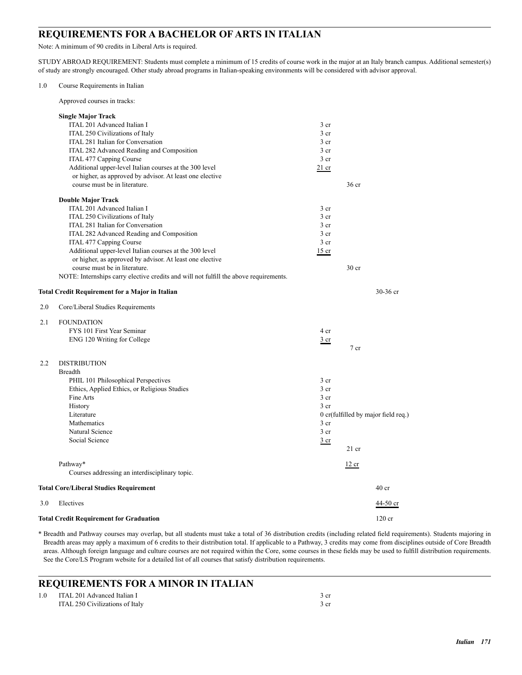### **REQUIREMENTS FOR A BACHELOR OF ARTS IN ITALIAN**

Note: A minimum of 90 credits in Liberal Arts is required.

STUDY ABROAD REQUIREMENT: Students must complete a minimum of 15 credits of course work in the major at an Italy branch campus. Additional semester(s) of study are strongly encouraged. Other study abroad programs in Italian-speaking environments will be considered with advisor approval.

Approved courses in tracks:

|     | <b>Single Major Track</b>                                                             |                 |                                     |
|-----|---------------------------------------------------------------------------------------|-----------------|-------------------------------------|
|     | ITAL 201 Advanced Italian I                                                           | 3 <sub>cr</sub> |                                     |
|     | ITAL 250 Civilizations of Italy                                                       | 3 cr            |                                     |
|     | ITAL 281 Italian for Conversation                                                     | 3 cr            |                                     |
|     | ITAL 282 Advanced Reading and Composition                                             | 3 <sub>cr</sub> |                                     |
|     | ITAL 477 Capping Course                                                               | 3 <sub>cr</sub> |                                     |
|     | Additional upper-level Italian courses at the 300 level                               | $21$ cr         |                                     |
|     | or higher, as approved by advisor. At least one elective                              |                 |                                     |
|     | course must be in literature.                                                         |                 | 36 cr                               |
|     | <b>Double Major Track</b>                                                             |                 |                                     |
|     | ITAL 201 Advanced Italian I                                                           | 3 <sub>cr</sub> |                                     |
|     | ITAL 250 Civilizations of Italy                                                       | 3 <sub>cr</sub> |                                     |
|     | ITAL 281 Italian for Conversation                                                     | 3 <sub>cr</sub> |                                     |
|     | ITAL 282 Advanced Reading and Composition                                             | 3 <sub>cr</sub> |                                     |
|     | ITAL 477 Capping Course                                                               | 3 <sub>cr</sub> |                                     |
|     | Additional upper-level Italian courses at the 300 level                               | $15$ cr         |                                     |
|     | or higher, as approved by advisor. At least one elective                              |                 |                                     |
|     | course must be in literature.                                                         |                 | 30 <sub>cr</sub>                    |
|     | NOTE: Internships carry elective credits and will not fulfill the above requirements. |                 |                                     |
|     | Total Credit Requirement for a Major in Italian                                       |                 | $30-36$ cr                          |
| 2.0 | Core/Liberal Studies Requirements                                                     |                 |                                     |
| 2.1 | <b>FOUNDATION</b>                                                                     |                 |                                     |
|     | FYS 101 First Year Seminar                                                            | 4 cr            |                                     |
|     | ENG 120 Writing for College                                                           | 3 cr            |                                     |
|     |                                                                                       |                 | $7$ cr                              |
| 2.2 | <b>DISTRIBUTION</b>                                                                   |                 |                                     |
|     | <b>Breadth</b>                                                                        |                 |                                     |
|     | PHIL 101 Philosophical Perspectives                                                   | 3 <sub>cr</sub> |                                     |
|     | Ethics, Applied Ethics, or Religious Studies                                          | 3 <sub>cr</sub> |                                     |
|     | Fine Arts                                                                             | 3 <sub>cr</sub> |                                     |
|     | History                                                                               | 3 <sub>cr</sub> |                                     |
|     | Literature                                                                            |                 | 0 cr(fulfilled by major field req.) |
|     | <b>Mathematics</b>                                                                    | 3 cr            |                                     |
|     | Natural Science                                                                       | 3 <sub>cr</sub> |                                     |
|     | Social Science                                                                        | $rac{3}{2}$ cr  |                                     |
|     |                                                                                       |                 | $21$ cr                             |
|     | Pathway*                                                                              |                 | 12 cr                               |
|     | Courses addressing an interdisciplinary topic.                                        |                 |                                     |
|     | <b>Total Core/Liberal Studies Requirement</b>                                         |                 | 40 <sub>cr</sub>                    |
| 3.0 | Electives                                                                             |                 | <u>44-50 cr</u>                     |
|     | <b>Total Credit Requirement for Graduation</b>                                        |                 | $120$ cr                            |

\* Breadth and Pathway courses may overlap, but all students must take a total of 36 distribution credits (including related field requirements). Students majoring in Breadth areas may apply a maximum of 6 credits to their distribution total. If applicable to a Pathway, 3 credits may come from disciplines outside of Core Breadth areas. Although foreign language and culture courses are not required within the Core, some courses in these fields may be used to fulfill distribution requirements. See the Core/LS Program website for a detailed list of all courses that satisfy distribution requirements.

### **REQUIREMENTS FOR A MINOR IN ITALIAN** 1.0 ITAL 201 Advanced Italian I 3 cr ITAL 250 Civilizations of Italy 3 cr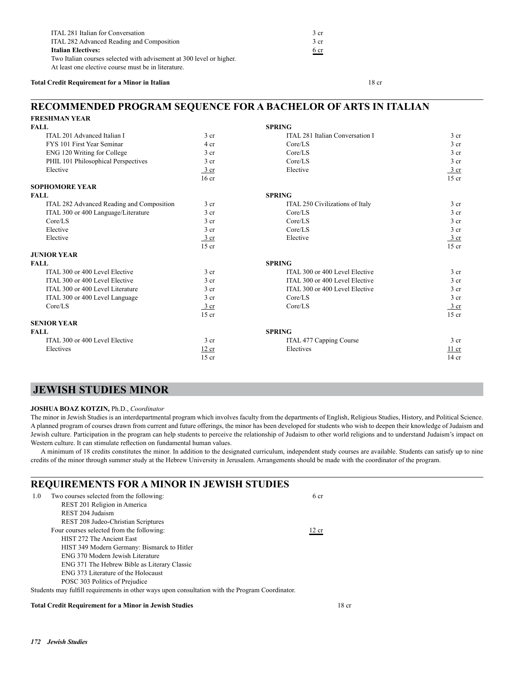| ITAL 281 Italian for Conversation                                    | 3 cr |
|----------------------------------------------------------------------|------|
| ITAL 282 Advanced Reading and Composition                            | 3 cr |
| <b>Italian Electives:</b>                                            | 6 cr |
| Two Italian courses selected with advisement at 300 level or higher. |      |
| At least one elective course must be in literature.                  |      |

### **Total Credit Requirement for a Minor in Italian** 18 cr

### **RECOMMENDED PROGRAM SEQUENCE FOR A BACHELOR OF ARTS IN ITALIAN FRESHMAN YEAR**

| FRESHMAN YEAR                             |                  |                                 |                 |
|-------------------------------------------|------------------|---------------------------------|-----------------|
| <b>FALL</b>                               |                  | <b>SPRING</b>                   |                 |
| ITAL 201 Advanced Italian I               | 3 <sub>cr</sub>  | ITAL 281 Italian Conversation I | 3 <sub>cr</sub> |
| FYS 101 First Year Seminar                | 4 cr             | Core/LS                         | 3 <sub>cr</sub> |
| ENG 120 Writing for College               | 3 <sub>cr</sub>  | Core/LS                         | 3 <sub>cr</sub> |
| PHIL 101 Philosophical Perspectives       | 3 <sub>cr</sub>  | Core/LS                         | 3 <sub>cr</sub> |
| Elective                                  | $\frac{3}{ }$ cr | Elective                        | $3 \text{ cr}$  |
|                                           | 16 <sub>cr</sub> |                                 | $15$ cr         |
| <b>SOPHOMORE YEAR</b>                     |                  |                                 |                 |
| <b>FALL</b>                               |                  | <b>SPRING</b>                   |                 |
| ITAL 282 Advanced Reading and Composition | 3 <sub>cr</sub>  | ITAL 250 Civilizations of Italy | 3 <sub>cr</sub> |
| ITAL 300 or 400 Language/Literature       | 3 <sub>cr</sub>  | Core/LS                         | 3 <sub>cr</sub> |
| Core/LS                                   | 3 <sub>cr</sub>  | Core/LS                         | 3 <sub>cr</sub> |
| Elective                                  | 3 <sub>cr</sub>  | Core/LS                         | 3 <sub>cr</sub> |
| Elective                                  | 3 cr             | Elective                        | 3 cr            |
|                                           | $15$ cr          |                                 | $15$ cr         |
| <b>JUNIOR YEAR</b>                        |                  |                                 |                 |
| <b>FALL</b>                               |                  | <b>SPRING</b>                   |                 |
| ITAL 300 or 400 Level Elective            | 3 <sub>cr</sub>  | ITAL 300 or 400 Level Elective  | 3 <sub>cr</sub> |
| ITAL 300 or 400 Level Elective            | 3 <sub>cr</sub>  | ITAL 300 or 400 Level Elective  | 3 <sub>cr</sub> |
| ITAL 300 or 400 Level Literature          | 3 <sub>cr</sub>  | ITAL 300 or 400 Level Elective  | 3 <sub>cr</sub> |
| ITAL 300 or 400 Level Language            | 3 <sub>cr</sub>  | Core/LS                         | 3 <sub>cr</sub> |
| Core/LS                                   | $\frac{3}{ }$ cr | Core/LS                         | 3 cr            |
|                                           | $15$ cr          |                                 | $15$ cr         |
| <b>SENIOR YEAR</b>                        |                  |                                 |                 |
| <b>FALL</b>                               |                  | <b>SPRING</b>                   |                 |
| ITAL 300 or 400 Level Elective            | 3 <sub>cr</sub>  | ITAL 477 Capping Course         | 3 <sub>cr</sub> |
| Electives                                 | 12 cr            | Electives                       | $11$ cr         |
|                                           | $15$ cr          |                                 | $14$ cr         |

### **JEWISH STUDIES MINOR**

### **JOSHUA BOAZ KOTZIN,** Ph.D., *Coordinator*

The minor in Jewish Studies is an interdepartmental program which involves faculty from the departments of English, Religious Studies, History, and Political Science. A planned program of courses drawn from current and future offerings, the minor has been developed for students who wish to deepen their knowledge of Judaism and Jewish culture. Participation in the program can help students to perceive the relationship of Judaism to other world religions and to understand Judaism's impact on Western culture. It can stimulate reflection on fundamental human values.

A minimum of 18 credits constitutes the minor. In addition to the designated curriculum, independent study courses are available. Students can satisfy up to nine credits of the minor through summer study at the Hebrew University in Jerusalem. Arrangements should be made with the coordinator of the program.

| <b>REQUIREMENTS FOR A MINOR IN JEWISH STUDIES</b>                                               |       |  |  |
|-------------------------------------------------------------------------------------------------|-------|--|--|
| Two courses selected from the following:<br>1.0                                                 | 6 cr  |  |  |
| REST 201 Religion in America                                                                    |       |  |  |
| REST 204 Judaism                                                                                |       |  |  |
| REST 208 Judeo-Christian Scriptures                                                             |       |  |  |
| Four courses selected from the following:                                                       | 12 cr |  |  |
| HIST 272 The Ancient East                                                                       |       |  |  |
| HIST 349 Modern Germany: Bismarck to Hitler                                                     |       |  |  |
| ENG 370 Modern Jewish Literature                                                                |       |  |  |
| ENG 371 The Hebrew Bible as Literary Classic                                                    |       |  |  |
| ENG 373 Literature of the Holocaust                                                             |       |  |  |
| POSC 303 Politics of Prejudice                                                                  |       |  |  |
| Students may fulfill requirements in other ways upon consultation with the Program Coordinator. |       |  |  |

### **Total Credit Requirement for a Minor in Jewish Studies** 18 cr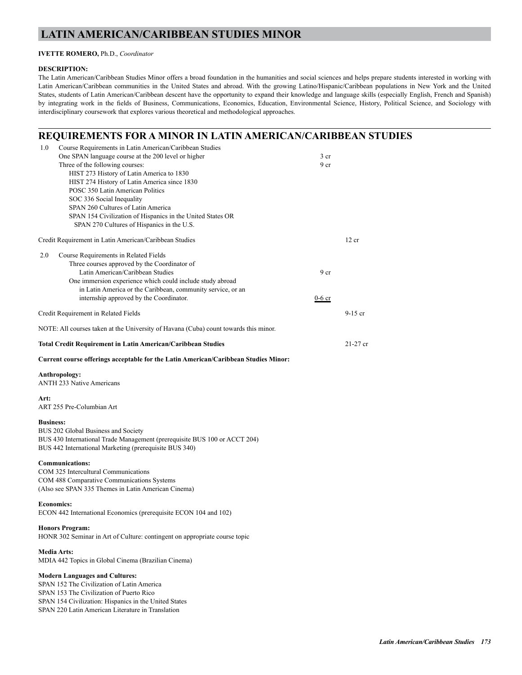### **LATIN AMERICAN/CARIBBEAN STUDIES MINOR**

### **IVETTE ROMERO,** Ph.D., *Coordinator*

### **DESCRIPTION:**

The Latin American/Caribbean Studies Minor offers a broad foundation in the humanities and social sciences and helps prepare students interested in working with Latin American/Caribbean communities in the United States and abroad. With the growing Latino/Hispanic/Caribbean populations in New York and the United States, students of Latin American/Caribbean descent have the opportunity to expand their knowledge and language skills (especially English, French and Spanish) by integrating work in the fields of Business, Communications, Economics, Education, Environmental Science, History, Political Science, and Sociology with interdisciplinary coursework that explores various theoretical and methodological approaches.

### **REQUIREMENTS FOR A MINOR IN LATIN AMERICAN/CARIBBEAN STUDIES**

| 1.0              | Course Requirements in Latin American/Caribbean Studies<br>One SPAN language course at the 200 level or higher<br>Three of the following courses:<br>HIST 273 History of Latin America to 1830<br>HIST 274 History of Latin America since 1830<br>POSC 350 Latin American Politics<br>SOC 336 Social Inequality<br>SPAN 260 Cultures of Latin America<br>SPAN 154 Civilization of Hispanics in the United States OR<br>SPAN 270 Cultures of Hispanics in the U.S. | 3 <sub>cr</sub><br>9 cr     |            |
|------------------|-------------------------------------------------------------------------------------------------------------------------------------------------------------------------------------------------------------------------------------------------------------------------------------------------------------------------------------------------------------------------------------------------------------------------------------------------------------------|-----------------------------|------------|
|                  | Credit Requirement in Latin American/Caribbean Studies                                                                                                                                                                                                                                                                                                                                                                                                            |                             | 12 cr      |
| 2.0              | Course Requirements in Related Fields<br>Three courses approved by the Coordinator of<br>Latin American/Caribbean Studies<br>One immersion experience which could include study abroad<br>in Latin America or the Caribbean, community service, or an<br>internship approved by the Coordinator.                                                                                                                                                                  | 9 <sub>cr</sub><br>$0-6$ cr |            |
|                  | Credit Requirement in Related Fields                                                                                                                                                                                                                                                                                                                                                                                                                              |                             | $9-15$ cr  |
|                  | NOTE: All courses taken at the University of Havana (Cuba) count towards this minor.                                                                                                                                                                                                                                                                                                                                                                              |                             |            |
|                  | <b>Total Credit Requirement in Latin American/Caribbean Studies</b>                                                                                                                                                                                                                                                                                                                                                                                               |                             | $21-27$ cr |
|                  | Current course offerings acceptable for the Latin American/Caribbean Studies Minor:                                                                                                                                                                                                                                                                                                                                                                               |                             |            |
|                  | Anthropology:<br><b>ANTH 233 Native Americans</b>                                                                                                                                                                                                                                                                                                                                                                                                                 |                             |            |
| Art:             | ART 255 Pre-Columbian Art                                                                                                                                                                                                                                                                                                                                                                                                                                         |                             |            |
| <b>Business:</b> | BUS 202 Global Business and Society<br>BUS 430 International Trade Management (prerequisite BUS 100 or ACCT 204)<br>BUS 442 International Marketing (prerequisite BUS 340)                                                                                                                                                                                                                                                                                        |                             |            |
|                  | <b>Communications:</b><br>COM 325 Intercultural Communications<br>COM 488 Comparative Communications Systems<br>(Also see SPAN 335 Themes in Latin American Cinema)                                                                                                                                                                                                                                                                                               |                             |            |
|                  | <b>Economics:</b><br>ECON 442 International Economics (prerequisite ECON 104 and 102)                                                                                                                                                                                                                                                                                                                                                                             |                             |            |
|                  | <b>Honors Program:</b><br>HONR 302 Seminar in Art of Culture: contingent on appropriate course topic                                                                                                                                                                                                                                                                                                                                                              |                             |            |
|                  | <b>Media Arts:</b><br>MDIA 442 Topics in Global Cinema (Brazilian Cinema)                                                                                                                                                                                                                                                                                                                                                                                         |                             |            |
|                  | <b>Modern Languages and Cultures:</b><br>SPAN 152 The Civilization of Latin America<br>SPAN 153 The Civilization of Puerto Rico<br>SPAN 154 Civilization: Hispanics in the United States<br>SPAN 220 Latin American Literature in Translation                                                                                                                                                                                                                     |                             |            |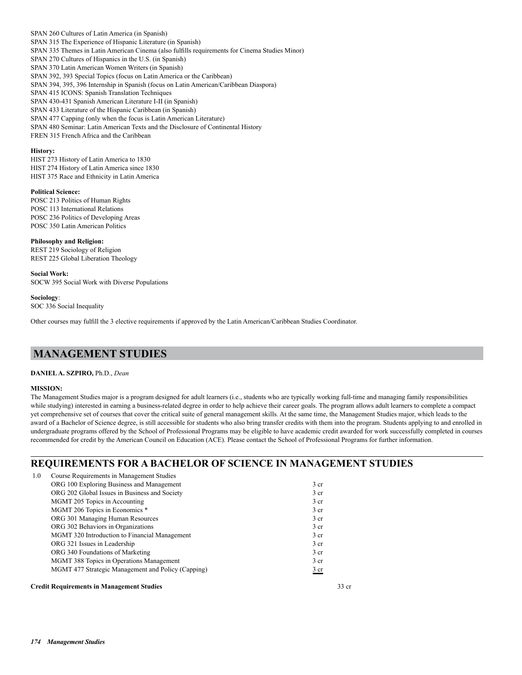SPAN 260 Cultures of Latin America (in Spanish) SPAN 315 The Experience of Hispanic Literature (in Spanish) SPAN 335 Themes in Latin American Cinema (also fulfills requirements for Cinema Studies Minor) SPAN 270 Cultures of Hispanics in the U.S. (in Spanish) SPAN 370 Latin American Women Writers (in Spanish) SPAN 392, 393 Special Topics (focus on Latin America or the Caribbean) SPAN 394, 395, 396 Internship in Spanish (focus on Latin American/Caribbean Diaspora) SPAN 415 ICONS: Spanish Translation Techniques SPAN 430-431 Spanish American Literature I-II (in Spanish) SPAN 433 Literature of the Hispanic Caribbean (in Spanish) SPAN 477 Capping (only when the focus is Latin American Literature) SPAN 480 Seminar: Latin American Texts and the Disclosure of Continental History FREN 315 French Africa and the Caribbean

#### **History:**

HIST 273 History of Latin America to 1830 HIST 274 History of Latin America since 1830 HIST 375 Race and Ethnicity in Latin America

### **Political Science:**

POSC 213 Politics of Human Rights POSC 113 International Relations POSC 236 Politics of Developing Areas POSC 350 Latin American Politics

**Philosophy and Religion:** REST 219 Sociology of Religion REST 225 Global Liberation Theology

**Social Work:** SOCW 395 Social Work with Diverse Populations

**Sociology**: SOC 336 Social Inequality

Other courses may fulfill the 3 elective requirements if approved by the Latin American/Caribbean Studies Coordinator.

### **MANAGEMENT STUDIES**

### **DANIEL A. SZPIRO,** Ph.D., *Dean*

#### **MISSION:**

The Management Studies major is a program designed for adult learners (i.e., students who are typically working full-time and managing family responsibilities while studying) interested in earning a business-related degree in order to help achieve their career goals. The program allows adult learners to complete a compact yet comprehensive set of courses that cover the critical suite of general management skills. At the same time, the Management Studies major, which leads to the award of a Bachelor of Science degree, is still accessible for students who also bring transfer credits with them into the program. Students applying to and enrolled in undergraduate programs offered by the School of Professional Programs may be eligible to have academic credit awarded for work successfully completed in courses recommended for credit by the American Council on Education (ACE). Please contact the School of Professional Programs for further information.

### **REQUIREMENTS FOR A BACHELOR OF SCIENCE IN MANAGEMENT STUDIES**

| 1.0 | Course Requirements in Management Studies          |                 |
|-----|----------------------------------------------------|-----------------|
|     | ORG 100 Exploring Business and Management          | 3 <sub>cr</sub> |
|     | ORG 202 Global Issues in Business and Society      | 3 <sub>cr</sub> |
|     | MGMT 205 Topics in Accounting                      | 3 <sub>cr</sub> |
|     | MGMT 206 Topics in Economics *                     | 3 <sub>cr</sub> |
|     | ORG 301 Managing Human Resources                   | 3 <sub>cr</sub> |
|     | ORG 302 Behaviors in Organizations                 | 3 <sub>cr</sub> |
|     | MGMT 320 Introduction to Financial Management      | 3 <sub>cr</sub> |
|     | ORG 321 Issues in Leadership                       | 3 <sub>cr</sub> |
|     | ORG 340 Foundations of Marketing                   | 3 <sub>cr</sub> |
|     | MGMT 388 Topics in Operations Management           | 3 <sub>cr</sub> |
|     | MGMT 477 Strategic Management and Policy (Capping) | 3 <sub>cr</sub> |
|     | <b>Credit Requirements in Management Studies</b>   | 33 cr           |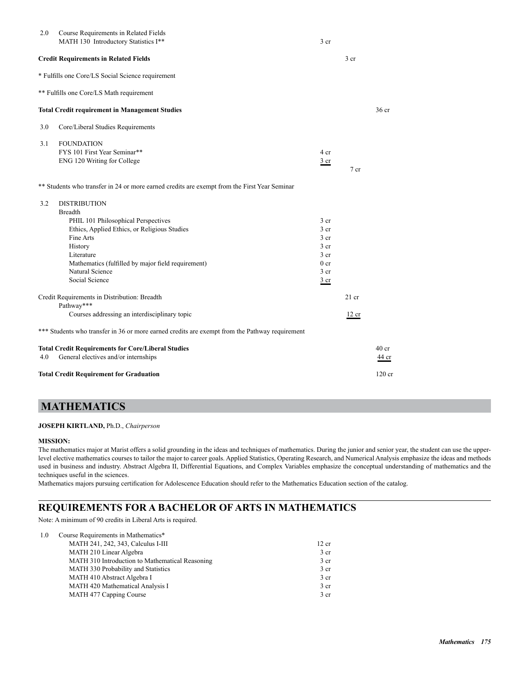| 2.0 | Course Requirements in Related Fields<br>MATH 130 Introductory Statistics I**                  | 3 <sub>cr</sub>                    |                 |                  |
|-----|------------------------------------------------------------------------------------------------|------------------------------------|-----------------|------------------|
|     | <b>Credit Requirements in Related Fields</b>                                                   |                                    | 3 cr            |                  |
|     | * Fulfills one Core/LS Social Science requirement                                              |                                    |                 |                  |
|     | ** Fulfills one Core/LS Math requirement                                                       |                                    |                 |                  |
|     | <b>Total Credit requirement in Management Studies</b>                                          |                                    |                 | 36 <sub>cr</sub> |
| 3.0 | Core/Liberal Studies Requirements                                                              |                                    |                 |                  |
| 3.1 | <b>FOUNDATION</b>                                                                              |                                    |                 |                  |
|     | FYS 101 First Year Seminar**                                                                   | 4 cr                               |                 |                  |
|     | ENG 120 Writing for College                                                                    | 3 cr                               | 7 <sub>cr</sub> |                  |
|     | ** Students who transfer in 24 or more earned credits are exempt from the First Year Seminar   |                                    |                 |                  |
| 3.2 | <b>DISTRIBUTION</b>                                                                            |                                    |                 |                  |
|     | <b>Breadth</b>                                                                                 |                                    |                 |                  |
|     | PHIL 101 Philosophical Perspectives                                                            | 3 <sub>cr</sub>                    |                 |                  |
|     | Ethics, Applied Ethics, or Religious Studies                                                   | 3 <sub>cr</sub>                    |                 |                  |
|     | Fine Arts<br>History                                                                           | 3 <sub>cr</sub><br>3 <sub>cr</sub> |                 |                  |
|     | Literature                                                                                     | 3 <sub>cr</sub>                    |                 |                  |
|     | Mathematics (fulfilled by major field requirement)                                             | 0 <sub>cr</sub>                    |                 |                  |
|     | Natural Science                                                                                | 3 <sub>cr</sub>                    |                 |                  |
|     | Social Science                                                                                 | 3 cr                               |                 |                  |
|     | Credit Requirements in Distribution: Breadth<br>Pathway***                                     |                                    | $21$ cr         |                  |
|     | Courses addressing an interdisciplinary topic                                                  |                                    | 12 cr           |                  |
|     | *** Students who transfer in 36 or more earned credits are exempt from the Pathway requirement |                                    |                 |                  |
|     | <b>Total Credit Requirements for Core/Liberal Studies</b>                                      |                                    |                 | 40 <sub>cr</sub> |
| 4.0 | General electives and/or internships                                                           |                                    |                 | 44 cr            |
|     | <b>Total Credit Requirement for Graduation</b>                                                 |                                    |                 | $120$ cr         |

## **MATHEMATICS**

### **JOSEPH KIRTLAND,** Ph.D., *Chairperson*

### **MISSION:**

The mathematics major at Marist offers a solid grounding in the ideas and techniques of mathematics. During the junior and senior year, the student can use the upperlevel elective mathematics courses to tailor the major to career goals. Applied Statistics, Operating Research, and Numerical Analysis emphasize the ideas and methods used in business and industry. Abstract Algebra II, Differential Equations, and Complex Variables emphasize the conceptual understanding of mathematics and the techniques useful in the sciences.

Mathematics majors pursuing certification for Adolescence Education should refer to the Mathematics Education section of the catalog.

## **REQUIREMENTS FOR A BACHELOR OF ARTS IN MATHEMATICS**

Note: A minimum of 90 credits in Liberal Arts is required.

| 1.0 | Course Requirements in Mathematics*             |                 |
|-----|-------------------------------------------------|-----------------|
|     | MATH 241, 242, 343, Calculus I-III              | 12 cr           |
|     | MATH 210 Linear Algebra                         | 3 <sub>cr</sub> |
|     | MATH 310 Introduction to Mathematical Reasoning | 3 <sub>cr</sub> |
|     | MATH 330 Probability and Statistics             | 3 <sub>cr</sub> |
|     | MATH 410 Abstract Algebra I                     | 3 <sub>cr</sub> |
|     | MATH 420 Mathematical Analysis I                | 3 <sub>cr</sub> |
|     | MATH 477 Capping Course                         | 3 <sub>cr</sub> |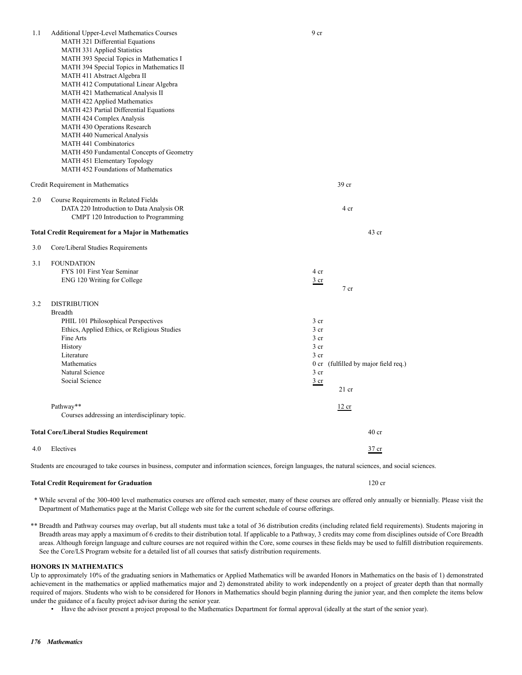| 1.1 | Additional Upper-Level Mathematics Courses                            | 9 cr                               |                                 |
|-----|-----------------------------------------------------------------------|------------------------------------|---------------------------------|
|     | MATH 321 Differential Equations<br><b>MATH 331 Applied Statistics</b> |                                    |                                 |
|     | MATH 393 Special Topics in Mathematics I                              |                                    |                                 |
|     | MATH 394 Special Topics in Mathematics II                             |                                    |                                 |
|     | MATH 411 Abstract Algebra II                                          |                                    |                                 |
|     | MATH 412 Computational Linear Algebra                                 |                                    |                                 |
|     | MATH 421 Mathematical Analysis II                                     |                                    |                                 |
|     | MATH 422 Applied Mathematics                                          |                                    |                                 |
|     | MATH 423 Partial Differential Equations                               |                                    |                                 |
|     | MATH 424 Complex Analysis                                             |                                    |                                 |
|     | MATH 430 Operations Research                                          |                                    |                                 |
|     | MATH 440 Numerical Analysis                                           |                                    |                                 |
|     | <b>MATH 441 Combinatorics</b>                                         |                                    |                                 |
|     | MATH 450 Fundamental Concepts of Geometry                             |                                    |                                 |
|     | MATH 451 Elementary Topology                                          |                                    |                                 |
|     | MATH 452 Foundations of Mathematics                                   |                                    |                                 |
|     |                                                                       |                                    |                                 |
|     | Credit Requirement in Mathematics                                     |                                    | 39 cr                           |
| 2.0 | Course Requirements in Related Fields                                 |                                    |                                 |
|     | DATA 220 Introduction to Data Analysis OR                             |                                    | 4 cr                            |
|     | CMPT 120 Introduction to Programming                                  |                                    |                                 |
|     |                                                                       |                                    |                                 |
|     | <b>Total Credit Requirement for a Major in Mathematics</b>            |                                    | $43$ cr                         |
| 3.0 | Core/Liberal Studies Requirements                                     |                                    |                                 |
| 3.1 | <b>FOUNDATION</b>                                                     |                                    |                                 |
|     | FYS 101 First Year Seminar                                            | 4 cr                               |                                 |
|     | ENG 120 Writing for College                                           | <u>3 cr</u>                        |                                 |
|     |                                                                       |                                    | 7 cr                            |
|     |                                                                       |                                    |                                 |
| 3.2 | <b>DISTRIBUTION</b>                                                   |                                    |                                 |
|     | <b>Breadth</b>                                                        |                                    |                                 |
|     | PHIL 101 Philosophical Perspectives                                   | 3 <sub>cr</sub>                    |                                 |
|     | Ethics, Applied Ethics, or Religious Studies                          | 3 <sub>cr</sub>                    |                                 |
|     | Fine Arts                                                             | 3 <sub>cr</sub><br>3 <sub>cr</sub> |                                 |
|     | History<br>Literature                                                 | 3 <sub>cr</sub>                    |                                 |
|     | Mathematics                                                           | 0 <sub>cr</sub>                    | (fulfilled by major field req.) |
|     | Natural Science                                                       | 3 <sub>cr</sub>                    |                                 |
|     | Social Science                                                        |                                    |                                 |
|     |                                                                       | <u>3 cr</u>                        | $21$ cr                         |
|     | Pathway**                                                             |                                    |                                 |
|     | Courses addressing an interdisciplinary topic.                        |                                    | 12 cr                           |
|     |                                                                       |                                    |                                 |
|     | <b>Total Core/Liberal Studies Requirement</b>                         |                                    | 40 <sub>cr</sub>                |
| 4.0 | Electives                                                             |                                    | 37 cr                           |

Students are encouraged to take courses in business, computer and information sciences, foreign languages, the natural sciences, and social sciences.

#### **Total Credit Requirement for Graduation** 120 cr

 \* While several of the 300-400 level mathematics courses are offered each semester, many of these courses are offered only annually or biennially. Please visit the Department of Mathematics page at the Marist College web site for the current schedule of course offerings.

\*\* Breadth and Pathway courses may overlap, but all students must take a total of 36 distribution credits (including related field requirements). Students majoring in Breadth areas may apply a maximum of 6 credits to their distribution total. If applicable to a Pathway, 3 credits may come from disciplines outside of Core Breadth areas. Although foreign language and culture courses are not required within the Core, some courses in these fields may be used to fulfill distribution requirements. See the Core/LS Program website for a detailed list of all courses that satisfy distribution requirements.

#### **HONORS IN MATHEMATICS**

Up to approximately 10% of the graduating seniors in Mathematics or Applied Mathematics will be awarded Honors in Mathematics on the basis of 1) demonstrated achievement in the mathematics or applied mathematics major and 2) demonstrated ability to work independently on a project of greater depth than that normally required of majors. Students who wish to be considered for Honors in Mathematics should begin planning during the junior year, and then complete the items below under the guidance of a faculty project advisor during the senior year.

• Have the advisor present a project proposal to the Mathematics Department for formal approval (ideally at the start of the senior year).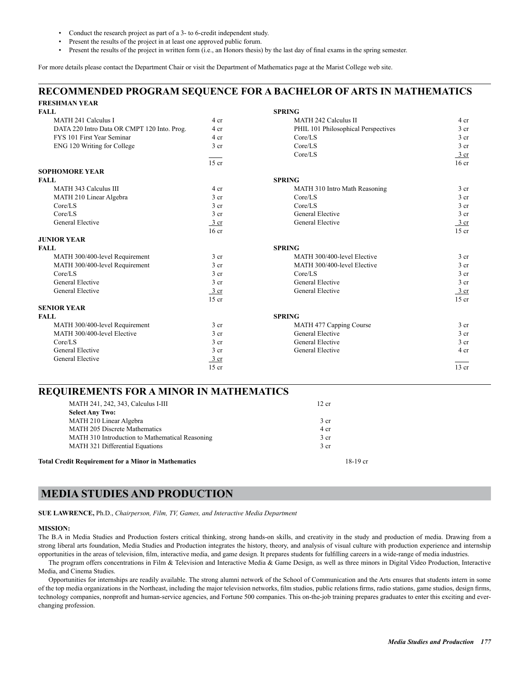- Conduct the research project as part of a 3- to 6-credit independent study.
- Present the results of the project in at least one approved public forum.
- Present the results of the project in written form (i.e., an Honors thesis) by the last day of final exams in the spring semester.

For more details please contact the Department Chair or visit the Department of Mathematics page at the Marist College web site.

### **RECOMMENDED PROGRAM SEQUENCE FOR A BACHELOR OF ARTS IN MATHEMATICS FRESHMAN YEAR**

| <b>FALL</b>                                 |                  | <b>SPRING</b>                       |                  |
|---------------------------------------------|------------------|-------------------------------------|------------------|
| MATH 241 Calculus I                         | 4 cr             | <b>MATH 242 Calculus II</b>         | 4 cr             |
| DATA 220 Intro Data OR CMPT 120 Into. Prog. | 4 cr             | PHIL 101 Philosophical Perspectives | 3 <sub>cr</sub>  |
| FYS 101 First Year Seminar                  | 4 cr             | Core/LS                             | 3 <sub>cr</sub>  |
| ENG 120 Writing for College                 | 3 cr             | Core/LS                             | 3 <sub>cr</sub>  |
|                                             |                  | Core/LS                             | 3 cr             |
|                                             | $15$ cr          |                                     | 16 <sub>cr</sub> |
| <b>SOPHOMORE YEAR</b>                       |                  |                                     |                  |
| <b>FALL</b>                                 |                  | <b>SPRING</b>                       |                  |
| MATH 343 Calculus III                       | 4 cr             | MATH 310 Intro Math Reasoning       | 3 <sub>cr</sub>  |
| MATH 210 Linear Algebra                     | 3 <sub>cr</sub>  | Core/LS                             | 3 <sub>cr</sub>  |
| Core/LS                                     | 3 <sub>cr</sub>  | Core/LS                             | 3 <sub>cr</sub>  |
| Core/LS                                     | 3 <sub>cr</sub>  | General Elective                    | 3 <sub>cr</sub>  |
| General Elective                            | $\frac{3}{ }$ cr | General Elective                    | 3 cr             |
|                                             | 16 <sub>cr</sub> |                                     | $15$ cr          |
| <b>JUNIOR YEAR</b>                          |                  |                                     |                  |
| <b>FALL</b>                                 |                  | <b>SPRING</b>                       |                  |
| MATH 300/400-level Requirement              | 3 <sub>cr</sub>  | MATH 300/400-level Elective         | 3 <sub>cr</sub>  |
| MATH 300/400-level Requirement              | 3 <sub>cr</sub>  | MATH 300/400-level Elective         | 3 <sub>cr</sub>  |
| Core/LS                                     | 3 <sub>cr</sub>  | Core/LS                             | 3 <sub>cr</sub>  |
| General Elective                            | 3 <sub>cr</sub>  | <b>General Elective</b>             | 3 <sub>cr</sub>  |
| General Elective                            | $3$ cr           | General Elective                    | $rac{3}{2}$ cr   |
|                                             | $15$ cr          |                                     | $15$ cr          |
| <b>SENIOR YEAR</b>                          |                  |                                     |                  |
| <b>FALL</b>                                 |                  | <b>SPRING</b>                       |                  |
| MATH 300/400-level Requirement              | 3 <sub>cr</sub>  | MATH 477 Capping Course             | 3 <sub>cr</sub>  |
| MATH 300/400-level Elective                 | 3 <sub>cr</sub>  | General Elective                    | 3 <sub>cr</sub>  |
| Core/LS                                     | 3 <sub>cr</sub>  | <b>General Elective</b>             | 3 <sub>cr</sub>  |
| General Elective                            | 3 <sub>cr</sub>  | General Elective                    | 4 cr             |
| General Elective                            | $\frac{3}{ }$ cr |                                     |                  |
|                                             | $15$ cr          |                                     | $13$ cr          |

| MATH 241, 242, 343, Calculus I-III                         | 12 cr           |
|------------------------------------------------------------|-----------------|
| <b>Select Any Two:</b>                                     |                 |
| MATH 210 Linear Algebra                                    | 3 <sub>cr</sub> |
| <b>MATH 205 Discrete Mathematics</b>                       | 4 cr            |
| MATH 310 Introduction to Mathematical Reasoning            | 3 <sub>cr</sub> |
| <b>MATH 321 Differential Equations</b>                     | 3 <sub>cr</sub> |
| <b>Total Credit Requirement for a Minor in Mathematics</b> | $18-19$ cr      |

### **MEDIA STUDIES AND PRODUCTION**

**SUE LAWRENCE,** Ph.D., *Chairperson, Film, TV, Games, and Interactive Media Department*

#### **MISSION:**

The B.A in Media Studies and Production fosters critical thinking, strong hands-on skills, and creativity in the study and production of media. Drawing from a strong liberal arts foundation, Media Studies and Production integrates the history, theory, and analysis of visual culture with production experience and internship opportunities in the areas of television, film, interactive media, and game design. It prepares students for fulfilling careers in a wide-range of media industries.

The program offers concentrations in Film & Television and Interactive Media & Game Design, as well as three minors in Digital Video Production, Interactive Media, and Cinema Studies.

Opportunities for internships are readily available. The strong alumni network of the School of Communication and the Arts ensures that students intern in some of the top media organizations in the Northeast, including the major television networks, film studios, public relations firms, radio stations, game studios, design firms, technology companies, nonprofit and human-service agencies, and Fortune 500 companies. This on-the-job training prepares graduates to enter this exciting and everchanging profession.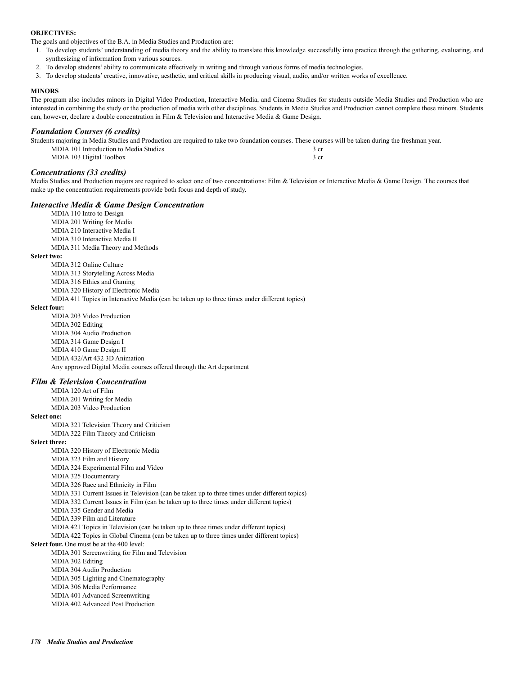### **OBJECTIVES:**

The goals and objectives of the B.A. in Media Studies and Production are:

- 1. To develop students' understanding of media theory and the ability to translate this knowledge successfully into practice through the gathering, evaluating, and synthesizing of information from various sources.
- 2. To develop students' ability to communicate effectively in writing and through various forms of media technologies.
- 3. To develop students' creative, innovative, aesthetic, and critical skills in producing visual, audio, and/or written works of excellence.

#### **MINORS**

The program also includes minors in Digital Video Production, Interactive Media, and Cinema Studies for students outside Media Studies and Production who are interested in combining the study or the production of media with other disciplines. Students in Media Studies and Production cannot complete these minors. Students can, however, declare a double concentration in Film & Television and Interactive Media & Game Design.

### *Foundation Courses (6 credits)*

Students majoring in Media Studies and Production are required to take two foundation courses. These courses will be taken during the freshman year. MDIA 101 Introduction to Media Studies 3 cr MDIA 103 Digital Toolbox 3 cr

### *Concentrations (33 credits)*

Media Studies and Production majors are required to select one of two concentrations: Film & Television or Interactive Media & Game Design. The courses that make up the concentration requirements provide both focus and depth of study.

### *Interactive Media & Game Design Concentration*

 MDIA 110 Intro to Design MDIA 201 Writing for Media MDIA 210 Interactive Media I MDIA 310 Interactive Media II MDIA 311 Media Theory and Methods

### **Select two:**

 MDIA 312 Online Culture MDIA 313 Storytelling Across Media MDIA 316 Ethics and Gaming

MDIA 320 History of Electronic Media

MDIA 411 Topics in Interactive Media (can be taken up to three times under different topics)

### **Select four:**

 MDIA 203 Video Production MDIA 302 Editing MDIA 304 Audio Production MDIA 314 Game Design I MDIA 410 Game Design II MDIA 432/Art 432 3D Animation Any approved Digital Media courses offered through the Art department

#### *Film & Television Concentration*

 MDIA 120 Art of Film MDIA 201 Writing for Media MDIA 203 Video Production

#### **Select one:**

 MDIA 321 Television Theory and Criticism MDIA 322 Film Theory and Criticism

#### **Select three:**

 MDIA 320 History of Electronic Media MDIA 323 Film and History MDIA 324 Experimental Film and Video MDIA 325 Documentary MDIA 326 Race and Ethnicity in Film MDIA 331 Current Issues in Television (can be taken up to three times under different topics) MDIA 332 Current Issues in Film (can be taken up to three times under different topics) MDIA 335 Gender and Media MDIA 339 Film and Literature MDIA 421 Topics in Television (can be taken up to three times under different topics) MDIA 422 Topics in Global Cinema (can be taken up to three times under different topics) **Select four.** One must be at the 400 level: MDIA 301 Screenwriting for Film and Television MDIA 302 Editing MDIA 304 Audio Production MDIA 305 Lighting and Cinematography MDIA 306 Media Performance MDIA 401 Advanced Screenwriting MDIA 402 Advanced Post Production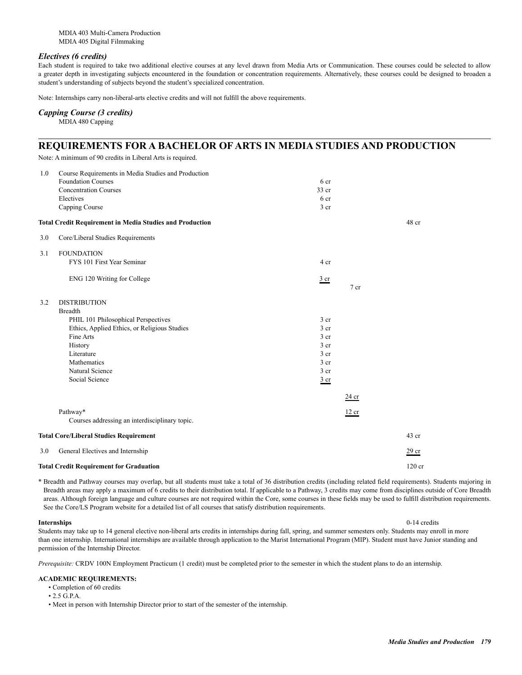MDIA 403 Multi-Camera Production MDIA 405 Digital Filmmaking

### *Electives (6 credits)*

Each student is required to take two additional elective courses at any level drawn from Media Arts or Communication. These courses could be selected to allow a greater depth in investigating subjects encountered in the foundation or concentration requirements. Alternatively, these courses could be designed to broaden a student's understanding of subjects beyond the student's specialized concentration.

Note: Internships carry non-liberal-arts elective credits and will not fulfill the above requirements.

### *Capping Course (3 credits)*

MDIA 480 Capping

### **REQUIREMENTS FOR A BACHELOR OF ARTS IN MEDIA STUDIES AND PRODUCTION**

Note: A minimum of 90 credits in Liberal Arts is required.

| 1.0 | Course Requirements in Media Studies and Production             |                 |                  |
|-----|-----------------------------------------------------------------|-----------------|------------------|
|     | <b>Foundation Courses</b>                                       | 6 cr            |                  |
|     | <b>Concentration Courses</b>                                    | 33 cr           |                  |
|     | Electives                                                       | 6 cr            |                  |
|     | Capping Course                                                  | 3 <sub>cr</sub> |                  |
|     | <b>Total Credit Requirement in Media Studies and Production</b> |                 | 48 cr            |
| 3.0 | Core/Liberal Studies Requirements                               |                 |                  |
| 3.1 | <b>FOUNDATION</b>                                               |                 |                  |
|     | FYS 101 First Year Seminar                                      | 4 cr            |                  |
|     | ENG 120 Writing for College                                     | $rac{3}{2}$ cr  |                  |
|     |                                                                 | 7 cr            |                  |
| 3.2 | <b>DISTRIBUTION</b>                                             |                 |                  |
|     | <b>Breadth</b>                                                  |                 |                  |
|     | PHIL 101 Philosophical Perspectives                             | 3 <sub>cr</sub> |                  |
|     | Ethics, Applied Ethics, or Religious Studies                    | 3 <sub>cr</sub> |                  |
|     | Fine Arts                                                       | 3 <sub>cr</sub> |                  |
|     | History                                                         | 3 <sub>cr</sub> |                  |
|     | Literature                                                      | 3 <sub>cr</sub> |                  |
|     | Mathematics                                                     | 3 <sub>cr</sub> |                  |
|     | Natural Science                                                 | 3 <sub>cr</sub> |                  |
|     | Social Science                                                  | $rac{3}{2}$ cr  |                  |
|     |                                                                 | 24 cr           |                  |
|     | Pathway*                                                        | 12 cr           |                  |
|     | Courses addressing an interdisciplinary topic.                  |                 |                  |
|     | <b>Total Core/Liberal Studies Requirement</b>                   |                 | $43$ cr          |
| 3.0 | General Electives and Internship                                |                 | 29 cr            |
|     | <b>Total Credit Requirement for Graduation</b>                  |                 | $120 \text{ cr}$ |

\* Breadth and Pathway courses may overlap, but all students must take a total of 36 distribution credits (including related field requirements). Students majoring in Breadth areas may apply a maximum of 6 credits to their distribution total. If applicable to a Pathway, 3 credits may come from disciplines outside of Core Breadth areas. Although foreign language and culture courses are not required within the Core, some courses in these fields may be used to fulfill distribution requirements. See the Core/LS Program website for a detailed list of all courses that satisfy distribution requirements.

**Internships** 0-14 credits Students may take up to 14 general elective non-liberal arts credits in internships during fall, spring, and summer semesters only. Students may enroll in more than one internship. International internships are available through application to the Marist International Program (MIP). Student must have Junior standing and permission of the Internship Director.

*Prerequisite:* CRDV 100N Employment Practicum (1 credit) must be completed prior to the semester in which the student plans to do an internship.

### **ACADEMIC REQUIREMENTS:**

- Completion of 60 credits
- 2.5 G.P.A.

• Meet in person with Internship Director prior to start of the semester of the internship.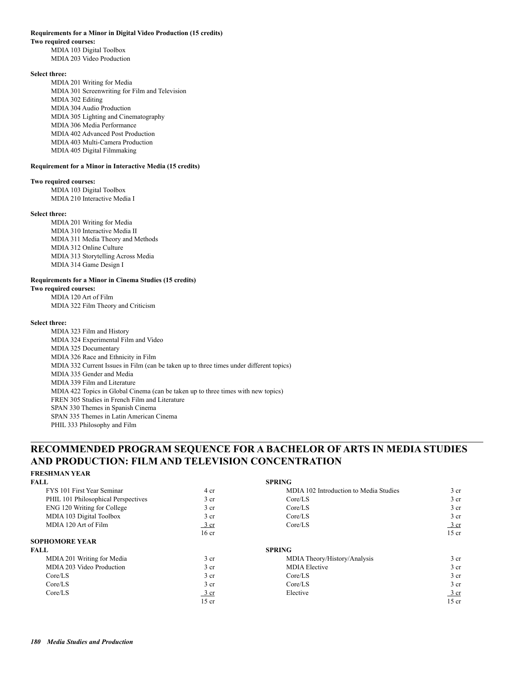#### **Requirements for a Minor in Digital Video Production (15 credits)**

#### **Two required courses:**

 MDIA 103 Digital Toolbox MDIA 203 Video Production

### **Select three:**

 MDIA 201 Writing for Media MDIA 301 Screenwriting for Film and Television MDIA 302 Editing MDIA 304 Audio Production MDIA 305 Lighting and Cinematography MDIA 306 Media Performance MDIA 402 Advanced Post Production MDIA 403 Multi-Camera Production MDIA 405 Digital Filmmaking

#### **Requirement for a Minor in Interactive Media (15 credits)**

### **Two required courses:**

 MDIA 103 Digital Toolbox MDIA 210 Interactive Media I

#### **Select three:**

 MDIA 201 Writing for Media MDIA 310 Interactive Media II MDIA 311 Media Theory and Methods MDIA 312 Online Culture MDIA 313 Storytelling Across Media MDIA 314 Game Design I

### **Requirements for a Minor in Cinema Studies (15 credits)**

**Two required courses:** MDIA 120 Art of Film MDIA 322 Film Theory and Criticism

#### **Select three:**

 MDIA 323 Film and History MDIA 324 Experimental Film and Video MDIA 325 Documentary MDIA 326 Race and Ethnicity in Film MDIA 332 Current Issues in Film (can be taken up to three times under different topics) MDIA 335 Gender and Media MDIA 339 Film and Literature MDIA 422 Topics in Global Cinema (can be taken up to three times with new topics) FREN 305 Studies in French Film and Literature SPAN 330 Themes in Spanish Cinema SPAN 335 Themes in Latin American Cinema PHIL 333 Philosophy and Film

### **RECOMMENDED PROGRAM SEQUENCE FOR A BACHELOR OF ARTS IN MEDIA STUDIES AND PRODUCTION: FILM AND TELEVISION CONCENTRATION**

### **FRESHMAN YEAR**

| FALL                                |                          | <b>SPRING</b>                          |                  |
|-------------------------------------|--------------------------|----------------------------------------|------------------|
| FYS 101 First Year Seminar          | 4 cr                     | MDIA 102 Introduction to Media Studies | 3 <sub>cr</sub>  |
| PHIL 101 Philosophical Perspectives | 3 <sub>cr</sub>          | Core/LS                                | 3 <sub>cr</sub>  |
| ENG 120 Writing for College         | 3 <sub>cr</sub>          | Core/LS                                | 3 <sub>cr</sub>  |
| MDIA 103 Digital Toolbox            | 3 <sub>cr</sub>          | Core/LS                                | 3 <sub>cr</sub>  |
| MDIA 120 Art of Film                | 3 cr                     | Core/LS                                | 3 cr             |
|                                     | 16 <sub>cr</sub>         |                                        | $15$ cr          |
| <b>SOPHOMORE YEAR</b>               |                          |                                        |                  |
| FALL.                               |                          | <b>SPRING</b>                          |                  |
| MDIA 201 Writing for Media          | 3 <sub>cr</sub>          | MDIA Theory/History/Analysis           | 3 <sub>cr</sub>  |
| MDIA 203 Video Production           | 3 <sub>cr</sub>          | <b>MDIA</b> Elective                   | 3 <sub>cr</sub>  |
| Core/LS                             | 3 <sub>cr</sub>          | Core/LS                                | 3 <sub>cr</sub>  |
| Core/LS                             | 3 <sub>cr</sub>          | Core/LS                                | 3 <sub>cr</sub>  |
| Core/LS                             | $\frac{3 \text{ cr}}{2}$ | Elective                               | $\frac{3}{ }$ cr |
|                                     | $15$ cr                  |                                        | $15$ cr          |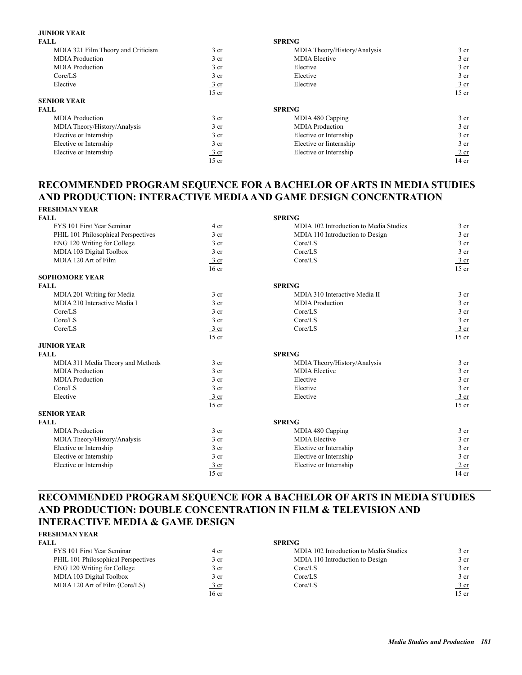### **JUNIOR YEAR**

| FALL                               |                  | <b>SPRING</b>                |                 |
|------------------------------------|------------------|------------------------------|-----------------|
| MDIA 321 Film Theory and Criticism | 3 <sub>cr</sub>  | MDIA Theory/History/Analysis | 3 <sub>cr</sub> |
| <b>MDIA</b> Production             | 3 cr             | <b>MDIA</b> Elective         | 3 <sub>cr</sub> |
| <b>MDIA</b> Production             | 3 cr             | Elective                     | 3 <sub>cr</sub> |
| Core/LS                            | 3 <sub>cr</sub>  | Elective                     | 3 <sub>cr</sub> |
| Elective                           | $rac{3}{2}$ cr   | Elective                     | 3 cr            |
|                                    | $15$ cr          |                              | $15$ cr         |
| <b>SENIOR YEAR</b>                 |                  |                              |                 |
| <b>FALL</b>                        |                  | <b>SPRING</b>                |                 |
| <b>MDIA</b> Production             | 3 <sub>cr</sub>  | MDIA 480 Capping             | 3 <sub>cr</sub> |
| MDIA Theory/History/Analysis       | 3 cr             | <b>MDIA</b> Production       | 3 <sub>cr</sub> |
| Elective or Internship             | 3 cr             | Elective or Internship       | 3 <sub>cr</sub> |
| Elective or Internship             | 3 cr             | Elective or Internship       | 3 <sub>cr</sub> |
| Elective or Internship             | $\frac{3}{ }$ cr | Elective or Internship       | 2 cr            |
|                                    | $15$ cr          |                              | 14 cr           |

### **RECOMMENDED PROGRAM SEQUENCE FOR A BACHELOR OF ARTS IN MEDIA STUDIES AND PRODUCTION: INTERACTIVE MEDIA AND GAME DESIGN CONCENTRATION FRESHMAN YEAR**

| ГКРЭПШАЛ І РАК                      |                  |                                        |                 |
|-------------------------------------|------------------|----------------------------------------|-----------------|
| <b>FALL</b>                         |                  | <b>SPRING</b>                          |                 |
| FYS 101 First Year Seminar          | 4 cr             | MDIA 102 Introduction to Media Studies | 3 <sub>cr</sub> |
| PHIL 101 Philosophical Perspectives | 3 <sub>cr</sub>  | MDIA 110 Introduction to Design        | 3 <sub>cr</sub> |
| ENG 120 Writing for College         | 3 <sub>cr</sub>  | Core/LS                                | 3 <sub>cr</sub> |
| MDIA 103 Digital Toolbox            | 3 <sub>cr</sub>  | Core/LS                                | 3 <sub>cr</sub> |
| MDIA 120 Art of Film                | $3$ cr           | Core/LS                                | 3 cr            |
|                                     | 16 <sub>cr</sub> |                                        | $15$ cr         |
| <b>SOPHOMORE YEAR</b>               |                  |                                        |                 |
| <b>FALL</b>                         |                  | <b>SPRING</b>                          |                 |
| MDIA 201 Writing for Media          | 3 <sub>cr</sub>  | MDIA 310 Interactive Media II          | 3 <sub>cr</sub> |
| MDIA 210 Interactive Media I        | 3 <sub>cr</sub>  | <b>MDIA</b> Production                 | 3 <sub>cr</sub> |
| Core/LS                             | 3 <sub>cr</sub>  | Core/LS                                | 3 <sub>cr</sub> |
| Core/LS                             | 3 <sub>cr</sub>  | Core/LS                                | 3 <sub>cr</sub> |
| Core/LS                             | $\frac{3}{ }$ cr | Core/LS                                | $3$ cr          |
|                                     | $15$ cr          |                                        | $15$ cr         |
| <b>JUNIOR YEAR</b>                  |                  |                                        |                 |
| <b>FALL</b>                         |                  | <b>SPRING</b>                          |                 |
| MDIA 311 Media Theory and Methods   | 3 <sub>cr</sub>  | MDIA Theory/History/Analysis           | 3 <sub>cr</sub> |
| <b>MDIA</b> Production              | 3 <sub>cr</sub>  | <b>MDIA</b> Elective                   | 3 <sub>cr</sub> |
| <b>MDIA</b> Production              | 3 <sub>cr</sub>  | Elective                               | 3 <sub>cr</sub> |
| Core/LS                             | 3 <sub>cr</sub>  | Elective                               | 3 <sub>cr</sub> |
| Elective                            | $\frac{3}{ }$ cr | Elective                               | $3 \text{ cr}$  |
|                                     | $15$ cr          |                                        | $15$ cr         |
| <b>SENIOR YEAR</b>                  |                  |                                        |                 |
| <b>FALL</b>                         |                  | <b>SPRING</b>                          |                 |
| <b>MDIA</b> Production              | 3 <sub>cr</sub>  | MDIA 480 Capping                       | 3 <sub>cr</sub> |
| MDIA Theory/History/Analysis        | 3 <sub>cr</sub>  | <b>MDIA</b> Elective                   | 3 <sub>cr</sub> |
| Elective or Internship              | 3 <sub>cr</sub>  | Elective or Internship                 | 3 <sub>cr</sub> |
| Elective or Internship              | 3 <sub>cr</sub>  | Elective or Internship                 | 3 <sub>cr</sub> |
| Elective or Internship              | $3$ cr           | Elective or Internship                 | $2$ cr          |
|                                     | $15$ cr          |                                        | $14$ cr         |

### **RECOMMENDED PROGRAM SEQUENCE FOR A BACHELOR OF ARTS IN MEDIA STUDIES AND PRODUCTION: DOUBLE CONCENTRATION IN FILM & TELEVISION AND INTERACTIVE MEDIA & GAME DESIGN**

| <b>FRESHMAN YEAR</b>                |                 |                                        |                  |
|-------------------------------------|-----------------|----------------------------------------|------------------|
| <b>FALL</b>                         |                 | <b>SPRING</b>                          |                  |
| FYS 101 First Year Seminar          | 4 cr            | MDIA 102 Introduction to Media Studies | 3 cr             |
| PHIL 101 Philosophical Perspectives | 3 <sub>cr</sub> | MDIA 110 Introduction to Design        | 3 cr             |
| ENG 120 Writing for College         | 3 <sub>cr</sub> | Core/LS                                | 3 cr             |
| MDIA 103 Digital Toolbox            | 3 <sub>cr</sub> | Core/LS                                | 3 cr             |
| MDIA 120 Art of Film (Core/LS)      | $rac{3}{2}$ cr  | Core/LS                                | $\frac{3}{ }$ cr |
|                                     | 16 cr           |                                        | $15$ cr          |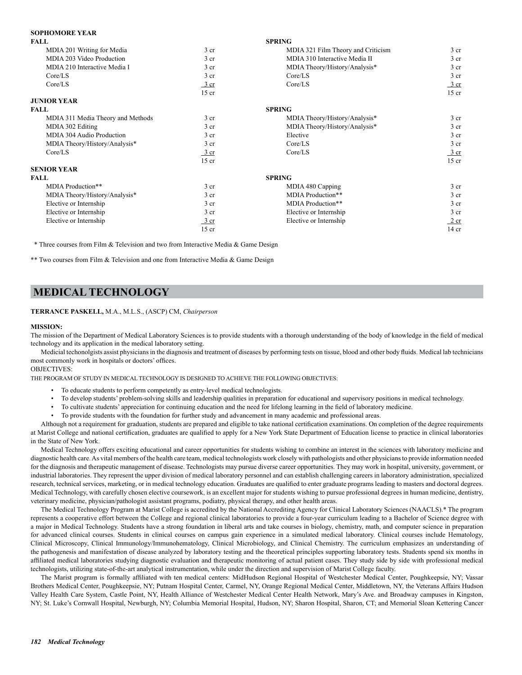### **SOPHOMORE YEAR**

| MDIA 201 Writing for Media<br>3 <sub>cr</sub><br>MDIA 321 Film Theory and Criticism<br>MDIA 203 Video Production<br>MDIA 310 Interactive Media II<br>3 <sub>cr</sub><br>MDIA 210 Interactive Media I<br>3 <sub>cr</sub><br>MDIA Theory/History/Analysis*<br>3 <sub>cr</sub><br>Core/LS<br>Core/LS<br>Core/LS<br>Core/LS<br>3 cr<br>$15$ cr<br><b>JUNIOR YEAR</b><br><b>SPRING</b><br><b>FALL</b><br>3 <sub>cr</sub><br>MDIA 311 Media Theory and Methods<br>MDIA Theory/History/Analysis*<br>MDIA Theory/History/Analysis*<br>MDIA 302 Editing<br>3 <sub>cr</sub><br>MDIA 304 Audio Production<br>3 <sub>cr</sub><br>Elective<br>3 <sub>cr</sub><br>Core/LS<br>MDIA Theory/History/Analysis*<br>Core/LS<br>Core/LS<br>$\frac{3}{ }$ cr<br>$15$ cr<br><b>SENIOR YEAR</b><br><b>SPRING</b><br><b>FALL</b><br>3 <sub>cr</sub><br>MDIA Production**<br>MDIA 480 Capping<br>MDIA Production**<br>MDIA Theory/History/Analysis*<br>3 <sub>cr</sub><br>MDIA Production**<br>Elective or Internship<br>3 <sub>cr</sub><br>Elective or Internship<br>3 <sub>cr</sub><br>Elective or Internship<br>Elective or Internship<br>Elective or Internship<br>3 cr | <b>FALL</b> |         | <b>SPRING</b> |                  |
|---------------------------------------------------------------------------------------------------------------------------------------------------------------------------------------------------------------------------------------------------------------------------------------------------------------------------------------------------------------------------------------------------------------------------------------------------------------------------------------------------------------------------------------------------------------------------------------------------------------------------------------------------------------------------------------------------------------------------------------------------------------------------------------------------------------------------------------------------------------------------------------------------------------------------------------------------------------------------------------------------------------------------------------------------------------------------------------------------------------------------------------------------|-------------|---------|---------------|------------------|
|                                                                                                                                                                                                                                                                                                                                                                                                                                                                                                                                                                                                                                                                                                                                                                                                                                                                                                                                                                                                                                                                                                                                                   |             |         |               | 3 <sub>cr</sub>  |
|                                                                                                                                                                                                                                                                                                                                                                                                                                                                                                                                                                                                                                                                                                                                                                                                                                                                                                                                                                                                                                                                                                                                                   |             |         |               | 3 <sub>cr</sub>  |
|                                                                                                                                                                                                                                                                                                                                                                                                                                                                                                                                                                                                                                                                                                                                                                                                                                                                                                                                                                                                                                                                                                                                                   |             |         |               | 3 <sub>cr</sub>  |
|                                                                                                                                                                                                                                                                                                                                                                                                                                                                                                                                                                                                                                                                                                                                                                                                                                                                                                                                                                                                                                                                                                                                                   |             |         |               | $3$ cr           |
|                                                                                                                                                                                                                                                                                                                                                                                                                                                                                                                                                                                                                                                                                                                                                                                                                                                                                                                                                                                                                                                                                                                                                   |             |         |               | $\frac{3}{ }$ cr |
|                                                                                                                                                                                                                                                                                                                                                                                                                                                                                                                                                                                                                                                                                                                                                                                                                                                                                                                                                                                                                                                                                                                                                   |             |         |               | $15$ cr          |
|                                                                                                                                                                                                                                                                                                                                                                                                                                                                                                                                                                                                                                                                                                                                                                                                                                                                                                                                                                                                                                                                                                                                                   |             |         |               |                  |
|                                                                                                                                                                                                                                                                                                                                                                                                                                                                                                                                                                                                                                                                                                                                                                                                                                                                                                                                                                                                                                                                                                                                                   |             |         |               |                  |
|                                                                                                                                                                                                                                                                                                                                                                                                                                                                                                                                                                                                                                                                                                                                                                                                                                                                                                                                                                                                                                                                                                                                                   |             |         |               | 3 <sub>cr</sub>  |
|                                                                                                                                                                                                                                                                                                                                                                                                                                                                                                                                                                                                                                                                                                                                                                                                                                                                                                                                                                                                                                                                                                                                                   |             |         |               | 3 <sub>cr</sub>  |
|                                                                                                                                                                                                                                                                                                                                                                                                                                                                                                                                                                                                                                                                                                                                                                                                                                                                                                                                                                                                                                                                                                                                                   |             |         |               | $3$ cr           |
|                                                                                                                                                                                                                                                                                                                                                                                                                                                                                                                                                                                                                                                                                                                                                                                                                                                                                                                                                                                                                                                                                                                                                   |             |         |               | 3 <sub>cr</sub>  |
|                                                                                                                                                                                                                                                                                                                                                                                                                                                                                                                                                                                                                                                                                                                                                                                                                                                                                                                                                                                                                                                                                                                                                   |             |         |               | 3 cr             |
|                                                                                                                                                                                                                                                                                                                                                                                                                                                                                                                                                                                                                                                                                                                                                                                                                                                                                                                                                                                                                                                                                                                                                   |             |         |               | $15$ cr          |
|                                                                                                                                                                                                                                                                                                                                                                                                                                                                                                                                                                                                                                                                                                                                                                                                                                                                                                                                                                                                                                                                                                                                                   |             |         |               |                  |
|                                                                                                                                                                                                                                                                                                                                                                                                                                                                                                                                                                                                                                                                                                                                                                                                                                                                                                                                                                                                                                                                                                                                                   |             |         |               |                  |
|                                                                                                                                                                                                                                                                                                                                                                                                                                                                                                                                                                                                                                                                                                                                                                                                                                                                                                                                                                                                                                                                                                                                                   |             |         |               | $3$ cr           |
|                                                                                                                                                                                                                                                                                                                                                                                                                                                                                                                                                                                                                                                                                                                                                                                                                                                                                                                                                                                                                                                                                                                                                   |             |         |               | 3 <sub>cr</sub>  |
|                                                                                                                                                                                                                                                                                                                                                                                                                                                                                                                                                                                                                                                                                                                                                                                                                                                                                                                                                                                                                                                                                                                                                   |             |         |               | $3$ cr           |
|                                                                                                                                                                                                                                                                                                                                                                                                                                                                                                                                                                                                                                                                                                                                                                                                                                                                                                                                                                                                                                                                                                                                                   |             |         |               | 3 <sub>cr</sub>  |
|                                                                                                                                                                                                                                                                                                                                                                                                                                                                                                                                                                                                                                                                                                                                                                                                                                                                                                                                                                                                                                                                                                                                                   |             |         |               | 2 cr             |
|                                                                                                                                                                                                                                                                                                                                                                                                                                                                                                                                                                                                                                                                                                                                                                                                                                                                                                                                                                                                                                                                                                                                                   |             | $15$ cr |               | $14$ cr          |

\* Three courses from Film & Television and two from Interactive Media & Game Design

\*\* Two courses from Film & Television and one from Interactive Media & Game Design

### **MEDICAL TECHNOLOGY**

#### **TERRANCE PASKELL,** M.A., M.L.S., (ASCP) CM, *Chairperson*

#### **MISSION:**

The mission of the Department of Medical Laboratory Sciences is to provide students with a thorough understanding of the body of knowledge in the field of medical technology and its application in the medical laboratory setting.

Medicial techonolgists assist physicians in the diagnosis and treatment of diseases by performing tests on tissue, blood and other body fluids. Medical lab technicians most commonly work in hospitals or doctors' offices.

### OBJECTIVES:

THE PROGRAM OF STUDY IN MEDICAL TECHNOLOGY IS DESIGNED TO ACHIEVE THE FOLLOWING OBJECTIVES:

- To educate students to perform competently as entry-level medical technologists.
- To develop students' problem-solving skills and leadership qualities in preparation for educational and supervisory positions in medical technology.
- To cultivate students' appreciation for continuing education and the need for lifelong learning in the field of laboratory medicine.
- To provide students with the foundation for further study and advancement in many academic and professional areas.

Although not a requirement for graduation, students are prepared and eligible to take national certification examinations. On completion of the degree requirements at Marist College and national certification, graduates are qualified to apply for a New York State Department of Education license to practice in clinical laboratories in the State of New York.

Medical Technology offers exciting educational and career opportunities for students wishing to combine an interest in the sciences with laboratory medicine and diagnostic health care. As vital members of the health care team, medical technologists work closely with pathologists and other physicians to provide information needed for the diagnosis and therapeutic management of disease. Technologists may pursue diverse career opportunities. They may work in hospital, university, government, or industrial laboratories. They represent the upper division of medical laboratory personnel and can establish challenging careers in laboratory administration, specialized research, technical services, marketing, or in medical technology education. Graduates are qualified to enter graduate programs leading to masters and doctoral degrees. Medical Technology, with carefully chosen elective coursework, is an excellent major for students wishing to pursue professional degrees in human medicine, dentistry, veterinary medicine, physician/pathologist assistant programs, podiatry, physical therapy, and other health areas.

The Medical Technology Program at Marist College is accredited by the National Accrediting Agency for Clinical Laboratory Sciences (NAACLS).\* The program represents a cooperative effort between the College and regional clinical laboratories to provide a four-year curriculum leading to a Bachelor of Science degree with a major in Medical Technology. Students have a strong foundation in liberal arts and take courses in biology, chemistry, math, and computer science in preparation for advanced clinical courses. Students in clinical courses on campus gain experience in a simulated medical laboratory. Clinical courses include Hematology, Clinical Microscopy, Clinical Immunology/Immunohematology, Clinical Microbiology, and Clinical Chemistry. The curriculum emphasizes an understanding of the pathogenesis and manifestation of disease analyzed by laboratory testing and the theoretical principles supporting laboratory tests. Students spend six months in affiliated medical laboratories studying diagnostic evaluation and therapeutic monitoring of actual patient cases. They study side by side with professional medical technologists, utilizing state-of-the-art analytical instrumentation, while under the direction and supervision of Marist College faculty.

The Marist program is formally affiliated with ten medical centers: MidHudson Regional Hospital of Westchester Medical Center, Poughkeepsie, NY; Vassar Brothers Medical Center, Poughkeepsie, NY; Putnam Hospital Center, Carmel, NY, Orange Regional Medical Center, Middletown, NY, the Veterans Affairs Hudson Valley Health Care System, Castle Point, NY, Health Alliance of Westchester Medical Center Health Network, Mary's Ave. and Broadway campuses in Kingston, NY; St. Luke's Cornwall Hospital, Newburgh, NY; Columbia Memorial Hospital, Hudson, NY; Sharon Hospital, Sharon, CT; and Memorial Sloan Kettering Cancer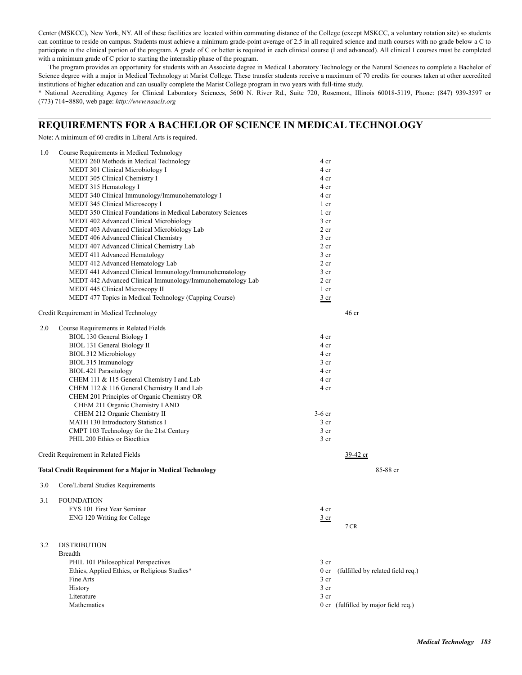Center (MSKCC), New York, NY. All of these facilities are located within commuting distance of the College (except MSKCC, a voluntary rotation site) so students can continue to reside on campus. Students must achieve a minimum grade-point average of 2.5 in all required science and math courses with no grade below a C to participate in the clinical portion of the program. A grade of C or better is required in each clinical course (I and advanced). All clinical I courses must be completed with a minimum grade of C prior to starting the internship phase of the program.

The program provides an opportunity for students with an Associate degree in Medical Laboratory Technology or the Natural Sciences to complete a Bachelor of Science degree with a major in Medical Technology at Marist College. These transfer students receive a maximum of 70 credits for courses taken at other accredited institutions of higher education and can usually complete the Marist College program in two years with full-time study.

\* National Accrediting Agency for Clinical Laboratory Sciences, 5600 N. River Rd., Suite 720, Rosemont, Illinois 60018-5119, Phone: (847) 939-3597 or (773) 714‑8880, web page: *http://www.naacls.org*

### **REQUIREMENTS FOR A BACHELOR OF SCIENCE IN MEDICAL TECHNOLOGY**

Note: A minimum of 60 credits in Liberal Arts is required.

| 1.0 | Course Requirements in Medical Technology                         |                 |                                      |
|-----|-------------------------------------------------------------------|-----------------|--------------------------------------|
|     | MEDT 260 Methods in Medical Technology                            | 4 cr            |                                      |
|     | MEDT 301 Clinical Microbiology I                                  | 4 cr            |                                      |
|     | MEDT 305 Clinical Chemistry I                                     | 4 cr            |                                      |
|     | MEDT 315 Hematology I                                             | 4 cr            |                                      |
|     | MEDT 340 Clinical Immunology/Immunohematology I                   | 4 cr            |                                      |
|     | MEDT 345 Clinical Microscopy I                                    | 1 cr            |                                      |
|     | MEDT 350 Clinical Foundations in Medical Laboratory Sciences      | 1 cr            |                                      |
|     | MEDT 402 Advanced Clinical Microbiology                           | 3 <sub>cr</sub> |                                      |
|     | MEDT 403 Advanced Clinical Microbiology Lab                       | 2 <sub>cr</sub> |                                      |
|     | MEDT 406 Advanced Clinical Chemistry                              | 3 <sub>cr</sub> |                                      |
|     | MEDT 407 Advanced Clinical Chemistry Lab                          | 2 cr            |                                      |
|     | MEDT 411 Advanced Hematology                                      | 3 <sub>cr</sub> |                                      |
|     | MEDT 412 Advanced Hematology Lab                                  | 2 <sub>cr</sub> |                                      |
|     | MEDT 441 Advanced Clinical Immunology/Immunohematology            | 3 <sub>cr</sub> |                                      |
|     | MEDT 442 Advanced Clinical Immunology/Immunohematology Lab        | 2 <sub>cr</sub> |                                      |
|     | MEDT 445 Clinical Microscopy II                                   | 1 cr            |                                      |
|     | MEDT 477 Topics in Medical Technology (Capping Course)            | $rac{3}{2}$ cr  |                                      |
|     | Credit Requirement in Medical Technology                          |                 | 46 <sub>cr</sub>                     |
| 2.0 | Course Requirements in Related Fields                             |                 |                                      |
|     | BIOL 130 General Biology I                                        | 4 cr            |                                      |
|     | BIOL 131 General Biology II                                       | 4 cr            |                                      |
|     | BIOL 312 Microbiology                                             | 4 cr            |                                      |
|     | BIOL 315 Immunology                                               | 3 <sub>cr</sub> |                                      |
|     | <b>BIOL 421 Parasitology</b>                                      | 4 cr            |                                      |
|     | CHEM 111 & 115 General Chemistry I and Lab                        | 4 cr            |                                      |
|     | CHEM 112 & 116 General Chemistry II and Lab                       | 4 cr            |                                      |
|     | CHEM 201 Principles of Organic Chemistry OR                       |                 |                                      |
|     | CHEM 211 Organic Chemistry I AND                                  |                 |                                      |
|     | CHEM 212 Organic Chemistry II                                     | $3-6$ cr        |                                      |
|     | MATH 130 Introductory Statistics I                                | 3 <sub>cr</sub> |                                      |
|     | CMPT 103 Technology for the 21st Century                          | 3 <sub>cr</sub> |                                      |
|     | PHIL 200 Ethics or Bioethics                                      | 3 <sub>cr</sub> |                                      |
|     | Credit Requirement in Related Fields                              |                 | 39-42 cr                             |
|     | <b>Total Credit Requirement for a Major in Medical Technology</b> |                 | 85-88 cr                             |
| 3.0 | Core/Liberal Studies Requirements                                 |                 |                                      |
|     |                                                                   |                 |                                      |
| 3.1 | <b>FOUNDATION</b><br>FYS 101 First Year Seminar                   |                 |                                      |
|     |                                                                   | 4 cr            |                                      |
|     | ENG 120 Writing for College                                       | $rac{3}{2}$ cr  | 7 CR                                 |
|     |                                                                   |                 |                                      |
| 3.2 | <b>DISTRIBUTION</b>                                               |                 |                                      |
|     | <b>Breadth</b>                                                    |                 |                                      |
|     | PHIL 101 Philosophical Perspectives                               | 3 <sub>cr</sub> |                                      |
|     | Ethics, Applied Ethics, or Religious Studies*                     | 0 <sub>cr</sub> | (fulfilled by related field req.)    |
|     | Fine Arts                                                         | 3 <sub>cr</sub> |                                      |
|     | History                                                           | 3 <sub>cr</sub> |                                      |
|     | Literature                                                        | 3 <sub>cr</sub> |                                      |
|     | Mathematics                                                       |                 | 0 cr (fulfilled by major field req.) |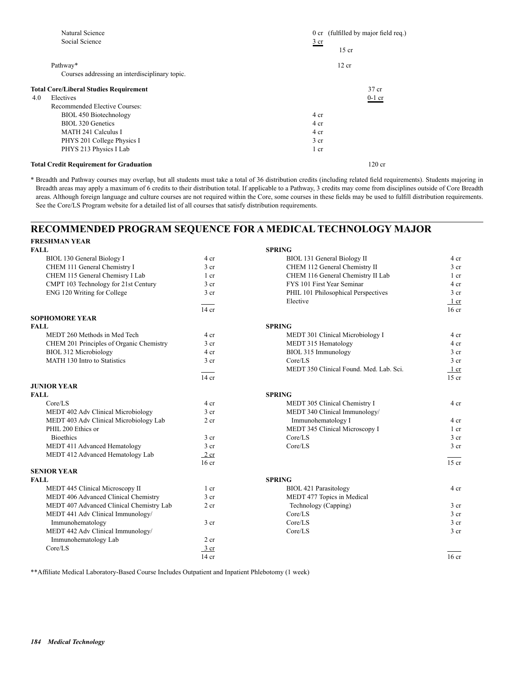|     | Natural Science                                |                           | 0 cr (fulfilled by major field req.) |
|-----|------------------------------------------------|---------------------------|--------------------------------------|
|     | Social Science                                 | $rac{3}{2}$ cr<br>$15$ cr |                                      |
|     | Pathway*                                       | 12 cr                     |                                      |
|     | Courses addressing an interdisciplinary topic. |                           |                                      |
|     | <b>Total Core/Liberal Studies Requirement</b>  |                           | 37 cr                                |
| 4.0 | Electives                                      |                           | $0-1$ cr                             |
|     | Recommended Elective Courses:                  |                           |                                      |
|     | BIOL 450 Biotechnology                         | 4 cr                      |                                      |
|     | BIOL 320 Genetics                              | 4 cr                      |                                      |
|     | <b>MATH 241 Calculus I</b>                     | 4 cr                      |                                      |
|     | PHYS 201 College Physics I                     | 3 cr                      |                                      |
|     | PHYS 213 Physics I Lab                         | 1 cr                      |                                      |
|     | <b>Total Credit Requirement for Graduation</b> |                           | $120$ cr                             |

\* Breadth and Pathway courses may overlap, but all students must take a total of 36 distribution credits (including related field requirements). Students majoring in Breadth areas may apply a maximum of 6 credits to their distribution total. If applicable to a Pathway, 3 credits may come from disciplines outside of Core Breadth areas. Although foreign language and culture courses are not required within the Core, some courses in these fields may be used to fulfill distribution requirements. See the Core/LS Program website for a detailed list of all courses that satisfy distribution requirements.

### **RECOMMENDED PROGRAM SEQUENCE FOR A MEDICAL TECHNOLOGY MAJOR FRESHMAN YEAR**

| <b>FALL</b>                              |                  | <b>SPRING</b>                           |                  |
|------------------------------------------|------------------|-----------------------------------------|------------------|
| BIOL 130 General Biology I               | 4 cr             | BIOL 131 General Biology II             | 4 cr             |
| CHEM 111 General Chemistry I             | 3 <sub>cr</sub>  | CHEM 112 General Chemistry II           | 3 <sub>cr</sub>  |
| CHEM 115 General Chemisry I Lab          | $1$ cr           | CHEM 116 General Chemistry II Lab       | 1 cr             |
| CMPT 103 Technology for 21st Century     | $3$ cr           | FYS 101 First Year Seminar              | 4 cr             |
| ENG 120 Writing for College              | 3 <sub>cr</sub>  | PHIL 101 Philosophical Perspectives     | 3 <sub>cr</sub>  |
|                                          |                  | Elective                                | 1 cr             |
|                                          | $14$ cr          |                                         | $16$ cr          |
| <b>SOPHOMORE YEAR</b>                    |                  |                                         |                  |
| <b>FALL</b>                              |                  | <b>SPRING</b>                           |                  |
| MEDT 260 Methods in Med Tech             | 4 cr             | MEDT 301 Clinical Microbiology I        | 4 cr             |
| CHEM 201 Principles of Organic Chemistry | $3$ cr           | MEDT 315 Hematology                     | 4 cr             |
| BIOL 312 Microbiology                    | 4 cr             | BIOL 315 Immunology                     | 3 <sub>cr</sub>  |
| MATH 130 Intro to Statistics             | 3 <sub>cr</sub>  | Core/LS                                 | 3 <sub>cr</sub>  |
|                                          |                  | MEDT 350 Clinical Found, Med. Lab. Sci. | $1$ cr           |
|                                          | $14$ cr          |                                         | $15$ cr          |
| <b>JUNIOR YEAR</b>                       |                  |                                         |                  |
| <b>FALL</b>                              |                  | <b>SPRING</b>                           |                  |
| Core/LS                                  | 4 cr             | MEDT 305 Clinical Chemistry I           | 4 cr             |
| MEDT 402 Adv Clinical Microbiology       | 3 <sub>cr</sub>  | MEDT 340 Clinical Immunology/           |                  |
| MEDT 403 Adv Clinical Microbiology Lab   | 2 <sub>cr</sub>  | Immunohematology I                      | 4 cr             |
| PHIL 200 Ethics or                       |                  | MEDT 345 Clinical Microscopy I          | $1$ cr           |
| <b>Bioethics</b>                         | 3 <sub>cr</sub>  | Core/LS                                 | 3 <sub>cr</sub>  |
| MEDT 411 Advanced Hematology             | 3 <sub>cr</sub>  | Core/LS                                 | 3 <sub>cr</sub>  |
| MEDT 412 Advanced Hematology Lab         | 2 cr             |                                         |                  |
|                                          | 16 <sub>cr</sub> |                                         | $15$ cr          |
| <b>SENIOR YEAR</b>                       |                  |                                         |                  |
| <b>FALL</b>                              |                  | <b>SPRING</b>                           |                  |
| MEDT 445 Clinical Microscopy II          | 1 <sub>cr</sub>  | <b>BIOL 421 Parasitology</b>            | 4 cr             |
| MEDT 406 Advanced Clinical Chemistry     | $3$ cr           | MEDT 477 Topics in Medical              |                  |
| MEDT 407 Advanced Clinical Chemistry Lab | 2 <sub>cr</sub>  | Technology (Capping)                    | 3 <sub>cr</sub>  |
| MEDT 441 Adv Clinical Immunology/        |                  | Core/LS                                 | 3 <sub>cr</sub>  |
| Immunohematology                         | 3 <sub>cr</sub>  | Core/LS                                 | 3 <sub>cr</sub>  |
| MEDT 442 Adv Clinical Immunology/        |                  | Core/LS                                 | 3 <sub>cr</sub>  |
| Immunohematology Lab                     | $2$ cr           |                                         |                  |
| Core/LS                                  | 3 cr             |                                         |                  |
|                                          | $14$ cr          |                                         | 16 <sub>cr</sub> |

\*\*Affiliate Medical Laboratory-Based Course Includes Outpatient and Inpatient Phlebotomy (1 week)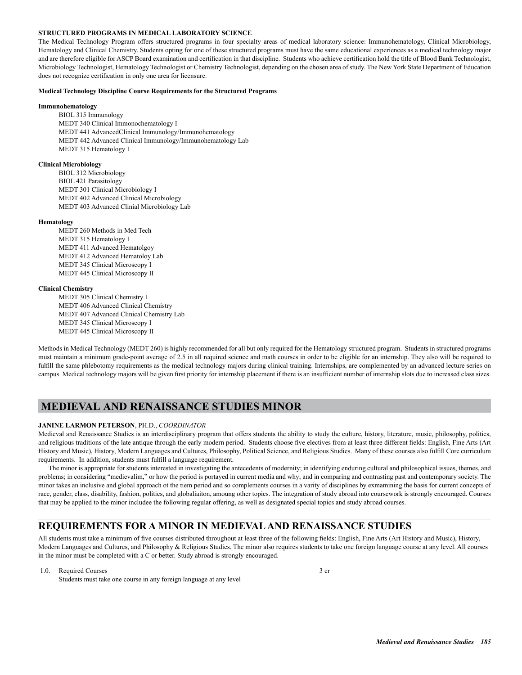### **STRUCTURED PROGRAMS IN MEDICAL LABORATORY SCIENCE**

The Medical Technology Program offers structured programs in four specialty areas of medical laboratory science: Immunohematology, Clinical Microbiology, Hematology and Clinical Chemistry. Students opting for one of these structured programs must have the same educational experiences as a medical technology major and are therefore eligible for ASCP Board examination and certification in that discipline. Students who achieve certification hold the title of Blood Bank Technologist, Microbiology Technologist, Hematology Technologist or Chemistry Technologist, depending on the chosen area of study. The New York State Department of Education does not recognize certification in only one area for licensure.

#### **Medical Technology Discipline Course Requirements for the Structured Programs**

### **Immunohematology**

 BIOL 315 Immunology MEDT 340 Clinical Immonochematology I MEDT 441 AdvancedClinical Immunology/Immunohematology MEDT 442 Advanced Clinical Immunology/Immunohematology Lab MEDT 315 Hematology I

### **Clinical Microbiology**

 BIOL 312 Microbiology BIOL 421 Parasitology MEDT 301 Clinical Microbiology I MEDT 402 Advanced Clinical Microbiology MEDT 403 Advanced Clinial Microbiology Lab

#### **Hematology**

 MEDT 260 Methods in Med Tech MEDT 315 Hematology I MEDT 411 Advanced Hematolgoy MEDT 412 Advanced Hematoloy Lab MEDT 345 Clinical Microscopy I MEDT 445 Clinical Microscopy II

#### **Clinical Chemistry**

 MEDT 305 Clinical Chemistry I MEDT 406 Advanced Clinical Chemistry MEDT 407 Advanced Clinical Chemistry Lab MEDT 345 Clinical Microscopy I MEDT 445 Clinical Microscopy II

Methods in Medical Technology (MEDT 260) is highly recommended for all but only required for the Hematology structured program. Students in structured programs must maintain a minimum grade-point average of 2.5 in all required science and math courses in order to be eligible for an internship. They also will be required to fulfill the same phlebotomy requirements as the medical technology majors during clinical training. Internships, are complemented by an advanced lecture series on campus. Medical technology majors will be given first priority for internship placement if there is an insufficient number of internship slots due to increased class sizes.

### **MEDIEVAL AND RENAISSANCE STUDIES MINOR**

### **JANINE LARMON PETERSON**, PH.D., *COORDINATOR*

Medieval and Renaissance Studies is an interdisciplinary program that offers students the ability to study the culture, history, literature, music, philosophy, politics, and religious traditions of the late antique through the early modern period. Students choose five electives from at least three different fields: English, Fine Arts (Art History and Music), History, Modern Languages and Cultures, Philosophy, Political Science, and Religious Studies. Many of these courses also fulfill Core curriculum requirements. In addition, students must fulfill a language requirement.

The minor is appropriate for students interested in investigating the antecedents of modernity; in identifying enduring cultural and philosophical issues, themes, and problems; in considering "medievalim," or how the period is portayed in current media and why; and in comparing and contrasting past and contemporary society. The minor takes an inclusive and global approach ot the tiem period and so complements courses in a varity of disciplines by exmamining the basis for current concepts of race, gender, class, disability, fashion, politics, and globaliaiton, amoung other topics. The integration of study abroad into coursework is strongly encouraged. Courses that may be applied to the minor includee the following regular offering, as well as designated special topics and study abroad courses.

### **REQUIREMENTS FOR A MINOR IN MEDIEVAL AND RENAISSANCE STUDIES**

All students must take a minimum of five courses distributed throughout at least three of the following fields: English, Fine Arts (Art History and Music), History, Modern Languages and Cultures, and Philosophy & Religious Studies. The minor also requires students to take one foreign language course at any level. All courses in the minor must be completed with a C or better. Study abroad is strongly encouraged.

1.0. Required Courses 3 cr Students must take one course in any foreign language at any level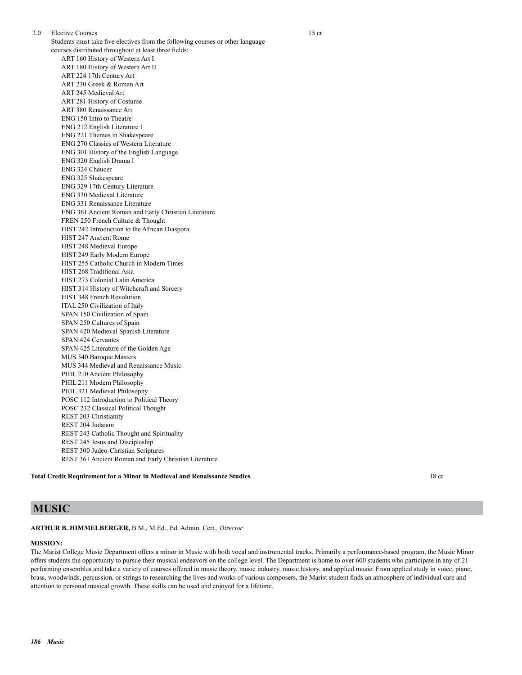2.0 Elective Courses 15 cr Students must take five electives from the following courses or other language courses distributed throughout at least three fields: ART 160 History of Western Art I ART 180 History of Western Art II ART 224 17th Century Art ART 230 Greek & Roman Art ART 245 Medieval Art ART 281 History of Costume ART 380 Renaissance Art ENG 150 Intro to Theatre ENG 212 English Literature I ENG 221 Themes in Shakespeare ENG 270 Classics of Western Literature ENG 301 History of the English Language ENG 320 English Drama I ENG 324 Chaucer ENG 325 Shakespeare ENG 329 17th Century Literature ENG 330 Medieval Literature ENG 331 Renaissance Literature ENG 361 Ancient Roman and Early Christian Literature FREN 250 French Culture & Thought HIST 242 Introduction to the African Diaspora HIST 247 Ancient Rome HIST 248 Medieval Europe HIST 249 Early Modern Europe HIST 255 Catholic Church in Modern Times HIST 268 Traditional Asia HIST 273 Colonial Latin America HIST 314 History of Witchcraft and Sorcery HIST 348 French Revolution ITAL 250 Civilization of Italy SPAN 150 Civilization of Spain SPAN 250 Cultures of Spain SPAN 420 Medieval Spanish Literature SPAN 424 Cervantes SPAN 425 Literature of the Golden Age MUS 340 Baroque Masters MUS 344 Medieval and Renaissance Music PHIL 210 Ancient Philosophy PHIL 211 Modern Philosophy PHIL 321 Medieval Philosophy POSC 112 Introduction to Political Theory POSC 232 Classical Political Thought REST 203 Christianity REST 204 Judaism REST 243 Catholic Thought and Spirituality REST 245 Jesus and Discipleship REST 300 Judeo-Christian Scriptures REST 361 Ancient Roman and Early Christian Literature

### **Total Credit Requirement for a Minor in Medieval and Renaissance Studies** 18 cr

## **MUSIC**

### **ARTHUR B. HIMMELBERGER,** B.M., M.Ed., Ed. Admin. Cert., *Director*

### **MISSION:**

The Marist College Music Department offers a minor in Music with both vocal and instrumental tracks. Primarily a performance-based program, the Music Minor offers students the opportunity to pursue their musical endeavors on the college level. The Department is home to over 600 students who participate in any of 21 performing ensembles and take a variety of courses offered in music theory, music industry, music history, and applied music. From applied study in voice, piano, brass, woodwinds, percussion, or strings to researching the lives and works of various composers, the Marist student finds an atmosphere of individual care and attention to personal musical growth. These skills can be used and enjoyed for a lifetime.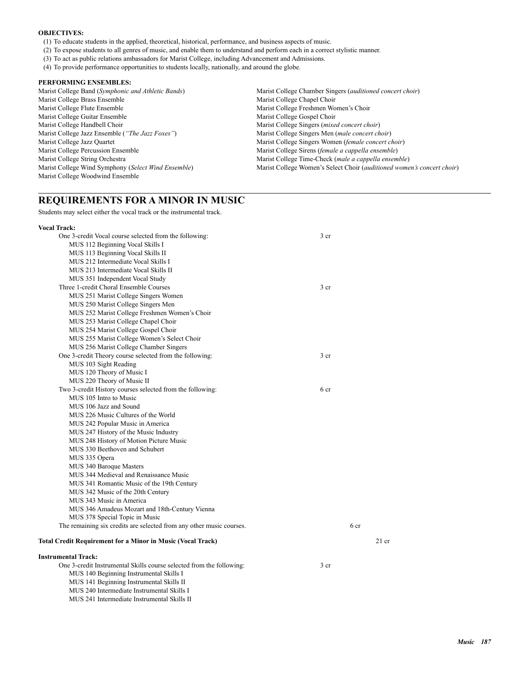### **OBJECTIVES:**

- (1) To educate students in the applied, theoretical, historical, performance, and business aspects of music.
- (2) To expose students to all genres of music, and enable them to understand and perform each in a correct stylistic manner.
- (3) To act as public relations ambassadors for Marist College, including Advancement and Admissions.
- (4) To provide performance opportunities to students locally, nationally, and around the globe.

### **PERFORMING ENSEMBLES:**

| Marist College Band (Symphonic and Athletic Bands)  | Marist College Chamber Singers ( <i>auditioned concert choir</i> )            |
|-----------------------------------------------------|-------------------------------------------------------------------------------|
| Marist College Brass Ensemble                       | Marist College Chapel Choir                                                   |
| Marist College Flute Ensemble                       | Marist College Freshmen Women's Choir                                         |
| Marist College Guitar Ensemble                      | Marist College Gospel Choir                                                   |
| Marist College Handbell Choir                       | Marist College Singers ( <i>mixed concert choir</i> )                         |
| Marist College Jazz Ensemble ("The Jazz Foxes")     | Marist College Singers Men (male concert choir)                               |
| Marist College Jazz Quartet                         | Marist College Singers Women (female concert choir)                           |
| Marist College Percussion Ensemble                  | Marist College Sirens (female a cappella ensemble)                            |
| Marist College String Orchestra                     | Marist College Time-Check (male a cappella ensemble)                          |
| Marist College Wind Symphony (Select Wind Ensemble) | Marist College Women's Select Choir <i>(auditioned women's concert choir)</i> |
| Marist College Woodwind Ensemble                    |                                                                               |

## **REQUIREMENTS FOR A MINOR IN MUSIC**

Students may select either the vocal track or the instrumental track.

| <b>Vocal Track:</b>                                                  |                 |      |         |
|----------------------------------------------------------------------|-----------------|------|---------|
| One 3-credit Vocal course selected from the following:               | 3 cr            |      |         |
| MUS 112 Beginning Vocal Skills I                                     |                 |      |         |
| MUS 113 Beginning Vocal Skills II                                    |                 |      |         |
| MUS 212 Intermediate Vocal Skills I                                  |                 |      |         |
| MUS 213 Intermediate Vocal Skills II                                 |                 |      |         |
| MUS 351 Independent Vocal Study                                      |                 |      |         |
| Three 1-credit Choral Ensemble Courses                               | 3 <sub>cr</sub> |      |         |
| MUS 251 Marist College Singers Women                                 |                 |      |         |
| MUS 250 Marist College Singers Men                                   |                 |      |         |
| MUS 252 Marist College Freshmen Women's Choir                        |                 |      |         |
| MUS 253 Marist College Chapel Choir                                  |                 |      |         |
| MUS 254 Marist College Gospel Choir                                  |                 |      |         |
| MUS 255 Marist College Women's Select Choir                          |                 |      |         |
| MUS 256 Marist College Chamber Singers                               |                 |      |         |
| One 3-credit Theory course selected from the following:              | 3 <sub>cr</sub> |      |         |
| MUS 103 Sight Reading                                                |                 |      |         |
| MUS 120 Theory of Music I                                            |                 |      |         |
| MUS 220 Theory of Music II                                           |                 |      |         |
| Two 3-credit History courses selected from the following:            | 6 cr            |      |         |
| MUS 105 Intro to Music                                               |                 |      |         |
| MUS 106 Jazz and Sound                                               |                 |      |         |
| MUS 226 Music Cultures of the World                                  |                 |      |         |
| MUS 242 Popular Music in America                                     |                 |      |         |
| MUS 247 History of the Music Industry                                |                 |      |         |
| MUS 248 History of Motion Picture Music                              |                 |      |         |
| MUS 330 Beethoven and Schubert                                       |                 |      |         |
| MUS 335 Opera                                                        |                 |      |         |
| MUS 340 Baroque Masters                                              |                 |      |         |
| MUS 344 Medieval and Renaissance Music                               |                 |      |         |
| MUS 341 Romantic Music of the 19th Century                           |                 |      |         |
| MUS 342 Music of the 20th Century                                    |                 |      |         |
| MUS 343 Music in America                                             |                 |      |         |
| MUS 346 Amadeus Mozart and 18th-Century Vienna                       |                 |      |         |
| MUS 378 Special Topic in Music                                       |                 |      |         |
| The remaining six credits are selected from any other music courses. |                 | 6 cr |         |
| Total Credit Requirement for a Minor in Music (Vocal Track)          |                 |      | $21$ cr |
| <b>Instrumental Track:</b>                                           |                 |      |         |
| One 3-credit Instrumental Skills course selected from the following: | 3 cr            |      |         |
| MUS 140 Beginning Instrumental Skills I                              |                 |      |         |
| MUS 141 Beginning Instrumental Skills II                             |                 |      |         |
| MUS 240 Intermediate Instrumental Skills I                           |                 |      |         |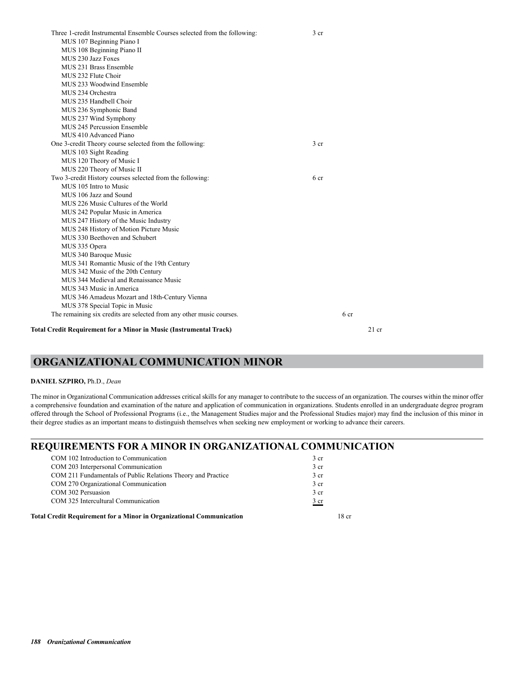| Three 1-credit Instrumental Ensemble Courses selected from the following: | 3 cr            |                 |         |
|---------------------------------------------------------------------------|-----------------|-----------------|---------|
| MUS 107 Beginning Piano I                                                 |                 |                 |         |
| MUS 108 Beginning Piano II                                                |                 |                 |         |
| MUS 230 Jazz Foxes                                                        |                 |                 |         |
| MUS 231 Brass Ensemble                                                    |                 |                 |         |
| MUS 232 Flute Choir                                                       |                 |                 |         |
| MUS 233 Woodwind Ensemble                                                 |                 |                 |         |
| MUS 234 Orchestra                                                         |                 |                 |         |
| MUS 235 Handbell Choir                                                    |                 |                 |         |
| MUS 236 Symphonic Band                                                    |                 |                 |         |
| MUS 237 Wind Symphony                                                     |                 |                 |         |
| MUS 245 Percussion Ensemble                                               |                 |                 |         |
| MUS 410 Advanced Piano                                                    |                 |                 |         |
| One 3-credit Theory course selected from the following:                   | 3 <sub>cr</sub> |                 |         |
| MUS 103 Sight Reading                                                     |                 |                 |         |
| MUS 120 Theory of Music I                                                 |                 |                 |         |
| MUS 220 Theory of Music II                                                |                 |                 |         |
| Two 3-credit History courses selected from the following:                 | 6 cr            |                 |         |
| MUS 105 Intro to Music                                                    |                 |                 |         |
| MUS 106 Jazz and Sound                                                    |                 |                 |         |
| MUS 226 Music Cultures of the World                                       |                 |                 |         |
| MUS 242 Popular Music in America                                          |                 |                 |         |
| MUS 247 History of the Music Industry                                     |                 |                 |         |
| MUS 248 History of Motion Picture Music                                   |                 |                 |         |
| MUS 330 Beethoven and Schubert                                            |                 |                 |         |
| MUS 335 Opera                                                             |                 |                 |         |
| MUS 340 Baroque Music                                                     |                 |                 |         |
| MUS 341 Romantic Music of the 19th Century                                |                 |                 |         |
| MUS 342 Music of the 20th Century                                         |                 |                 |         |
| MUS 344 Medieval and Renaissance Music                                    |                 |                 |         |
| MUS 343 Music in America                                                  |                 |                 |         |
| MUS 346 Amadeus Mozart and 18th-Century Vienna                            |                 |                 |         |
| MUS 378 Special Topic in Music                                            |                 |                 |         |
| The remaining six credits are selected from any other music courses.      |                 | 6 <sub>cr</sub> |         |
|                                                                           |                 |                 |         |
| <b>Total Credit Requirement for a Minor in Music (Instrumental Track)</b> |                 |                 | $21$ cr |

## **ORGANIZATIONAL COMMUNICATION MINOR**

### **DANIEL SZPIRO,** Ph.D., *Dean*

The minor in Organizational Communication addresses critical skills for any manager to contribute to the success of an organization. The courses within the minor offer a comprehensive foundation and examination of the nature and application of communication in organizations. Students enrolled in an undergraduate degree program offered through the School of Professional Programs (i.e., the Management Studies major and the Professional Studies major) may find the inclusion of this minor in their degree studies as an important means to distinguish themselves when seeking new employment or working to advance their careers.

## **REQUIREMENTS FOR A MINOR IN ORGANIZATIONAL COMMUNICATION**

| COM 102 Introduction to Communication                                       | 3 <sub>cr</sub> |
|-----------------------------------------------------------------------------|-----------------|
| COM 203 Interpersonal Communication                                         | 3 <sub>cr</sub> |
| COM 211 Fundamentals of Public Relations Theory and Practice                | 3 <sub>cr</sub> |
| COM 270 Organizational Communication                                        | 3 <sub>cr</sub> |
| COM 302 Persuasion                                                          | 3 <sub>cr</sub> |
| COM 325 Intercultural Communication                                         | $rac{3}{ }$ cr  |
| <b>Total Credit Requirement for a Minor in Organizational Communication</b> | 18 cr           |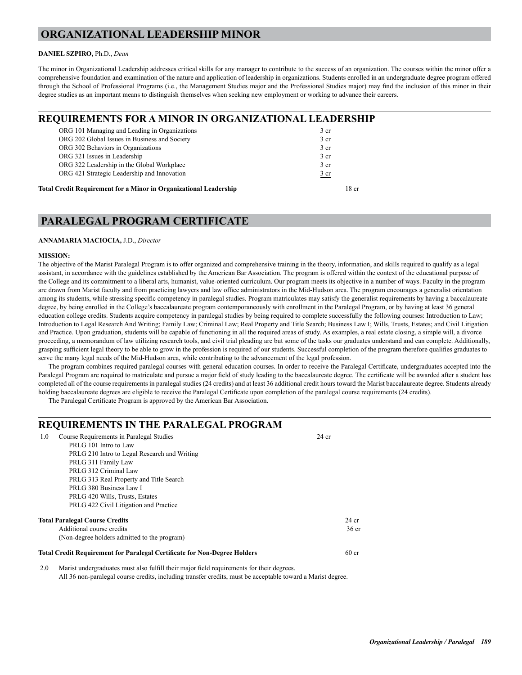## **ORGANIZATIONAL LEADERSHIP MINOR**

### **DANIEL SZPIRO,** Ph.D., *Dean*

The minor in Organizational Leadership addresses critical skills for any manager to contribute to the success of an organization. The courses within the minor offer a comprehensive foundation and examination of the nature and application of leadership in organizations. Students enrolled in an undergraduate degree program offered through the School of Professional Programs (i.e., the Management Studies major and the Professional Studies major) may find the inclusion of this minor in their degree studies as an important means to distinguish themselves when seeking new employment or working to advance their careers.

## **REQUIREMENTS FOR A MINOR IN ORGANIZATIONAL LEADERSHIP**

## **PARALEGAL PROGRAM CERTIFICATE**

### **ANNAMARIA MACIOCIA,** J.D., *Director*

### **MISSION:**

The objective of the Marist Paralegal Program is to offer organized and comprehensive training in the theory, information, and skills required to qualify as a legal assistant, in accordance with the guidelines established by the American Bar Association. The program is offered within the context of the educational purpose of the College and its commitment to a liberal arts, humanist, value-oriented curriculum. Our program meets its objective in a number of ways. Faculty in the program are drawn from Marist faculty and from practicing lawyers and law office administrators in the Mid-Hudson area. The program encourages a generalist orientation among its students, while stressing specific competency in paralegal studies. Program matriculates may satisfy the generalist requirements by having a baccalaureate degree, by being enrolled in the College's baccalaureate program contemporaneously with enrollment in the Paralegal Program, or by having at least 36 general education college credits. Students acquire competency in paralegal studies by being required to complete successfully the following courses: Introduction to Law; Introduction to Legal Research And Writing; Family Law; Criminal Law; Real Property and Title Search; Business Law I; Wills, Trusts, Estates; and Civil Litigation and Practice. Upon graduation, students will be capable of functioning in all the required areas of study. As examples, a real estate closing, a simple will, a divorce proceeding, a memorandum of law utilizing research tools, and civil trial pleading are but some of the tasks our graduates understand and can complete. Additionally, grasping sufficient legal theory to be able to grow in the profession is required of our students. Successful completion of the program therefore qualifies graduates to serve the many legal needs of the Mid-Hudson area, while contributing to the advancement of the legal profession.

The program combines required paralegal courses with general education courses. In order to receive the Paralegal Certificate, undergraduates accepted into the Paralegal Program are required to matriculate and pursue a major field of study leading to the baccalaureate degree. The certificate will be awarded after a student has completed all of the course requirements in paralegal studies (24 credits) and at least 36 additional credit hours toward the Marist baccalaureate degree. Students already holding baccalaureate degrees are eligible to receive the Paralegal Certificate upon completion of the paralegal course requirements (24 credits).

The Paralegal Certificate Program is approved by the American Bar Association.

## **REQUIREMENTS IN THE PARALEGAL PROGRAM**

| 1.0 | Course Requirements in Paralegal Studies                                  | $24$ cr          |
|-----|---------------------------------------------------------------------------|------------------|
|     | PRLG 101 Intro to Law                                                     |                  |
|     | PRLG 210 Intro to Legal Research and Writing                              |                  |
|     | PRLG 311 Family Law                                                       |                  |
|     | PRLG 312 Criminal Law                                                     |                  |
|     | PRLG 313 Real Property and Title Search                                   |                  |
|     | PRLG 380 Business Law I                                                   |                  |
|     | PRLG 420 Wills, Trusts, Estates                                           |                  |
|     | PRLG 422 Civil Litigation and Practice                                    |                  |
|     | <b>Total Paralegal Course Credits</b>                                     | $24$ cr          |
|     | Additional course credits                                                 | 36 <sub>cr</sub> |
|     | (Non-degree holders admitted to the program)                              |                  |
|     | Total Credit Requirement for Paralegal Certificate for Non-Degree Holders | 60 <sub>cr</sub> |

2.0 Marist undergraduates must also fulfill their major field requirements for their degrees. All 36 non-paralegal course credits, including transfer credits, must be acceptable toward a Marist degree.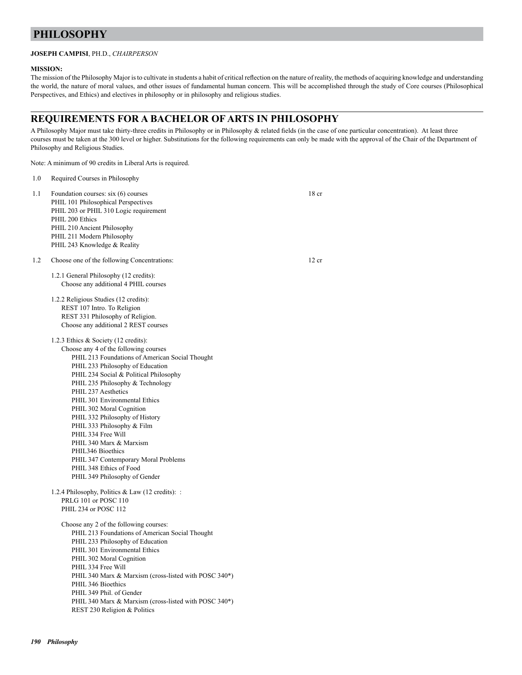## **PHILOSOPHY**

### **JOSEPH CAMPISI**, PH.D., *CHAIRPERSON*

### **MISSION:**

The mission of the Philosophy Major is to cultivate in students a habit of critical reflection on the nature of reality, the methods of acquiring knowledge and understanding the world, the nature of moral values, and other issues of fundamental human concern. This will be accomplished through the study of Core courses (Philosophical Perspectives, and Ethics) and electives in philosophy or in philosophy and religious studies.

## **REQUIREMENTS FOR A BACHELOR OF ARTS IN PHILOSOPHY**

A Philosophy Major must take thirty-three credits in Philosophy or in Philosophy & related fields (in the case of one particular concentration). At least three courses must be taken at the 300 level or higher. Substitutions for the following requirements can only be made with the approval of the Chair of the Department of Philosophy and Religious Studies.

Note: A minimum of 90 credits in Liberal Arts is required.

| 1.0 | Required Courses in Philosophy                                                                                                                                                                                                                                                                                                                                                                                                                                                                                                                                                      |                  |
|-----|-------------------------------------------------------------------------------------------------------------------------------------------------------------------------------------------------------------------------------------------------------------------------------------------------------------------------------------------------------------------------------------------------------------------------------------------------------------------------------------------------------------------------------------------------------------------------------------|------------------|
| 1.1 | Foundation courses: six (6) courses<br>PHIL 101 Philosophical Perspectives<br>PHIL 203 or PHIL 310 Logic requirement<br>PHIL 200 Ethics<br>PHIL 210 Ancient Philosophy<br>PHIL 211 Modern Philosophy<br>PHIL 243 Knowledge & Reality                                                                                                                                                                                                                                                                                                                                                | 18 <sub>cr</sub> |
| 1.2 | Choose one of the following Concentrations:                                                                                                                                                                                                                                                                                                                                                                                                                                                                                                                                         | 12 cr            |
|     | 1.2.1 General Philosophy (12 credits):<br>Choose any additional 4 PHIL courses                                                                                                                                                                                                                                                                                                                                                                                                                                                                                                      |                  |
|     | 1.2.2 Religious Studies (12 credits):<br>REST 107 Intro. To Religion<br>REST 331 Philosophy of Religion.<br>Choose any additional 2 REST courses                                                                                                                                                                                                                                                                                                                                                                                                                                    |                  |
|     | 1.2.3 Ethics $\&$ Society (12 credits):<br>Choose any 4 of the following courses<br>PHIL 213 Foundations of American Social Thought<br>PHIL 233 Philosophy of Education<br>PHIL 234 Social & Political Philosophy<br>PHIL 235 Philosophy & Technology<br>PHIL 237 Aesthetics<br>PHIL 301 Environmental Ethics<br>PHIL 302 Moral Cognition<br>PHIL 332 Philosophy of History<br>PHIL 333 Philosophy & Film<br>PHIL 334 Free Will<br>PHIL 340 Marx & Marxism<br>PHIL346 Bioethics<br>PHIL 347 Contemporary Moral Problems<br>PHIL 348 Ethics of Food<br>PHIL 349 Philosophy of Gender |                  |
|     | 1.2.4 Philosophy, Politics & Law (12 credits): :<br>PRLG 101 or POSC 110<br>PHIL 234 or POSC 112                                                                                                                                                                                                                                                                                                                                                                                                                                                                                    |                  |
|     | Choose any 2 of the following courses:<br>PHIL 213 Foundations of American Social Thought<br>PHIL 233 Philosophy of Education<br>PHIL 301 Environmental Ethics<br>PHIL 302 Moral Cognition<br>PHIL 334 Free Will<br>PHIL 340 Marx & Marxism (cross-listed with POSC 340*)<br>PHIL 346 Bioethics<br>PHIL 349 Phil. of Gender<br>PHIL 340 Marx & Marxism (cross-listed with POSC 340*)<br>REST 230 Religion & Politics                                                                                                                                                                |                  |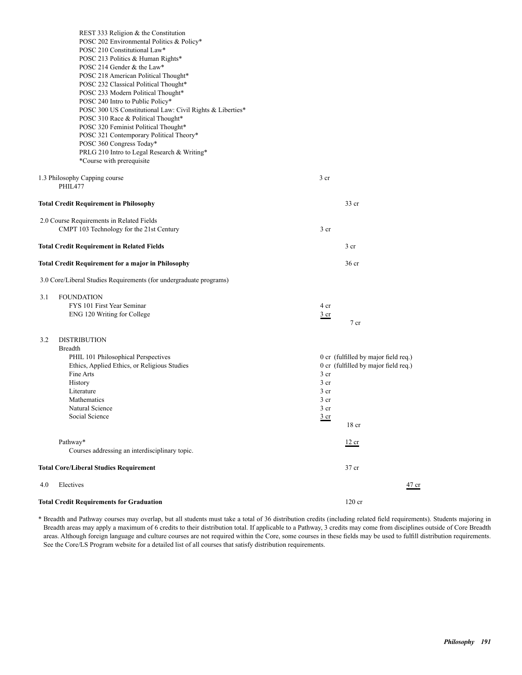| REST 333 Religion & the Constitution<br>POSC 202 Environmental Politics & Policy*               |                                                                              |
|-------------------------------------------------------------------------------------------------|------------------------------------------------------------------------------|
| POSC 210 Constitutional Law*                                                                    |                                                                              |
| POSC 213 Politics & Human Rights*<br>POSC 214 Gender & the Law*                                 |                                                                              |
| POSC 218 American Political Thought*                                                            |                                                                              |
| POSC 232 Classical Political Thought*                                                           |                                                                              |
| POSC 233 Modern Political Thought*                                                              |                                                                              |
| POSC 240 Intro to Public Policy*                                                                |                                                                              |
| POSC 300 US Constitutional Law: Civil Rights & Liberties*<br>POSC 310 Race & Political Thought* |                                                                              |
| POSC 320 Feminist Political Thought*                                                            |                                                                              |
| POSC 321 Contemporary Political Theory*                                                         |                                                                              |
| POSC 360 Congress Today*                                                                        |                                                                              |
| PRLG 210 Intro to Legal Research & Writing*                                                     |                                                                              |
| *Course with prerequisite                                                                       |                                                                              |
| 1.3 Philosophy Capping course                                                                   | 3 cr                                                                         |
| PHIL477                                                                                         |                                                                              |
| <b>Total Credit Requirement in Philosophy</b>                                                   | 33 cr                                                                        |
|                                                                                                 |                                                                              |
| 2.0 Course Requirements in Related Fields<br>CMPT 103 Technology for the 21st Century           | 3 <sub>cr</sub>                                                              |
|                                                                                                 |                                                                              |
| <b>Total Credit Requirement in Related Fields</b>                                               | 3 <sub>cr</sub>                                                              |
| <b>Total Credit Requirement for a major in Philosophy</b>                                       | 36 <sub>cr</sub>                                                             |
| 3.0 Core/Liberal Studies Requirements (for undergraduate programs)                              |                                                                              |
| 3.1<br><b>FOUNDATION</b>                                                                        |                                                                              |
| FYS 101 First Year Seminar                                                                      | 4 cr                                                                         |
| ENG 120 Writing for College                                                                     | $rac{3}{2}$ cr                                                               |
|                                                                                                 | 7 cr                                                                         |
| <b>DISTRIBUTION</b><br>3.2                                                                      |                                                                              |
| <b>Breadth</b>                                                                                  |                                                                              |
| PHIL 101 Philosophical Perspectives<br>Ethics, Applied Ethics, or Religious Studies             | 0 cr (fulfilled by major field req.)<br>0 cr (fulfilled by major field req.) |
| Fine Arts                                                                                       | 3 <sub>cr</sub>                                                              |
| History                                                                                         | 3 cr                                                                         |
| Literature                                                                                      | 3 <sub>cr</sub>                                                              |
| Mathematics                                                                                     | 3 <sub>cr</sub>                                                              |
| Natural Science                                                                                 | 3 <sub>cr</sub>                                                              |
| Social Science                                                                                  | $rac{3}{2}$ cr<br>18 <sub>cr</sub>                                           |
|                                                                                                 |                                                                              |
| Pathway*<br>Courses addressing an interdisciplinary topic.                                      | 12 cr                                                                        |
|                                                                                                 |                                                                              |
| <b>Total Core/Liberal Studies Requirement</b>                                                   | 37 cr                                                                        |
| Electives<br>4.0                                                                                | $47$ cr                                                                      |
| <b>Total Credit Requirements for Graduation</b>                                                 | 120 cr                                                                       |

\* Breadth and Pathway courses may overlap, but all students must take a total of 36 distribution credits (including related field requirements). Students majoring in Breadth areas may apply a maximum of 6 credits to their distribution total. If applicable to a Pathway, 3 credits may come from disciplines outside of Core Breadth areas. Although foreign language and culture courses are not required within the Core, some courses in these fields may be used to fulfill distribution requirements. See the Core/LS Program website for a detailed list of all courses that satisfy distribution requirements.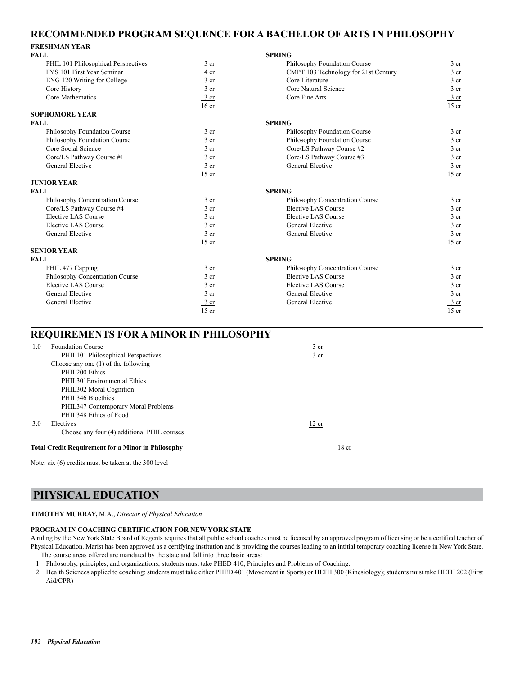## **RECOMMENDED PROGRAM SEQUENCE FOR A BACHELOR OF ARTS IN PHILOSOPHY**

## **FRESHMAN YEAR**

| <b>FALL</b>                         |                  | <b>SPRING</b>                        |                  |
|-------------------------------------|------------------|--------------------------------------|------------------|
| PHIL 101 Philosophical Perspectives | 3 <sub>cr</sub>  | Philosophy Foundation Course         | $3$ cr           |
| FYS 101 First Year Seminar          | 4 cr             | CMPT 103 Technology for 21st Century | 3 <sub>cr</sub>  |
| ENG 120 Writing for College         | 3 <sub>cr</sub>  | Core Literature                      | 3 <sub>cr</sub>  |
| Core History                        | 3 <sub>cr</sub>  | Core Natural Science                 | 3 <sub>cr</sub>  |
| Core Mathematics                    | 3 cr             | Core Fine Arts                       | 3 cr             |
|                                     | 16 <sub>cr</sub> |                                      | $15$ cr          |
| <b>SOPHOMORE YEAR</b>               |                  |                                      |                  |
| <b>FALL</b>                         |                  | <b>SPRING</b>                        |                  |
| Philosophy Foundation Course        | 3 <sub>cr</sub>  | Philosophy Foundation Course         | 3 <sub>cr</sub>  |
| Philosophy Foundation Course        | 3 <sub>cr</sub>  | Philosophy Foundation Course         | 3 <sub>cr</sub>  |
| Core Social Science                 | 3 <sub>cr</sub>  | Core/LS Pathway Course #2            | 3 <sub>cr</sub>  |
| Core/LS Pathway Course #1           | 3 <sub>cr</sub>  | Core/LS Pathway Course #3            | 3 <sub>cr</sub>  |
| <b>General Elective</b>             | $3$ cr           | General Elective                     | $\frac{3}{ }$ cr |
|                                     | $15$ cr          |                                      | $15$ cr          |
| <b>JUNIOR YEAR</b>                  |                  |                                      |                  |
| <b>FALL</b>                         |                  | <b>SPRING</b>                        |                  |
| Philosophy Concentration Course     | 3 <sub>cr</sub>  | Philosophy Concentration Course      | 3 <sub>cr</sub>  |
| Core/LS Pathway Course #4           | 3 <sub>cr</sub>  | Elective LAS Course                  | 3 <sub>cr</sub>  |
| Elective LAS Course                 | 3 <sub>cr</sub>  | Elective LAS Course                  | 3 cr             |
| Elective LAS Course                 | 3 <sub>cr</sub>  | General Elective                     | 3 cr             |
| General Elective                    | 3 cr             | General Elective                     | $\frac{3}{ }$ cr |
|                                     | $15$ cr          |                                      | $15$ cr          |
| <b>SENIOR YEAR</b>                  |                  |                                      |                  |
| <b>FALL</b>                         |                  | <b>SPRING</b>                        |                  |
| PHIL 477 Capping                    | 3 <sub>cr</sub>  | Philosophy Concentration Course      | 3 <sub>cr</sub>  |
| Philosophy Concentration Course     | 3 <sub>cr</sub>  | Elective LAS Course                  | 3 <sub>cr</sub>  |
| Elective LAS Course                 | 3 <sub>cr</sub>  | Elective LAS Course                  | 3 <sub>cr</sub>  |
| <b>General Elective</b>             | 3 <sub>cr</sub>  | General Elective                     | 3 <sub>cr</sub>  |
| General Elective                    | $\frac{3}{ }$ cr | General Elective                     | 3 cr             |
|                                     | $15$ cr          |                                      | $15$ cr          |

## **REQUIREMENTS FOR A MINOR IN PHILOSOPHY**

| 1.0                                                                           | <b>Foundation Course</b>                    | 3 cr            |
|-------------------------------------------------------------------------------|---------------------------------------------|-----------------|
|                                                                               | PHIL101 Philosophical Perspectives          | 3 <sub>cr</sub> |
|                                                                               | Choose any one $(1)$ of the following       |                 |
|                                                                               | PHIL200 Ethics                              |                 |
|                                                                               | PHIL301 Environmental Ethics                |                 |
|                                                                               | PHIL302 Moral Cognition                     |                 |
|                                                                               | PHIL <sub>346</sub> Bioethics               |                 |
|                                                                               | PHIL347 Contemporary Moral Problems         |                 |
|                                                                               | PHIL348 Ethics of Food                      |                 |
| 3.0                                                                           | Electives                                   | 12 cr           |
|                                                                               | Choose any four (4) additional PHIL courses |                 |
| <b>Total Credit Requirement for a Minor in Philosophy</b><br>18 <sub>cr</sub> |                                             |                 |
|                                                                               |                                             |                 |

Note: six (6) credits must be taken at the 300 level

## **PHYSICAL EDUCATION**

**TIMOTHY MURRAY,** M.A., *Director of Physical Education*

### **PROGRAM IN COACHING CERTIFICATION FOR NEW YORK STATE**

A ruling by the New York State Board of Regents requires that all public school coaches must be licensed by an approved program of licensing or be a certified teacher of Physical Education. Marist has been approved as a certifying institution and is providing the courses leading to an intitial temporary coaching license in New York State. The course areas offered are mandated by the state and fall into three basic areas:

1. Philosophy, principles, and organizations; students must take PHED 410, Principles and Problems of Coaching.

2. Health Sciences applied to coaching: students must take either PHED 401 (Movement in Sports) or HLTH 300 (Kinesiology); students must take HLTH 202 (First Aid/CPR)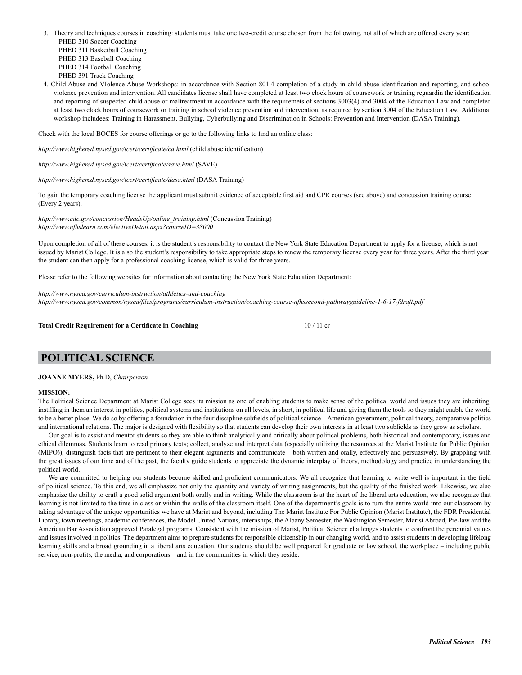3. Theory and techniques courses in coaching: students must take one two-credit course chosen from the following, not all of which are offered every year: PHED 310 Soccer Coaching PHED 311 Basketball Coaching

 PHED 313 Baseball Coaching PHED 314 Football Coaching PHED 391 Track Coaching

4. Child Abuse and VIolence Abuse Workshops: in accordance with Section 801.4 completion of a study in child abuse identification and reporting, and school violence prevention and intervention. All candidates license shall have completed at least two clock hours of coursework or training reguardin the identification and reporting of suspected child abuse or maltreatment in accordance with the requiremets of sections 3003(4) and 3004 of the Education Law and completed at least two clock hours of coursework or training in school violence prevention and intervention, as required by section 3004 of the Education Law. Additional workshop includees: Training in Harassment, Bullying, Cyberbullying and Discrimination in Schools: Prevention and Intervention (DASA Training).

Check with the local BOCES for course offerings or go to the following links to find an online class:

*http://www.highered.nysed.gov/tcert/certificate/ca.html* (child abuse identification)

*http://www.highered.nysed.gov/tcert/certificate/save.html* (SAVE)

*http://www.highered.nysed.gov/tcert/certificate/dasa.html* (DASA Training)

To gain the temporary coaching license the applicant must submit evidence of acceptable first aid and CPR courses (see above) and concussion training course (Every 2 years).

*http://www.cdc.gov/concussion/HeadsUp/online\_training.html* (Concussion Training) *http://www.nfhslearn.com/electiveDetail.aspx?courseID=38000* 

Upon completion of all of these courses, it is the student's responsibility to contact the New York State Education Department to apply for a license, which is not issued by Marist College. It is also the student's responsibility to take appropriate steps to renew the temporary license every year for three years. After the third year the student can then apply for a professional coaching license, which is valid for three years.

Please refer to the following websites for information about contacting the New York State Education Department:

*http://www.nysed.gov/curriculum-instruction/athletics-and-coaching http://www.nysed.gov/common/nysed/files/programs/curriculum-instruction/coaching-course-nfhssecond-pathwayguideline-1-6-17-fdraft.pdf*

**Total Credit Requirement for a Certificate in Coaching 10 / 11 credit Requirement for a Certificate in Coaching 10 / 11 credit Requirement for a Certificate in Coaching 10 / 11 credit Requirement for a Certificate in Coac** 

## **POLITICAL SCIENCE**

### **JOANNE MYERS,** Ph.D, *Chairperson*

### **MISSION:**

The Political Science Department at Marist College sees its mission as one of enabling students to make sense of the political world and issues they are inheriting, instilling in them an interest in politics, political systems and institutions on all levels, in short, in political life and giving them the tools so they might enable the world to be a better place. We do so by offering a foundation in the four discipline subfields of political science – American government, political theory, comparative politics and international relations. The major is designed with flexibility so that students can develop their own interests in at least two subfields as they grow as scholars.

Our goal is to assist and mentor students so they are able to think analytically and critically about political problems, both historical and contemporary, issues and ethical dilemmas. Students learn to read primary texts; collect, analyze and interpret data (especially utilizing the resources at the Marist Institute for Public Opinion (MIPO)), distinguish facts that are pertinent to their elegant arguments and communicate – both written and orally, effectively and persuasively. By grappling with the great issues of our time and of the past, the faculty guide students to appreciate the dynamic interplay of theory, methodology and practice in understanding the political world.

We are committed to helping our students become skilled and proficient communicators. We all recognize that learning to write well is important in the field of political science. To this end, we all emphasize not only the quantity and variety of writing assignments, but the quality of the finished work. Likewise, we also emphasize the ability to craft a good solid argument both orally and in writing. While the classroom is at the heart of the liberal arts education, we also recognize that learning is not limited to the time in class or within the walls of the classroom itself. One of the department's goals is to turn the entire world into our classroom by taking advantage of the unique opportunities we have at Marist and beyond, including The Marist Institute For Public Opinion (Marist Institute), the FDR Presidential Library, town meetings, academic conferences, the Model United Nations, internships, the Albany Semester, the Washington Semester, Marist Abroad, Pre-law and the American Bar Association approved Paralegal programs. Consistent with the mission of Marist, Political Science challenges students to confront the perennial values and issues involved in politics. The department aims to prepare students for responsible citizenship in our changing world, and to assist students in developing lifelong learning skills and a broad grounding in a liberal arts education. Our students should be well prepared for graduate or law school, the workplace – including public service, non-profits, the media, and corporations – and in the communities in which they reside.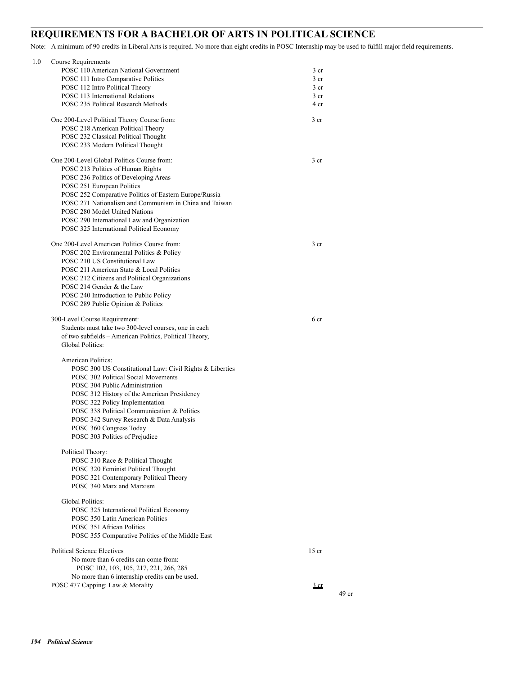## **REQUIREMENTS FOR A BACHELOR OF ARTS IN POLITICAL SCIENCE**

Note: A minimum of 90 credits in Liberal Arts is required. No more than eight credits in POSC Internship may be used to fulfill major field requirements.

| 1.0 | Course Requirements                                                               |                 |       |
|-----|-----------------------------------------------------------------------------------|-----------------|-------|
|     | POSC 110 American National Government                                             | 3 cr            |       |
|     | POSC 111 Intro Comparative Politics                                               | 3 cr            |       |
|     | POSC 112 Intro Political Theory                                                   | 3 cr            |       |
|     | POSC 113 International Relations                                                  | 3 cr            |       |
|     | POSC 235 Political Research Methods                                               | 4 cr            |       |
|     |                                                                                   |                 |       |
|     | One 200-Level Political Theory Course from:<br>POSC 218 American Political Theory | 3 <sub>cr</sub> |       |
|     |                                                                                   |                 |       |
|     | POSC 232 Classical Political Thought                                              |                 |       |
|     | POSC 233 Modern Political Thought                                                 |                 |       |
|     | One 200-Level Global Politics Course from:                                        | 3 <sub>cr</sub> |       |
|     | POSC 213 Politics of Human Rights                                                 |                 |       |
|     | POSC 236 Politics of Developing Areas                                             |                 |       |
|     | POSC 251 European Politics                                                        |                 |       |
|     | POSC 252 Comparative Politics of Eastern Europe/Russia                            |                 |       |
|     | POSC 271 Nationalism and Communism in China and Taiwan                            |                 |       |
|     | POSC 280 Model United Nations                                                     |                 |       |
|     | POSC 290 International Law and Organization                                       |                 |       |
|     | POSC 325 International Political Economy                                          |                 |       |
|     |                                                                                   |                 |       |
|     | One 200-Level American Politics Course from:                                      | 3 cr            |       |
|     | POSC 202 Environmental Politics & Policy                                          |                 |       |
|     | POSC 210 US Constitutional Law                                                    |                 |       |
|     | POSC 211 American State & Local Politics                                          |                 |       |
|     | POSC 212 Citizens and Political Organizations                                     |                 |       |
|     | POSC 214 Gender & the Law                                                         |                 |       |
|     | POSC 240 Introduction to Public Policy                                            |                 |       |
|     | POSC 289 Public Opinion & Politics                                                |                 |       |
|     | 300-Level Course Requirement:                                                     | 6 cr            |       |
|     | Students must take two 300-level courses, one in each                             |                 |       |
|     | of two subfields - American Politics, Political Theory,                           |                 |       |
|     | <b>Global Politics:</b>                                                           |                 |       |
|     |                                                                                   |                 |       |
|     | American Politics:                                                                |                 |       |
|     | POSC 300 US Constitutional Law: Civil Rights & Liberties                          |                 |       |
|     | POSC 302 Political Social Movements                                               |                 |       |
|     | POSC 304 Public Administration                                                    |                 |       |
|     | POSC 312 History of the American Presidency                                       |                 |       |
|     | POSC 322 Policy Implementation                                                    |                 |       |
|     | POSC 338 Political Communication & Politics                                       |                 |       |
|     | POSC 342 Survey Research & Data Analysis                                          |                 |       |
|     | POSC 360 Congress Today                                                           |                 |       |
|     | POSC 303 Politics of Prejudice                                                    |                 |       |
|     | Political Theory:                                                                 |                 |       |
|     | POSC 310 Race & Political Thought                                                 |                 |       |
|     | POSC 320 Feminist Political Thought                                               |                 |       |
|     | POSC 321 Contemporary Political Theory                                            |                 |       |
|     | POSC 340 Marx and Marxism                                                         |                 |       |
|     |                                                                                   |                 |       |
|     | Global Politics:                                                                  |                 |       |
|     | POSC 325 International Political Economy                                          |                 |       |
|     | POSC 350 Latin American Politics                                                  |                 |       |
|     | POSC 351 African Politics                                                         |                 |       |
|     | POSC 355 Comparative Politics of the Middle East                                  |                 |       |
|     | <b>Political Science Electives</b>                                                | $15$ cr         |       |
|     | No more than 6 credits can come from:                                             |                 |       |
|     | POSC 102, 103, 105, 217, 221, 266, 285                                            |                 |       |
|     | No more than 6 internship credits can be used.                                    |                 |       |
|     | POSC 477 Capping: Law & Morality                                                  | $rac{3}{2}$ cr  |       |
|     |                                                                                   |                 | 49 cr |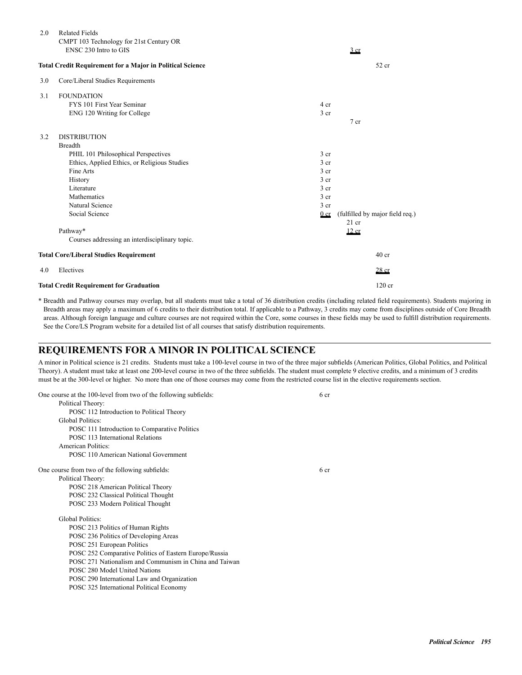| 2.0 | <b>Related Fields</b><br>CMPT 103 Technology for 21st Century OR |                 |                                 |
|-----|------------------------------------------------------------------|-----------------|---------------------------------|
|     | ENSC 230 Intro to GIS                                            |                 | 3 cr                            |
|     | <b>Total Credit Requirement for a Major in Political Science</b> |                 | 52 cr                           |
| 3.0 | Core/Liberal Studies Requirements                                |                 |                                 |
| 3.1 | <b>FOUNDATION</b>                                                |                 |                                 |
|     | FYS 101 First Year Seminar                                       | 4 cr            |                                 |
|     | ENG 120 Writing for College                                      | 3 <sub>cr</sub> |                                 |
|     |                                                                  |                 | $7$ cr                          |
| 3.2 | <b>DISTRIBUTION</b>                                              |                 |                                 |
|     | <b>Breadth</b>                                                   |                 |                                 |
|     | PHIL 101 Philosophical Perspectives                              | 3 <sub>cr</sub> |                                 |
|     | Ethics, Applied Ethics, or Religious Studies                     | 3 <sub>cr</sub> |                                 |
|     | Fine Arts                                                        | 3 <sub>cr</sub> |                                 |
|     | History                                                          | 3 <sub>cr</sub> |                                 |
|     | Literature                                                       | 3 <sub>cr</sub> |                                 |
|     | Mathematics                                                      | 3 <sub>cr</sub> |                                 |
|     | Natural Science                                                  | 3 <sub>cr</sub> |                                 |
|     | Social Science                                                   | 0 <sub>cr</sub> | (fulfilled by major field req.) |
|     |                                                                  |                 | $21$ cr                         |
|     | Pathway*                                                         |                 | 12 cr                           |
|     | Courses addressing an interdisciplinary topic.                   |                 |                                 |
|     | <b>Total Core/Liberal Studies Requirement</b>                    |                 | 40 <sub>cr</sub>                |
| 4.0 | Electives                                                        |                 | $28$ cr                         |
|     | <b>Total Credit Requirement for Graduation</b>                   |                 | $120$ cr                        |

\* Breadth and Pathway courses may overlap, but all students must take a total of 36 distribution credits (including related field requirements). Students majoring in Breadth areas may apply a maximum of 6 credits to their distribution total. If applicable to a Pathway, 3 credits may come from disciplines outside of Core Breadth areas. Although foreign language and culture courses are not required within the Core, some courses in these fields may be used to fulfill distribution requirements. See the Core/LS Program website for a detailed list of all courses that satisfy distribution requirements.

## **REQUIREMENTS FOR A MINOR IN POLITICAL SCIENCE**

A minor in Political science is 21 credits. Students must take a 100-level course in two of the three major subfields (American Politics, Global Politics, and Political Theory). A student must take at least one 200-level course in two of the three subfields. The student must complete 9 elective credits, and a minimum of 3 credits must be at the 300-level or higher. No more than one of those courses may come from the restricted course list in the elective requirements section.

| One course at the 100-level from two of the following subfields: | 6 <sub>cr</sub> |
|------------------------------------------------------------------|-----------------|
| Political Theory:                                                |                 |
| POSC 112 Introduction to Political Theory                        |                 |
| <b>Global Politics:</b>                                          |                 |
| POSC 111 Introduction to Comparative Politics                    |                 |
| POSC 113 International Relations                                 |                 |
| American Politics:                                               |                 |
| POSC 110 American National Government                            |                 |
| One course from two of the following subfields:                  | 6 cr            |
| Political Theory:                                                |                 |
| POSC 218 American Political Theory                               |                 |
| POSC 232 Classical Political Thought                             |                 |
| POSC 233 Modern Political Thought                                |                 |
| <b>Global Politics:</b>                                          |                 |
| POSC 213 Politics of Human Rights                                |                 |
| POSC 236 Politics of Developing Areas                            |                 |
| POSC 251 European Politics                                       |                 |
| POSC 252 Comparative Politics of Eastern Europe/Russia           |                 |
| POSC 271 Nationalism and Communism in China and Taiwan           |                 |
| POSC 280 Model United Nations                                    |                 |
| POSC 290 International Law and Organization                      |                 |
| POSC 325 International Political Economy                         |                 |
|                                                                  |                 |
|                                                                  |                 |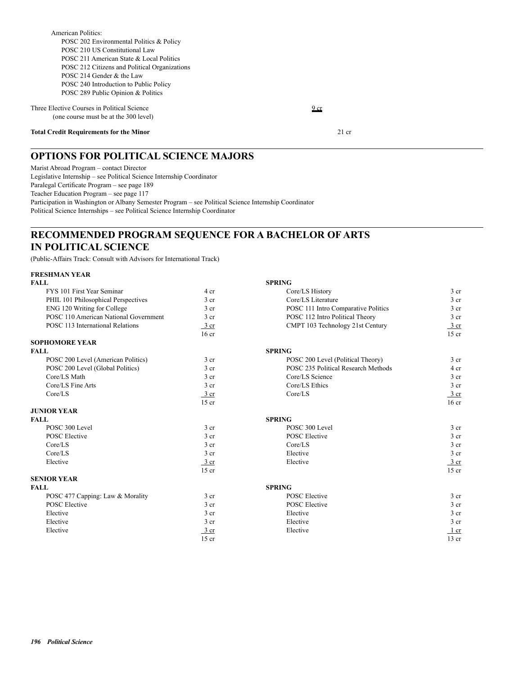Three Elective Courses in Political Science 9 cr (one course must be at the 300 level)

### **Total Credit Requirements for the Minor** 21 cr

## **OPTIONS FOR POLITICAL SCIENCE MAJORS**

Marist Abroad Program – contact Director Legislative Internship – see Political Science Internship Coordinator Paralegal Certificate Program – see page 189 Teacher Education Program – see page 117 Participation in Washington or Albany Semester Program – see Political Science Internship Coordinator Political Science Internships – see Political Science Internship Coordinator

## **RECOMMENDED PROGRAM SEQUENCE FOR A BACHELOR OF ARTS IN POLITICAL SCIENCE**

(Public-Affairs Track: Consult with Advisors for International Track)

### **FRESHMAN YEAR**

| <b>FALL</b>                           |                  | <b>SPRING</b>                       |                  |
|---------------------------------------|------------------|-------------------------------------|------------------|
| FYS 101 First Year Seminar            | 4 cr             | Core/LS History                     | 3 <sub>cr</sub>  |
| PHIL 101 Philosophical Perspectives   | 3 <sub>cr</sub>  | Core/LS Literature                  | 3 <sub>cr</sub>  |
| ENG 120 Writing for College           | 3 <sub>cr</sub>  | POSC 111 Intro Comparative Politics | $3$ cr           |
| POSC 110 American National Government | 3 cr             | POSC 112 Intro Political Theory     | 3 <sub>cr</sub>  |
| POSC 113 International Relations      | $3$ cr           | CMPT 103 Technology 21st Century    | $\frac{3}{2}$ cr |
|                                       | 16 <sub>cr</sub> |                                     | $15$ cr          |
| <b>SOPHOMORE YEAR</b>                 |                  |                                     |                  |
| <b>FALL</b>                           |                  | <b>SPRING</b>                       |                  |
| POSC 200 Level (American Politics)    | 3 <sub>cr</sub>  | POSC 200 Level (Political Theory)   | 3 <sub>cr</sub>  |
| POSC 200 Level (Global Politics)      | 3 <sub>cr</sub>  | POSC 235 Political Research Methods | 4 cr             |
| Core/LS Math                          | 3 cr             | Core/LS Science                     | 3 <sub>cr</sub>  |
| Core/LS Fine Arts                     | 3 cr             | Core/LS Ethics                      | 3 <sub>cr</sub>  |
| Core/LS                               | $\frac{3}{ }$ cr | Core/LS                             | 3 cr             |
|                                       | $15$ cr          |                                     | $16$ cr          |
| <b>JUNIOR YEAR</b>                    |                  |                                     |                  |
| <b>FALL</b>                           |                  | <b>SPRING</b>                       |                  |
| POSC 300 Level                        | 3 <sub>cr</sub>  | POSC 300 Level                      | 3 <sub>cr</sub>  |
| <b>POSC</b> Elective                  | 3 <sub>cr</sub>  | <b>POSC</b> Elective                | 3 <sub>cr</sub>  |
| Core/LS                               | 3 cr             | Core/LS                             | 3 <sub>cr</sub>  |
| Core/LS                               | 3 <sub>cr</sub>  | Elective                            | 3 <sub>cr</sub>  |
| Elective                              | $3$ cr           | Elective                            | $\frac{3}{ }$ cr |
|                                       | $15$ cr          |                                     | $15$ cr          |
| <b>SENIOR YEAR</b>                    |                  |                                     |                  |
| <b>FALL</b>                           |                  | <b>SPRING</b>                       |                  |
| POSC 477 Capping: Law & Morality      | 3 <sub>cr</sub>  | <b>POSC</b> Elective                | 3 <sub>cr</sub>  |
| <b>POSC</b> Elective                  | 3 <sub>cr</sub>  | <b>POSC</b> Elective                | 3 <sub>cr</sub>  |
| Elective                              | 3 cr             | Elective                            | 3 <sub>cr</sub>  |
| Elective                              | 3 <sub>cr</sub>  | Elective                            | 3 cr             |
| Elective                              | $3$ cr           | Elective                            | $1$ cr           |
|                                       | $15$ cr          |                                     | $13$ cr          |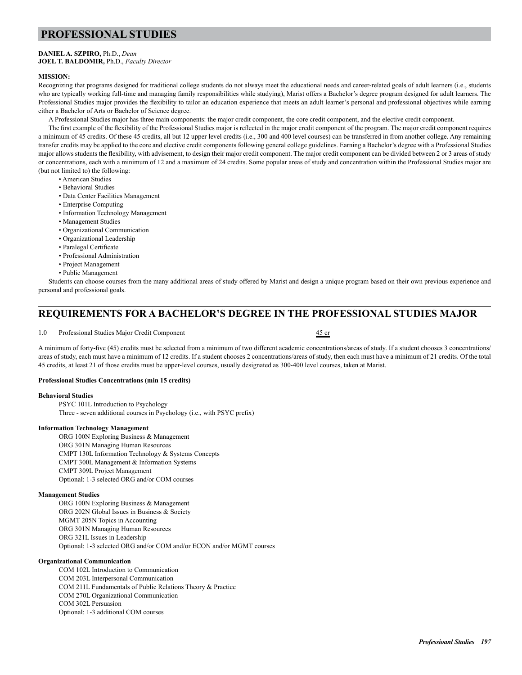## **PROFESSIONAL STUDIES**

### **DANIEL A. SZPIRO,** Ph.D., *Dean*

### **JOEL T. BALDOMIR,** Ph.D., *Faculty Director*

### **MISSION:**

Recognizing that programs designed for traditional college students do not always meet the educational needs and career-related goals of adult learners (i.e., students who are typically working full-time and managing family responsibilities while studying), Marist offers a Bachelor's degree program designed for adult learners. The Professional Studies major provides the flexibility to tailor an education experience that meets an adult learner's personal and professional objectives while earning either a Bachelor of Arts or Bachelor of Science degree.

A Professional Studies major has three main components: the major credit component, the core credit component, and the elective credit component.

The first example of the flexibility of the Professional Studies major is reflected in the major credit component of the program. The major credit component requires a minimum of 45 credits. Of these 45 credits, all but 12 upper level credits (i.e., 300 and 400 level courses) can be transferred in from another college. Any remaining transfer credits may be applied to the core and elective credit components following general college guidelines. Earning a Bachelor's degree with a Professional Studies major allows students the flexibility, with advisement, to design their major credit component. The major credit component can be divided between 2 or 3 areas of study or concentrations, each with a minimum of 12 and a maximum of 24 credits. Some popular areas of study and concentration within the Professional Studies major are (but not limited to) the following:

- American Studies
- Behavioral Studies
- Data Center Facilities Management
- Enterprise Computing
- Information Technology Management
- Management Studies
- Organizational Communication
- Organizational Leadership
- Paralegal Certificate
- Professional Administration
- Project Management
- Public Management

Students can choose courses from the many additional areas of study offered by Marist and design a unique program based on their own previous experience and personal and professional goals.

## **REQUIREMENTS FOR A BACHELOR'S DEGREE IN THE PROFESSIONAL STUDIES MAJOR**

1.0 Professional Studies Major Credit Component 45 cr

A minimum of forty-five (45) credits must be selected from a minimum of two different academic concentrations/areas of study. If a student chooses 3 concentrations/ areas of study, each must have a minimum of 12 credits. If a student chooses 2 concentrations/areas of study, then each must have a minimum of 21 credits. Of the total 45 credits, at least 21 of those credits must be upper-level courses, usually designated as 300-400 level courses, taken at Marist.

### **Professional Studies Concentrations (min 15 credits)**

### **Behavioral Studies**

 PSYC 101L Introduction to Psychology Three - seven additional courses in Psychology (i.e., with PSYC prefix)

### **Information Technology Management**

 ORG 100N Exploring Business & Management ORG 301N Managing Human Resources CMPT 130L Information Technology & Systems Concepts CMPT 300L Management & Information Systems CMPT 309L Project Management Optional: 1-3 selected ORG and/or COM courses

### **Management Studies**

 ORG 100N Exploring Business & Management ORG 202N Global Issues in Business & Society MGMT 205N Topics in Accounting ORG 301N Managing Human Resources ORG 321L Issues in Leadership Optional: 1-3 selected ORG and/or COM and/or ECON and/or MGMT courses

### **Organizational Communication**

 COM 102L Introduction to Communication COM 203L Interpersonal Communication COM 211L Fundamentals of Public Relations Theory & Practice COM 270L Organizational Communication COM 302L Persuasion Optional: 1-3 additional COM courses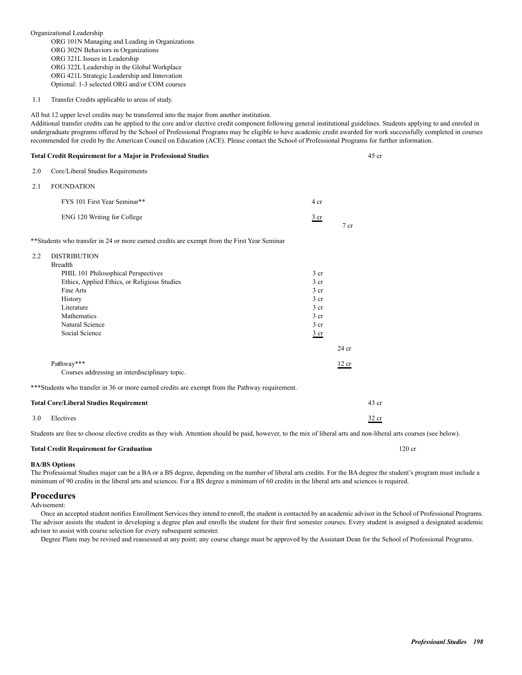Organizational Leadership ORG 101N Managing and Leading in Organizations ORG 302N Behaviors in Organizations ORG 321L Issues in Leadership ORG 322L Leadership in the Global Workplace ORG 421L Strategic Leadership and Innovation Optional: 1-3 selected ORG and/or COM courses

1.1 Transfer Credits applicable to areas of study.

All but 12 upper level credits may be transferred into the major from another institution.

Additional transfer credits can be applied to the core and/or elective credit component following general institutional guidelines. Students applying to and enroled in undergraduate programs offered by the School of Professional Programs may be eligible to have academic credit awarded for work successfully completed in courses recommended for credit by the American Council on Education (ACE). Please contact the School of Professional Programs for further information.

|     | <b>Total Credit Requirement for a Major in Professional Studies</b>                                                                                                                                                    |                                                                                                                                                     |         | $45$ cr  |
|-----|------------------------------------------------------------------------------------------------------------------------------------------------------------------------------------------------------------------------|-----------------------------------------------------------------------------------------------------------------------------------------------------|---------|----------|
| 2.0 | Core/Liberal Studies Requirements                                                                                                                                                                                      |                                                                                                                                                     |         |          |
| 2.1 | <b>FOUNDATION</b>                                                                                                                                                                                                      |                                                                                                                                                     |         |          |
|     | FYS 101 First Year Seminar**                                                                                                                                                                                           | 4 cr                                                                                                                                                |         |          |
|     | ENG 120 Writing for College                                                                                                                                                                                            | $rac{3}{2}$ cr                                                                                                                                      | $7$ cr  |          |
|     | ** Students who transfer in 24 or more earned credits are exempt from the First Year Seminar                                                                                                                           |                                                                                                                                                     |         |          |
| 2.2 | <b>DISTRIBUTION</b><br><b>Breadth</b><br>PHIL 101 Philosophical Perspectives<br>Ethics, Applied Ethics, or Religious Studies<br>Fine Arts<br>History<br>Literature<br>Mathematics<br>Natural Science<br>Social Science | 3 <sub>cr</sub><br>3 <sub>cr</sub><br>3 <sub>cr</sub><br>3 <sub>cr</sub><br>3 <sub>cr</sub><br>3 <sub>cr</sub><br>3 <sub>cr</sub><br>$rac{3}{2}$ cr | $24$ cr |          |
|     | Pathway***                                                                                                                                                                                                             |                                                                                                                                                     | 12 cr   |          |
|     | Courses addressing an interdisciplinary topic.                                                                                                                                                                         |                                                                                                                                                     |         |          |
|     | ***Students who transfer in 36 or more earned credits are exempt from the Pathway requirement.                                                                                                                         |                                                                                                                                                     |         |          |
|     | <b>Total Core/Liberal Studies Requirement</b>                                                                                                                                                                          |                                                                                                                                                     |         | $43$ cr  |
| 3.0 | Electives                                                                                                                                                                                                              |                                                                                                                                                     |         | 32 cr    |
|     | the contract of the contract of the contract of the contract of the contract of the contract of the contract of<br>$\sim$ $\sim$ $\sim$ $\sim$ $\sim$                                                                  | $\sim$ $\sim$ $\sim$ $\sim$ $\sim$ $\sim$ $\sim$                                                                                                    |         | $\cdots$ |

Students are free to choose elective credits as they wish. Attention should be paid, however, to the mix of liberal arts and non-liberal arts courses (see below).

### **Total Credit Requirement for Graduation** 120 cr

### **BA/BS Options**

The Professional Studies major can be a BA or a BS degree, depending on the number of liberal arts credits. For the BA degree the student's program must include a minimum of 90 credits in the liberal arts and sciences. For a BS degree a minimum of 60 credits in the liberal arts and sciences is required.

### **Procedures**

Advisement:

Once an accepted student notifies Enrollment Services they intend to enroll, the student is contacted by an academic advisor in the School of Professional Programs. The advisor assists the student in developing a degree plan and enrolls the student for their first semester courses. Every student is assigned a designated academic advisor to assist with course selection for every subsequent semester.

Degree Plans may be revised and reassessed at any point; any course change must be approved by the Assistant Dean for the School of Professional Programs.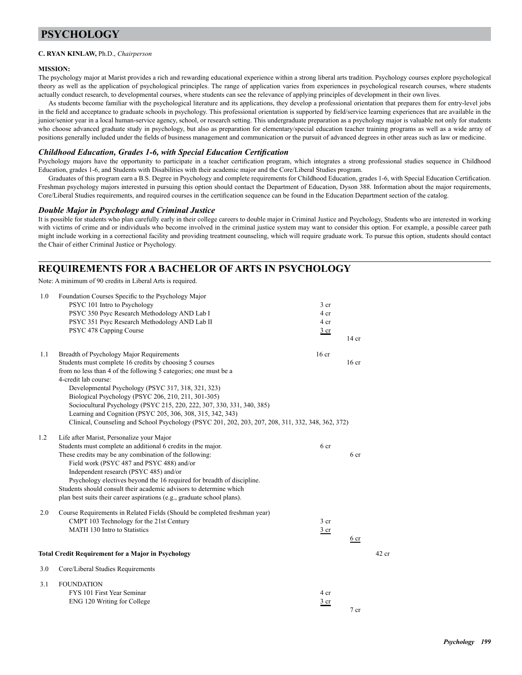## **PSYCHOLOGY**

### **C. RYAN KINLAW,** Ph.D., *Chairperson*

### **MISSION:**

The psychology major at Marist provides a rich and rewarding educational experience within a strong liberal arts tradition. Psychology courses explore psychological theory as well as the application of psychological principles. The range of application varies from experiences in psychological research courses, where students actually conduct research, to developmental courses, where students can see the relevance of applying principles of development in their own lives.

As students become familiar with the psychological literature and its applications, they develop a professional orientation that prepares them for entry-level jobs in the field and acceptance to graduate schools in psychology. This professional orientation is supported by field/service learning experiences that are available in the junior/senior year in a local human-service agency, school, or research setting. This undergraduate preparation as a psychology major is valuable not only for students who choose advanced graduate study in psychology, but also as preparation for elementary/special education teacher training programs as well as a wide array of positions generally included under the fields of business management and communication or the pursuit of advanced degrees in other areas such as law or medicine.

### *Childhood Education, Grades 1-6, with Special Education Certification*

Psychology majors have the opportunity to participate in a teacher certification program, which integrates a strong professional studies sequence in Childhood Education, grades 1-6, and Students with Disabilities with their academic major and the Core/Liberal Studies program.

Graduates of this program earn a B.S. Degree in Psychology and complete requirements for Childhood Education, grades 1-6, with Special Education Certification. Freshman psychology majors interested in pursuing this option should contact the Department of Education, Dyson 388. Information about the major requirements, Core/Liberal Studies requirements, and required courses in the certification sequence can be found in the Education Department section of the catalog.

### *Double Major in Psychology and Criminal Justice*

It is possible for students who plan carefully early in their college careers to double major in Criminal Justice and Psychology, Students who are interested in working with victims of crime and or individuals who become involved in the criminal justice system may want to consider this option. For example, a possible career path might include working in a correctional facility and providing treatment counseling, which will require graduate work. To pursue this option, students should contact the Chair of either Criminal Justice or Psychology.

## **REQUIREMENTS FOR A BACHELOR OF ARTS IN PSYCHOLOGY**

Note: A minimum of 90 credits in Liberal Arts is required.

| 1.0 | Foundation Courses Specific to the Psychology Major                                                |                 |                  |         |
|-----|----------------------------------------------------------------------------------------------------|-----------------|------------------|---------|
|     | PSYC 101 Intro to Psychology                                                                       | 3 cr            |                  |         |
|     | PSYC 350 Psyc Research Methodology AND Lab I                                                       | 4 cr            |                  |         |
|     | PSYC 351 Psyc Research Methodology AND Lab II                                                      | 4 cr            |                  |         |
|     | PSYC 478 Capping Course                                                                            | 3 <sub>cr</sub> |                  |         |
|     |                                                                                                    |                 | $14$ cr          |         |
|     |                                                                                                    |                 |                  |         |
| 1.1 | Breadth of Psychology Major Requirements                                                           | $16$ cr         |                  |         |
|     | Students must complete 16 credits by choosing 5 courses                                            |                 | 16 <sub>cr</sub> |         |
|     | from no less than 4 of the following 5 categories; one must be a                                   |                 |                  |         |
|     | 4-credit lab course:                                                                               |                 |                  |         |
|     | Developmental Psychology (PSYC 317, 318, 321, 323)                                                 |                 |                  |         |
|     | Biological Psychology (PSYC 206, 210, 211, 301-305)                                                |                 |                  |         |
|     | Sociocultural Psychology (PSYC 215, 220, 222, 307, 330, 331, 340, 385)                             |                 |                  |         |
|     | Learning and Cognition (PSYC 205, 306, 308, 315, 342, 343)                                         |                 |                  |         |
|     | Clinical, Counseling and School Psychology (PSYC 201, 202, 203, 207, 208, 311, 332, 348, 362, 372) |                 |                  |         |
| 1.2 | Life after Marist, Personalize your Major                                                          |                 |                  |         |
|     | Students must complete an additional 6 credits in the major.                                       | 6 cr            |                  |         |
|     | These credits may be any combination of the following:                                             |                 | 6 <sub>cr</sub>  |         |
|     | Field work (PSYC 487 and PSYC 488) and/or                                                          |                 |                  |         |
|     | Independent research (PSYC 485) and/or                                                             |                 |                  |         |
|     | Psychology electives beyond the 16 required for breadth of discipline.                             |                 |                  |         |
|     | Students should consult their academic advisors to determine which                                 |                 |                  |         |
|     | plan best suits their career aspirations (e.g., graduate school plans).                            |                 |                  |         |
|     |                                                                                                    |                 |                  |         |
| 2.0 | Course Requirements in Related Fields (Should be completed freshman year)                          |                 |                  |         |
|     | CMPT 103 Technology for the 21st Century                                                           | 3 <sub>cr</sub> |                  |         |
|     | MATH 130 Intro to Statistics                                                                       | 3 <sub>cr</sub> |                  |         |
|     |                                                                                                    |                 | 6 <sub>cr</sub>  |         |
|     |                                                                                                    |                 |                  |         |
|     | <b>Total Credit Requirement for a Major in Psychology</b>                                          |                 |                  | $42$ cr |
| 3.0 | Core/Liberal Studies Requirements                                                                  |                 |                  |         |
| 3.1 | <b>FOUNDATION</b>                                                                                  |                 |                  |         |
|     | FYS 101 First Year Seminar                                                                         | 4 cr            |                  |         |
|     | ENG 120 Writing for College                                                                        | $rac{3}{2}$ cr  |                  |         |
|     |                                                                                                    |                 | 7 <sub>cr</sub>  |         |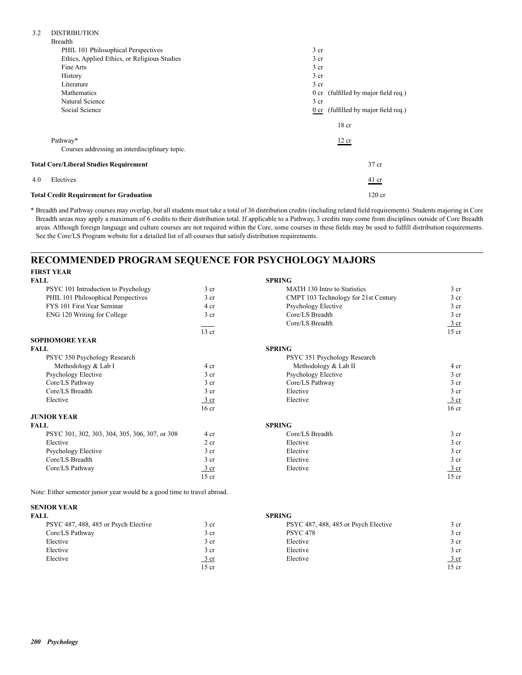| <b>DISTRIBUTION</b><br>3.2                     |                                      |
|------------------------------------------------|--------------------------------------|
| <b>Breadth</b>                                 |                                      |
| PHIL 101 Philosophical Perspectives            | 3 <sub>cr</sub>                      |
| Ethics, Applied Ethics, or Religious Studies   | 3 <sub>cr</sub>                      |
| Fine Arts                                      | 3 <sub>cr</sub>                      |
| History                                        | 3 <sub>cr</sub>                      |
| Literature                                     | 3 <sub>cr</sub>                      |
| Mathematics                                    | 0 cr (fulfilled by major field req.) |
| Natural Science                                | 3 <sub>cr</sub>                      |
| Social Science                                 | 0 cr (fulfilled by major field req.) |
|                                                | 18 <sub>cr</sub>                     |
| Pathway*                                       | 12 cr                                |
| Courses addressing an interdisciplinary topic. |                                      |
| <b>Total Core/Liberal Studies Requirement</b>  | 37 cr                                |
| Electives<br>4.0                               | $41$ cr                              |
| <b>Total Credit Requirement for Graduation</b> | $120$ cr                             |

\* Breadth and Pathway courses may overlap, but all students must take a total of 36 distribution credits (including related field requirements). Students majoring in Core Breadth areas may apply a maximum of 6 credits to their distribution total. If applicable to a Pathway, 3 credits may come from disciplines outside of Core Breadth areas. Although foreign language and culture courses are not required within the Core, some courses in these fields may be used to fulfill distribution requirements. See the Core/LS Program website for a detailed list of all courses that satisfy distribution requirements.

## **RECOMMENDED PROGRAM SEQUENCE FOR PSYCHOLOGY MAJORS**

| <b>FIRST YEAR</b>                              |                  |                                      |                  |
|------------------------------------------------|------------------|--------------------------------------|------------------|
| <b>FALL</b>                                    |                  | <b>SPRING</b>                        |                  |
| PSYC 101 Introduction to Psychology            | 3 cr             | <b>MATH 130 Intro to Statistics</b>  | 3 cr             |
| PHIL 101 Philosophical Perspectives            | 3 <sub>cr</sub>  | CMPT 103 Technology for 21st Century | 3 <sub>cr</sub>  |
| FYS 101 First Year Seminar                     | 4 cr             | Psychology Elective                  | 3 <sub>cr</sub>  |
| ENG 120 Writing for College                    | 3 cr             | Core/LS Breadth                      | 3 <sub>cr</sub>  |
|                                                |                  | Core/LS Breadth                      | $\frac{3}{ }$ cr |
|                                                | $13$ cr          |                                      | $15$ cr          |
| <b>SOPHOMORE YEAR</b>                          |                  |                                      |                  |
| <b>FALL</b>                                    |                  | <b>SPRING</b>                        |                  |
| PSYC 350 Psychology Research                   |                  | PSYC 351 Psychology Research         |                  |
| Methodology & Lab I                            | 4 cr             | Methodology & Lab II                 | 4 cr             |
| Psychology Elective                            | 3 <sub>cr</sub>  | Psychology Elective                  | 3 <sub>cr</sub>  |
| Core/LS Pathway                                | 3 <sub>cr</sub>  | Core/LS Pathway                      | 3 <sub>cr</sub>  |
| Core/LS Breadth                                | 3 <sub>cr</sub>  | Elective                             | 3 <sub>cr</sub>  |
| Elective                                       | $\frac{3}{ }$ cr | Elective                             | $\frac{3}{ }$ cr |
|                                                | 16 <sub>cr</sub> |                                      | 16 <sub>cr</sub> |
| <b>JUNIOR YEAR</b>                             |                  |                                      |                  |
| <b>FALL</b>                                    |                  | <b>SPRING</b>                        |                  |
| PSYC 301, 302, 303, 304, 305, 306, 307, or 308 | 4 cr             | Core/LS Breadth                      | 3 <sub>cr</sub>  |
| Elective                                       | 2 cr             | Elective                             | 3 <sub>cr</sub>  |
| Psychology Elective                            | 3 <sub>cr</sub>  | Elective                             | 3 <sub>cr</sub>  |
| Core/LS Breadth                                | 3 <sub>cr</sub>  | Elective                             | 3 <sub>cr</sub>  |
| Core/LS Pathway                                | 3 cr             | Elective                             | 3 cr             |
|                                                | $15$ cr          |                                      | $15$ cr          |

Note: Either semester junior year would be a good time to travel abroad.

| <b>SENIOR YEAR</b>                   |                  |                                      |                 |
|--------------------------------------|------------------|--------------------------------------|-----------------|
| <b>FALL</b>                          |                  | <b>SPRING</b>                        |                 |
| PSYC 487, 488, 485 or Psych Elective | 3 <sub>cr</sub>  | PSYC 487, 488, 485 or Psych Elective | 3 cr            |
| Core/LS Pathway                      | 3 <sub>cr</sub>  | <b>PSYC 478</b>                      | 3 <sub>cr</sub> |
| Elective                             | 3 <sub>cr</sub>  | Elective                             | 3 <sub>cr</sub> |
| Elective                             | 3 <sub>cr</sub>  | Elective                             | 3 <sub>cr</sub> |
| Elective                             | $\frac{3}{ }$ cr | Elective                             | <u>3 cr</u>     |
|                                      | $15$ cr          |                                      | 15 cr           |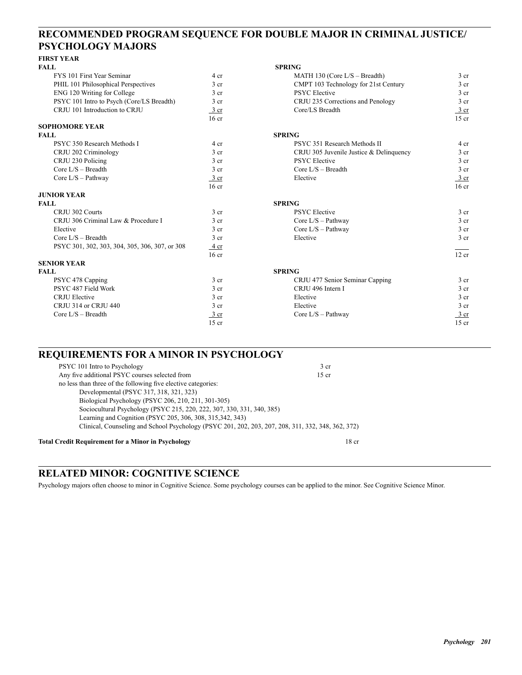## **RECOMMENDED PROGRAM SEQUENCE FOR DOUBLE MAJOR IN CRIMINAL JUSTICE/ PSYCHOLOGY MAJORS**

## **FIRST YEAR**

| <b>FALL</b>                                    |                  | <b>SPRING</b>                           |                  |
|------------------------------------------------|------------------|-----------------------------------------|------------------|
| FYS 101 First Year Seminar                     | 4 cr             | MATH 130 (Core $L/S$ – Breadth)         | 3 <sub>cr</sub>  |
| PHIL 101 Philosophical Perspectives            | 3 <sub>cr</sub>  | CMPT 103 Technology for 21st Century    | 3 <sub>cr</sub>  |
| ENG 120 Writing for College                    | 3 <sub>cr</sub>  | <b>PSYC</b> Elective                    | 3 <sub>cr</sub>  |
| PSYC 101 Intro to Psych (Core/LS Breadth)      | 3 <sub>cr</sub>  | CRJU 235 Corrections and Penology       | 3 <sub>cr</sub>  |
| CRJU 101 Introduction to CRJU                  | 3 cr             | Core/LS Breadth                         | 3 cr             |
|                                                | 16 <sub>cr</sub> |                                         | $15$ cr          |
| <b>SOPHOMORE YEAR</b>                          |                  |                                         |                  |
| <b>FALL</b>                                    |                  | <b>SPRING</b>                           |                  |
| PSYC 350 Research Methods I                    | 4 cr             | PSYC 351 Research Methods II            | 4 cr             |
| CRJU 202 Criminology                           | 3 <sub>cr</sub>  | CRJU 305 Juvenile Justice & Delinquency | 3 <sub>cr</sub>  |
| CRJU 230 Policing                              | 3 <sub>cr</sub>  | <b>PSYC</b> Elective                    | 3 <sub>cr</sub>  |
| Core $I/S$ – Breadth                           | 3 <sub>cr</sub>  | Core $L/S - Breadth$                    | 3 <sub>cr</sub>  |
| Core $L/S - Pathway$                           | $3$ cr           | Elective                                | $rac{3}{2}$ cr   |
|                                                | 16 <sub>cr</sub> |                                         | 16 <sub>cr</sub> |
| <b>JUNIOR YEAR</b>                             |                  |                                         |                  |
| <b>FALL</b>                                    |                  | <b>SPRING</b>                           |                  |
| CRJU 302 Courts                                | 3 <sub>cr</sub>  | <b>PSYC</b> Elective                    | 3 <sub>cr</sub>  |
| CRJU 306 Criminal Law & Procedure I            | 3 <sub>cr</sub>  | Core $L/S$ – Pathway                    | 3 cr             |
| Elective                                       | 3 <sub>cr</sub>  | Core $L/S$ – Pathway                    | 3 <sub>cr</sub>  |
| Core $I/S - B$ readth                          | 3 <sub>cr</sub>  | Elective                                | 3 <sub>cr</sub>  |
| PSYC 301, 302, 303, 304, 305, 306, 307, or 308 | 4 cr             |                                         |                  |
|                                                | 16 <sub>cr</sub> |                                         | 12 cr            |
| <b>SENIOR YEAR</b>                             |                  |                                         |                  |
| <b>FALL</b>                                    |                  | <b>SPRING</b>                           |                  |
| PSYC 478 Capping                               | 3 <sub>cr</sub>  | CRJU 477 Senior Seminar Capping         | $3$ cr           |
| PSYC 487 Field Work                            | 3 <sub>cr</sub>  | CRJU 496 Intern I                       | 3 <sub>cr</sub>  |
| <b>CRJU Elective</b>                           | 3 <sub>cr</sub>  | Elective                                | 3 <sub>cr</sub>  |
| CRJU 314 or CRJU 440                           | 3 <sub>cr</sub>  | Elective                                | 3 <sub>cr</sub>  |
| Core $L/S - B$ readth                          | $\frac{3}{ }$ cr | Core $L/S$ – Pathway                    | 3 cr             |
|                                                | $15$ cr          |                                         | $15$ cr          |

## **REQUIREMENTS FOR A MINOR IN PSYCHOLOGY**

| Any five additional PSYC courses selected from<br>$15$ cr<br>no less than three of the following five elective categories:<br>Developmental (PSYC 317, 318, 321, 323)<br>Biological Psychology (PSYC 206, 210, 211, 301-305) |        |
|------------------------------------------------------------------------------------------------------------------------------------------------------------------------------------------------------------------------------|--------|
|                                                                                                                                                                                                                              |        |
|                                                                                                                                                                                                                              |        |
|                                                                                                                                                                                                                              |        |
|                                                                                                                                                                                                                              |        |
| Sociocultural Psychology (PSYC 215, 220, 222, 307, 330, 331, 340, 385)                                                                                                                                                       |        |
| Learning and Cognition (PSYC 205, 306, 308, 315, 342, 343)                                                                                                                                                                   |        |
| Clinical, Counseling and School Psychology (PSYC 201, 202, 203, 207, 208, 311, 332, 348, 362, 372)                                                                                                                           |        |
|                                                                                                                                                                                                                              | $\sim$ |

### **Total Credit Requirement for a Minor in Psychology** 18 cr

## **RELATED MINOR: COGNITIVE SCIENCE**

Psychology majors often choose to minor in Cognitive Science. Some psychology courses can be applied to the minor. See Cognitive Science Minor.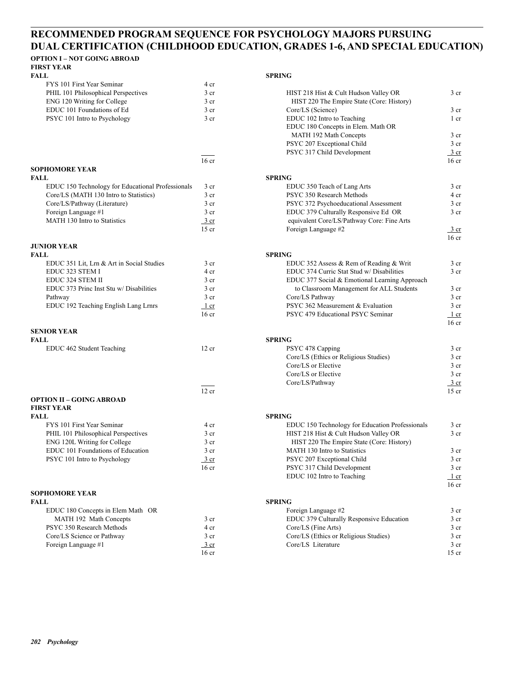## **RECOMMENDED PROGRAM SEQUENCE FOR PSYCHOLOGY MAJORS PURSUING DUAL CERTIFICATION (CHILDHOOD EDUCATION, GRADES 1-6, AND SPECIAL EDUCATION)**

## **OPTION I – NOT GOING ABROAD**

**FIRST YEAR** 

| FALL.                               |      | <b>SPRING</b>                             |
|-------------------------------------|------|-------------------------------------------|
| FYS 101 First Year Seminar          | 4 cr |                                           |
| PHIL 101 Philosophical Perspectives | 3 cr | HIST 218 Hist & Cult Hudson Valley OR     |
| ENG 120 Writing for College         | 3 cr | HIST 220 The Empire State (Core: History) |
| EDUC 101 Foundations of Ed          | 3 cr | Core/LS (Science)                         |
| PSYC 101 Intro to Psychology        | 3 cr | EDUC 102 Intro to Teaching                |

|                | 16 ( |
|----------------|------|
| SOPHOMORE YEAR |      |

| FALL.                                             |                 | <b>SPRING</b>                                |
|---------------------------------------------------|-----------------|----------------------------------------------|
| EDUC 150 Technology for Educational Professionals | 3 cr            | EDUC 350 Teach of Lang Arts                  |
| Core/LS (MATH 130 Intro to Statistics)            | 3 <sub>cr</sub> | PSYC 350 Research Methods                    |
| Core/LS/Pathway (Literature)                      | 3 cr            | PSYC 372 Psychoeducational Assessment        |
| Foreign Language #1                               | 3 <sub>cr</sub> | EDUC 379 Culturally Responsive Ed OR         |
| MATH 130 Intro to Statistics                      | 3 cr            | equivalent Core/LS/Pathway Core: Fine Arts   |
|                                                   | $15 - 1$        | $E_{\text{c}}$ $\mu$ $\Omega$ $\mu$ $\Omega$ |

# **JUNIOR YEAR**

| FALL.                                     |                 | <b>SPRING</b> |
|-------------------------------------------|-----------------|---------------|
| EDUC 351 Lit, Lrn & Art in Social Studies | 3 <sub>cr</sub> | El            |
| EDUC 323 STEM I                           | 4 cr            | El            |
| EDUC 324 STEM II                          | 3 <sub>cr</sub> | El            |
| EDUC 373 Princ Inst Stu w/ Disabilities   | 3 <sub>cr</sub> |               |
| Pathway                                   | 3 <sub>cr</sub> | G             |
| EDUC 192 Teaching English Lang Lrnrs      | 1 cr            | P             |
|                                           | $\sim$          | $\mathbf{r}$  |

# **SENIOR YEAR**

| <b>FALL</b>               |       | <b>SPRING</b> |
|---------------------------|-------|---------------|
| EDUC 462 Student Teaching | 12 cr |               |

|                                     | 12 cr   |                                           |
|-------------------------------------|---------|-------------------------------------------|
| <b>OPTION II - GOING ABROAD</b>     |         |                                           |
| <b>FIRST YEAR</b>                   |         |                                           |
| FALL                                |         | <b>SPRING</b>                             |
| FYS 101 First Year Seminar          | 4 cr    | EDUC 150 Technology for Education Profess |
| PHIL 101 Philosophical Perspectives | 3 cr    | HIST 218 Hist & Cult Hudson Valley OR     |
| ENG 120L Writing for College        | 3 cr    | HIST 220 The Empire State (Core: History) |
| EDUC 101 Foundations of Education   | 3 cr    | MATH 130 Intro to Statistics              |
| PSYC 101 Intro to Psychology        | 3 cr    | PSYC 207 Exceptional Child                |
|                                     | $16$ or | $DCVC$ 217 Child Davelopment              |

# **SOPHOMORE YEAR**

| FALL                              |                  | <b>SPRING</b> |
|-----------------------------------|------------------|---------------|
| EDUC 180 Concepts in Elem Math OR |                  | F0            |
| MATH 192 Math Concepts            | 3 cr             | El            |
| PSYC 350 Research Methods         | 4 cr             | G             |
| Core/LS Science or Pathway        | 3 <sub>cr</sub>  | G             |
| Foreign Language #1               | 3 cr             | C.            |
|                                   | 16 <sub>cr</sub> |               |

| FYS 101 First Year Seminar                        | 4 cr             |                                                 |                            |
|---------------------------------------------------|------------------|-------------------------------------------------|----------------------------|
| PHIL 101 Philosophical Perspectives               | 3 cr             | HIST 218 Hist & Cult Hudson Valley OR           | 3 <sub>cr</sub>            |
| ENG 120 Writing for College                       | 3 <sub>cr</sub>  | HIST 220 The Empire State (Core: History)       |                            |
| EDUC 101 Foundations of Ed                        | 3 <sub>cr</sub>  | Core/LS (Science)                               | 3 <sub>cr</sub>            |
| PSYC 101 Intro to Psychology                      | 3 <sub>cr</sub>  | EDUC 102 Intro to Teaching                      | $1$ cr                     |
|                                                   |                  | EDUC 180 Concepts in Elem. Math OR              |                            |
|                                                   |                  | MATH 192 Math Concepts                          | 3 <sub>cr</sub>            |
|                                                   |                  |                                                 | 3 <sub>cr</sub>            |
|                                                   |                  | PSYC 207 Exceptional Child                      |                            |
|                                                   |                  | PSYC 317 Child Development                      | $rac{3}{2}$ cr             |
|                                                   | 16 <sub>cr</sub> |                                                 | 16 <sub>cr</sub>           |
| SOPHOMORE YEAR                                    |                  |                                                 |                            |
| FALL                                              |                  | <b>SPRING</b>                                   |                            |
| EDUC 150 Technology for Educational Professionals | 3 cr             | EDUC 350 Teach of Lang Arts                     | 3 <sub>cr</sub>            |
| Core/LS (MATH 130 Intro to Statistics)            | 3 <sub>cr</sub>  | PSYC 350 Research Methods                       | 4 cr                       |
| Core/LS/Pathway (Literature)                      | 3 cr             | PSYC 372 Psychoeducational Assessment           | 3 <sub>cr</sub>            |
| Foreign Language #1                               | 3 <sub>cr</sub>  | EDUC 379 Culturally Responsive Ed OR            | 3 <sub>cr</sub>            |
| MATH 130 Intro to Statistics                      | 3 cr             | equivalent Core/LS/Pathway Core: Fine Arts      |                            |
|                                                   | $15$ cr          | Foreign Language #2                             | $\frac{3}{ }$ cr           |
|                                                   |                  |                                                 | 16 <sub>cr</sub>           |
| JUNIOR YEAR                                       |                  |                                                 |                            |
| FALL                                              |                  | <b>SPRING</b>                                   |                            |
| EDUC 351 Lit, Lrn & Art in Social Studies         | 3 cr             | EDUC 352 Assess & Rem of Reading & Writ         | 3 <sub>cr</sub>            |
| EDUC 323 STEM I                                   | 4 cr             | EDUC 374 Curric Stat Stud w/ Disabilities       | 3 <sub>cr</sub>            |
| EDUC 324 STEM II                                  | 3 <sub>cr</sub>  | EDUC 377 Social & Emotional Learning Approach   |                            |
| EDUC 373 Princ Inst Stu w/ Disabilities           | 3 cr             | to Classroom Management for ALL Students        | 3 <sub>cr</sub>            |
| Pathway                                           | 3 <sub>cr</sub>  | Core/LS Pathway                                 | 3 <sub>cr</sub>            |
| EDUC 192 Teaching English Lang Lrnrs              | 1 cr             | PSYC 362 Measurement & Evaluation               | 3 <sub>cr</sub>            |
|                                                   | $16$ cr          | PSYC 479 Educational PSYC Seminar               |                            |
|                                                   |                  |                                                 | $1$ cr<br>16 <sub>cr</sub> |
| <b>SENIOR YEAR</b>                                |                  |                                                 |                            |
|                                                   |                  |                                                 |                            |
| FALL                                              |                  | <b>SPRING</b>                                   |                            |
| EDUC 462 Student Teaching                         | 12 cr            | PSYC 478 Capping                                | 3 <sub>cr</sub>            |
|                                                   |                  | Core/LS (Ethics or Religious Studies)           | 3 <sub>cr</sub>            |
|                                                   |                  | Core/LS or Elective                             | 3 <sub>cr</sub>            |
|                                                   |                  | Core/LS or Elective                             | 3 <sub>cr</sub>            |
|                                                   |                  | Core/LS/Pathway                                 | 3 cr                       |
|                                                   | $12$ cr          |                                                 | $15$ cr                    |
| OPTION II – GOING ABROAD                          |                  |                                                 |                            |
| FIRST YEAR                                        |                  |                                                 |                            |
| FALL                                              |                  | <b>SPRING</b>                                   |                            |
| FYS 101 First Year Seminar                        | 4 cr             | EDUC 150 Technology for Education Professionals | 3 cr                       |
| PHIL 101 Philosophical Perspectives               | 3 <sub>cr</sub>  | HIST 218 Hist & Cult Hudson Valley OR           | 3 <sub>cr</sub>            |
| ENG 120L Writing for College                      | 3 <sub>cr</sub>  | HIST 220 The Empire State (Core: History)       |                            |
| EDUC 101 Foundations of Education                 | 3 <sub>cr</sub>  | MATH 130 Intro to Statistics                    | 3 <sub>cr</sub>            |
| PSYC 101 Intro to Psychology                      | 3 cr             | PSYC 207 Exceptional Child                      | 3 <sub>cr</sub>            |
|                                                   | $16$ cr          | PSYC 317 Child Development                      | 3 <sub>cr</sub>            |
|                                                   |                  | EDUC 102 Intro to Teaching                      | $1$ cr                     |
|                                                   |                  |                                                 | $16$ cr                    |
| SOPHOMORE YEAR                                    |                  |                                                 |                            |
| FALL                                              |                  | <b>SPRING</b>                                   |                            |
| EDUC 180 Concepts in Elem Math OR                 |                  | Foreign Language #2                             | 3 <sub>cr</sub>            |
| MATH 192 Math Concepts                            | 3 cr             | EDUC 379 Culturally Responsive Education        | 3 <sub>cr</sub>            |
| PSYC 350 Research Methods                         |                  |                                                 |                            |
|                                                   | 4 cr             | Core/LS (Fine Arts)                             | 3 cr                       |
| Core/LS Science or Pathway                        | 3 <sub>cr</sub>  | Core/LS (Ethics or Religious Studies)           | 3 cr                       |
| Foreign Language #1                               | $\frac{3}{ }$ cr | Core/LS Literature                              | 3 <sub>cr</sub>            |
|                                                   | $16$ cr          |                                                 | $15$ cr                    |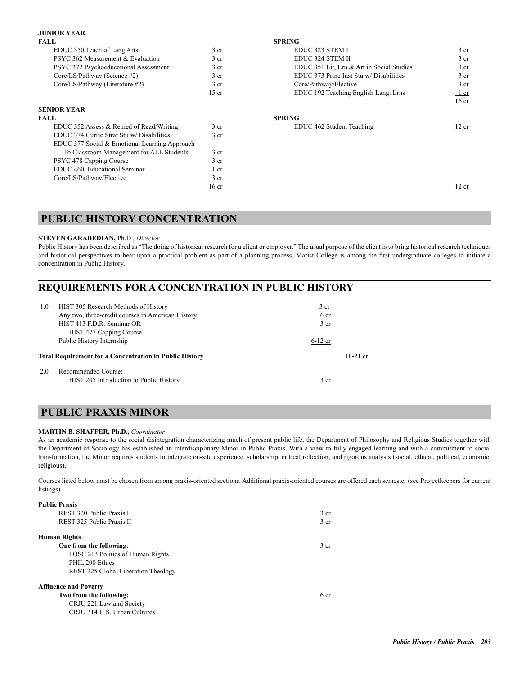### **JUNIOR YEAR**

| <b>FALL</b>                                   |                  | <b>SPRING</b>                             |                  |
|-----------------------------------------------|------------------|-------------------------------------------|------------------|
| EDUC 350 Teach of Lang Arts                   | 3 <sub>cr</sub>  | EDUC 323 STEM I                           | 3 <sub>cr</sub>  |
| PSYC 362 Measurement & Evaluation             | 3 <sub>cr</sub>  | EDUC 324 STEM II                          | 3 <sub>cr</sub>  |
| PSYC 372 Psychoeducational Assessment         | 3 <sub>cr</sub>  | EDUC 351 Lit, Lrn & Art in Social Studies | 3 <sub>cr</sub>  |
| Core/LS/Pathway (Science #2)                  | 3 <sub>cr</sub>  | EDUC 373 Princ Inst Stu w/ Disabilities   | 3 <sub>cr</sub>  |
| Core/LS/Pathway (Literature #2)               | $\frac{3}{2}$ cr | Core/Pathway/Elective                     | 3 <sub>cr</sub>  |
|                                               | $15$ cr          | EDUC 192 Teaching English Lang. Lrns      | $1$ cr           |
|                                               |                  |                                           | 16 <sub>cr</sub> |
| <b>SENIOR YEAR</b>                            |                  |                                           |                  |
| <b>FALL</b>                                   |                  | <b>SPRING</b>                             |                  |
| EDUC 352 Assess & Remed of Read/Writing       | 3 <sub>cr</sub>  | EDUC 462 Student Teaching                 | 12 cr            |
| EDUC 374 Curric Strat Stu w/ Disabilities     | 3 <sub>cr</sub>  |                                           |                  |
| EDUC 377 Social & Emotional Learning Approach |                  |                                           |                  |
| To Classroom Management for ALL Students      | 3 <sub>cr</sub>  |                                           |                  |
| PSYC 478 Capping Course                       | 3 <sub>cr</sub>  |                                           |                  |
| EDUC 460 Educational Seminar                  | 1 cr             |                                           |                  |
| Core/LS/Pathway/Elective                      | $\frac{3}{ }$ cr |                                           |                  |
|                                               | 16 <sub>cr</sub> |                                           | 12 cr            |
|                                               |                  |                                           |                  |

## **PUBLIC HISTORY CONCENTRATION**

### **STEVEN GARABEDIAN,** Ph.D., *Director*

Public History has been described as "The doing of historical research for a client or employer." The usual purpose of the client is to bring historical research techniques and historical perspectives to bear upon a practical problem as part of a planning process. Marist College is among the first undergraduate colleges to initiate a concentration in Public History.

## **REQUIREMENTS FOR A CONCENTRATION IN PUBLIC HISTORY**

| 1.0 | HIST 305 Research Methods of History<br>Any two, three-credit courses in American History<br>HIST 413 F.D.R. Seminar OR | 3 <sub>cr</sub><br>6 cr<br>3 <sub>cr</sub> |            |
|-----|-------------------------------------------------------------------------------------------------------------------------|--------------------------------------------|------------|
|     | HIST 477 Capping Course<br>Public History Internship<br><b>Total Requirement for a Concentration in Public History</b>  | $6-12$ cr                                  | $18-21$ cr |
| 2.0 | Recommended Course:<br>HIST 205 Introduction to Public History                                                          | 3 cr                                       |            |

## **PUBLIC PRAXIS MINOR**

### **MARTIN B. SHAFFER, Ph.D.,** *Coordinator*

As an academic response to the social disintegration characterizing much of present public life, the Department of Philosophy and Religious Studies together with the Department of Sociology has established an interdisciplinary Minor in Public Praxis. With a view to fully engaged learning and with a commitment to social transformation, the Minor requires students to integrate on-site experience, scholarship, critical reflection, and rigorous analysis (social, ethical, political, economic, religious).

Courses listed below must be chosen from among praxis-oriented sections. Additional praxis-oriented courses are offered each semester (see Projectkeepers for current listings).

| <b>Public Praxis</b>                |                 |
|-------------------------------------|-----------------|
| REST 320 Public Praxis I            | 3 cr            |
| REST 325 Public Praxis II           | 3 <sub>cr</sub> |
| Human Rights                        |                 |
| One from the following:             | 3 cr            |
| POSC 213 Politics of Human Rights   |                 |
| PHIL 200 Ethics                     |                 |
| REST 225 Global Liberation Theology |                 |
| <b>Affluence and Poverty</b>        |                 |
| Two from the following:             | 6 cr            |
| CRJU 221 Law and Society            |                 |
| CRJU 314 U.S. Urban Cultures        |                 |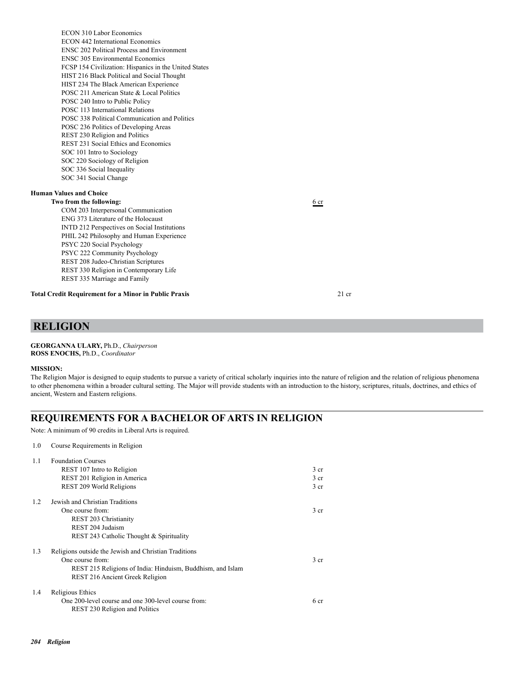ECON 310 Labor Economics ECON 442 International Economics ENSC 202 Political Process and Environment ENSC 305 Environmental Economics FCSP 154 Civilization: Hispanics in the United States HIST 216 Black Political and Social Thought HIST 234 The Black American Experience POSC 211 American State & Local Politics POSC 240 Intro to Public Policy POSC 113 International Relations POSC 338 Political Communication and Politics POSC 236 Politics of Developing Areas REST 230 Religion and Politics REST 231 Social Ethics and Economics SOC 101 Intro to Sociology SOC 220 Sociology of Religion SOC 336 Social Inequality SOC 341 Social Change

### **Human Values and Choice**

### **Two from the following:**  $\frac{6 \text{ cr}}{6}$

 COM 203 Interpersonal Communication ENG 373 Literature of the Holocaust INTD 212 Perspectives on Social Institutions PHIL 242 Philosophy and Human Experience PSYC 220 Social Psychology PSYC 222 Community Psychology REST 208 Judeo-Christian Scriptures REST 330 Religion in Contemporary Life REST 335 Marriage and Family

**Total Credit Requirement for a Minor in Public Praxis** 21 cr

## **RELIGION**

### **GEORGANNA ULARY,** Ph.D., *Chairperson* **ROSS ENOCHS,** Ph.D., *Coordinator*

### **MISSION:**

The Religion Major is designed to equip students to pursue a variety of critical scholarly inquiries into the nature of religion and the relation of religious phenomena to other phenomena within a broader cultural setting. The Major will provide students with an introduction to the history, scriptures, rituals, doctrines, and ethics of ancient, Western and Eastern religions.

## **REQUIREMENTS FOR A BACHELOR OF ARTS IN RELIGION**

Note: A minimum of 90 credits in Liberal Arts is required.

### 1.0 Course Requirements in Religion

| 1.1 | <b>Foundation Courses</b>                                  |                 |
|-----|------------------------------------------------------------|-----------------|
|     | REST 107 Intro to Religion                                 | 3 cr            |
|     | REST 201 Religion in America                               | 3 cr            |
|     | REST 209 World Religions                                   | 3 cr            |
| 1.2 | Jewish and Christian Traditions                            |                 |
|     | One course from:                                           | 3 cr            |
|     | REST 203 Christianity                                      |                 |
|     | REST 204 Judaism                                           |                 |
|     | REST 243 Catholic Thought & Spirituality                   |                 |
| 1.3 | Religions outside the Jewish and Christian Traditions      |                 |
|     | One course from:                                           | 3 <sub>cr</sub> |
|     | REST 215 Religions of India: Hinduism, Buddhism, and Islam |                 |
|     | REST 216 Ancient Greek Religion                            |                 |
| 1.4 | Religious Ethics                                           |                 |
|     | One 200-level course and one 300-level course from:        | 6 cr            |
|     | REST 230 Religion and Politics                             |                 |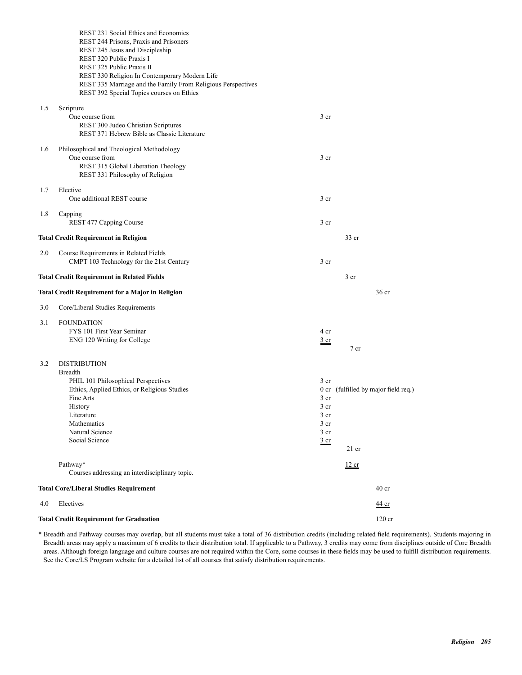|     | REST 231 Social Ethics and Economics<br>REST 244 Prisons, Praxis and Prisoners                            |                 |                                      |
|-----|-----------------------------------------------------------------------------------------------------------|-----------------|--------------------------------------|
|     | REST 245 Jesus and Discipleship                                                                           |                 |                                      |
|     | REST 320 Public Praxis I                                                                                  |                 |                                      |
|     | REST 325 Public Praxis II                                                                                 |                 |                                      |
|     | REST 330 Religion In Contemporary Modern Life                                                             |                 |                                      |
|     | REST 335 Marriage and the Family From Religious Perspectives<br>REST 392 Special Topics courses on Ethics |                 |                                      |
|     |                                                                                                           |                 |                                      |
| 1.5 | Scripture<br>One course from                                                                              | 3 <sub>cr</sub> |                                      |
|     | REST 300 Judeo Christian Scriptures                                                                       |                 |                                      |
|     | REST 371 Hebrew Bible as Classic Literature                                                               |                 |                                      |
| 1.6 | Philosophical and Theological Methodology                                                                 |                 |                                      |
|     | One course from                                                                                           | 3 <sub>cr</sub> |                                      |
|     | REST 315 Global Liberation Theology                                                                       |                 |                                      |
|     | REST 331 Philosophy of Religion                                                                           |                 |                                      |
| 1.7 | Elective                                                                                                  |                 |                                      |
|     | One additional REST course                                                                                | 3 <sub>cr</sub> |                                      |
| 1.8 | Capping                                                                                                   | 3 <sub>cr</sub> |                                      |
|     | REST 477 Capping Course                                                                                   |                 |                                      |
|     | <b>Total Credit Requirement in Religion</b>                                                               |                 | $33$ cr                              |
| 2.0 | Course Requirements in Related Fields                                                                     |                 |                                      |
|     | CMPT 103 Technology for the 21st Century                                                                  | 3 <sub>cr</sub> |                                      |
|     | <b>Total Credit Requirement in Related Fields</b>                                                         |                 | 3 <sub>cr</sub>                      |
|     | <b>Total Credit Requirement for a Major in Religion</b>                                                   |                 | 36 cr                                |
| 3.0 | Core/Liberal Studies Requirements                                                                         |                 |                                      |
| 3.1 | <b>FOUNDATION</b>                                                                                         |                 |                                      |
|     | FYS 101 First Year Seminar                                                                                | 4 cr            |                                      |
|     | ENG 120 Writing for College                                                                               | $rac{3}{2}$ cr  | 7 cr                                 |
|     |                                                                                                           |                 |                                      |
| 3.2 | <b>DISTRIBUTION</b>                                                                                       |                 |                                      |
|     | <b>Breadth</b><br>PHIL 101 Philosophical Perspectives                                                     | 3 <sub>cr</sub> |                                      |
|     | Ethics, Applied Ethics, or Religious Studies                                                              |                 | 0 cr (fulfilled by major field req.) |
|     | Fine Arts                                                                                                 | 3 <sub>cr</sub> |                                      |
|     | History                                                                                                   | 3 cr            |                                      |
|     | Literature                                                                                                | $3$ cr          |                                      |
|     | Mathematics                                                                                               | 3 <sub>cr</sub> |                                      |
|     | Natural Science                                                                                           | 3 <sub>cr</sub> |                                      |
|     | Social Science                                                                                            | 3 <sub>cr</sub> | $21$ cr                              |
|     | Pathway*                                                                                                  |                 | 12 cr                                |
|     | Courses addressing an interdisciplinary topic.                                                            |                 |                                      |
|     | <b>Total Core/Liberal Studies Requirement</b>                                                             |                 | 40 <sub>cr</sub>                     |
| 4.0 | Electives                                                                                                 |                 | 44 cr                                |
|     | <b>Total Credit Requirement for Graduation</b>                                                            |                 | 120 cr                               |
|     |                                                                                                           |                 |                                      |

\* Breadth and Pathway courses may overlap, but all students must take a total of 36 distribution credits (including related field requirements). Students majoring in Breadth areas may apply a maximum of 6 credits to their distribution total. If applicable to a Pathway, 3 credits may come from disciplines outside of Core Breadth areas. Although foreign language and culture courses are not required within the Core, some courses in these fields may be used to fulfill distribution requirements. See the Core/LS Program website for a detailed list of all courses that satisfy distribution requirements.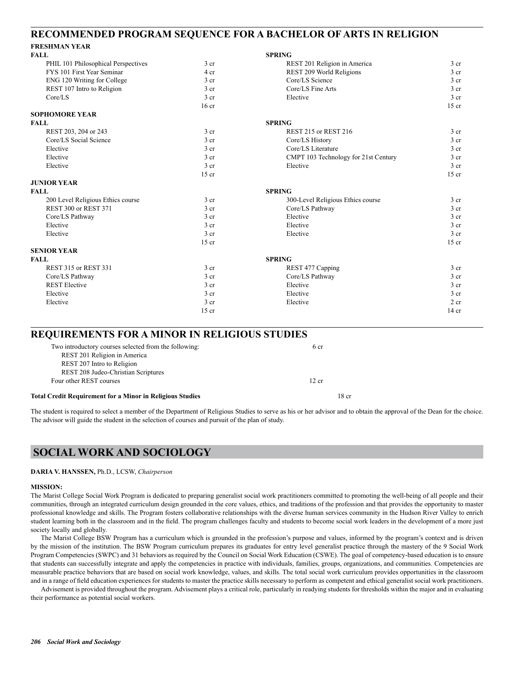## **RECOMMENDED PROGRAM SEQUENCE FOR A BACHELOR OF ARTS IN RELIGION**

## **FRESHMAN YEAR**

| <b>FALL</b>                         |                  | <b>SPRING</b>                        |                 |
|-------------------------------------|------------------|--------------------------------------|-----------------|
| PHIL 101 Philosophical Perspectives | 3 <sub>cr</sub>  | REST 201 Religion in America         | 3 <sub>cr</sub> |
| FYS 101 First Year Seminar          | 4 cr             | REST 209 World Religions             | 3 <sub>cr</sub> |
| ENG 120 Writing for College         | 3 <sub>cr</sub>  | Core/LS Science                      | 3 <sub>cr</sub> |
| REST 107 Intro to Religion          | 3 <sub>cr</sub>  | Core/LS Fine Arts                    | 3 <sub>cr</sub> |
| Core/LS                             | 3 <sub>cr</sub>  | Elective                             | 3 <sub>cr</sub> |
|                                     | 16 <sub>cr</sub> |                                      | $15$ cr         |
| <b>SOPHOMORE YEAR</b>               |                  |                                      |                 |
| <b>FALL</b>                         |                  | <b>SPRING</b>                        |                 |
| REST 203, 204 or 243                | 3 <sub>cr</sub>  | <b>REST 215 or REST 216</b>          | 3 <sub>cr</sub> |
| Core/LS Social Science              | 3 <sub>cr</sub>  | Core/LS History                      | 3 <sub>cr</sub> |
| Elective                            | 3 <sub>cr</sub>  | Core/LS Literature                   | 3 <sub>cr</sub> |
| Elective                            | 3 <sub>cr</sub>  | CMPT 103 Technology for 21st Century | 3 <sub>cr</sub> |
| Elective                            | 3 cr             | Elective                             | 3 <sub>cr</sub> |
|                                     | $15$ cr          |                                      | $15$ cr         |
| <b>JUNIOR YEAR</b>                  |                  |                                      |                 |
| <b>FALL</b>                         |                  | <b>SPRING</b>                        |                 |
| 200 Level Religious Ethics course   | 3 <sub>cr</sub>  | 300-Level Religious Ethics course    | 3 <sub>cr</sub> |
| <b>REST 300 or REST 371</b>         | 3 <sub>cr</sub>  | Core/LS Pathway                      | 3 <sub>cr</sub> |
| Core/LS Pathway                     | 3 <sub>cr</sub>  | Elective                             | 3 <sub>cr</sub> |
| Elective                            | 3 <sub>cr</sub>  | Elective                             | 3 cr            |
| Elective                            | 3 cr             | Elective                             | 3 <sub>cr</sub> |
|                                     | $15$ cr          |                                      | $15$ cr         |
| <b>SENIOR YEAR</b>                  |                  |                                      |                 |
| <b>FALL</b>                         |                  | <b>SPRING</b>                        |                 |
| <b>REST 315 or REST 331</b>         | 3 <sub>cr</sub>  | REST 477 Capping                     | 3 <sub>cr</sub> |
| Core/LS Pathway                     | 3 <sub>cr</sub>  | Core/LS Pathway                      | 3 <sub>cr</sub> |
| <b>REST Elective</b>                | 3 <sub>cr</sub>  | Elective                             | $3$ cr          |
| Elective                            | 3 <sub>cr</sub>  | Elective                             | 3 <sub>cr</sub> |
| Elective                            | 3 <sub>cr</sub>  | Elective                             | 2 <sub>cr</sub> |
|                                     | $15$ cr          |                                      | $14$ cr         |

### **REQUIREMENTS FOR A MINOR IN RELIGIOUS STUDIES**

| <b>Total Credit Requirement for a Minor in Religious Studies</b> | 18 cr |  |
|------------------------------------------------------------------|-------|--|
| Four other REST courses                                          | 12 cr |  |
| REST 208 Judeo-Christian Scriptures                              |       |  |
| REST 207 Intro to Religion                                       |       |  |
| REST 201 Religion in America                                     |       |  |
| Two introductory courses selected from the following:            | 6 cr  |  |

The student is required to select a member of the Department of Religious Studies to serve as his or her advisor and to obtain the approval of the Dean for the choice. The advisor will guide the student in the selection of courses and pursuit of the plan of study.

## **SOCIAL WORK AND SOCIOLOGY**

### **DARIA V. HANSSEN,** Ph.D., LCSW, *Chairperson*

### **MISSION:**

The Marist College Social Work Program is dedicated to preparing generalist social work practitioners committed to promoting the well-being of all people and their communities, through an integrated curriculum design grounded in the core values, ethics, and traditions of the profession and that provides the opportunity to master professional knowledge and skills. The Program fosters collaborative relationships with the diverse human services community in the Hudson River Valley to enrich student learning both in the classroom and in the field. The program challenges faculty and students to become social work leaders in the development of a more just society locally and globally.

The Marist College BSW Program has a curriculum which is grounded in the profession's purpose and values, informed by the program's context and is driven by the mission of the institution. The BSW Program curriculum prepares its graduates for entry level generalist practice through the mastery of the 9 Social Work Program Competencies (SWPC) and 31 behaviors as required by the Council on Social Work Education (CSWE). The goal of competency-based education is to ensure that students can successfully integrate and apply the competencies in practice with individuals, families, groups, organizations, and communities. Competencies are measurable practice behaviors that are based on social work knowledge, values, and skills. The total social work curriculum provides opportunities in the classroom and in a range of field education experiences for students to master the practice skills necessary to perform as competent and ethical generalist social work practitioners.

Advisement is provided throughout the program. Advisement plays a critical role, particularly in readying students for thresholds within the major and in evaluating their performance as potential social workers.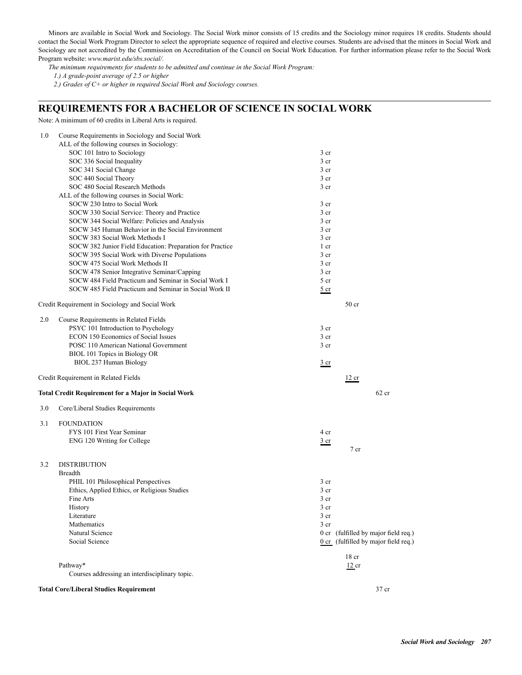Minors are available in Social Work and Sociology. The Social Work minor consists of 15 credits and the Sociology minor requires 18 credits. Students should contact the Social Work Program Director to select the appropriate sequence of required and elective courses. Students are advised that the minors in Social Work and Sociology are not accredited by the Commission on Accreditation of the Council on Social Work Education. For further information please refer to the Social Work Program website: *www.marist.edu/sbs.social/.*

*The minimum requirements for students to be admitted and continue in the Social Work Program:*

 *1.) A grade-point average of 2.5 or higher*

 *2.) Grades of C+ or higher in required Social Work and Sociology courses.*

## **REQUIREMENTS FOR A BACHELOR OF SCIENCE IN SOCIAL WORK**

Note: A minimum of 60 credits in Liberal Arts is required.

| 1.0 | Course Requirements in Sociology and Social Work                         |                 |                                        |
|-----|--------------------------------------------------------------------------|-----------------|----------------------------------------|
|     | ALL of the following courses in Sociology:<br>SOC 101 Intro to Sociology | 3 <sub>cr</sub> |                                        |
|     | SOC 336 Social Inequality                                                | 3 cr            |                                        |
|     | SOC 341 Social Change                                                    | 3 cr            |                                        |
|     | SOC 440 Social Theory                                                    | 3 <sub>cr</sub> |                                        |
|     | SOC 480 Social Research Methods                                          | 3 cr            |                                        |
|     | ALL of the following courses in Social Work:                             |                 |                                        |
|     | SOCW 230 Intro to Social Work                                            | 3 cr            |                                        |
|     | SOCW 330 Social Service: Theory and Practice                             | 3 cr            |                                        |
|     | SOCW 344 Social Welfare: Policies and Analysis                           | 3 cr            |                                        |
|     | SOCW 345 Human Behavior in the Social Environment                        | 3 <sub>cr</sub> |                                        |
|     | SOCW 383 Social Work Methods I                                           | 3 cr            |                                        |
|     | SOCW 382 Junior Field Education: Preparation for Practice                | 1 cr            |                                        |
|     | SOCW 395 Social Work with Diverse Populations                            | 3 cr            |                                        |
|     | SOCW 475 Social Work Methods II                                          | 3 cr            |                                        |
|     | SOCW 478 Senior Integrative Seminar/Capping                              | 3 cr            |                                        |
|     | SOCW 484 Field Practicum and Seminar in Social Work I                    | 5 cr            |                                        |
|     | SOCW 485 Field Practicum and Seminar in Social Work II                   | $rac{5}{2}$ cr  |                                        |
|     | Credit Requirement in Sociology and Social Work                          |                 | 50 <sub>cr</sub>                       |
| 2.0 | Course Requirements in Related Fields                                    |                 |                                        |
|     | PSYC 101 Introduction to Psychology                                      | 3 cr            |                                        |
|     | <b>ECON 150 Economics of Social Issues</b>                               | 3 <sub>cr</sub> |                                        |
|     | POSC 110 American National Government                                    | 3 cr            |                                        |
|     | BIOL 101 Topics in Biology OR                                            |                 |                                        |
|     | BIOL 237 Human Biology                                                   | $rac{3}{2}$ cr  |                                        |
|     |                                                                          |                 |                                        |
|     | Credit Requirement in Related Fields                                     |                 | 12 cr                                  |
|     | <b>Total Credit Requirement for a Major in Social Work</b>               |                 | $62$ cr                                |
| 3.0 | Core/Liberal Studies Requirements                                        |                 |                                        |
| 3.1 | <b>FOUNDATION</b>                                                        |                 |                                        |
|     | FYS 101 First Year Seminar                                               | 4 cr            |                                        |
|     | ENG 120 Writing for College                                              | <u>3 cr</u>     |                                        |
|     |                                                                          |                 | 7 cr                                   |
| 3.2 | <b>DISTRIBUTION</b>                                                      |                 |                                        |
|     | <b>Breadth</b>                                                           |                 |                                        |
|     | PHIL 101 Philosophical Perspectives                                      | 3 cr            |                                        |
|     | Ethics, Applied Ethics, or Religious Studies                             | 3 cr            |                                        |
|     | Fine Arts                                                                | 3 cr            |                                        |
|     | History                                                                  | 3 cr            |                                        |
|     | Literature                                                               | 3 cr            |                                        |
|     | Mathematics                                                              | 3 cr            |                                        |
|     | Natural Science                                                          |                 | 0 cr (fulfilled by major field req.)   |
|     | Social Science                                                           |                 | $0$ cr (fulfilled by major field req.) |
|     |                                                                          |                 | 18 <sub>cr</sub>                       |
|     | Pathway*                                                                 |                 | $12$ cr                                |
|     | Courses addressing an interdisciplinary topic.                           |                 |                                        |
|     | <b>Total Core/Liberal Studies Requirement</b>                            |                 | 37 cr                                  |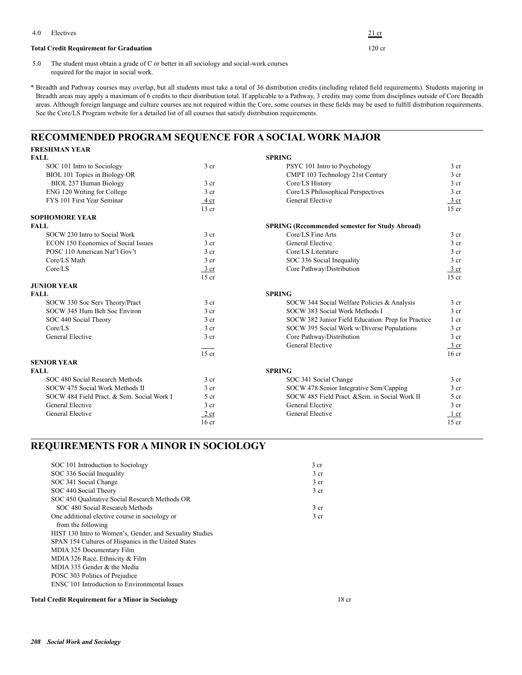|     | Electives                                                                                                                         | $21$ cr  |
|-----|-----------------------------------------------------------------------------------------------------------------------------------|----------|
|     | <b>Total Credit Requirement for Graduation</b>                                                                                    | $120$ cr |
| 5.0 | The student must obtain a grade of C or better in all sociology and social-work courses<br>required for the major in social work. |          |

\* Breadth and Pathway courses may overlap, but all students must take a total of 36 distribution credits (including related field requirements). Students majoring in Breadth areas may apply a maximum of 6 credits to their distribution total. If applicable to a Pathway, 3 credits may come from disciplines outside of Core Breadth areas. Although foreign language and culture courses are not required within the Core, some courses in these fields may be used to fulfill distribution requirements. See the Core/LS Program website for a detailed list of all courses that satisfy distribution requirements.

## **RECOMMENDED PROGRAM SEQUENCE FOR A SOCIAL WORK MAJOR**

| <b>FRESHMAN YEAR</b>                       |                  |                                                       |                  |
|--------------------------------------------|------------------|-------------------------------------------------------|------------------|
| <b>FALL</b>                                |                  | <b>SPRING</b>                                         |                  |
| SOC 101 Intro to Sociology                 | 3 <sub>cr</sub>  | PSYC 101 Intro to Psychology                          | 3 <sub>cr</sub>  |
| BIOL 101 Topics in Biology OR              |                  | CMPT 103 Technology 21st Century                      | 3 <sub>cr</sub>  |
| BIOL 237 Human Biology                     | 3 <sub>cr</sub>  | Core/LS History                                       | 3 <sub>cr</sub>  |
| ENG 120 Writing for College                | 3 <sub>cr</sub>  | Core/LS Philosophical Perspectives                    | 3 <sub>cr</sub>  |
| FYS 101 First Year Seminar                 | 4 cr             | General Elective                                      | $\frac{3}{ }$ cr |
|                                            | $13$ cr          |                                                       | $15$ cr          |
| <b>SOPHOMORE YEAR</b>                      |                  |                                                       |                  |
| <b>FALL</b>                                |                  | <b>SPRING (Recommended semester for Study Abroad)</b> |                  |
| SOCW 230 Intro to Social Work              | 3 <sub>cr</sub>  | Core/LS Fine Arts                                     | 3 <sub>cr</sub>  |
| ECON 150 Economics of Social Issues        | 3 <sub>cr</sub>  | <b>General Elective</b>                               | 3 <sub>cr</sub>  |
| POSC 110 American Nat'l Gov't              | 3 <sub>cr</sub>  | Core/LS Literature                                    | 3 <sub>cr</sub>  |
| Core/LS Math                               | 3 <sub>cr</sub>  | SOC 336 Social Inequality                             | 3 <sub>cr</sub>  |
| Core/LS                                    | $\frac{3}{ }$ cr | Core Pathway/Distribution                             | 3 cr             |
|                                            | $15$ cr          |                                                       | $15$ cr          |
| <b>JUNIOR YEAR</b>                         |                  |                                                       |                  |
| <b>FALL</b>                                |                  | <b>SPRING</b>                                         |                  |
| SOCW 330 Soc Serv Theory/Pract             | 3 <sub>cr</sub>  | SOCW 344 Social Welfare Policies & Analysis           | 3 <sub>cr</sub>  |
| SOCW 345 Hum Beh Soc Environ               | 3 <sub>cr</sub>  | SOCW 383 Social Work Methods I                        | 3 <sub>cr</sub>  |
| SOC 440 Social Theory                      | 3 <sub>cr</sub>  | SOCW 382 Junior Field Education: Prep for Practice    | 1 cr             |
| Core/LS                                    | 3 <sub>cr</sub>  | SOCW 395 Social Work w/Diverse Populations            | 3 <sub>cr</sub>  |
| General Elective                           | 3 <sub>cr</sub>  | Core Pathway/Distribution                             | 3 <sub>cr</sub>  |
|                                            |                  | General Elective                                      | 3 cr             |
|                                            | $15$ cr          |                                                       | 16 <sub>cr</sub> |
| <b>SENIOR YEAR</b>                         |                  |                                                       |                  |
| <b>FALL</b>                                |                  | <b>SPRING</b>                                         |                  |
| SOC 480 Social Research Methods            | 3 <sub>cr</sub>  | SOC 341 Social Change                                 | 3 <sub>cr</sub>  |
| SOCW 475 Social Work Methods II            | 3 <sub>cr</sub>  | SOCW 478 Senior Integrative Sem/Capping               | 3 <sub>cr</sub>  |
| SOCW 484 Field Pract. & Sem. Social Work I | 5 <sub>cr</sub>  | SOCW 485 Field Pract. & Sem. in Social Work II.       | 5 <sub>cr</sub>  |
| General Elective                           | 3 <sub>cr</sub>  | <b>General Elective</b>                               | 3 <sub>cr</sub>  |
| General Elective                           | 2 cr             | General Elective                                      | $1$ cr           |
|                                            | $16$ cr          |                                                       | $15$ cr          |

## **REQUIREMENTS FOR A MINOR IN SOCIOLOGY**

| SOC 101 Introduction to Sociology                        | 3 <sub>cr</sub>  |
|----------------------------------------------------------|------------------|
| SOC 336 Social Inequality                                | 3 <sub>cr</sub>  |
| SOC 341 Social Change                                    | 3 <sub>cr</sub>  |
| SOC 440 Social Theory                                    | 3 <sub>cr</sub>  |
| SOC 450 Oualitative Social Research Methods OR           |                  |
| SOC 480 Social Research Methods                          | 3 <sub>cr</sub>  |
| One additional elective course in sociology or           | 3 <sub>cr</sub>  |
| from the following                                       |                  |
| HIST 130 Intro to Women's, Gender, and Sexuality Studies |                  |
| SPAN 154 Cultures of Hispanics in the United States      |                  |
| MDIA 325 Documentary Film                                |                  |
| MDIA 326 Race, Ethnicity & Film                          |                  |
| MDIA 335 Gender & the Media                              |                  |
| POSC 303 Politics of Prejudice                           |                  |
| ENSC 101 Introduction to Environmental Issues            |                  |
| <b>Total Credit Requirement for a Minor in Sociology</b> | 18 <sub>cr</sub> |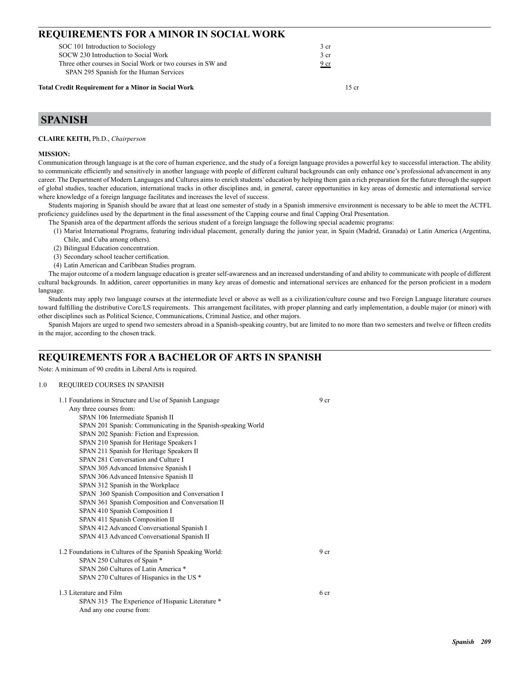| <b>REQUIREMENTS FOR A MINOR IN SOCIAL WORK</b>                                                         |                 |  |  |
|--------------------------------------------------------------------------------------------------------|-----------------|--|--|
| SOC 101 Introduction to Sociology                                                                      | 3 <sub>cr</sub> |  |  |
| SOCW 230 Introduction to Social Work                                                                   | 3 <sub>cr</sub> |  |  |
| Three other courses in Social Work or two courses in SW and<br>SPAN 295 Spanish for the Human Services | 9 <sub>cr</sub> |  |  |

**Total Credit Requirement for a Minor in Social Work** 15 cr

## **SPANISH**

### **CLAIRE KEITH,** Ph.D., *Chairperson*

### **MISSION:**

Communication through language is at the core of human experience, and the study of a foreign language provides a powerful key to successful interaction. The ability to communicate efficiently and sensitively in another language with people of different cultural backgrounds can only enhance one's professional advancement in any career. The Department of Modern Languages and Cultures aims to enrich students' education by helping them gain a rich preparation for the future through the support of global studies, teacher education, international tracks in other disciplines and, in general, career opportunities in key areas of domestic and international service where knowledge of a foreign language facilitates and increases the level of success.

Students majoring in Spanish should be aware that at least one semester of study in a Spanish immersive environment is necessary to be able to meet the ACTFL proficiency guidelines used by the department in the final assessment of the Capping course and final Capping Oral Presentation.

The Spanish area of the department affords the serious student of a foreign language the following special academic programs:

- (1) Marist International Programs, featuring individual placement, generally during the junior year, in Spain (Madrid, Granada) or Latin America (Argentina, Chile, and Cuba among others).
- (2) Bilingual Education concentration.
- (3) Secondary school teacher certification.
- (4) Latin American and Caribbean Studies program.

The major outcome of a modern language education is greater self-awareness and an increased understanding of and ability to communicate with people of different cultural backgrounds. In addition, career opportunities in many key areas of domestic and international services are enhanced for the person proficient in a modern language.

Students may apply two language courses at the intermediate level or above as well as a civilization/culture course and two Foreign Language literature courses toward fulfilling the distributive Core/LS requirements. This arrangement facilitates, with proper planning and early implementation, a double major (or minor) with other disciplines such as Political Science, Communications, Criminal Justice, and other majors.

Spanish Majors are urged to spend two semesters abroad in a Spanish-speaking country, but are limited to no more than two semesters and twelve or fifteen credits in the major, according to the chosen track.

## **REQUIREMENTS FOR A BACHELOR OF ARTS IN SPANISH**

Note: A minimum of 90 credits in Liberal Arts is required.

### 1.0 REQUIRED COURSES IN SPANISH

| 1.1 Foundations in Structure and Use of Spanish Language      | 9 <sub>cr</sub> |
|---------------------------------------------------------------|-----------------|
| Any three courses from:                                       |                 |
| SPAN 106 Intermediate Spanish II                              |                 |
| SPAN 201 Spanish: Communicating in the Spanish-speaking World |                 |
| SPAN 202 Spanish: Fiction and Expression.                     |                 |
| SPAN 210 Spanish for Heritage Speakers I                      |                 |
| SPAN 211 Spanish for Heritage Speakers II                     |                 |
| SPAN 281 Conversation and Culture I                           |                 |
| SPAN 305 Advanced Intensive Spanish I                         |                 |
| SPAN 306 Advanced Intensive Spanish II                        |                 |
| SPAN 312 Spanish in the Workplace                             |                 |
| SPAN 360 Spanish Composition and Conversation I               |                 |
| SPAN 361 Spanish Composition and Conversation II              |                 |
| SPAN 410 Spanish Composition I                                |                 |
| SPAN 411 Spanish Composition II                               |                 |
| SPAN 412 Advanced Conversational Spanish I                    |                 |
| SPAN 413 Advanced Conversational Spanish II                   |                 |
| 1.2 Foundations in Cultures of the Spanish Speaking World:    | 9 <sub>cr</sub> |
| SPAN 250 Cultures of Spain *                                  |                 |
| SPAN 260 Cultures of Latin America *                          |                 |
| SPAN 270 Cultures of Hispanics in the US *                    |                 |
| 1.3 Literature and Film                                       | 6 cr            |
| SPAN 315 The Experience of Hispanic Literature *              |                 |
| And any one course from:                                      |                 |
|                                                               |                 |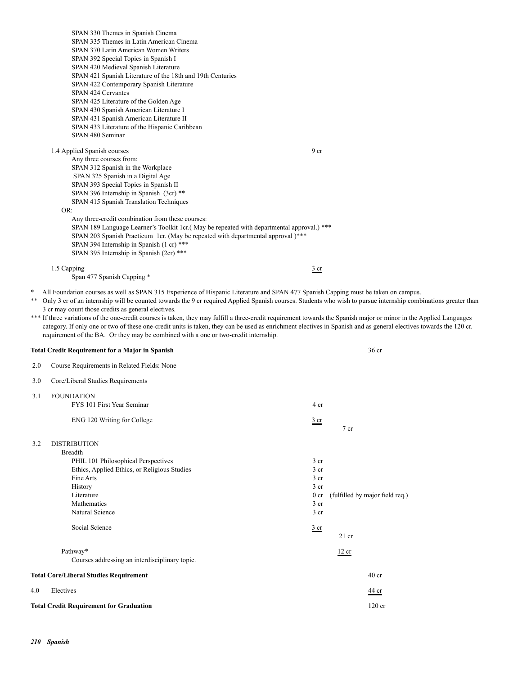|            | SPAN 330 Themes in Spanish Cinema<br>SPAN 335 Themes in Latin American Cinema<br>SPAN 370 Latin American Women Writers<br>SPAN 392 Special Topics in Spanish I                                                                                                                                                                                                                                                                                                                        |                                    |                                 |  |
|------------|---------------------------------------------------------------------------------------------------------------------------------------------------------------------------------------------------------------------------------------------------------------------------------------------------------------------------------------------------------------------------------------------------------------------------------------------------------------------------------------|------------------------------------|---------------------------------|--|
|            | SPAN 420 Medieval Spanish Literature<br>SPAN 421 Spanish Literature of the 18th and 19th Centuries<br>SPAN 422 Contemporary Spanish Literature                                                                                                                                                                                                                                                                                                                                        |                                    |                                 |  |
|            | SPAN 424 Cervantes<br>SPAN 425 Literature of the Golden Age                                                                                                                                                                                                                                                                                                                                                                                                                           |                                    |                                 |  |
|            | SPAN 430 Spanish American Literature I<br>SPAN 431 Spanish American Literature II                                                                                                                                                                                                                                                                                                                                                                                                     |                                    |                                 |  |
|            | SPAN 433 Literature of the Hispanic Caribbean<br>SPAN 480 Seminar                                                                                                                                                                                                                                                                                                                                                                                                                     |                                    |                                 |  |
|            | 1.4 Applied Spanish courses<br>Any three courses from:                                                                                                                                                                                                                                                                                                                                                                                                                                | 9 cr                               |                                 |  |
|            | SPAN 312 Spanish in the Workplace<br>SPAN 325 Spanish in a Digital Age                                                                                                                                                                                                                                                                                                                                                                                                                |                                    |                                 |  |
|            | SPAN 393 Special Topics in Spanish II                                                                                                                                                                                                                                                                                                                                                                                                                                                 |                                    |                                 |  |
|            | SPAN 396 Internship in Spanish (3cr) **<br>SPAN 415 Spanish Translation Techniques<br>OR:                                                                                                                                                                                                                                                                                                                                                                                             |                                    |                                 |  |
|            | Any three-credit combination from these courses:<br>SPAN 189 Language Learner's Toolkit 1cr.(May be repeated with departmental approval.) ***<br>SPAN 203 Spanish Practicum 1cr. (May be repeated with departmental approval)***<br>SPAN 394 Internship in Spanish (1 cr) ***<br>SPAN 395 Internship in Spanish (2cr) ***                                                                                                                                                             |                                    |                                 |  |
|            | 1.5 Capping<br>Span 477 Spanish Capping *                                                                                                                                                                                                                                                                                                                                                                                                                                             | $rac{3}{2}$ cr                     |                                 |  |
|            | 3 cr may count those credits as general electives.<br>*** If three variations of the one-credit courses is taken, they may fulfill a three-credit requirement towards the Spanish major or minor in the Applied Languages<br>category. If only one or two of these one-credit units is taken, they can be used as enrichment electives in Spanish and as general electives towards the 120 cr.<br>requirement of the BA. Or they may be combined with a one or two-credit internship. |                                    |                                 |  |
|            | <b>Total Credit Requirement for a Major in Spanish</b>                                                                                                                                                                                                                                                                                                                                                                                                                                |                                    | 36 <sub>cr</sub>                |  |
| 2.0<br>3.0 | Course Requirements in Related Fields: None<br>Core/Liberal Studies Requirements                                                                                                                                                                                                                                                                                                                                                                                                      |                                    |                                 |  |
| 3.1        | <b>FOUNDATION</b>                                                                                                                                                                                                                                                                                                                                                                                                                                                                     |                                    |                                 |  |
|            | FYS 101 First Year Seminar                                                                                                                                                                                                                                                                                                                                                                                                                                                            | 4 cr                               |                                 |  |
|            | ENG 120 Writing for College                                                                                                                                                                                                                                                                                                                                                                                                                                                           | $rac{3}{2}$ cr                     | 7 cr                            |  |
| 3.2        | <b>DISTRIBUTION</b><br><b>Breadth</b>                                                                                                                                                                                                                                                                                                                                                                                                                                                 |                                    |                                 |  |
|            | PHIL 101 Philosophical Perspectives<br>Ethics, Applied Ethics, or Religious Studies                                                                                                                                                                                                                                                                                                                                                                                                   | 3 <sub>cr</sub><br>3 <sub>cr</sub> |                                 |  |
|            | Fine Arts<br>History                                                                                                                                                                                                                                                                                                                                                                                                                                                                  | 3 <sub>cr</sub><br>3 <sub>cr</sub> |                                 |  |
|            | Literature                                                                                                                                                                                                                                                                                                                                                                                                                                                                            | 0 <sub>cr</sub>                    | (fulfilled by major field req.) |  |
|            | Mathematics<br>Natural Science                                                                                                                                                                                                                                                                                                                                                                                                                                                        | 3 <sub>cr</sub><br>3 cr            |                                 |  |
|            | Social Science                                                                                                                                                                                                                                                                                                                                                                                                                                                                        | $rac{3}{2}$ cr                     | $21$ cr                         |  |
|            | Pathway*<br>Courses addressing an interdisciplinary topic.                                                                                                                                                                                                                                                                                                                                                                                                                            |                                    | 12 cr                           |  |
|            | <b>Total Core/Liberal Studies Requirement</b>                                                                                                                                                                                                                                                                                                                                                                                                                                         |                                    | $40$ cr                         |  |
| 4.0        | Electives                                                                                                                                                                                                                                                                                                                                                                                                                                                                             |                                    | 44 cr                           |  |
|            | <b>Total Credit Requirement for Graduation</b>                                                                                                                                                                                                                                                                                                                                                                                                                                        |                                    | $120$ cr                        |  |
|            |                                                                                                                                                                                                                                                                                                                                                                                                                                                                                       |                                    |                                 |  |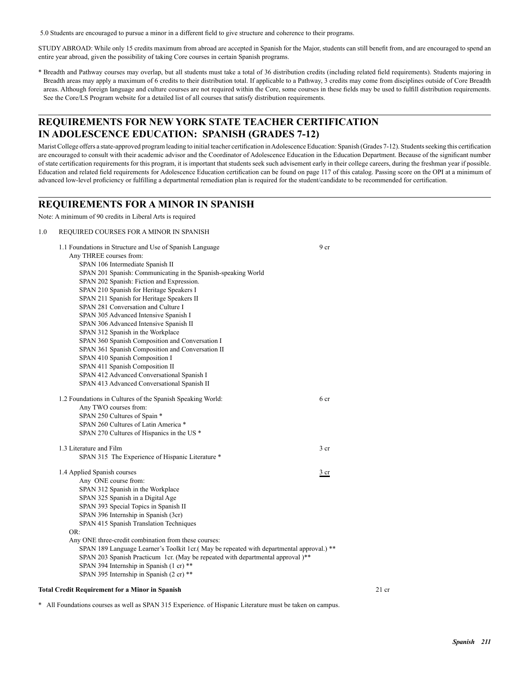5.0 Students are encouraged to pursue a minor in a different field to give structure and coherence to their programs.

STUDY ABROAD: While only 15 credits maximum from abroad are accepted in Spanish for the Major, students can still benefit from, and are encouraged to spend an entire year abroad, given the possibility of taking Core courses in certain Spanish programs.

\* Breadth and Pathway courses may overlap, but all students must take a total of 36 distribution credits (including related field requirements). Students majoring in Breadth areas may apply a maximum of 6 credits to their distribution total. If applicable to a Pathway, 3 credits may come from disciplines outside of Core Breadth areas. Although foreign language and culture courses are not required within the Core, some courses in these fields may be used to fulfill distribution requirements. See the Core/LS Program website for a detailed list of all courses that satisfy distribution requirements.

## **REQUIREMENTS FOR NEW YORK STATE TEACHER CERTIFICATION IN ADOLESCENCE EDUCATION: SPANISH (GRADES 7-12)**

Marist College offers a state-approved program leading to initial teacher certification in Adolescence Education: Spanish (Grades 7-12). Students seeking this certification are encouraged to consult with their academic advisor and the Coordinator of Adolescence Education in the Education Department. Because of the significant number of state certification requirements for this program, it is important that students seek such advisement early in their college careers, during the freshman year if possible. Education and related field requirements for Adolescence Education certification can be found on page 117 of this catalog. Passing score on the OPI at a minimum of advanced low-level proficiency or fulfilling a departmental remediation plan is required for the student/candidate to be recommended for certification.

### **REQUIREMENTS FOR A MINOR IN SPANISH**

Note: A minimum of 90 credits in Liberal Arts is required

### 1.0 REQUIRED COURSES FOR A MINOR IN SPANISH

| 1.1 Foundations in Structure and Use of Spanish Language                                 | 9 <sub>cr</sub> |       |
|------------------------------------------------------------------------------------------|-----------------|-------|
| Any THREE courses from:                                                                  |                 |       |
| SPAN 106 Intermediate Spanish II                                                         |                 |       |
| SPAN 201 Spanish: Communicating in the Spanish-speaking World                            |                 |       |
| SPAN 202 Spanish: Fiction and Expression.                                                |                 |       |
| SPAN 210 Spanish for Heritage Speakers I                                                 |                 |       |
| SPAN 211 Spanish for Heritage Speakers II                                                |                 |       |
| SPAN 281 Conversation and Culture I                                                      |                 |       |
| SPAN 305 Advanced Intensive Spanish I                                                    |                 |       |
| SPAN 306 Advanced Intensive Spanish II                                                   |                 |       |
| SPAN 312 Spanish in the Workplace                                                        |                 |       |
| SPAN 360 Spanish Composition and Conversation I                                          |                 |       |
| SPAN 361 Spanish Composition and Conversation II                                         |                 |       |
| SPAN 410 Spanish Composition I                                                           |                 |       |
| SPAN 411 Spanish Composition II                                                          |                 |       |
| SPAN 412 Advanced Conversational Spanish I                                               |                 |       |
| SPAN 413 Advanced Conversational Spanish II                                              |                 |       |
| 1.2 Foundations in Cultures of the Spanish Speaking World:                               | 6 cr            |       |
| Any TWO courses from:                                                                    |                 |       |
| SPAN 250 Cultures of Spain *                                                             |                 |       |
| SPAN 260 Cultures of Latin America *                                                     |                 |       |
| SPAN 270 Cultures of Hispanics in the US *                                               |                 |       |
| 1.3 Literature and Film                                                                  | 3 <sub>cr</sub> |       |
| SPAN 315 The Experience of Hispanic Literature *                                         |                 |       |
| 1.4 Applied Spanish courses                                                              | $rac{3}{2}$ cr  |       |
| Any ONE course from:                                                                     |                 |       |
| SPAN 312 Spanish in the Workplace                                                        |                 |       |
| SPAN 325 Spanish in a Digital Age                                                        |                 |       |
| SPAN 393 Special Topics in Spanish II                                                    |                 |       |
| SPAN 396 Internship in Spanish (3cr)                                                     |                 |       |
| SPAN 415 Spanish Translation Techniques                                                  |                 |       |
| OR:                                                                                      |                 |       |
| Any ONE three-credit combination from these courses:                                     |                 |       |
| SPAN 189 Language Learner's Toolkit 1cr.(May be repeated with departmental approval.) ** |                 |       |
| SPAN 203 Spanish Practicum 1cr. (May be repeated with departmental approval)**           |                 |       |
| SPAN 394 Internship in Spanish (1 cr) **                                                 |                 |       |
| SPAN 395 Internship in Spanish (2 cr) **                                                 |                 |       |
| <b>Total Credit Requirement for a Minor in Spanish</b>                                   |                 | 21 cr |

\* All Foundations courses as well as SPAN 315 Experience. of Hispanic Literature must be taken on campus.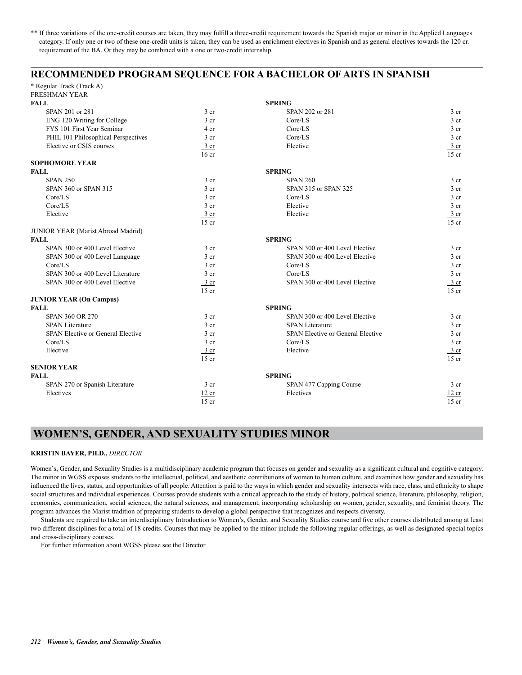\*\* If three variations of the one-credit courses are taken, they may fulfill a three-credit requirement towards the Spanish major or minor in the Applied Languages category. If only one or two of these one-credit units is taken, they can be used as enrichment electives in Spanish and as general electives towards the 120 cr. requirement of the BA. Or they may be combined with a one or two-credit internship.

## **RECOMMENDED PROGRAM SEQUENCE FOR A BACHELOR OF ARTS IN SPANISH**

\* Regular Track (Track A) FRESHMAN YEAR

| <b>FALL</b>                         |                  | <b>SPRING</b>                     |                  |
|-------------------------------------|------------------|-----------------------------------|------------------|
| SPAN 201 or 281                     | 3 <sub>cr</sub>  | SPAN 202 or 281                   | 3 cr             |
| ENG 120 Writing for College         | 3 <sub>cr</sub>  | Core/LS                           | 3 <sub>cr</sub>  |
| FYS 101 First Year Seminar          | 4 cr             | Core/LS                           | 3 <sub>cr</sub>  |
| PHIL 101 Philosophical Perspectives | 3 cr             | Core/LS                           | 3 <sub>cr</sub>  |
| Elective or CSIS courses            | $\frac{3}{ }$ cr | Elective                          | $\frac{3}{ }$ cr |
|                                     | $16$ cr          |                                   | $15$ cr          |
| <b>SOPHOMORE YEAR</b>               |                  |                                   |                  |
| <b>FALL</b>                         |                  | <b>SPRING</b>                     |                  |
| <b>SPAN 250</b>                     | 3 <sub>cr</sub>  | <b>SPAN 260</b>                   | $3$ cr           |
| SPAN 360 or SPAN 315                | 3 <sub>cr</sub>  | SPAN 315 or SPAN 325              | 3 cr             |
| Core/LS                             | 3 <sub>cr</sub>  | Core/LS                           | 3 <sub>cr</sub>  |
| Core/LS                             | 3 <sub>cr</sub>  | Elective                          | 3 <sub>cr</sub>  |
| Elective                            | $3$ cr           | Elective                          | $\frac{3}{2}$ cr |
|                                     | $15$ cr          |                                   | $15$ cr          |
| JUNIOR YEAR (Marist Abroad Madrid)  |                  |                                   |                  |
| <b>FALL</b>                         |                  | <b>SPRING</b>                     |                  |
| SPAN 300 or 400 Level Elective      | 3 <sub>cr</sub>  | SPAN 300 or 400 Level Elective    | $3$ cr           |
| SPAN 300 or 400 Level Language      | 3 <sub>cr</sub>  | SPAN 300 or 400 Level Elective    | 3 <sub>cr</sub>  |
| Core/LS                             | 3 <sub>cr</sub>  | Core/LS                           | 3 <sub>cr</sub>  |
| SPAN 300 or 400 Level Literature    | 3 <sub>cr</sub>  | Core/LS                           | 3 <sub>cr</sub>  |
| SPAN 300 or 400 Level Elective      | $\frac{3}{ }$ cr | SPAN 300 or 400 Level Elective    | $\frac{3}{ }$ cr |
|                                     | $15$ cr          |                                   | $15$ cr          |
| <b>JUNIOR YEAR (On Campus)</b>      |                  |                                   |                  |
| <b>FALL</b>                         |                  | <b>SPRING</b>                     |                  |
| <b>SPAN 360 OR 270</b>              | 3 <sub>cr</sub>  | SPAN 300 or 400 Level Elective    | 3 <sub>cr</sub>  |
| <b>SPAN Literature</b>              | 3 <sub>cr</sub>  | <b>SPAN Literature</b>            | 3 <sub>cr</sub>  |
| SPAN Elective or General Elective   | 3 <sub>cr</sub>  | SPAN Elective or General Elective | 3 <sub>cr</sub>  |
| Core/LS                             | 3 <sub>cr</sub>  | Core/LS                           | 3 <sub>cr</sub>  |
| Elective                            | $3$ cr           | Elective                          | 3 cr             |
|                                     | $15$ cr          |                                   | $15$ cr          |
| <b>SENIOR YEAR</b>                  |                  |                                   |                  |
| <b>FALL</b>                         |                  | <b>SPRING</b>                     |                  |
| SPAN 270 or Spanish Literature      | 3 <sub>cr</sub>  | SPAN 477 Capping Course           | 3 <sub>cr</sub>  |
| Electives                           | 12 cr            | Electives                         | 12 cr            |
|                                     | $15$ cr          |                                   | $15$ cr          |
|                                     |                  |                                   |                  |

## **WOMEN'S, GENDER, AND SEXUALITY STUDIES MINOR**

### **KRISTIN BAYER, PH.D.,** *DIRECTOR*

Women's, Gender, and Sexuality Studies is a multidisciplinary academic program that focuses on gender and sexuality as a significant cultural and cognitive category. The minor in WGSS exposes students to the intellectual, political, and aesthetic contributions of women to human culture, and examines how gender and sexuality has influenced the lives, status, and opportunities of all people. Attention is paid to the ways in which gender and sexuality intersects with race, class, and ethnicity to shape social structures and individual experiences. Courses provide students with a critical approach to the study of history, political science, literature, philosophy, religion, economics, communication, social sciences, the natural sciences, and management, incorporating scholarship on women, gender, sexuality, and feminist theory. The program advances the Marist tradition of preparing students to develop a global perspective that recognizes and respects diversity.

Students are required to take an interdisciplinary Introduction to Women's, Gender, and Sexuality Studies course and five other courses distributed among at least two different disciplines for a total of 18 credits. Courses that may be applied to the minor include the following regular offerings, as well as designated special topics and cross-disciplinary courses.

For further information about WGSS please see the Director.